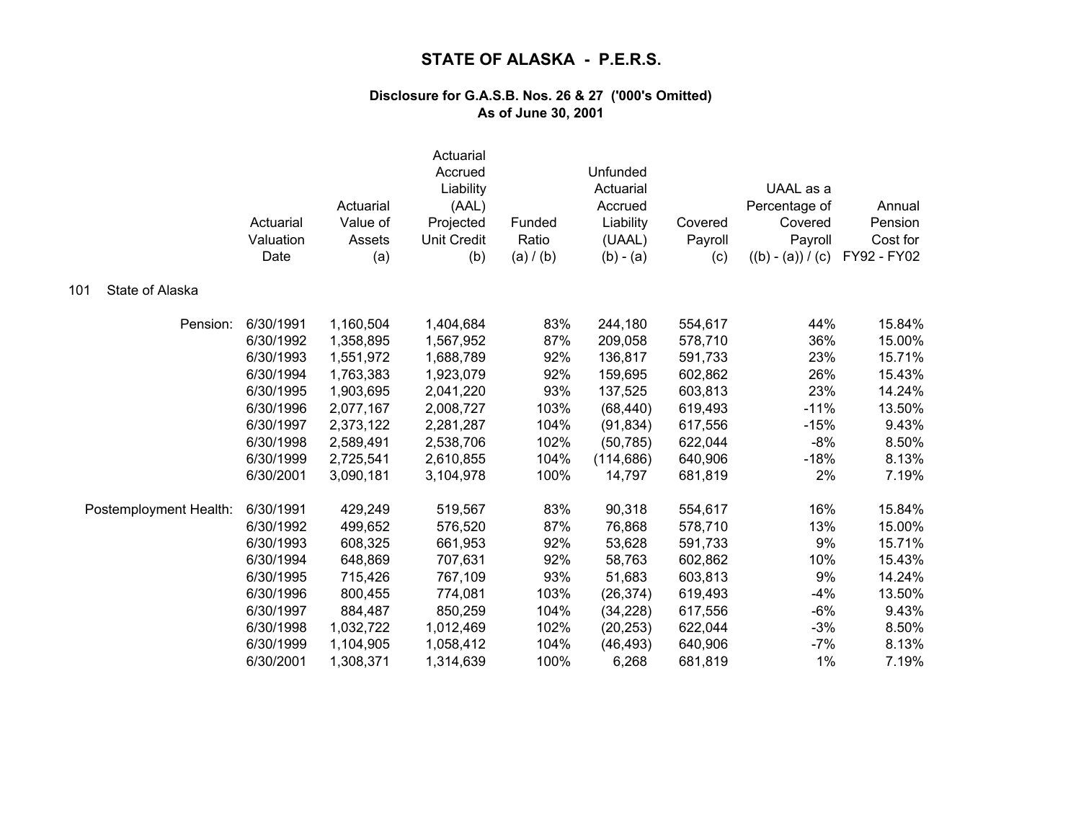|                        | Actuarial<br>Valuation<br>Date | Actuarial<br>Value of<br>Assets<br>(a) | Actuarial<br>Accrued<br>Liability<br>(AAL)<br>Projected<br><b>Unit Credit</b><br>(b) | Funded<br>Ratio<br>(a) / (b) | Unfunded<br>Actuarial<br>Accrued<br>Liability<br>(UAAL)<br>$(b) - (a)$ | Covered<br>Payroll<br>(c) | UAAL as a<br>Percentage of<br>Covered<br>Payroll<br>$((b) - (a)) / (c)$ | Annual<br>Pension<br>Cost for<br>FY92 - FY02 |
|------------------------|--------------------------------|----------------------------------------|--------------------------------------------------------------------------------------|------------------------------|------------------------------------------------------------------------|---------------------------|-------------------------------------------------------------------------|----------------------------------------------|
| State of Alaska<br>101 |                                |                                        |                                                                                      |                              |                                                                        |                           |                                                                         |                                              |
| Pension:               | 6/30/1991                      | 1,160,504                              | 1,404,684                                                                            | 83%                          | 244,180                                                                | 554,617                   | 44%                                                                     | 15.84%                                       |
|                        | 6/30/1992                      | 1,358,895                              | 1,567,952                                                                            | 87%                          | 209,058                                                                | 578,710                   | 36%                                                                     | 15.00%                                       |
|                        | 6/30/1993                      | 1,551,972                              | 1,688,789                                                                            | 92%                          | 136,817                                                                | 591,733                   | 23%                                                                     | 15.71%                                       |
|                        | 6/30/1994                      | 1,763,383                              | 1,923,079                                                                            | 92%                          | 159,695                                                                | 602,862                   | 26%                                                                     | 15.43%                                       |
|                        | 6/30/1995                      | 1,903,695                              | 2,041,220                                                                            | 93%                          | 137,525                                                                | 603,813                   | 23%                                                                     | 14.24%                                       |
|                        | 6/30/1996                      | 2,077,167                              | 2,008,727                                                                            | 103%                         | (68, 440)                                                              | 619,493                   | $-11%$                                                                  | 13.50%                                       |
|                        | 6/30/1997                      | 2,373,122                              | 2,281,287                                                                            | 104%                         | (91, 834)                                                              | 617,556                   | $-15%$                                                                  | 9.43%                                        |
|                        | 6/30/1998                      | 2,589,491                              | 2,538,706                                                                            | 102%                         | (50, 785)                                                              | 622,044                   | $-8%$                                                                   | 8.50%                                        |
|                        | 6/30/1999                      | 2,725,541                              | 2,610,855                                                                            | 104%                         | (114, 686)                                                             | 640,906                   | $-18%$                                                                  | 8.13%                                        |
|                        | 6/30/2001                      | 3,090,181                              | 3,104,978                                                                            | 100%                         | 14,797                                                                 | 681,819                   | 2%                                                                      | 7.19%                                        |
| Postemployment Health: | 6/30/1991                      | 429,249                                | 519,567                                                                              | 83%                          | 90,318                                                                 | 554,617                   | 16%                                                                     | 15.84%                                       |
|                        | 6/30/1992                      | 499,652                                | 576,520                                                                              | 87%                          | 76,868                                                                 | 578,710                   | 13%                                                                     | 15.00%                                       |
|                        | 6/30/1993                      | 608,325                                | 661,953                                                                              | 92%                          | 53,628                                                                 | 591,733                   | 9%                                                                      | 15.71%                                       |
|                        | 6/30/1994                      | 648,869                                | 707,631                                                                              | 92%                          | 58,763                                                                 | 602,862                   | 10%                                                                     | 15.43%                                       |
|                        | 6/30/1995                      | 715,426                                | 767,109                                                                              | 93%                          | 51,683                                                                 | 603,813                   | 9%                                                                      | 14.24%                                       |
|                        | 6/30/1996                      | 800,455                                | 774,081                                                                              | 103%                         | (26, 374)                                                              | 619,493                   | $-4%$                                                                   | 13.50%                                       |
|                        | 6/30/1997                      | 884,487                                | 850,259                                                                              | 104%                         | (34, 228)                                                              | 617,556                   | $-6%$                                                                   | 9.43%                                        |
|                        | 6/30/1998                      | 1,032,722                              | 1,012,469                                                                            | 102%                         | (20, 253)                                                              | 622,044                   | $-3%$                                                                   | 8.50%                                        |
|                        | 6/30/1999                      | 1,104,905                              | 1,058,412                                                                            | 104%                         | (46, 493)                                                              | 640,906                   | $-7%$                                                                   | 8.13%                                        |
|                        | 6/30/2001                      | 1,308,371                              | 1,314,639                                                                            | 100%                         | 6,268                                                                  | 681,819                   | 1%                                                                      | 7.19%                                        |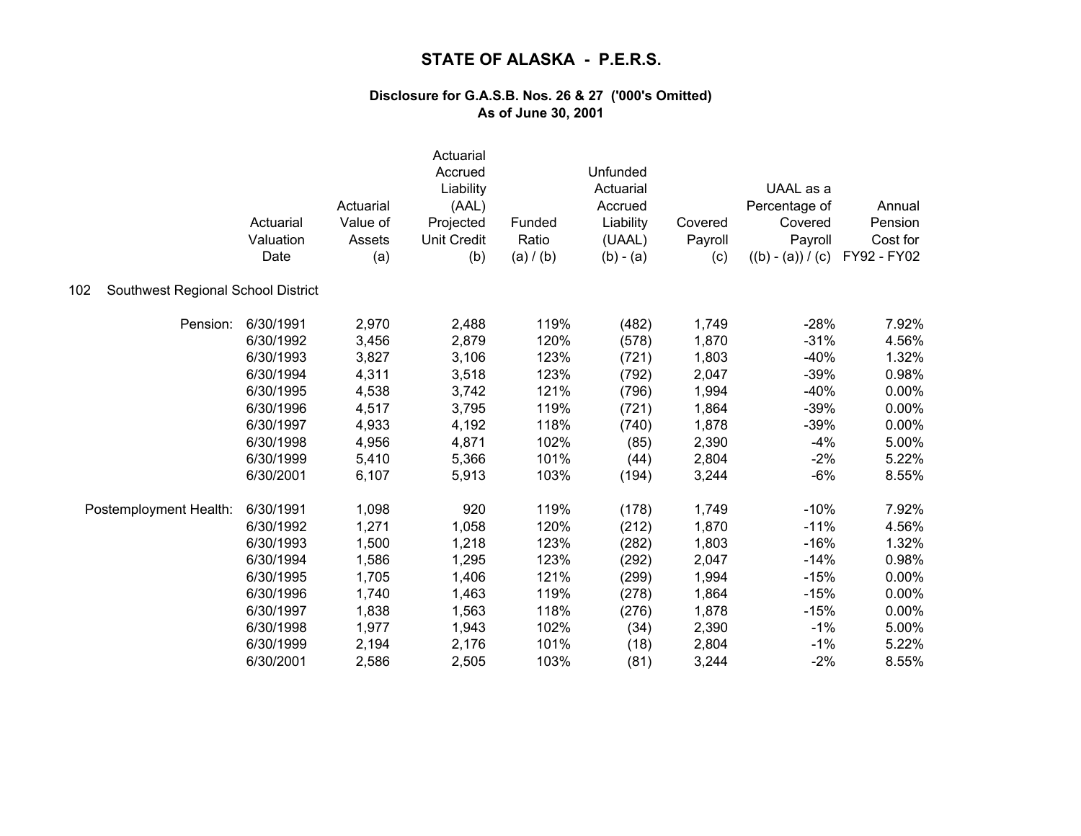|                                           | Actuarial<br>Valuation<br>Date | Actuarial<br>Value of<br>Assets<br>(a) | Actuarial<br>Accrued<br>Liability<br>(AAL)<br>Projected<br><b>Unit Credit</b><br>(b) | Funded<br>Ratio<br>(a) / (b) | Unfunded<br>Actuarial<br>Accrued<br>Liability<br>(UAAL)<br>$(b) - (a)$ | Covered<br>Payroll<br>(c) | UAAL as a<br>Percentage of<br>Covered<br>Payroll<br>$((b) - (a)) / (c)$ | Annual<br>Pension<br>Cost for<br>FY92 - FY02 |
|-------------------------------------------|--------------------------------|----------------------------------------|--------------------------------------------------------------------------------------|------------------------------|------------------------------------------------------------------------|---------------------------|-------------------------------------------------------------------------|----------------------------------------------|
| Southwest Regional School District<br>102 |                                |                                        |                                                                                      |                              |                                                                        |                           |                                                                         |                                              |
| Pension:                                  | 6/30/1991                      | 2,970                                  | 2,488                                                                                | 119%                         | (482)                                                                  | 1,749                     | $-28%$                                                                  | 7.92%                                        |
|                                           | 6/30/1992                      | 3,456                                  | 2,879                                                                                | 120%                         | (578)                                                                  | 1,870                     | $-31%$                                                                  | 4.56%                                        |
|                                           | 6/30/1993                      | 3,827                                  | 3,106                                                                                | 123%                         | (721)                                                                  | 1,803                     | $-40%$                                                                  | 1.32%                                        |
|                                           | 6/30/1994                      | 4,311                                  | 3,518                                                                                | 123%                         | (792)                                                                  | 2,047                     | $-39%$                                                                  | 0.98%                                        |
|                                           | 6/30/1995                      | 4,538                                  | 3,742                                                                                | 121%                         | (796)                                                                  | 1,994                     | $-40%$                                                                  | 0.00%                                        |
|                                           | 6/30/1996                      | 4,517                                  | 3,795                                                                                | 119%                         | (721)                                                                  | 1,864                     | $-39%$                                                                  | 0.00%                                        |
|                                           | 6/30/1997                      | 4,933                                  | 4,192                                                                                | 118%                         | (740)                                                                  | 1,878                     | $-39%$                                                                  | 0.00%                                        |
|                                           | 6/30/1998                      | 4,956                                  | 4,871                                                                                | 102%                         | (85)                                                                   | 2,390                     | $-4%$                                                                   | 5.00%                                        |
|                                           | 6/30/1999                      | 5,410                                  | 5,366                                                                                | 101%                         | (44)                                                                   | 2,804                     | $-2%$                                                                   | 5.22%                                        |
|                                           | 6/30/2001                      | 6,107                                  | 5,913                                                                                | 103%                         | (194)                                                                  | 3,244                     | $-6%$                                                                   | 8.55%                                        |
| Postemployment Health:                    | 6/30/1991                      | 1,098                                  | 920                                                                                  | 119%                         | (178)                                                                  | 1,749                     | $-10%$                                                                  | 7.92%                                        |
|                                           | 6/30/1992                      | 1,271                                  | 1,058                                                                                | 120%                         | (212)                                                                  | 1,870                     | $-11%$                                                                  | 4.56%                                        |
|                                           | 6/30/1993                      | 1,500                                  | 1,218                                                                                | 123%                         | (282)                                                                  | 1,803                     | $-16%$                                                                  | 1.32%                                        |
|                                           | 6/30/1994                      | 1,586                                  | 1,295                                                                                | 123%                         | (292)                                                                  | 2,047                     | $-14%$                                                                  | 0.98%                                        |
|                                           | 6/30/1995                      | 1,705                                  | 1,406                                                                                | 121%                         | (299)                                                                  | 1,994                     | $-15%$                                                                  | 0.00%                                        |
|                                           | 6/30/1996                      | 1,740                                  | 1,463                                                                                | 119%                         | (278)                                                                  | 1,864                     | $-15%$                                                                  | 0.00%                                        |
|                                           | 6/30/1997                      | 1,838                                  | 1,563                                                                                | 118%                         | (276)                                                                  | 1,878                     | $-15%$                                                                  | 0.00%                                        |
|                                           | 6/30/1998                      | 1,977                                  | 1,943                                                                                | 102%                         | (34)                                                                   | 2,390                     | $-1%$                                                                   | 5.00%                                        |
|                                           | 6/30/1999                      | 2,194                                  | 2,176                                                                                | 101%                         | (18)                                                                   | 2,804                     | $-1%$                                                                   | 5.22%                                        |
|                                           | 6/30/2001                      | 2,586                                  | 2,505                                                                                | 103%                         | (81)                                                                   | 3,244                     | $-2%$                                                                   | 8.55%                                        |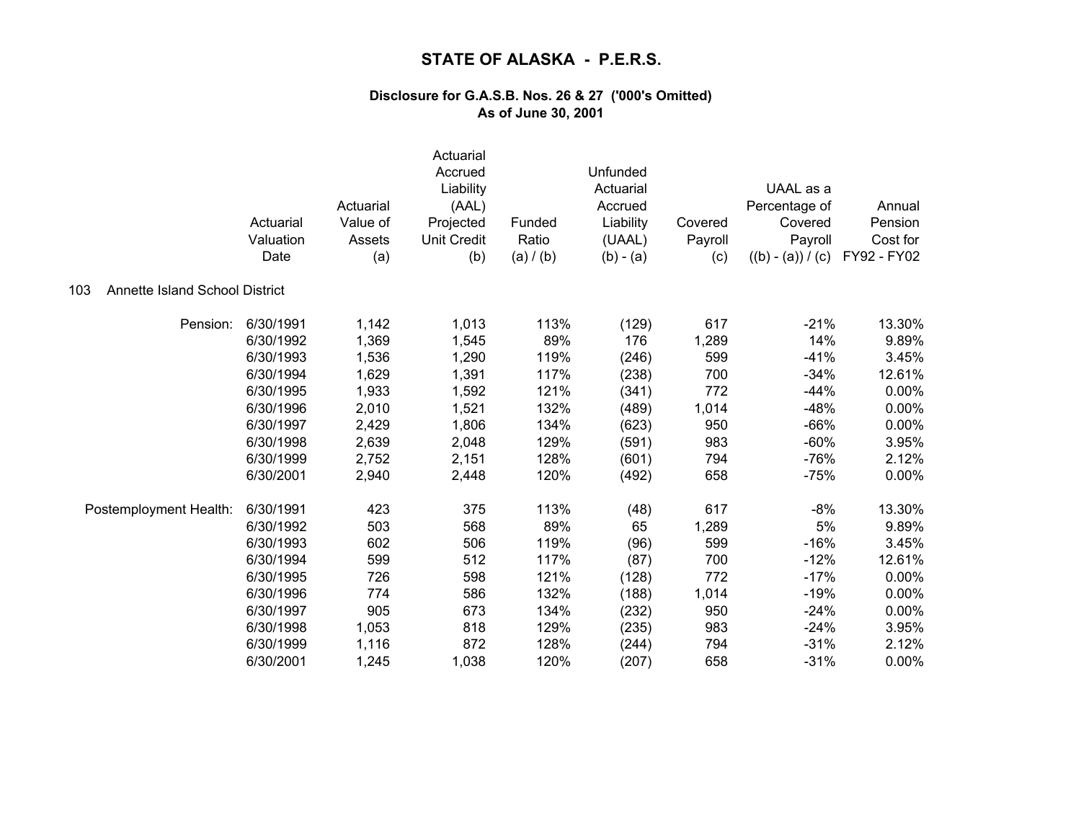| Annette Island School District<br>103 | Actuarial<br>Valuation<br>Date | Actuarial<br>Value of<br>Assets<br>(a) | Actuarial<br>Accrued<br>Liability<br>(AAL)<br>Projected<br><b>Unit Credit</b><br>(b) | Funded<br>Ratio<br>(a) / (b) | Unfunded<br>Actuarial<br>Accrued<br>Liability<br>(UAAL)<br>$(b) - (a)$ | Covered<br>Payroll<br>(c) | UAAL as a<br>Percentage of<br>Covered<br>Payroll<br>$((b) - (a)) / (c)$ | Annual<br>Pension<br>Cost for<br>FY92 - FY02 |
|---------------------------------------|--------------------------------|----------------------------------------|--------------------------------------------------------------------------------------|------------------------------|------------------------------------------------------------------------|---------------------------|-------------------------------------------------------------------------|----------------------------------------------|
|                                       |                                |                                        |                                                                                      |                              |                                                                        |                           |                                                                         |                                              |
| Pension:                              | 6/30/1991                      | 1,142                                  | 1,013                                                                                | 113%                         | (129)                                                                  | 617                       | $-21%$                                                                  | 13.30%                                       |
|                                       | 6/30/1992                      | 1,369                                  | 1,545                                                                                | 89%                          | 176                                                                    | 1,289                     | 14%                                                                     | 9.89%                                        |
|                                       | 6/30/1993                      | 1,536                                  | 1,290                                                                                | 119%                         | (246)                                                                  | 599                       | $-41%$                                                                  | 3.45%                                        |
|                                       | 6/30/1994                      | 1,629                                  | 1,391                                                                                | 117%                         | (238)                                                                  | 700                       | $-34%$                                                                  | 12.61%                                       |
|                                       | 6/30/1995                      | 1,933                                  | 1,592                                                                                | 121%                         | (341)                                                                  | 772                       | $-44%$                                                                  | 0.00%                                        |
|                                       | 6/30/1996                      | 2,010                                  | 1,521                                                                                | 132%                         | (489)                                                                  | 1,014                     | $-48%$                                                                  | 0.00%                                        |
|                                       | 6/30/1997                      | 2,429                                  | 1,806                                                                                | 134%                         | (623)                                                                  | 950                       | $-66%$                                                                  | 0.00%                                        |
|                                       | 6/30/1998                      | 2,639                                  | 2,048                                                                                | 129%                         | (591)                                                                  | 983                       | $-60%$                                                                  | 3.95%                                        |
|                                       | 6/30/1999                      | 2,752                                  | 2,151                                                                                | 128%                         | (601)                                                                  | 794                       | $-76%$                                                                  | 2.12%                                        |
|                                       | 6/30/2001                      | 2,940                                  | 2,448                                                                                | 120%                         | (492)                                                                  | 658                       | $-75%$                                                                  | 0.00%                                        |
| Postemployment Health:                | 6/30/1991                      | 423                                    | 375                                                                                  | 113%                         | (48)                                                                   | 617                       | $-8%$                                                                   | 13.30%                                       |
|                                       | 6/30/1992                      | 503                                    | 568                                                                                  | 89%                          | 65                                                                     | 1,289                     | 5%                                                                      | 9.89%                                        |
|                                       | 6/30/1993                      | 602                                    | 506                                                                                  | 119%                         | (96)                                                                   | 599                       | $-16%$                                                                  | 3.45%                                        |
|                                       | 6/30/1994                      | 599                                    | 512                                                                                  | 117%                         | (87)                                                                   | 700                       | $-12%$                                                                  | 12.61%                                       |
|                                       | 6/30/1995                      | 726                                    | 598                                                                                  | 121%                         | (128)                                                                  | 772                       | $-17%$                                                                  | 0.00%                                        |
|                                       | 6/30/1996                      | 774                                    | 586                                                                                  | 132%                         | (188)                                                                  | 1,014                     | $-19%$                                                                  | 0.00%                                        |
|                                       | 6/30/1997                      | 905                                    | 673                                                                                  | 134%                         | (232)                                                                  | 950                       | $-24%$                                                                  | 0.00%                                        |
|                                       | 6/30/1998                      | 1,053                                  | 818                                                                                  | 129%                         | (235)                                                                  | 983                       | $-24%$                                                                  | 3.95%                                        |
|                                       | 6/30/1999                      | 1,116                                  | 872                                                                                  | 128%                         | (244)                                                                  | 794                       | $-31%$                                                                  | 2.12%                                        |
|                                       | 6/30/2001                      | 1,245                                  | 1,038                                                                                | 120%                         | (207)                                                                  | 658                       | $-31%$                                                                  | 0.00%                                        |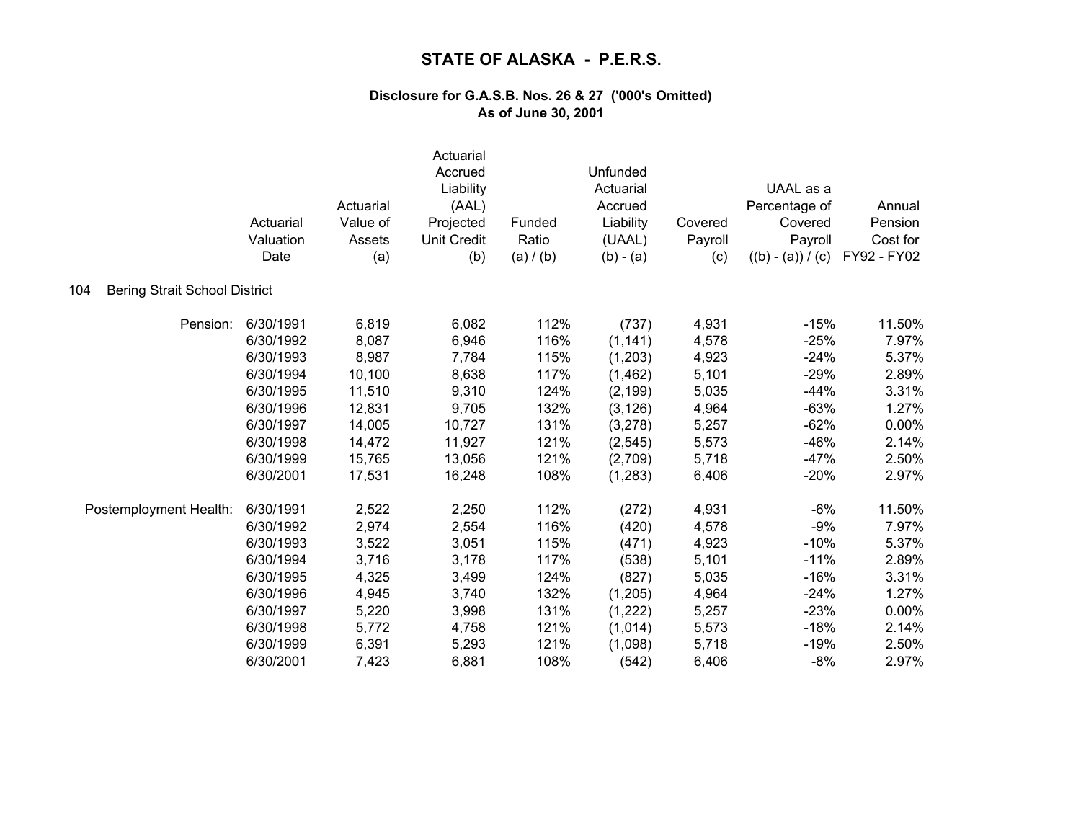|                                             | Actuarial<br>Valuation<br>Date | Actuarial<br>Value of<br>Assets<br>(a) | Actuarial<br>Accrued<br>Liability<br>(AAL)<br>Projected<br><b>Unit Credit</b><br>(b) | Funded<br>Ratio<br>(a) / (b) | Unfunded<br>Actuarial<br>Accrued<br>Liability<br>(UAAL)<br>$(b) - (a)$ | Covered<br>Payroll<br>(c) | UAAL as a<br>Percentage of<br>Covered<br>Payroll<br>$((b) - (a)) / (c)$ | Annual<br>Pension<br>Cost for<br>FY92 - FY02 |
|---------------------------------------------|--------------------------------|----------------------------------------|--------------------------------------------------------------------------------------|------------------------------|------------------------------------------------------------------------|---------------------------|-------------------------------------------------------------------------|----------------------------------------------|
| <b>Bering Strait School District</b><br>104 |                                |                                        |                                                                                      |                              |                                                                        |                           |                                                                         |                                              |
| Pension:                                    | 6/30/1991                      | 6,819                                  | 6,082                                                                                | 112%                         | (737)                                                                  | 4,931                     | $-15%$                                                                  | 11.50%                                       |
|                                             | 6/30/1992                      | 8,087                                  | 6,946                                                                                | 116%                         | (1, 141)                                                               | 4,578                     | $-25%$                                                                  | 7.97%                                        |
|                                             | 6/30/1993                      | 8,987                                  | 7,784                                                                                | 115%                         | (1,203)                                                                | 4,923                     | $-24%$                                                                  | 5.37%                                        |
|                                             | 6/30/1994                      | 10,100                                 | 8,638                                                                                | 117%                         | (1,462)                                                                | 5,101                     | $-29%$                                                                  | 2.89%                                        |
|                                             | 6/30/1995                      | 11,510                                 | 9,310                                                                                | 124%                         | (2, 199)                                                               | 5,035                     | $-44%$                                                                  | 3.31%                                        |
|                                             | 6/30/1996                      | 12,831                                 | 9,705                                                                                | 132%                         | (3, 126)                                                               | 4,964                     | $-63%$                                                                  | 1.27%                                        |
|                                             | 6/30/1997                      | 14,005                                 | 10,727                                                                               | 131%                         | (3,278)                                                                | 5,257                     | $-62%$                                                                  | 0.00%                                        |
|                                             | 6/30/1998                      | 14,472                                 | 11,927                                                                               | 121%                         | (2, 545)                                                               | 5,573                     | $-46%$                                                                  | 2.14%                                        |
|                                             | 6/30/1999                      | 15,765                                 | 13,056                                                                               | 121%                         | (2,709)                                                                | 5,718                     | $-47%$                                                                  | 2.50%                                        |
|                                             | 6/30/2001                      | 17,531                                 | 16,248                                                                               | 108%                         | (1, 283)                                                               | 6,406                     | $-20%$                                                                  | 2.97%                                        |
| Postemployment Health:                      | 6/30/1991                      | 2,522                                  | 2,250                                                                                | 112%                         | (272)                                                                  | 4,931                     | $-6%$                                                                   | 11.50%                                       |
|                                             | 6/30/1992                      | 2,974                                  | 2,554                                                                                | 116%                         | (420)                                                                  | 4,578                     | $-9%$                                                                   | 7.97%                                        |
|                                             | 6/30/1993                      | 3,522                                  | 3,051                                                                                | 115%                         | (471)                                                                  | 4,923                     | $-10%$                                                                  | 5.37%                                        |
|                                             | 6/30/1994                      | 3,716                                  | 3,178                                                                                | 117%                         | (538)                                                                  | 5,101                     | $-11%$                                                                  | 2.89%                                        |
|                                             | 6/30/1995                      | 4,325                                  | 3,499                                                                                | 124%                         | (827)                                                                  | 5,035                     | $-16%$                                                                  | 3.31%                                        |
|                                             | 6/30/1996                      | 4,945                                  | 3,740                                                                                | 132%                         | (1,205)                                                                | 4,964                     | $-24%$                                                                  | 1.27%                                        |
|                                             | 6/30/1997                      | 5,220                                  | 3,998                                                                                | 131%                         | (1,222)                                                                | 5,257                     | $-23%$                                                                  | 0.00%                                        |
|                                             | 6/30/1998                      | 5,772                                  | 4,758                                                                                | 121%                         | (1,014)                                                                | 5,573                     | $-18%$                                                                  | 2.14%                                        |
|                                             | 6/30/1999                      | 6,391                                  | 5,293                                                                                | 121%                         | (1,098)                                                                | 5,718                     | $-19%$                                                                  | 2.50%                                        |
|                                             | 6/30/2001                      | 7,423                                  | 6,881                                                                                | 108%                         | (542)                                                                  | 6,406                     | $-8%$                                                                   | 2.97%                                        |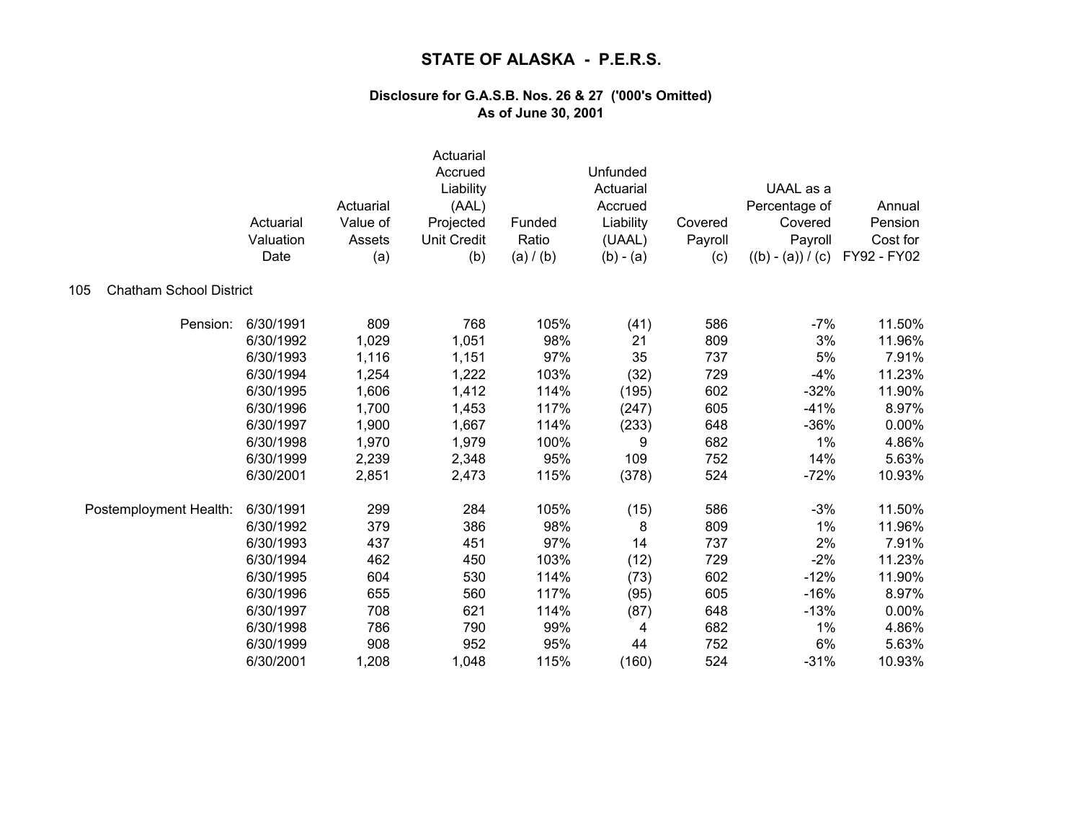|                                       | Actuarial<br>Valuation<br>Date | Actuarial<br>Value of<br>Assets<br>(a) | Actuarial<br>Accrued<br>Liability<br>(AAL)<br>Projected<br><b>Unit Credit</b><br>(b) | Funded<br>Ratio<br>(a) / (b) | Unfunded<br>Actuarial<br>Accrued<br>Liability<br>(UAAL)<br>$(b) - (a)$ | Covered<br>Payroll<br>(c) | UAAL as a<br>Percentage of<br>Covered<br>Payroll<br>$((b) - (a)) / (c)$ | Annual<br>Pension<br>Cost for<br>FY92 - FY02 |
|---------------------------------------|--------------------------------|----------------------------------------|--------------------------------------------------------------------------------------|------------------------------|------------------------------------------------------------------------|---------------------------|-------------------------------------------------------------------------|----------------------------------------------|
| <b>Chatham School District</b><br>105 |                                |                                        |                                                                                      |                              |                                                                        |                           |                                                                         |                                              |
| Pension:                              | 6/30/1991                      | 809                                    | 768                                                                                  | 105%                         | (41)                                                                   | 586                       | $-7%$                                                                   | 11.50%                                       |
|                                       | 6/30/1992                      | 1,029                                  | 1,051                                                                                | 98%                          | 21                                                                     | 809                       | 3%                                                                      | 11.96%                                       |
|                                       | 6/30/1993                      | 1,116                                  | 1,151                                                                                | 97%                          | 35                                                                     | 737                       | 5%                                                                      | 7.91%                                        |
|                                       | 6/30/1994                      | 1,254                                  | 1,222                                                                                | 103%                         | (32)                                                                   | 729                       | $-4%$                                                                   | 11.23%                                       |
|                                       | 6/30/1995                      | 1,606                                  | 1,412                                                                                | 114%                         | (195)                                                                  | 602                       | $-32%$                                                                  | 11.90%                                       |
|                                       | 6/30/1996                      | 1,700                                  | 1,453                                                                                | 117%                         | (247)                                                                  | 605                       | $-41%$                                                                  | 8.97%                                        |
|                                       | 6/30/1997                      | 1,900                                  | 1,667                                                                                | 114%                         | (233)                                                                  | 648                       | $-36%$                                                                  | 0.00%                                        |
|                                       | 6/30/1998                      | 1,970                                  | 1,979                                                                                | 100%                         | 9                                                                      | 682                       | 1%                                                                      | 4.86%                                        |
|                                       | 6/30/1999                      | 2,239                                  | 2,348                                                                                | 95%                          | 109                                                                    | 752                       | 14%                                                                     | 5.63%                                        |
|                                       | 6/30/2001                      | 2,851                                  | 2,473                                                                                | 115%                         | (378)                                                                  | 524                       | $-72%$                                                                  | 10.93%                                       |
| Postemployment Health:                | 6/30/1991                      | 299                                    | 284                                                                                  | 105%                         | (15)                                                                   | 586                       | $-3%$                                                                   | 11.50%                                       |
|                                       | 6/30/1992                      | 379                                    | 386                                                                                  | 98%                          | 8                                                                      | 809                       | 1%                                                                      | 11.96%                                       |
|                                       | 6/30/1993                      | 437                                    | 451                                                                                  | 97%                          | 14                                                                     | 737                       | 2%                                                                      | 7.91%                                        |
|                                       | 6/30/1994                      | 462                                    | 450                                                                                  | 103%                         | (12)                                                                   | 729                       | $-2%$                                                                   | 11.23%                                       |
|                                       | 6/30/1995                      | 604                                    | 530                                                                                  | 114%                         | (73)                                                                   | 602                       | $-12%$                                                                  | 11.90%                                       |
|                                       | 6/30/1996                      | 655                                    | 560                                                                                  | 117%                         | (95)                                                                   | 605                       | $-16%$                                                                  | 8.97%                                        |
|                                       | 6/30/1997                      | 708                                    | 621                                                                                  | 114%                         | (87)                                                                   | 648                       | $-13%$                                                                  | 0.00%                                        |
|                                       | 6/30/1998                      | 786                                    | 790                                                                                  | 99%                          | 4                                                                      | 682                       | 1%                                                                      | 4.86%                                        |
|                                       | 6/30/1999                      | 908                                    | 952                                                                                  | 95%                          | 44                                                                     | 752                       | 6%                                                                      | 5.63%                                        |
|                                       | 6/30/2001                      | 1,208                                  | 1,048                                                                                | 115%                         | (160)                                                                  | 524                       | $-31%$                                                                  | 10.93%                                       |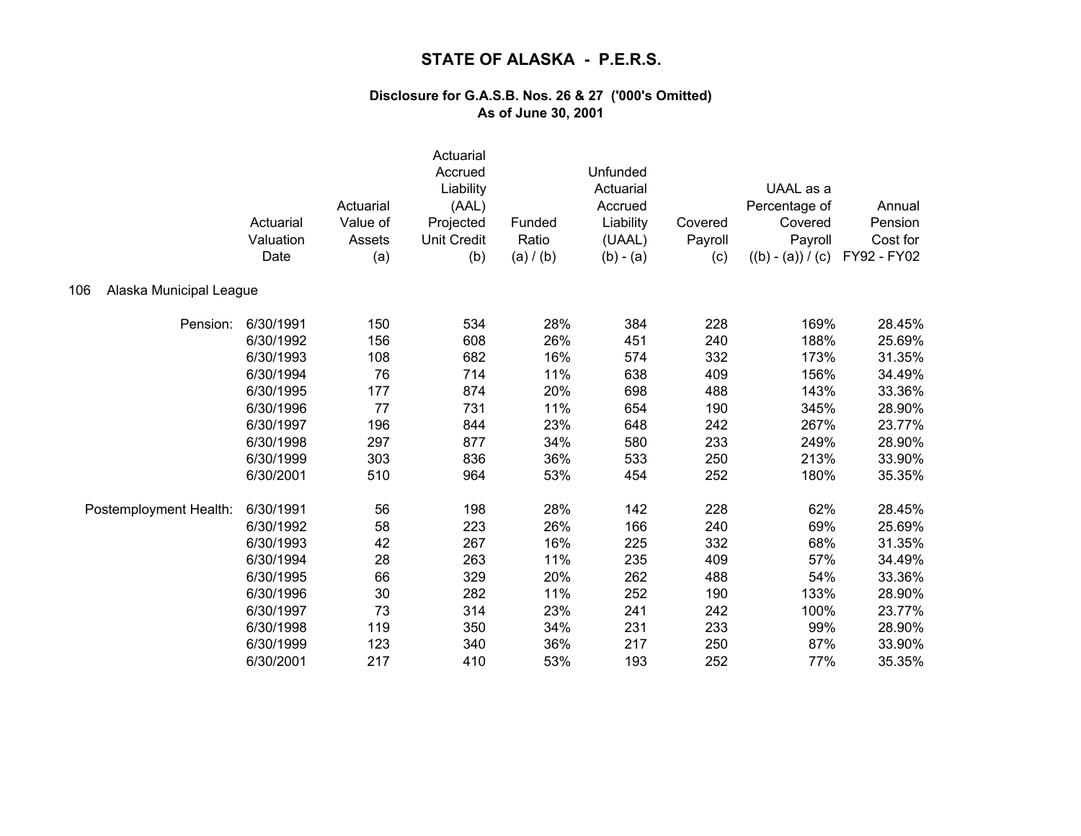|                                | Actuarial<br>Valuation<br>Date | Actuarial<br>Value of<br>Assets<br>(a) | Actuarial<br>Accrued<br>Liability<br>(AAL)<br>Projected<br><b>Unit Credit</b><br>(b) | Funded<br>Ratio<br>(a) / (b) | Unfunded<br>Actuarial<br>Accrued<br>Liability<br>(UAAL)<br>$(b) - (a)$ | Covered<br>Payroll<br>(c) | UAAL as a<br>Percentage of<br>Covered<br>Payroll<br>$((b) - (a)) / (c)$ | Annual<br>Pension<br>Cost for<br>FY92 - FY02 |
|--------------------------------|--------------------------------|----------------------------------------|--------------------------------------------------------------------------------------|------------------------------|------------------------------------------------------------------------|---------------------------|-------------------------------------------------------------------------|----------------------------------------------|
| Alaska Municipal League<br>106 |                                |                                        |                                                                                      |                              |                                                                        |                           |                                                                         |                                              |
| Pension:                       | 6/30/1991                      | 150                                    | 534                                                                                  | 28%                          | 384                                                                    | 228                       | 169%                                                                    | 28.45%                                       |
|                                | 6/30/1992                      | 156                                    | 608                                                                                  | 26%                          | 451                                                                    | 240                       | 188%                                                                    | 25.69%                                       |
|                                | 6/30/1993                      | 108                                    | 682                                                                                  | 16%                          | 574                                                                    | 332                       | 173%                                                                    | 31.35%                                       |
|                                | 6/30/1994                      | 76                                     | 714                                                                                  | 11%                          | 638                                                                    | 409                       | 156%                                                                    | 34.49%                                       |
|                                | 6/30/1995                      | 177                                    | 874                                                                                  | 20%                          | 698                                                                    | 488                       | 143%                                                                    | 33.36%                                       |
|                                | 6/30/1996                      | 77                                     | 731                                                                                  | 11%                          | 654                                                                    | 190                       | 345%                                                                    | 28.90%                                       |
|                                | 6/30/1997                      | 196                                    | 844                                                                                  | 23%                          | 648                                                                    | 242                       | 267%                                                                    | 23.77%                                       |
|                                | 6/30/1998                      | 297                                    | 877                                                                                  | 34%                          | 580                                                                    | 233                       | 249%                                                                    | 28.90%                                       |
|                                | 6/30/1999                      | 303                                    | 836                                                                                  | 36%                          | 533                                                                    | 250                       | 213%                                                                    | 33.90%                                       |
|                                | 6/30/2001                      | 510                                    | 964                                                                                  | 53%                          | 454                                                                    | 252                       | 180%                                                                    | 35.35%                                       |
| Postemployment Health:         | 6/30/1991                      | 56                                     | 198                                                                                  | 28%                          | 142                                                                    | 228                       | 62%                                                                     | 28.45%                                       |
|                                | 6/30/1992                      | 58                                     | 223                                                                                  | 26%                          | 166                                                                    | 240                       | 69%                                                                     | 25.69%                                       |
|                                | 6/30/1993                      | 42                                     | 267                                                                                  | 16%                          | 225                                                                    | 332                       | 68%                                                                     | 31.35%                                       |
|                                | 6/30/1994                      | 28                                     | 263                                                                                  | 11%                          | 235                                                                    | 409                       | 57%                                                                     | 34.49%                                       |
|                                | 6/30/1995                      | 66                                     | 329                                                                                  | 20%                          | 262                                                                    | 488                       | 54%                                                                     | 33.36%                                       |
|                                | 6/30/1996                      | 30                                     | 282                                                                                  | 11%                          | 252                                                                    | 190                       | 133%                                                                    | 28.90%                                       |
|                                | 6/30/1997                      | 73                                     | 314                                                                                  | 23%                          | 241                                                                    | 242                       | 100%                                                                    | 23.77%                                       |
|                                | 6/30/1998                      | 119                                    | 350                                                                                  | 34%                          | 231                                                                    | 233                       | 99%                                                                     | 28.90%                                       |
|                                | 6/30/1999                      | 123                                    | 340                                                                                  | 36%                          | 217                                                                    | 250                       | 87%                                                                     | 33.90%                                       |
|                                | 6/30/2001                      | 217                                    | 410                                                                                  | 53%                          | 193                                                                    | 252                       | 77%                                                                     | 35.35%                                       |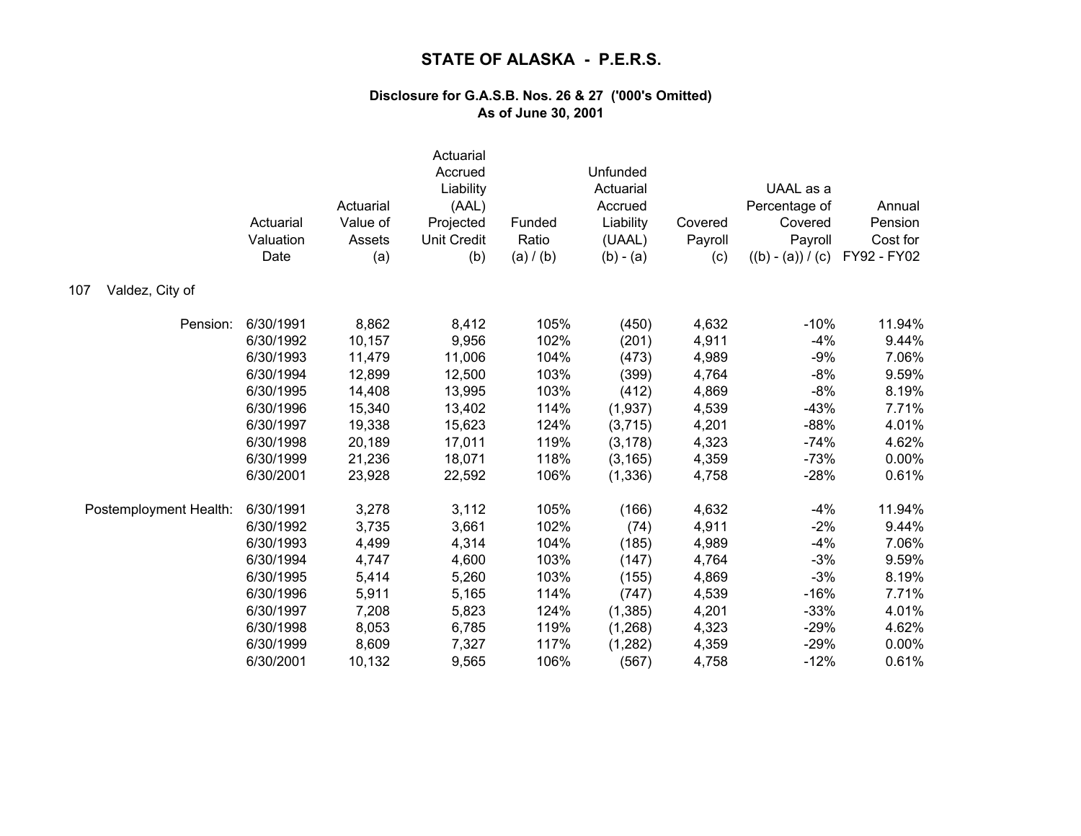|                        | Actuarial<br>Valuation<br>Date | Actuarial<br>Value of<br>Assets<br>(a) | Actuarial<br>Accrued<br>Liability<br>(AAL)<br>Projected<br><b>Unit Credit</b><br>(b) | Funded<br>Ratio<br>(a) / (b) | Unfunded<br>Actuarial<br>Accrued<br>Liability<br>(UAAL)<br>$(b) - (a)$ | Covered<br>Payroll<br>(c) | UAAL as a<br>Percentage of<br>Covered<br>Payroll<br>$((b) - (a)) / (c)$ | Annual<br>Pension<br>Cost for<br>FY92 - FY02 |
|------------------------|--------------------------------|----------------------------------------|--------------------------------------------------------------------------------------|------------------------------|------------------------------------------------------------------------|---------------------------|-------------------------------------------------------------------------|----------------------------------------------|
| Valdez, City of<br>107 |                                |                                        |                                                                                      |                              |                                                                        |                           |                                                                         |                                              |
| Pension:               | 6/30/1991                      | 8,862                                  | 8,412                                                                                | 105%                         | (450)                                                                  | 4,632                     | $-10%$                                                                  | 11.94%                                       |
|                        | 6/30/1992                      | 10,157                                 | 9,956                                                                                | 102%                         | (201)                                                                  | 4,911                     | $-4%$                                                                   | 9.44%                                        |
|                        | 6/30/1993                      | 11,479                                 | 11,006                                                                               | 104%                         | (473)                                                                  | 4,989                     | $-9%$                                                                   | 7.06%                                        |
|                        | 6/30/1994                      | 12,899                                 | 12,500                                                                               | 103%                         | (399)                                                                  | 4,764                     | $-8%$                                                                   | 9.59%                                        |
|                        | 6/30/1995                      | 14,408                                 | 13,995                                                                               | 103%                         | (412)                                                                  | 4,869                     | $-8%$                                                                   | 8.19%                                        |
|                        | 6/30/1996                      | 15,340                                 | 13,402                                                                               | 114%                         | (1,937)                                                                | 4,539                     | $-43%$                                                                  | 7.71%                                        |
|                        | 6/30/1997                      | 19,338                                 | 15,623                                                                               | 124%                         | (3,715)                                                                | 4,201                     | $-88%$                                                                  | 4.01%                                        |
|                        | 6/30/1998                      | 20,189                                 | 17,011                                                                               | 119%                         | (3, 178)                                                               | 4,323                     | $-74%$                                                                  | 4.62%                                        |
|                        | 6/30/1999                      | 21,236                                 | 18,071                                                                               | 118%                         | (3, 165)                                                               | 4,359                     | $-73%$                                                                  | 0.00%                                        |
|                        | 6/30/2001                      | 23,928                                 | 22,592                                                                               | 106%                         | (1, 336)                                                               | 4,758                     | $-28%$                                                                  | 0.61%                                        |
| Postemployment Health: | 6/30/1991                      | 3,278                                  | 3,112                                                                                | 105%                         | (166)                                                                  | 4,632                     | $-4%$                                                                   | 11.94%                                       |
|                        | 6/30/1992                      | 3,735                                  | 3,661                                                                                | 102%                         | (74)                                                                   | 4,911                     | $-2%$                                                                   | 9.44%                                        |
|                        | 6/30/1993                      | 4,499                                  | 4,314                                                                                | 104%                         | (185)                                                                  | 4,989                     | $-4%$                                                                   | 7.06%                                        |
|                        | 6/30/1994                      | 4,747                                  | 4,600                                                                                | 103%                         | (147)                                                                  | 4,764                     | $-3%$                                                                   | 9.59%                                        |
|                        | 6/30/1995                      | 5,414                                  | 5,260                                                                                | 103%                         | (155)                                                                  | 4,869                     | $-3%$                                                                   | 8.19%                                        |
|                        | 6/30/1996                      | 5,911                                  | 5,165                                                                                | 114%                         | (747)                                                                  | 4,539                     | $-16%$                                                                  | 7.71%                                        |
|                        | 6/30/1997                      | 7,208                                  | 5,823                                                                                | 124%                         | (1,385)                                                                | 4,201                     | $-33%$                                                                  | 4.01%                                        |
|                        | 6/30/1998                      | 8,053                                  | 6,785                                                                                | 119%                         | (1,268)                                                                | 4,323                     | $-29%$                                                                  | 4.62%                                        |
|                        | 6/30/1999                      | 8,609                                  | 7,327                                                                                | 117%                         | (1, 282)                                                               | 4,359                     | $-29%$                                                                  | 0.00%                                        |
|                        | 6/30/2001                      | 10,132                                 | 9,565                                                                                | 106%                         | (567)                                                                  | 4,758                     | $-12%$                                                                  | 0.61%                                        |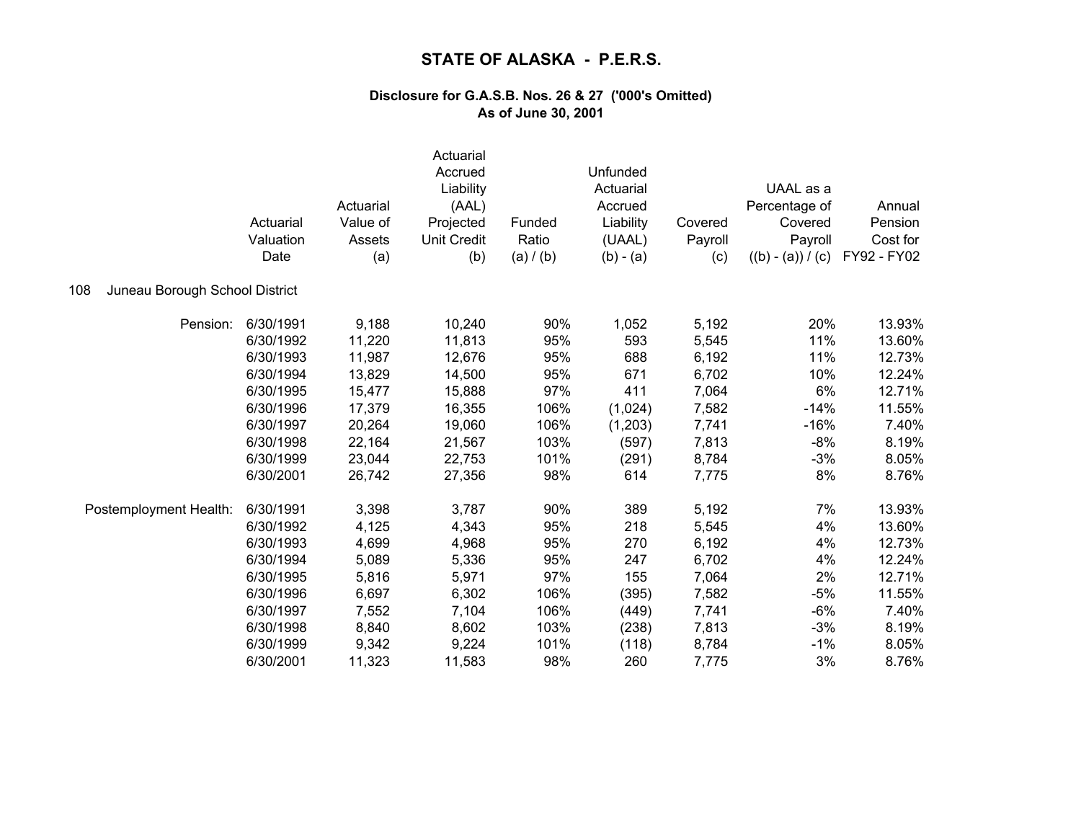|                                       | Actuarial<br>Valuation<br>Date | Actuarial<br>Value of<br>Assets<br>(a) | Actuarial<br>Accrued<br>Liability<br>(AAL)<br>Projected<br><b>Unit Credit</b><br>(b) | Funded<br>Ratio<br>(a) / (b) | Unfunded<br>Actuarial<br>Accrued<br>Liability<br>(UAAL)<br>$(b) - (a)$ | Covered<br>Payroll<br>(c) | UAAL as a<br>Percentage of<br>Covered<br>Payroll<br>$((b) - (a)) / (c)$ | Annual<br>Pension<br>Cost for<br>FY92 - FY02 |
|---------------------------------------|--------------------------------|----------------------------------------|--------------------------------------------------------------------------------------|------------------------------|------------------------------------------------------------------------|---------------------------|-------------------------------------------------------------------------|----------------------------------------------|
| Juneau Borough School District<br>108 |                                |                                        |                                                                                      |                              |                                                                        |                           |                                                                         |                                              |
| Pension:                              | 6/30/1991                      | 9,188                                  | 10,240                                                                               | 90%                          | 1,052                                                                  | 5,192                     | 20%                                                                     | 13.93%                                       |
|                                       | 6/30/1992                      | 11,220                                 | 11,813                                                                               | 95%                          | 593                                                                    | 5,545                     | 11%                                                                     | 13.60%                                       |
|                                       | 6/30/1993                      | 11,987                                 | 12,676                                                                               | 95%                          | 688                                                                    | 6,192                     | 11%                                                                     | 12.73%                                       |
|                                       | 6/30/1994                      | 13,829                                 | 14,500                                                                               | 95%                          | 671                                                                    | 6,702                     | 10%                                                                     | 12.24%                                       |
|                                       | 6/30/1995                      | 15,477                                 | 15,888                                                                               | 97%                          | 411                                                                    | 7,064                     | 6%                                                                      | 12.71%                                       |
|                                       | 6/30/1996                      | 17,379                                 | 16,355                                                                               | 106%                         | (1,024)                                                                | 7,582                     | $-14%$                                                                  | 11.55%                                       |
|                                       | 6/30/1997                      | 20,264                                 | 19,060                                                                               | 106%                         | (1,203)                                                                | 7,741                     | $-16%$                                                                  | 7.40%                                        |
|                                       | 6/30/1998                      | 22,164                                 | 21,567                                                                               | 103%                         | (597)                                                                  | 7,813                     | $-8%$                                                                   | 8.19%                                        |
|                                       | 6/30/1999                      | 23,044                                 | 22,753                                                                               | 101%                         | (291)                                                                  | 8,784                     | $-3%$                                                                   | 8.05%                                        |
|                                       | 6/30/2001                      | 26,742                                 | 27,356                                                                               | 98%                          | 614                                                                    | 7,775                     | 8%                                                                      | 8.76%                                        |
| Postemployment Health:                | 6/30/1991                      | 3,398                                  | 3,787                                                                                | 90%                          | 389                                                                    | 5,192                     | 7%                                                                      | 13.93%                                       |
|                                       | 6/30/1992                      | 4,125                                  | 4,343                                                                                | 95%                          | 218                                                                    | 5,545                     | 4%                                                                      | 13.60%                                       |
|                                       | 6/30/1993                      | 4,699                                  | 4,968                                                                                | 95%                          | 270                                                                    | 6,192                     | 4%                                                                      | 12.73%                                       |
|                                       | 6/30/1994                      | 5,089                                  | 5,336                                                                                | 95%                          | 247                                                                    | 6,702                     | 4%                                                                      | 12.24%                                       |
|                                       | 6/30/1995                      | 5,816                                  | 5,971                                                                                | 97%                          | 155                                                                    | 7,064                     | 2%                                                                      | 12.71%                                       |
|                                       | 6/30/1996                      | 6,697                                  | 6,302                                                                                | 106%                         | (395)                                                                  | 7,582                     | $-5%$                                                                   | 11.55%                                       |
|                                       | 6/30/1997                      | 7,552                                  | 7,104                                                                                | 106%                         | (449)                                                                  | 7,741                     | $-6%$                                                                   | 7.40%                                        |
|                                       | 6/30/1998                      | 8,840                                  | 8,602                                                                                | 103%                         | (238)                                                                  | 7,813                     | $-3%$                                                                   | 8.19%                                        |
|                                       | 6/30/1999                      | 9,342                                  | 9,224                                                                                | 101%                         | (118)                                                                  | 8,784                     | $-1%$                                                                   | 8.05%                                        |
|                                       | 6/30/2001                      | 11,323                                 | 11,583                                                                               | 98%                          | 260                                                                    | 7,775                     | 3%                                                                      | 8.76%                                        |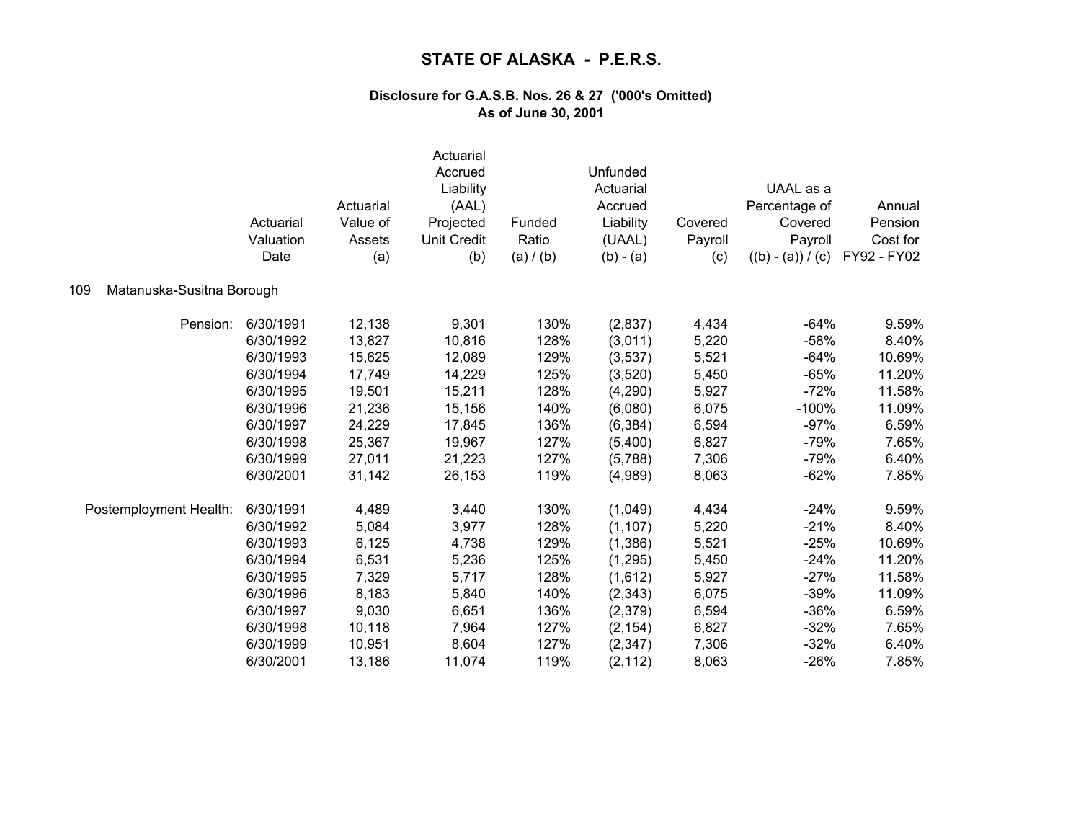|                                  | Actuarial<br>Valuation<br>Date | Actuarial<br>Value of<br>Assets<br>(a) | Actuarial<br>Accrued<br>Liability<br>(AAL)<br>Projected<br><b>Unit Credit</b><br>(b) | Funded<br>Ratio<br>(a) / (b) | Unfunded<br>Actuarial<br>Accrued<br>Liability<br>(UAAL)<br>$(b) - (a)$ | Covered<br>Payroll<br>(c) | UAAL as a<br>Percentage of<br>Covered<br>Payroll<br>$((b) - (a)) / (c)$ | Annual<br>Pension<br>Cost for<br>FY92 - FY02 |
|----------------------------------|--------------------------------|----------------------------------------|--------------------------------------------------------------------------------------|------------------------------|------------------------------------------------------------------------|---------------------------|-------------------------------------------------------------------------|----------------------------------------------|
| Matanuska-Susitna Borough<br>109 |                                |                                        |                                                                                      |                              |                                                                        |                           |                                                                         |                                              |
| Pension:                         | 6/30/1991                      | 12,138                                 | 9,301                                                                                | 130%                         | (2,837)                                                                | 4,434                     | $-64%$                                                                  | 9.59%                                        |
|                                  | 6/30/1992                      | 13,827                                 | 10,816                                                                               | 128%                         | (3,011)                                                                | 5,220                     | $-58%$                                                                  | 8.40%                                        |
|                                  | 6/30/1993                      | 15,625                                 | 12,089                                                                               | 129%                         | (3,537)                                                                | 5,521                     | $-64%$                                                                  | 10.69%                                       |
|                                  | 6/30/1994                      | 17,749                                 | 14,229                                                                               | 125%                         | (3,520)                                                                | 5,450                     | $-65%$                                                                  | 11.20%                                       |
|                                  | 6/30/1995                      | 19,501                                 | 15,211                                                                               | 128%                         | (4,290)                                                                | 5,927                     | $-72%$                                                                  | 11.58%                                       |
|                                  | 6/30/1996                      | 21,236                                 | 15,156                                                                               | 140%                         | (6,080)                                                                | 6,075                     | $-100%$                                                                 | 11.09%                                       |
|                                  | 6/30/1997                      | 24,229                                 | 17,845                                                                               | 136%                         | (6, 384)                                                               | 6,594                     | $-97%$                                                                  | 6.59%                                        |
|                                  | 6/30/1998                      | 25,367                                 | 19,967                                                                               | 127%                         | (5,400)                                                                | 6,827                     | $-79%$                                                                  | 7.65%                                        |
|                                  | 6/30/1999                      | 27,011                                 | 21,223                                                                               | 127%                         | (5,788)                                                                | 7,306                     | $-79%$                                                                  | 6.40%                                        |
|                                  | 6/30/2001                      | 31,142                                 | 26,153                                                                               | 119%                         | (4,989)                                                                | 8,063                     | $-62%$                                                                  | 7.85%                                        |
| Postemployment Health:           | 6/30/1991                      | 4,489                                  | 3,440                                                                                | 130%                         | (1,049)                                                                | 4,434                     | $-24%$                                                                  | 9.59%                                        |
|                                  | 6/30/1992                      | 5,084                                  | 3,977                                                                                | 128%                         | (1, 107)                                                               | 5,220                     | $-21%$                                                                  | 8.40%                                        |
|                                  | 6/30/1993                      | 6,125                                  | 4,738                                                                                | 129%                         | (1,386)                                                                | 5,521                     | $-25%$                                                                  | 10.69%                                       |
|                                  | 6/30/1994                      | 6,531                                  | 5,236                                                                                | 125%                         | (1,295)                                                                | 5,450                     | $-24%$                                                                  | 11.20%                                       |
|                                  | 6/30/1995                      | 7,329                                  | 5,717                                                                                | 128%                         | (1,612)                                                                | 5,927                     | $-27%$                                                                  | 11.58%                                       |
|                                  | 6/30/1996                      | 8,183                                  | 5,840                                                                                | 140%                         | (2, 343)                                                               | 6,075                     | $-39%$                                                                  | 11.09%                                       |
|                                  | 6/30/1997                      | 9,030                                  | 6,651                                                                                | 136%                         | (2,379)                                                                | 6,594                     | $-36%$                                                                  | 6.59%                                        |
|                                  | 6/30/1998                      | 10,118                                 | 7,964                                                                                | 127%                         | (2, 154)                                                               | 6,827                     | $-32%$                                                                  | 7.65%                                        |
|                                  | 6/30/1999                      | 10,951                                 | 8,604                                                                                | 127%                         | (2, 347)                                                               | 7,306                     | $-32%$                                                                  | 6.40%                                        |
|                                  | 6/30/2001                      | 13,186                                 | 11,074                                                                               | 119%                         | (2, 112)                                                               | 8,063                     | $-26%$                                                                  | 7.85%                                        |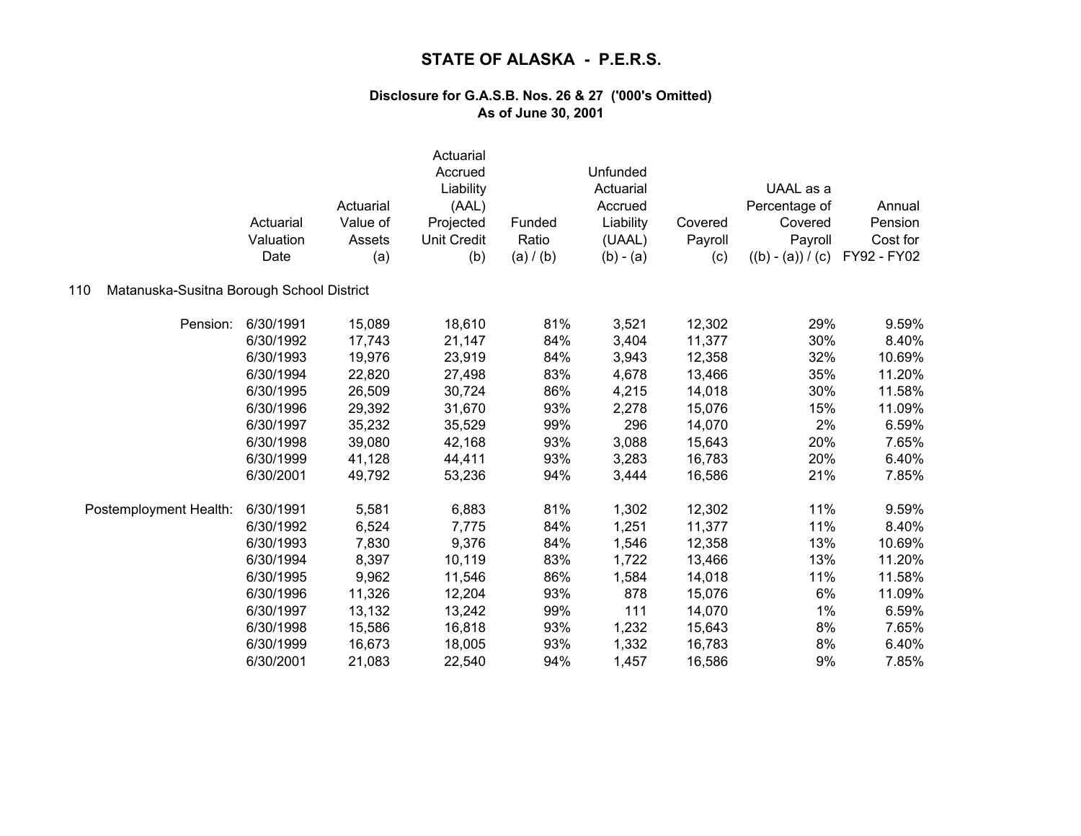|                                                  | Actuarial<br>Valuation<br>Date | Actuarial<br>Value of<br>Assets<br>(a) | Actuarial<br>Accrued<br>Liability<br>(AAL)<br>Projected<br><b>Unit Credit</b><br>(b) | Funded<br>Ratio<br>(a) / (b) | Unfunded<br>Actuarial<br>Accrued<br>Liability<br>(UAAL)<br>$(b) - (a)$ | Covered<br>Payroll<br>(c) | UAAL as a<br>Percentage of<br>Covered<br>Payroll<br>$((b) - (a)) / (c)$ | Annual<br>Pension<br>Cost for<br>FY92 - FY02 |
|--------------------------------------------------|--------------------------------|----------------------------------------|--------------------------------------------------------------------------------------|------------------------------|------------------------------------------------------------------------|---------------------------|-------------------------------------------------------------------------|----------------------------------------------|
| Matanuska-Susitna Borough School District<br>110 |                                |                                        |                                                                                      |                              |                                                                        |                           |                                                                         |                                              |
| Pension:                                         | 6/30/1991                      | 15,089                                 | 18,610                                                                               | 81%                          | 3,521                                                                  | 12,302                    | 29%                                                                     | 9.59%                                        |
|                                                  | 6/30/1992                      | 17,743                                 | 21,147                                                                               | 84%                          | 3,404                                                                  | 11,377                    | 30%                                                                     | 8.40%                                        |
|                                                  | 6/30/1993                      | 19,976                                 | 23,919                                                                               | 84%                          | 3,943                                                                  | 12,358                    | 32%                                                                     | 10.69%                                       |
|                                                  | 6/30/1994                      | 22,820                                 | 27,498                                                                               | 83%                          | 4,678                                                                  | 13,466                    | 35%                                                                     | 11.20%                                       |
|                                                  | 6/30/1995                      | 26,509                                 | 30,724                                                                               | 86%                          | 4,215                                                                  | 14,018                    | 30%                                                                     | 11.58%                                       |
|                                                  | 6/30/1996                      | 29,392                                 | 31,670                                                                               | 93%                          | 2,278                                                                  | 15,076                    | 15%                                                                     | 11.09%                                       |
|                                                  | 6/30/1997                      | 35,232                                 | 35,529                                                                               | 99%                          | 296                                                                    | 14,070                    | 2%                                                                      | 6.59%                                        |
|                                                  | 6/30/1998                      | 39,080                                 | 42,168                                                                               | 93%                          | 3,088                                                                  | 15,643                    | 20%                                                                     | 7.65%                                        |
|                                                  | 6/30/1999                      | 41,128                                 | 44,411                                                                               | 93%                          | 3,283                                                                  | 16,783                    | 20%                                                                     | 6.40%                                        |
|                                                  | 6/30/2001                      | 49,792                                 | 53,236                                                                               | 94%                          | 3,444                                                                  | 16,586                    | 21%                                                                     | 7.85%                                        |
| Postemployment Health:                           | 6/30/1991                      | 5,581                                  | 6,883                                                                                | 81%                          | 1,302                                                                  | 12,302                    | 11%                                                                     | 9.59%                                        |
|                                                  | 6/30/1992                      | 6,524                                  | 7,775                                                                                | 84%                          | 1,251                                                                  | 11,377                    | 11%                                                                     | 8.40%                                        |
|                                                  | 6/30/1993                      | 7,830                                  | 9,376                                                                                | 84%                          | 1,546                                                                  | 12,358                    | 13%                                                                     | 10.69%                                       |
|                                                  | 6/30/1994                      | 8,397                                  | 10,119                                                                               | 83%                          | 1,722                                                                  | 13,466                    | 13%                                                                     | 11.20%                                       |
|                                                  | 6/30/1995                      | 9,962                                  | 11,546                                                                               | 86%                          | 1,584                                                                  | 14,018                    | 11%                                                                     | 11.58%                                       |
|                                                  | 6/30/1996                      | 11,326                                 | 12,204                                                                               | 93%                          | 878                                                                    | 15,076                    | 6%                                                                      | 11.09%                                       |
|                                                  | 6/30/1997                      | 13,132                                 | 13,242                                                                               | 99%                          | 111                                                                    | 14,070                    | 1%                                                                      | 6.59%                                        |
|                                                  | 6/30/1998                      | 15,586                                 | 16,818                                                                               | 93%                          | 1,232                                                                  | 15,643                    | 8%                                                                      | 7.65%                                        |
|                                                  | 6/30/1999                      | 16,673                                 | 18,005                                                                               | 93%                          | 1,332                                                                  | 16,783                    | 8%                                                                      | 6.40%                                        |
|                                                  | 6/30/2001                      | 21,083                                 | 22,540                                                                               | 94%                          | 1,457                                                                  | 16,586                    | 9%                                                                      | 7.85%                                        |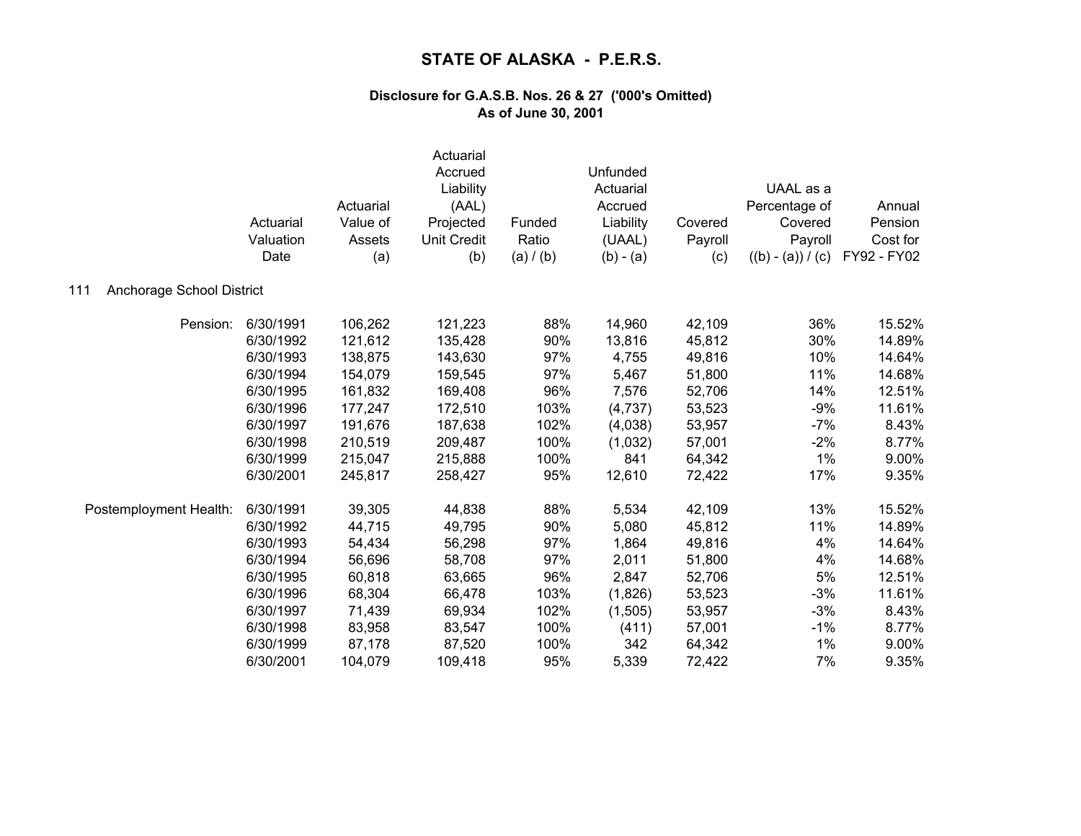| Anchorage School District<br>111 | Actuarial<br>Valuation<br>Date | Actuarial<br>Value of<br>Assets<br>(a) | Actuarial<br>Accrued<br>Liability<br>(AAL)<br>Projected<br><b>Unit Credit</b><br>(b) | Funded<br>Ratio<br>(a) / (b) | Unfunded<br>Actuarial<br>Accrued<br>Liability<br>(UAAL)<br>$(b) - (a)$ | Covered<br>Payroll<br>(c) | UAAL as a<br>Percentage of<br>Covered<br>Payroll<br>$((b) - (a)) / (c)$ | Annual<br>Pension<br>Cost for<br>FY92 - FY02 |
|----------------------------------|--------------------------------|----------------------------------------|--------------------------------------------------------------------------------------|------------------------------|------------------------------------------------------------------------|---------------------------|-------------------------------------------------------------------------|----------------------------------------------|
|                                  |                                |                                        |                                                                                      |                              |                                                                        |                           |                                                                         |                                              |
| Pension:                         | 6/30/1991                      | 106,262                                | 121,223                                                                              | 88%                          | 14,960                                                                 | 42,109                    | 36%                                                                     | 15.52%                                       |
|                                  | 6/30/1992                      | 121,612                                | 135,428                                                                              | 90%                          | 13,816                                                                 | 45,812                    | 30%                                                                     | 14.89%                                       |
|                                  | 6/30/1993                      | 138,875                                | 143,630                                                                              | 97%                          | 4,755                                                                  | 49,816                    | 10%                                                                     | 14.64%                                       |
|                                  | 6/30/1994                      | 154,079                                | 159,545                                                                              | 97%                          | 5,467                                                                  | 51,800                    | 11%                                                                     | 14.68%                                       |
|                                  | 6/30/1995                      | 161,832                                | 169,408                                                                              | 96%                          | 7,576                                                                  | 52,706                    | 14%                                                                     | 12.51%                                       |
|                                  | 6/30/1996                      | 177,247                                | 172,510                                                                              | 103%                         | (4,737)                                                                | 53,523                    | $-9%$                                                                   | 11.61%                                       |
|                                  | 6/30/1997                      | 191,676                                | 187,638                                                                              | 102%                         | (4,038)                                                                | 53,957                    | $-7%$                                                                   | 8.43%                                        |
|                                  | 6/30/1998                      | 210,519                                | 209,487                                                                              | 100%                         | (1,032)                                                                | 57,001                    | $-2%$                                                                   | 8.77%                                        |
|                                  | 6/30/1999                      | 215,047                                | 215,888                                                                              | 100%                         | 841                                                                    | 64,342                    | 1%                                                                      | 9.00%                                        |
|                                  | 6/30/2001                      | 245,817                                | 258,427                                                                              | 95%                          | 12,610                                                                 | 72,422                    | 17%                                                                     | 9.35%                                        |
| Postemployment Health:           | 6/30/1991                      | 39,305                                 | 44,838                                                                               | 88%                          | 5,534                                                                  | 42,109                    | 13%                                                                     | 15.52%                                       |
|                                  | 6/30/1992                      | 44,715                                 | 49,795                                                                               | 90%                          | 5,080                                                                  | 45,812                    | 11%                                                                     | 14.89%                                       |
|                                  | 6/30/1993                      | 54,434                                 | 56,298                                                                               | 97%                          | 1,864                                                                  | 49,816                    | 4%                                                                      | 14.64%                                       |
|                                  | 6/30/1994                      | 56,696                                 | 58,708                                                                               | 97%                          | 2,011                                                                  | 51,800                    | 4%                                                                      | 14.68%                                       |
|                                  | 6/30/1995                      | 60,818                                 | 63,665                                                                               | 96%                          | 2,847                                                                  | 52,706                    | 5%                                                                      | 12.51%                                       |
|                                  | 6/30/1996                      | 68,304                                 | 66,478                                                                               | 103%                         | (1,826)                                                                | 53,523                    | $-3%$                                                                   | 11.61%                                       |
|                                  | 6/30/1997                      | 71,439                                 | 69,934                                                                               | 102%                         | (1,505)                                                                | 53,957                    | $-3%$                                                                   | 8.43%                                        |
|                                  | 6/30/1998                      | 83,958                                 | 83,547                                                                               | 100%                         | (411)                                                                  | 57,001                    | $-1%$                                                                   | 8.77%                                        |
|                                  | 6/30/1999                      | 87,178                                 | 87,520                                                                               | 100%                         | 342                                                                    | 64,342                    | 1%                                                                      | 9.00%                                        |
|                                  | 6/30/2001                      | 104,079                                | 109,418                                                                              | 95%                          | 5,339                                                                  | 72,422                    | 7%                                                                      | 9.35%                                        |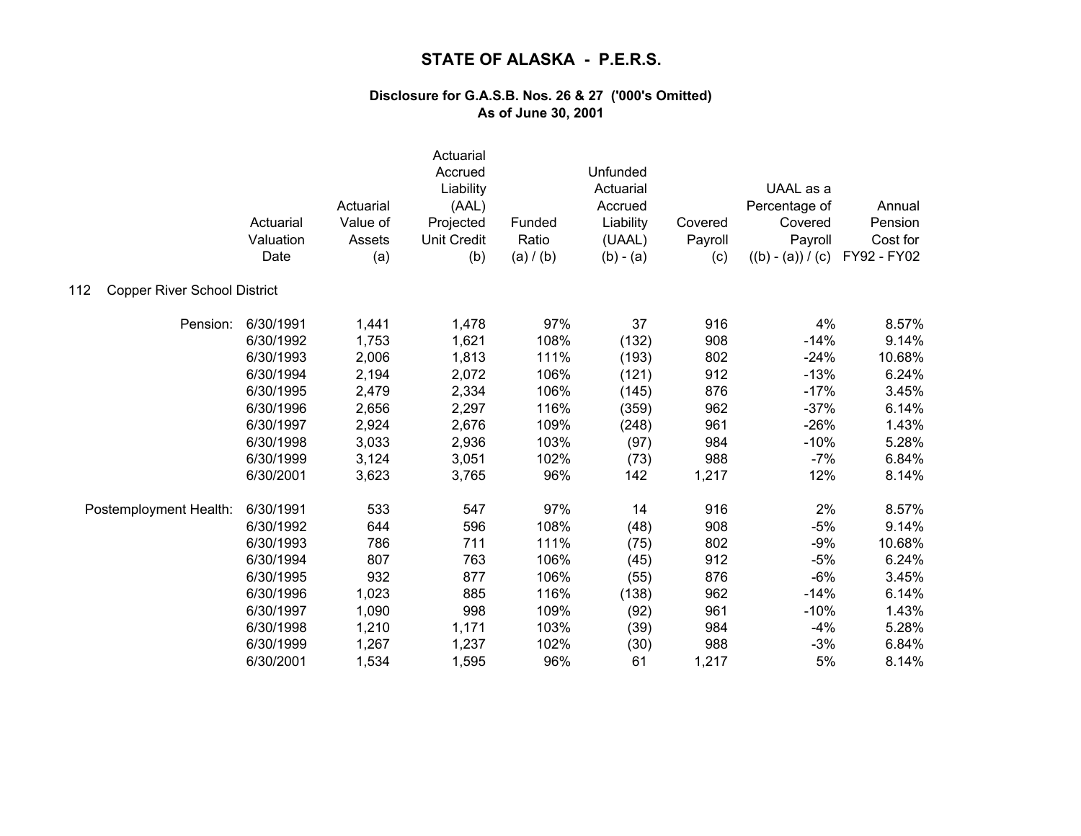|                                            | Actuarial<br>Valuation<br>Date | Actuarial<br>Value of<br>Assets<br>(a) | Actuarial<br>Accrued<br>Liability<br>(AAL)<br>Projected<br><b>Unit Credit</b><br>(b) | Funded<br>Ratio<br>(a) / (b) | Unfunded<br>Actuarial<br>Accrued<br>Liability<br>(UAAL)<br>$(b) - (a)$ | Covered<br>Payroll<br>(c) | UAAL as a<br>Percentage of<br>Covered<br>Payroll<br>$((b) - (a)) / (c)$ | Annual<br>Pension<br>Cost for<br>FY92 - FY02 |
|--------------------------------------------|--------------------------------|----------------------------------------|--------------------------------------------------------------------------------------|------------------------------|------------------------------------------------------------------------|---------------------------|-------------------------------------------------------------------------|----------------------------------------------|
| <b>Copper River School District</b><br>112 |                                |                                        |                                                                                      |                              |                                                                        |                           |                                                                         |                                              |
| Pension:                                   | 6/30/1991                      | 1,441                                  | 1,478                                                                                | 97%                          | 37                                                                     | 916                       | 4%                                                                      | 8.57%                                        |
|                                            | 6/30/1992                      | 1,753                                  | 1,621                                                                                | 108%                         | (132)                                                                  | 908                       | $-14%$                                                                  | 9.14%                                        |
|                                            | 6/30/1993                      | 2,006                                  | 1,813                                                                                | 111%                         | (193)                                                                  | 802                       | $-24%$                                                                  | 10.68%                                       |
|                                            | 6/30/1994                      | 2,194                                  | 2,072                                                                                | 106%                         | (121)                                                                  | 912                       | $-13%$                                                                  | 6.24%                                        |
|                                            | 6/30/1995                      | 2,479                                  | 2,334                                                                                | 106%                         | (145)                                                                  | 876                       | $-17%$                                                                  | 3.45%                                        |
|                                            | 6/30/1996                      | 2,656                                  | 2,297                                                                                | 116%                         | (359)                                                                  | 962                       | $-37%$                                                                  | 6.14%                                        |
|                                            | 6/30/1997                      | 2,924                                  | 2,676                                                                                | 109%                         | (248)                                                                  | 961                       | $-26%$                                                                  | 1.43%                                        |
|                                            | 6/30/1998                      | 3,033                                  | 2,936                                                                                | 103%                         | (97)                                                                   | 984                       | $-10%$                                                                  | 5.28%                                        |
|                                            | 6/30/1999                      | 3,124                                  | 3,051                                                                                | 102%                         | (73)                                                                   | 988                       | $-7%$                                                                   | 6.84%                                        |
|                                            | 6/30/2001                      | 3,623                                  | 3,765                                                                                | 96%                          | 142                                                                    | 1,217                     | 12%                                                                     | 8.14%                                        |
| Postemployment Health:                     | 6/30/1991                      | 533                                    | 547                                                                                  | 97%                          | 14                                                                     | 916                       | 2%                                                                      | 8.57%                                        |
|                                            | 6/30/1992                      | 644                                    | 596                                                                                  | 108%                         | (48)                                                                   | 908                       | $-5%$                                                                   | 9.14%                                        |
|                                            | 6/30/1993                      | 786                                    | 711                                                                                  | 111%                         | (75)                                                                   | 802                       | $-9%$                                                                   | 10.68%                                       |
|                                            | 6/30/1994                      | 807                                    | 763                                                                                  | 106%                         | (45)                                                                   | 912                       | $-5%$                                                                   | 6.24%                                        |
|                                            | 6/30/1995                      | 932                                    | 877                                                                                  | 106%                         | (55)                                                                   | 876                       | $-6%$                                                                   | 3.45%                                        |
|                                            | 6/30/1996                      | 1,023                                  | 885                                                                                  | 116%                         | (138)                                                                  | 962                       | $-14%$                                                                  | 6.14%                                        |
|                                            | 6/30/1997                      | 1,090                                  | 998                                                                                  | 109%                         | (92)                                                                   | 961                       | $-10%$                                                                  | 1.43%                                        |
|                                            | 6/30/1998                      | 1,210                                  | 1,171                                                                                | 103%                         | (39)                                                                   | 984                       | $-4%$                                                                   | 5.28%                                        |
|                                            | 6/30/1999                      | 1,267                                  | 1,237                                                                                | 102%                         | (30)                                                                   | 988                       | $-3%$                                                                   | 6.84%                                        |
|                                            | 6/30/2001                      | 1,534                                  | 1,595                                                                                | 96%                          | 61                                                                     | 1,217                     | 5%                                                                      | 8.14%                                        |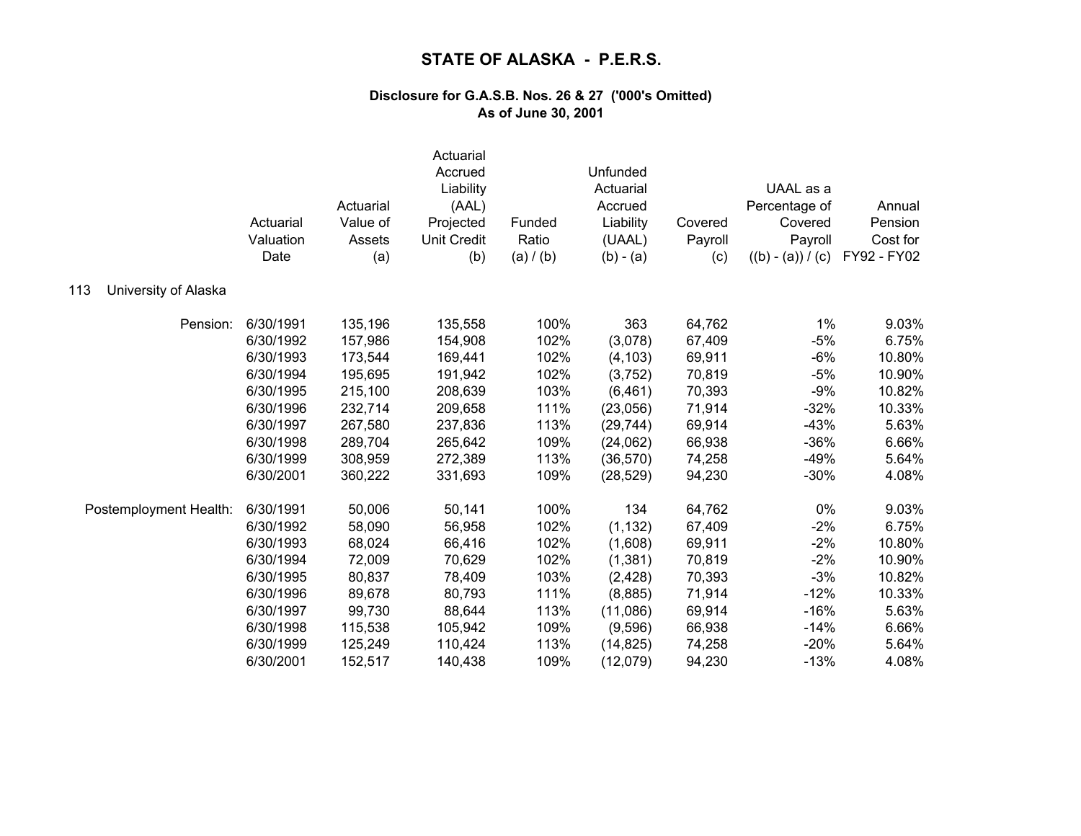|                             | Actuarial<br>Valuation<br>Date | Actuarial<br>Value of<br>Assets<br>(a) | Actuarial<br>Accrued<br>Liability<br>(AAL)<br>Projected<br><b>Unit Credit</b><br>(b) | Funded<br>Ratio<br>(a) / (b) | Unfunded<br>Actuarial<br>Accrued<br>Liability<br>(UAAL)<br>$(b) - (a)$ | Covered<br>Payroll<br>(c) | UAAL as a<br>Percentage of<br>Covered<br>Payroll<br>$((b) - (a)) / (c)$ | Annual<br>Pension<br>Cost for<br>FY92 - FY02 |
|-----------------------------|--------------------------------|----------------------------------------|--------------------------------------------------------------------------------------|------------------------------|------------------------------------------------------------------------|---------------------------|-------------------------------------------------------------------------|----------------------------------------------|
| University of Alaska<br>113 |                                |                                        |                                                                                      |                              |                                                                        |                           |                                                                         |                                              |
| Pension:                    | 6/30/1991                      | 135,196                                | 135,558                                                                              | 100%                         | 363                                                                    | 64,762                    | 1%                                                                      | 9.03%                                        |
|                             | 6/30/1992                      | 157,986                                | 154,908                                                                              | 102%                         | (3,078)                                                                | 67,409                    | $-5%$                                                                   | 6.75%                                        |
|                             | 6/30/1993                      | 173,544                                | 169,441                                                                              | 102%                         | (4, 103)                                                               | 69,911                    | $-6%$                                                                   | 10.80%                                       |
|                             | 6/30/1994                      | 195,695                                | 191,942                                                                              | 102%                         | (3,752)                                                                | 70,819                    | $-5%$                                                                   | 10.90%                                       |
|                             | 6/30/1995                      | 215,100                                | 208,639                                                                              | 103%                         | (6, 461)                                                               | 70,393                    | $-9%$                                                                   | 10.82%                                       |
|                             | 6/30/1996                      | 232,714                                | 209,658                                                                              | 111%                         | (23,056)                                                               | 71,914                    | $-32%$                                                                  | 10.33%                                       |
|                             | 6/30/1997                      | 267,580                                | 237,836                                                                              | 113%                         | (29, 744)                                                              | 69,914                    | $-43%$                                                                  | 5.63%                                        |
|                             | 6/30/1998                      | 289,704                                | 265,642                                                                              | 109%                         | (24,062)                                                               | 66,938                    | $-36%$                                                                  | 6.66%                                        |
|                             | 6/30/1999                      | 308,959                                | 272,389                                                                              | 113%                         | (36, 570)                                                              | 74,258                    | $-49%$                                                                  | 5.64%                                        |
|                             | 6/30/2001                      | 360,222                                | 331,693                                                                              | 109%                         | (28, 529)                                                              | 94,230                    | $-30%$                                                                  | 4.08%                                        |
| Postemployment Health:      | 6/30/1991                      | 50,006                                 | 50,141                                                                               | 100%                         | 134                                                                    | 64,762                    | 0%                                                                      | 9.03%                                        |
|                             | 6/30/1992                      | 58,090                                 | 56,958                                                                               | 102%                         | (1, 132)                                                               | 67,409                    | $-2%$                                                                   | 6.75%                                        |
|                             | 6/30/1993                      | 68,024                                 | 66,416                                                                               | 102%                         | (1,608)                                                                | 69,911                    | $-2%$                                                                   | 10.80%                                       |
|                             | 6/30/1994                      | 72,009                                 | 70,629                                                                               | 102%                         | (1, 381)                                                               | 70,819                    | $-2%$                                                                   | 10.90%                                       |
|                             | 6/30/1995                      | 80,837                                 | 78,409                                                                               | 103%                         | (2, 428)                                                               | 70,393                    | $-3%$                                                                   | 10.82%                                       |
|                             | 6/30/1996                      | 89,678                                 | 80,793                                                                               | 111%                         | (8,885)                                                                | 71,914                    | $-12%$                                                                  | 10.33%                                       |
|                             | 6/30/1997                      | 99,730                                 | 88,644                                                                               | 113%                         | (11,086)                                                               | 69,914                    | $-16%$                                                                  | 5.63%                                        |
|                             | 6/30/1998                      | 115,538                                | 105,942                                                                              | 109%                         | (9,596)                                                                | 66,938                    | $-14%$                                                                  | 6.66%                                        |
|                             | 6/30/1999                      | 125,249                                | 110,424                                                                              | 113%                         | (14, 825)                                                              | 74,258                    | $-20%$                                                                  | 5.64%                                        |
|                             | 6/30/2001                      | 152,517                                | 140,438                                                                              | 109%                         | (12,079)                                                               | 94,230                    | $-13%$                                                                  | 4.08%                                        |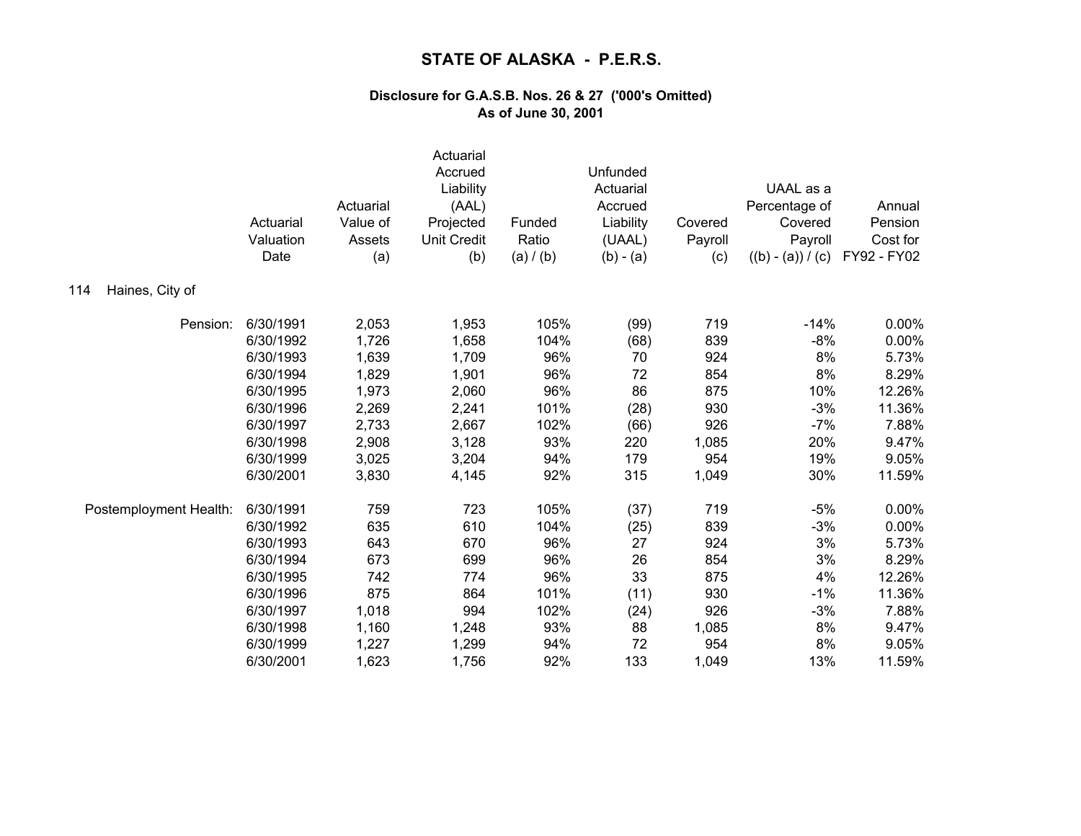|                        | Actuarial<br>Valuation<br>Date | Actuarial<br>Value of<br>Assets<br>(a) | Actuarial<br>Accrued<br>Liability<br>(AAL)<br>Projected<br><b>Unit Credit</b><br>(b) | Funded<br>Ratio<br>(a) / (b) | Unfunded<br>Actuarial<br>Accrued<br>Liability<br>(UAAL)<br>$(b) - (a)$ | Covered<br>Payroll<br>(c) | UAAL as a<br>Percentage of<br>Covered<br>Payroll<br>$((b) - (a)) / (c)$ | Annual<br>Pension<br>Cost for<br>FY92 - FY02 |
|------------------------|--------------------------------|----------------------------------------|--------------------------------------------------------------------------------------|------------------------------|------------------------------------------------------------------------|---------------------------|-------------------------------------------------------------------------|----------------------------------------------|
| Haines, City of<br>114 |                                |                                        |                                                                                      |                              |                                                                        |                           |                                                                         |                                              |
| Pension:               | 6/30/1991                      | 2,053                                  | 1,953                                                                                | 105%                         | (99)                                                                   | 719                       | $-14%$                                                                  | $0.00\%$                                     |
|                        | 6/30/1992                      | 1,726                                  | 1,658                                                                                | 104%                         | (68)                                                                   | 839                       | $-8%$                                                                   | 0.00%                                        |
|                        | 6/30/1993                      | 1,639                                  | 1,709                                                                                | 96%                          | 70                                                                     | 924                       | 8%                                                                      | 5.73%                                        |
|                        | 6/30/1994                      | 1,829                                  | 1,901                                                                                | 96%                          | 72                                                                     | 854                       | 8%                                                                      | 8.29%                                        |
|                        | 6/30/1995                      | 1,973                                  | 2,060                                                                                | 96%                          | 86                                                                     | 875                       | 10%                                                                     | 12.26%                                       |
|                        | 6/30/1996                      | 2,269                                  | 2,241                                                                                | 101%                         | (28)                                                                   | 930                       | $-3%$                                                                   | 11.36%                                       |
|                        | 6/30/1997                      | 2,733                                  | 2,667                                                                                | 102%                         | (66)                                                                   | 926                       | $-7%$                                                                   | 7.88%                                        |
|                        | 6/30/1998                      | 2,908                                  | 3,128                                                                                | 93%                          | 220                                                                    | 1,085                     | 20%                                                                     | 9.47%                                        |
|                        | 6/30/1999                      | 3,025                                  | 3,204                                                                                | 94%                          | 179                                                                    | 954                       | 19%                                                                     | 9.05%                                        |
|                        | 6/30/2001                      | 3,830                                  | 4,145                                                                                | 92%                          | 315                                                                    | 1,049                     | 30%                                                                     | 11.59%                                       |
| Postemployment Health: | 6/30/1991                      | 759                                    | 723                                                                                  | 105%                         | (37)                                                                   | 719                       | $-5%$                                                                   | 0.00%                                        |
|                        | 6/30/1992                      | 635                                    | 610                                                                                  | 104%                         | (25)                                                                   | 839                       | $-3%$                                                                   | 0.00%                                        |
|                        | 6/30/1993                      | 643                                    | 670                                                                                  | 96%                          | 27                                                                     | 924                       | 3%                                                                      | 5.73%                                        |
|                        | 6/30/1994                      | 673                                    | 699                                                                                  | 96%                          | 26                                                                     | 854                       | 3%                                                                      | 8.29%                                        |
|                        | 6/30/1995                      | 742                                    | 774                                                                                  | 96%                          | 33                                                                     | 875                       | 4%                                                                      | 12.26%                                       |
|                        | 6/30/1996                      | 875                                    | 864                                                                                  | 101%                         | (11)                                                                   | 930                       | $-1%$                                                                   | 11.36%                                       |
|                        | 6/30/1997                      | 1,018                                  | 994                                                                                  | 102%                         | (24)                                                                   | 926                       | $-3%$                                                                   | 7.88%                                        |
|                        | 6/30/1998                      | 1,160                                  | 1,248                                                                                | 93%                          | 88                                                                     | 1,085                     | 8%                                                                      | 9.47%                                        |
|                        | 6/30/1999                      | 1,227                                  | 1,299                                                                                | 94%                          | 72                                                                     | 954                       | 8%                                                                      | 9.05%                                        |
|                        | 6/30/2001                      | 1,623                                  | 1,756                                                                                | 92%                          | 133                                                                    | 1,049                     | 13%                                                                     | 11.59%                                       |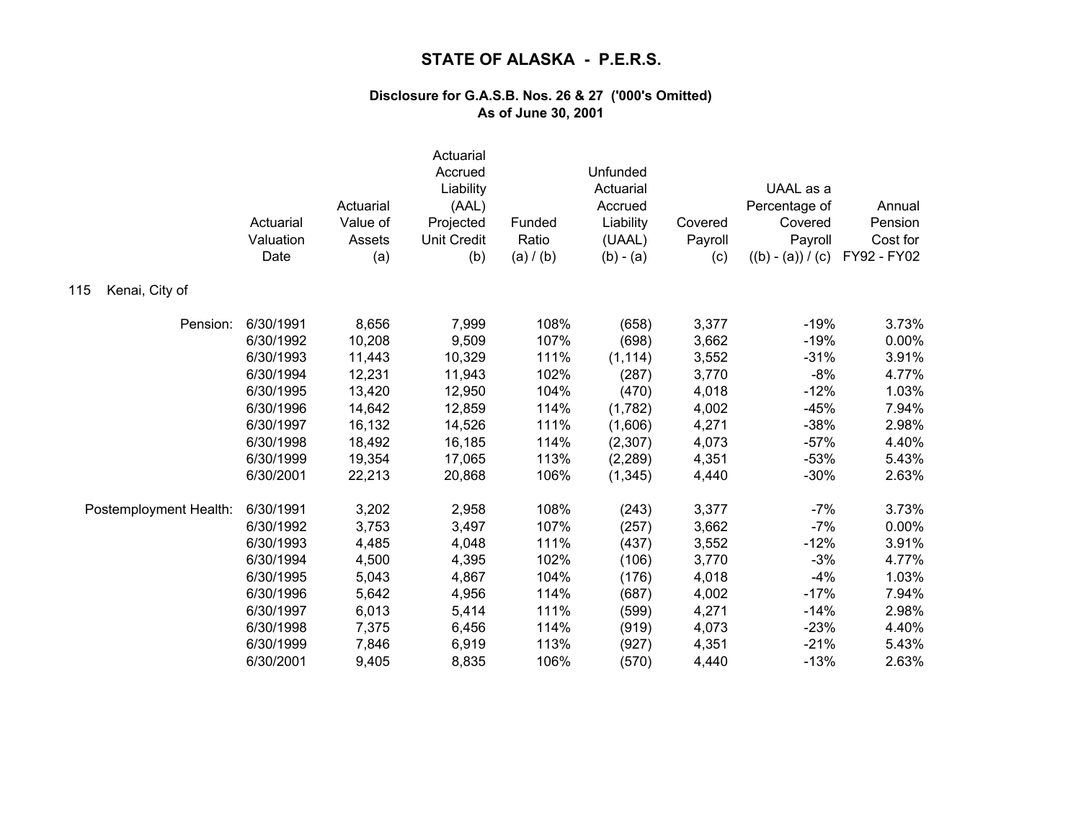|                        | Actuarial<br>Valuation<br>Date | Actuarial<br>Value of<br>Assets<br>(a) | Actuarial<br>Accrued<br>Liability<br>(AAL)<br>Projected<br><b>Unit Credit</b><br>(b) | Funded<br>Ratio<br>(a) / (b) | Unfunded<br>Actuarial<br>Accrued<br>Liability<br>(UAAL)<br>$(b) - (a)$ | Covered<br>Payroll<br>(c) | UAAL as a<br>Percentage of<br>Covered<br>Payroll<br>$((b) - (a)) / (c)$ | Annual<br>Pension<br>Cost for<br>FY92 - FY02 |
|------------------------|--------------------------------|----------------------------------------|--------------------------------------------------------------------------------------|------------------------------|------------------------------------------------------------------------|---------------------------|-------------------------------------------------------------------------|----------------------------------------------|
| Kenai, City of<br>115  |                                |                                        |                                                                                      |                              |                                                                        |                           |                                                                         |                                              |
| Pension:               | 6/30/1991                      | 8,656                                  | 7,999                                                                                | 108%                         | (658)                                                                  | 3,377                     | $-19%$                                                                  | 3.73%                                        |
|                        | 6/30/1992                      | 10,208                                 | 9,509                                                                                | 107%                         | (698)                                                                  | 3,662                     | $-19%$                                                                  | 0.00%                                        |
|                        | 6/30/1993                      | 11,443                                 | 10,329                                                                               | 111%                         | (1, 114)                                                               | 3,552                     | $-31%$                                                                  | 3.91%                                        |
|                        | 6/30/1994                      | 12,231                                 | 11,943                                                                               | 102%                         | (287)                                                                  | 3,770                     | $-8%$                                                                   | 4.77%                                        |
|                        | 6/30/1995                      | 13,420                                 | 12,950                                                                               | 104%                         | (470)                                                                  | 4,018                     | $-12%$                                                                  | 1.03%                                        |
|                        | 6/30/1996                      | 14,642                                 | 12,859                                                                               | 114%                         | (1,782)                                                                | 4,002                     | $-45%$                                                                  | 7.94%                                        |
|                        | 6/30/1997                      | 16,132                                 | 14,526                                                                               | 111%                         | (1,606)                                                                | 4,271                     | $-38%$                                                                  | 2.98%                                        |
|                        | 6/30/1998                      | 18,492                                 | 16,185                                                                               | 114%                         | (2,307)                                                                | 4,073                     | $-57%$                                                                  | 4.40%                                        |
|                        | 6/30/1999                      | 19,354                                 | 17,065                                                                               | 113%                         | (2, 289)                                                               | 4,351                     | $-53%$                                                                  | 5.43%                                        |
|                        | 6/30/2001                      | 22,213                                 | 20,868                                                                               | 106%                         | (1, 345)                                                               | 4,440                     | $-30%$                                                                  | 2.63%                                        |
| Postemployment Health: | 6/30/1991                      | 3,202                                  | 2,958                                                                                | 108%                         | (243)                                                                  | 3,377                     | $-7%$                                                                   | 3.73%                                        |
|                        | 6/30/1992                      | 3,753                                  | 3,497                                                                                | 107%                         | (257)                                                                  | 3,662                     | $-7%$                                                                   | 0.00%                                        |
|                        | 6/30/1993                      | 4,485                                  | 4,048                                                                                | 111%                         | (437)                                                                  | 3,552                     | $-12%$                                                                  | 3.91%                                        |
|                        | 6/30/1994                      | 4,500                                  | 4,395                                                                                | 102%                         | (106)                                                                  | 3,770                     | $-3%$                                                                   | 4.77%                                        |
|                        | 6/30/1995                      | 5,043                                  | 4,867                                                                                | 104%                         | (176)                                                                  | 4,018                     | $-4%$                                                                   | 1.03%                                        |
|                        | 6/30/1996                      | 5,642                                  | 4,956                                                                                | 114%                         | (687)                                                                  | 4,002                     | $-17%$                                                                  | 7.94%                                        |
|                        | 6/30/1997                      | 6,013                                  | 5,414                                                                                | 111%                         | (599)                                                                  | 4,271                     | $-14%$                                                                  | 2.98%                                        |
|                        | 6/30/1998                      | 7,375                                  | 6,456                                                                                | 114%                         | (919)                                                                  | 4,073                     | $-23%$                                                                  | 4.40%                                        |
|                        | 6/30/1999                      | 7,846                                  | 6,919                                                                                | 113%                         | (927)                                                                  | 4,351                     | $-21%$                                                                  | 5.43%                                        |
|                        | 6/30/2001                      | 9,405                                  | 8,835                                                                                | 106%                         | (570)                                                                  | 4,440                     | $-13%$                                                                  | 2.63%                                        |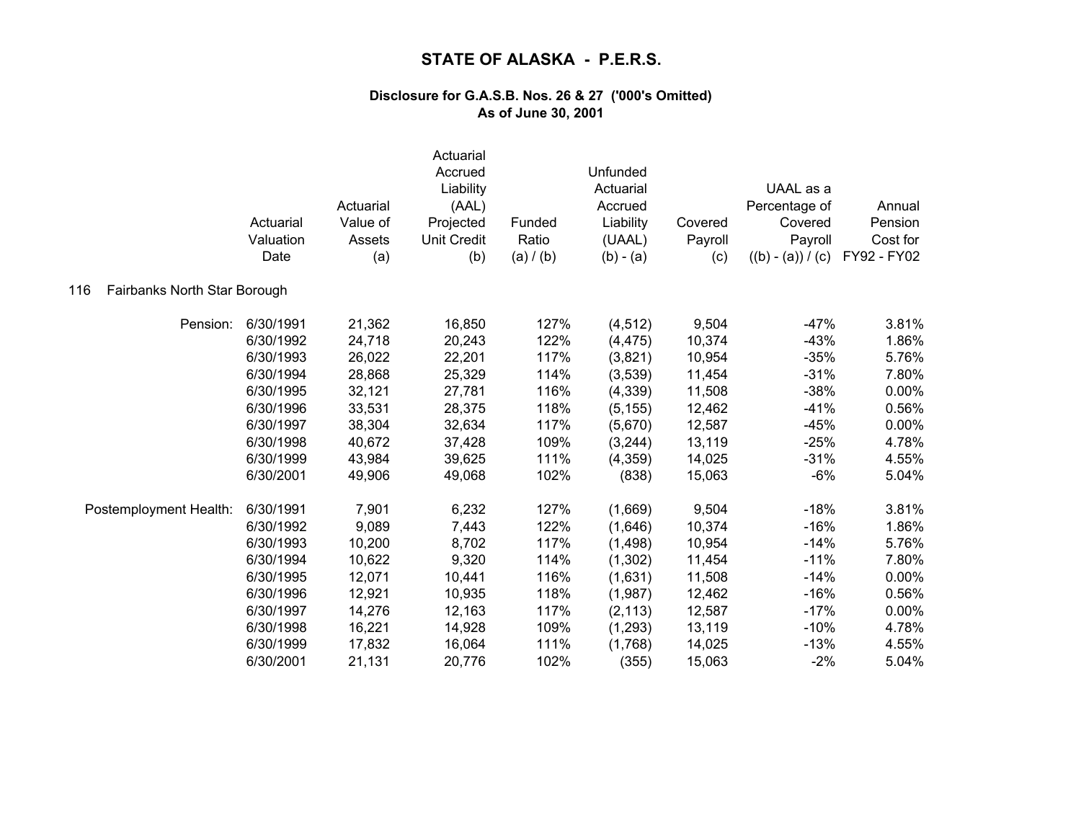|                                     | Actuarial<br>Valuation<br>Date | Actuarial<br>Value of<br>Assets<br>(a) | Actuarial<br>Accrued<br>Liability<br>(AAL)<br>Projected<br><b>Unit Credit</b><br>(b) | Funded<br>Ratio<br>(a) / (b) | Unfunded<br>Actuarial<br>Accrued<br>Liability<br>(UAAL)<br>$(b) - (a)$ | Covered<br>Payroll<br>(c) | UAAL as a<br>Percentage of<br>Covered<br>Payroll<br>$((b) - (a)) / (c)$ | Annual<br>Pension<br>Cost for<br>FY92 - FY02 |
|-------------------------------------|--------------------------------|----------------------------------------|--------------------------------------------------------------------------------------|------------------------------|------------------------------------------------------------------------|---------------------------|-------------------------------------------------------------------------|----------------------------------------------|
| Fairbanks North Star Borough<br>116 |                                |                                        |                                                                                      |                              |                                                                        |                           |                                                                         |                                              |
| Pension:                            | 6/30/1991                      | 21,362                                 | 16,850                                                                               | 127%                         | (4, 512)                                                               | 9,504                     | $-47%$                                                                  | 3.81%                                        |
|                                     | 6/30/1992                      | 24,718                                 | 20,243                                                                               | 122%                         | (4, 475)                                                               | 10,374                    | $-43%$                                                                  | 1.86%                                        |
|                                     | 6/30/1993                      | 26,022                                 | 22,201                                                                               | 117%                         | (3,821)                                                                | 10,954                    | $-35%$                                                                  | 5.76%                                        |
|                                     | 6/30/1994                      | 28,868                                 | 25,329                                                                               | 114%                         | (3,539)                                                                | 11,454                    | $-31%$                                                                  | 7.80%                                        |
|                                     | 6/30/1995                      | 32,121                                 | 27,781                                                                               | 116%                         | (4, 339)                                                               | 11,508                    | $-38%$                                                                  | 0.00%                                        |
|                                     | 6/30/1996                      | 33,531                                 | 28,375                                                                               | 118%                         | (5, 155)                                                               | 12,462                    | $-41%$                                                                  | 0.56%                                        |
|                                     | 6/30/1997                      | 38,304                                 | 32,634                                                                               | 117%                         | (5,670)                                                                | 12,587                    | $-45%$                                                                  | 0.00%                                        |
|                                     | 6/30/1998                      | 40,672                                 | 37,428                                                                               | 109%                         | (3, 244)                                                               | 13,119                    | $-25%$                                                                  | 4.78%                                        |
|                                     | 6/30/1999                      | 43,984                                 | 39,625                                                                               | 111%                         | (4,359)                                                                | 14,025                    | $-31%$                                                                  | 4.55%                                        |
|                                     | 6/30/2001                      | 49,906                                 | 49,068                                                                               | 102%                         | (838)                                                                  | 15,063                    | $-6%$                                                                   | 5.04%                                        |
| Postemployment Health:              | 6/30/1991                      | 7,901                                  | 6,232                                                                                | 127%                         | (1,669)                                                                | 9,504                     | $-18%$                                                                  | 3.81%                                        |
|                                     | 6/30/1992                      | 9,089                                  | 7,443                                                                                | 122%                         | (1,646)                                                                | 10,374                    | $-16%$                                                                  | 1.86%                                        |
|                                     | 6/30/1993                      | 10,200                                 | 8,702                                                                                | 117%                         | (1,498)                                                                | 10,954                    | $-14%$                                                                  | 5.76%                                        |
|                                     | 6/30/1994                      | 10,622                                 | 9,320                                                                                | 114%                         | (1,302)                                                                | 11,454                    | $-11%$                                                                  | 7.80%                                        |
|                                     | 6/30/1995                      | 12,071                                 | 10,441                                                                               | 116%                         | (1,631)                                                                | 11,508                    | $-14%$                                                                  | $0.00\%$                                     |
|                                     | 6/30/1996                      | 12,921                                 | 10,935                                                                               | 118%                         | (1,987)                                                                | 12,462                    | $-16%$                                                                  | 0.56%                                        |
|                                     | 6/30/1997                      | 14,276                                 | 12,163                                                                               | 117%                         | (2, 113)                                                               | 12,587                    | $-17%$                                                                  | 0.00%                                        |
|                                     | 6/30/1998                      | 16,221                                 | 14,928                                                                               | 109%                         | (1, 293)                                                               | 13,119                    | $-10%$                                                                  | 4.78%                                        |
|                                     | 6/30/1999                      | 17,832                                 | 16,064                                                                               | 111%                         | (1,768)                                                                | 14,025                    | $-13%$                                                                  | 4.55%                                        |
|                                     | 6/30/2001                      | 21,131                                 | 20,776                                                                               | 102%                         | (355)                                                                  | 15,063                    | $-2%$                                                                   | 5.04%                                        |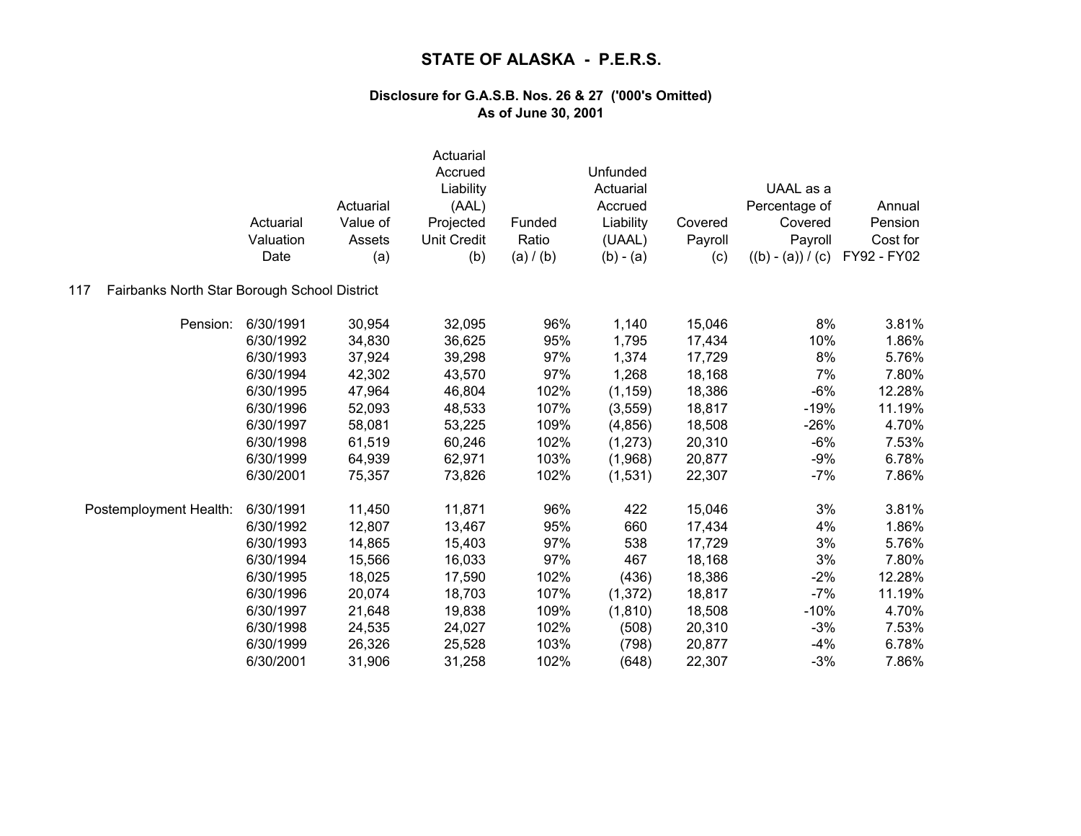|                                                     | Actuarial<br>Valuation<br>Date | Actuarial<br>Value of<br>Assets<br>(a) | Actuarial<br>Accrued<br>Liability<br>(AAL)<br>Projected<br><b>Unit Credit</b><br>(b) | Funded<br>Ratio<br>(a) / (b) | Unfunded<br>Actuarial<br>Accrued<br>Liability<br>(UAAL)<br>$(b) - (a)$ | Covered<br>Payroll<br>(c) | UAAL as a<br>Percentage of<br>Covered<br>Payroll<br>$((b) - (a)) / (c)$ | Annual<br>Pension<br>Cost for<br>FY92 - FY02 |
|-----------------------------------------------------|--------------------------------|----------------------------------------|--------------------------------------------------------------------------------------|------------------------------|------------------------------------------------------------------------|---------------------------|-------------------------------------------------------------------------|----------------------------------------------|
| Fairbanks North Star Borough School District<br>117 |                                |                                        |                                                                                      |                              |                                                                        |                           |                                                                         |                                              |
| Pension:                                            | 6/30/1991                      | 30,954                                 | 32,095                                                                               | 96%                          | 1,140                                                                  | 15,046                    | 8%                                                                      | 3.81%                                        |
|                                                     | 6/30/1992                      | 34,830                                 | 36,625                                                                               | 95%                          | 1,795                                                                  | 17,434                    | 10%                                                                     | 1.86%                                        |
|                                                     | 6/30/1993                      | 37,924                                 | 39,298                                                                               | 97%                          | 1,374                                                                  | 17,729                    | 8%                                                                      | 5.76%                                        |
|                                                     | 6/30/1994                      | 42,302                                 | 43,570                                                                               | 97%                          | 1,268                                                                  | 18,168                    | 7%                                                                      | 7.80%                                        |
|                                                     | 6/30/1995                      | 47,964                                 | 46,804                                                                               | 102%                         | (1, 159)                                                               | 18,386                    | $-6%$                                                                   | 12.28%                                       |
|                                                     | 6/30/1996                      | 52,093                                 | 48,533                                                                               | 107%                         | (3, 559)                                                               | 18,817                    | $-19%$                                                                  | 11.19%                                       |
|                                                     | 6/30/1997                      | 58,081                                 | 53,225                                                                               | 109%                         | (4,856)                                                                | 18,508                    | $-26%$                                                                  | 4.70%                                        |
|                                                     | 6/30/1998                      | 61,519                                 | 60,246                                                                               | 102%                         | (1,273)                                                                | 20,310                    | $-6%$                                                                   | 7.53%                                        |
|                                                     | 6/30/1999                      | 64,939                                 | 62,971                                                                               | 103%                         | (1,968)                                                                | 20,877                    | $-9%$                                                                   | 6.78%                                        |
|                                                     | 6/30/2001                      | 75,357                                 | 73,826                                                                               | 102%                         | (1,531)                                                                | 22,307                    | $-7%$                                                                   | 7.86%                                        |
| Postemployment Health:                              | 6/30/1991                      | 11,450                                 | 11,871                                                                               | 96%                          | 422                                                                    | 15,046                    | 3%                                                                      | 3.81%                                        |
|                                                     | 6/30/1992                      | 12,807                                 | 13,467                                                                               | 95%                          | 660                                                                    | 17,434                    | 4%                                                                      | 1.86%                                        |
|                                                     | 6/30/1993                      | 14,865                                 | 15,403                                                                               | 97%                          | 538                                                                    | 17,729                    | 3%                                                                      | 5.76%                                        |
|                                                     | 6/30/1994                      | 15,566                                 | 16,033                                                                               | 97%                          | 467                                                                    | 18,168                    | 3%                                                                      | 7.80%                                        |
|                                                     | 6/30/1995                      | 18,025                                 | 17,590                                                                               | 102%                         | (436)                                                                  | 18,386                    | $-2%$                                                                   | 12.28%                                       |
|                                                     | 6/30/1996                      | 20,074                                 | 18,703                                                                               | 107%                         | (1, 372)                                                               | 18,817                    | $-7%$                                                                   | 11.19%                                       |
|                                                     | 6/30/1997                      | 21,648                                 | 19,838                                                                               | 109%                         | (1, 810)                                                               | 18,508                    | $-10%$                                                                  | 4.70%                                        |
|                                                     | 6/30/1998                      | 24,535                                 | 24,027                                                                               | 102%                         | (508)                                                                  | 20,310                    | $-3%$                                                                   | 7.53%                                        |
|                                                     | 6/30/1999                      | 26,326                                 | 25,528                                                                               | 103%                         | (798)                                                                  | 20,877                    | $-4%$                                                                   | 6.78%                                        |
|                                                     | 6/30/2001                      | 31,906                                 | 31,258                                                                               | 102%                         | (648)                                                                  | 22,307                    | $-3%$                                                                   | 7.86%                                        |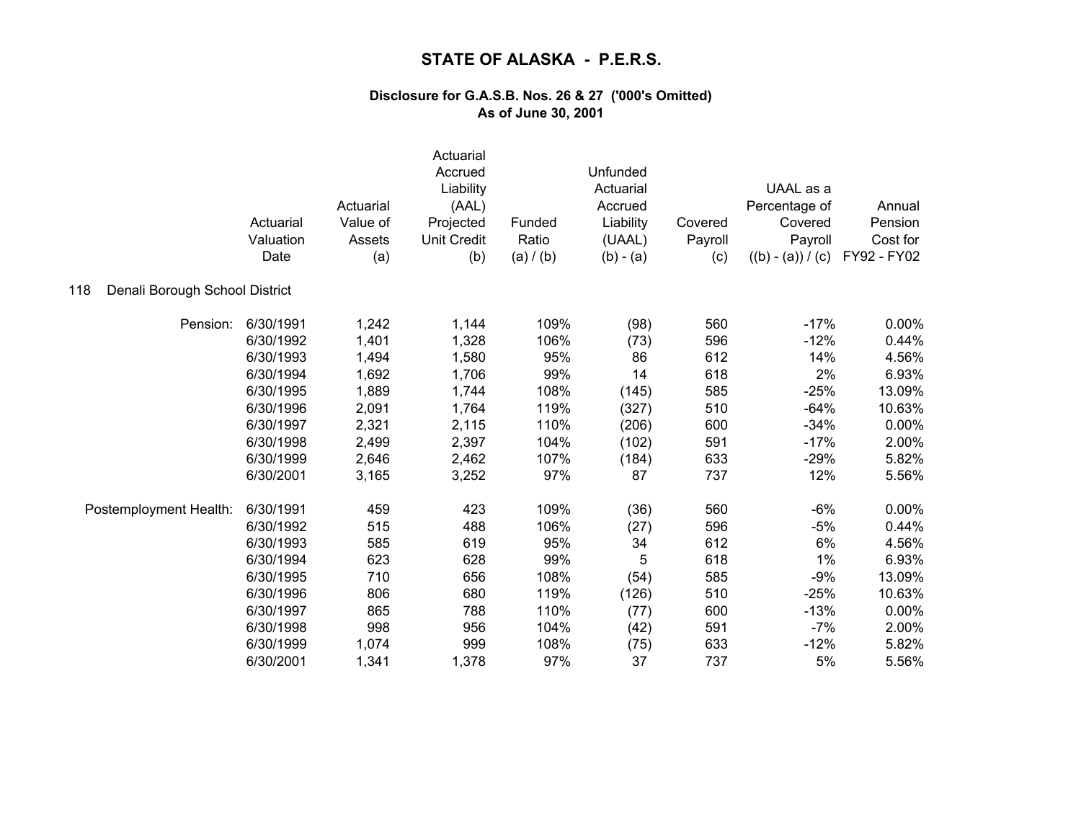|                                       | Actuarial<br>Valuation<br>Date | Actuarial<br>Value of<br>Assets<br>(a) | Actuarial<br>Accrued<br>Liability<br>(AAL)<br>Projected<br><b>Unit Credit</b><br>(b) | Funded<br>Ratio<br>(a) / (b) | Unfunded<br>Actuarial<br>Accrued<br>Liability<br>(UAAL)<br>$(b) - (a)$ | Covered<br>Payroll<br>(c) | UAAL as a<br>Percentage of<br>Covered<br>Payroll<br>$((b) - (a)) / (c)$ | Annual<br>Pension<br>Cost for<br>FY92 - FY02 |
|---------------------------------------|--------------------------------|----------------------------------------|--------------------------------------------------------------------------------------|------------------------------|------------------------------------------------------------------------|---------------------------|-------------------------------------------------------------------------|----------------------------------------------|
| Denali Borough School District<br>118 |                                |                                        |                                                                                      |                              |                                                                        |                           |                                                                         |                                              |
| Pension:                              | 6/30/1991                      | 1,242                                  | 1,144                                                                                | 109%                         | (98)                                                                   | 560                       | $-17%$                                                                  | 0.00%                                        |
|                                       | 6/30/1992                      | 1,401                                  | 1,328                                                                                | 106%                         | (73)                                                                   | 596                       | $-12%$                                                                  | 0.44%                                        |
|                                       | 6/30/1993                      | 1,494                                  | 1,580                                                                                | 95%                          | 86                                                                     | 612                       | 14%                                                                     | 4.56%                                        |
|                                       | 6/30/1994                      | 1,692                                  | 1,706                                                                                | 99%                          | 14                                                                     | 618                       | 2%                                                                      | 6.93%                                        |
|                                       | 6/30/1995                      | 1,889                                  | 1,744                                                                                | 108%                         | (145)                                                                  | 585                       | $-25%$                                                                  | 13.09%                                       |
|                                       | 6/30/1996                      | 2,091                                  | 1,764                                                                                | 119%                         | (327)                                                                  | 510                       | $-64%$                                                                  | 10.63%                                       |
|                                       | 6/30/1997                      | 2,321                                  | 2,115                                                                                | 110%                         | (206)                                                                  | 600                       | $-34%$                                                                  | 0.00%                                        |
|                                       | 6/30/1998                      | 2,499                                  | 2,397                                                                                | 104%                         | (102)                                                                  | 591                       | $-17%$                                                                  | 2.00%                                        |
|                                       | 6/30/1999                      | 2,646                                  | 2,462                                                                                | 107%                         | (184)                                                                  | 633                       | $-29%$                                                                  | 5.82%                                        |
|                                       | 6/30/2001                      | 3,165                                  | 3,252                                                                                | 97%                          | 87                                                                     | 737                       | 12%                                                                     | 5.56%                                        |
| Postemployment Health:                | 6/30/1991                      | 459                                    | 423                                                                                  | 109%                         | (36)                                                                   | 560                       | $-6%$                                                                   | 0.00%                                        |
|                                       | 6/30/1992                      | 515                                    | 488                                                                                  | 106%                         | (27)                                                                   | 596                       | $-5%$                                                                   | 0.44%                                        |
|                                       | 6/30/1993                      | 585                                    | 619                                                                                  | 95%                          | 34                                                                     | 612                       | 6%                                                                      | 4.56%                                        |
|                                       | 6/30/1994                      | 623                                    | 628                                                                                  | 99%                          | 5                                                                      | 618                       | 1%                                                                      | 6.93%                                        |
|                                       | 6/30/1995                      | 710                                    | 656                                                                                  | 108%                         | (54)                                                                   | 585                       | $-9%$                                                                   | 13.09%                                       |
|                                       | 6/30/1996                      | 806                                    | 680                                                                                  | 119%                         | (126)                                                                  | 510                       | $-25%$                                                                  | 10.63%                                       |
|                                       | 6/30/1997                      | 865                                    | 788                                                                                  | 110%                         | (77)                                                                   | 600                       | $-13%$                                                                  | 0.00%                                        |
|                                       | 6/30/1998                      | 998                                    | 956                                                                                  | 104%                         | (42)                                                                   | 591                       | $-7%$                                                                   | 2.00%                                        |
|                                       | 6/30/1999                      | 1,074                                  | 999                                                                                  | 108%                         | (75)                                                                   | 633                       | $-12%$                                                                  | 5.82%                                        |
|                                       | 6/30/2001                      | 1,341                                  | 1,378                                                                                | 97%                          | 37                                                                     | 737                       | 5%                                                                      | 5.56%                                        |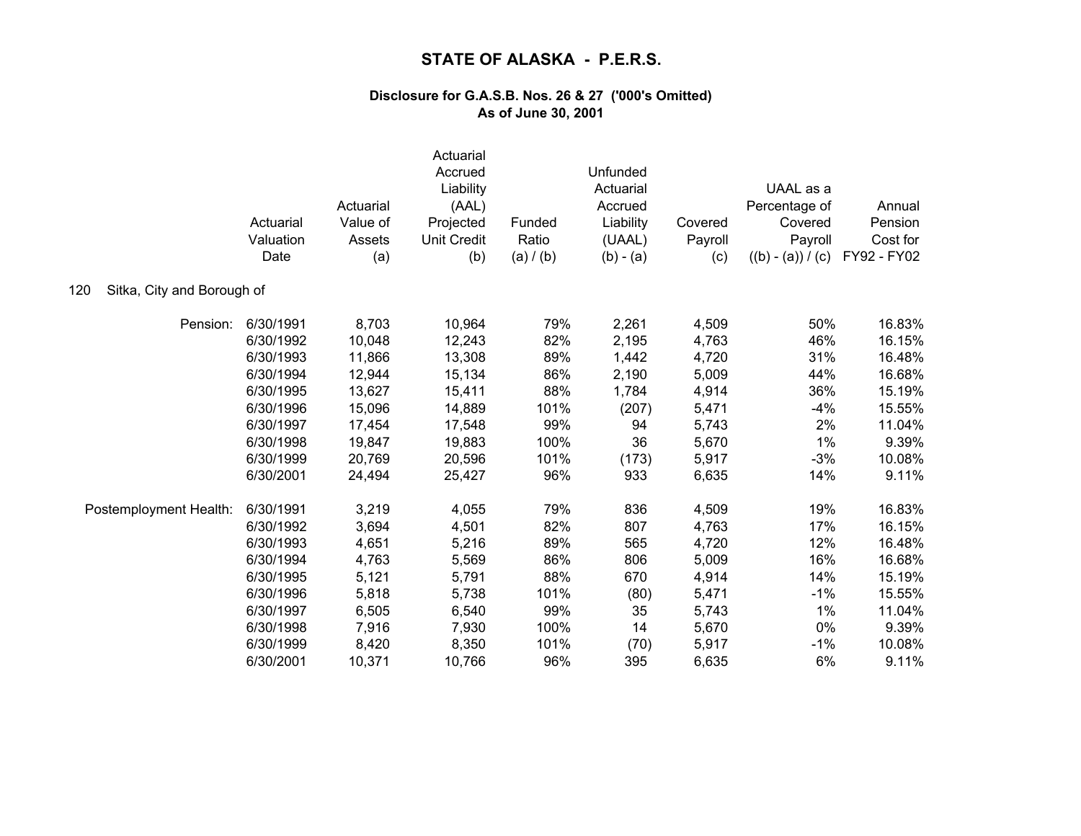|                                   | Actuarial<br>Valuation<br>Date | Actuarial<br>Value of<br>Assets<br>(a) | Actuarial<br>Accrued<br>Liability<br>(AAL)<br>Projected<br><b>Unit Credit</b><br>(b) | Funded<br>Ratio<br>(a) / (b) | Unfunded<br>Actuarial<br>Accrued<br>Liability<br>(UAAL)<br>$(b) - (a)$ | Covered<br>Payroll<br>(c) | UAAL as a<br>Percentage of<br>Covered<br>Payroll<br>$((b) - (a)) / (c)$ | Annual<br>Pension<br>Cost for<br>FY92 - FY02 |
|-----------------------------------|--------------------------------|----------------------------------------|--------------------------------------------------------------------------------------|------------------------------|------------------------------------------------------------------------|---------------------------|-------------------------------------------------------------------------|----------------------------------------------|
| 120<br>Sitka, City and Borough of |                                |                                        |                                                                                      |                              |                                                                        |                           |                                                                         |                                              |
| Pension:                          | 6/30/1991                      | 8,703                                  | 10,964                                                                               | 79%                          | 2,261                                                                  | 4,509                     | 50%                                                                     | 16.83%                                       |
|                                   | 6/30/1992                      | 10,048                                 | 12,243                                                                               | 82%                          | 2,195                                                                  | 4,763                     | 46%                                                                     | 16.15%                                       |
|                                   | 6/30/1993                      | 11,866                                 | 13,308                                                                               | 89%                          | 1,442                                                                  | 4,720                     | 31%                                                                     | 16.48%                                       |
|                                   | 6/30/1994                      | 12,944                                 | 15,134                                                                               | 86%                          | 2,190                                                                  | 5,009                     | 44%                                                                     | 16.68%                                       |
|                                   | 6/30/1995                      | 13,627                                 | 15,411                                                                               | 88%                          | 1,784                                                                  | 4,914                     | 36%                                                                     | 15.19%                                       |
|                                   | 6/30/1996                      | 15,096                                 | 14,889                                                                               | 101%                         | (207)                                                                  | 5,471                     | $-4%$                                                                   | 15.55%                                       |
|                                   | 6/30/1997                      | 17,454                                 | 17,548                                                                               | 99%                          | 94                                                                     | 5,743                     | 2%                                                                      | 11.04%                                       |
|                                   | 6/30/1998                      | 19,847                                 | 19,883                                                                               | 100%                         | 36                                                                     | 5,670                     | 1%                                                                      | 9.39%                                        |
|                                   | 6/30/1999                      | 20,769                                 | 20,596                                                                               | 101%                         | (173)                                                                  | 5,917                     | $-3%$                                                                   | 10.08%                                       |
|                                   | 6/30/2001                      | 24,494                                 | 25,427                                                                               | 96%                          | 933                                                                    | 6,635                     | 14%                                                                     | 9.11%                                        |
| Postemployment Health:            | 6/30/1991                      | 3,219                                  | 4,055                                                                                | 79%                          | 836                                                                    | 4,509                     | 19%                                                                     | 16.83%                                       |
|                                   | 6/30/1992                      | 3,694                                  | 4,501                                                                                | 82%                          | 807                                                                    | 4,763                     | 17%                                                                     | 16.15%                                       |
|                                   | 6/30/1993                      | 4,651                                  | 5,216                                                                                | 89%                          | 565                                                                    | 4,720                     | 12%                                                                     | 16.48%                                       |
|                                   | 6/30/1994                      | 4,763                                  | 5,569                                                                                | 86%                          | 806                                                                    | 5,009                     | 16%                                                                     | 16.68%                                       |
|                                   | 6/30/1995                      | 5,121                                  | 5,791                                                                                | 88%                          | 670                                                                    | 4,914                     | 14%                                                                     | 15.19%                                       |
|                                   | 6/30/1996                      | 5,818                                  | 5,738                                                                                | 101%                         | (80)                                                                   | 5,471                     | $-1%$                                                                   | 15.55%                                       |
|                                   | 6/30/1997                      | 6,505                                  | 6,540                                                                                | 99%                          | 35                                                                     | 5,743                     | 1%                                                                      | 11.04%                                       |
|                                   | 6/30/1998                      | 7,916                                  | 7,930                                                                                | 100%                         | 14                                                                     | 5,670                     | 0%                                                                      | 9.39%                                        |
|                                   | 6/30/1999                      | 8,420                                  | 8,350                                                                                | 101%                         | (70)                                                                   | 5,917                     | $-1%$                                                                   | 10.08%                                       |
|                                   | 6/30/2001                      | 10,371                                 | 10,766                                                                               | 96%                          | 395                                                                    | 6,635                     | 6%                                                                      | 9.11%                                        |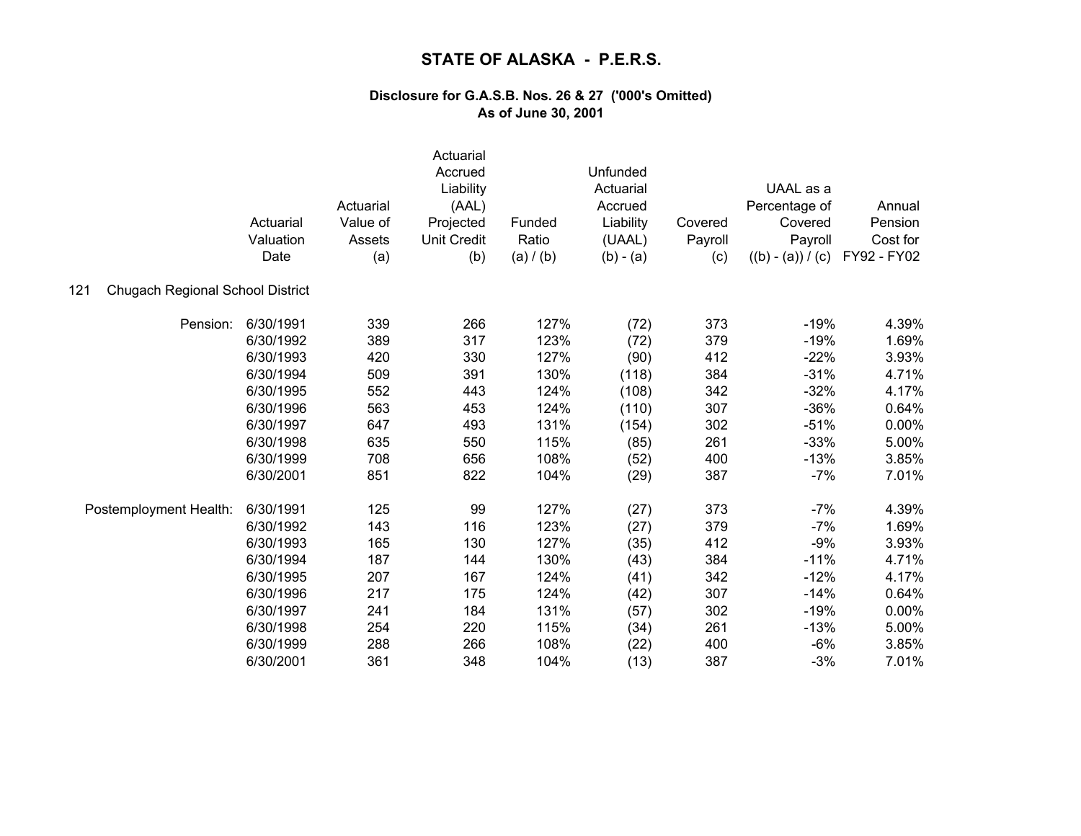|                                         | Actuarial<br>Valuation<br>Date | Actuarial<br>Value of<br>Assets<br>(a) | Actuarial<br>Accrued<br>Liability<br>(AAL)<br>Projected<br><b>Unit Credit</b><br>(b) | Funded<br>Ratio<br>(a) / (b) | Unfunded<br>Actuarial<br>Accrued<br>Liability<br>(UAAL)<br>$(b) - (a)$ | Covered<br>Payroll<br>(c) | UAAL as a<br>Percentage of<br>Covered<br>Payroll<br>$((b) - (a)) / (c)$ | Annual<br>Pension<br>Cost for<br>FY92 - FY02 |
|-----------------------------------------|--------------------------------|----------------------------------------|--------------------------------------------------------------------------------------|------------------------------|------------------------------------------------------------------------|---------------------------|-------------------------------------------------------------------------|----------------------------------------------|
| 121<br>Chugach Regional School District |                                |                                        |                                                                                      |                              |                                                                        |                           |                                                                         |                                              |
| Pension:                                | 6/30/1991                      | 339                                    | 266                                                                                  | 127%                         | (72)                                                                   | 373                       | $-19%$                                                                  | 4.39%                                        |
|                                         | 6/30/1992                      | 389                                    | 317                                                                                  | 123%                         | (72)                                                                   | 379                       | $-19%$                                                                  | 1.69%                                        |
|                                         | 6/30/1993                      | 420                                    | 330                                                                                  | 127%                         | (90)                                                                   | 412                       | $-22%$                                                                  | 3.93%                                        |
|                                         | 6/30/1994                      | 509                                    | 391                                                                                  | 130%                         | (118)                                                                  | 384                       | $-31%$                                                                  | 4.71%                                        |
|                                         | 6/30/1995                      | 552                                    | 443                                                                                  | 124%                         | (108)                                                                  | 342                       | $-32%$                                                                  | 4.17%                                        |
|                                         | 6/30/1996                      | 563                                    | 453                                                                                  | 124%                         | (110)                                                                  | 307                       | $-36%$                                                                  | 0.64%                                        |
|                                         | 6/30/1997                      | 647                                    | 493                                                                                  | 131%                         | (154)                                                                  | 302                       | $-51%$                                                                  | $0.00\%$                                     |
|                                         | 6/30/1998                      | 635                                    | 550                                                                                  | 115%                         | (85)                                                                   | 261                       | $-33%$                                                                  | 5.00%                                        |
|                                         | 6/30/1999                      | 708                                    | 656                                                                                  | 108%                         | (52)                                                                   | 400                       | $-13%$                                                                  | 3.85%                                        |
|                                         | 6/30/2001                      | 851                                    | 822                                                                                  | 104%                         | (29)                                                                   | 387                       | $-7%$                                                                   | 7.01%                                        |
| Postemployment Health:                  | 6/30/1991                      | 125                                    | 99                                                                                   | 127%                         | (27)                                                                   | 373                       | $-7%$                                                                   | 4.39%                                        |
|                                         | 6/30/1992                      | 143                                    | 116                                                                                  | 123%                         | (27)                                                                   | 379                       | $-7%$                                                                   | 1.69%                                        |
|                                         | 6/30/1993                      | 165                                    | 130                                                                                  | 127%                         | (35)                                                                   | 412                       | $-9%$                                                                   | 3.93%                                        |
|                                         | 6/30/1994                      | 187                                    | 144                                                                                  | 130%                         | (43)                                                                   | 384                       | $-11%$                                                                  | 4.71%                                        |
|                                         | 6/30/1995                      | 207                                    | 167                                                                                  | 124%                         | (41)                                                                   | 342                       | $-12%$                                                                  | 4.17%                                        |
|                                         | 6/30/1996                      | 217                                    | 175                                                                                  | 124%                         | (42)                                                                   | 307                       | $-14%$                                                                  | 0.64%                                        |
|                                         | 6/30/1997                      | 241                                    | 184                                                                                  | 131%                         | (57)                                                                   | 302                       | $-19%$                                                                  | 0.00%                                        |
|                                         | 6/30/1998                      | 254                                    | 220                                                                                  | 115%                         | (34)                                                                   | 261                       | $-13%$                                                                  | 5.00%                                        |
|                                         | 6/30/1999                      | 288                                    | 266                                                                                  | 108%                         | (22)                                                                   | 400                       | $-6%$                                                                   | 3.85%                                        |
|                                         | 6/30/2001                      | 361                                    | 348                                                                                  | 104%                         | (13)                                                                   | 387                       | $-3%$                                                                   | 7.01%                                        |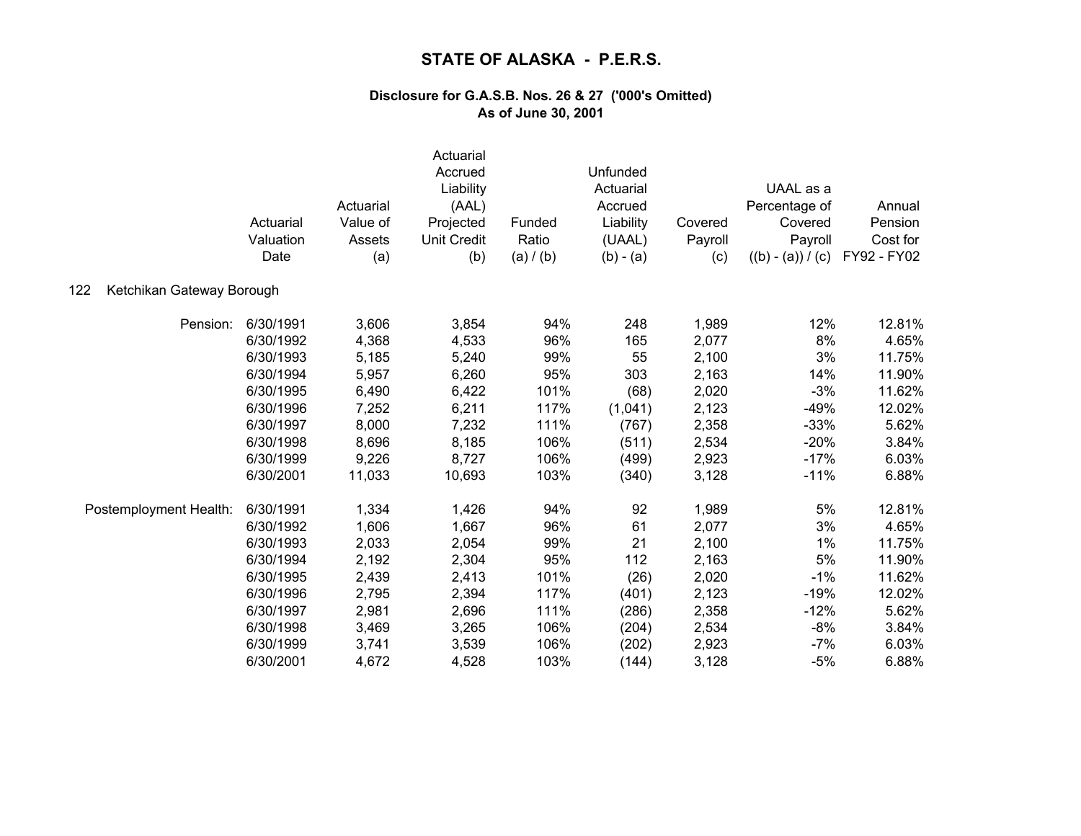|                                  | Actuarial<br>Valuation<br>Date | Actuarial<br>Value of<br>Assets<br>(a) | Actuarial<br>Accrued<br>Liability<br>(AAL)<br>Projected<br><b>Unit Credit</b><br>(b) | Funded<br>Ratio<br>(a) / (b) | Unfunded<br>Actuarial<br>Accrued<br>Liability<br>(UAAL)<br>$(b) - (a)$ | Covered<br>Payroll<br>(c) | UAAL as a<br>Percentage of<br>Covered<br>Payroll<br>$((b) - (a)) / (c)$ | Annual<br>Pension<br>Cost for<br>FY92 - FY02 |
|----------------------------------|--------------------------------|----------------------------------------|--------------------------------------------------------------------------------------|------------------------------|------------------------------------------------------------------------|---------------------------|-------------------------------------------------------------------------|----------------------------------------------|
| 122<br>Ketchikan Gateway Borough |                                |                                        |                                                                                      |                              |                                                                        |                           |                                                                         |                                              |
| Pension:                         | 6/30/1991                      | 3,606                                  | 3,854                                                                                | 94%                          | 248                                                                    | 1,989                     | 12%                                                                     | 12.81%                                       |
|                                  | 6/30/1992                      | 4,368                                  | 4,533                                                                                | 96%                          | 165                                                                    | 2,077                     | 8%                                                                      | 4.65%                                        |
|                                  | 6/30/1993                      | 5,185                                  | 5,240                                                                                | 99%                          | 55                                                                     | 2,100                     | 3%                                                                      | 11.75%                                       |
|                                  | 6/30/1994                      | 5,957                                  | 6,260                                                                                | 95%                          | 303                                                                    | 2,163                     | 14%                                                                     | 11.90%                                       |
|                                  | 6/30/1995                      | 6,490                                  | 6,422                                                                                | 101%                         | (68)                                                                   | 2,020                     | $-3%$                                                                   | 11.62%                                       |
|                                  | 6/30/1996                      | 7,252                                  | 6,211                                                                                | 117%                         | (1,041)                                                                | 2,123                     | $-49%$                                                                  | 12.02%                                       |
|                                  | 6/30/1997                      | 8,000                                  | 7,232                                                                                | 111%                         | (767)                                                                  | 2,358                     | $-33%$                                                                  | 5.62%                                        |
|                                  | 6/30/1998                      | 8,696                                  | 8,185                                                                                | 106%                         | (511)                                                                  | 2,534                     | $-20%$                                                                  | 3.84%                                        |
|                                  | 6/30/1999                      | 9,226                                  | 8,727                                                                                | 106%                         | (499)                                                                  | 2,923                     | $-17%$                                                                  | 6.03%                                        |
|                                  | 6/30/2001                      | 11,033                                 | 10,693                                                                               | 103%                         | (340)                                                                  | 3,128                     | $-11%$                                                                  | 6.88%                                        |
| Postemployment Health:           | 6/30/1991                      | 1,334                                  | 1,426                                                                                | 94%                          | 92                                                                     | 1,989                     | 5%                                                                      | 12.81%                                       |
|                                  | 6/30/1992                      | 1,606                                  | 1,667                                                                                | 96%                          | 61                                                                     | 2,077                     | 3%                                                                      | 4.65%                                        |
|                                  | 6/30/1993                      | 2,033                                  | 2,054                                                                                | 99%                          | 21                                                                     | 2,100                     | 1%                                                                      | 11.75%                                       |
|                                  | 6/30/1994                      | 2,192                                  | 2,304                                                                                | 95%                          | 112                                                                    | 2,163                     | 5%                                                                      | 11.90%                                       |
|                                  | 6/30/1995                      | 2,439                                  | 2,413                                                                                | 101%                         | (26)                                                                   | 2,020                     | $-1%$                                                                   | 11.62%                                       |
|                                  | 6/30/1996                      | 2,795                                  | 2,394                                                                                | 117%                         | (401)                                                                  | 2,123                     | $-19%$                                                                  | 12.02%                                       |
|                                  | 6/30/1997                      | 2,981                                  | 2,696                                                                                | 111%                         | (286)                                                                  | 2,358                     | $-12%$                                                                  | 5.62%                                        |
|                                  | 6/30/1998                      | 3,469                                  | 3,265                                                                                | 106%                         | (204)                                                                  | 2,534                     | $-8%$                                                                   | 3.84%                                        |
|                                  | 6/30/1999                      | 3,741                                  | 3,539                                                                                | 106%                         | (202)                                                                  | 2,923                     | $-7%$                                                                   | 6.03%                                        |
|                                  | 6/30/2001                      | 4,672                                  | 4,528                                                                                | 103%                         | (144)                                                                  | 3,128                     | $-5%$                                                                   | 6.88%                                        |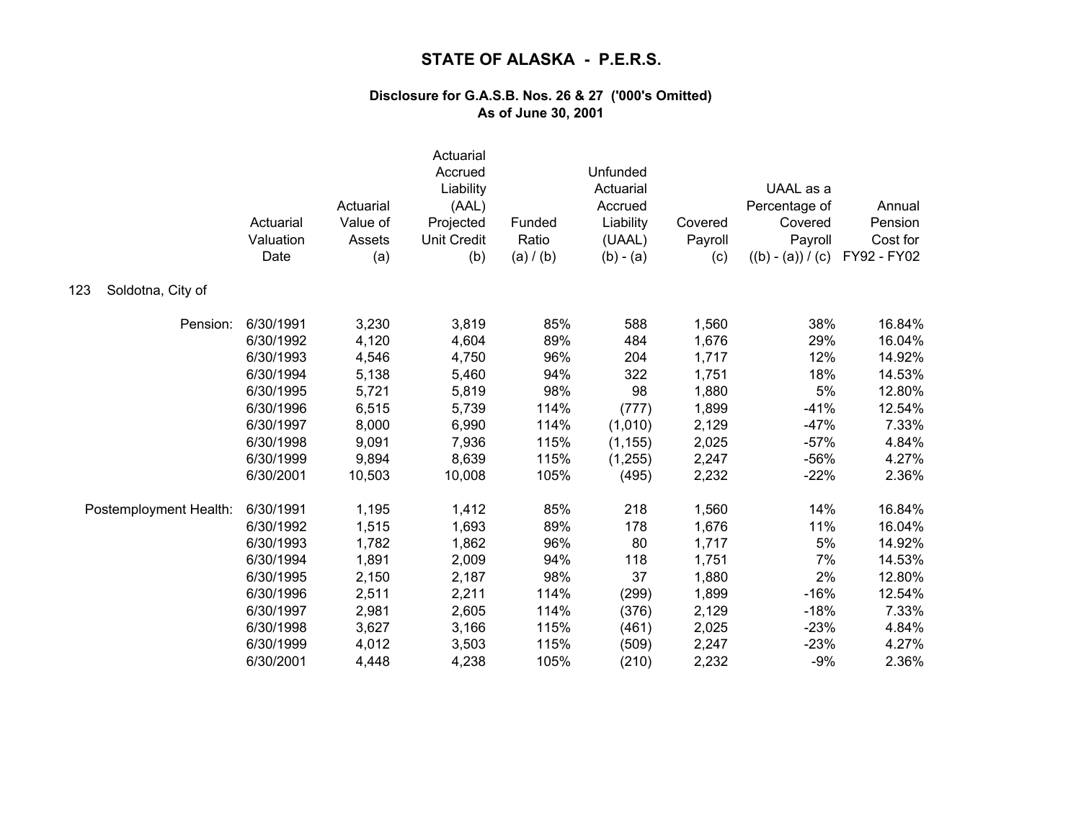|                          | Actuarial<br>Valuation<br>Date | Actuarial<br>Value of<br>Assets<br>(a) | Actuarial<br>Accrued<br>Liability<br>(AAL)<br>Projected<br><b>Unit Credit</b><br>(b) | Funded<br>Ratio<br>(a) / (b) | Unfunded<br>Actuarial<br>Accrued<br>Liability<br>(UAAL)<br>$(b) - (a)$ | Covered<br>Payroll<br>(c) | UAAL as a<br>Percentage of<br>Covered<br>Payroll<br>$((b) - (a)) / (c)$ | Annual<br>Pension<br>Cost for<br>FY92 - FY02 |
|--------------------------|--------------------------------|----------------------------------------|--------------------------------------------------------------------------------------|------------------------------|------------------------------------------------------------------------|---------------------------|-------------------------------------------------------------------------|----------------------------------------------|
| Soldotna, City of<br>123 |                                |                                        |                                                                                      |                              |                                                                        |                           |                                                                         |                                              |
| Pension:                 | 6/30/1991                      | 3,230                                  | 3,819                                                                                | 85%                          | 588                                                                    | 1,560                     | 38%                                                                     | 16.84%                                       |
|                          | 6/30/1992                      | 4,120                                  | 4,604                                                                                | 89%                          | 484                                                                    | 1,676                     | 29%                                                                     | 16.04%                                       |
|                          | 6/30/1993                      | 4,546                                  | 4,750                                                                                | 96%                          | 204                                                                    | 1,717                     | 12%                                                                     | 14.92%                                       |
|                          | 6/30/1994                      | 5,138                                  | 5,460                                                                                | 94%                          | 322                                                                    | 1,751                     | 18%                                                                     | 14.53%                                       |
|                          | 6/30/1995                      | 5,721                                  | 5,819                                                                                | 98%                          | 98                                                                     | 1,880                     | 5%                                                                      | 12.80%                                       |
|                          | 6/30/1996                      | 6,515                                  | 5,739                                                                                | 114%                         | (777)                                                                  | 1,899                     | $-41%$                                                                  | 12.54%                                       |
|                          | 6/30/1997                      | 8,000                                  | 6,990                                                                                | 114%                         | (1,010)                                                                | 2,129                     | $-47%$                                                                  | 7.33%                                        |
|                          | 6/30/1998                      | 9,091                                  | 7,936                                                                                | 115%                         | (1, 155)                                                               | 2,025                     | $-57%$                                                                  | 4.84%                                        |
|                          | 6/30/1999                      | 9,894                                  | 8,639                                                                                | 115%                         | (1,255)                                                                | 2,247                     | $-56%$                                                                  | 4.27%                                        |
|                          | 6/30/2001                      | 10,503                                 | 10,008                                                                               | 105%                         | (495)                                                                  | 2,232                     | $-22%$                                                                  | 2.36%                                        |
| Postemployment Health:   | 6/30/1991                      | 1,195                                  | 1,412                                                                                | 85%                          | 218                                                                    | 1,560                     | 14%                                                                     | 16.84%                                       |
|                          | 6/30/1992                      | 1,515                                  | 1,693                                                                                | 89%                          | 178                                                                    | 1,676                     | 11%                                                                     | 16.04%                                       |
|                          | 6/30/1993                      | 1,782                                  | 1,862                                                                                | 96%                          | 80                                                                     | 1,717                     | 5%                                                                      | 14.92%                                       |
|                          | 6/30/1994                      | 1,891                                  | 2,009                                                                                | 94%                          | 118                                                                    | 1,751                     | 7%                                                                      | 14.53%                                       |
|                          | 6/30/1995                      | 2,150                                  | 2,187                                                                                | 98%                          | 37                                                                     | 1,880                     | 2%                                                                      | 12.80%                                       |
|                          | 6/30/1996                      | 2,511                                  | 2,211                                                                                | 114%                         | (299)                                                                  | 1,899                     | $-16%$                                                                  | 12.54%                                       |
|                          | 6/30/1997                      | 2,981                                  | 2,605                                                                                | 114%                         | (376)                                                                  | 2,129                     | $-18%$                                                                  | 7.33%                                        |
|                          | 6/30/1998                      | 3,627                                  | 3,166                                                                                | 115%                         | (461)                                                                  | 2,025                     | $-23%$                                                                  | 4.84%                                        |
|                          | 6/30/1999                      | 4,012                                  | 3,503                                                                                | 115%                         | (509)                                                                  | 2,247                     | $-23%$                                                                  | 4.27%                                        |
|                          | 6/30/2001                      | 4,448                                  | 4,238                                                                                | 105%                         | (210)                                                                  | 2,232                     | $-9%$                                                                   | 2.36%                                        |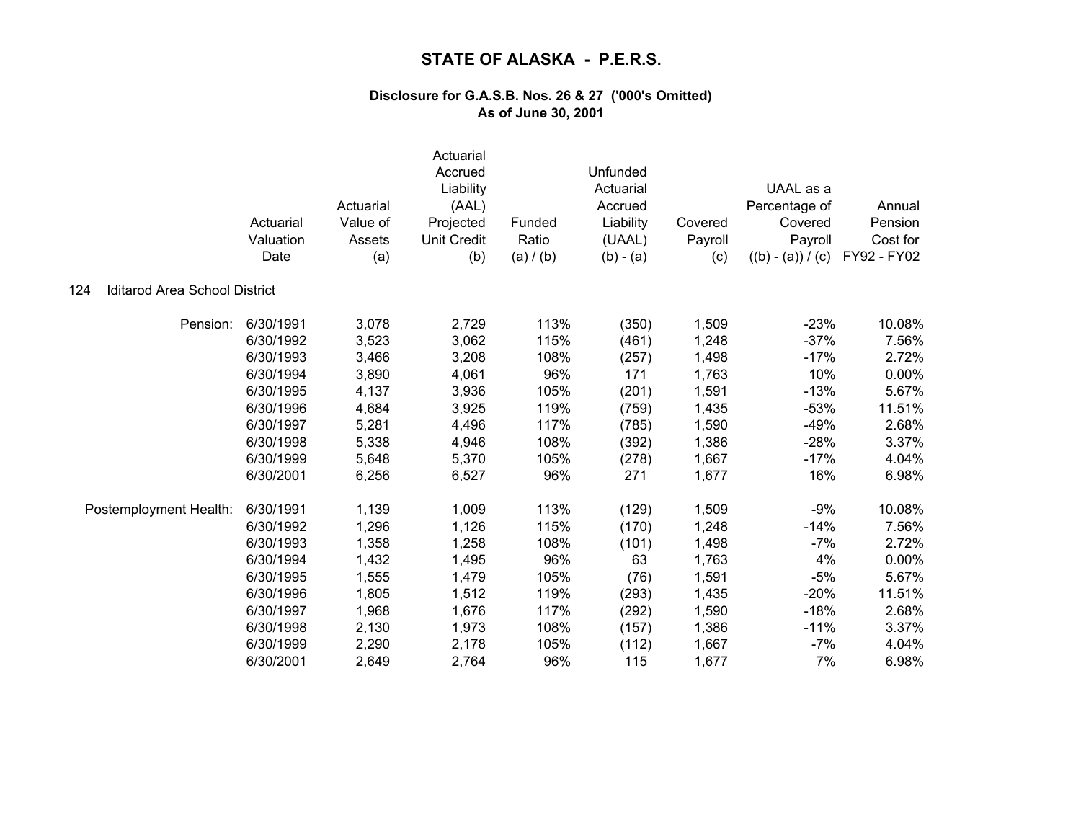|                                             | Actuarial<br>Valuation<br>Date | Actuarial<br>Value of<br>Assets<br>(a) | Actuarial<br>Accrued<br>Liability<br>(AAL)<br>Projected<br><b>Unit Credit</b><br>(b) | Funded<br>Ratio<br>(a) / (b) | Unfunded<br>Actuarial<br>Accrued<br>Liability<br>(UAAL)<br>$(b) - (a)$ | Covered<br>Payroll<br>(c) | UAAL as a<br>Percentage of<br>Covered<br>Payroll<br>$((b) - (a)) / (c)$ | Annual<br>Pension<br>Cost for<br>FY92 - FY02 |
|---------------------------------------------|--------------------------------|----------------------------------------|--------------------------------------------------------------------------------------|------------------------------|------------------------------------------------------------------------|---------------------------|-------------------------------------------------------------------------|----------------------------------------------|
| <b>Iditarod Area School District</b><br>124 |                                |                                        |                                                                                      |                              |                                                                        |                           |                                                                         |                                              |
| Pension:                                    | 6/30/1991                      | 3,078                                  | 2,729                                                                                | 113%                         | (350)                                                                  | 1,509                     | $-23%$                                                                  | 10.08%                                       |
|                                             | 6/30/1992                      | 3,523                                  | 3,062                                                                                | 115%                         | (461)                                                                  | 1,248                     | $-37%$                                                                  | 7.56%                                        |
|                                             | 6/30/1993                      | 3,466                                  | 3,208                                                                                | 108%                         | (257)                                                                  | 1,498                     | $-17%$                                                                  | 2.72%                                        |
|                                             | 6/30/1994                      | 3,890                                  | 4,061                                                                                | 96%                          | 171                                                                    | 1,763                     | 10%                                                                     | $0.00\%$                                     |
|                                             | 6/30/1995                      | 4,137                                  | 3,936                                                                                | 105%                         | (201)                                                                  | 1,591                     | $-13%$                                                                  | 5.67%                                        |
|                                             | 6/30/1996                      | 4,684                                  | 3,925                                                                                | 119%                         | (759)                                                                  | 1,435                     | $-53%$                                                                  | 11.51%                                       |
|                                             | 6/30/1997                      | 5,281                                  | 4,496                                                                                | 117%                         | (785)                                                                  | 1,590                     | $-49%$                                                                  | 2.68%                                        |
|                                             | 6/30/1998                      | 5,338                                  | 4,946                                                                                | 108%                         | (392)                                                                  | 1,386                     | $-28%$                                                                  | 3.37%                                        |
|                                             | 6/30/1999                      | 5,648                                  | 5,370                                                                                | 105%                         | (278)                                                                  | 1,667                     | $-17%$                                                                  | 4.04%                                        |
|                                             | 6/30/2001                      | 6,256                                  | 6,527                                                                                | 96%                          | 271                                                                    | 1,677                     | 16%                                                                     | 6.98%                                        |
| Postemployment Health:                      | 6/30/1991                      | 1,139                                  | 1,009                                                                                | 113%                         | (129)                                                                  | 1,509                     | $-9%$                                                                   | 10.08%                                       |
|                                             | 6/30/1992                      | 1,296                                  | 1,126                                                                                | 115%                         | (170)                                                                  | 1,248                     | $-14%$                                                                  | 7.56%                                        |
|                                             | 6/30/1993                      | 1,358                                  | 1,258                                                                                | 108%                         | (101)                                                                  | 1,498                     | $-7%$                                                                   | 2.72%                                        |
|                                             | 6/30/1994                      | 1,432                                  | 1,495                                                                                | 96%                          | 63                                                                     | 1,763                     | 4%                                                                      | 0.00%                                        |
|                                             | 6/30/1995                      | 1,555                                  | 1,479                                                                                | 105%                         | (76)                                                                   | 1,591                     | $-5%$                                                                   | 5.67%                                        |
|                                             | 6/30/1996                      | 1,805                                  | 1,512                                                                                | 119%                         | (293)                                                                  | 1,435                     | $-20%$                                                                  | 11.51%                                       |
|                                             | 6/30/1997                      | 1,968                                  | 1,676                                                                                | 117%                         | (292)                                                                  | 1,590                     | $-18%$                                                                  | 2.68%                                        |
|                                             | 6/30/1998                      | 2,130                                  | 1,973                                                                                | 108%                         | (157)                                                                  | 1,386                     | $-11%$                                                                  | 3.37%                                        |
|                                             | 6/30/1999                      | 2,290                                  | 2,178                                                                                | 105%                         | (112)                                                                  | 1,667                     | $-7%$                                                                   | 4.04%                                        |
|                                             | 6/30/2001                      | 2,649                                  | 2,764                                                                                | 96%                          | 115                                                                    | 1,677                     | 7%                                                                      | 6.98%                                        |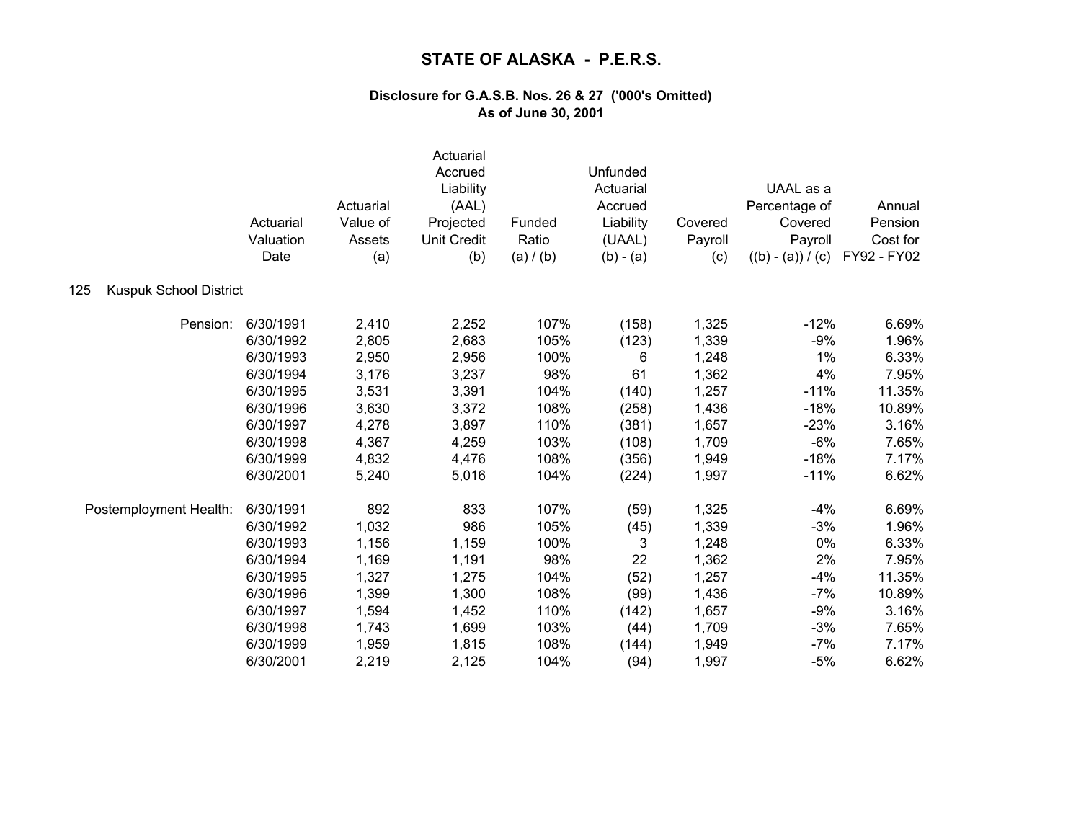|                                      | Actuarial<br>Valuation<br>Date | Actuarial<br>Value of<br>Assets<br>(a) | Actuarial<br>Accrued<br>Liability<br>(AAL)<br>Projected<br><b>Unit Credit</b><br>(b) | Funded<br>Ratio<br>(a) / (b) | Unfunded<br>Actuarial<br>Accrued<br>Liability<br>(UAAL)<br>$(b) - (a)$ | Covered<br>Payroll<br>(c) | UAAL as a<br>Percentage of<br>Covered<br>Payroll<br>$((b) - (a)) / (c)$ | Annual<br>Pension<br>Cost for<br>FY92 - FY02 |
|--------------------------------------|--------------------------------|----------------------------------------|--------------------------------------------------------------------------------------|------------------------------|------------------------------------------------------------------------|---------------------------|-------------------------------------------------------------------------|----------------------------------------------|
| <b>Kuspuk School District</b><br>125 |                                |                                        |                                                                                      |                              |                                                                        |                           |                                                                         |                                              |
| Pension:                             | 6/30/1991                      | 2,410                                  | 2,252                                                                                | 107%                         | (158)                                                                  | 1,325                     | $-12%$                                                                  | 6.69%                                        |
|                                      | 6/30/1992                      | 2,805                                  | 2,683                                                                                | 105%                         | (123)                                                                  | 1,339                     | $-9%$                                                                   | 1.96%                                        |
|                                      | 6/30/1993                      | 2,950                                  | 2,956                                                                                | 100%                         | 6                                                                      | 1,248                     | 1%                                                                      | 6.33%                                        |
|                                      | 6/30/1994                      | 3,176                                  | 3,237                                                                                | 98%                          | 61                                                                     | 1,362                     | 4%                                                                      | 7.95%                                        |
|                                      | 6/30/1995                      | 3,531                                  | 3,391                                                                                | 104%                         | (140)                                                                  | 1,257                     | $-11%$                                                                  | 11.35%                                       |
|                                      | 6/30/1996                      | 3,630                                  | 3,372                                                                                | 108%                         | (258)                                                                  | 1,436                     | $-18%$                                                                  | 10.89%                                       |
|                                      | 6/30/1997                      | 4,278                                  | 3,897                                                                                | 110%                         | (381)                                                                  | 1,657                     | $-23%$                                                                  | 3.16%                                        |
|                                      | 6/30/1998                      | 4,367                                  | 4,259                                                                                | 103%                         | (108)                                                                  | 1,709                     | $-6%$                                                                   | 7.65%                                        |
|                                      | 6/30/1999                      | 4,832                                  | 4,476                                                                                | 108%                         | (356)                                                                  | 1,949                     | $-18%$                                                                  | 7.17%                                        |
|                                      | 6/30/2001                      | 5,240                                  | 5,016                                                                                | 104%                         | (224)                                                                  | 1,997                     | $-11%$                                                                  | 6.62%                                        |
| Postemployment Health:               | 6/30/1991                      | 892                                    | 833                                                                                  | 107%                         | (59)                                                                   | 1,325                     | $-4%$                                                                   | 6.69%                                        |
|                                      | 6/30/1992                      | 1,032                                  | 986                                                                                  | 105%                         | (45)                                                                   | 1,339                     | $-3%$                                                                   | 1.96%                                        |
|                                      | 6/30/1993                      | 1,156                                  | 1,159                                                                                | 100%                         | 3                                                                      | 1,248                     | 0%                                                                      | 6.33%                                        |
|                                      | 6/30/1994                      | 1,169                                  | 1,191                                                                                | 98%                          | 22                                                                     | 1,362                     | 2%                                                                      | 7.95%                                        |
|                                      | 6/30/1995                      | 1,327                                  | 1,275                                                                                | 104%                         | (52)                                                                   | 1,257                     | $-4%$                                                                   | 11.35%                                       |
|                                      | 6/30/1996                      | 1,399                                  | 1,300                                                                                | 108%                         | (99)                                                                   | 1,436                     | $-7%$                                                                   | 10.89%                                       |
|                                      | 6/30/1997                      | 1,594                                  | 1,452                                                                                | 110%                         | (142)                                                                  | 1,657                     | $-9%$                                                                   | 3.16%                                        |
|                                      | 6/30/1998                      | 1,743                                  | 1,699                                                                                | 103%                         | (44)                                                                   | 1,709                     | $-3%$                                                                   | 7.65%                                        |
|                                      | 6/30/1999                      | 1,959                                  | 1,815                                                                                | 108%                         | (144)                                                                  | 1,949                     | $-7%$                                                                   | 7.17%                                        |
|                                      | 6/30/2001                      | 2,219                                  | 2,125                                                                                | 104%                         | (94)                                                                   | 1,997                     | $-5%$                                                                   | 6.62%                                        |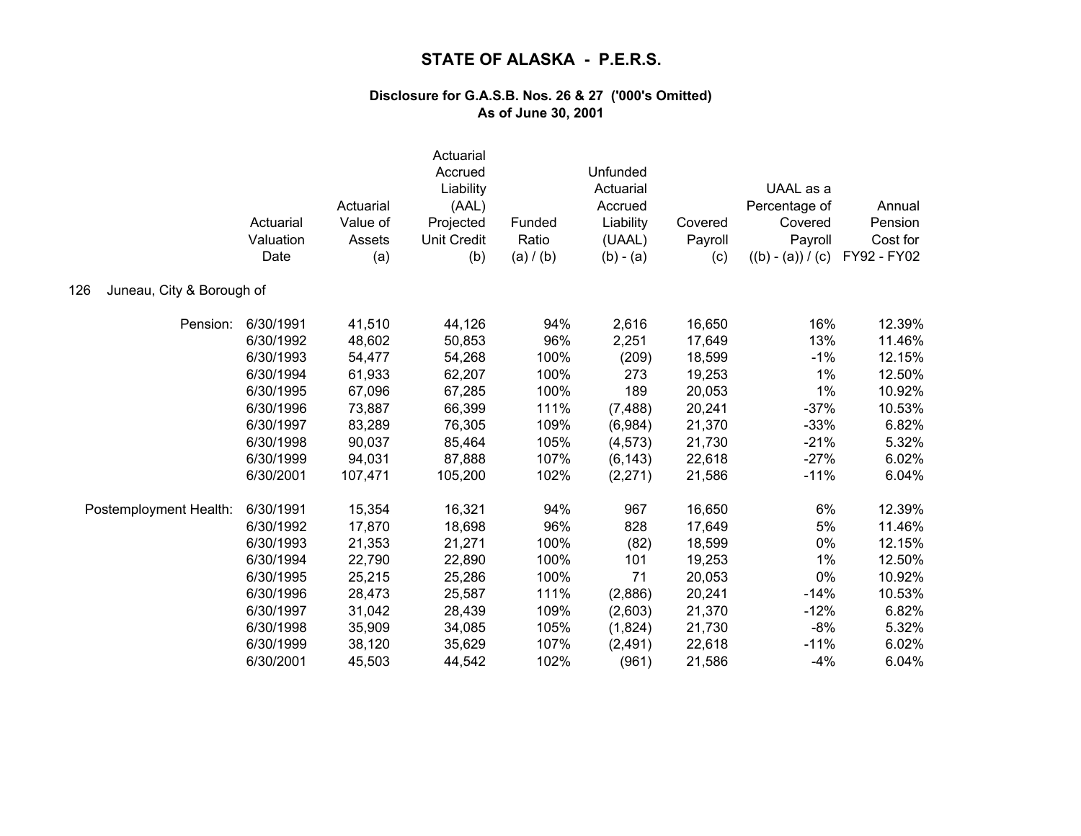|                                  | Actuarial<br>Valuation<br>Date | Actuarial<br>Value of<br>Assets<br>(a) | Actuarial<br>Accrued<br>Liability<br>(AAL)<br>Projected<br><b>Unit Credit</b><br>(b) | Funded<br>Ratio<br>(a) / (b) | Unfunded<br>Actuarial<br>Accrued<br>Liability<br>(UAAL)<br>$(b) - (a)$ | Covered<br>Payroll<br>(c) | UAAL as a<br>Percentage of<br>Covered<br>Payroll<br>$((b) - (a)) / (c)$ | Annual<br>Pension<br>Cost for<br>FY92 - FY02 |
|----------------------------------|--------------------------------|----------------------------------------|--------------------------------------------------------------------------------------|------------------------------|------------------------------------------------------------------------|---------------------------|-------------------------------------------------------------------------|----------------------------------------------|
| 126<br>Juneau, City & Borough of |                                |                                        |                                                                                      |                              |                                                                        |                           |                                                                         |                                              |
| Pension:                         | 6/30/1991                      | 41,510                                 | 44,126                                                                               | 94%                          | 2,616                                                                  | 16,650                    | 16%                                                                     | 12.39%                                       |
|                                  | 6/30/1992                      | 48,602                                 | 50,853                                                                               | 96%                          | 2,251                                                                  | 17,649                    | 13%                                                                     | 11.46%                                       |
|                                  | 6/30/1993                      | 54,477                                 | 54,268                                                                               | 100%                         | (209)                                                                  | 18,599                    | $-1%$                                                                   | 12.15%                                       |
|                                  | 6/30/1994                      | 61,933                                 | 62,207                                                                               | 100%                         | 273                                                                    | 19,253                    | 1%                                                                      | 12.50%                                       |
|                                  | 6/30/1995                      | 67,096                                 | 67,285                                                                               | 100%                         | 189                                                                    | 20,053                    | 1%                                                                      | 10.92%                                       |
|                                  | 6/30/1996                      | 73,887                                 | 66,399                                                                               | 111%                         | (7, 488)                                                               | 20,241                    | $-37%$                                                                  | 10.53%                                       |
|                                  | 6/30/1997                      | 83,289                                 | 76,305                                                                               | 109%                         | (6,984)                                                                | 21,370                    | $-33%$                                                                  | 6.82%                                        |
|                                  | 6/30/1998                      | 90,037                                 | 85,464                                                                               | 105%                         | (4, 573)                                                               | 21,730                    | $-21%$                                                                  | 5.32%                                        |
|                                  | 6/30/1999                      | 94,031                                 | 87,888                                                                               | 107%                         | (6, 143)                                                               | 22,618                    | $-27%$                                                                  | 6.02%                                        |
|                                  | 6/30/2001                      | 107,471                                | 105,200                                                                              | 102%                         | (2, 271)                                                               | 21,586                    | $-11%$                                                                  | 6.04%                                        |
| Postemployment Health:           | 6/30/1991                      | 15,354                                 | 16,321                                                                               | 94%                          | 967                                                                    | 16,650                    | 6%                                                                      | 12.39%                                       |
|                                  | 6/30/1992                      | 17,870                                 | 18,698                                                                               | 96%                          | 828                                                                    | 17,649                    | 5%                                                                      | 11.46%                                       |
|                                  | 6/30/1993                      | 21,353                                 | 21,271                                                                               | 100%                         | (82)                                                                   | 18,599                    | 0%                                                                      | 12.15%                                       |
|                                  | 6/30/1994                      | 22,790                                 | 22,890                                                                               | 100%                         | 101                                                                    | 19,253                    | 1%                                                                      | 12.50%                                       |
|                                  | 6/30/1995                      | 25,215                                 | 25,286                                                                               | 100%                         | 71                                                                     | 20,053                    | 0%                                                                      | 10.92%                                       |
|                                  | 6/30/1996                      | 28,473                                 | 25,587                                                                               | 111%                         | (2,886)                                                                | 20,241                    | $-14%$                                                                  | 10.53%                                       |
|                                  | 6/30/1997                      | 31,042                                 | 28,439                                                                               | 109%                         | (2,603)                                                                | 21,370                    | $-12%$                                                                  | 6.82%                                        |
|                                  | 6/30/1998                      | 35,909                                 | 34,085                                                                               | 105%                         | (1,824)                                                                | 21,730                    | $-8%$                                                                   | 5.32%                                        |
|                                  | 6/30/1999                      | 38,120                                 | 35,629                                                                               | 107%                         | (2, 491)                                                               | 22,618                    | $-11%$                                                                  | 6.02%                                        |
|                                  | 6/30/2001                      | 45,503                                 | 44,542                                                                               | 102%                         | (961)                                                                  | 21,586                    | $-4%$                                                                   | 6.04%                                        |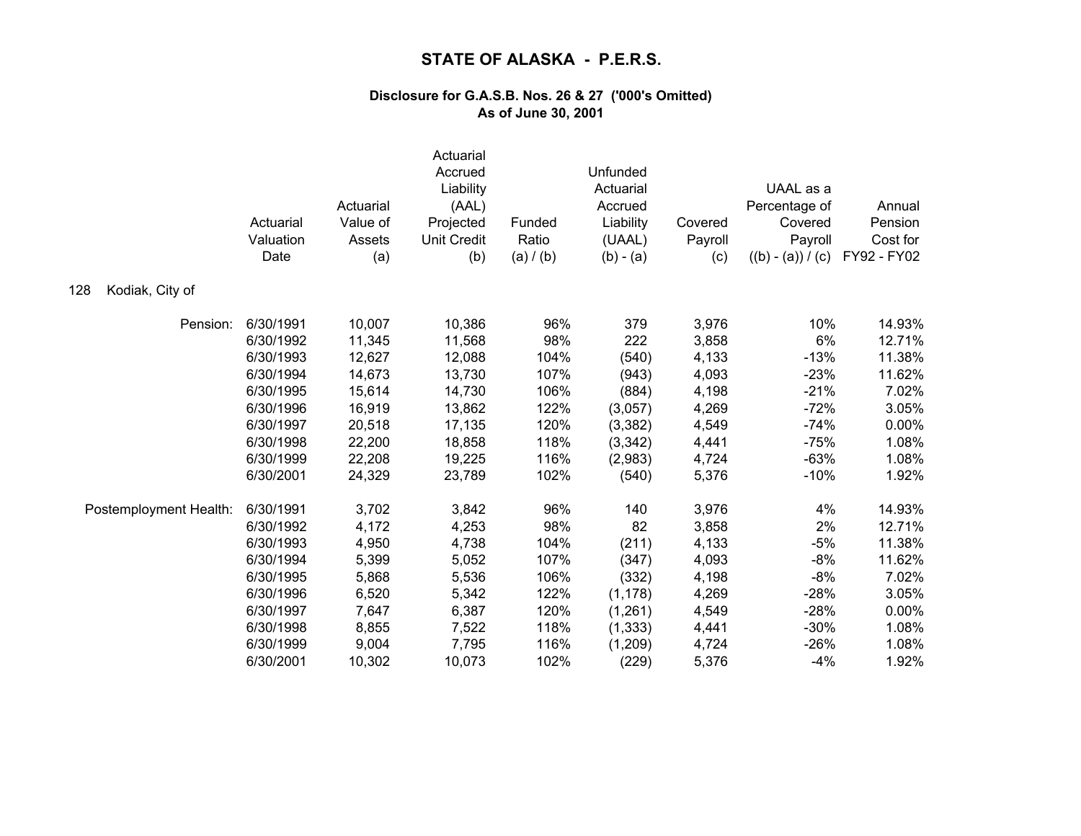|                        | Actuarial<br>Valuation<br>Date | Actuarial<br>Value of<br>Assets<br>(a) | Actuarial<br>Accrued<br>Liability<br>(AAL)<br>Projected<br><b>Unit Credit</b><br>(b) | Funded<br>Ratio<br>(a) / (b) | Unfunded<br>Actuarial<br>Accrued<br>Liability<br>(UAAL)<br>$(b) - (a)$ | Covered<br>Payroll<br>(c) | UAAL as a<br>Percentage of<br>Covered<br>Payroll<br>$((b) - (a)) / (c)$ | Annual<br>Pension<br>Cost for<br>FY92 - FY02 |
|------------------------|--------------------------------|----------------------------------------|--------------------------------------------------------------------------------------|------------------------------|------------------------------------------------------------------------|---------------------------|-------------------------------------------------------------------------|----------------------------------------------|
| Kodiak, City of<br>128 |                                |                                        |                                                                                      |                              |                                                                        |                           |                                                                         |                                              |
| Pension:               | 6/30/1991                      | 10,007                                 | 10,386                                                                               | 96%                          | 379                                                                    | 3,976                     | 10%                                                                     | 14.93%                                       |
|                        | 6/30/1992                      | 11,345                                 | 11,568                                                                               | 98%                          | 222                                                                    | 3,858                     | 6%                                                                      | 12.71%                                       |
|                        | 6/30/1993                      | 12,627                                 | 12,088                                                                               | 104%                         | (540)                                                                  | 4,133                     | $-13%$                                                                  | 11.38%                                       |
|                        | 6/30/1994                      | 14,673                                 | 13,730                                                                               | 107%                         | (943)                                                                  | 4,093                     | $-23%$                                                                  | 11.62%                                       |
|                        | 6/30/1995                      | 15,614                                 | 14,730                                                                               | 106%                         | (884)                                                                  | 4,198                     | $-21%$                                                                  | 7.02%                                        |
|                        | 6/30/1996                      | 16,919                                 | 13,862                                                                               | 122%                         | (3,057)                                                                | 4,269                     | $-72%$                                                                  | 3.05%                                        |
|                        | 6/30/1997                      | 20,518                                 | 17,135                                                                               | 120%                         | (3, 382)                                                               | 4,549                     | $-74%$                                                                  | 0.00%                                        |
|                        | 6/30/1998                      | 22,200                                 | 18,858                                                                               | 118%                         | (3,342)                                                                | 4,441                     | $-75%$                                                                  | 1.08%                                        |
|                        | 6/30/1999                      | 22,208                                 | 19,225                                                                               | 116%                         | (2,983)                                                                | 4,724                     | $-63%$                                                                  | 1.08%                                        |
|                        | 6/30/2001                      | 24,329                                 | 23,789                                                                               | 102%                         | (540)                                                                  | 5,376                     | $-10%$                                                                  | 1.92%                                        |
| Postemployment Health: | 6/30/1991                      | 3,702                                  | 3,842                                                                                | 96%                          | 140                                                                    | 3,976                     | 4%                                                                      | 14.93%                                       |
|                        | 6/30/1992                      | 4,172                                  | 4,253                                                                                | 98%                          | 82                                                                     | 3,858                     | 2%                                                                      | 12.71%                                       |
|                        | 6/30/1993                      | 4,950                                  | 4,738                                                                                | 104%                         | (211)                                                                  | 4,133                     | $-5%$                                                                   | 11.38%                                       |
|                        | 6/30/1994                      | 5,399                                  | 5,052                                                                                | 107%                         | (347)                                                                  | 4,093                     | $-8%$                                                                   | 11.62%                                       |
|                        | 6/30/1995                      | 5,868                                  | 5,536                                                                                | 106%                         | (332)                                                                  | 4,198                     | $-8%$                                                                   | 7.02%                                        |
|                        | 6/30/1996                      | 6,520                                  | 5,342                                                                                | 122%                         | (1, 178)                                                               | 4,269                     | $-28%$                                                                  | 3.05%                                        |
|                        | 6/30/1997                      | 7,647                                  | 6,387                                                                                | 120%                         | (1,261)                                                                | 4,549                     | $-28%$                                                                  | 0.00%                                        |
|                        | 6/30/1998                      | 8,855                                  | 7,522                                                                                | 118%                         | (1, 333)                                                               | 4,441                     | $-30%$                                                                  | 1.08%                                        |
|                        | 6/30/1999                      | 9,004                                  | 7,795                                                                                | 116%                         | (1,209)                                                                | 4,724                     | $-26%$                                                                  | 1.08%                                        |
|                        | 6/30/2001                      | 10,302                                 | 10,073                                                                               | 102%                         | (229)                                                                  | 5,376                     | $-4%$                                                                   | 1.92%                                        |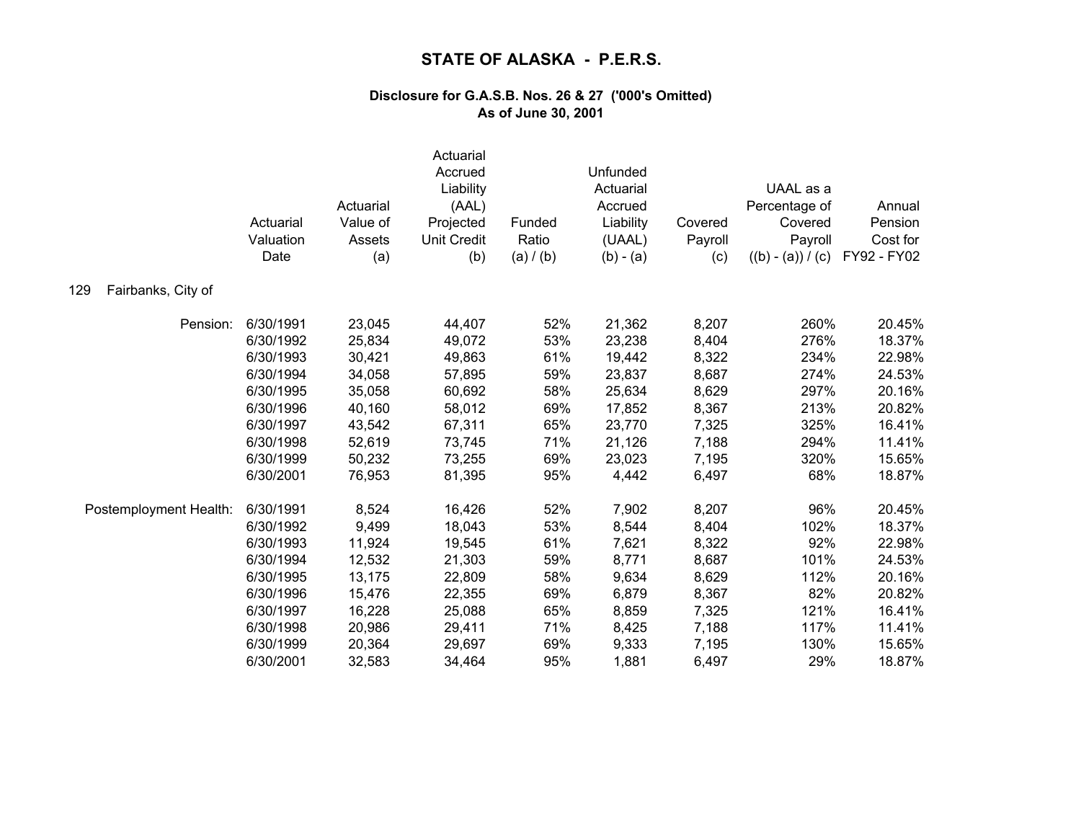|                           | Actuarial<br>Valuation<br>Date | Actuarial<br>Value of<br>Assets<br>(a) | Actuarial<br>Accrued<br>Liability<br>(AAL)<br>Projected<br><b>Unit Credit</b><br>(b) | Funded<br>Ratio<br>(a) / (b) | Unfunded<br>Actuarial<br>Accrued<br>Liability<br>(UAAL)<br>$(b) - (a)$ | Covered<br>Payroll<br>(c) | UAAL as a<br>Percentage of<br>Covered<br>Payroll<br>$((b) - (a)) / (c)$ | Annual<br>Pension<br>Cost for<br>FY92 - FY02 |
|---------------------------|--------------------------------|----------------------------------------|--------------------------------------------------------------------------------------|------------------------------|------------------------------------------------------------------------|---------------------------|-------------------------------------------------------------------------|----------------------------------------------|
| Fairbanks, City of<br>129 |                                |                                        |                                                                                      |                              |                                                                        |                           |                                                                         |                                              |
| Pension:                  | 6/30/1991                      | 23,045                                 | 44,407                                                                               | 52%                          | 21,362                                                                 | 8,207                     | 260%                                                                    | 20.45%                                       |
|                           | 6/30/1992                      | 25,834                                 | 49,072                                                                               | 53%                          | 23,238                                                                 | 8,404                     | 276%                                                                    | 18.37%                                       |
|                           | 6/30/1993                      | 30,421                                 | 49,863                                                                               | 61%                          | 19,442                                                                 | 8,322                     | 234%                                                                    | 22.98%                                       |
|                           | 6/30/1994                      | 34,058                                 | 57,895                                                                               | 59%                          | 23,837                                                                 | 8,687                     | 274%                                                                    | 24.53%                                       |
|                           | 6/30/1995                      | 35,058                                 | 60,692                                                                               | 58%                          | 25,634                                                                 | 8,629                     | 297%                                                                    | 20.16%                                       |
|                           | 6/30/1996                      | 40,160                                 | 58,012                                                                               | 69%                          | 17,852                                                                 | 8,367                     | 213%                                                                    | 20.82%                                       |
|                           | 6/30/1997                      | 43,542                                 | 67,311                                                                               | 65%                          | 23,770                                                                 | 7,325                     | 325%                                                                    | 16.41%                                       |
|                           | 6/30/1998                      | 52,619                                 | 73,745                                                                               | 71%                          | 21,126                                                                 | 7,188                     | 294%                                                                    | 11.41%                                       |
|                           | 6/30/1999                      | 50,232                                 | 73,255                                                                               | 69%                          | 23,023                                                                 | 7,195                     | 320%                                                                    | 15.65%                                       |
|                           | 6/30/2001                      | 76,953                                 | 81,395                                                                               | 95%                          | 4,442                                                                  | 6,497                     | 68%                                                                     | 18.87%                                       |
| Postemployment Health:    | 6/30/1991                      | 8,524                                  | 16,426                                                                               | 52%                          | 7,902                                                                  | 8,207                     | 96%                                                                     | 20.45%                                       |
|                           | 6/30/1992                      | 9,499                                  | 18,043                                                                               | 53%                          | 8,544                                                                  | 8,404                     | 102%                                                                    | 18.37%                                       |
|                           | 6/30/1993                      | 11,924                                 | 19,545                                                                               | 61%                          | 7,621                                                                  | 8,322                     | 92%                                                                     | 22.98%                                       |
|                           | 6/30/1994                      | 12,532                                 | 21,303                                                                               | 59%                          | 8,771                                                                  | 8,687                     | 101%                                                                    | 24.53%                                       |
|                           | 6/30/1995                      | 13,175                                 | 22,809                                                                               | 58%                          | 9,634                                                                  | 8,629                     | 112%                                                                    | 20.16%                                       |
|                           | 6/30/1996                      | 15,476                                 | 22,355                                                                               | 69%                          | 6,879                                                                  | 8,367                     | 82%                                                                     | 20.82%                                       |
|                           | 6/30/1997                      | 16,228                                 | 25,088                                                                               | 65%                          | 8,859                                                                  | 7,325                     | 121%                                                                    | 16.41%                                       |
|                           | 6/30/1998                      | 20,986                                 | 29,411                                                                               | 71%                          | 8,425                                                                  | 7,188                     | 117%                                                                    | 11.41%                                       |
|                           | 6/30/1999                      | 20,364                                 | 29,697                                                                               | 69%                          | 9,333                                                                  | 7,195                     | 130%                                                                    | 15.65%                                       |
|                           | 6/30/2001                      | 32,583                                 | 34,464                                                                               | 95%                          | 1,881                                                                  | 6,497                     | 29%                                                                     | 18.87%                                       |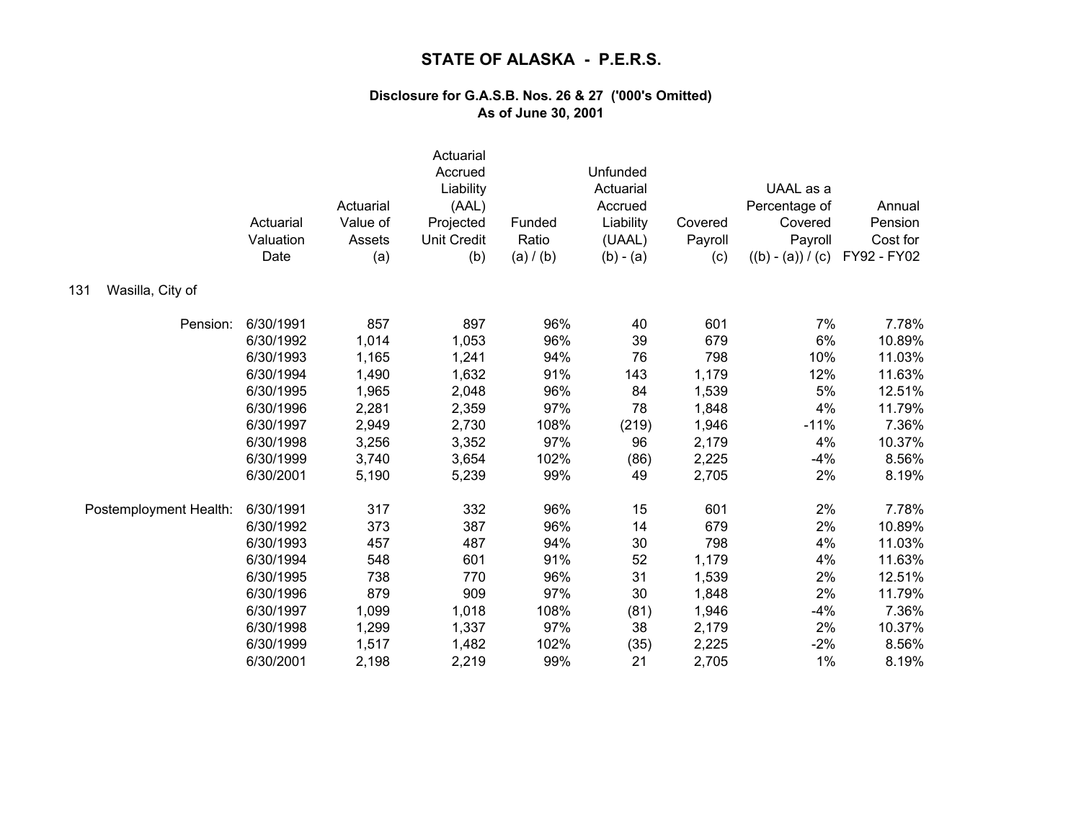|                         | Actuarial<br>Valuation<br>Date | Actuarial<br>Value of<br>Assets<br>(a) | Actuarial<br>Accrued<br>Liability<br>(AAL)<br>Projected<br><b>Unit Credit</b><br>(b) | Funded<br>Ratio<br>(a) / (b) | Unfunded<br>Actuarial<br>Accrued<br>Liability<br>(UAAL)<br>$(b) - (a)$ | Covered<br>Payroll<br>(c) | UAAL as a<br>Percentage of<br>Covered<br>Payroll<br>$((b) - (a)) / (c)$ | Annual<br>Pension<br>Cost for<br>FY92 - FY02 |
|-------------------------|--------------------------------|----------------------------------------|--------------------------------------------------------------------------------------|------------------------------|------------------------------------------------------------------------|---------------------------|-------------------------------------------------------------------------|----------------------------------------------|
| Wasilla, City of<br>131 |                                |                                        |                                                                                      |                              |                                                                        |                           |                                                                         |                                              |
| Pension:                | 6/30/1991                      | 857                                    | 897                                                                                  | 96%                          | 40                                                                     | 601                       | 7%                                                                      | 7.78%                                        |
|                         | 6/30/1992                      | 1,014                                  | 1,053                                                                                | 96%                          | 39                                                                     | 679                       | 6%                                                                      | 10.89%                                       |
|                         | 6/30/1993                      | 1,165                                  | 1,241                                                                                | 94%                          | 76                                                                     | 798                       | 10%                                                                     | 11.03%                                       |
|                         | 6/30/1994                      | 1,490                                  | 1,632                                                                                | 91%                          | 143                                                                    | 1,179                     | 12%                                                                     | 11.63%                                       |
|                         | 6/30/1995                      | 1,965                                  | 2,048                                                                                | 96%                          | 84                                                                     | 1,539                     | 5%                                                                      | 12.51%                                       |
|                         | 6/30/1996                      | 2,281                                  | 2,359                                                                                | 97%                          | 78                                                                     | 1,848                     | 4%                                                                      | 11.79%                                       |
|                         | 6/30/1997                      | 2,949                                  | 2,730                                                                                | 108%                         | (219)                                                                  | 1,946                     | $-11%$                                                                  | 7.36%                                        |
|                         | 6/30/1998                      | 3,256                                  | 3,352                                                                                | 97%                          | 96                                                                     | 2,179                     | 4%                                                                      | 10.37%                                       |
|                         | 6/30/1999                      | 3,740                                  | 3,654                                                                                | 102%                         | (86)                                                                   | 2,225                     | $-4%$                                                                   | 8.56%                                        |
|                         | 6/30/2001                      | 5,190                                  | 5,239                                                                                | 99%                          | 49                                                                     | 2,705                     | 2%                                                                      | 8.19%                                        |
| Postemployment Health:  | 6/30/1991                      | 317                                    | 332                                                                                  | 96%                          | 15                                                                     | 601                       | 2%                                                                      | 7.78%                                        |
|                         | 6/30/1992                      | 373                                    | 387                                                                                  | 96%                          | 14                                                                     | 679                       | 2%                                                                      | 10.89%                                       |
|                         | 6/30/1993                      | 457                                    | 487                                                                                  | 94%                          | 30                                                                     | 798                       | 4%                                                                      | 11.03%                                       |
|                         | 6/30/1994                      | 548                                    | 601                                                                                  | 91%                          | 52                                                                     | 1,179                     | 4%                                                                      | 11.63%                                       |
|                         | 6/30/1995                      | 738                                    | 770                                                                                  | 96%                          | 31                                                                     | 1,539                     | 2%                                                                      | 12.51%                                       |
|                         | 6/30/1996                      | 879                                    | 909                                                                                  | 97%                          | 30                                                                     | 1,848                     | 2%                                                                      | 11.79%                                       |
|                         | 6/30/1997                      | 1,099                                  | 1,018                                                                                | 108%                         | (81)                                                                   | 1,946                     | $-4%$                                                                   | 7.36%                                        |
|                         | 6/30/1998                      | 1,299                                  | 1,337                                                                                | 97%                          | 38                                                                     | 2,179                     | 2%                                                                      | 10.37%                                       |
|                         | 6/30/1999                      | 1,517                                  | 1,482                                                                                | 102%                         | (35)                                                                   | 2,225                     | $-2%$                                                                   | 8.56%                                        |
|                         | 6/30/2001                      | 2,198                                  | 2,219                                                                                | 99%                          | 21                                                                     | 2,705                     | 1%                                                                      | 8.19%                                        |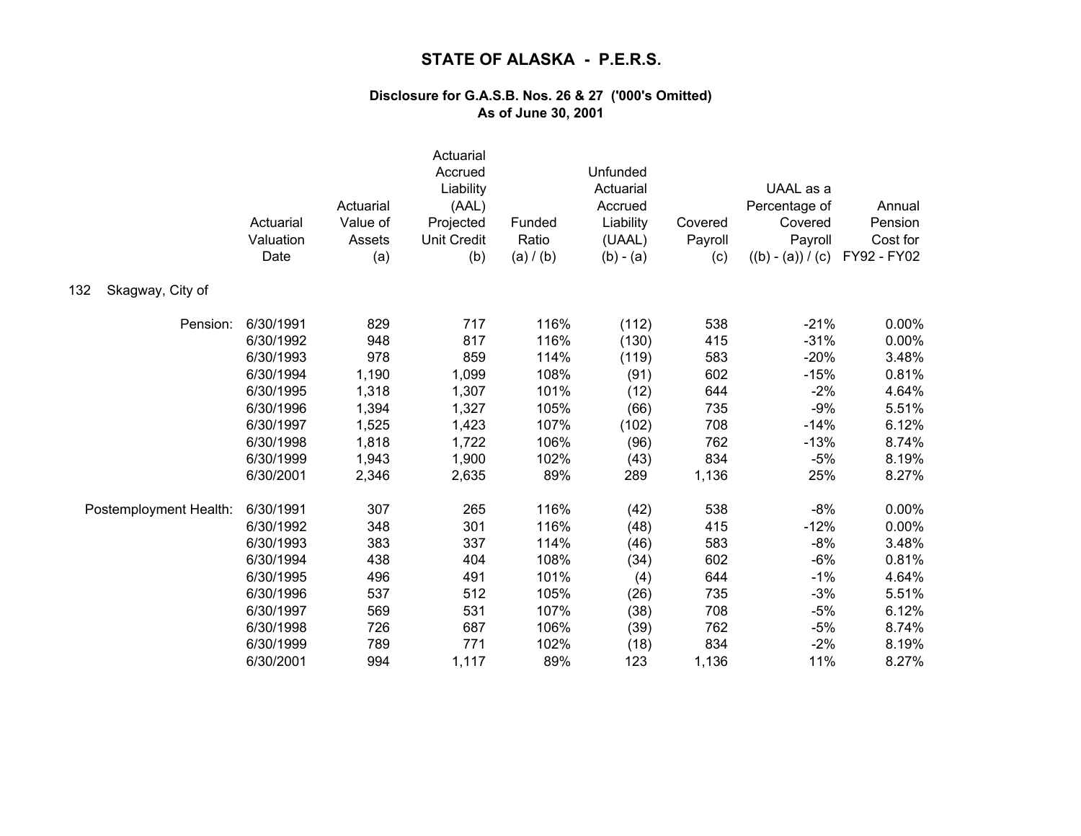|                         | Actuarial<br>Valuation<br>Date | Actuarial<br>Value of<br>Assets<br>(a) | Actuarial<br>Accrued<br>Liability<br>(AAL)<br>Projected<br><b>Unit Credit</b><br>(b) | Funded<br>Ratio<br>(a) / (b) | Unfunded<br>Actuarial<br>Accrued<br>Liability<br>(UAAL)<br>$(b) - (a)$ | Covered<br>Payroll<br>(c) | UAAL as a<br>Percentage of<br>Covered<br>Payroll<br>$((b) - (a)) / (c)$ | Annual<br>Pension<br>Cost for<br>FY92 - FY02 |
|-------------------------|--------------------------------|----------------------------------------|--------------------------------------------------------------------------------------|------------------------------|------------------------------------------------------------------------|---------------------------|-------------------------------------------------------------------------|----------------------------------------------|
| 132<br>Skagway, City of |                                |                                        |                                                                                      |                              |                                                                        |                           |                                                                         |                                              |
| Pension:                | 6/30/1991                      | 829                                    | 717                                                                                  | 116%                         | (112)                                                                  | 538                       | $-21%$                                                                  | 0.00%                                        |
|                         | 6/30/1992                      | 948                                    | 817                                                                                  | 116%                         | (130)                                                                  | 415                       | $-31%$                                                                  | 0.00%                                        |
|                         | 6/30/1993                      | 978                                    | 859                                                                                  | 114%                         | (119)                                                                  | 583                       | $-20%$                                                                  | 3.48%                                        |
|                         | 6/30/1994                      | 1,190                                  | 1,099                                                                                | 108%                         | (91)                                                                   | 602                       | $-15%$                                                                  | 0.81%                                        |
|                         | 6/30/1995                      | 1,318                                  | 1,307                                                                                | 101%                         | (12)                                                                   | 644                       | $-2%$                                                                   | 4.64%                                        |
|                         | 6/30/1996                      | 1,394                                  | 1,327                                                                                | 105%                         | (66)                                                                   | 735                       | $-9%$                                                                   | 5.51%                                        |
|                         | 6/30/1997                      | 1,525                                  | 1,423                                                                                | 107%                         | (102)                                                                  | 708                       | $-14%$                                                                  | 6.12%                                        |
|                         | 6/30/1998                      | 1,818                                  | 1,722                                                                                | 106%                         | (96)                                                                   | 762                       | $-13%$                                                                  | 8.74%                                        |
|                         | 6/30/1999                      | 1,943                                  | 1,900                                                                                | 102%                         | (43)                                                                   | 834                       | $-5%$                                                                   | 8.19%                                        |
|                         | 6/30/2001                      | 2,346                                  | 2,635                                                                                | 89%                          | 289                                                                    | 1,136                     | 25%                                                                     | 8.27%                                        |
| Postemployment Health:  | 6/30/1991                      | 307                                    | 265                                                                                  | 116%                         | (42)                                                                   | 538                       | $-8%$                                                                   | 0.00%                                        |
|                         | 6/30/1992                      | 348                                    | 301                                                                                  | 116%                         | (48)                                                                   | 415                       | $-12%$                                                                  | 0.00%                                        |
|                         | 6/30/1993                      | 383                                    | 337                                                                                  | 114%                         | (46)                                                                   | 583                       | $-8%$                                                                   | 3.48%                                        |
|                         | 6/30/1994                      | 438                                    | 404                                                                                  | 108%                         | (34)                                                                   | 602                       | $-6%$                                                                   | 0.81%                                        |
|                         | 6/30/1995                      | 496                                    | 491                                                                                  | 101%                         | (4)                                                                    | 644                       | $-1%$                                                                   | 4.64%                                        |
|                         | 6/30/1996                      | 537                                    | 512                                                                                  | 105%                         | (26)                                                                   | 735                       | $-3%$                                                                   | 5.51%                                        |
|                         | 6/30/1997                      | 569                                    | 531                                                                                  | 107%                         | (38)                                                                   | 708                       | $-5%$                                                                   | 6.12%                                        |
|                         | 6/30/1998                      | 726                                    | 687                                                                                  | 106%                         | (39)                                                                   | 762                       | $-5%$                                                                   | 8.74%                                        |
|                         | 6/30/1999                      | 789                                    | 771                                                                                  | 102%                         | (18)                                                                   | 834                       | $-2%$                                                                   | 8.19%                                        |
|                         | 6/30/2001                      | 994                                    | 1,117                                                                                | 89%                          | 123                                                                    | 1,136                     | 11%                                                                     | 8.27%                                        |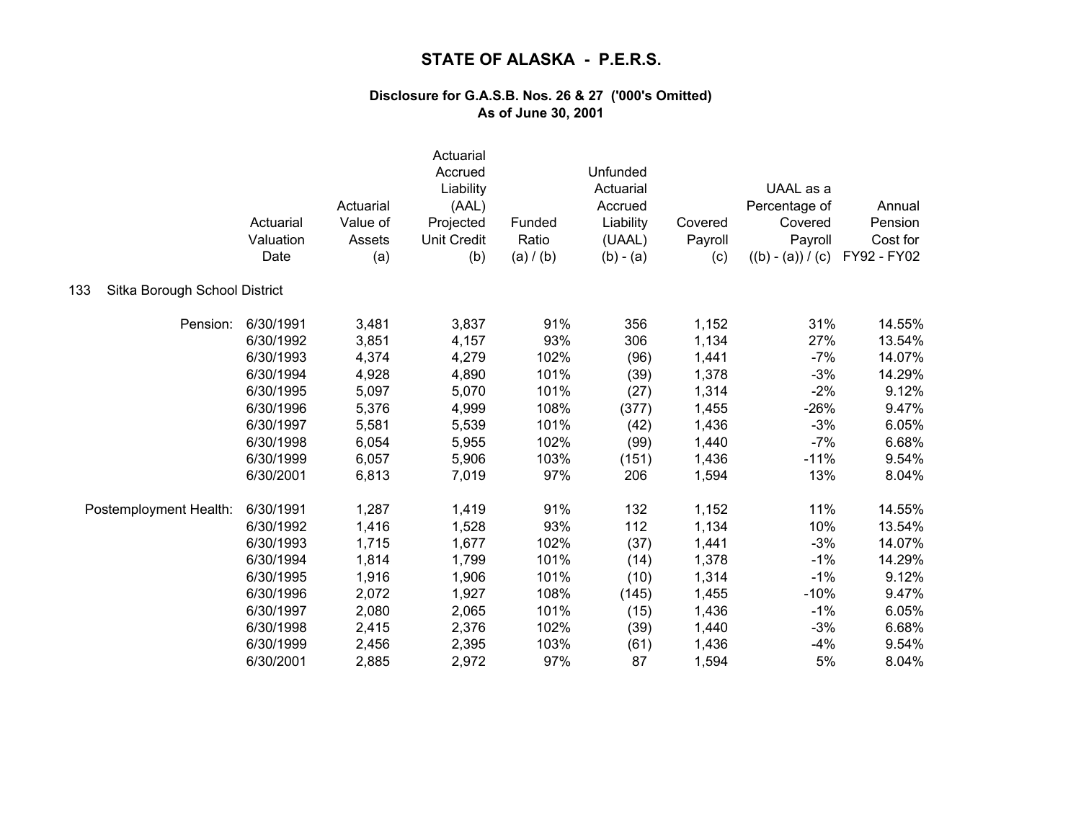|                                      | Actuarial<br>Valuation<br>Date | Actuarial<br>Value of<br>Assets<br>(a) | Actuarial<br>Accrued<br>Liability<br>(AAL)<br>Projected<br><b>Unit Credit</b><br>(b) | Funded<br>Ratio<br>(a) / (b) | Unfunded<br>Actuarial<br>Accrued<br>Liability<br>(UAAL)<br>$(b) - (a)$ | Covered<br>Payroll<br>(c) | UAAL as a<br>Percentage of<br>Covered<br>Payroll<br>$((b) - (a)) / (c)$ | Annual<br>Pension<br>Cost for<br>FY92 - FY02 |
|--------------------------------------|--------------------------------|----------------------------------------|--------------------------------------------------------------------------------------|------------------------------|------------------------------------------------------------------------|---------------------------|-------------------------------------------------------------------------|----------------------------------------------|
| 133<br>Sitka Borough School District |                                |                                        |                                                                                      |                              |                                                                        |                           |                                                                         |                                              |
| Pension:                             | 6/30/1991                      | 3,481                                  | 3,837                                                                                | 91%                          | 356                                                                    | 1,152                     | 31%                                                                     | 14.55%                                       |
|                                      | 6/30/1992                      | 3,851                                  | 4,157                                                                                | 93%                          | 306                                                                    | 1,134                     | 27%                                                                     | 13.54%                                       |
|                                      | 6/30/1993                      | 4,374                                  | 4,279                                                                                | 102%                         | (96)                                                                   | 1,441                     | $-7%$                                                                   | 14.07%                                       |
|                                      | 6/30/1994                      | 4,928                                  | 4,890                                                                                | 101%                         | (39)                                                                   | 1,378                     | $-3%$                                                                   | 14.29%                                       |
|                                      | 6/30/1995                      | 5,097                                  | 5,070                                                                                | 101%                         | (27)                                                                   | 1,314                     | $-2%$                                                                   | 9.12%                                        |
|                                      | 6/30/1996                      | 5,376                                  | 4,999                                                                                | 108%                         | (377)                                                                  | 1,455                     | $-26%$                                                                  | 9.47%                                        |
|                                      | 6/30/1997                      | 5,581                                  | 5,539                                                                                | 101%                         | (42)                                                                   | 1,436                     | $-3%$                                                                   | 6.05%                                        |
|                                      | 6/30/1998                      | 6,054                                  | 5,955                                                                                | 102%                         | (99)                                                                   | 1,440                     | $-7%$                                                                   | 6.68%                                        |
|                                      | 6/30/1999                      | 6,057                                  | 5,906                                                                                | 103%                         | (151)                                                                  | 1,436                     | $-11%$                                                                  | 9.54%                                        |
|                                      | 6/30/2001                      | 6,813                                  | 7,019                                                                                | 97%                          | 206                                                                    | 1,594                     | 13%                                                                     | 8.04%                                        |
| Postemployment Health:               | 6/30/1991                      | 1,287                                  | 1,419                                                                                | 91%                          | 132                                                                    | 1,152                     | 11%                                                                     | 14.55%                                       |
|                                      | 6/30/1992                      | 1,416                                  | 1,528                                                                                | 93%                          | 112                                                                    | 1,134                     | 10%                                                                     | 13.54%                                       |
|                                      | 6/30/1993                      | 1,715                                  | 1,677                                                                                | 102%                         | (37)                                                                   | 1,441                     | $-3%$                                                                   | 14.07%                                       |
|                                      | 6/30/1994                      | 1,814                                  | 1,799                                                                                | 101%                         | (14)                                                                   | 1,378                     | $-1%$                                                                   | 14.29%                                       |
|                                      | 6/30/1995                      | 1,916                                  | 1,906                                                                                | 101%                         | (10)                                                                   | 1,314                     | $-1%$                                                                   | 9.12%                                        |
|                                      | 6/30/1996                      | 2,072                                  | 1,927                                                                                | 108%                         | (145)                                                                  | 1,455                     | $-10%$                                                                  | 9.47%                                        |
|                                      | 6/30/1997                      | 2,080                                  | 2,065                                                                                | 101%                         | (15)                                                                   | 1,436                     | $-1%$                                                                   | 6.05%                                        |
|                                      | 6/30/1998                      | 2,415                                  | 2,376                                                                                | 102%                         | (39)                                                                   | 1,440                     | $-3%$                                                                   | 6.68%                                        |
|                                      | 6/30/1999                      | 2,456                                  | 2,395                                                                                | 103%                         | (61)                                                                   | 1,436                     | $-4%$                                                                   | 9.54%                                        |
|                                      | 6/30/2001                      | 2,885                                  | 2,972                                                                                | 97%                          | 87                                                                     | 1,594                     | 5%                                                                      | 8.04%                                        |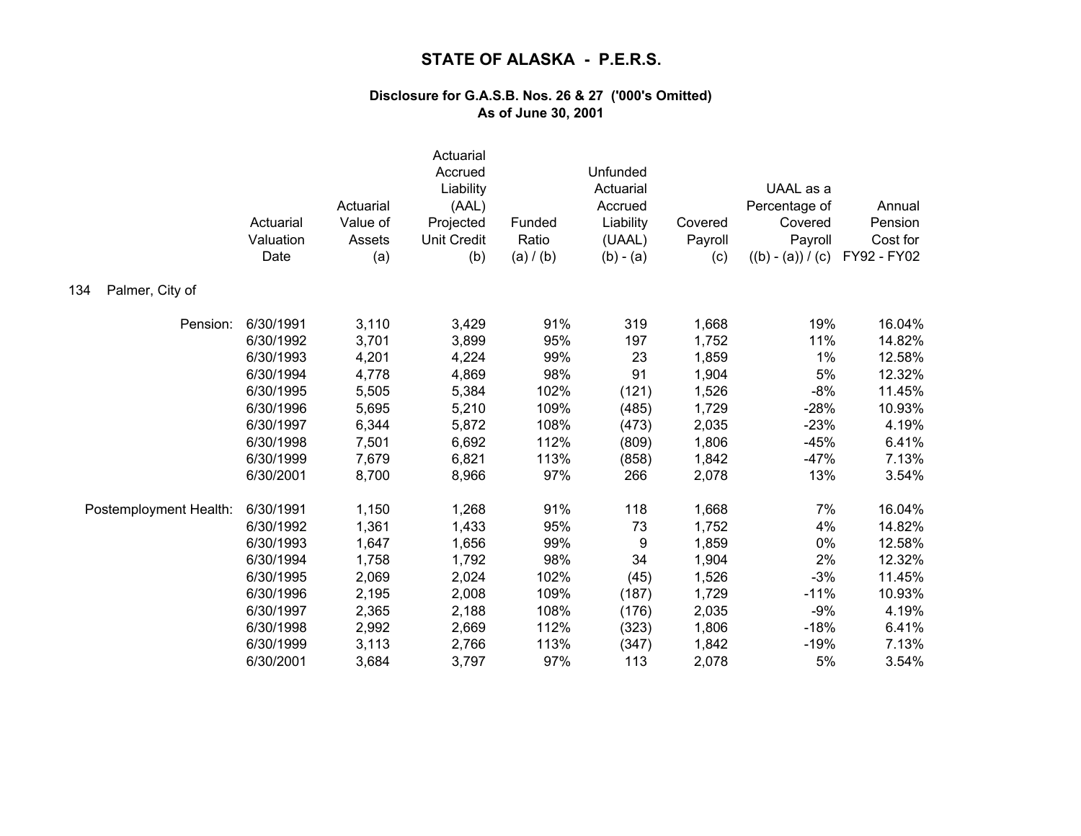|                        | Actuarial<br>Valuation<br>Date | Actuarial<br>Value of<br>Assets<br>(a) | Actuarial<br>Accrued<br>Liability<br>(AAL)<br>Projected<br><b>Unit Credit</b><br>(b) | Funded<br>Ratio<br>(a) / (b) | Unfunded<br>Actuarial<br>Accrued<br>Liability<br>(UAAL)<br>$(b) - (a)$ | Covered<br>Payroll<br>(c) | UAAL as a<br>Percentage of<br>Covered<br>Payroll<br>$((b) - (a)) / (c)$ | Annual<br>Pension<br>Cost for<br>FY92 - FY02 |
|------------------------|--------------------------------|----------------------------------------|--------------------------------------------------------------------------------------|------------------------------|------------------------------------------------------------------------|---------------------------|-------------------------------------------------------------------------|----------------------------------------------|
| Palmer, City of<br>134 |                                |                                        |                                                                                      |                              |                                                                        |                           |                                                                         |                                              |
| Pension:               | 6/30/1991                      | 3,110                                  | 3,429                                                                                | 91%                          | 319                                                                    | 1,668                     | 19%                                                                     | 16.04%                                       |
|                        | 6/30/1992                      | 3,701                                  | 3,899                                                                                | 95%                          | 197                                                                    | 1,752                     | 11%                                                                     | 14.82%                                       |
|                        | 6/30/1993                      | 4,201                                  | 4,224                                                                                | 99%                          | 23                                                                     | 1,859                     | 1%                                                                      | 12.58%                                       |
|                        | 6/30/1994                      | 4,778                                  | 4,869                                                                                | 98%                          | 91                                                                     | 1,904                     | 5%                                                                      | 12.32%                                       |
|                        | 6/30/1995                      | 5,505                                  | 5,384                                                                                | 102%                         | (121)                                                                  | 1,526                     | $-8%$                                                                   | 11.45%                                       |
|                        | 6/30/1996                      | 5,695                                  | 5,210                                                                                | 109%                         | (485)                                                                  | 1,729                     | $-28%$                                                                  | 10.93%                                       |
|                        | 6/30/1997                      | 6,344                                  | 5,872                                                                                | 108%                         | (473)                                                                  | 2,035                     | $-23%$                                                                  | 4.19%                                        |
|                        | 6/30/1998                      | 7,501                                  | 6,692                                                                                | 112%                         | (809)                                                                  | 1,806                     | $-45%$                                                                  | 6.41%                                        |
|                        | 6/30/1999                      | 7,679                                  | 6,821                                                                                | 113%                         | (858)                                                                  | 1,842                     | $-47%$                                                                  | 7.13%                                        |
|                        | 6/30/2001                      | 8,700                                  | 8,966                                                                                | 97%                          | 266                                                                    | 2,078                     | 13%                                                                     | 3.54%                                        |
| Postemployment Health: | 6/30/1991                      | 1,150                                  | 1,268                                                                                | 91%                          | 118                                                                    | 1,668                     | 7%                                                                      | 16.04%                                       |
|                        | 6/30/1992                      | 1,361                                  | 1,433                                                                                | 95%                          | 73                                                                     | 1,752                     | 4%                                                                      | 14.82%                                       |
|                        | 6/30/1993                      | 1,647                                  | 1,656                                                                                | 99%                          | 9                                                                      | 1,859                     | 0%                                                                      | 12.58%                                       |
|                        | 6/30/1994                      | 1,758                                  | 1,792                                                                                | 98%                          | 34                                                                     | 1,904                     | 2%                                                                      | 12.32%                                       |
|                        | 6/30/1995                      | 2,069                                  | 2,024                                                                                | 102%                         | (45)                                                                   | 1,526                     | $-3%$                                                                   | 11.45%                                       |
|                        | 6/30/1996                      | 2,195                                  | 2,008                                                                                | 109%                         | (187)                                                                  | 1,729                     | $-11%$                                                                  | 10.93%                                       |
|                        | 6/30/1997                      | 2,365                                  | 2,188                                                                                | 108%                         | (176)                                                                  | 2,035                     | $-9%$                                                                   | 4.19%                                        |
|                        | 6/30/1998                      | 2,992                                  | 2,669                                                                                | 112%                         | (323)                                                                  | 1,806                     | $-18%$                                                                  | 6.41%                                        |
|                        | 6/30/1999                      | 3,113                                  | 2,766                                                                                | 113%                         | (347)                                                                  | 1,842                     | $-19%$                                                                  | 7.13%                                        |
|                        | 6/30/2001                      | 3,684                                  | 3,797                                                                                | 97%                          | 113                                                                    | 2,078                     | 5%                                                                      | 3.54%                                        |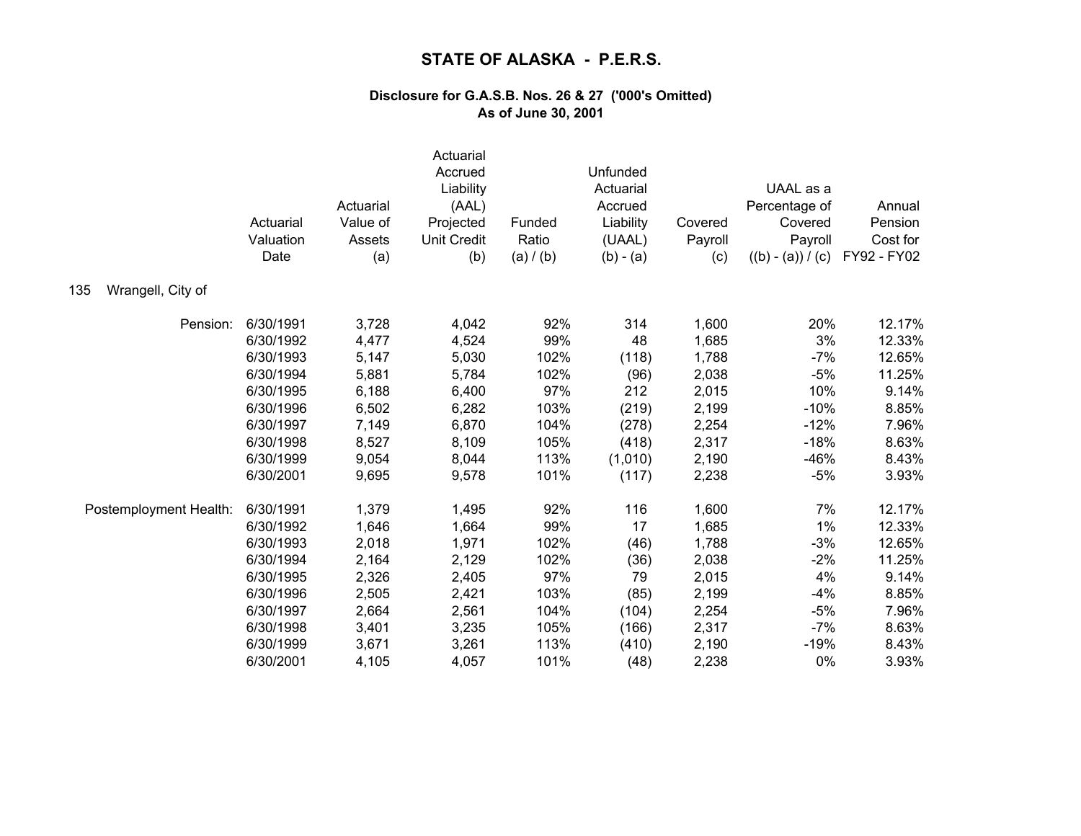|                          | Actuarial<br>Valuation<br>Date | Actuarial<br>Value of<br>Assets<br>(a) | Actuarial<br>Accrued<br>Liability<br>(AAL)<br>Projected<br><b>Unit Credit</b><br>(b) | Funded<br>Ratio<br>(a) / (b) | Unfunded<br>Actuarial<br>Accrued<br>Liability<br>(UAAL)<br>$(b) - (a)$ | Covered<br>Payroll<br>(c) | UAAL as a<br>Percentage of<br>Covered<br>Payroll<br>$((b) - (a)) / (c)$ | Annual<br>Pension<br>Cost for<br>FY92 - FY02 |
|--------------------------|--------------------------------|----------------------------------------|--------------------------------------------------------------------------------------|------------------------------|------------------------------------------------------------------------|---------------------------|-------------------------------------------------------------------------|----------------------------------------------|
| Wrangell, City of<br>135 |                                |                                        |                                                                                      |                              |                                                                        |                           |                                                                         |                                              |
| Pension:                 | 6/30/1991                      | 3,728                                  | 4,042                                                                                | 92%                          | 314                                                                    | 1,600                     | 20%                                                                     | 12.17%                                       |
|                          | 6/30/1992                      | 4,477                                  | 4,524                                                                                | 99%                          | 48                                                                     | 1,685                     | 3%                                                                      | 12.33%                                       |
|                          | 6/30/1993                      | 5,147                                  | 5,030                                                                                | 102%                         | (118)                                                                  | 1,788                     | $-7%$                                                                   | 12.65%                                       |
|                          | 6/30/1994                      | 5,881                                  | 5,784                                                                                | 102%                         | (96)                                                                   | 2,038                     | $-5%$                                                                   | 11.25%                                       |
|                          | 6/30/1995                      | 6,188                                  | 6,400                                                                                | 97%                          | 212                                                                    | 2,015                     | 10%                                                                     | 9.14%                                        |
|                          | 6/30/1996                      | 6,502                                  | 6,282                                                                                | 103%                         | (219)                                                                  | 2,199                     | $-10%$                                                                  | 8.85%                                        |
|                          | 6/30/1997                      | 7,149                                  | 6,870                                                                                | 104%                         | (278)                                                                  | 2,254                     | $-12%$                                                                  | 7.96%                                        |
|                          | 6/30/1998                      | 8,527                                  | 8,109                                                                                | 105%                         | (418)                                                                  | 2,317                     | $-18%$                                                                  | 8.63%                                        |
|                          | 6/30/1999                      | 9,054                                  | 8,044                                                                                | 113%                         | (1,010)                                                                | 2,190                     | $-46%$                                                                  | 8.43%                                        |
|                          | 6/30/2001                      | 9,695                                  | 9,578                                                                                | 101%                         | (117)                                                                  | 2,238                     | $-5%$                                                                   | 3.93%                                        |
| Postemployment Health:   | 6/30/1991                      | 1,379                                  | 1,495                                                                                | 92%                          | 116                                                                    | 1,600                     | 7%                                                                      | 12.17%                                       |
|                          | 6/30/1992                      | 1,646                                  | 1,664                                                                                | 99%                          | 17                                                                     | 1,685                     | 1%                                                                      | 12.33%                                       |
|                          | 6/30/1993                      | 2,018                                  | 1,971                                                                                | 102%                         | (46)                                                                   | 1,788                     | $-3%$                                                                   | 12.65%                                       |
|                          | 6/30/1994                      | 2,164                                  | 2,129                                                                                | 102%                         | (36)                                                                   | 2,038                     | $-2%$                                                                   | 11.25%                                       |
|                          | 6/30/1995                      | 2,326                                  | 2,405                                                                                | 97%                          | 79                                                                     | 2,015                     | 4%                                                                      | 9.14%                                        |
|                          | 6/30/1996                      | 2,505                                  | 2,421                                                                                | 103%                         | (85)                                                                   | 2,199                     | $-4%$                                                                   | 8.85%                                        |
|                          | 6/30/1997                      | 2,664                                  | 2,561                                                                                | 104%                         | (104)                                                                  | 2,254                     | $-5%$                                                                   | 7.96%                                        |
|                          | 6/30/1998                      | 3,401                                  | 3,235                                                                                | 105%                         | (166)                                                                  | 2,317                     | $-7%$                                                                   | 8.63%                                        |
|                          | 6/30/1999                      | 3,671                                  | 3,261                                                                                | 113%                         | (410)                                                                  | 2,190                     | $-19%$                                                                  | 8.43%                                        |
|                          | 6/30/2001                      | 4,105                                  | 4,057                                                                                | 101%                         | (48)                                                                   | 2,238                     | 0%                                                                      | 3.93%                                        |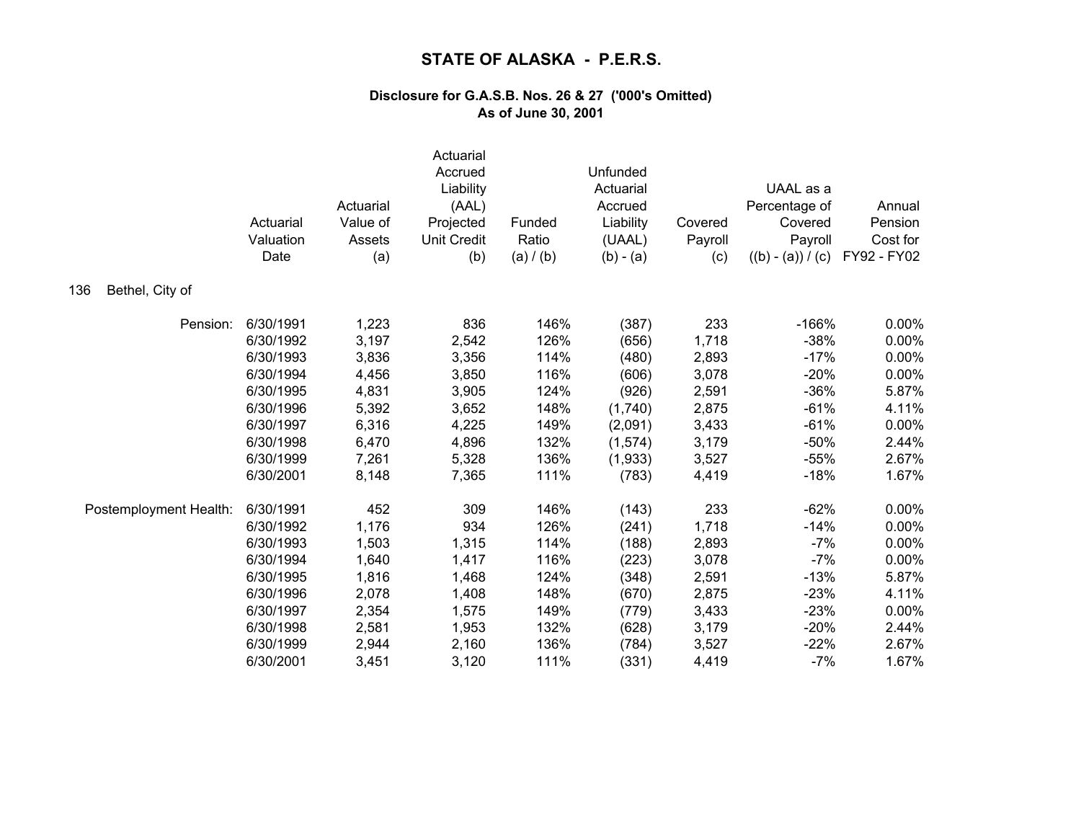|                        | Actuarial<br>Valuation<br>Date | Actuarial<br>Value of<br>Assets<br>(a) | Actuarial<br>Accrued<br>Liability<br>(AAL)<br>Projected<br><b>Unit Credit</b><br>(b) | Funded<br>Ratio<br>(a) / (b) | Unfunded<br>Actuarial<br>Accrued<br>Liability<br>(UAAL)<br>$(b) - (a)$ | Covered<br>Payroll<br>(c) | UAAL as a<br>Percentage of<br>Covered<br>Payroll<br>$((b) - (a)) / (c)$ | Annual<br>Pension<br>Cost for<br>FY92 - FY02 |
|------------------------|--------------------------------|----------------------------------------|--------------------------------------------------------------------------------------|------------------------------|------------------------------------------------------------------------|---------------------------|-------------------------------------------------------------------------|----------------------------------------------|
| Bethel, City of<br>136 |                                |                                        |                                                                                      |                              |                                                                        |                           |                                                                         |                                              |
| Pension:               | 6/30/1991                      | 1,223                                  | 836                                                                                  | 146%                         | (387)                                                                  | 233                       | $-166%$                                                                 | 0.00%                                        |
|                        | 6/30/1992                      | 3,197                                  | 2,542                                                                                | 126%                         | (656)                                                                  | 1,718                     | $-38%$                                                                  | 0.00%                                        |
|                        | 6/30/1993                      | 3,836                                  | 3,356                                                                                | 114%                         | (480)                                                                  | 2,893                     | $-17%$                                                                  | 0.00%                                        |
|                        | 6/30/1994                      | 4,456                                  | 3,850                                                                                | 116%                         | (606)                                                                  | 3,078                     | $-20%$                                                                  | 0.00%                                        |
|                        | 6/30/1995                      | 4,831                                  | 3,905                                                                                | 124%                         | (926)                                                                  | 2,591                     | $-36%$                                                                  | 5.87%                                        |
|                        | 6/30/1996                      | 5,392                                  | 3,652                                                                                | 148%                         | (1,740)                                                                | 2,875                     | $-61%$                                                                  | 4.11%                                        |
|                        | 6/30/1997                      | 6,316                                  | 4,225                                                                                | 149%                         | (2,091)                                                                | 3,433                     | $-61%$                                                                  | 0.00%                                        |
|                        | 6/30/1998                      | 6,470                                  | 4,896                                                                                | 132%                         | (1, 574)                                                               | 3,179                     | $-50%$                                                                  | 2.44%                                        |
|                        | 6/30/1999                      | 7,261                                  | 5,328                                                                                | 136%                         | (1,933)                                                                | 3,527                     | $-55%$                                                                  | 2.67%                                        |
|                        | 6/30/2001                      | 8,148                                  | 7,365                                                                                | 111%                         | (783)                                                                  | 4,419                     | $-18%$                                                                  | 1.67%                                        |
| Postemployment Health: | 6/30/1991                      | 452                                    | 309                                                                                  | 146%                         | (143)                                                                  | 233                       | $-62%$                                                                  | 0.00%                                        |
|                        | 6/30/1992                      | 1,176                                  | 934                                                                                  | 126%                         | (241)                                                                  | 1,718                     | $-14%$                                                                  | 0.00%                                        |
|                        | 6/30/1993                      | 1,503                                  | 1,315                                                                                | 114%                         | (188)                                                                  | 2,893                     | $-7%$                                                                   | 0.00%                                        |
|                        | 6/30/1994                      | 1,640                                  | 1,417                                                                                | 116%                         | (223)                                                                  | 3,078                     | $-7%$                                                                   | 0.00%                                        |
|                        | 6/30/1995                      | 1,816                                  | 1,468                                                                                | 124%                         | (348)                                                                  | 2,591                     | $-13%$                                                                  | 5.87%                                        |
|                        | 6/30/1996                      | 2,078                                  | 1,408                                                                                | 148%                         | (670)                                                                  | 2,875                     | $-23%$                                                                  | 4.11%                                        |
|                        | 6/30/1997                      | 2,354                                  | 1,575                                                                                | 149%                         | (779)                                                                  | 3,433                     | $-23%$                                                                  | 0.00%                                        |
|                        | 6/30/1998                      | 2,581                                  | 1,953                                                                                | 132%                         | (628)                                                                  | 3,179                     | $-20%$                                                                  | 2.44%                                        |
|                        | 6/30/1999                      | 2,944                                  | 2,160                                                                                | 136%                         | (784)                                                                  | 3,527                     | $-22%$                                                                  | 2.67%                                        |
|                        | 6/30/2001                      | 3,451                                  | 3,120                                                                                | 111%                         | (331)                                                                  | 4,419                     | $-7%$                                                                   | 1.67%                                        |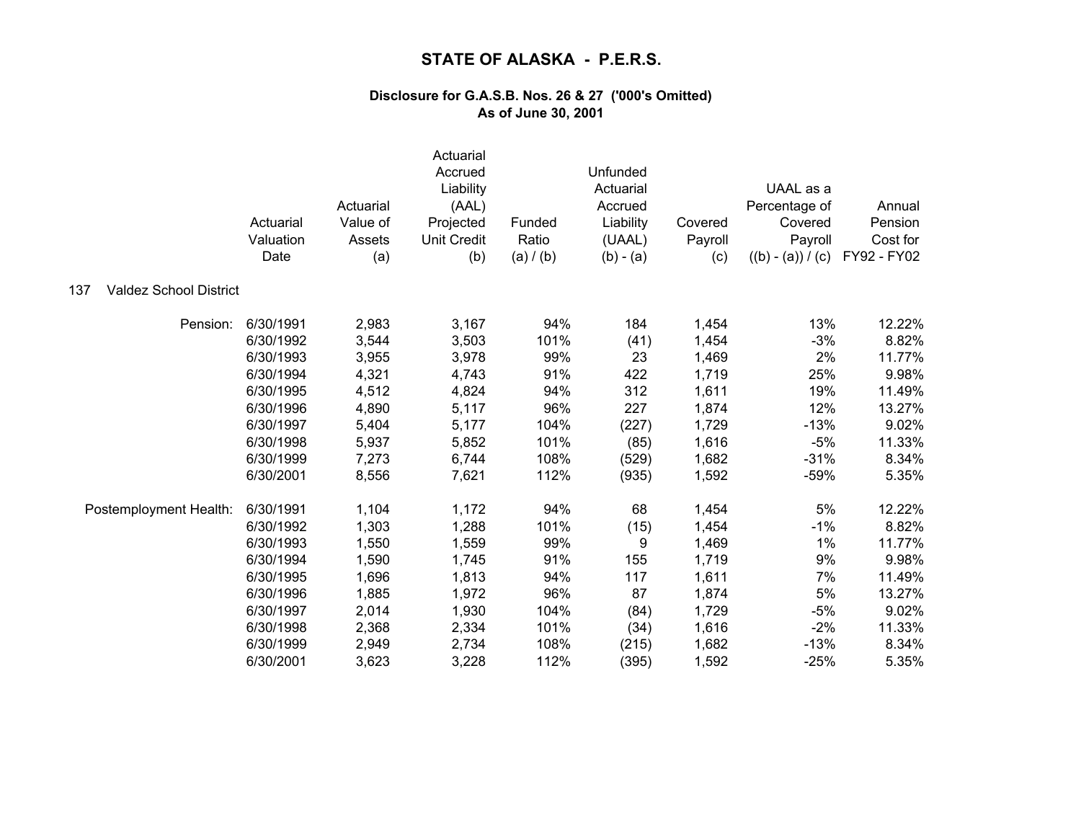|                                      | Actuarial<br>Valuation<br>Date | Actuarial<br>Value of<br>Assets<br>(a) | Actuarial<br>Accrued<br>Liability<br>(AAL)<br>Projected<br><b>Unit Credit</b><br>(b) | Funded<br>Ratio<br>(a) / (b) | Unfunded<br>Actuarial<br>Accrued<br>Liability<br>(UAAL)<br>$(b) - (a)$ | Covered<br>Payroll<br>(c) | UAAL as a<br>Percentage of<br>Covered<br>Payroll<br>$((b) - (a)) / (c)$ | Annual<br>Pension<br>Cost for<br>FY92 - FY02 |
|--------------------------------------|--------------------------------|----------------------------------------|--------------------------------------------------------------------------------------|------------------------------|------------------------------------------------------------------------|---------------------------|-------------------------------------------------------------------------|----------------------------------------------|
| <b>Valdez School District</b><br>137 |                                |                                        |                                                                                      |                              |                                                                        |                           |                                                                         |                                              |
| Pension:                             | 6/30/1991                      | 2,983                                  | 3,167                                                                                | 94%                          | 184                                                                    | 1,454                     | 13%                                                                     | 12.22%                                       |
|                                      | 6/30/1992                      | 3,544                                  | 3,503                                                                                | 101%                         | (41)                                                                   | 1,454                     | $-3%$                                                                   | 8.82%                                        |
|                                      | 6/30/1993                      | 3,955                                  | 3,978                                                                                | 99%                          | 23                                                                     | 1,469                     | 2%                                                                      | 11.77%                                       |
|                                      | 6/30/1994                      | 4,321                                  | 4,743                                                                                | 91%                          | 422                                                                    | 1,719                     | 25%                                                                     | 9.98%                                        |
|                                      | 6/30/1995                      | 4,512                                  | 4,824                                                                                | 94%                          | 312                                                                    | 1,611                     | 19%                                                                     | 11.49%                                       |
|                                      | 6/30/1996                      | 4,890                                  | 5,117                                                                                | 96%                          | 227                                                                    | 1,874                     | 12%                                                                     | 13.27%                                       |
|                                      | 6/30/1997                      | 5,404                                  | 5,177                                                                                | 104%                         | (227)                                                                  | 1,729                     | $-13%$                                                                  | 9.02%                                        |
|                                      | 6/30/1998                      | 5,937                                  | 5,852                                                                                | 101%                         | (85)                                                                   | 1,616                     | $-5%$                                                                   | 11.33%                                       |
|                                      | 6/30/1999                      | 7,273                                  | 6,744                                                                                | 108%                         | (529)                                                                  | 1,682                     | $-31%$                                                                  | 8.34%                                        |
|                                      | 6/30/2001                      | 8,556                                  | 7,621                                                                                | 112%                         | (935)                                                                  | 1,592                     | $-59%$                                                                  | 5.35%                                        |
| Postemployment Health:               | 6/30/1991                      | 1,104                                  | 1,172                                                                                | 94%                          | 68                                                                     | 1,454                     | 5%                                                                      | 12.22%                                       |
|                                      | 6/30/1992                      | 1,303                                  | 1,288                                                                                | 101%                         | (15)                                                                   | 1,454                     | $-1%$                                                                   | 8.82%                                        |
|                                      | 6/30/1993                      | 1,550                                  | 1,559                                                                                | 99%                          | 9                                                                      | 1,469                     | 1%                                                                      | 11.77%                                       |
|                                      | 6/30/1994                      | 1,590                                  | 1,745                                                                                | 91%                          | 155                                                                    | 1,719                     | 9%                                                                      | 9.98%                                        |
|                                      | 6/30/1995                      | 1,696                                  | 1,813                                                                                | 94%                          | 117                                                                    | 1,611                     | 7%                                                                      | 11.49%                                       |
|                                      | 6/30/1996                      | 1,885                                  | 1,972                                                                                | 96%                          | 87                                                                     | 1,874                     | 5%                                                                      | 13.27%                                       |
|                                      | 6/30/1997                      | 2,014                                  | 1,930                                                                                | 104%                         | (84)                                                                   | 1,729                     | $-5%$                                                                   | 9.02%                                        |
|                                      | 6/30/1998                      | 2,368                                  | 2,334                                                                                | 101%                         | (34)                                                                   | 1,616                     | $-2%$                                                                   | 11.33%                                       |
|                                      | 6/30/1999                      | 2,949                                  | 2,734                                                                                | 108%                         | (215)                                                                  | 1,682                     | $-13%$                                                                  | 8.34%                                        |
|                                      | 6/30/2001                      | 3,623                                  | 3,228                                                                                | 112%                         | (395)                                                                  | 1,592                     | $-25%$                                                                  | 5.35%                                        |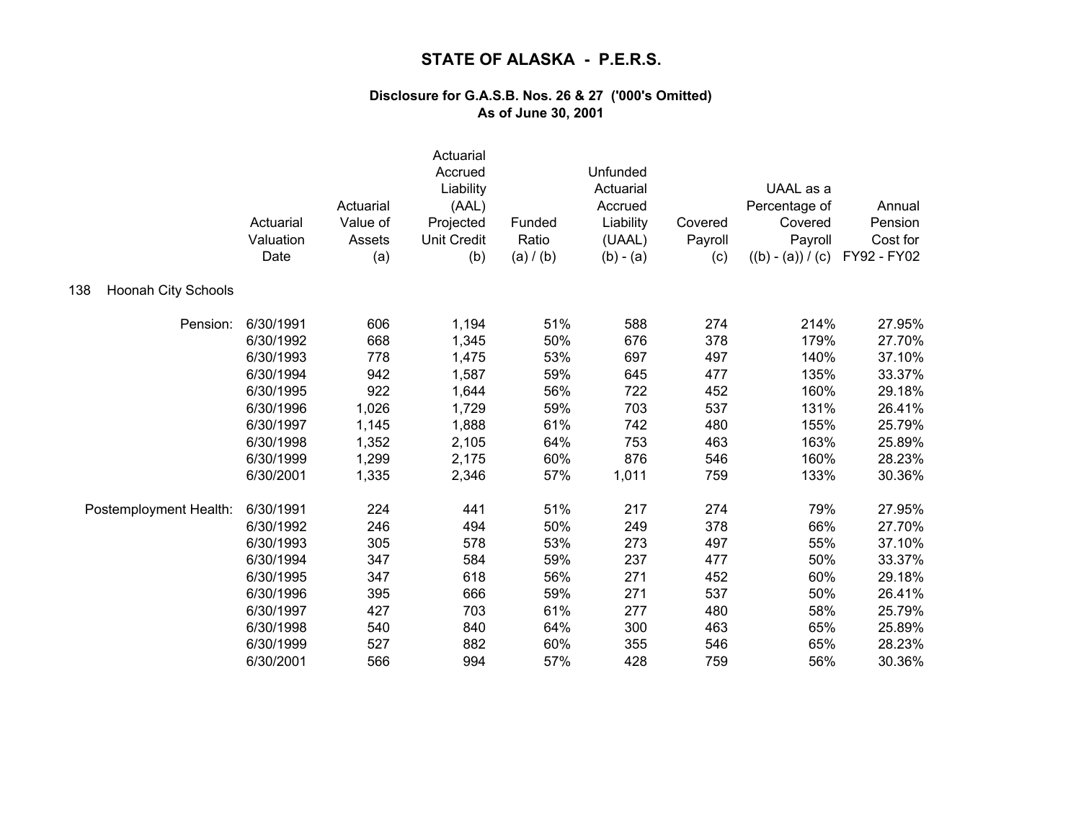|                                   | Actuarial<br>Valuation<br>Date | Actuarial<br>Value of<br>Assets<br>(a) | Actuarial<br>Accrued<br>Liability<br>(AAL)<br>Projected<br><b>Unit Credit</b><br>(b) | Funded<br>Ratio<br>(a) / (b) | Unfunded<br>Actuarial<br>Accrued<br>Liability<br>(UAAL)<br>$(b) - (a)$ | Covered<br>Payroll<br>(c) | UAAL as a<br>Percentage of<br>Covered<br>Payroll<br>$((b) - (a)) / (c)$ | Annual<br>Pension<br>Cost for<br>FY92 - FY02 |
|-----------------------------------|--------------------------------|----------------------------------------|--------------------------------------------------------------------------------------|------------------------------|------------------------------------------------------------------------|---------------------------|-------------------------------------------------------------------------|----------------------------------------------|
| <b>Hoonah City Schools</b><br>138 |                                |                                        |                                                                                      |                              |                                                                        |                           |                                                                         |                                              |
| Pension:                          | 6/30/1991                      | 606                                    | 1,194                                                                                | 51%                          | 588                                                                    | 274                       | 214%                                                                    | 27.95%                                       |
|                                   | 6/30/1992                      | 668                                    | 1,345                                                                                | 50%                          | 676                                                                    | 378                       | 179%                                                                    | 27.70%                                       |
|                                   | 6/30/1993                      | 778                                    | 1,475                                                                                | 53%                          | 697                                                                    | 497                       | 140%                                                                    | 37.10%                                       |
|                                   | 6/30/1994                      | 942                                    | 1,587                                                                                | 59%                          | 645                                                                    | 477                       | 135%                                                                    | 33.37%                                       |
|                                   | 6/30/1995                      | 922                                    | 1,644                                                                                | 56%                          | 722                                                                    | 452                       | 160%                                                                    | 29.18%                                       |
|                                   | 6/30/1996                      | 1,026                                  | 1,729                                                                                | 59%                          | 703                                                                    | 537                       | 131%                                                                    | 26.41%                                       |
|                                   | 6/30/1997                      | 1,145                                  | 1,888                                                                                | 61%                          | 742                                                                    | 480                       | 155%                                                                    | 25.79%                                       |
|                                   | 6/30/1998                      | 1,352                                  | 2,105                                                                                | 64%                          | 753                                                                    | 463                       | 163%                                                                    | 25.89%                                       |
|                                   | 6/30/1999                      | 1,299                                  | 2,175                                                                                | 60%                          | 876                                                                    | 546                       | 160%                                                                    | 28.23%                                       |
|                                   | 6/30/2001                      | 1,335                                  | 2,346                                                                                | 57%                          | 1,011                                                                  | 759                       | 133%                                                                    | 30.36%                                       |
| Postemployment Health:            | 6/30/1991                      | 224                                    | 441                                                                                  | 51%                          | 217                                                                    | 274                       | 79%                                                                     | 27.95%                                       |
|                                   | 6/30/1992                      | 246                                    | 494                                                                                  | 50%                          | 249                                                                    | 378                       | 66%                                                                     | 27.70%                                       |
|                                   | 6/30/1993                      | 305                                    | 578                                                                                  | 53%                          | 273                                                                    | 497                       | 55%                                                                     | 37.10%                                       |
|                                   | 6/30/1994                      | 347                                    | 584                                                                                  | 59%                          | 237                                                                    | 477                       | 50%                                                                     | 33.37%                                       |
|                                   | 6/30/1995                      | 347                                    | 618                                                                                  | 56%                          | 271                                                                    | 452                       | 60%                                                                     | 29.18%                                       |
|                                   | 6/30/1996                      | 395                                    | 666                                                                                  | 59%                          | 271                                                                    | 537                       | 50%                                                                     | 26.41%                                       |
|                                   | 6/30/1997                      | 427                                    | 703                                                                                  | 61%                          | 277                                                                    | 480                       | 58%                                                                     | 25.79%                                       |
|                                   | 6/30/1998                      | 540                                    | 840                                                                                  | 64%                          | 300                                                                    | 463                       | 65%                                                                     | 25.89%                                       |
|                                   | 6/30/1999                      | 527                                    | 882                                                                                  | 60%                          | 355                                                                    | 546                       | 65%                                                                     | 28.23%                                       |
|                                   | 6/30/2001                      | 566                                    | 994                                                                                  | 57%                          | 428                                                                    | 759                       | 56%                                                                     | 30.36%                                       |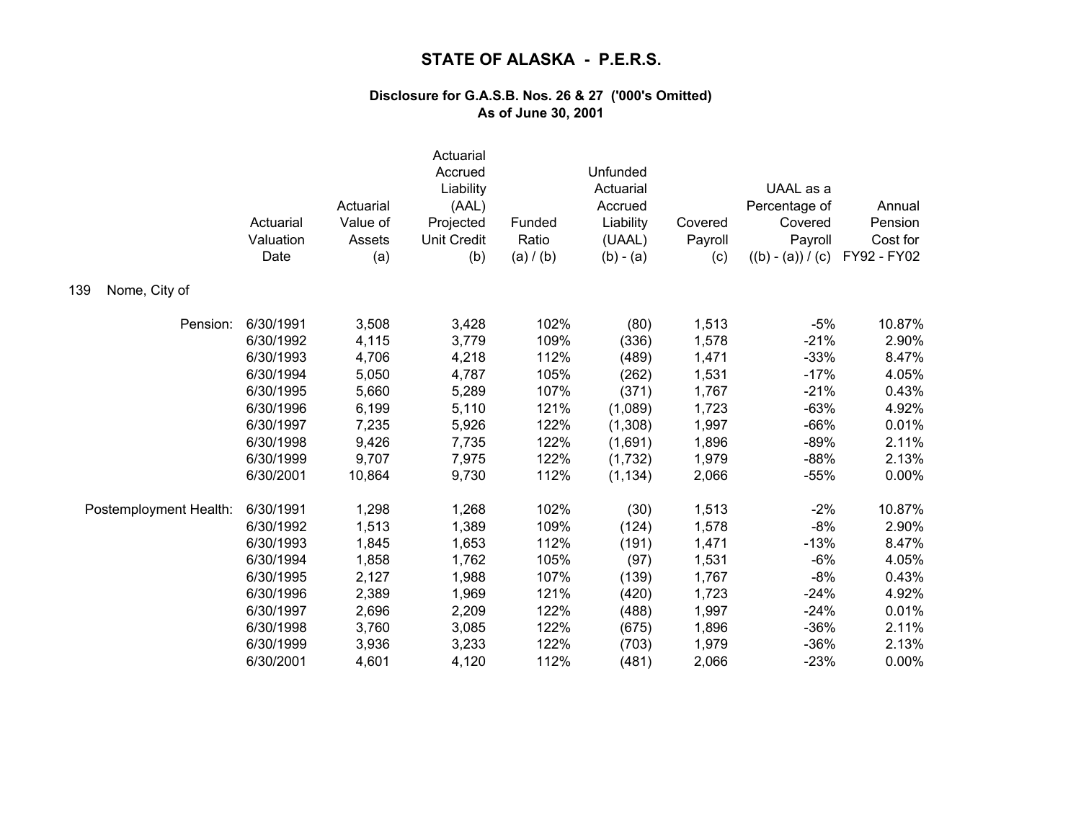|                        | Actuarial<br>Valuation<br>Date | Actuarial<br>Value of<br>Assets<br>(a) | Actuarial<br>Accrued<br>Liability<br>(AAL)<br>Projected<br><b>Unit Credit</b><br>(b) | Funded<br>Ratio<br>(a) / (b) | Unfunded<br>Actuarial<br>Accrued<br>Liability<br>(UAAL)<br>$(b) - (a)$ | Covered<br>Payroll<br>(c) | UAAL as a<br>Percentage of<br>Covered<br>Payroll<br>$((b) - (a)) / (c)$ | Annual<br>Pension<br>Cost for<br>FY92 - FY02 |
|------------------------|--------------------------------|----------------------------------------|--------------------------------------------------------------------------------------|------------------------------|------------------------------------------------------------------------|---------------------------|-------------------------------------------------------------------------|----------------------------------------------|
| Nome, City of<br>139   |                                |                                        |                                                                                      |                              |                                                                        |                           |                                                                         |                                              |
| Pension:               | 6/30/1991                      | 3,508                                  | 3,428                                                                                | 102%                         | (80)                                                                   | 1,513                     | $-5%$                                                                   | 10.87%                                       |
|                        | 6/30/1992                      | 4,115                                  | 3,779                                                                                | 109%                         | (336)                                                                  | 1,578                     | $-21%$                                                                  | 2.90%                                        |
|                        | 6/30/1993                      | 4,706                                  | 4,218                                                                                | 112%                         | (489)                                                                  | 1,471                     | $-33%$                                                                  | 8.47%                                        |
|                        | 6/30/1994                      | 5,050                                  | 4,787                                                                                | 105%                         | (262)                                                                  | 1,531                     | $-17%$                                                                  | 4.05%                                        |
|                        | 6/30/1995                      | 5,660                                  | 5,289                                                                                | 107%                         | (371)                                                                  | 1,767                     | $-21%$                                                                  | 0.43%                                        |
|                        | 6/30/1996                      | 6,199                                  | 5,110                                                                                | 121%                         | (1,089)                                                                | 1,723                     | $-63%$                                                                  | 4.92%                                        |
|                        | 6/30/1997                      | 7,235                                  | 5,926                                                                                | 122%                         | (1,308)                                                                | 1,997                     | $-66%$                                                                  | 0.01%                                        |
|                        | 6/30/1998                      | 9,426                                  | 7,735                                                                                | 122%                         | (1,691)                                                                | 1,896                     | $-89%$                                                                  | 2.11%                                        |
|                        | 6/30/1999                      | 9,707                                  | 7,975                                                                                | 122%                         | (1,732)                                                                | 1,979                     | $-88%$                                                                  | 2.13%                                        |
|                        | 6/30/2001                      | 10,864                                 | 9,730                                                                                | 112%                         | (1, 134)                                                               | 2,066                     | $-55%$                                                                  | 0.00%                                        |
| Postemployment Health: | 6/30/1991                      | 1,298                                  | 1,268                                                                                | 102%                         | (30)                                                                   | 1,513                     | $-2%$                                                                   | 10.87%                                       |
|                        | 6/30/1992                      | 1,513                                  | 1,389                                                                                | 109%                         | (124)                                                                  | 1,578                     | $-8%$                                                                   | 2.90%                                        |
|                        | 6/30/1993                      | 1,845                                  | 1,653                                                                                | 112%                         | (191)                                                                  | 1,471                     | $-13%$                                                                  | 8.47%                                        |
|                        | 6/30/1994                      | 1,858                                  | 1,762                                                                                | 105%                         | (97)                                                                   | 1,531                     | $-6%$                                                                   | 4.05%                                        |
|                        | 6/30/1995                      | 2,127                                  | 1,988                                                                                | 107%                         | (139)                                                                  | 1,767                     | $-8%$                                                                   | 0.43%                                        |
|                        | 6/30/1996                      | 2,389                                  | 1,969                                                                                | 121%                         | (420)                                                                  | 1,723                     | $-24%$                                                                  | 4.92%                                        |
|                        | 6/30/1997                      | 2,696                                  | 2,209                                                                                | 122%                         | (488)                                                                  | 1,997                     | $-24%$                                                                  | 0.01%                                        |
|                        | 6/30/1998                      | 3,760                                  | 3,085                                                                                | 122%                         | (675)                                                                  | 1,896                     | $-36%$                                                                  | 2.11%                                        |
|                        | 6/30/1999                      | 3,936                                  | 3,233                                                                                | 122%                         | (703)                                                                  | 1,979                     | $-36%$                                                                  | 2.13%                                        |
|                        | 6/30/2001                      | 4,601                                  | 4,120                                                                                | 112%                         | (481)                                                                  | 2,066                     | $-23%$                                                                  | 0.00%                                        |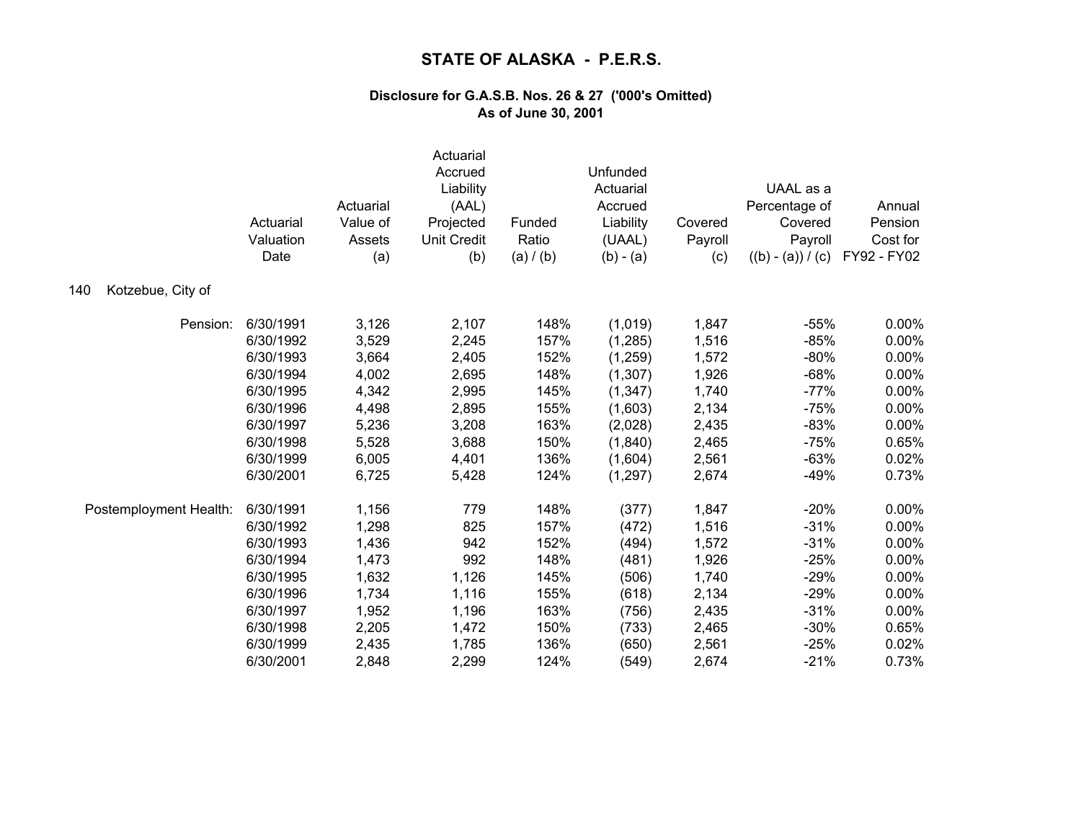|                          | Actuarial<br>Valuation<br>Date | Actuarial<br>Value of<br>Assets<br>(a) | Actuarial<br>Accrued<br>Liability<br>(AAL)<br>Projected<br><b>Unit Credit</b><br>(b) | Funded<br>Ratio<br>(a) / (b) | Unfunded<br>Actuarial<br>Accrued<br>Liability<br>(UAAL)<br>$(b) - (a)$ | Covered<br>Payroll<br>(c) | UAAL as a<br>Percentage of<br>Covered<br>Payroll<br>$((b) - (a)) / (c)$ | Annual<br>Pension<br>Cost for<br>FY92 - FY02 |
|--------------------------|--------------------------------|----------------------------------------|--------------------------------------------------------------------------------------|------------------------------|------------------------------------------------------------------------|---------------------------|-------------------------------------------------------------------------|----------------------------------------------|
| Kotzebue, City of<br>140 |                                |                                        |                                                                                      |                              |                                                                        |                           |                                                                         |                                              |
| Pension:                 | 6/30/1991                      | 3,126                                  | 2,107                                                                                | 148%                         | (1,019)                                                                | 1,847                     | $-55%$                                                                  | $0.00\%$                                     |
|                          | 6/30/1992                      | 3,529                                  | 2,245                                                                                | 157%                         | (1, 285)                                                               | 1,516                     | $-85%$                                                                  | 0.00%                                        |
|                          | 6/30/1993                      | 3,664                                  | 2,405                                                                                | 152%                         | (1,259)                                                                | 1,572                     | $-80%$                                                                  | 0.00%                                        |
|                          | 6/30/1994                      | 4,002                                  | 2,695                                                                                | 148%                         | (1,307)                                                                | 1,926                     | $-68%$                                                                  | 0.00%                                        |
|                          | 6/30/1995                      | 4,342                                  | 2,995                                                                                | 145%                         | (1, 347)                                                               | 1,740                     | $-77%$                                                                  | 0.00%                                        |
|                          | 6/30/1996                      | 4,498                                  | 2,895                                                                                | 155%                         | (1,603)                                                                | 2,134                     | $-75%$                                                                  | 0.00%                                        |
|                          | 6/30/1997                      | 5,236                                  | 3,208                                                                                | 163%                         | (2,028)                                                                | 2,435                     | $-83%$                                                                  | 0.00%                                        |
|                          | 6/30/1998                      | 5,528                                  | 3,688                                                                                | 150%                         | (1,840)                                                                | 2,465                     | $-75%$                                                                  | 0.65%                                        |
|                          | 6/30/1999                      | 6,005                                  | 4,401                                                                                | 136%                         | (1,604)                                                                | 2,561                     | $-63%$                                                                  | 0.02%                                        |
|                          | 6/30/2001                      | 6,725                                  | 5,428                                                                                | 124%                         | (1, 297)                                                               | 2,674                     | $-49%$                                                                  | 0.73%                                        |
| Postemployment Health:   | 6/30/1991                      | 1,156                                  | 779                                                                                  | 148%                         | (377)                                                                  | 1,847                     | $-20%$                                                                  | 0.00%                                        |
|                          | 6/30/1992                      | 1,298                                  | 825                                                                                  | 157%                         | (472)                                                                  | 1,516                     | $-31%$                                                                  | 0.00%                                        |
|                          | 6/30/1993                      | 1,436                                  | 942                                                                                  | 152%                         | (494)                                                                  | 1,572                     | $-31%$                                                                  | 0.00%                                        |
|                          | 6/30/1994                      | 1,473                                  | 992                                                                                  | 148%                         | (481)                                                                  | 1,926                     | $-25%$                                                                  | 0.00%                                        |
|                          | 6/30/1995                      | 1,632                                  | 1,126                                                                                | 145%                         | (506)                                                                  | 1,740                     | $-29%$                                                                  | 0.00%                                        |
|                          | 6/30/1996                      | 1,734                                  | 1,116                                                                                | 155%                         | (618)                                                                  | 2,134                     | $-29%$                                                                  | 0.00%                                        |
|                          | 6/30/1997                      | 1,952                                  | 1,196                                                                                | 163%                         | (756)                                                                  | 2,435                     | $-31%$                                                                  | 0.00%                                        |
|                          | 6/30/1998                      | 2,205                                  | 1,472                                                                                | 150%                         | (733)                                                                  | 2,465                     | $-30%$                                                                  | 0.65%                                        |
|                          | 6/30/1999                      | 2,435                                  | 1,785                                                                                | 136%                         | (650)                                                                  | 2,561                     | $-25%$                                                                  | 0.02%                                        |
|                          | 6/30/2001                      | 2,848                                  | 2,299                                                                                | 124%                         | (549)                                                                  | 2,674                     | $-21%$                                                                  | 0.73%                                        |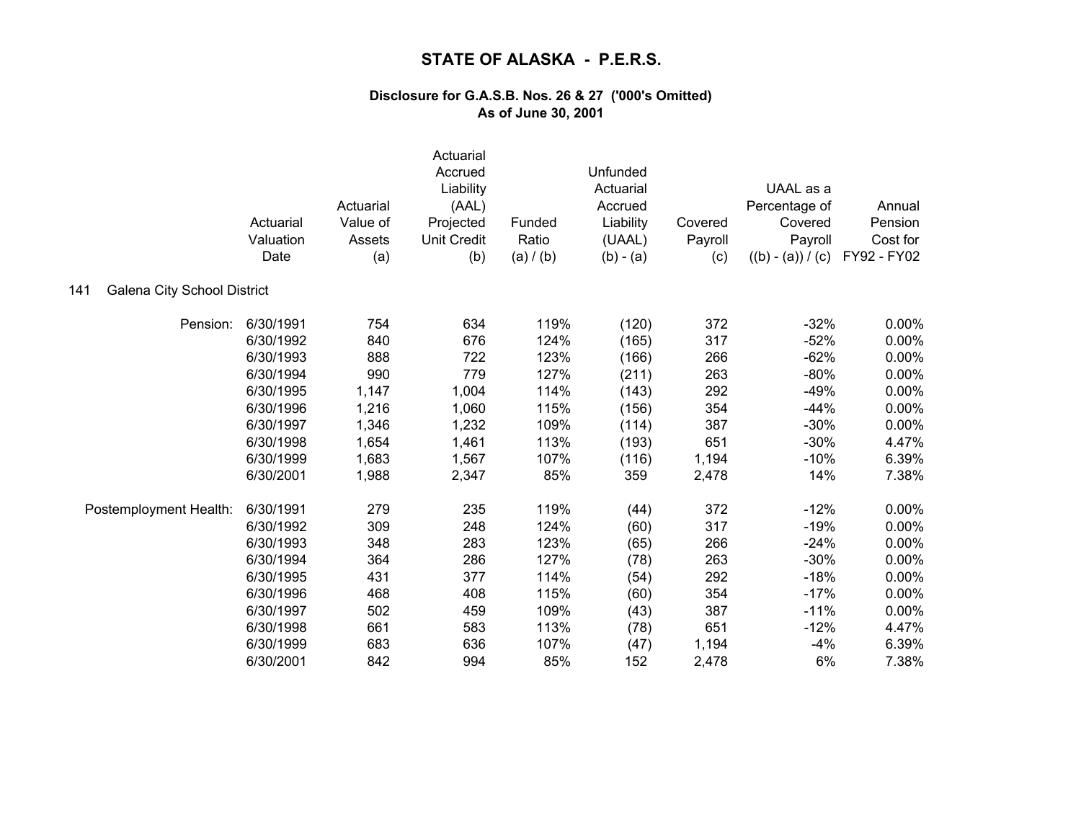|                                    | Actuarial<br>Valuation<br>Date | Actuarial<br>Value of<br>Assets<br>(a) | Actuarial<br>Accrued<br>Liability<br>(AAL)<br>Projected<br><b>Unit Credit</b><br>(b) | Funded<br>Ratio<br>(a) / (b) | Unfunded<br>Actuarial<br>Accrued<br>Liability<br>(UAAL)<br>$(b) - (a)$ | Covered<br>Payroll<br>(c) | UAAL as a<br>Percentage of<br>Covered<br>Payroll<br>$((b) - (a)) / (c)$ | Annual<br>Pension<br>Cost for<br>FY92 - FY02 |
|------------------------------------|--------------------------------|----------------------------------------|--------------------------------------------------------------------------------------|------------------------------|------------------------------------------------------------------------|---------------------------|-------------------------------------------------------------------------|----------------------------------------------|
| Galena City School District<br>141 |                                |                                        |                                                                                      |                              |                                                                        |                           |                                                                         |                                              |
| Pension:                           | 6/30/1991                      | 754                                    | 634                                                                                  | 119%                         | (120)                                                                  | 372                       | $-32%$                                                                  | 0.00%                                        |
|                                    | 6/30/1992                      | 840                                    | 676                                                                                  | 124%                         | (165)                                                                  | 317                       | $-52%$                                                                  | 0.00%                                        |
|                                    | 6/30/1993                      | 888                                    | 722                                                                                  | 123%                         | (166)                                                                  | 266                       | $-62%$                                                                  | 0.00%                                        |
|                                    | 6/30/1994                      | 990                                    | 779                                                                                  | 127%                         | (211)                                                                  | 263                       | $-80%$                                                                  | 0.00%                                        |
|                                    | 6/30/1995                      | 1,147                                  | 1,004                                                                                | 114%                         | (143)                                                                  | 292                       | $-49%$                                                                  | 0.00%                                        |
|                                    | 6/30/1996                      | 1,216                                  | 1,060                                                                                | 115%                         | (156)                                                                  | 354                       | $-44%$                                                                  | 0.00%                                        |
|                                    | 6/30/1997                      | 1,346                                  | 1,232                                                                                | 109%                         | (114)                                                                  | 387                       | $-30%$                                                                  | 0.00%                                        |
|                                    | 6/30/1998                      | 1,654                                  | 1,461                                                                                | 113%                         | (193)                                                                  | 651                       | $-30%$                                                                  | 4.47%                                        |
|                                    | 6/30/1999                      | 1,683                                  | 1,567                                                                                | 107%                         | (116)                                                                  | 1,194                     | $-10%$                                                                  | 6.39%                                        |
|                                    | 6/30/2001                      | 1,988                                  | 2,347                                                                                | 85%                          | 359                                                                    | 2,478                     | 14%                                                                     | 7.38%                                        |
| Postemployment Health:             | 6/30/1991                      | 279                                    | 235                                                                                  | 119%                         | (44)                                                                   | 372                       | $-12%$                                                                  | 0.00%                                        |
|                                    | 6/30/1992                      | 309                                    | 248                                                                                  | 124%                         | (60)                                                                   | 317                       | $-19%$                                                                  | 0.00%                                        |
|                                    | 6/30/1993                      | 348                                    | 283                                                                                  | 123%                         | (65)                                                                   | 266                       | $-24%$                                                                  | 0.00%                                        |
|                                    | 6/30/1994                      | 364                                    | 286                                                                                  | 127%                         | (78)                                                                   | 263                       | $-30%$                                                                  | 0.00%                                        |
|                                    | 6/30/1995                      | 431                                    | 377                                                                                  | 114%                         | (54)                                                                   | 292                       | $-18%$                                                                  | 0.00%                                        |
|                                    | 6/30/1996                      | 468                                    | 408                                                                                  | 115%                         | (60)                                                                   | 354                       | $-17%$                                                                  | 0.00%                                        |
|                                    | 6/30/1997                      | 502                                    | 459                                                                                  | 109%                         | (43)                                                                   | 387                       | $-11%$                                                                  | 0.00%                                        |
|                                    | 6/30/1998                      | 661                                    | 583                                                                                  | 113%                         | (78)                                                                   | 651                       | $-12%$                                                                  | 4.47%                                        |
|                                    | 6/30/1999                      | 683                                    | 636                                                                                  | 107%                         | (47)                                                                   | 1,194                     | $-4%$                                                                   | 6.39%                                        |
|                                    | 6/30/2001                      | 842                                    | 994                                                                                  | 85%                          | 152                                                                    | 2,478                     | 6%                                                                      | 7.38%                                        |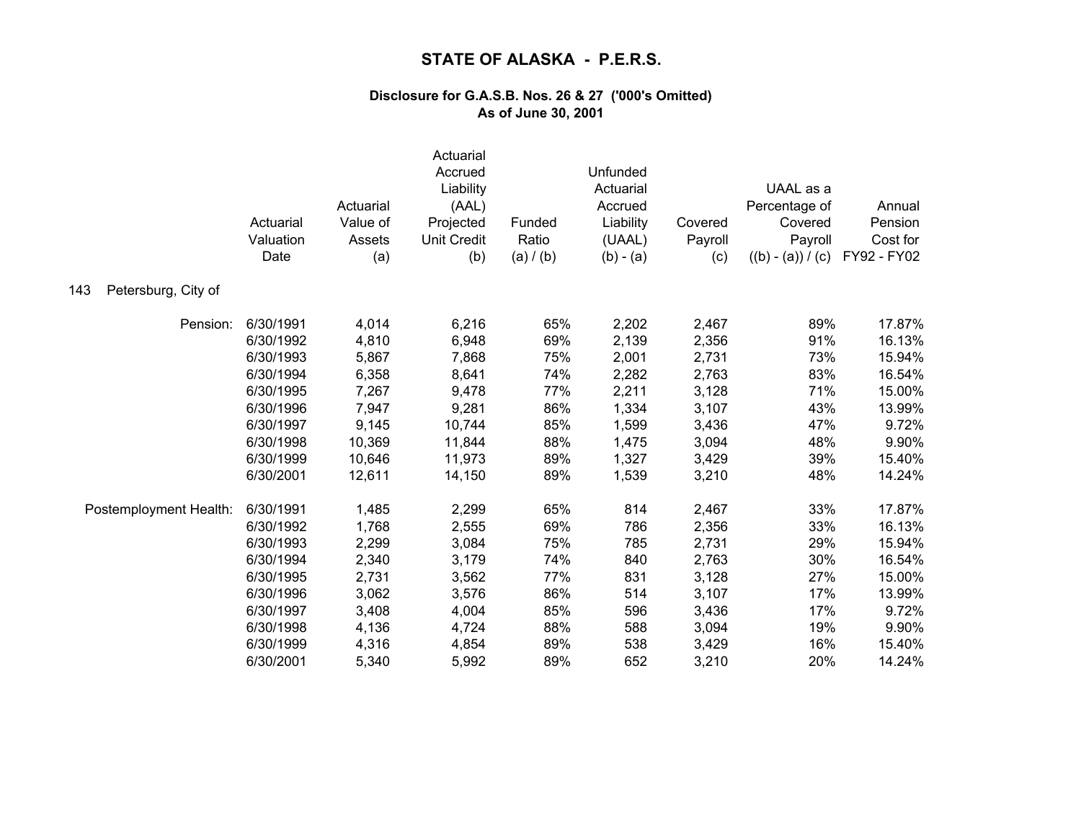|                            | Actuarial<br>Valuation<br>Date | Actuarial<br>Value of<br>Assets<br>(a) | Actuarial<br>Accrued<br>Liability<br>(AAL)<br>Projected<br><b>Unit Credit</b><br>(b) | Funded<br>Ratio<br>(a) / (b) | Unfunded<br>Actuarial<br>Accrued<br>Liability<br>(UAAL)<br>$(b) - (a)$ | Covered<br>Payroll<br>(c) | UAAL as a<br>Percentage of<br>Covered<br>Payroll<br>$((b) - (a)) / (c)$ | Annual<br>Pension<br>Cost for<br>FY92 - FY02 |
|----------------------------|--------------------------------|----------------------------------------|--------------------------------------------------------------------------------------|------------------------------|------------------------------------------------------------------------|---------------------------|-------------------------------------------------------------------------|----------------------------------------------|
| Petersburg, City of<br>143 |                                |                                        |                                                                                      |                              |                                                                        |                           |                                                                         |                                              |
| Pension:                   | 6/30/1991                      | 4,014                                  | 6,216                                                                                | 65%                          | 2,202                                                                  | 2,467                     | 89%                                                                     | 17.87%                                       |
|                            | 6/30/1992                      | 4,810                                  | 6,948                                                                                | 69%                          | 2,139                                                                  | 2,356                     | 91%                                                                     | 16.13%                                       |
|                            | 6/30/1993                      | 5,867                                  | 7,868                                                                                | 75%                          | 2,001                                                                  | 2,731                     | 73%                                                                     | 15.94%                                       |
|                            | 6/30/1994                      | 6,358                                  | 8,641                                                                                | 74%                          | 2,282                                                                  | 2,763                     | 83%                                                                     | 16.54%                                       |
|                            | 6/30/1995                      | 7,267                                  | 9,478                                                                                | 77%                          | 2,211                                                                  | 3,128                     | 71%                                                                     | 15.00%                                       |
|                            | 6/30/1996                      | 7,947                                  | 9,281                                                                                | 86%                          | 1,334                                                                  | 3,107                     | 43%                                                                     | 13.99%                                       |
|                            | 6/30/1997                      | 9,145                                  | 10,744                                                                               | 85%                          | 1,599                                                                  | 3,436                     | 47%                                                                     | 9.72%                                        |
|                            | 6/30/1998                      | 10,369                                 | 11,844                                                                               | 88%                          | 1,475                                                                  | 3,094                     | 48%                                                                     | 9.90%                                        |
|                            | 6/30/1999                      | 10,646                                 | 11,973                                                                               | 89%                          | 1,327                                                                  | 3,429                     | 39%                                                                     | 15.40%                                       |
|                            | 6/30/2001                      | 12,611                                 | 14,150                                                                               | 89%                          | 1,539                                                                  | 3,210                     | 48%                                                                     | 14.24%                                       |
| Postemployment Health:     | 6/30/1991                      | 1,485                                  | 2,299                                                                                | 65%                          | 814                                                                    | 2,467                     | 33%                                                                     | 17.87%                                       |
|                            | 6/30/1992                      | 1,768                                  | 2,555                                                                                | 69%                          | 786                                                                    | 2,356                     | 33%                                                                     | 16.13%                                       |
|                            | 6/30/1993                      | 2,299                                  | 3,084                                                                                | 75%                          | 785                                                                    | 2,731                     | 29%                                                                     | 15.94%                                       |
|                            | 6/30/1994                      | 2,340                                  | 3,179                                                                                | 74%                          | 840                                                                    | 2,763                     | 30%                                                                     | 16.54%                                       |
|                            | 6/30/1995                      | 2,731                                  | 3,562                                                                                | 77%                          | 831                                                                    | 3,128                     | 27%                                                                     | 15.00%                                       |
|                            | 6/30/1996                      | 3,062                                  | 3,576                                                                                | 86%                          | 514                                                                    | 3,107                     | 17%                                                                     | 13.99%                                       |
|                            | 6/30/1997                      | 3,408                                  | 4,004                                                                                | 85%                          | 596                                                                    | 3,436                     | 17%                                                                     | 9.72%                                        |
|                            | 6/30/1998                      | 4,136                                  | 4,724                                                                                | 88%                          | 588                                                                    | 3,094                     | 19%                                                                     | 9.90%                                        |
|                            | 6/30/1999                      | 4,316                                  | 4,854                                                                                | 89%                          | 538                                                                    | 3,429                     | 16%                                                                     | 15.40%                                       |
|                            | 6/30/2001                      | 5,340                                  | 5,992                                                                                | 89%                          | 652                                                                    | 3,210                     | 20%                                                                     | 14.24%                                       |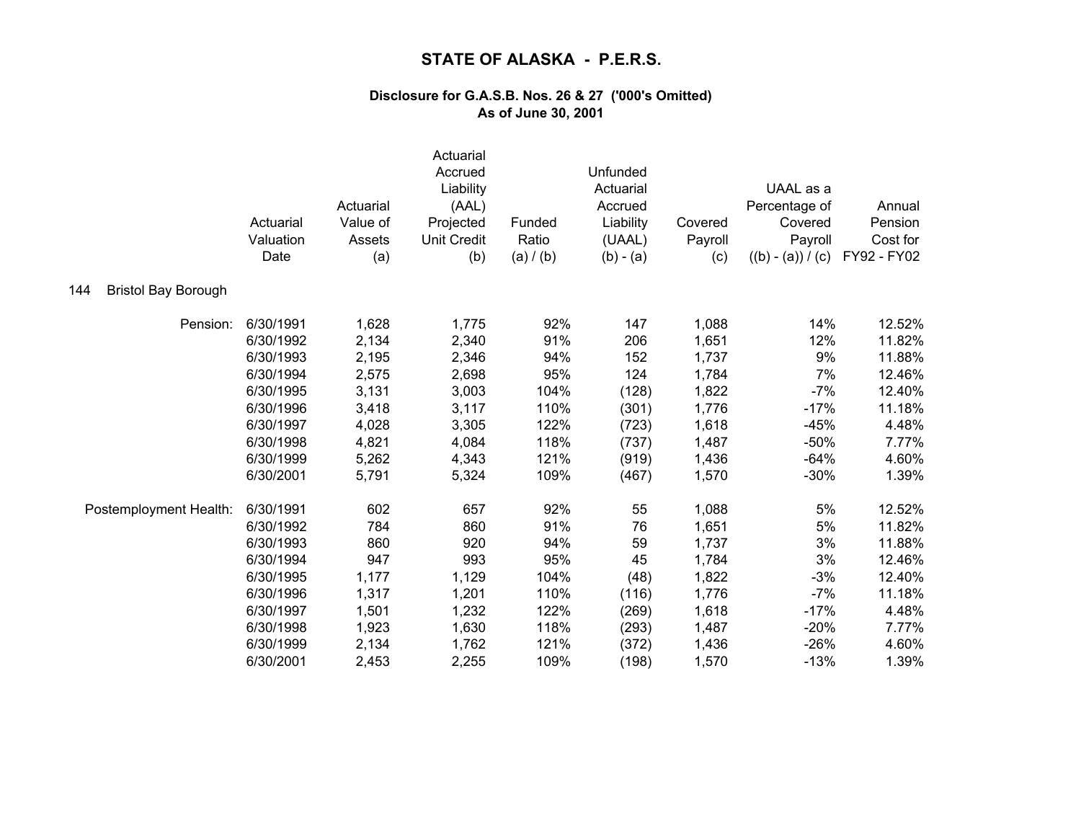|                                   | Actuarial<br>Valuation<br>Date | Actuarial<br>Value of<br>Assets<br>(a) | Actuarial<br>Accrued<br>Liability<br>(AAL)<br>Projected<br><b>Unit Credit</b><br>(b) | Funded<br>Ratio<br>(a) / (b) | Unfunded<br>Actuarial<br>Accrued<br>Liability<br>(UAAL)<br>$(b) - (a)$ | Covered<br>Payroll<br>(c) | UAAL as a<br>Percentage of<br>Covered<br>Payroll<br>$((b) - (a)) / (c)$ | Annual<br>Pension<br>Cost for<br>FY92 - FY02 |
|-----------------------------------|--------------------------------|----------------------------------------|--------------------------------------------------------------------------------------|------------------------------|------------------------------------------------------------------------|---------------------------|-------------------------------------------------------------------------|----------------------------------------------|
| <b>Bristol Bay Borough</b><br>144 |                                |                                        |                                                                                      |                              |                                                                        |                           |                                                                         |                                              |
| Pension:                          | 6/30/1991                      | 1,628                                  | 1,775                                                                                | 92%                          | 147                                                                    | 1,088                     | 14%                                                                     | 12.52%                                       |
|                                   | 6/30/1992                      | 2,134                                  | 2,340                                                                                | 91%                          | 206                                                                    | 1,651                     | 12%                                                                     | 11.82%                                       |
|                                   | 6/30/1993                      | 2,195                                  | 2,346                                                                                | 94%                          | 152                                                                    | 1,737                     | 9%                                                                      | 11.88%                                       |
|                                   | 6/30/1994                      | 2,575                                  | 2,698                                                                                | 95%                          | 124                                                                    | 1,784                     | 7%                                                                      | 12.46%                                       |
|                                   | 6/30/1995                      | 3,131                                  | 3,003                                                                                | 104%                         | (128)                                                                  | 1,822                     | $-7%$                                                                   | 12.40%                                       |
|                                   | 6/30/1996                      | 3,418                                  | 3,117                                                                                | 110%                         | (301)                                                                  | 1,776                     | $-17%$                                                                  | 11.18%                                       |
|                                   | 6/30/1997                      | 4,028                                  | 3,305                                                                                | 122%                         | (723)                                                                  | 1,618                     | $-45%$                                                                  | 4.48%                                        |
|                                   | 6/30/1998                      | 4,821                                  | 4,084                                                                                | 118%                         | (737)                                                                  | 1,487                     | $-50%$                                                                  | 7.77%                                        |
|                                   | 6/30/1999                      | 5,262                                  | 4,343                                                                                | 121%                         | (919)                                                                  | 1,436                     | $-64%$                                                                  | 4.60%                                        |
|                                   | 6/30/2001                      | 5,791                                  | 5,324                                                                                | 109%                         | (467)                                                                  | 1,570                     | $-30%$                                                                  | 1.39%                                        |
| Postemployment Health:            | 6/30/1991                      | 602                                    | 657                                                                                  | 92%                          | 55                                                                     | 1,088                     | $5\%$                                                                   | 12.52%                                       |
|                                   | 6/30/1992                      | 784                                    | 860                                                                                  | 91%                          | 76                                                                     | 1,651                     | 5%                                                                      | 11.82%                                       |
|                                   | 6/30/1993                      | 860                                    | 920                                                                                  | 94%                          | 59                                                                     | 1,737                     | 3%                                                                      | 11.88%                                       |
|                                   | 6/30/1994                      | 947                                    | 993                                                                                  | 95%                          | 45                                                                     | 1,784                     | 3%                                                                      | 12.46%                                       |
|                                   | 6/30/1995                      | 1,177                                  | 1,129                                                                                | 104%                         | (48)                                                                   | 1,822                     | $-3%$                                                                   | 12.40%                                       |
|                                   | 6/30/1996                      | 1,317                                  | 1,201                                                                                | 110%                         | (116)                                                                  | 1,776                     | $-7%$                                                                   | 11.18%                                       |
|                                   | 6/30/1997                      | 1,501                                  | 1,232                                                                                | 122%                         | (269)                                                                  | 1,618                     | $-17%$                                                                  | 4.48%                                        |
|                                   | 6/30/1998                      | 1,923                                  | 1,630                                                                                | 118%                         | (293)                                                                  | 1,487                     | $-20%$                                                                  | 7.77%                                        |
|                                   | 6/30/1999                      | 2,134                                  | 1,762                                                                                | 121%                         | (372)                                                                  | 1,436                     | $-26%$                                                                  | 4.60%                                        |
|                                   | 6/30/2001                      | 2,453                                  | 2,255                                                                                | 109%                         | (198)                                                                  | 1,570                     | $-13%$                                                                  | 1.39%                                        |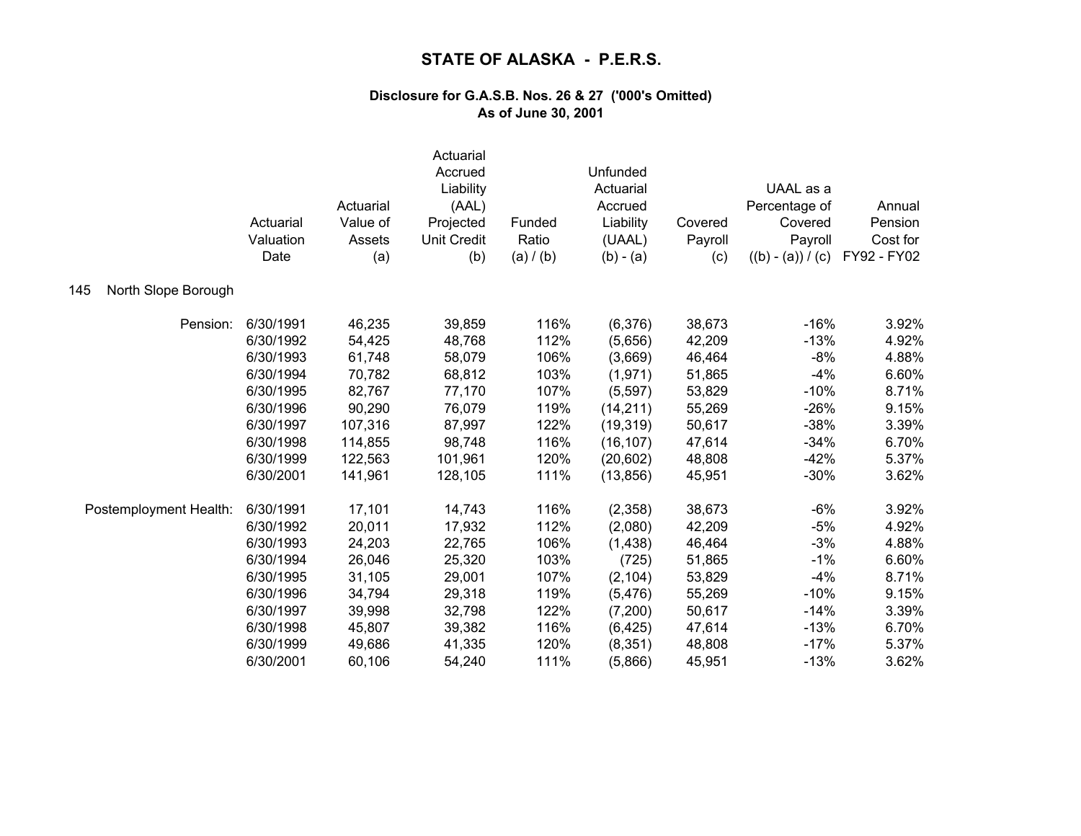|                            | Actuarial<br>Valuation<br>Date | Actuarial<br>Value of<br>Assets<br>(a) | Actuarial<br>Accrued<br>Liability<br>(AAL)<br>Projected<br><b>Unit Credit</b><br>(b) | Funded<br>Ratio<br>(a) / (b) | Unfunded<br>Actuarial<br>Accrued<br>Liability<br>(UAAL)<br>$(b) - (a)$ | Covered<br>Payroll<br>(c) | UAAL as a<br>Percentage of<br>Covered<br>Payroll<br>$((b) - (a)) / (c)$ | Annual<br>Pension<br>Cost for<br>FY92 - FY02 |
|----------------------------|--------------------------------|----------------------------------------|--------------------------------------------------------------------------------------|------------------------------|------------------------------------------------------------------------|---------------------------|-------------------------------------------------------------------------|----------------------------------------------|
| North Slope Borough<br>145 |                                |                                        |                                                                                      |                              |                                                                        |                           |                                                                         |                                              |
| Pension:                   | 6/30/1991                      | 46,235                                 | 39,859                                                                               | 116%                         | (6,376)                                                                | 38,673                    | $-16%$                                                                  | 3.92%                                        |
|                            | 6/30/1992                      | 54,425                                 | 48,768                                                                               | 112%                         | (5,656)                                                                | 42,209                    | $-13%$                                                                  | 4.92%                                        |
|                            | 6/30/1993                      | 61,748                                 | 58,079                                                                               | 106%                         | (3,669)                                                                | 46,464                    | -8%                                                                     | 4.88%                                        |
|                            | 6/30/1994                      | 70,782                                 | 68,812                                                                               | 103%                         | (1,971)                                                                | 51,865                    | $-4%$                                                                   | 6.60%                                        |
|                            | 6/30/1995                      | 82,767                                 | 77,170                                                                               | 107%                         | (5, 597)                                                               | 53,829                    | $-10%$                                                                  | 8.71%                                        |
|                            | 6/30/1996                      | 90,290                                 | 76,079                                                                               | 119%                         | (14, 211)                                                              | 55,269                    | $-26%$                                                                  | 9.15%                                        |
|                            | 6/30/1997                      | 107,316                                | 87,997                                                                               | 122%                         | (19, 319)                                                              | 50,617                    | $-38%$                                                                  | 3.39%                                        |
|                            | 6/30/1998                      | 114,855                                | 98,748                                                                               | 116%                         | (16, 107)                                                              | 47,614                    | $-34%$                                                                  | 6.70%                                        |
|                            | 6/30/1999                      | 122,563                                | 101,961                                                                              | 120%                         | (20, 602)                                                              | 48,808                    | $-42%$                                                                  | 5.37%                                        |
|                            | 6/30/2001                      | 141,961                                | 128,105                                                                              | 111%                         | (13, 856)                                                              | 45,951                    | $-30%$                                                                  | 3.62%                                        |
| Postemployment Health:     | 6/30/1991                      | 17,101                                 | 14,743                                                                               | 116%                         | (2,358)                                                                | 38,673                    | $-6%$                                                                   | 3.92%                                        |
|                            | 6/30/1992                      | 20,011                                 | 17,932                                                                               | 112%                         | (2,080)                                                                | 42,209                    | $-5%$                                                                   | 4.92%                                        |
|                            | 6/30/1993                      | 24,203                                 | 22,765                                                                               | 106%                         | (1,438)                                                                | 46,464                    | $-3%$                                                                   | 4.88%                                        |
|                            | 6/30/1994                      | 26,046                                 | 25,320                                                                               | 103%                         | (725)                                                                  | 51,865                    | $-1%$                                                                   | 6.60%                                        |
|                            | 6/30/1995                      | 31,105                                 | 29,001                                                                               | 107%                         | (2, 104)                                                               | 53,829                    | $-4%$                                                                   | 8.71%                                        |
|                            | 6/30/1996                      | 34,794                                 | 29,318                                                                               | 119%                         | (5, 476)                                                               | 55,269                    | $-10%$                                                                  | 9.15%                                        |
|                            | 6/30/1997                      | 39,998                                 | 32,798                                                                               | 122%                         | (7,200)                                                                | 50,617                    | $-14%$                                                                  | 3.39%                                        |
|                            | 6/30/1998                      | 45,807                                 | 39,382                                                                               | 116%                         | (6, 425)                                                               | 47,614                    | $-13%$                                                                  | 6.70%                                        |
|                            | 6/30/1999                      | 49,686                                 | 41,335                                                                               | 120%                         | (8, 351)                                                               | 48,808                    | $-17%$                                                                  | 5.37%                                        |
|                            | 6/30/2001                      | 60,106                                 | 54,240                                                                               | 111%                         | (5,866)                                                                | 45,951                    | $-13%$                                                                  | 3.62%                                        |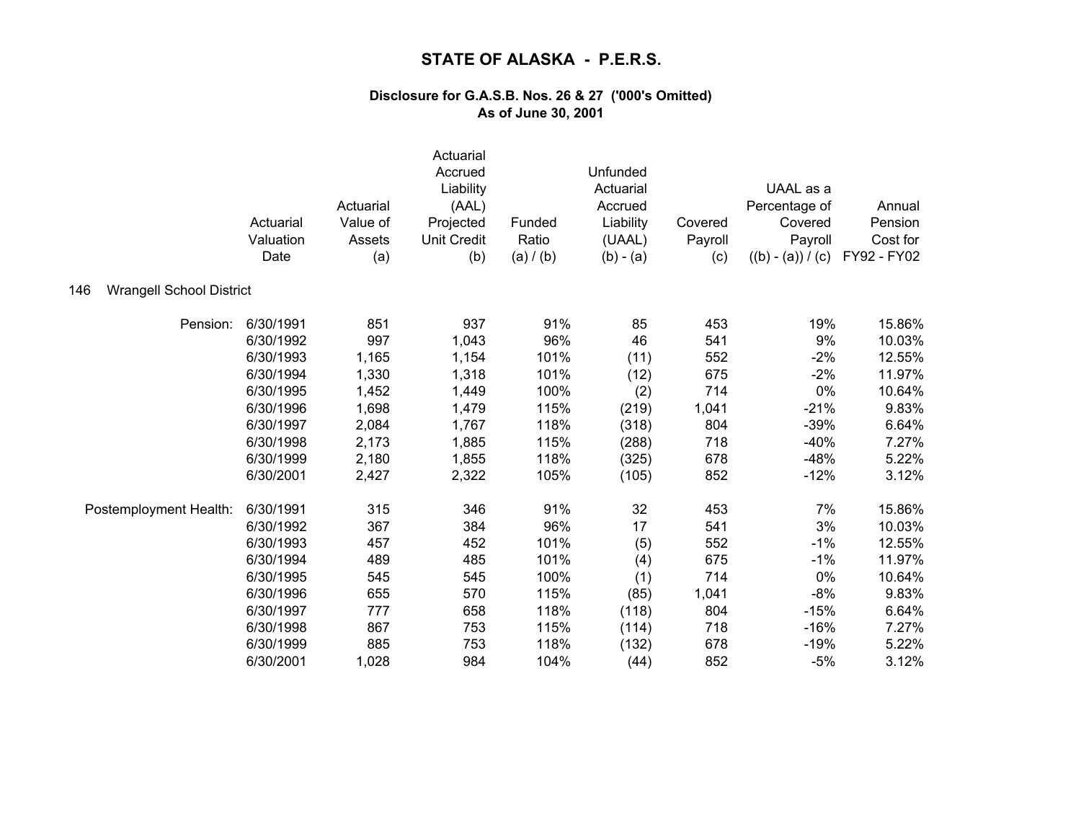|                                        | Actuarial<br>Valuation<br>Date | Actuarial<br>Value of<br>Assets<br>(a) | Actuarial<br>Accrued<br>Liability<br>(AAL)<br>Projected<br><b>Unit Credit</b><br>(b) | Funded<br>Ratio<br>(a) / (b) | Unfunded<br>Actuarial<br>Accrued<br>Liability<br>(UAAL)<br>$(b) - (a)$ | Covered<br>Payroll<br>(c) | UAAL as a<br>Percentage of<br>Covered<br>Payroll<br>$((b) - (a)) / (c)$ | Annual<br>Pension<br>Cost for<br>FY92 - FY02 |
|----------------------------------------|--------------------------------|----------------------------------------|--------------------------------------------------------------------------------------|------------------------------|------------------------------------------------------------------------|---------------------------|-------------------------------------------------------------------------|----------------------------------------------|
| <b>Wrangell School District</b><br>146 |                                |                                        |                                                                                      |                              |                                                                        |                           |                                                                         |                                              |
| Pension:                               | 6/30/1991                      | 851                                    | 937                                                                                  | 91%                          | 85                                                                     | 453                       | 19%                                                                     | 15.86%                                       |
|                                        | 6/30/1992                      | 997                                    | 1,043                                                                                | 96%                          | 46                                                                     | 541                       | 9%                                                                      | 10.03%                                       |
|                                        | 6/30/1993                      | 1,165                                  | 1,154                                                                                | 101%                         | (11)                                                                   | 552                       | $-2%$                                                                   | 12.55%                                       |
|                                        | 6/30/1994                      | 1,330                                  | 1,318                                                                                | 101%                         | (12)                                                                   | 675                       | $-2%$                                                                   | 11.97%                                       |
|                                        | 6/30/1995                      | 1,452                                  | 1,449                                                                                | 100%                         | (2)                                                                    | 714                       | 0%                                                                      | 10.64%                                       |
|                                        | 6/30/1996                      | 1,698                                  | 1,479                                                                                | 115%                         | (219)                                                                  | 1,041                     | $-21%$                                                                  | 9.83%                                        |
|                                        | 6/30/1997                      | 2,084                                  | 1,767                                                                                | 118%                         | (318)                                                                  | 804                       | $-39%$                                                                  | 6.64%                                        |
|                                        | 6/30/1998                      | 2,173                                  | 1,885                                                                                | 115%                         | (288)                                                                  | 718                       | $-40%$                                                                  | 7.27%                                        |
|                                        | 6/30/1999                      | 2,180                                  | 1,855                                                                                | 118%                         | (325)                                                                  | 678                       | $-48%$                                                                  | 5.22%                                        |
|                                        | 6/30/2001                      | 2,427                                  | 2,322                                                                                | 105%                         | (105)                                                                  | 852                       | $-12%$                                                                  | 3.12%                                        |
| Postemployment Health:                 | 6/30/1991                      | 315                                    | 346                                                                                  | 91%                          | 32                                                                     | 453                       | 7%                                                                      | 15.86%                                       |
|                                        | 6/30/1992                      | 367                                    | 384                                                                                  | 96%                          | 17                                                                     | 541                       | 3%                                                                      | 10.03%                                       |
|                                        | 6/30/1993                      | 457                                    | 452                                                                                  | 101%                         | (5)                                                                    | 552                       | $-1%$                                                                   | 12.55%                                       |
|                                        | 6/30/1994                      | 489                                    | 485                                                                                  | 101%                         | (4)                                                                    | 675                       | $-1%$                                                                   | 11.97%                                       |
|                                        | 6/30/1995                      | 545                                    | 545                                                                                  | 100%                         | (1)                                                                    | 714                       | 0%                                                                      | 10.64%                                       |
|                                        | 6/30/1996                      | 655                                    | 570                                                                                  | 115%                         | (85)                                                                   | 1,041                     | $-8%$                                                                   | 9.83%                                        |
|                                        | 6/30/1997                      | 777                                    | 658                                                                                  | 118%                         | (118)                                                                  | 804                       | $-15%$                                                                  | 6.64%                                        |
|                                        | 6/30/1998                      | 867                                    | 753                                                                                  | 115%                         | (114)                                                                  | 718                       | $-16%$                                                                  | 7.27%                                        |
|                                        | 6/30/1999                      | 885                                    | 753                                                                                  | 118%                         | (132)                                                                  | 678                       | $-19%$                                                                  | 5.22%                                        |
|                                        | 6/30/2001                      | 1,028                                  | 984                                                                                  | 104%                         | (44)                                                                   | 852                       | $-5%$                                                                   | 3.12%                                        |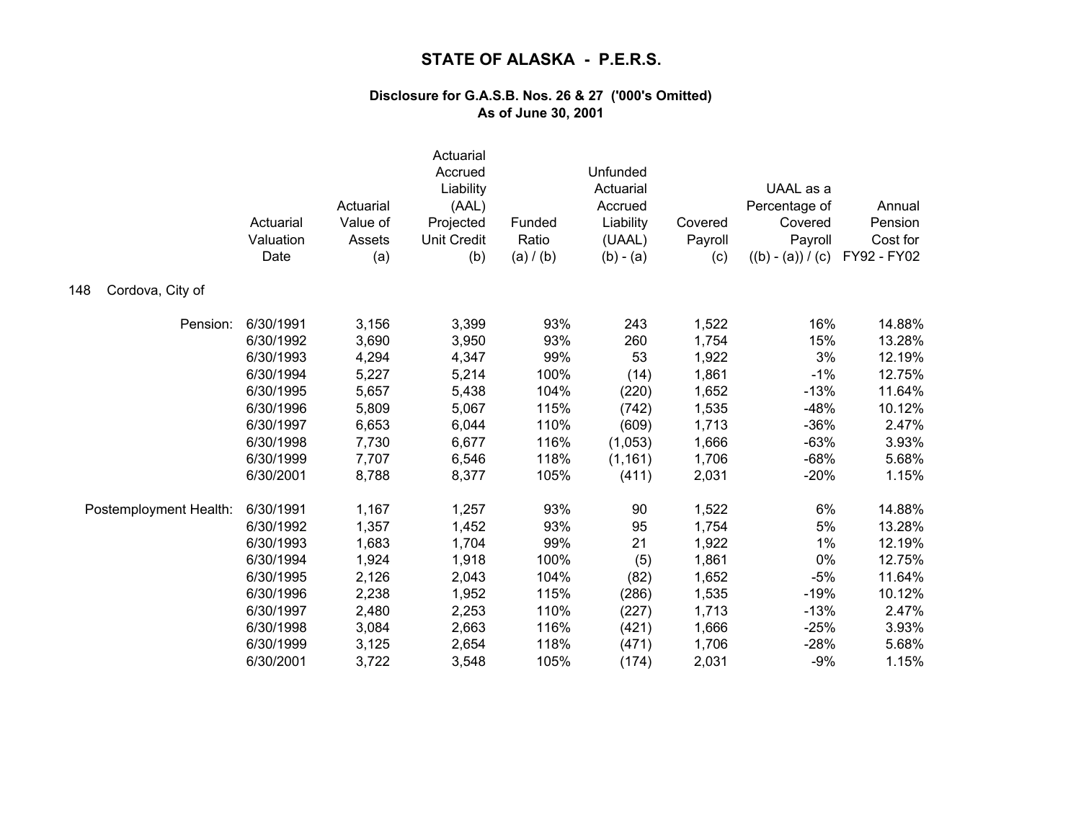|                         | Actuarial<br>Valuation<br>Date | Actuarial<br>Value of<br>Assets<br>(a) | Actuarial<br>Accrued<br>Liability<br>(AAL)<br>Projected<br><b>Unit Credit</b><br>(b) | Funded<br>Ratio<br>(a) / (b) | Unfunded<br>Actuarial<br>Accrued<br>Liability<br>(UAAL)<br>$(b) - (a)$ | Covered<br>Payroll<br>(c) | UAAL as a<br>Percentage of<br>Covered<br>Payroll<br>$((b) - (a)) / (c)$ | Annual<br>Pension<br>Cost for<br>FY92 - FY02 |
|-------------------------|--------------------------------|----------------------------------------|--------------------------------------------------------------------------------------|------------------------------|------------------------------------------------------------------------|---------------------------|-------------------------------------------------------------------------|----------------------------------------------|
| Cordova, City of<br>148 |                                |                                        |                                                                                      |                              |                                                                        |                           |                                                                         |                                              |
| Pension:                | 6/30/1991                      | 3,156                                  | 3,399                                                                                | 93%                          | 243                                                                    | 1,522                     | 16%                                                                     | 14.88%                                       |
|                         | 6/30/1992                      | 3,690                                  | 3,950                                                                                | 93%                          | 260                                                                    | 1,754                     | 15%                                                                     | 13.28%                                       |
|                         | 6/30/1993                      | 4,294                                  | 4,347                                                                                | 99%                          | 53                                                                     | 1,922                     | 3%                                                                      | 12.19%                                       |
|                         | 6/30/1994                      | 5,227                                  | 5,214                                                                                | 100%                         | (14)                                                                   | 1,861                     | $-1%$                                                                   | 12.75%                                       |
|                         | 6/30/1995                      | 5,657                                  | 5,438                                                                                | 104%                         | (220)                                                                  | 1,652                     | $-13%$                                                                  | 11.64%                                       |
|                         | 6/30/1996                      | 5,809                                  | 5,067                                                                                | 115%                         | (742)                                                                  | 1,535                     | $-48%$                                                                  | 10.12%                                       |
|                         | 6/30/1997                      | 6,653                                  | 6,044                                                                                | 110%                         | (609)                                                                  | 1,713                     | $-36%$                                                                  | 2.47%                                        |
|                         | 6/30/1998                      | 7,730                                  | 6,677                                                                                | 116%                         | (1,053)                                                                | 1,666                     | $-63%$                                                                  | 3.93%                                        |
|                         | 6/30/1999                      | 7,707                                  | 6,546                                                                                | 118%                         | (1, 161)                                                               | 1,706                     | $-68%$                                                                  | 5.68%                                        |
|                         | 6/30/2001                      | 8,788                                  | 8,377                                                                                | 105%                         | (411)                                                                  | 2,031                     | $-20%$                                                                  | 1.15%                                        |
| Postemployment Health:  | 6/30/1991                      | 1,167                                  | 1,257                                                                                | 93%                          | 90                                                                     | 1,522                     | 6%                                                                      | 14.88%                                       |
|                         | 6/30/1992                      | 1,357                                  | 1,452                                                                                | 93%                          | 95                                                                     | 1,754                     | 5%                                                                      | 13.28%                                       |
|                         | 6/30/1993                      | 1,683                                  | 1,704                                                                                | 99%                          | 21                                                                     | 1,922                     | 1%                                                                      | 12.19%                                       |
|                         | 6/30/1994                      | 1,924                                  | 1,918                                                                                | 100%                         | (5)                                                                    | 1,861                     | 0%                                                                      | 12.75%                                       |
|                         | 6/30/1995                      | 2,126                                  | 2,043                                                                                | 104%                         | (82)                                                                   | 1,652                     | $-5%$                                                                   | 11.64%                                       |
|                         | 6/30/1996                      | 2,238                                  | 1,952                                                                                | 115%                         | (286)                                                                  | 1,535                     | $-19%$                                                                  | 10.12%                                       |
|                         | 6/30/1997                      | 2,480                                  | 2,253                                                                                | 110%                         | (227)                                                                  | 1,713                     | $-13%$                                                                  | 2.47%                                        |
|                         | 6/30/1998                      | 3,084                                  | 2,663                                                                                | 116%                         | (421)                                                                  | 1,666                     | $-25%$                                                                  | 3.93%                                        |
|                         | 6/30/1999                      | 3,125                                  | 2,654                                                                                | 118%                         | (471)                                                                  | 1,706                     | $-28%$                                                                  | 5.68%                                        |
|                         | 6/30/2001                      | 3,722                                  | 3,548                                                                                | 105%                         | (174)                                                                  | 2,031                     | $-9%$                                                                   | 1.15%                                        |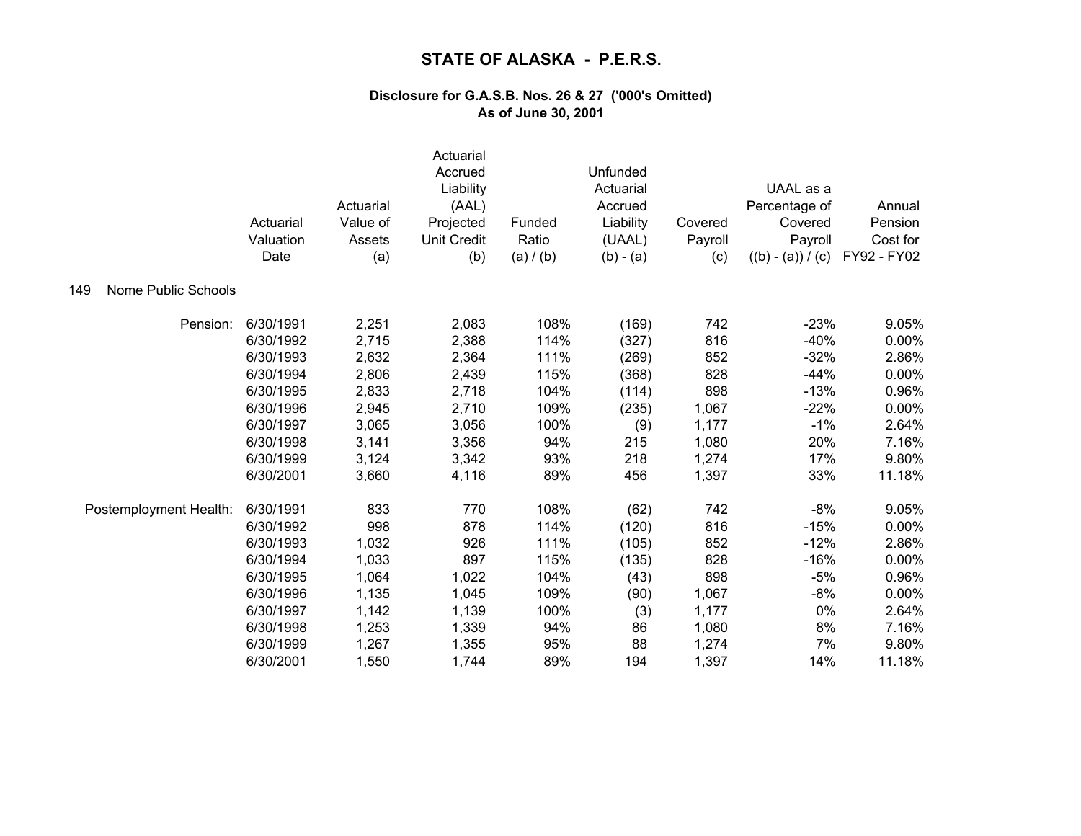|                            | Actuarial<br>Valuation<br>Date | Actuarial<br>Value of<br>Assets<br>(a) | Actuarial<br>Accrued<br>Liability<br>(AAL)<br>Projected<br><b>Unit Credit</b><br>(b) | Funded<br>Ratio<br>(a) / (b) | Unfunded<br>Actuarial<br>Accrued<br>Liability<br>(UAAL)<br>$(b) - (a)$ | Covered<br>Payroll<br>(c) | UAAL as a<br>Percentage of<br>Covered<br>Payroll<br>$((b) - (a)) / (c)$ | Annual<br>Pension<br>Cost for<br>FY92 - FY02 |
|----------------------------|--------------------------------|----------------------------------------|--------------------------------------------------------------------------------------|------------------------------|------------------------------------------------------------------------|---------------------------|-------------------------------------------------------------------------|----------------------------------------------|
| Nome Public Schools<br>149 |                                |                                        |                                                                                      |                              |                                                                        |                           |                                                                         |                                              |
| Pension:                   | 6/30/1991                      | 2,251                                  | 2,083                                                                                | 108%                         | (169)                                                                  | 742                       | $-23%$                                                                  | 9.05%                                        |
|                            | 6/30/1992                      | 2,715                                  | 2,388                                                                                | 114%                         | (327)                                                                  | 816                       | $-40%$                                                                  | 0.00%                                        |
|                            | 6/30/1993                      | 2,632                                  | 2,364                                                                                | 111%                         | (269)                                                                  | 852                       | $-32%$                                                                  | 2.86%                                        |
|                            | 6/30/1994                      | 2,806                                  | 2,439                                                                                | 115%                         | (368)                                                                  | 828                       | $-44%$                                                                  | 0.00%                                        |
|                            | 6/30/1995                      | 2,833                                  | 2,718                                                                                | 104%                         | (114)                                                                  | 898                       | $-13%$                                                                  | 0.96%                                        |
|                            | 6/30/1996                      | 2,945                                  | 2,710                                                                                | 109%                         | (235)                                                                  | 1,067                     | $-22%$                                                                  | 0.00%                                        |
|                            | 6/30/1997                      | 3,065                                  | 3,056                                                                                | 100%                         | (9)                                                                    | 1,177                     | $-1%$                                                                   | 2.64%                                        |
|                            | 6/30/1998                      | 3,141                                  | 3,356                                                                                | 94%                          | 215                                                                    | 1,080                     | 20%                                                                     | 7.16%                                        |
|                            | 6/30/1999                      | 3,124                                  | 3,342                                                                                | 93%                          | 218                                                                    | 1,274                     | 17%                                                                     | 9.80%                                        |
|                            | 6/30/2001                      | 3,660                                  | 4,116                                                                                | 89%                          | 456                                                                    | 1,397                     | 33%                                                                     | 11.18%                                       |
| Postemployment Health:     | 6/30/1991                      | 833                                    | 770                                                                                  | 108%                         | (62)                                                                   | 742                       | $-8%$                                                                   | 9.05%                                        |
|                            | 6/30/1992                      | 998                                    | 878                                                                                  | 114%                         | (120)                                                                  | 816                       | $-15%$                                                                  | 0.00%                                        |
|                            | 6/30/1993                      | 1,032                                  | 926                                                                                  | 111%                         | (105)                                                                  | 852                       | $-12%$                                                                  | 2.86%                                        |
|                            | 6/30/1994                      | 1,033                                  | 897                                                                                  | 115%                         | (135)                                                                  | 828                       | $-16%$                                                                  | 0.00%                                        |
|                            | 6/30/1995                      | 1,064                                  | 1,022                                                                                | 104%                         | (43)                                                                   | 898                       | $-5%$                                                                   | 0.96%                                        |
|                            | 6/30/1996                      | 1,135                                  | 1,045                                                                                | 109%                         | (90)                                                                   | 1,067                     | $-8%$                                                                   | 0.00%                                        |
|                            | 6/30/1997                      | 1,142                                  | 1,139                                                                                | 100%                         | (3)                                                                    | 1,177                     | 0%                                                                      | 2.64%                                        |
|                            | 6/30/1998                      | 1,253                                  | 1,339                                                                                | 94%                          | 86                                                                     | 1,080                     | 8%                                                                      | 7.16%                                        |
|                            | 6/30/1999                      | 1,267                                  | 1,355                                                                                | 95%                          | 88                                                                     | 1,274                     | 7%                                                                      | 9.80%                                        |
|                            | 6/30/2001                      | 1,550                                  | 1,744                                                                                | 89%                          | 194                                                                    | 1,397                     | 14%                                                                     | 11.18%                                       |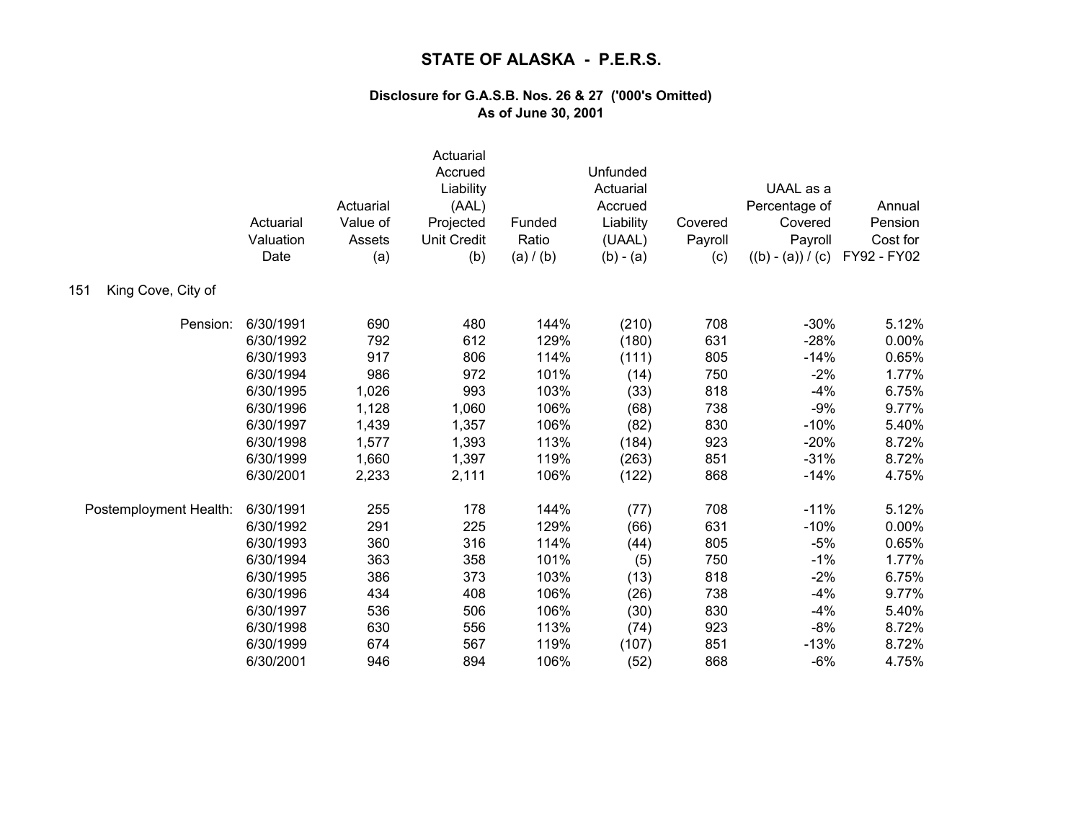|                           | Actuarial<br>Valuation<br>Date | Actuarial<br>Value of<br>Assets<br>(a) | Actuarial<br>Accrued<br>Liability<br>(AAL)<br>Projected<br><b>Unit Credit</b><br>(b) | Funded<br>Ratio<br>(a) / (b) | Unfunded<br>Actuarial<br>Accrued<br>Liability<br>(UAAL)<br>$(b) - (a)$ | Covered<br>Payroll<br>(c) | UAAL as a<br>Percentage of<br>Covered<br>Payroll<br>$((b) - (a)) / (c)$ | Annual<br>Pension<br>Cost for<br>FY92 - FY02 |
|---------------------------|--------------------------------|----------------------------------------|--------------------------------------------------------------------------------------|------------------------------|------------------------------------------------------------------------|---------------------------|-------------------------------------------------------------------------|----------------------------------------------|
| King Cove, City of<br>151 |                                |                                        |                                                                                      |                              |                                                                        |                           |                                                                         |                                              |
| Pension:                  | 6/30/1991                      | 690                                    | 480                                                                                  | 144%                         | (210)                                                                  | 708                       | $-30%$                                                                  | 5.12%                                        |
|                           | 6/30/1992                      | 792                                    | 612                                                                                  | 129%                         | (180)                                                                  | 631                       | $-28%$                                                                  | 0.00%                                        |
|                           | 6/30/1993                      | 917                                    | 806                                                                                  | 114%                         | (111)                                                                  | 805                       | $-14%$                                                                  | 0.65%                                        |
|                           | 6/30/1994                      | 986                                    | 972                                                                                  | 101%                         | (14)                                                                   | 750                       | $-2%$                                                                   | 1.77%                                        |
|                           | 6/30/1995                      | 1,026                                  | 993                                                                                  | 103%                         | (33)                                                                   | 818                       | $-4%$                                                                   | 6.75%                                        |
|                           | 6/30/1996                      | 1,128                                  | 1,060                                                                                | 106%                         | (68)                                                                   | 738                       | $-9%$                                                                   | 9.77%                                        |
|                           | 6/30/1997                      | 1,439                                  | 1,357                                                                                | 106%                         | (82)                                                                   | 830                       | $-10%$                                                                  | 5.40%                                        |
|                           | 6/30/1998                      | 1,577                                  | 1,393                                                                                | 113%                         | (184)                                                                  | 923                       | $-20%$                                                                  | 8.72%                                        |
|                           | 6/30/1999                      | 1,660                                  | 1,397                                                                                | 119%                         | (263)                                                                  | 851                       | $-31%$                                                                  | 8.72%                                        |
|                           | 6/30/2001                      | 2,233                                  | 2,111                                                                                | 106%                         | (122)                                                                  | 868                       | $-14%$                                                                  | 4.75%                                        |
| Postemployment Health:    | 6/30/1991                      | 255                                    | 178                                                                                  | 144%                         | (77)                                                                   | 708                       | $-11%$                                                                  | 5.12%                                        |
|                           | 6/30/1992                      | 291                                    | 225                                                                                  | 129%                         | (66)                                                                   | 631                       | $-10%$                                                                  | 0.00%                                        |
|                           | 6/30/1993                      | 360                                    | 316                                                                                  | 114%                         | (44)                                                                   | 805                       | $-5%$                                                                   | 0.65%                                        |
|                           | 6/30/1994                      | 363                                    | 358                                                                                  | 101%                         | (5)                                                                    | 750                       | $-1%$                                                                   | 1.77%                                        |
|                           | 6/30/1995                      | 386                                    | 373                                                                                  | 103%                         | (13)                                                                   | 818                       | $-2%$                                                                   | 6.75%                                        |
|                           | 6/30/1996                      | 434                                    | 408                                                                                  | 106%                         | (26)                                                                   | 738                       | $-4%$                                                                   | 9.77%                                        |
|                           | 6/30/1997                      | 536                                    | 506                                                                                  | 106%                         | (30)                                                                   | 830                       | $-4%$                                                                   | 5.40%                                        |
|                           | 6/30/1998                      | 630                                    | 556                                                                                  | 113%                         | (74)                                                                   | 923                       | $-8%$                                                                   | 8.72%                                        |
|                           | 6/30/1999                      | 674                                    | 567                                                                                  | 119%                         | (107)                                                                  | 851                       | $-13%$                                                                  | 8.72%                                        |
|                           | 6/30/2001                      | 946                                    | 894                                                                                  | 106%                         | (52)                                                                   | 868                       | $-6%$                                                                   | 4.75%                                        |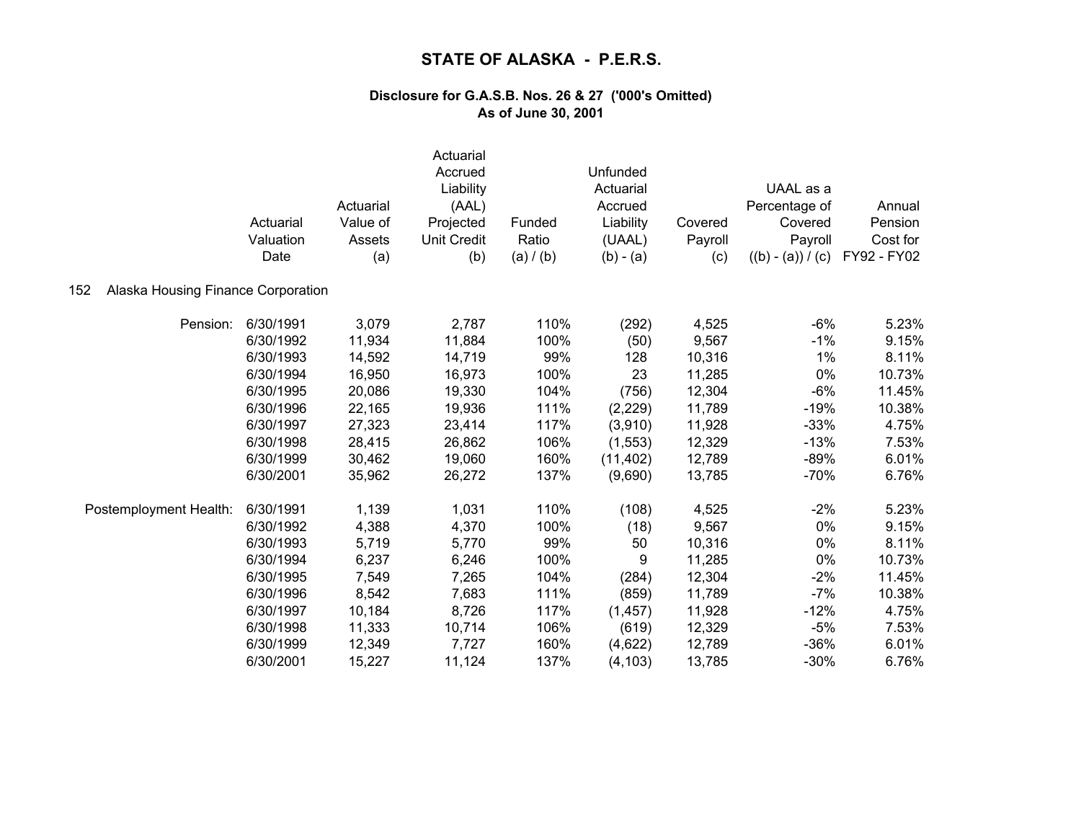|                                           | Actuarial<br>Valuation<br>Date | Actuarial<br>Value of<br>Assets<br>(a) | Actuarial<br>Accrued<br>Liability<br>(AAL)<br>Projected<br><b>Unit Credit</b><br>(b) | Funded<br>Ratio<br>(a) / (b) | Unfunded<br>Actuarial<br>Accrued<br>Liability<br>(UAAL)<br>$(b) - (a)$ | Covered<br>Payroll<br>(c) | UAAL as a<br>Percentage of<br>Covered<br>Payroll<br>$((b) - (a)) / (c)$ | Annual<br>Pension<br>Cost for<br>FY92 - FY02 |
|-------------------------------------------|--------------------------------|----------------------------------------|--------------------------------------------------------------------------------------|------------------------------|------------------------------------------------------------------------|---------------------------|-------------------------------------------------------------------------|----------------------------------------------|
| Alaska Housing Finance Corporation<br>152 |                                |                                        |                                                                                      |                              |                                                                        |                           |                                                                         |                                              |
| Pension:                                  | 6/30/1991                      | 3,079                                  | 2,787                                                                                | 110%                         | (292)                                                                  | 4,525                     | $-6%$                                                                   | 5.23%                                        |
|                                           | 6/30/1992                      | 11,934                                 | 11,884                                                                               | 100%                         | (50)                                                                   | 9,567                     | $-1%$                                                                   | 9.15%                                        |
|                                           | 6/30/1993                      | 14,592                                 | 14,719                                                                               | 99%                          | 128                                                                    | 10,316                    | 1%                                                                      | 8.11%                                        |
|                                           | 6/30/1994                      | 16,950                                 | 16,973                                                                               | 100%                         | 23                                                                     | 11,285                    | 0%                                                                      | 10.73%                                       |
|                                           | 6/30/1995                      | 20,086                                 | 19,330                                                                               | 104%                         | (756)                                                                  | 12,304                    | $-6%$                                                                   | 11.45%                                       |
|                                           | 6/30/1996                      | 22,165                                 | 19,936                                                                               | 111%                         | (2, 229)                                                               | 11,789                    | $-19%$                                                                  | 10.38%                                       |
|                                           | 6/30/1997                      | 27,323                                 | 23,414                                                                               | 117%                         | (3,910)                                                                | 11,928                    | $-33%$                                                                  | 4.75%                                        |
|                                           | 6/30/1998                      | 28,415                                 | 26,862                                                                               | 106%                         | (1, 553)                                                               | 12,329                    | $-13%$                                                                  | 7.53%                                        |
|                                           | 6/30/1999                      | 30,462                                 | 19,060                                                                               | 160%                         | (11, 402)                                                              | 12,789                    | $-89%$                                                                  | 6.01%                                        |
|                                           | 6/30/2001                      | 35,962                                 | 26,272                                                                               | 137%                         | (9,690)                                                                | 13,785                    | $-70%$                                                                  | 6.76%                                        |
| Postemployment Health:                    | 6/30/1991                      | 1,139                                  | 1,031                                                                                | 110%                         | (108)                                                                  | 4,525                     | $-2%$                                                                   | 5.23%                                        |
|                                           | 6/30/1992                      | 4,388                                  | 4,370                                                                                | 100%                         | (18)                                                                   | 9,567                     | 0%                                                                      | 9.15%                                        |
|                                           | 6/30/1993                      | 5,719                                  | 5,770                                                                                | 99%                          | 50                                                                     | 10,316                    | 0%                                                                      | 8.11%                                        |
|                                           | 6/30/1994                      | 6,237                                  | 6,246                                                                                | 100%                         | 9                                                                      | 11,285                    | 0%                                                                      | 10.73%                                       |
|                                           | 6/30/1995                      | 7,549                                  | 7,265                                                                                | 104%                         | (284)                                                                  | 12,304                    | $-2%$                                                                   | 11.45%                                       |
|                                           | 6/30/1996                      | 8,542                                  | 7,683                                                                                | 111%                         | (859)                                                                  | 11,789                    | $-7%$                                                                   | 10.38%                                       |
|                                           | 6/30/1997                      | 10,184                                 | 8,726                                                                                | 117%                         | (1, 457)                                                               | 11,928                    | $-12%$                                                                  | 4.75%                                        |
|                                           | 6/30/1998                      | 11,333                                 | 10,714                                                                               | 106%                         | (619)                                                                  | 12,329                    | $-5%$                                                                   | 7.53%                                        |
|                                           | 6/30/1999                      | 12,349                                 | 7,727                                                                                | 160%                         | (4,622)                                                                | 12,789                    | $-36%$                                                                  | 6.01%                                        |
|                                           | 6/30/2001                      | 15,227                                 | 11,124                                                                               | 137%                         | (4, 103)                                                               | 13,785                    | $-30%$                                                                  | 6.76%                                        |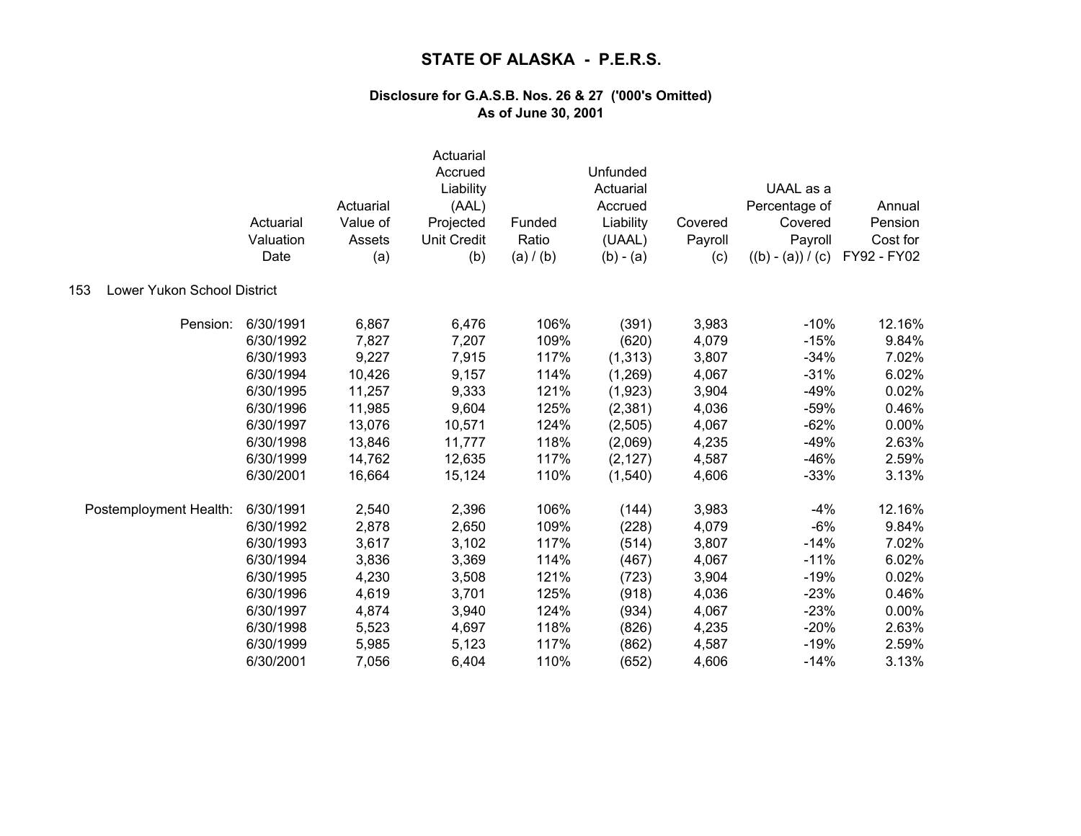|                                    | Actuarial<br>Valuation<br>Date | Actuarial<br>Value of<br>Assets<br>(a) | Actuarial<br>Accrued<br>Liability<br>(AAL)<br>Projected<br><b>Unit Credit</b><br>(b) | Funded<br>Ratio<br>(a) / (b) | Unfunded<br>Actuarial<br>Accrued<br>Liability<br>(UAAL)<br>$(b) - (a)$ | Covered<br>Payroll<br>(c) | UAAL as a<br>Percentage of<br>Covered<br>Payroll<br>$((b) - (a)) / (c)$ | Annual<br>Pension<br>Cost for<br>FY92 - FY02 |
|------------------------------------|--------------------------------|----------------------------------------|--------------------------------------------------------------------------------------|------------------------------|------------------------------------------------------------------------|---------------------------|-------------------------------------------------------------------------|----------------------------------------------|
| Lower Yukon School District<br>153 |                                |                                        |                                                                                      |                              |                                                                        |                           |                                                                         |                                              |
| Pension:                           | 6/30/1991                      | 6,867                                  | 6,476                                                                                | 106%                         | (391)                                                                  | 3,983                     | $-10%$                                                                  | 12.16%                                       |
|                                    | 6/30/1992                      | 7,827                                  | 7,207                                                                                | 109%                         | (620)                                                                  | 4,079                     | $-15%$                                                                  | 9.84%                                        |
|                                    | 6/30/1993                      | 9,227                                  | 7,915                                                                                | 117%                         | (1, 313)                                                               | 3,807                     | $-34%$                                                                  | 7.02%                                        |
|                                    | 6/30/1994                      | 10,426                                 | 9,157                                                                                | 114%                         | (1,269)                                                                | 4,067                     | $-31%$                                                                  | 6.02%                                        |
|                                    | 6/30/1995                      | 11,257                                 | 9,333                                                                                | 121%                         | (1,923)                                                                | 3,904                     | $-49%$                                                                  | 0.02%                                        |
|                                    | 6/30/1996                      | 11,985                                 | 9,604                                                                                | 125%                         | (2, 381)                                                               | 4,036                     | $-59%$                                                                  | 0.46%                                        |
|                                    | 6/30/1997                      | 13,076                                 | 10,571                                                                               | 124%                         | (2,505)                                                                | 4,067                     | $-62%$                                                                  | 0.00%                                        |
|                                    | 6/30/1998                      | 13,846                                 | 11,777                                                                               | 118%                         | (2,069)                                                                | 4,235                     | $-49%$                                                                  | 2.63%                                        |
|                                    | 6/30/1999                      | 14,762                                 | 12,635                                                                               | 117%                         | (2, 127)                                                               | 4,587                     | $-46%$                                                                  | 2.59%                                        |
|                                    | 6/30/2001                      | 16,664                                 | 15,124                                                                               | 110%                         | (1,540)                                                                | 4,606                     | $-33%$                                                                  | 3.13%                                        |
| Postemployment Health:             | 6/30/1991                      | 2,540                                  | 2,396                                                                                | 106%                         | (144)                                                                  | 3,983                     | $-4%$                                                                   | 12.16%                                       |
|                                    | 6/30/1992                      | 2,878                                  | 2,650                                                                                | 109%                         | (228)                                                                  | 4,079                     | $-6%$                                                                   | 9.84%                                        |
|                                    | 6/30/1993                      | 3,617                                  | 3,102                                                                                | 117%                         | (514)                                                                  | 3,807                     | $-14%$                                                                  | 7.02%                                        |
|                                    | 6/30/1994                      | 3,836                                  | 3,369                                                                                | 114%                         | (467)                                                                  | 4,067                     | $-11%$                                                                  | 6.02%                                        |
|                                    | 6/30/1995                      | 4,230                                  | 3,508                                                                                | 121%                         | (723)                                                                  | 3,904                     | $-19%$                                                                  | 0.02%                                        |
|                                    | 6/30/1996                      | 4,619                                  | 3,701                                                                                | 125%                         | (918)                                                                  | 4,036                     | $-23%$                                                                  | 0.46%                                        |
|                                    | 6/30/1997                      | 4,874                                  | 3,940                                                                                | 124%                         | (934)                                                                  | 4,067                     | $-23%$                                                                  | 0.00%                                        |
|                                    | 6/30/1998                      | 5,523                                  | 4,697                                                                                | 118%                         | (826)                                                                  | 4,235                     | $-20%$                                                                  | 2.63%                                        |
|                                    | 6/30/1999                      | 5,985                                  | 5,123                                                                                | 117%                         | (862)                                                                  | 4,587                     | $-19%$                                                                  | 2.59%                                        |
|                                    | 6/30/2001                      | 7,056                                  | 6,404                                                                                | 110%                         | (652)                                                                  | 4,606                     | $-14%$                                                                  | 3.13%                                        |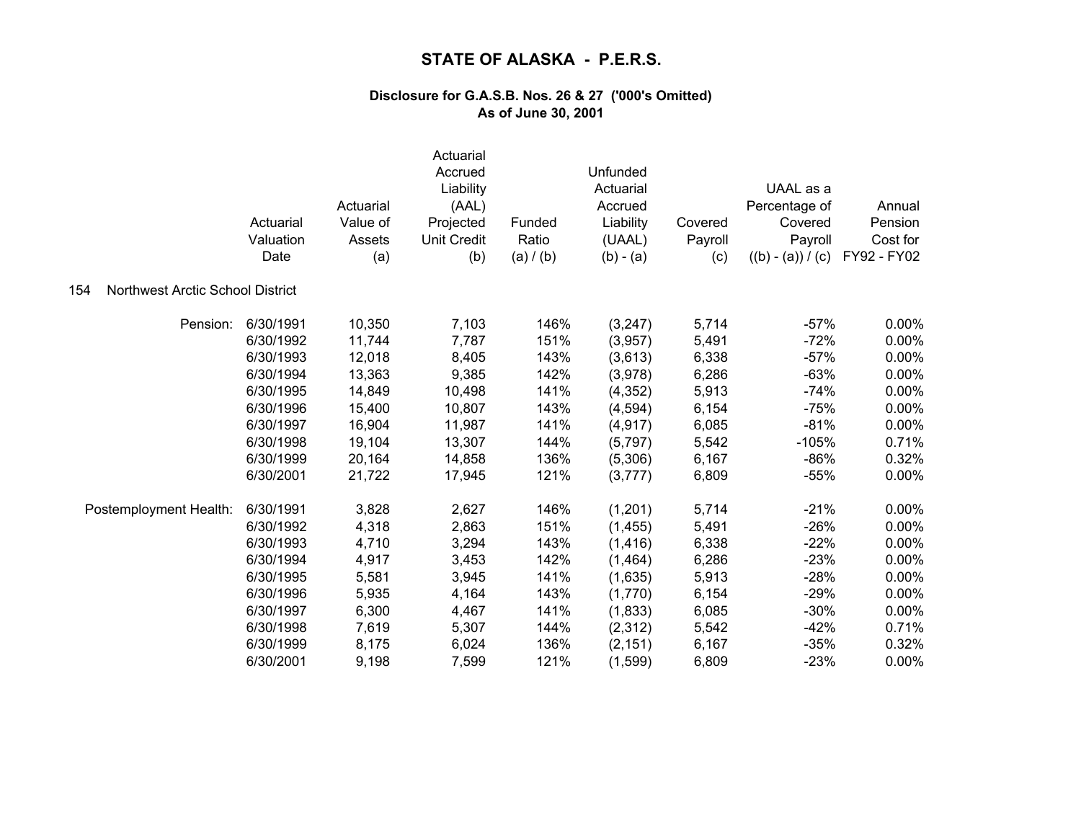|                                         | Actuarial<br>Valuation<br>Date | Actuarial<br>Value of<br>Assets<br>(a) | Actuarial<br>Accrued<br>Liability<br>(AAL)<br>Projected<br><b>Unit Credit</b><br>(b) | Funded<br>Ratio<br>(a) / (b) | Unfunded<br>Actuarial<br>Accrued<br>Liability<br>(UAAL)<br>$(b) - (a)$ | Covered<br>Payroll<br>(c) | UAAL as a<br>Percentage of<br>Covered<br>Payroll<br>$((b) - (a)) / (c)$ | Annual<br>Pension<br>Cost for<br>FY92 - FY02 |
|-----------------------------------------|--------------------------------|----------------------------------------|--------------------------------------------------------------------------------------|------------------------------|------------------------------------------------------------------------|---------------------------|-------------------------------------------------------------------------|----------------------------------------------|
| Northwest Arctic School District<br>154 |                                |                                        |                                                                                      |                              |                                                                        |                           |                                                                         |                                              |
| Pension:                                | 6/30/1991                      | 10,350                                 | 7,103                                                                                | 146%                         | (3,247)                                                                | 5,714                     | $-57%$                                                                  | $0.00\%$                                     |
|                                         | 6/30/1992                      | 11,744                                 | 7,787                                                                                | 151%                         | (3,957)                                                                | 5,491                     | $-72%$                                                                  | 0.00%                                        |
|                                         | 6/30/1993                      | 12,018                                 | 8,405                                                                                | 143%                         | (3,613)                                                                | 6,338                     | $-57%$                                                                  | 0.00%                                        |
|                                         | 6/30/1994                      | 13,363                                 | 9,385                                                                                | 142%                         | (3,978)                                                                | 6,286                     | $-63%$                                                                  | 0.00%                                        |
|                                         | 6/30/1995                      | 14,849                                 | 10,498                                                                               | 141%                         | (4, 352)                                                               | 5,913                     | $-74%$                                                                  | 0.00%                                        |
|                                         | 6/30/1996                      | 15,400                                 | 10,807                                                                               | 143%                         | (4,594)                                                                | 6,154                     | $-75%$                                                                  | 0.00%                                        |
|                                         | 6/30/1997                      | 16,904                                 | 11,987                                                                               | 141%                         | (4, 917)                                                               | 6,085                     | $-81%$                                                                  | $0.00\%$                                     |
|                                         | 6/30/1998                      | 19,104                                 | 13,307                                                                               | 144%                         | (5,797)                                                                | 5,542                     | $-105%$                                                                 | 0.71%                                        |
|                                         | 6/30/1999                      | 20,164                                 | 14,858                                                                               | 136%                         | (5,306)                                                                | 6,167                     | $-86%$                                                                  | 0.32%                                        |
|                                         | 6/30/2001                      | 21,722                                 | 17,945                                                                               | 121%                         | (3,777)                                                                | 6,809                     | $-55%$                                                                  | 0.00%                                        |
| Postemployment Health:                  | 6/30/1991                      | 3,828                                  | 2,627                                                                                | 146%                         | (1,201)                                                                | 5,714                     | $-21%$                                                                  | 0.00%                                        |
|                                         | 6/30/1992                      | 4,318                                  | 2,863                                                                                | 151%                         | (1, 455)                                                               | 5,491                     | $-26%$                                                                  | 0.00%                                        |
|                                         | 6/30/1993                      | 4,710                                  | 3,294                                                                                | 143%                         | (1, 416)                                                               | 6,338                     | $-22%$                                                                  | 0.00%                                        |
|                                         | 6/30/1994                      | 4,917                                  | 3,453                                                                                | 142%                         | (1,464)                                                                | 6,286                     | $-23%$                                                                  | 0.00%                                        |
|                                         | 6/30/1995                      | 5,581                                  | 3,945                                                                                | 141%                         | (1,635)                                                                | 5,913                     | $-28%$                                                                  | 0.00%                                        |
|                                         | 6/30/1996                      | 5,935                                  | 4,164                                                                                | 143%                         | (1,770)                                                                | 6,154                     | $-29%$                                                                  | 0.00%                                        |
|                                         | 6/30/1997                      | 6,300                                  | 4,467                                                                                | 141%                         | (1,833)                                                                | 6,085                     | $-30%$                                                                  | 0.00%                                        |
|                                         | 6/30/1998                      | 7,619                                  | 5,307                                                                                | 144%                         | (2,312)                                                                | 5,542                     | $-42%$                                                                  | 0.71%                                        |
|                                         | 6/30/1999                      | 8,175                                  | 6,024                                                                                | 136%                         | (2, 151)                                                               | 6,167                     | $-35%$                                                                  | 0.32%                                        |
|                                         | 6/30/2001                      | 9,198                                  | 7,599                                                                                | 121%                         | (1,599)                                                                | 6,809                     | $-23%$                                                                  | 0.00%                                        |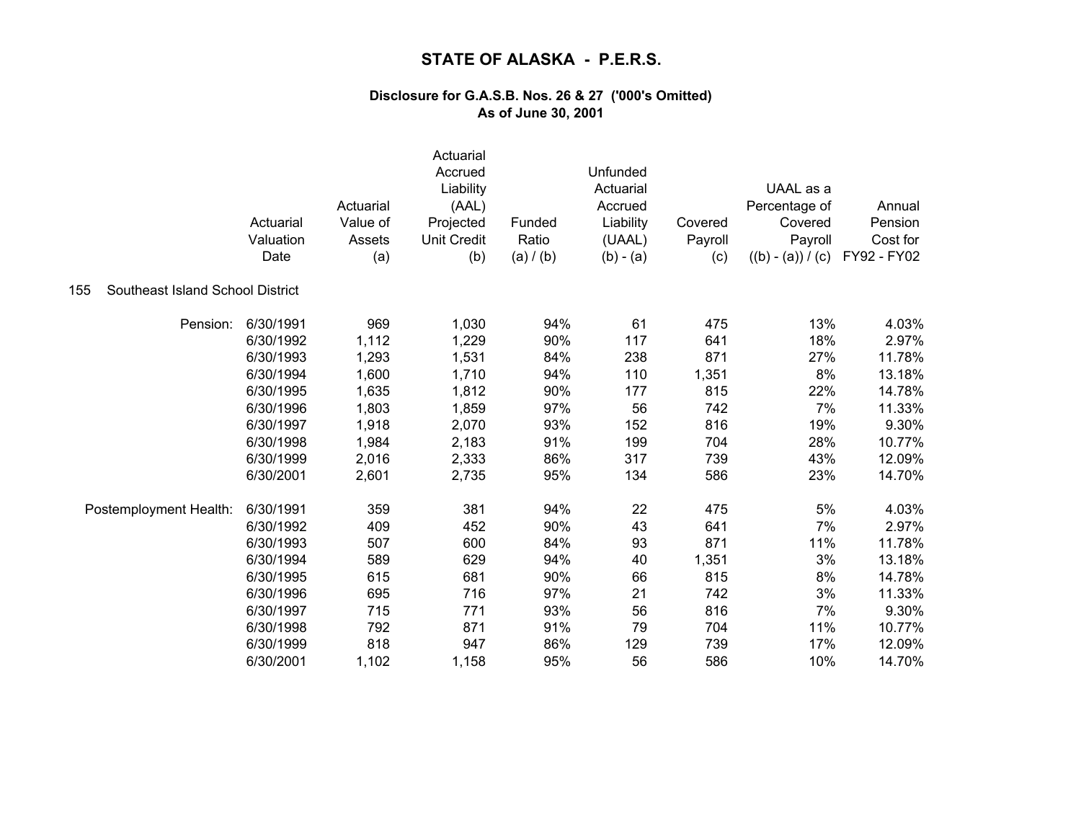|                                         | Actuarial<br>Valuation<br>Date | Actuarial<br>Value of<br>Assets<br>(a) | Actuarial<br>Accrued<br>Liability<br>(AAL)<br>Projected<br><b>Unit Credit</b><br>(b) | Funded<br>Ratio<br>(a) / (b) | Unfunded<br>Actuarial<br>Accrued<br>Liability<br>(UAAL)<br>$(b) - (a)$ | Covered<br>Payroll<br>(c) | UAAL as a<br>Percentage of<br>Covered<br>Payroll<br>$((b) - (a)) / (c)$ | Annual<br>Pension<br>Cost for<br>FY92 - FY02 |
|-----------------------------------------|--------------------------------|----------------------------------------|--------------------------------------------------------------------------------------|------------------------------|------------------------------------------------------------------------|---------------------------|-------------------------------------------------------------------------|----------------------------------------------|
| Southeast Island School District<br>155 |                                |                                        |                                                                                      |                              |                                                                        |                           |                                                                         |                                              |
| Pension:                                | 6/30/1991                      | 969                                    | 1,030                                                                                | 94%                          | 61                                                                     | 475                       | 13%                                                                     | 4.03%                                        |
|                                         | 6/30/1992                      | 1,112                                  | 1,229                                                                                | 90%                          | 117                                                                    | 641                       | 18%                                                                     | 2.97%                                        |
|                                         | 6/30/1993                      | 1,293                                  | 1,531                                                                                | 84%                          | 238                                                                    | 871                       | 27%                                                                     | 11.78%                                       |
|                                         | 6/30/1994                      | 1,600                                  | 1,710                                                                                | 94%                          | 110                                                                    | 1,351                     | 8%                                                                      | 13.18%                                       |
|                                         | 6/30/1995                      | 1,635                                  | 1,812                                                                                | 90%                          | 177                                                                    | 815                       | 22%                                                                     | 14.78%                                       |
|                                         | 6/30/1996                      | 1,803                                  | 1,859                                                                                | 97%                          | 56                                                                     | 742                       | 7%                                                                      | 11.33%                                       |
|                                         | 6/30/1997                      | 1,918                                  | 2,070                                                                                | 93%                          | 152                                                                    | 816                       | 19%                                                                     | 9.30%                                        |
|                                         | 6/30/1998                      | 1,984                                  | 2,183                                                                                | 91%                          | 199                                                                    | 704                       | 28%                                                                     | 10.77%                                       |
|                                         | 6/30/1999                      | 2,016                                  | 2,333                                                                                | 86%                          | 317                                                                    | 739                       | 43%                                                                     | 12.09%                                       |
|                                         | 6/30/2001                      | 2,601                                  | 2,735                                                                                | 95%                          | 134                                                                    | 586                       | 23%                                                                     | 14.70%                                       |
| Postemployment Health:                  | 6/30/1991                      | 359                                    | 381                                                                                  | 94%                          | 22                                                                     | 475                       | 5%                                                                      | 4.03%                                        |
|                                         | 6/30/1992                      | 409                                    | 452                                                                                  | 90%                          | 43                                                                     | 641                       | 7%                                                                      | 2.97%                                        |
|                                         | 6/30/1993                      | 507                                    | 600                                                                                  | 84%                          | 93                                                                     | 871                       | 11%                                                                     | 11.78%                                       |
|                                         | 6/30/1994                      | 589                                    | 629                                                                                  | 94%                          | 40                                                                     | 1,351                     | 3%                                                                      | 13.18%                                       |
|                                         | 6/30/1995                      | 615                                    | 681                                                                                  | 90%                          | 66                                                                     | 815                       | 8%                                                                      | 14.78%                                       |
|                                         | 6/30/1996                      | 695                                    | 716                                                                                  | 97%                          | 21                                                                     | 742                       | 3%                                                                      | 11.33%                                       |
|                                         | 6/30/1997                      | 715                                    | 771                                                                                  | 93%                          | 56                                                                     | 816                       | 7%                                                                      | 9.30%                                        |
|                                         | 6/30/1998                      | 792                                    | 871                                                                                  | 91%                          | 79                                                                     | 704                       | 11%                                                                     | 10.77%                                       |
|                                         | 6/30/1999                      | 818                                    | 947                                                                                  | 86%                          | 129                                                                    | 739                       | 17%                                                                     | 12.09%                                       |
|                                         | 6/30/2001                      | 1,102                                  | 1,158                                                                                | 95%                          | 56                                                                     | 586                       | 10%                                                                     | 14.70%                                       |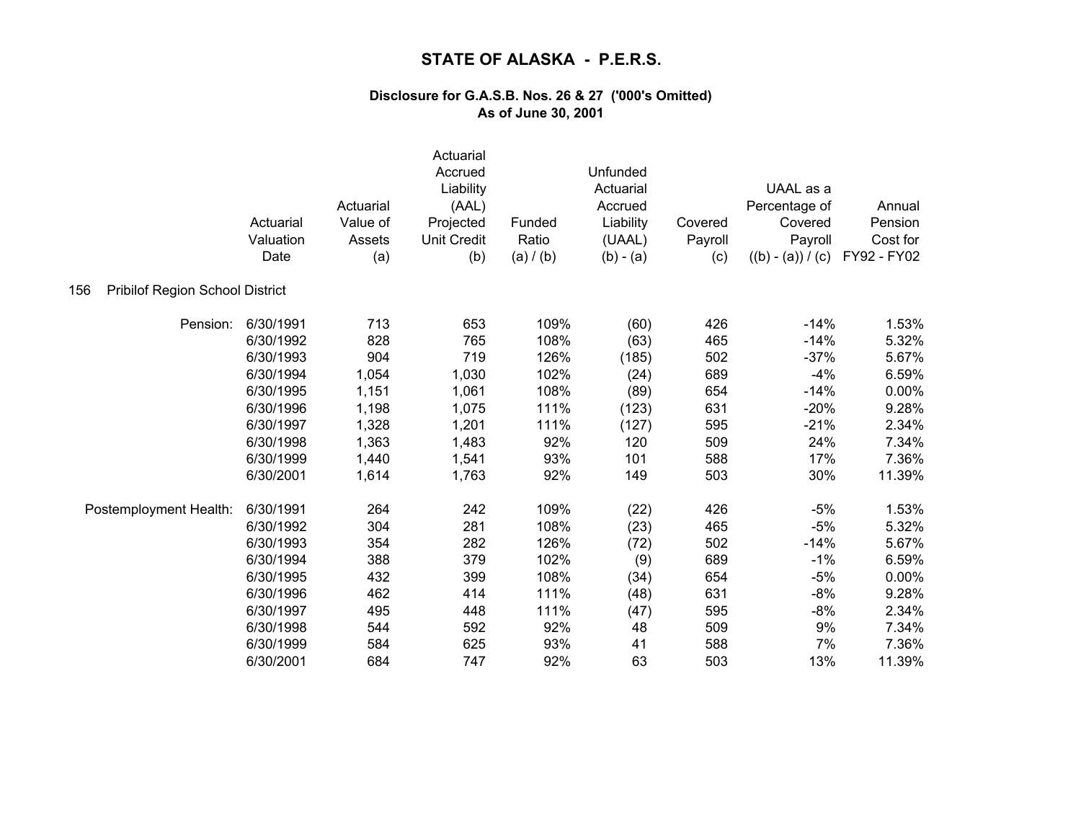|                                        | Actuarial<br>Valuation<br>Date | Actuarial<br>Value of<br>Assets<br>(a) | Actuarial<br>Accrued<br>Liability<br>(AAL)<br>Projected<br><b>Unit Credit</b><br>(b) | Funded<br>Ratio<br>(a) / (b) | Unfunded<br>Actuarial<br>Accrued<br>Liability<br>(UAAL)<br>$(b) - (a)$ | Covered<br>Payroll<br>(c) | UAAL as a<br>Percentage of<br>Covered<br>Payroll<br>$((b) - (a)) / (c)$ | Annual<br>Pension<br>Cost for<br>FY92 - FY02 |
|----------------------------------------|--------------------------------|----------------------------------------|--------------------------------------------------------------------------------------|------------------------------|------------------------------------------------------------------------|---------------------------|-------------------------------------------------------------------------|----------------------------------------------|
| Pribilof Region School District<br>156 |                                |                                        |                                                                                      |                              |                                                                        |                           |                                                                         |                                              |
| Pension:                               | 6/30/1991                      | 713                                    | 653                                                                                  | 109%                         | (60)                                                                   | 426                       | $-14%$                                                                  | 1.53%                                        |
|                                        | 6/30/1992                      | 828                                    | 765                                                                                  | 108%                         | (63)                                                                   | 465                       | $-14%$                                                                  | 5.32%                                        |
|                                        | 6/30/1993                      | 904                                    | 719                                                                                  | 126%                         | (185)                                                                  | 502                       | $-37%$                                                                  | 5.67%                                        |
|                                        | 6/30/1994                      | 1,054                                  | 1,030                                                                                | 102%                         | (24)                                                                   | 689                       | $-4%$                                                                   | 6.59%                                        |
|                                        | 6/30/1995                      | 1,151                                  | 1,061                                                                                | 108%                         | (89)                                                                   | 654                       | $-14%$                                                                  | 0.00%                                        |
|                                        | 6/30/1996                      | 1,198                                  | 1,075                                                                                | 111%                         | (123)                                                                  | 631                       | $-20%$                                                                  | 9.28%                                        |
|                                        | 6/30/1997                      | 1,328                                  | 1,201                                                                                | 111%                         | (127)                                                                  | 595                       | $-21%$                                                                  | 2.34%                                        |
|                                        | 6/30/1998                      | 1,363                                  | 1,483                                                                                | 92%                          | 120                                                                    | 509                       | 24%                                                                     | 7.34%                                        |
|                                        | 6/30/1999                      | 1,440                                  | 1,541                                                                                | 93%                          | 101                                                                    | 588                       | 17%                                                                     | 7.36%                                        |
|                                        | 6/30/2001                      | 1,614                                  | 1,763                                                                                | 92%                          | 149                                                                    | 503                       | 30%                                                                     | 11.39%                                       |
| Postemployment Health:                 | 6/30/1991                      | 264                                    | 242                                                                                  | 109%                         | (22)                                                                   | 426                       | $-5%$                                                                   | 1.53%                                        |
|                                        | 6/30/1992                      | 304                                    | 281                                                                                  | 108%                         | (23)                                                                   | 465                       | $-5%$                                                                   | 5.32%                                        |
|                                        | 6/30/1993                      | 354                                    | 282                                                                                  | 126%                         | (72)                                                                   | 502                       | $-14%$                                                                  | 5.67%                                        |
|                                        | 6/30/1994                      | 388                                    | 379                                                                                  | 102%                         | (9)                                                                    | 689                       | $-1%$                                                                   | 6.59%                                        |
|                                        | 6/30/1995                      | 432                                    | 399                                                                                  | 108%                         | (34)                                                                   | 654                       | $-5%$                                                                   | 0.00%                                        |
|                                        | 6/30/1996                      | 462                                    | 414                                                                                  | 111%                         | (48)                                                                   | 631                       | $-8%$                                                                   | 9.28%                                        |
|                                        | 6/30/1997                      | 495                                    | 448                                                                                  | 111%                         | (47)                                                                   | 595                       | $-8%$                                                                   | 2.34%                                        |
|                                        | 6/30/1998                      | 544                                    | 592                                                                                  | 92%                          | 48                                                                     | 509                       | 9%                                                                      | 7.34%                                        |
|                                        | 6/30/1999                      | 584                                    | 625                                                                                  | 93%                          | 41                                                                     | 588                       | 7%                                                                      | 7.36%                                        |
|                                        | 6/30/2001                      | 684                                    | 747                                                                                  | 92%                          | 63                                                                     | 503                       | 13%                                                                     | 11.39%                                       |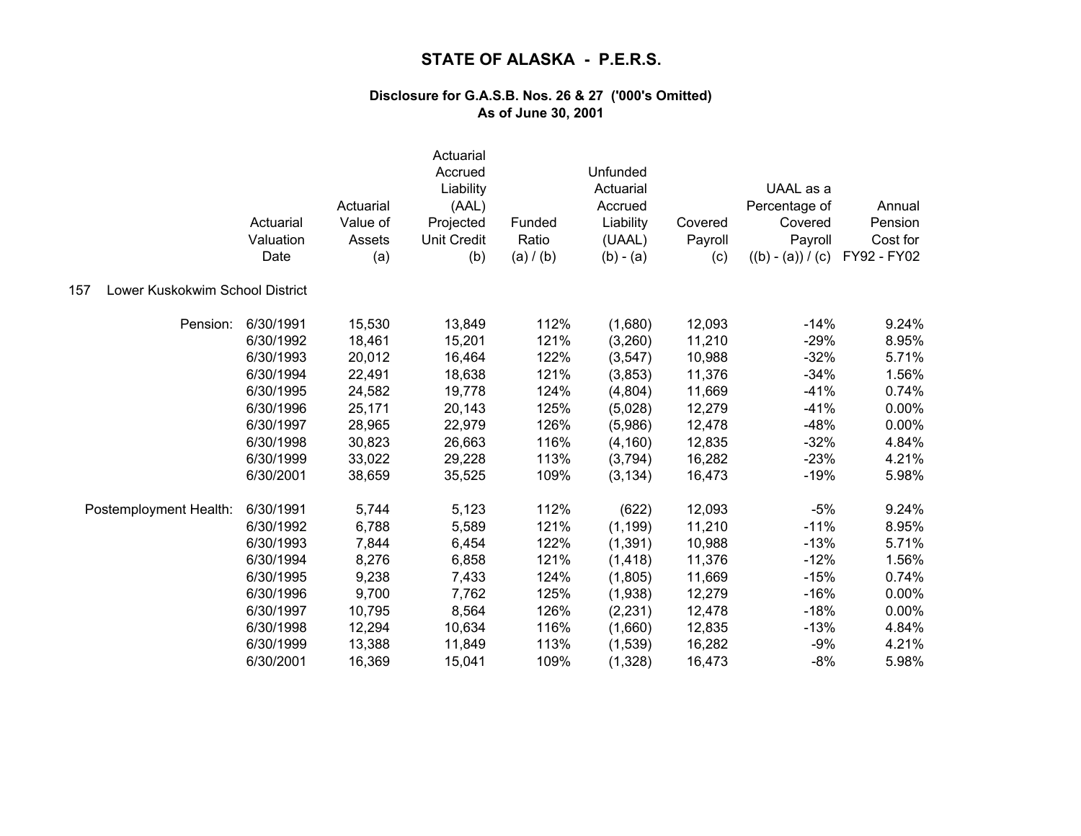|                                        | Actuarial<br>Valuation<br>Date | Actuarial<br>Value of<br>Assets<br>(a) | Actuarial<br>Accrued<br>Liability<br>(AAL)<br>Projected<br><b>Unit Credit</b><br>(b) | Funded<br>Ratio<br>(a) / (b) | Unfunded<br>Actuarial<br>Accrued<br>Liability<br>(UAAL)<br>$(b) - (a)$ | Covered<br>Payroll<br>(c) | UAAL as a<br>Percentage of<br>Covered<br>Payroll<br>$((b) - (a)) / (c)$ | Annual<br>Pension<br>Cost for<br>FY92 - FY02 |
|----------------------------------------|--------------------------------|----------------------------------------|--------------------------------------------------------------------------------------|------------------------------|------------------------------------------------------------------------|---------------------------|-------------------------------------------------------------------------|----------------------------------------------|
| Lower Kuskokwim School District<br>157 |                                |                                        |                                                                                      |                              |                                                                        |                           |                                                                         |                                              |
| Pension:                               | 6/30/1991                      | 15,530                                 | 13,849                                                                               | 112%                         | (1,680)                                                                | 12,093                    | $-14%$                                                                  | 9.24%                                        |
|                                        | 6/30/1992                      | 18,461                                 | 15,201                                                                               | 121%                         | (3,260)                                                                | 11,210                    | $-29%$                                                                  | 8.95%                                        |
|                                        | 6/30/1993                      | 20,012                                 | 16,464                                                                               | 122%                         | (3, 547)                                                               | 10,988                    | $-32%$                                                                  | 5.71%                                        |
|                                        | 6/30/1994                      | 22,491                                 | 18,638                                                                               | 121%                         | (3,853)                                                                | 11,376                    | $-34%$                                                                  | 1.56%                                        |
|                                        | 6/30/1995                      | 24,582                                 | 19,778                                                                               | 124%                         | (4,804)                                                                | 11,669                    | $-41%$                                                                  | 0.74%                                        |
|                                        | 6/30/1996                      | 25,171                                 | 20,143                                                                               | 125%                         | (5,028)                                                                | 12,279                    | $-41%$                                                                  | 0.00%                                        |
|                                        | 6/30/1997                      | 28,965                                 | 22,979                                                                               | 126%                         | (5,986)                                                                | 12,478                    | $-48%$                                                                  | 0.00%                                        |
|                                        | 6/30/1998                      | 30,823                                 | 26,663                                                                               | 116%                         | (4, 160)                                                               | 12,835                    | $-32%$                                                                  | 4.84%                                        |
|                                        | 6/30/1999                      | 33,022                                 | 29,228                                                                               | 113%                         | (3,794)                                                                | 16,282                    | $-23%$                                                                  | 4.21%                                        |
|                                        | 6/30/2001                      | 38,659                                 | 35,525                                                                               | 109%                         | (3, 134)                                                               | 16,473                    | $-19%$                                                                  | 5.98%                                        |
| Postemployment Health:                 | 6/30/1991                      | 5,744                                  | 5,123                                                                                | 112%                         | (622)                                                                  | 12,093                    | $-5%$                                                                   | 9.24%                                        |
|                                        | 6/30/1992                      | 6,788                                  | 5,589                                                                                | 121%                         | (1, 199)                                                               | 11,210                    | $-11%$                                                                  | 8.95%                                        |
|                                        | 6/30/1993                      | 7,844                                  | 6,454                                                                                | 122%                         | (1, 391)                                                               | 10,988                    | $-13%$                                                                  | 5.71%                                        |
|                                        | 6/30/1994                      | 8,276                                  | 6,858                                                                                | 121%                         | (1, 418)                                                               | 11,376                    | $-12%$                                                                  | 1.56%                                        |
|                                        | 6/30/1995                      | 9,238                                  | 7,433                                                                                | 124%                         | (1,805)                                                                | 11,669                    | $-15%$                                                                  | 0.74%                                        |
|                                        | 6/30/1996                      | 9,700                                  | 7,762                                                                                | 125%                         | (1,938)                                                                | 12,279                    | $-16%$                                                                  | 0.00%                                        |
|                                        | 6/30/1997                      | 10,795                                 | 8,564                                                                                | 126%                         | (2, 231)                                                               | 12,478                    | $-18%$                                                                  | 0.00%                                        |
|                                        | 6/30/1998                      | 12,294                                 | 10,634                                                                               | 116%                         | (1,660)                                                                | 12,835                    | $-13%$                                                                  | 4.84%                                        |
|                                        | 6/30/1999                      | 13,388                                 | 11,849                                                                               | 113%                         | (1,539)                                                                | 16,282                    | $-9%$                                                                   | 4.21%                                        |
|                                        | 6/30/2001                      | 16,369                                 | 15,041                                                                               | 109%                         | (1,328)                                                                | 16,473                    | $-8%$                                                                   | 5.98%                                        |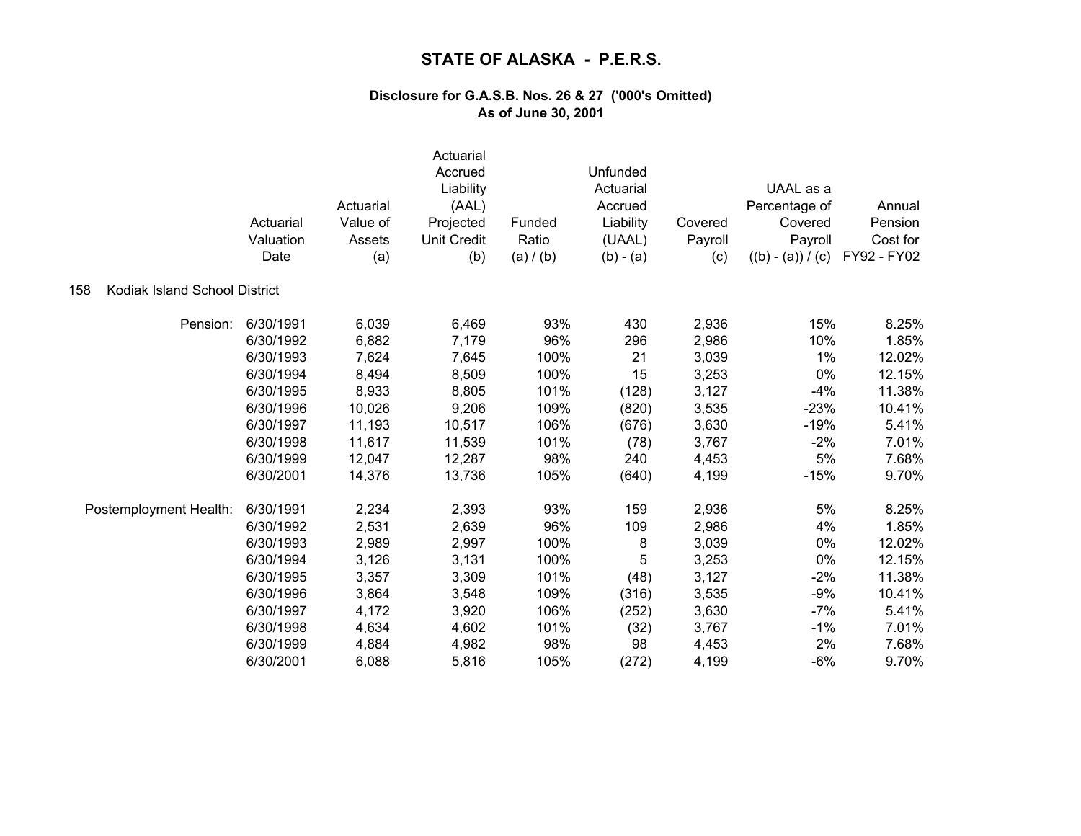|                                      | Actuarial<br>Valuation<br>Date | Actuarial<br>Value of<br>Assets<br>(a) | Actuarial<br>Accrued<br>Liability<br>(AAL)<br>Projected<br><b>Unit Credit</b><br>(b) | Funded<br>Ratio<br>(a) / (b) | Unfunded<br>Actuarial<br>Accrued<br>Liability<br>(UAAL)<br>$(b) - (a)$ | Covered<br>Payroll<br>(c) | UAAL as a<br>Percentage of<br>Covered<br>Payroll<br>$((b) - (a)) / (c)$ | Annual<br>Pension<br>Cost for<br>FY92 - FY02 |
|--------------------------------------|--------------------------------|----------------------------------------|--------------------------------------------------------------------------------------|------------------------------|------------------------------------------------------------------------|---------------------------|-------------------------------------------------------------------------|----------------------------------------------|
| Kodiak Island School District<br>158 |                                |                                        |                                                                                      |                              |                                                                        |                           |                                                                         |                                              |
| Pension:                             | 6/30/1991                      | 6,039                                  | 6,469                                                                                | 93%                          | 430                                                                    | 2,936                     | 15%                                                                     | 8.25%                                        |
|                                      | 6/30/1992                      | 6,882                                  | 7,179                                                                                | 96%                          | 296                                                                    | 2,986                     | 10%                                                                     | 1.85%                                        |
|                                      | 6/30/1993                      | 7,624                                  | 7,645                                                                                | 100%                         | 21                                                                     | 3,039                     | 1%                                                                      | 12.02%                                       |
|                                      | 6/30/1994                      | 8,494                                  | 8,509                                                                                | 100%                         | 15                                                                     | 3,253                     | 0%                                                                      | 12.15%                                       |
|                                      | 6/30/1995                      | 8,933                                  | 8,805                                                                                | 101%                         | (128)                                                                  | 3,127                     | $-4%$                                                                   | 11.38%                                       |
|                                      | 6/30/1996                      | 10,026                                 | 9,206                                                                                | 109%                         | (820)                                                                  | 3,535                     | $-23%$                                                                  | 10.41%                                       |
|                                      | 6/30/1997                      | 11,193                                 | 10,517                                                                               | 106%                         | (676)                                                                  | 3,630                     | $-19%$                                                                  | 5.41%                                        |
|                                      | 6/30/1998                      | 11,617                                 | 11,539                                                                               | 101%                         | (78)                                                                   | 3,767                     | $-2%$                                                                   | 7.01%                                        |
|                                      | 6/30/1999                      | 12,047                                 | 12,287                                                                               | 98%                          | 240                                                                    | 4,453                     | 5%                                                                      | 7.68%                                        |
|                                      | 6/30/2001                      | 14,376                                 | 13,736                                                                               | 105%                         | (640)                                                                  | 4,199                     | $-15%$                                                                  | 9.70%                                        |
| Postemployment Health:               | 6/30/1991                      | 2,234                                  | 2,393                                                                                | 93%                          | 159                                                                    | 2,936                     | 5%                                                                      | 8.25%                                        |
|                                      | 6/30/1992                      | 2,531                                  | 2,639                                                                                | 96%                          | 109                                                                    | 2,986                     | 4%                                                                      | 1.85%                                        |
|                                      | 6/30/1993                      | 2,989                                  | 2,997                                                                                | 100%                         | 8                                                                      | 3,039                     | 0%                                                                      | 12.02%                                       |
|                                      | 6/30/1994                      | 3,126                                  | 3,131                                                                                | 100%                         | 5                                                                      | 3,253                     | 0%                                                                      | 12.15%                                       |
|                                      | 6/30/1995                      | 3,357                                  | 3,309                                                                                | 101%                         | (48)                                                                   | 3,127                     | $-2%$                                                                   | 11.38%                                       |
|                                      | 6/30/1996                      | 3,864                                  | 3,548                                                                                | 109%                         | (316)                                                                  | 3,535                     | $-9%$                                                                   | 10.41%                                       |
|                                      | 6/30/1997                      | 4,172                                  | 3,920                                                                                | 106%                         | (252)                                                                  | 3,630                     | $-7%$                                                                   | 5.41%                                        |
|                                      | 6/30/1998                      | 4,634                                  | 4,602                                                                                | 101%                         | (32)                                                                   | 3,767                     | $-1%$                                                                   | 7.01%                                        |
|                                      | 6/30/1999                      | 4,884                                  | 4,982                                                                                | 98%                          | 98                                                                     | 4,453                     | 2%                                                                      | 7.68%                                        |
|                                      | 6/30/2001                      | 6,088                                  | 5,816                                                                                | 105%                         | (272)                                                                  | 4,199                     | $-6%$                                                                   | 9.70%                                        |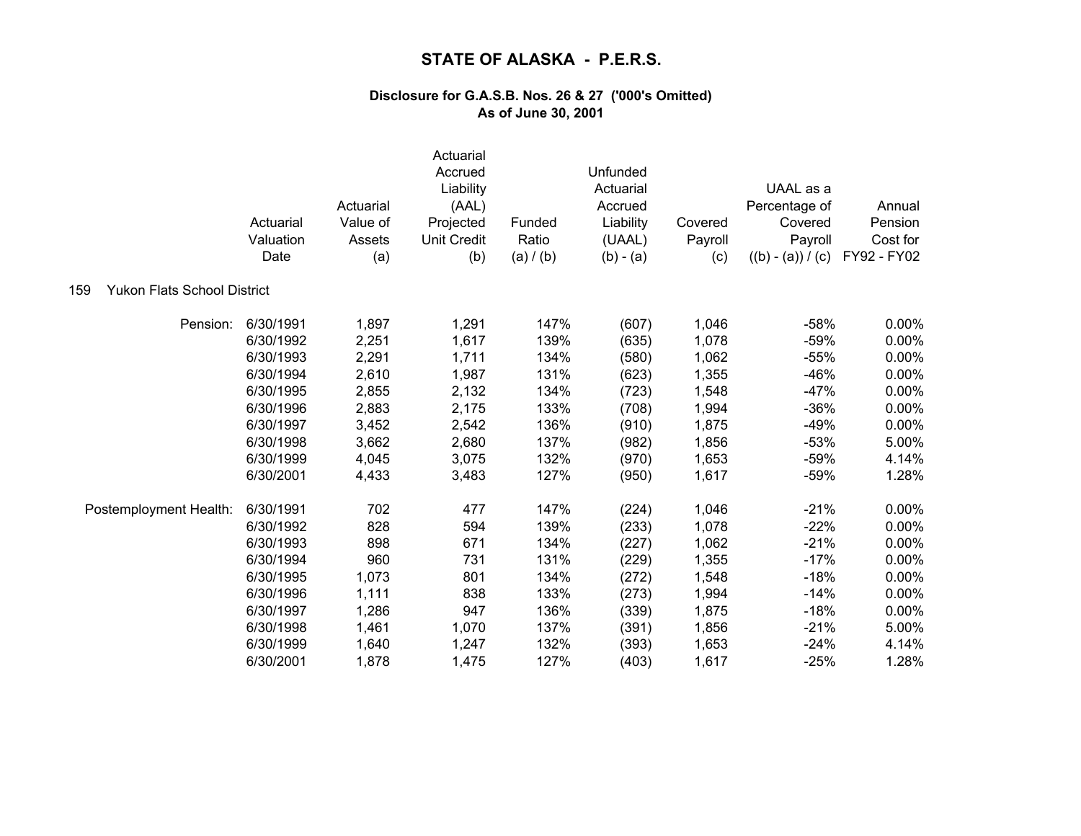|                                           | Actuarial<br>Valuation<br>Date | Actuarial<br>Value of<br>Assets<br>(a) | Actuarial<br>Accrued<br>Liability<br>(AAL)<br>Projected<br><b>Unit Credit</b><br>(b) | Funded<br>Ratio<br>(a) / (b) | Unfunded<br>Actuarial<br>Accrued<br>Liability<br>(UAAL)<br>$(b) - (a)$ | Covered<br>Payroll<br>(c) | UAAL as a<br>Percentage of<br>Covered<br>Payroll<br>$((b) - (a)) / (c)$ | Annual<br>Pension<br>Cost for<br>FY92 - FY02 |
|-------------------------------------------|--------------------------------|----------------------------------------|--------------------------------------------------------------------------------------|------------------------------|------------------------------------------------------------------------|---------------------------|-------------------------------------------------------------------------|----------------------------------------------|
| <b>Yukon Flats School District</b><br>159 |                                |                                        |                                                                                      |                              |                                                                        |                           |                                                                         |                                              |
| Pension:                                  | 6/30/1991                      | 1,897                                  | 1,291                                                                                | 147%                         | (607)                                                                  | 1,046                     | $-58%$                                                                  | 0.00%                                        |
|                                           | 6/30/1992                      | 2,251                                  | 1,617                                                                                | 139%                         | (635)                                                                  | 1,078                     | $-59%$                                                                  | 0.00%                                        |
|                                           | 6/30/1993                      | 2,291                                  | 1,711                                                                                | 134%                         | (580)                                                                  | 1,062                     | $-55%$                                                                  | 0.00%                                        |
|                                           | 6/30/1994                      | 2,610                                  | 1,987                                                                                | 131%                         | (623)                                                                  | 1,355                     | $-46%$                                                                  | 0.00%                                        |
|                                           | 6/30/1995                      | 2,855                                  | 2,132                                                                                | 134%                         | (723)                                                                  | 1,548                     | $-47%$                                                                  | 0.00%                                        |
|                                           | 6/30/1996                      | 2,883                                  | 2,175                                                                                | 133%                         | (708)                                                                  | 1,994                     | $-36%$                                                                  | 0.00%                                        |
|                                           | 6/30/1997                      | 3,452                                  | 2,542                                                                                | 136%                         | (910)                                                                  | 1,875                     | $-49%$                                                                  | 0.00%                                        |
|                                           | 6/30/1998                      | 3,662                                  | 2,680                                                                                | 137%                         | (982)                                                                  | 1,856                     | $-53%$                                                                  | 5.00%                                        |
|                                           | 6/30/1999                      | 4,045                                  | 3,075                                                                                | 132%                         | (970)                                                                  | 1,653                     | $-59%$                                                                  | 4.14%                                        |
|                                           | 6/30/2001                      | 4,433                                  | 3,483                                                                                | 127%                         | (950)                                                                  | 1,617                     | $-59%$                                                                  | 1.28%                                        |
| Postemployment Health:                    | 6/30/1991                      | 702                                    | 477                                                                                  | 147%                         | (224)                                                                  | 1,046                     | $-21%$                                                                  | 0.00%                                        |
|                                           | 6/30/1992                      | 828                                    | 594                                                                                  | 139%                         | (233)                                                                  | 1,078                     | $-22%$                                                                  | 0.00%                                        |
|                                           | 6/30/1993                      | 898                                    | 671                                                                                  | 134%                         | (227)                                                                  | 1,062                     | $-21%$                                                                  | 0.00%                                        |
|                                           | 6/30/1994                      | 960                                    | 731                                                                                  | 131%                         | (229)                                                                  | 1,355                     | $-17%$                                                                  | 0.00%                                        |
|                                           | 6/30/1995                      | 1,073                                  | 801                                                                                  | 134%                         | (272)                                                                  | 1,548                     | $-18%$                                                                  | 0.00%                                        |
|                                           | 6/30/1996                      | 1,111                                  | 838                                                                                  | 133%                         | (273)                                                                  | 1,994                     | $-14%$                                                                  | 0.00%                                        |
|                                           | 6/30/1997                      | 1,286                                  | 947                                                                                  | 136%                         | (339)                                                                  | 1,875                     | $-18%$                                                                  | 0.00%                                        |
|                                           | 6/30/1998                      | 1,461                                  | 1,070                                                                                | 137%                         | (391)                                                                  | 1,856                     | $-21%$                                                                  | 5.00%                                        |
|                                           | 6/30/1999                      | 1,640                                  | 1,247                                                                                | 132%                         | (393)                                                                  | 1,653                     | $-24%$                                                                  | 4.14%                                        |
|                                           | 6/30/2001                      | 1,878                                  | 1,475                                                                                | 127%                         | (403)                                                                  | 1,617                     | $-25%$                                                                  | 1.28%                                        |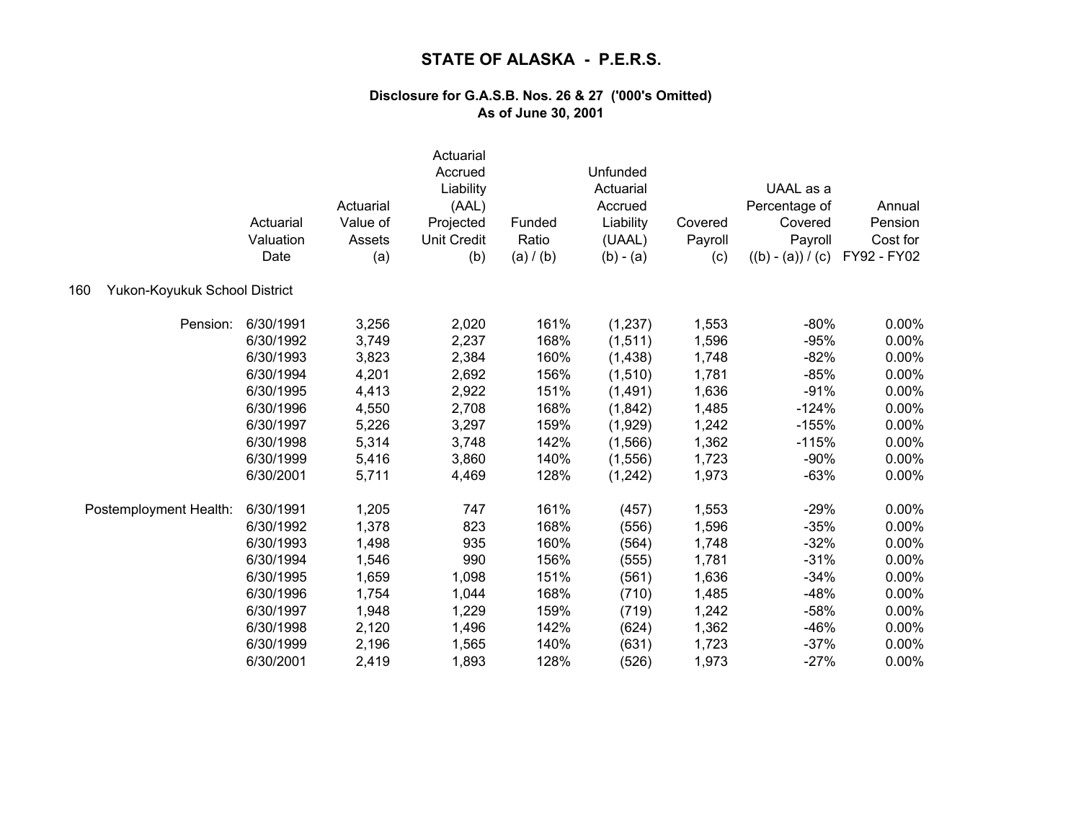|                                      | Actuarial<br>Valuation<br>Date | Actuarial<br>Value of<br>Assets<br>(a) | Actuarial<br>Accrued<br>Liability<br>(AAL)<br>Projected<br><b>Unit Credit</b><br>(b) | Funded<br>Ratio<br>(a) / (b) | Unfunded<br>Actuarial<br>Accrued<br>Liability<br>(UAAL)<br>$(b) - (a)$ | Covered<br>Payroll<br>(c) | UAAL as a<br>Percentage of<br>Covered<br>Payroll<br>$((b) - (a)) / (c)$ | Annual<br>Pension<br>Cost for<br>FY92 - FY02 |
|--------------------------------------|--------------------------------|----------------------------------------|--------------------------------------------------------------------------------------|------------------------------|------------------------------------------------------------------------|---------------------------|-------------------------------------------------------------------------|----------------------------------------------|
| Yukon-Koyukuk School District<br>160 |                                |                                        |                                                                                      |                              |                                                                        |                           |                                                                         |                                              |
| Pension:                             | 6/30/1991                      | 3,256                                  | 2,020                                                                                | 161%                         | (1,237)                                                                | 1,553                     | $-80%$                                                                  | $0.00\%$                                     |
|                                      | 6/30/1992                      | 3,749                                  | 2,237                                                                                | 168%                         | (1, 511)                                                               | 1,596                     | $-95%$                                                                  | 0.00%                                        |
|                                      | 6/30/1993                      | 3,823                                  | 2,384                                                                                | 160%                         | (1,438)                                                                | 1,748                     | $-82%$                                                                  | 0.00%                                        |
|                                      | 6/30/1994                      | 4,201                                  | 2,692                                                                                | 156%                         | (1,510)                                                                | 1,781                     | $-85%$                                                                  | 0.00%                                        |
|                                      | 6/30/1995                      | 4,413                                  | 2,922                                                                                | 151%                         | (1,491)                                                                | 1,636                     | $-91%$                                                                  | 0.00%                                        |
|                                      | 6/30/1996                      | 4,550                                  | 2,708                                                                                | 168%                         | (1,842)                                                                | 1,485                     | $-124%$                                                                 | 0.00%                                        |
|                                      | 6/30/1997                      | 5,226                                  | 3,297                                                                                | 159%                         | (1,929)                                                                | 1,242                     | $-155%$                                                                 | 0.00%                                        |
|                                      | 6/30/1998                      | 5,314                                  | 3,748                                                                                | 142%                         | (1,566)                                                                | 1,362                     | $-115%$                                                                 | 0.00%                                        |
|                                      | 6/30/1999                      | 5,416                                  | 3,860                                                                                | 140%                         | (1,556)                                                                | 1,723                     | $-90%$                                                                  | 0.00%                                        |
|                                      | 6/30/2001                      | 5,711                                  | 4,469                                                                                | 128%                         | (1,242)                                                                | 1,973                     | $-63%$                                                                  | 0.00%                                        |
| Postemployment Health:               | 6/30/1991                      | 1,205                                  | 747                                                                                  | 161%                         | (457)                                                                  | 1,553                     | $-29%$                                                                  | $0.00\%$                                     |
|                                      | 6/30/1992                      | 1,378                                  | 823                                                                                  | 168%                         | (556)                                                                  | 1,596                     | $-35%$                                                                  | 0.00%                                        |
|                                      | 6/30/1993                      | 1,498                                  | 935                                                                                  | 160%                         | (564)                                                                  | 1,748                     | $-32%$                                                                  | 0.00%                                        |
|                                      | 6/30/1994                      | 1,546                                  | 990                                                                                  | 156%                         | (555)                                                                  | 1,781                     | $-31%$                                                                  | 0.00%                                        |
|                                      | 6/30/1995                      | 1,659                                  | 1,098                                                                                | 151%                         | (561)                                                                  | 1,636                     | $-34%$                                                                  | 0.00%                                        |
|                                      | 6/30/1996                      | 1,754                                  | 1,044                                                                                | 168%                         | (710)                                                                  | 1,485                     | $-48%$                                                                  | 0.00%                                        |
|                                      | 6/30/1997                      | 1,948                                  | 1,229                                                                                | 159%                         | (719)                                                                  | 1,242                     | $-58%$                                                                  | 0.00%                                        |
|                                      | 6/30/1998                      | 2,120                                  | 1,496                                                                                | 142%                         | (624)                                                                  | 1,362                     | $-46%$                                                                  | 0.00%                                        |
|                                      | 6/30/1999                      | 2,196                                  | 1,565                                                                                | 140%                         | (631)                                                                  | 1,723                     | $-37%$                                                                  | 0.00%                                        |
|                                      | 6/30/2001                      | 2,419                                  | 1,893                                                                                | 128%                         | (526)                                                                  | 1,973                     | $-27%$                                                                  | 0.00%                                        |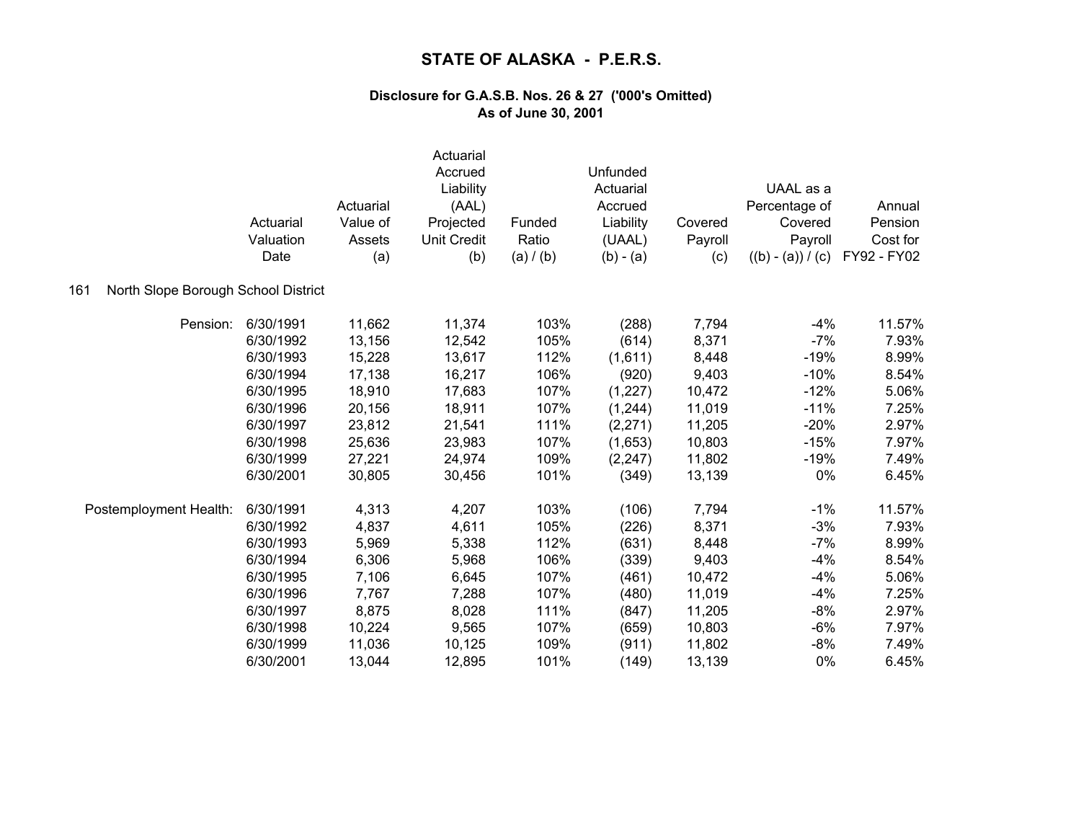|                                            | Actuarial<br>Valuation<br>Date | Actuarial<br>Value of<br>Assets<br>(a) | Actuarial<br>Accrued<br>Liability<br>(AAL)<br>Projected<br><b>Unit Credit</b><br>(b) | Funded<br>Ratio<br>(a) / (b) | Unfunded<br>Actuarial<br>Accrued<br>Liability<br>(UAAL)<br>$(b) - (a)$ | Covered<br>Payroll<br>(c) | UAAL as a<br>Percentage of<br>Covered<br>Payroll<br>$((b) - (a)) / (c)$ | Annual<br>Pension<br>Cost for<br>FY92 - FY02 |
|--------------------------------------------|--------------------------------|----------------------------------------|--------------------------------------------------------------------------------------|------------------------------|------------------------------------------------------------------------|---------------------------|-------------------------------------------------------------------------|----------------------------------------------|
| North Slope Borough School District<br>161 |                                |                                        |                                                                                      |                              |                                                                        |                           |                                                                         |                                              |
| Pension:                                   | 6/30/1991                      | 11,662                                 | 11,374                                                                               | 103%                         | (288)                                                                  | 7,794                     | $-4%$                                                                   | 11.57%                                       |
|                                            | 6/30/1992                      | 13,156                                 | 12,542                                                                               | 105%                         | (614)                                                                  | 8,371                     | $-7%$                                                                   | 7.93%                                        |
|                                            | 6/30/1993                      | 15,228                                 | 13,617                                                                               | 112%                         | (1,611)                                                                | 8,448                     | $-19%$                                                                  | 8.99%                                        |
|                                            | 6/30/1994                      | 17,138                                 | 16,217                                                                               | 106%                         | (920)                                                                  | 9,403                     | $-10%$                                                                  | 8.54%                                        |
|                                            | 6/30/1995                      | 18,910                                 | 17,683                                                                               | 107%                         | (1, 227)                                                               | 10,472                    | $-12%$                                                                  | 5.06%                                        |
|                                            | 6/30/1996                      | 20,156                                 | 18,911                                                                               | 107%                         | (1,244)                                                                | 11,019                    | $-11%$                                                                  | 7.25%                                        |
|                                            | 6/30/1997                      | 23,812                                 | 21,541                                                                               | 111%                         | (2, 271)                                                               | 11,205                    | $-20%$                                                                  | 2.97%                                        |
|                                            | 6/30/1998                      | 25,636                                 | 23,983                                                                               | 107%                         | (1,653)                                                                | 10,803                    | $-15%$                                                                  | 7.97%                                        |
|                                            | 6/30/1999                      | 27,221                                 | 24,974                                                                               | 109%                         | (2, 247)                                                               | 11,802                    | $-19%$                                                                  | 7.49%                                        |
|                                            | 6/30/2001                      | 30,805                                 | 30,456                                                                               | 101%                         | (349)                                                                  | 13,139                    | 0%                                                                      | 6.45%                                        |
| Postemployment Health:                     | 6/30/1991                      | 4,313                                  | 4,207                                                                                | 103%                         | (106)                                                                  | 7,794                     | $-1%$                                                                   | 11.57%                                       |
|                                            | 6/30/1992                      | 4,837                                  | 4,611                                                                                | 105%                         | (226)                                                                  | 8,371                     | $-3%$                                                                   | 7.93%                                        |
|                                            | 6/30/1993                      | 5,969                                  | 5,338                                                                                | 112%                         | (631)                                                                  | 8,448                     | $-7%$                                                                   | 8.99%                                        |
|                                            | 6/30/1994                      | 6,306                                  | 5,968                                                                                | 106%                         | (339)                                                                  | 9,403                     | $-4%$                                                                   | 8.54%                                        |
|                                            | 6/30/1995                      | 7,106                                  | 6,645                                                                                | 107%                         | (461)                                                                  | 10,472                    | $-4%$                                                                   | 5.06%                                        |
|                                            | 6/30/1996                      | 7,767                                  | 7,288                                                                                | 107%                         | (480)                                                                  | 11,019                    | $-4%$                                                                   | 7.25%                                        |
|                                            | 6/30/1997                      | 8,875                                  | 8,028                                                                                | 111%                         | (847)                                                                  | 11,205                    | $-8%$                                                                   | 2.97%                                        |
|                                            | 6/30/1998                      | 10,224                                 | 9,565                                                                                | 107%                         | (659)                                                                  | 10,803                    | $-6%$                                                                   | 7.97%                                        |
|                                            | 6/30/1999                      | 11,036                                 | 10,125                                                                               | 109%                         | (911)                                                                  | 11,802                    | $-8%$                                                                   | 7.49%                                        |
|                                            | 6/30/2001                      | 13,044                                 | 12,895                                                                               | 101%                         | (149)                                                                  | 13,139                    | 0%                                                                      | 6.45%                                        |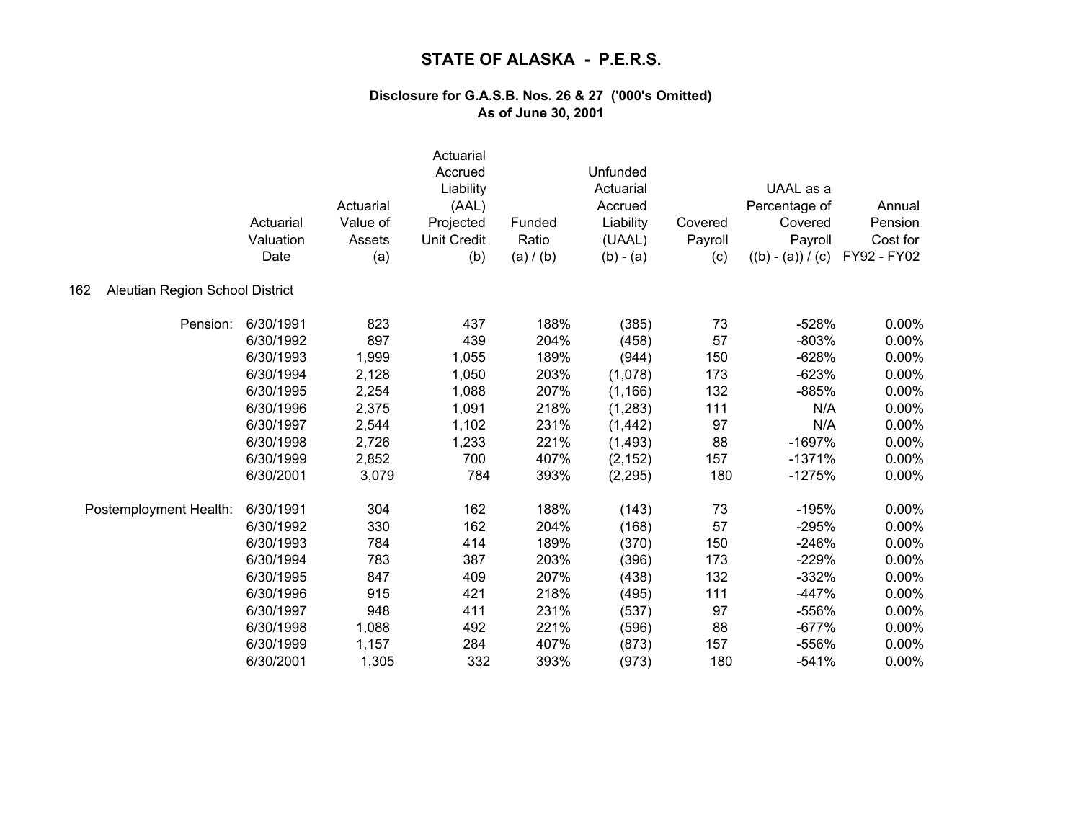|                                        | Actuarial<br>Valuation<br>Date | Actuarial<br>Value of<br>Assets<br>(a) | Actuarial<br>Accrued<br>Liability<br>(AAL)<br>Projected<br><b>Unit Credit</b><br>(b) | Funded<br>Ratio<br>(a) / (b) | Unfunded<br>Actuarial<br>Accrued<br>Liability<br>(UAAL)<br>$(b) - (a)$ | Covered<br>Payroll<br>(c) | UAAL as a<br>Percentage of<br>Covered<br>Payroll<br>$((b) - (a)) / (c)$ | Annual<br>Pension<br>Cost for<br>FY92 - FY02 |
|----------------------------------------|--------------------------------|----------------------------------------|--------------------------------------------------------------------------------------|------------------------------|------------------------------------------------------------------------|---------------------------|-------------------------------------------------------------------------|----------------------------------------------|
| Aleutian Region School District<br>162 |                                |                                        |                                                                                      |                              |                                                                        |                           |                                                                         |                                              |
| Pension:                               | 6/30/1991                      | 823                                    | 437                                                                                  | 188%                         | (385)                                                                  | 73                        | $-528%$                                                                 | 0.00%                                        |
|                                        | 6/30/1992                      | 897                                    | 439                                                                                  | 204%                         | (458)                                                                  | 57                        | $-803%$                                                                 | 0.00%                                        |
|                                        | 6/30/1993                      | 1,999                                  | 1,055                                                                                | 189%                         | (944)                                                                  | 150                       | $-628%$                                                                 | 0.00%                                        |
|                                        | 6/30/1994                      | 2,128                                  | 1,050                                                                                | 203%                         | (1,078)                                                                | 173                       | $-623%$                                                                 | 0.00%                                        |
|                                        | 6/30/1995                      | 2,254                                  | 1,088                                                                                | 207%                         | (1, 166)                                                               | 132                       | $-885%$                                                                 | 0.00%                                        |
|                                        | 6/30/1996                      | 2,375                                  | 1,091                                                                                | 218%                         | (1,283)                                                                | 111                       | N/A                                                                     | 0.00%                                        |
|                                        | 6/30/1997                      | 2,544                                  | 1,102                                                                                | 231%                         | (1, 442)                                                               | 97                        | N/A                                                                     | 0.00%                                        |
|                                        | 6/30/1998                      | 2,726                                  | 1,233                                                                                | 221%                         | (1, 493)                                                               | 88                        | $-1697%$                                                                | 0.00%                                        |
|                                        | 6/30/1999                      | 2,852                                  | 700                                                                                  | 407%                         | (2, 152)                                                               | 157                       | $-1371%$                                                                | 0.00%                                        |
|                                        | 6/30/2001                      | 3,079                                  | 784                                                                                  | 393%                         | (2, 295)                                                               | 180                       | $-1275%$                                                                | 0.00%                                        |
| Postemployment Health:                 | 6/30/1991                      | 304                                    | 162                                                                                  | 188%                         | (143)                                                                  | 73                        | $-195%$                                                                 | 0.00%                                        |
|                                        | 6/30/1992                      | 330                                    | 162                                                                                  | 204%                         | (168)                                                                  | 57                        | $-295%$                                                                 | 0.00%                                        |
|                                        | 6/30/1993                      | 784                                    | 414                                                                                  | 189%                         | (370)                                                                  | 150                       | $-246%$                                                                 | 0.00%                                        |
|                                        | 6/30/1994                      | 783                                    | 387                                                                                  | 203%                         | (396)                                                                  | 173                       | $-229%$                                                                 | 0.00%                                        |
|                                        | 6/30/1995                      | 847                                    | 409                                                                                  | 207%                         | (438)                                                                  | 132                       | $-332%$                                                                 | 0.00%                                        |
|                                        | 6/30/1996                      | 915                                    | 421                                                                                  | 218%                         | (495)                                                                  | 111                       | $-447%$                                                                 | 0.00%                                        |
|                                        | 6/30/1997                      | 948                                    | 411                                                                                  | 231%                         | (537)                                                                  | 97                        | -556%                                                                   | 0.00%                                        |
|                                        | 6/30/1998                      | 1,088                                  | 492                                                                                  | 221%                         | (596)                                                                  | 88                        | $-677%$                                                                 | 0.00%                                        |
|                                        | 6/30/1999                      | 1,157                                  | 284                                                                                  | 407%                         | (873)                                                                  | 157                       | $-556%$                                                                 | 0.00%                                        |
|                                        | 6/30/2001                      | 1,305                                  | 332                                                                                  | 393%                         | (973)                                                                  | 180                       | $-541%$                                                                 | 0.00%                                        |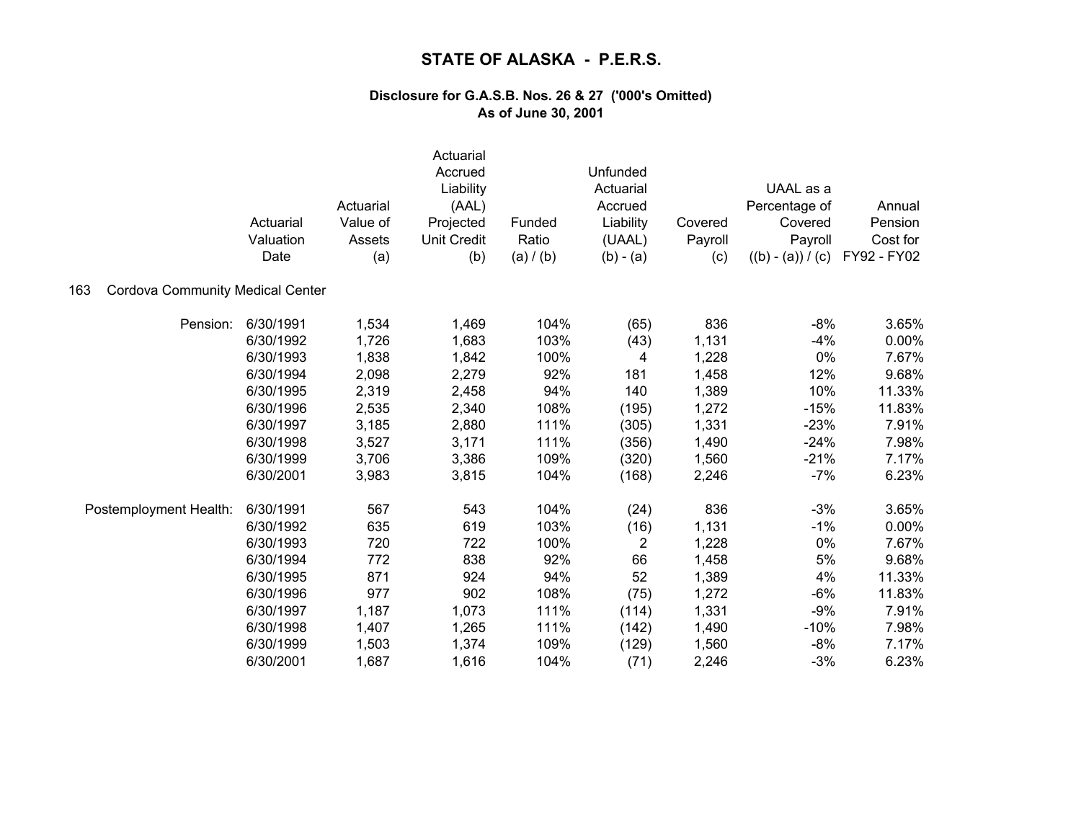|                                                | Actuarial<br>Valuation<br>Date | Actuarial<br>Value of<br>Assets<br>(a) | Actuarial<br>Accrued<br>Liability<br>(AAL)<br>Projected<br><b>Unit Credit</b><br>(b) | Funded<br>Ratio<br>(a) / (b) | Unfunded<br>Actuarial<br>Accrued<br>Liability<br>(UAAL)<br>$(b) - (a)$ | Covered<br>Payroll<br>(c) | UAAL as a<br>Percentage of<br>Covered<br>Payroll<br>$((b) - (a)) / (c)$ | Annual<br>Pension<br>Cost for<br>FY92 - FY02 |
|------------------------------------------------|--------------------------------|----------------------------------------|--------------------------------------------------------------------------------------|------------------------------|------------------------------------------------------------------------|---------------------------|-------------------------------------------------------------------------|----------------------------------------------|
| <b>Cordova Community Medical Center</b><br>163 |                                |                                        |                                                                                      |                              |                                                                        |                           |                                                                         |                                              |
| Pension:                                       | 6/30/1991                      | 1,534                                  | 1,469                                                                                | 104%                         | (65)                                                                   | 836                       | $-8%$                                                                   | 3.65%                                        |
|                                                | 6/30/1992                      | 1,726                                  | 1,683                                                                                | 103%                         | (43)                                                                   | 1,131                     | $-4%$                                                                   | 0.00%                                        |
|                                                | 6/30/1993                      | 1,838                                  | 1,842                                                                                | 100%                         | 4                                                                      | 1,228                     | 0%                                                                      | 7.67%                                        |
|                                                | 6/30/1994                      | 2,098                                  | 2,279                                                                                | 92%                          | 181                                                                    | 1,458                     | 12%                                                                     | 9.68%                                        |
|                                                | 6/30/1995                      | 2,319                                  | 2,458                                                                                | 94%                          | 140                                                                    | 1,389                     | 10%                                                                     | 11.33%                                       |
|                                                | 6/30/1996                      | 2,535                                  | 2,340                                                                                | 108%                         | (195)                                                                  | 1,272                     | $-15%$                                                                  | 11.83%                                       |
|                                                | 6/30/1997                      | 3,185                                  | 2,880                                                                                | 111%                         | (305)                                                                  | 1,331                     | $-23%$                                                                  | 7.91%                                        |
|                                                | 6/30/1998                      | 3,527                                  | 3,171                                                                                | 111%                         | (356)                                                                  | 1,490                     | $-24%$                                                                  | 7.98%                                        |
|                                                | 6/30/1999                      | 3,706                                  | 3,386                                                                                | 109%                         | (320)                                                                  | 1,560                     | $-21%$                                                                  | 7.17%                                        |
|                                                | 6/30/2001                      | 3,983                                  | 3,815                                                                                | 104%                         | (168)                                                                  | 2,246                     | $-7%$                                                                   | 6.23%                                        |
| Postemployment Health:                         | 6/30/1991                      | 567                                    | 543                                                                                  | 104%                         | (24)                                                                   | 836                       | $-3%$                                                                   | 3.65%                                        |
|                                                | 6/30/1992                      | 635                                    | 619                                                                                  | 103%                         | (16)                                                                   | 1,131                     | $-1%$                                                                   | 0.00%                                        |
|                                                | 6/30/1993                      | 720                                    | 722                                                                                  | 100%                         | $\overline{2}$                                                         | 1,228                     | 0%                                                                      | 7.67%                                        |
|                                                | 6/30/1994                      | 772                                    | 838                                                                                  | 92%                          | 66                                                                     | 1,458                     | 5%                                                                      | 9.68%                                        |
|                                                | 6/30/1995                      | 871                                    | 924                                                                                  | 94%                          | 52                                                                     | 1,389                     | 4%                                                                      | 11.33%                                       |
|                                                | 6/30/1996                      | 977                                    | 902                                                                                  | 108%                         | (75)                                                                   | 1,272                     | $-6%$                                                                   | 11.83%                                       |
|                                                | 6/30/1997                      | 1,187                                  | 1,073                                                                                | 111%                         | (114)                                                                  | 1,331                     | $-9%$                                                                   | 7.91%                                        |
|                                                | 6/30/1998                      | 1,407                                  | 1,265                                                                                | 111%                         | (142)                                                                  | 1,490                     | $-10%$                                                                  | 7.98%                                        |
|                                                | 6/30/1999                      | 1,503                                  | 1,374                                                                                | 109%                         | (129)                                                                  | 1,560                     | $-8%$                                                                   | 7.17%                                        |
|                                                | 6/30/2001                      | 1,687                                  | 1,616                                                                                | 104%                         | (71)                                                                   | 2,246                     | $-3%$                                                                   | 6.23%                                        |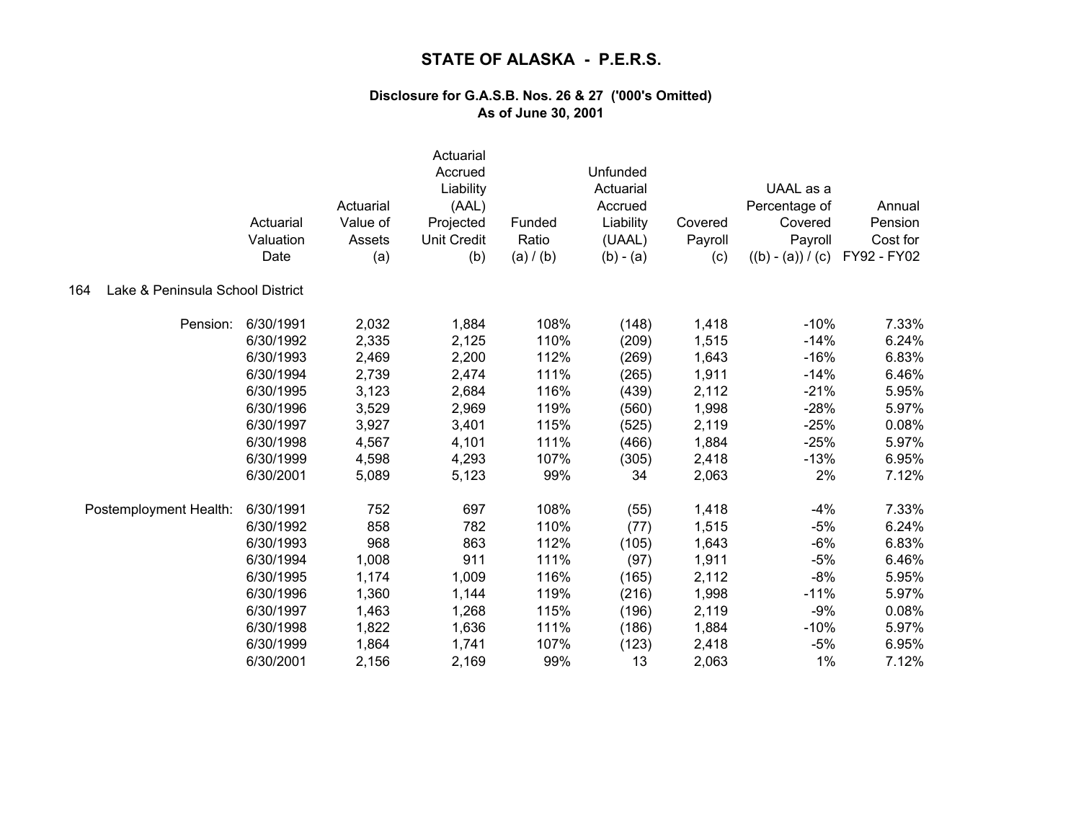|                                         | Actuarial<br>Valuation<br>Date | Actuarial<br>Value of<br>Assets<br>(a) | Actuarial<br>Accrued<br>Liability<br>(AAL)<br>Projected<br><b>Unit Credit</b><br>(b) | Funded<br>Ratio<br>(a) / (b) | Unfunded<br>Actuarial<br>Accrued<br>Liability<br>(UAAL)<br>$(b) - (a)$ | Covered<br>Payroll<br>(c) | UAAL as a<br>Percentage of<br>Covered<br>Payroll<br>$((b) - (a)) / (c)$ | Annual<br>Pension<br>Cost for<br>FY92 - FY02 |
|-----------------------------------------|--------------------------------|----------------------------------------|--------------------------------------------------------------------------------------|------------------------------|------------------------------------------------------------------------|---------------------------|-------------------------------------------------------------------------|----------------------------------------------|
| Lake & Peninsula School District<br>164 |                                |                                        |                                                                                      |                              |                                                                        |                           |                                                                         |                                              |
| Pension:                                | 6/30/1991                      | 2,032                                  | 1,884                                                                                | 108%                         | (148)                                                                  | 1,418                     | $-10%$                                                                  | 7.33%                                        |
|                                         | 6/30/1992                      | 2,335                                  | 2,125                                                                                | 110%                         | (209)                                                                  | 1,515                     | $-14%$                                                                  | 6.24%                                        |
|                                         | 6/30/1993                      | 2,469                                  | 2,200                                                                                | 112%                         | (269)                                                                  | 1,643                     | $-16%$                                                                  | 6.83%                                        |
|                                         | 6/30/1994                      | 2,739                                  | 2,474                                                                                | 111%                         | (265)                                                                  | 1,911                     | $-14%$                                                                  | 6.46%                                        |
|                                         | 6/30/1995                      | 3,123                                  | 2,684                                                                                | 116%                         | (439)                                                                  | 2,112                     | $-21%$                                                                  | 5.95%                                        |
|                                         | 6/30/1996                      | 3,529                                  | 2,969                                                                                | 119%                         | (560)                                                                  | 1,998                     | $-28%$                                                                  | 5.97%                                        |
|                                         | 6/30/1997                      | 3,927                                  | 3,401                                                                                | 115%                         | (525)                                                                  | 2,119                     | $-25%$                                                                  | 0.08%                                        |
|                                         | 6/30/1998                      | 4,567                                  | 4,101                                                                                | 111%                         | (466)                                                                  | 1,884                     | $-25%$                                                                  | 5.97%                                        |
|                                         | 6/30/1999                      | 4,598                                  | 4,293                                                                                | 107%                         | (305)                                                                  | 2,418                     | $-13%$                                                                  | 6.95%                                        |
|                                         | 6/30/2001                      | 5,089                                  | 5,123                                                                                | 99%                          | 34                                                                     | 2,063                     | 2%                                                                      | 7.12%                                        |
| Postemployment Health:                  | 6/30/1991                      | 752                                    | 697                                                                                  | 108%                         | (55)                                                                   | 1,418                     | $-4%$                                                                   | 7.33%                                        |
|                                         | 6/30/1992                      | 858                                    | 782                                                                                  | 110%                         | (77)                                                                   | 1,515                     | $-5%$                                                                   | 6.24%                                        |
|                                         | 6/30/1993                      | 968                                    | 863                                                                                  | 112%                         | (105)                                                                  | 1,643                     | $-6%$                                                                   | 6.83%                                        |
|                                         | 6/30/1994                      | 1,008                                  | 911                                                                                  | 111%                         | (97)                                                                   | 1,911                     | $-5%$                                                                   | 6.46%                                        |
|                                         | 6/30/1995                      | 1,174                                  | 1,009                                                                                | 116%                         | (165)                                                                  | 2,112                     | $-8%$                                                                   | 5.95%                                        |
|                                         | 6/30/1996                      | 1,360                                  | 1,144                                                                                | 119%                         | (216)                                                                  | 1,998                     | $-11%$                                                                  | 5.97%                                        |
|                                         | 6/30/1997                      | 1,463                                  | 1,268                                                                                | 115%                         | (196)                                                                  | 2,119                     | $-9%$                                                                   | 0.08%                                        |
|                                         | 6/30/1998                      | 1,822                                  | 1,636                                                                                | 111%                         | (186)                                                                  | 1,884                     | $-10%$                                                                  | 5.97%                                        |
|                                         | 6/30/1999                      | 1,864                                  | 1,741                                                                                | 107%                         | (123)                                                                  | 2,418                     | $-5%$                                                                   | 6.95%                                        |
|                                         | 6/30/2001                      | 2,156                                  | 2,169                                                                                | 99%                          | 13                                                                     | 2,063                     | 1%                                                                      | 7.12%                                        |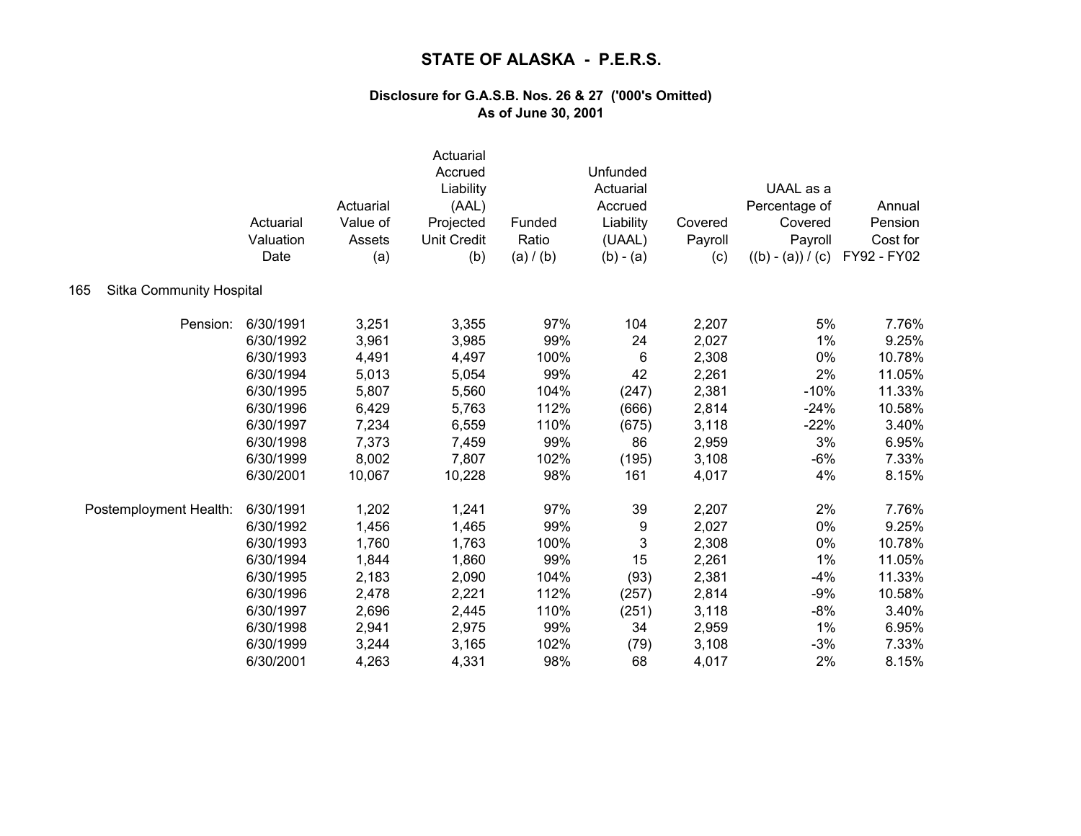|                                 | Actuarial<br>Valuation<br>Date | Actuarial<br>Value of<br>Assets<br>(a) | Actuarial<br>Accrued<br>Liability<br>(AAL)<br>Projected<br><b>Unit Credit</b><br>(b) | Funded<br>Ratio<br>(a) / (b) | Unfunded<br>Actuarial<br>Accrued<br>Liability<br>(UAAL)<br>$(b) - (a)$ | Covered<br>Payroll<br>(c) | UAAL as a<br>Percentage of<br>Covered<br>Payroll<br>$((b) - (a)) / (c)$ | Annual<br>Pension<br>Cost for<br>FY92 - FY02 |
|---------------------------------|--------------------------------|----------------------------------------|--------------------------------------------------------------------------------------|------------------------------|------------------------------------------------------------------------|---------------------------|-------------------------------------------------------------------------|----------------------------------------------|
| Sitka Community Hospital<br>165 |                                |                                        |                                                                                      |                              |                                                                        |                           |                                                                         |                                              |
| Pension:                        | 6/30/1991                      | 3,251                                  | 3,355                                                                                | 97%                          | 104                                                                    | 2,207                     | 5%                                                                      | 7.76%                                        |
|                                 | 6/30/1992                      | 3,961                                  | 3,985                                                                                | 99%                          | 24                                                                     | 2,027                     | 1%                                                                      | 9.25%                                        |
|                                 | 6/30/1993                      | 4,491                                  | 4,497                                                                                | 100%                         | 6                                                                      | 2,308                     | 0%                                                                      | 10.78%                                       |
|                                 | 6/30/1994                      | 5,013                                  | 5,054                                                                                | 99%                          | 42                                                                     | 2,261                     | 2%                                                                      | 11.05%                                       |
|                                 | 6/30/1995                      | 5,807                                  | 5,560                                                                                | 104%                         | (247)                                                                  | 2,381                     | $-10%$                                                                  | 11.33%                                       |
|                                 | 6/30/1996                      | 6,429                                  | 5,763                                                                                | 112%                         | (666)                                                                  | 2,814                     | $-24%$                                                                  | 10.58%                                       |
|                                 | 6/30/1997                      | 7,234                                  | 6,559                                                                                | 110%                         | (675)                                                                  | 3,118                     | $-22%$                                                                  | 3.40%                                        |
|                                 | 6/30/1998                      | 7,373                                  | 7,459                                                                                | 99%                          | 86                                                                     | 2,959                     | 3%                                                                      | 6.95%                                        |
|                                 | 6/30/1999                      | 8,002                                  | 7,807                                                                                | 102%                         | (195)                                                                  | 3,108                     | $-6%$                                                                   | 7.33%                                        |
|                                 | 6/30/2001                      | 10,067                                 | 10,228                                                                               | 98%                          | 161                                                                    | 4,017                     | 4%                                                                      | 8.15%                                        |
| Postemployment Health:          | 6/30/1991                      | 1,202                                  | 1,241                                                                                | 97%                          | 39                                                                     | 2,207                     | 2%                                                                      | 7.76%                                        |
|                                 | 6/30/1992                      | 1,456                                  | 1,465                                                                                | 99%                          | 9                                                                      | 2,027                     | 0%                                                                      | 9.25%                                        |
|                                 | 6/30/1993                      | 1,760                                  | 1,763                                                                                | 100%                         | 3                                                                      | 2,308                     | 0%                                                                      | 10.78%                                       |
|                                 | 6/30/1994                      | 1,844                                  | 1,860                                                                                | 99%                          | 15                                                                     | 2,261                     | 1%                                                                      | 11.05%                                       |
|                                 | 6/30/1995                      | 2,183                                  | 2,090                                                                                | 104%                         | (93)                                                                   | 2,381                     | $-4%$                                                                   | 11.33%                                       |
|                                 | 6/30/1996                      | 2,478                                  | 2,221                                                                                | 112%                         | (257)                                                                  | 2,814                     | $-9%$                                                                   | 10.58%                                       |
|                                 | 6/30/1997                      | 2,696                                  | 2,445                                                                                | 110%                         | (251)                                                                  | 3,118                     | $-8%$                                                                   | 3.40%                                        |
|                                 | 6/30/1998                      | 2,941                                  | 2,975                                                                                | 99%                          | 34                                                                     | 2,959                     | 1%                                                                      | 6.95%                                        |
|                                 | 6/30/1999                      | 3,244                                  | 3,165                                                                                | 102%                         | (79)                                                                   | 3,108                     | $-3%$                                                                   | 7.33%                                        |
|                                 | 6/30/2001                      | 4,263                                  | 4,331                                                                                | 98%                          | 68                                                                     | 4,017                     | 2%                                                                      | 8.15%                                        |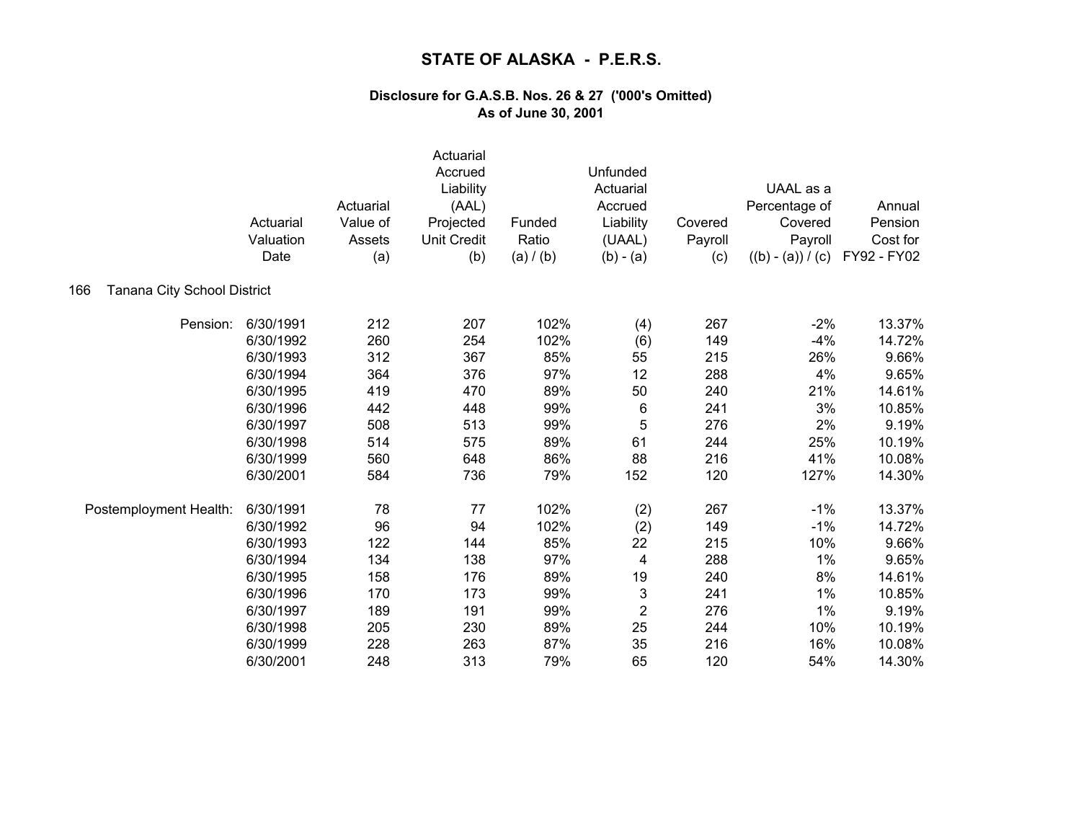|                                    | Actuarial<br>Valuation<br>Date | Actuarial<br>Value of<br>Assets<br>(a) | Actuarial<br>Accrued<br>Liability<br>(AAL)<br>Projected<br><b>Unit Credit</b><br>(b) | Funded<br>Ratio<br>(a) / (b) | Unfunded<br>Actuarial<br>Accrued<br>Liability<br>(UAAL)<br>$(b) - (a)$ | Covered<br>Payroll<br>(c) | UAAL as a<br>Percentage of<br>Covered<br>Payroll<br>$((b) - (a)) / (c)$ | Annual<br>Pension<br>Cost for<br>FY92 - FY02 |
|------------------------------------|--------------------------------|----------------------------------------|--------------------------------------------------------------------------------------|------------------------------|------------------------------------------------------------------------|---------------------------|-------------------------------------------------------------------------|----------------------------------------------|
| Tanana City School District<br>166 |                                |                                        |                                                                                      |                              |                                                                        |                           |                                                                         |                                              |
| Pension:                           | 6/30/1991                      | 212                                    | 207                                                                                  | 102%                         | (4)                                                                    | 267                       | $-2%$                                                                   | 13.37%                                       |
|                                    | 6/30/1992                      | 260                                    | 254                                                                                  | 102%                         | (6)                                                                    | 149                       | $-4%$                                                                   | 14.72%                                       |
|                                    | 6/30/1993                      | 312                                    | 367                                                                                  | 85%                          | 55                                                                     | 215                       | 26%                                                                     | 9.66%                                        |
|                                    | 6/30/1994                      | 364                                    | 376                                                                                  | 97%                          | 12                                                                     | 288                       | 4%                                                                      | 9.65%                                        |
|                                    | 6/30/1995                      | 419                                    | 470                                                                                  | 89%                          | 50                                                                     | 240                       | 21%                                                                     | 14.61%                                       |
|                                    | 6/30/1996                      | 442                                    | 448                                                                                  | 99%                          | 6                                                                      | 241                       | 3%                                                                      | 10.85%                                       |
|                                    | 6/30/1997                      | 508                                    | 513                                                                                  | 99%                          | 5                                                                      | 276                       | 2%                                                                      | 9.19%                                        |
|                                    | 6/30/1998                      | 514                                    | 575                                                                                  | 89%                          | 61                                                                     | 244                       | 25%                                                                     | 10.19%                                       |
|                                    | 6/30/1999                      | 560                                    | 648                                                                                  | 86%                          | 88                                                                     | 216                       | 41%                                                                     | 10.08%                                       |
|                                    | 6/30/2001                      | 584                                    | 736                                                                                  | 79%                          | 152                                                                    | 120                       | 127%                                                                    | 14.30%                                       |
| Postemployment Health:             | 6/30/1991                      | 78                                     | 77                                                                                   | 102%                         | (2)                                                                    | 267                       | $-1%$                                                                   | 13.37%                                       |
|                                    | 6/30/1992                      | 96                                     | 94                                                                                   | 102%                         | (2)                                                                    | 149                       | $-1%$                                                                   | 14.72%                                       |
|                                    | 6/30/1993                      | 122                                    | 144                                                                                  | 85%                          | 22                                                                     | 215                       | 10%                                                                     | 9.66%                                        |
|                                    | 6/30/1994                      | 134                                    | 138                                                                                  | 97%                          | 4                                                                      | 288                       | 1%                                                                      | 9.65%                                        |
|                                    | 6/30/1995                      | 158                                    | 176                                                                                  | 89%                          | 19                                                                     | 240                       | 8%                                                                      | 14.61%                                       |
|                                    | 6/30/1996                      | 170                                    | 173                                                                                  | 99%                          | 3                                                                      | 241                       | 1%                                                                      | 10.85%                                       |
|                                    | 6/30/1997                      | 189                                    | 191                                                                                  | 99%                          | $\overline{c}$                                                         | 276                       | 1%                                                                      | 9.19%                                        |
|                                    | 6/30/1998                      | 205                                    | 230                                                                                  | 89%                          | 25                                                                     | 244                       | 10%                                                                     | 10.19%                                       |
|                                    | 6/30/1999                      | 228                                    | 263                                                                                  | 87%                          | 35                                                                     | 216                       | 16%                                                                     | 10.08%                                       |
|                                    | 6/30/2001                      | 248                                    | 313                                                                                  | 79%                          | 65                                                                     | 120                       | 54%                                                                     | 14.30%                                       |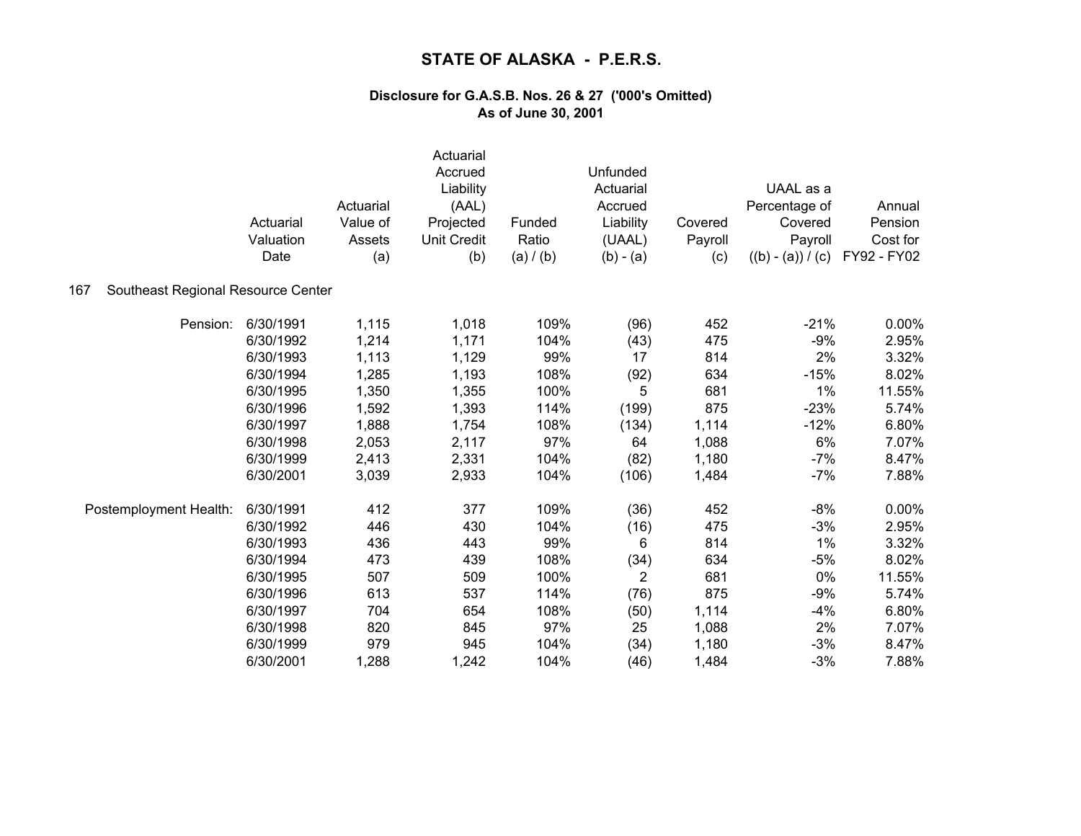|                                           | Actuarial<br>Valuation<br>Date | Actuarial<br>Value of<br>Assets<br>(a) | Actuarial<br>Accrued<br>Liability<br>(AAL)<br>Projected<br><b>Unit Credit</b><br>(b) | Funded<br>Ratio<br>(a) / (b) | Unfunded<br>Actuarial<br>Accrued<br>Liability<br>(UAAL)<br>$(b) - (a)$ | Covered<br>Payroll<br>(c) | UAAL as a<br>Percentage of<br>Covered<br>Payroll<br>$((b) - (a)) / (c)$ | Annual<br>Pension<br>Cost for<br>FY92 - FY02 |
|-------------------------------------------|--------------------------------|----------------------------------------|--------------------------------------------------------------------------------------|------------------------------|------------------------------------------------------------------------|---------------------------|-------------------------------------------------------------------------|----------------------------------------------|
| Southeast Regional Resource Center<br>167 |                                |                                        |                                                                                      |                              |                                                                        |                           |                                                                         |                                              |
| Pension:                                  | 6/30/1991                      | 1,115                                  | 1,018                                                                                | 109%                         | (96)                                                                   | 452                       | $-21%$                                                                  | 0.00%                                        |
|                                           | 6/30/1992                      | 1,214                                  | 1,171                                                                                | 104%                         | (43)                                                                   | 475                       | $-9%$                                                                   | 2.95%                                        |
|                                           | 6/30/1993                      | 1,113                                  | 1,129                                                                                | 99%                          | 17                                                                     | 814                       | 2%                                                                      | 3.32%                                        |
|                                           | 6/30/1994                      | 1,285                                  | 1,193                                                                                | 108%                         | (92)                                                                   | 634                       | $-15%$                                                                  | 8.02%                                        |
|                                           | 6/30/1995                      | 1,350                                  | 1,355                                                                                | 100%                         | 5                                                                      | 681                       | 1%                                                                      | 11.55%                                       |
|                                           | 6/30/1996                      | 1,592                                  | 1,393                                                                                | 114%                         | (199)                                                                  | 875                       | $-23%$                                                                  | 5.74%                                        |
|                                           | 6/30/1997                      | 1,888                                  | 1,754                                                                                | 108%                         | (134)                                                                  | 1,114                     | $-12%$                                                                  | 6.80%                                        |
|                                           | 6/30/1998                      | 2,053                                  | 2,117                                                                                | 97%                          | 64                                                                     | 1,088                     | 6%                                                                      | 7.07%                                        |
|                                           | 6/30/1999                      | 2,413                                  | 2,331                                                                                | 104%                         | (82)                                                                   | 1,180                     | $-7%$                                                                   | 8.47%                                        |
|                                           | 6/30/2001                      | 3,039                                  | 2,933                                                                                | 104%                         | (106)                                                                  | 1,484                     | $-7%$                                                                   | 7.88%                                        |
| Postemployment Health:                    | 6/30/1991                      | 412                                    | 377                                                                                  | 109%                         | (36)                                                                   | 452                       | $-8%$                                                                   | 0.00%                                        |
|                                           | 6/30/1992                      | 446                                    | 430                                                                                  | 104%                         | (16)                                                                   | 475                       | $-3%$                                                                   | 2.95%                                        |
|                                           | 6/30/1993                      | 436                                    | 443                                                                                  | 99%                          | 6                                                                      | 814                       | 1%                                                                      | 3.32%                                        |
|                                           | 6/30/1994                      | 473                                    | 439                                                                                  | 108%                         | (34)                                                                   | 634                       | $-5%$                                                                   | 8.02%                                        |
|                                           | 6/30/1995                      | 507                                    | 509                                                                                  | 100%                         | $\overline{2}$                                                         | 681                       | 0%                                                                      | 11.55%                                       |
|                                           | 6/30/1996                      | 613                                    | 537                                                                                  | 114%                         | (76)                                                                   | 875                       | $-9%$                                                                   | 5.74%                                        |
|                                           | 6/30/1997                      | 704                                    | 654                                                                                  | 108%                         | (50)                                                                   | 1,114                     | $-4%$                                                                   | 6.80%                                        |
|                                           | 6/30/1998                      | 820                                    | 845                                                                                  | 97%                          | 25                                                                     | 1,088                     | 2%                                                                      | 7.07%                                        |
|                                           | 6/30/1999                      | 979                                    | 945                                                                                  | 104%                         | (34)                                                                   | 1,180                     | $-3%$                                                                   | 8.47%                                        |
|                                           | 6/30/2001                      | 1,288                                  | 1,242                                                                                | 104%                         | (46)                                                                   | 1,484                     | $-3%$                                                                   | 7.88%                                        |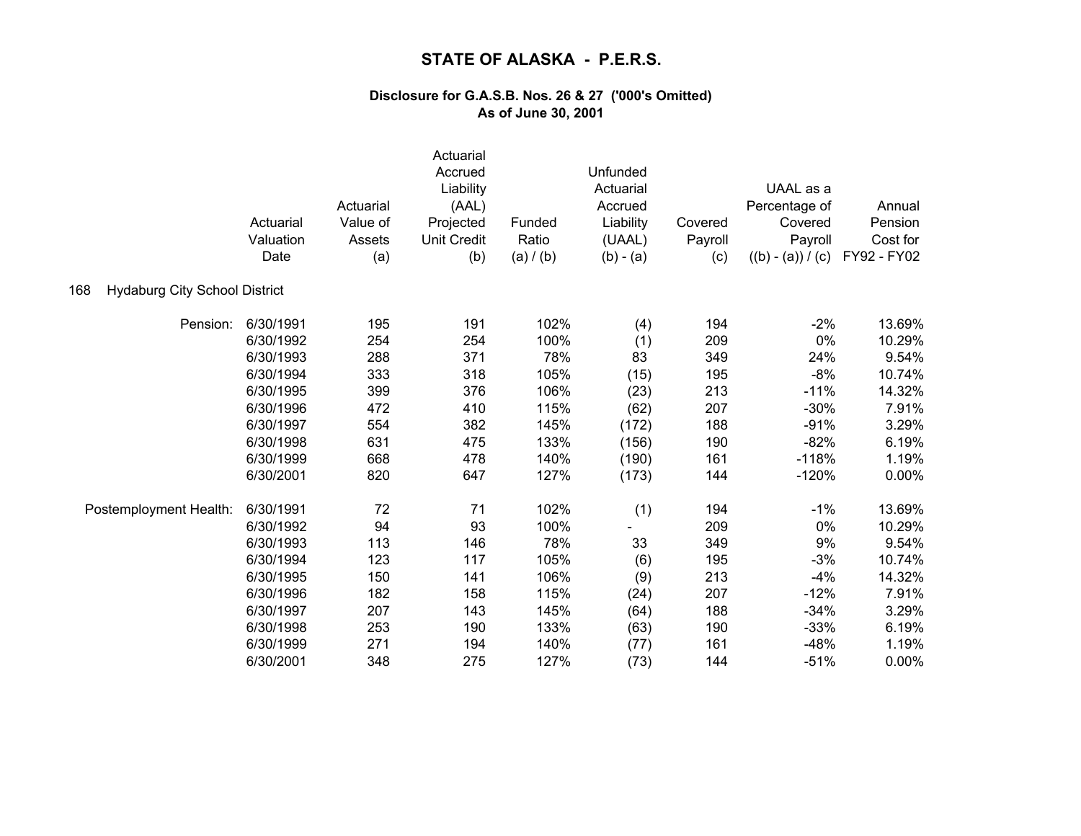|                                             | Actuarial<br>Valuation<br>Date | Actuarial<br>Value of<br>Assets<br>(a) | Actuarial<br>Accrued<br>Liability<br>(AAL)<br>Projected<br><b>Unit Credit</b><br>(b) | Funded<br>Ratio<br>(a) / (b) | Unfunded<br>Actuarial<br>Accrued<br>Liability<br>(UAAL)<br>$(b) - (a)$ | Covered<br>Payroll<br>(c) | UAAL as a<br>Percentage of<br>Covered<br>Payroll<br>$((b) - (a)) / (c)$ | Annual<br>Pension<br>Cost for<br>FY92 - FY02 |
|---------------------------------------------|--------------------------------|----------------------------------------|--------------------------------------------------------------------------------------|------------------------------|------------------------------------------------------------------------|---------------------------|-------------------------------------------------------------------------|----------------------------------------------|
| <b>Hydaburg City School District</b><br>168 |                                |                                        |                                                                                      |                              |                                                                        |                           |                                                                         |                                              |
| Pension:                                    | 6/30/1991                      | 195                                    | 191                                                                                  | 102%                         | (4)                                                                    | 194                       | $-2%$                                                                   | 13.69%                                       |
|                                             | 6/30/1992                      | 254                                    | 254                                                                                  | 100%                         | (1)                                                                    | 209                       | 0%                                                                      | 10.29%                                       |
|                                             | 6/30/1993                      | 288                                    | 371                                                                                  | 78%                          | 83                                                                     | 349                       | 24%                                                                     | 9.54%                                        |
|                                             | 6/30/1994                      | 333                                    | 318                                                                                  | 105%                         | (15)                                                                   | 195                       | $-8%$                                                                   | 10.74%                                       |
|                                             | 6/30/1995                      | 399                                    | 376                                                                                  | 106%                         | (23)                                                                   | 213                       | $-11%$                                                                  | 14.32%                                       |
|                                             | 6/30/1996                      | 472                                    | 410                                                                                  | 115%                         | (62)                                                                   | 207                       | $-30%$                                                                  | 7.91%                                        |
|                                             | 6/30/1997                      | 554                                    | 382                                                                                  | 145%                         | (172)                                                                  | 188                       | $-91%$                                                                  | 3.29%                                        |
|                                             | 6/30/1998                      | 631                                    | 475                                                                                  | 133%                         | (156)                                                                  | 190                       | $-82%$                                                                  | 6.19%                                        |
|                                             | 6/30/1999                      | 668                                    | 478                                                                                  | 140%                         | (190)                                                                  | 161                       | $-118%$                                                                 | 1.19%                                        |
|                                             | 6/30/2001                      | 820                                    | 647                                                                                  | 127%                         | (173)                                                                  | 144                       | $-120%$                                                                 | 0.00%                                        |
| Postemployment Health:                      | 6/30/1991                      | 72                                     | 71                                                                                   | 102%                         | (1)                                                                    | 194                       | $-1%$                                                                   | 13.69%                                       |
|                                             | 6/30/1992                      | 94                                     | 93                                                                                   | 100%                         |                                                                        | 209                       | 0%                                                                      | 10.29%                                       |
|                                             | 6/30/1993                      | 113                                    | 146                                                                                  | 78%                          | 33                                                                     | 349                       | 9%                                                                      | 9.54%                                        |
|                                             | 6/30/1994                      | 123                                    | 117                                                                                  | 105%                         | (6)                                                                    | 195                       | $-3%$                                                                   | 10.74%                                       |
|                                             | 6/30/1995                      | 150                                    | 141                                                                                  | 106%                         | (9)                                                                    | 213                       | $-4%$                                                                   | 14.32%                                       |
|                                             | 6/30/1996                      | 182                                    | 158                                                                                  | 115%                         | (24)                                                                   | 207                       | $-12%$                                                                  | 7.91%                                        |
|                                             | 6/30/1997                      | 207                                    | 143                                                                                  | 145%                         | (64)                                                                   | 188                       | $-34%$                                                                  | 3.29%                                        |
|                                             | 6/30/1998                      | 253                                    | 190                                                                                  | 133%                         | (63)                                                                   | 190                       | $-33%$                                                                  | 6.19%                                        |
|                                             | 6/30/1999                      | 271                                    | 194                                                                                  | 140%                         | (77)                                                                   | 161                       | $-48%$                                                                  | 1.19%                                        |
|                                             | 6/30/2001                      | 348                                    | 275                                                                                  | 127%                         | (73)                                                                   | 144                       | $-51%$                                                                  | 0.00%                                        |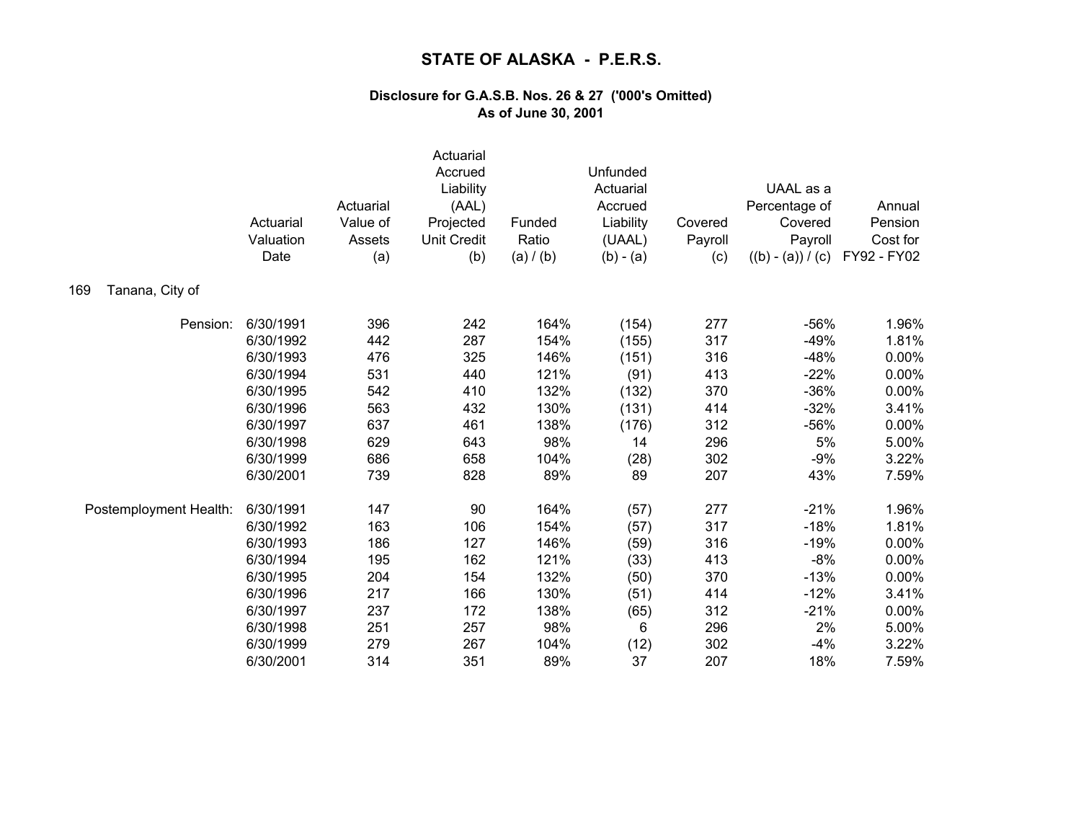|                        | Actuarial<br>Valuation<br>Date | Actuarial<br>Value of<br>Assets<br>(a) | Actuarial<br>Accrued<br>Liability<br>(AAL)<br>Projected<br><b>Unit Credit</b><br>(b) | Funded<br>Ratio<br>(a) / (b) | Unfunded<br>Actuarial<br>Accrued<br>Liability<br>(UAAL)<br>$(b) - (a)$ | Covered<br>Payroll<br>(c) | UAAL as a<br>Percentage of<br>Covered<br>Payroll<br>$((b) - (a)) / (c)$ | Annual<br>Pension<br>Cost for<br>FY92 - FY02 |
|------------------------|--------------------------------|----------------------------------------|--------------------------------------------------------------------------------------|------------------------------|------------------------------------------------------------------------|---------------------------|-------------------------------------------------------------------------|----------------------------------------------|
| Tanana, City of<br>169 |                                |                                        |                                                                                      |                              |                                                                        |                           |                                                                         |                                              |
| Pension:               | 6/30/1991                      | 396                                    | 242                                                                                  | 164%                         | (154)                                                                  | 277                       | $-56%$                                                                  | 1.96%                                        |
|                        | 6/30/1992                      | 442                                    | 287                                                                                  | 154%                         | (155)                                                                  | 317                       | $-49%$                                                                  | 1.81%                                        |
|                        | 6/30/1993                      | 476                                    | 325                                                                                  | 146%                         | (151)                                                                  | 316                       | $-48%$                                                                  | 0.00%                                        |
|                        | 6/30/1994                      | 531                                    | 440                                                                                  | 121%                         | (91)                                                                   | 413                       | $-22%$                                                                  | 0.00%                                        |
|                        | 6/30/1995                      | 542                                    | 410                                                                                  | 132%                         | (132)                                                                  | 370                       | $-36%$                                                                  | 0.00%                                        |
|                        | 6/30/1996                      | 563                                    | 432                                                                                  | 130%                         | (131)                                                                  | 414                       | $-32%$                                                                  | 3.41%                                        |
|                        | 6/30/1997                      | 637                                    | 461                                                                                  | 138%                         | (176)                                                                  | 312                       | $-56%$                                                                  | 0.00%                                        |
|                        | 6/30/1998                      | 629                                    | 643                                                                                  | 98%                          | 14                                                                     | 296                       | 5%                                                                      | 5.00%                                        |
|                        | 6/30/1999                      | 686                                    | 658                                                                                  | 104%                         | (28)                                                                   | 302                       | $-9%$                                                                   | 3.22%                                        |
|                        | 6/30/2001                      | 739                                    | 828                                                                                  | 89%                          | 89                                                                     | 207                       | 43%                                                                     | 7.59%                                        |
| Postemployment Health: | 6/30/1991                      | 147                                    | 90                                                                                   | 164%                         | (57)                                                                   | 277                       | $-21%$                                                                  | 1.96%                                        |
|                        | 6/30/1992                      | 163                                    | 106                                                                                  | 154%                         | (57)                                                                   | 317                       | $-18%$                                                                  | 1.81%                                        |
|                        | 6/30/1993                      | 186                                    | 127                                                                                  | 146%                         | (59)                                                                   | 316                       | $-19%$                                                                  | 0.00%                                        |
|                        | 6/30/1994                      | 195                                    | 162                                                                                  | 121%                         | (33)                                                                   | 413                       | $-8%$                                                                   | 0.00%                                        |
|                        | 6/30/1995                      | 204                                    | 154                                                                                  | 132%                         | (50)                                                                   | 370                       | $-13%$                                                                  | 0.00%                                        |
|                        | 6/30/1996                      | 217                                    | 166                                                                                  | 130%                         | (51)                                                                   | 414                       | $-12%$                                                                  | 3.41%                                        |
|                        | 6/30/1997                      | 237                                    | 172                                                                                  | 138%                         | (65)                                                                   | 312                       | $-21%$                                                                  | 0.00%                                        |
|                        | 6/30/1998                      | 251                                    | 257                                                                                  | 98%                          | 6                                                                      | 296                       | 2%                                                                      | 5.00%                                        |
|                        | 6/30/1999                      | 279                                    | 267                                                                                  | 104%                         | (12)                                                                   | 302                       | $-4%$                                                                   | 3.22%                                        |
|                        | 6/30/2001                      | 314                                    | 351                                                                                  | 89%                          | 37                                                                     | 207                       | 18%                                                                     | 7.59%                                        |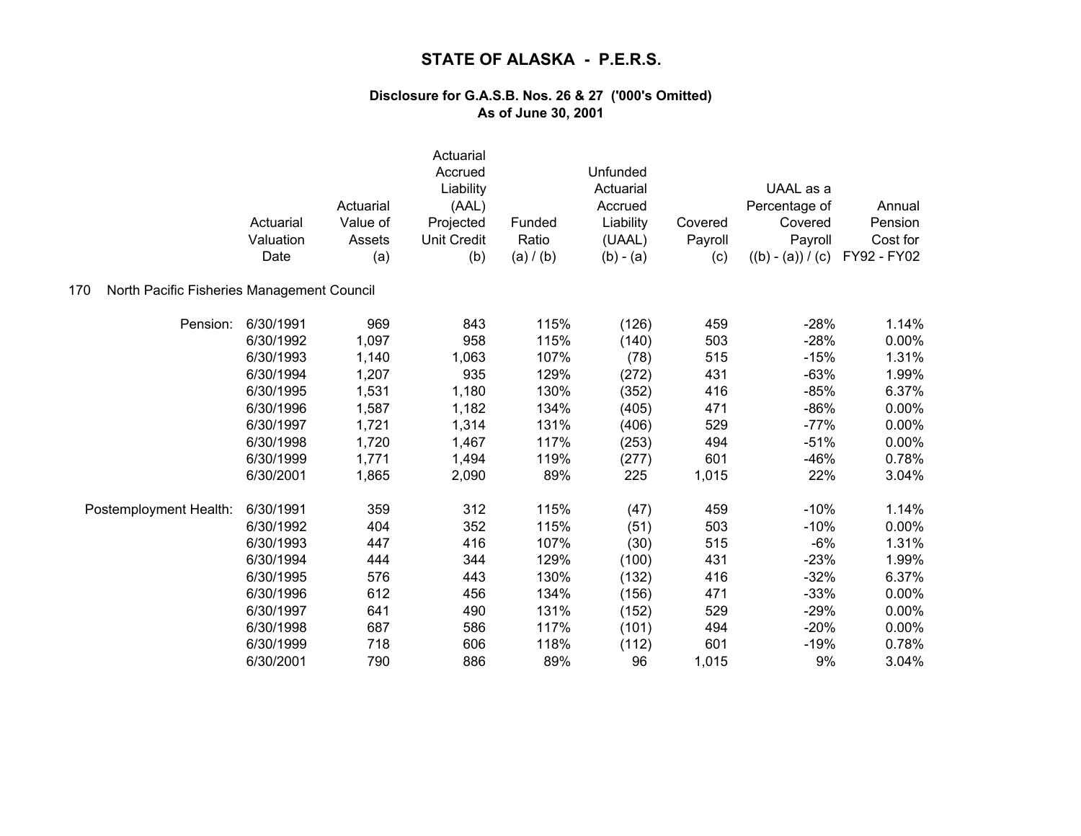|                                                   | Actuarial<br>Valuation<br>Date | Actuarial<br>Value of<br>Assets<br>(a) | Actuarial<br>Accrued<br>Liability<br>(AAL)<br>Projected<br><b>Unit Credit</b><br>(b) | Funded<br>Ratio<br>(a) / (b) | Unfunded<br>Actuarial<br>Accrued<br>Liability<br>(UAAL)<br>$(b) - (a)$ | Covered<br>Payroll<br>(c) | UAAL as a<br>Percentage of<br>Covered<br>Payroll<br>$((b) - (a)) / (c)$ | Annual<br>Pension<br>Cost for<br>FY92 - FY02 |
|---------------------------------------------------|--------------------------------|----------------------------------------|--------------------------------------------------------------------------------------|------------------------------|------------------------------------------------------------------------|---------------------------|-------------------------------------------------------------------------|----------------------------------------------|
| North Pacific Fisheries Management Council<br>170 |                                |                                        |                                                                                      |                              |                                                                        |                           |                                                                         |                                              |
| Pension:                                          | 6/30/1991                      | 969                                    | 843                                                                                  | 115%                         | (126)                                                                  | 459                       | $-28%$                                                                  | 1.14%                                        |
|                                                   | 6/30/1992                      | 1,097                                  | 958                                                                                  | 115%                         | (140)                                                                  | 503                       | $-28%$                                                                  | 0.00%                                        |
|                                                   | 6/30/1993                      | 1,140                                  | 1,063                                                                                | 107%                         | (78)                                                                   | 515                       | $-15%$                                                                  | 1.31%                                        |
|                                                   | 6/30/1994                      | 1,207                                  | 935                                                                                  | 129%                         | (272)                                                                  | 431                       | $-63%$                                                                  | 1.99%                                        |
|                                                   | 6/30/1995                      | 1,531                                  | 1,180                                                                                | 130%                         | (352)                                                                  | 416                       | $-85%$                                                                  | 6.37%                                        |
|                                                   | 6/30/1996                      | 1,587                                  | 1,182                                                                                | 134%                         | (405)                                                                  | 471                       | $-86%$                                                                  | 0.00%                                        |
|                                                   | 6/30/1997                      | 1,721                                  | 1,314                                                                                | 131%                         | (406)                                                                  | 529                       | $-77%$                                                                  | 0.00%                                        |
|                                                   | 6/30/1998                      | 1,720                                  | 1,467                                                                                | 117%                         | (253)                                                                  | 494                       | $-51%$                                                                  | 0.00%                                        |
|                                                   | 6/30/1999                      | 1,771                                  | 1,494                                                                                | 119%                         | (277)                                                                  | 601                       | $-46%$                                                                  | 0.78%                                        |
|                                                   | 6/30/2001                      | 1,865                                  | 2,090                                                                                | 89%                          | 225                                                                    | 1,015                     | 22%                                                                     | 3.04%                                        |
| Postemployment Health:                            | 6/30/1991                      | 359                                    | 312                                                                                  | 115%                         | (47)                                                                   | 459                       | $-10%$                                                                  | 1.14%                                        |
|                                                   | 6/30/1992                      | 404                                    | 352                                                                                  | 115%                         | (51)                                                                   | 503                       | $-10%$                                                                  | 0.00%                                        |
|                                                   | 6/30/1993                      | 447                                    | 416                                                                                  | 107%                         | (30)                                                                   | 515                       | $-6%$                                                                   | 1.31%                                        |
|                                                   | 6/30/1994                      | 444                                    | 344                                                                                  | 129%                         | (100)                                                                  | 431                       | $-23%$                                                                  | 1.99%                                        |
|                                                   | 6/30/1995                      | 576                                    | 443                                                                                  | 130%                         | (132)                                                                  | 416                       | $-32%$                                                                  | 6.37%                                        |
|                                                   | 6/30/1996                      | 612                                    | 456                                                                                  | 134%                         | (156)                                                                  | 471                       | $-33%$                                                                  | 0.00%                                        |
|                                                   | 6/30/1997                      | 641                                    | 490                                                                                  | 131%                         | (152)                                                                  | 529                       | $-29%$                                                                  | 0.00%                                        |
|                                                   | 6/30/1998                      | 687                                    | 586                                                                                  | 117%                         | (101)                                                                  | 494                       | $-20%$                                                                  | 0.00%                                        |
|                                                   | 6/30/1999                      | 718                                    | 606                                                                                  | 118%                         | (112)                                                                  | 601                       | $-19%$                                                                  | 0.78%                                        |
|                                                   | 6/30/2001                      | 790                                    | 886                                                                                  | 89%                          | 96                                                                     | 1,015                     | 9%                                                                      | 3.04%                                        |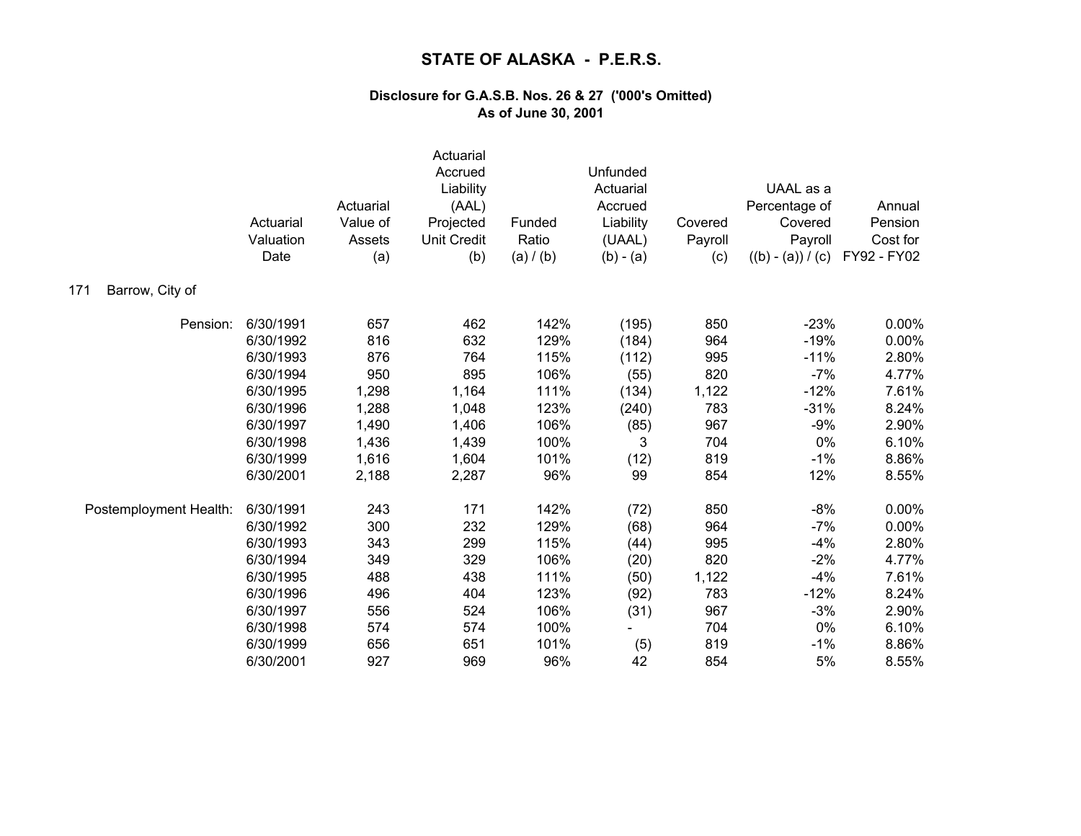|                        | Actuarial<br>Valuation<br>Date | Actuarial<br>Value of<br>Assets<br>(a) | Actuarial<br>Accrued<br>Liability<br>(AAL)<br>Projected<br><b>Unit Credit</b><br>(b) | Funded<br>Ratio<br>(a) / (b) | Unfunded<br>Actuarial<br>Accrued<br>Liability<br>(UAAL)<br>$(b) - (a)$ | Covered<br>Payroll<br>(c) | UAAL as a<br>Percentage of<br>Covered<br>Payroll<br>$((b) - (a)) / (c)$ | Annual<br>Pension<br>Cost for<br>FY92 - FY02 |
|------------------------|--------------------------------|----------------------------------------|--------------------------------------------------------------------------------------|------------------------------|------------------------------------------------------------------------|---------------------------|-------------------------------------------------------------------------|----------------------------------------------|
| Barrow, City of<br>171 |                                |                                        |                                                                                      |                              |                                                                        |                           |                                                                         |                                              |
| Pension:               | 6/30/1991                      | 657                                    | 462                                                                                  | 142%                         | (195)                                                                  | 850                       | $-23%$                                                                  | 0.00%                                        |
|                        | 6/30/1992                      | 816                                    | 632                                                                                  | 129%                         | (184)                                                                  | 964                       | $-19%$                                                                  | 0.00%                                        |
|                        | 6/30/1993                      | 876                                    | 764                                                                                  | 115%                         | (112)                                                                  | 995                       | $-11%$                                                                  | 2.80%                                        |
|                        | 6/30/1994                      | 950                                    | 895                                                                                  | 106%                         | (55)                                                                   | 820                       | $-7%$                                                                   | 4.77%                                        |
|                        | 6/30/1995                      | 1,298                                  | 1,164                                                                                | 111%                         | (134)                                                                  | 1,122                     | $-12%$                                                                  | 7.61%                                        |
|                        | 6/30/1996                      | 1,288                                  | 1,048                                                                                | 123%                         | (240)                                                                  | 783                       | $-31%$                                                                  | 8.24%                                        |
|                        | 6/30/1997                      | 1,490                                  | 1,406                                                                                | 106%                         | (85)                                                                   | 967                       | $-9%$                                                                   | 2.90%                                        |
|                        | 6/30/1998                      | 1,436                                  | 1,439                                                                                | 100%                         | 3                                                                      | 704                       | 0%                                                                      | 6.10%                                        |
|                        | 6/30/1999                      | 1,616                                  | 1,604                                                                                | 101%                         | (12)                                                                   | 819                       | $-1%$                                                                   | 8.86%                                        |
|                        | 6/30/2001                      | 2,188                                  | 2,287                                                                                | 96%                          | 99                                                                     | 854                       | 12%                                                                     | 8.55%                                        |
| Postemployment Health: | 6/30/1991                      | 243                                    | 171                                                                                  | 142%                         | (72)                                                                   | 850                       | $-8%$                                                                   | 0.00%                                        |
|                        | 6/30/1992                      | 300                                    | 232                                                                                  | 129%                         | (68)                                                                   | 964                       | $-7%$                                                                   | 0.00%                                        |
|                        | 6/30/1993                      | 343                                    | 299                                                                                  | 115%                         | (44)                                                                   | 995                       | $-4%$                                                                   | 2.80%                                        |
|                        | 6/30/1994                      | 349                                    | 329                                                                                  | 106%                         | (20)                                                                   | 820                       | $-2%$                                                                   | 4.77%                                        |
|                        | 6/30/1995                      | 488                                    | 438                                                                                  | 111%                         | (50)                                                                   | 1,122                     | $-4%$                                                                   | 7.61%                                        |
|                        | 6/30/1996                      | 496                                    | 404                                                                                  | 123%                         | (92)                                                                   | 783                       | $-12%$                                                                  | 8.24%                                        |
|                        | 6/30/1997                      | 556                                    | 524                                                                                  | 106%                         | (31)                                                                   | 967                       | $-3%$                                                                   | 2.90%                                        |
|                        | 6/30/1998                      | 574                                    | 574                                                                                  | 100%                         |                                                                        | 704                       | 0%                                                                      | 6.10%                                        |
|                        | 6/30/1999                      | 656                                    | 651                                                                                  | 101%                         | (5)                                                                    | 819                       | $-1%$                                                                   | 8.86%                                        |
|                        | 6/30/2001                      | 927                                    | 969                                                                                  | 96%                          | 42                                                                     | 854                       | 5%                                                                      | 8.55%                                        |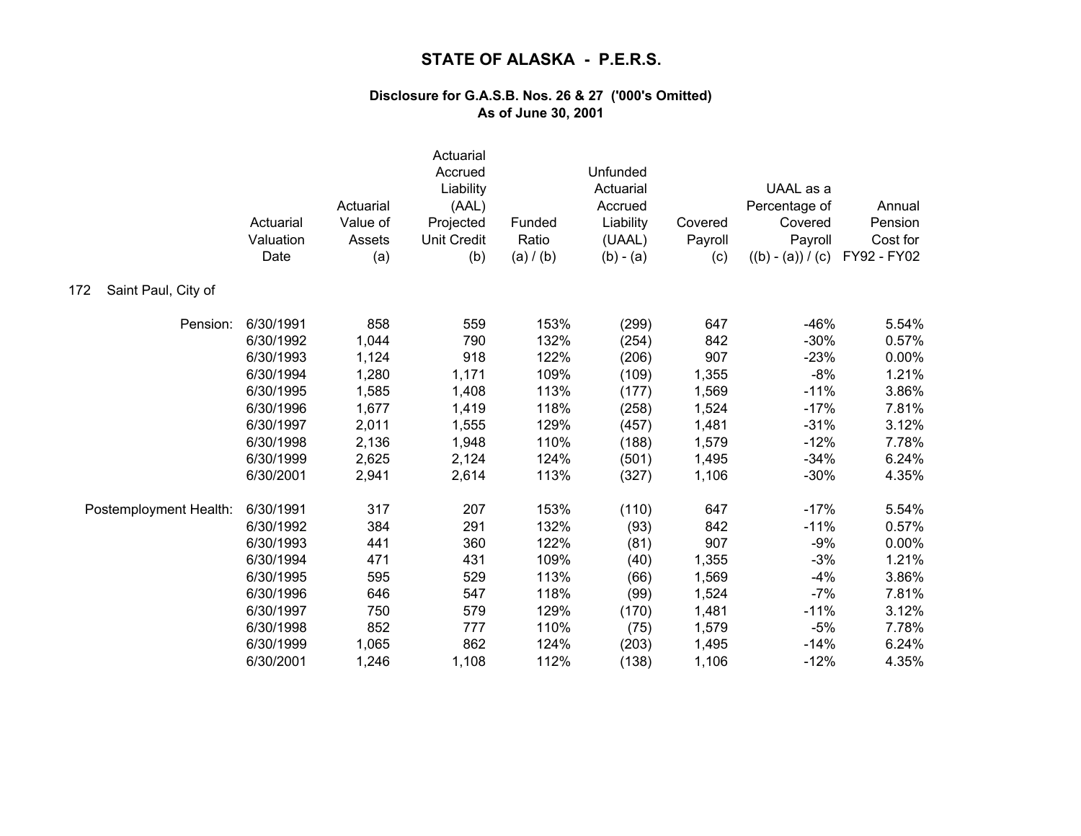|                            | Actuarial<br>Valuation<br>Date | Actuarial<br>Value of<br>Assets<br>(a) | Actuarial<br>Accrued<br>Liability<br>(AAL)<br>Projected<br><b>Unit Credit</b><br>(b) | Funded<br>Ratio<br>(a) / (b) | Unfunded<br>Actuarial<br>Accrued<br>Liability<br>(UAAL)<br>$(b) - (a)$ | Covered<br>Payroll<br>(c) | UAAL as a<br>Percentage of<br>Covered<br>Payroll<br>$((b) - (a)) / (c)$ | Annual<br>Pension<br>Cost for<br>FY92 - FY02 |
|----------------------------|--------------------------------|----------------------------------------|--------------------------------------------------------------------------------------|------------------------------|------------------------------------------------------------------------|---------------------------|-------------------------------------------------------------------------|----------------------------------------------|
| Saint Paul, City of<br>172 |                                |                                        |                                                                                      |                              |                                                                        |                           |                                                                         |                                              |
| Pension:                   | 6/30/1991                      | 858                                    | 559                                                                                  | 153%                         | (299)                                                                  | 647                       | $-46%$                                                                  | 5.54%                                        |
|                            | 6/30/1992                      | 1,044                                  | 790                                                                                  | 132%                         | (254)                                                                  | 842                       | $-30%$                                                                  | 0.57%                                        |
|                            | 6/30/1993                      | 1,124                                  | 918                                                                                  | 122%                         | (206)                                                                  | 907                       | $-23%$                                                                  | 0.00%                                        |
|                            | 6/30/1994                      | 1,280                                  | 1,171                                                                                | 109%                         | (109)                                                                  | 1,355                     | $-8%$                                                                   | 1.21%                                        |
|                            | 6/30/1995                      | 1,585                                  | 1,408                                                                                | 113%                         | (177)                                                                  | 1,569                     | $-11%$                                                                  | 3.86%                                        |
|                            | 6/30/1996                      | 1,677                                  | 1,419                                                                                | 118%                         | (258)                                                                  | 1,524                     | $-17%$                                                                  | 7.81%                                        |
|                            | 6/30/1997                      | 2,011                                  | 1,555                                                                                | 129%                         | (457)                                                                  | 1,481                     | $-31%$                                                                  | 3.12%                                        |
|                            | 6/30/1998                      | 2,136                                  | 1,948                                                                                | 110%                         | (188)                                                                  | 1,579                     | $-12%$                                                                  | 7.78%                                        |
|                            | 6/30/1999                      | 2,625                                  | 2,124                                                                                | 124%                         | (501)                                                                  | 1,495                     | $-34%$                                                                  | 6.24%                                        |
|                            | 6/30/2001                      | 2,941                                  | 2,614                                                                                | 113%                         | (327)                                                                  | 1,106                     | $-30%$                                                                  | 4.35%                                        |
| Postemployment Health:     | 6/30/1991                      | 317                                    | 207                                                                                  | 153%                         | (110)                                                                  | 647                       | $-17%$                                                                  | 5.54%                                        |
|                            | 6/30/1992                      | 384                                    | 291                                                                                  | 132%                         | (93)                                                                   | 842                       | $-11%$                                                                  | 0.57%                                        |
|                            | 6/30/1993                      | 441                                    | 360                                                                                  | 122%                         | (81)                                                                   | 907                       | $-9%$                                                                   | 0.00%                                        |
|                            | 6/30/1994                      | 471                                    | 431                                                                                  | 109%                         | (40)                                                                   | 1,355                     | $-3%$                                                                   | 1.21%                                        |
|                            | 6/30/1995                      | 595                                    | 529                                                                                  | 113%                         | (66)                                                                   | 1,569                     | $-4%$                                                                   | 3.86%                                        |
|                            | 6/30/1996                      | 646                                    | 547                                                                                  | 118%                         | (99)                                                                   | 1,524                     | $-7%$                                                                   | 7.81%                                        |
|                            | 6/30/1997                      | 750                                    | 579                                                                                  | 129%                         | (170)                                                                  | 1,481                     | $-11%$                                                                  | 3.12%                                        |
|                            | 6/30/1998                      | 852                                    | 777                                                                                  | 110%                         | (75)                                                                   | 1,579                     | $-5%$                                                                   | 7.78%                                        |
|                            | 6/30/1999                      | 1,065                                  | 862                                                                                  | 124%                         | (203)                                                                  | 1,495                     | $-14%$                                                                  | 6.24%                                        |
|                            | 6/30/2001                      | 1,246                                  | 1,108                                                                                | 112%                         | (138)                                                                  | 1,106                     | $-12%$                                                                  | 4.35%                                        |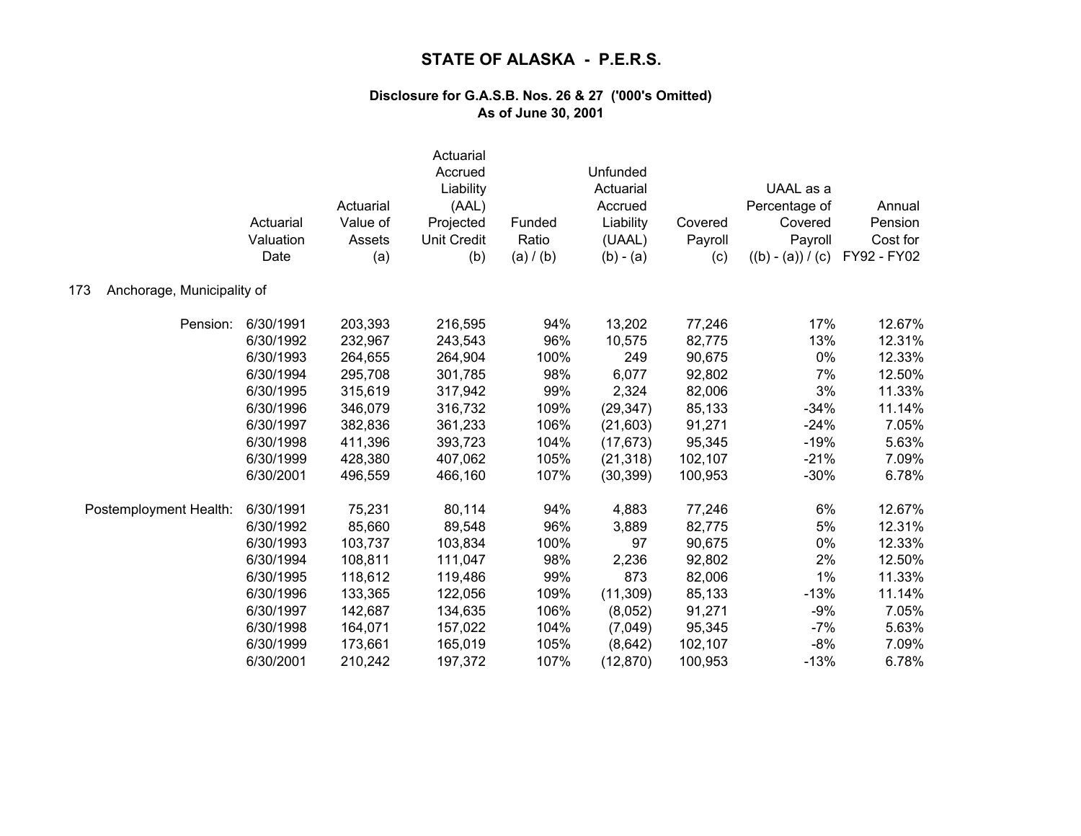| Anchorage, Municipality of<br>173 | Actuarial<br>Valuation<br>Date | Actuarial<br>Value of<br>Assets<br>(a) | Actuarial<br>Accrued<br>Liability<br>(AAL)<br>Projected<br><b>Unit Credit</b><br>(b) | Funded<br>Ratio<br>(a) / (b) | Unfunded<br>Actuarial<br>Accrued<br>Liability<br>(UAAL)<br>$(b) - (a)$ | Covered<br>Payroll<br>(c) | UAAL as a<br>Percentage of<br>Covered<br>Payroll<br>$((b) - (a)) / (c)$ | Annual<br>Pension<br>Cost for<br>FY92 - FY02 |
|-----------------------------------|--------------------------------|----------------------------------------|--------------------------------------------------------------------------------------|------------------------------|------------------------------------------------------------------------|---------------------------|-------------------------------------------------------------------------|----------------------------------------------|
|                                   |                                |                                        |                                                                                      |                              |                                                                        |                           |                                                                         |                                              |
| Pension:                          | 6/30/1991                      | 203,393                                | 216,595                                                                              | 94%                          | 13,202                                                                 | 77,246                    | 17%                                                                     | 12.67%                                       |
|                                   | 6/30/1992                      | 232,967                                | 243,543                                                                              | 96%                          | 10,575                                                                 | 82,775                    | 13%                                                                     | 12.31%                                       |
|                                   | 6/30/1993                      | 264,655                                | 264,904                                                                              | 100%                         | 249                                                                    | 90,675                    | 0%                                                                      | 12.33%                                       |
|                                   | 6/30/1994                      | 295,708                                | 301,785                                                                              | 98%                          | 6,077                                                                  | 92,802                    | 7%                                                                      | 12.50%                                       |
|                                   | 6/30/1995                      | 315,619                                | 317,942                                                                              | 99%                          | 2,324                                                                  | 82,006                    | 3%                                                                      | 11.33%                                       |
|                                   | 6/30/1996                      | 346,079                                | 316,732                                                                              | 109%                         | (29, 347)                                                              | 85,133                    | $-34%$                                                                  | 11.14%                                       |
|                                   | 6/30/1997                      | 382,836                                | 361,233                                                                              | 106%                         | (21, 603)                                                              | 91,271                    | $-24%$                                                                  | 7.05%                                        |
|                                   | 6/30/1998                      | 411,396                                | 393,723                                                                              | 104%                         | (17, 673)                                                              | 95,345                    | $-19%$                                                                  | 5.63%                                        |
|                                   | 6/30/1999                      | 428,380                                | 407,062                                                                              | 105%                         | (21, 318)                                                              | 102,107                   | $-21%$                                                                  | 7.09%                                        |
|                                   | 6/30/2001                      | 496,559                                | 466,160                                                                              | 107%                         | (30, 399)                                                              | 100,953                   | $-30%$                                                                  | 6.78%                                        |
| Postemployment Health:            | 6/30/1991                      | 75,231                                 | 80,114                                                                               | 94%                          | 4,883                                                                  | 77,246                    | 6%                                                                      | 12.67%                                       |
|                                   | 6/30/1992                      | 85,660                                 | 89,548                                                                               | 96%                          | 3,889                                                                  | 82,775                    | 5%                                                                      | 12.31%                                       |
|                                   | 6/30/1993                      | 103,737                                | 103,834                                                                              | 100%                         | 97                                                                     | 90,675                    | 0%                                                                      | 12.33%                                       |
|                                   | 6/30/1994                      | 108,811                                | 111,047                                                                              | 98%                          | 2,236                                                                  | 92,802                    | 2%                                                                      | 12.50%                                       |
|                                   | 6/30/1995                      | 118,612                                | 119,486                                                                              | 99%                          | 873                                                                    | 82,006                    | 1%                                                                      | 11.33%                                       |
|                                   | 6/30/1996                      | 133,365                                | 122,056                                                                              | 109%                         | (11, 309)                                                              | 85,133                    | $-13%$                                                                  | 11.14%                                       |
|                                   | 6/30/1997                      | 142,687                                | 134,635                                                                              | 106%                         | (8,052)                                                                | 91,271                    | $-9%$                                                                   | 7.05%                                        |
|                                   | 6/30/1998                      | 164,071                                | 157,022                                                                              | 104%                         | (7,049)                                                                | 95,345                    | $-7%$                                                                   | 5.63%                                        |
|                                   | 6/30/1999                      | 173,661                                | 165,019                                                                              | 105%                         | (8,642)                                                                | 102,107                   | $-8%$                                                                   | 7.09%                                        |
|                                   | 6/30/2001                      | 210,242                                | 197,372                                                                              | 107%                         | (12, 870)                                                              | 100,953                   | $-13%$                                                                  | 6.78%                                        |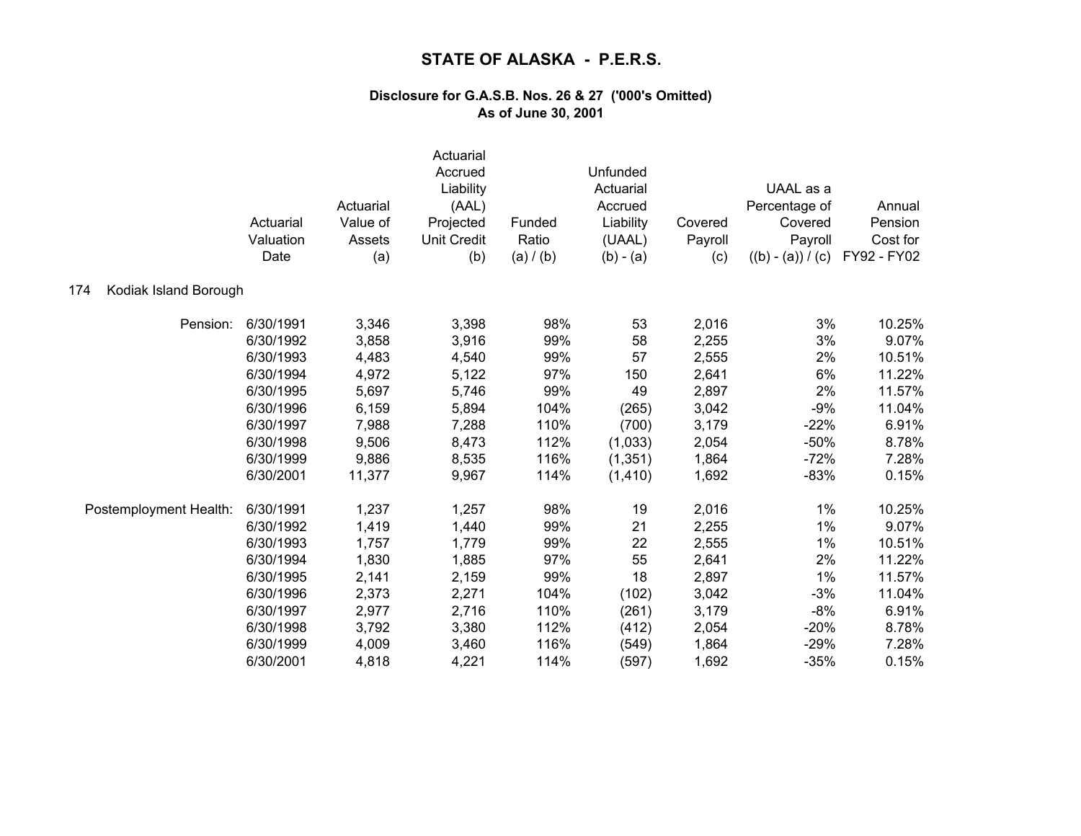|                              | Actuarial<br>Valuation<br>Date | Actuarial<br>Value of<br>Assets<br>(a) | Actuarial<br>Accrued<br>Liability<br>(AAL)<br>Projected<br><b>Unit Credit</b><br>(b) | Funded<br>Ratio<br>(a) / (b) | Unfunded<br>Actuarial<br>Accrued<br>Liability<br>(UAAL)<br>$(b) - (a)$ | Covered<br>Payroll<br>(c) | UAAL as a<br>Percentage of<br>Covered<br>Payroll<br>$((b) - (a)) / (c)$ | Annual<br>Pension<br>Cost for<br>FY92 - FY02 |
|------------------------------|--------------------------------|----------------------------------------|--------------------------------------------------------------------------------------|------------------------------|------------------------------------------------------------------------|---------------------------|-------------------------------------------------------------------------|----------------------------------------------|
| Kodiak Island Borough<br>174 |                                |                                        |                                                                                      |                              |                                                                        |                           |                                                                         |                                              |
| Pension:                     | 6/30/1991                      | 3,346                                  | 3,398                                                                                | 98%                          | 53                                                                     | 2,016                     | 3%                                                                      | 10.25%                                       |
|                              | 6/30/1992                      | 3,858                                  | 3,916                                                                                | 99%                          | 58                                                                     | 2,255                     | 3%                                                                      | 9.07%                                        |
|                              | 6/30/1993                      | 4,483                                  | 4,540                                                                                | 99%                          | 57                                                                     | 2,555                     | 2%                                                                      | 10.51%                                       |
|                              | 6/30/1994                      | 4,972                                  | 5,122                                                                                | 97%                          | 150                                                                    | 2,641                     | 6%                                                                      | 11.22%                                       |
|                              | 6/30/1995                      | 5,697                                  | 5,746                                                                                | 99%                          | 49                                                                     | 2,897                     | 2%                                                                      | 11.57%                                       |
|                              | 6/30/1996                      | 6,159                                  | 5,894                                                                                | 104%                         | (265)                                                                  | 3,042                     | $-9%$                                                                   | 11.04%                                       |
|                              | 6/30/1997                      | 7,988                                  | 7,288                                                                                | 110%                         | (700)                                                                  | 3,179                     | $-22%$                                                                  | 6.91%                                        |
|                              | 6/30/1998                      | 9,506                                  | 8,473                                                                                | 112%                         | (1,033)                                                                | 2,054                     | $-50%$                                                                  | 8.78%                                        |
|                              | 6/30/1999                      | 9,886                                  | 8,535                                                                                | 116%                         | (1, 351)                                                               | 1,864                     | $-72%$                                                                  | 7.28%                                        |
|                              | 6/30/2001                      | 11,377                                 | 9,967                                                                                | 114%                         | (1, 410)                                                               | 1,692                     | $-83%$                                                                  | 0.15%                                        |
| Postemployment Health:       | 6/30/1991                      | 1,237                                  | 1,257                                                                                | 98%                          | 19                                                                     | 2,016                     | 1%                                                                      | 10.25%                                       |
|                              | 6/30/1992                      | 1,419                                  | 1,440                                                                                | 99%                          | 21                                                                     | 2,255                     | 1%                                                                      | 9.07%                                        |
|                              | 6/30/1993                      | 1,757                                  | 1,779                                                                                | 99%                          | 22                                                                     | 2,555                     | 1%                                                                      | 10.51%                                       |
|                              | 6/30/1994                      | 1,830                                  | 1,885                                                                                | 97%                          | 55                                                                     | 2,641                     | 2%                                                                      | 11.22%                                       |
|                              | 6/30/1995                      | 2,141                                  | 2,159                                                                                | 99%                          | 18                                                                     | 2,897                     | 1%                                                                      | 11.57%                                       |
|                              | 6/30/1996                      | 2,373                                  | 2,271                                                                                | 104%                         | (102)                                                                  | 3,042                     | $-3%$                                                                   | 11.04%                                       |
|                              | 6/30/1997                      | 2,977                                  | 2,716                                                                                | 110%                         | (261)                                                                  | 3,179                     | $-8%$                                                                   | 6.91%                                        |
|                              | 6/30/1998                      | 3,792                                  | 3,380                                                                                | 112%                         | (412)                                                                  | 2,054                     | $-20%$                                                                  | 8.78%                                        |
|                              | 6/30/1999                      | 4,009                                  | 3,460                                                                                | 116%                         | (549)                                                                  | 1,864                     | $-29%$                                                                  | 7.28%                                        |
|                              | 6/30/2001                      | 4,818                                  | 4,221                                                                                | 114%                         | (597)                                                                  | 1,692                     | $-35%$                                                                  | 0.15%                                        |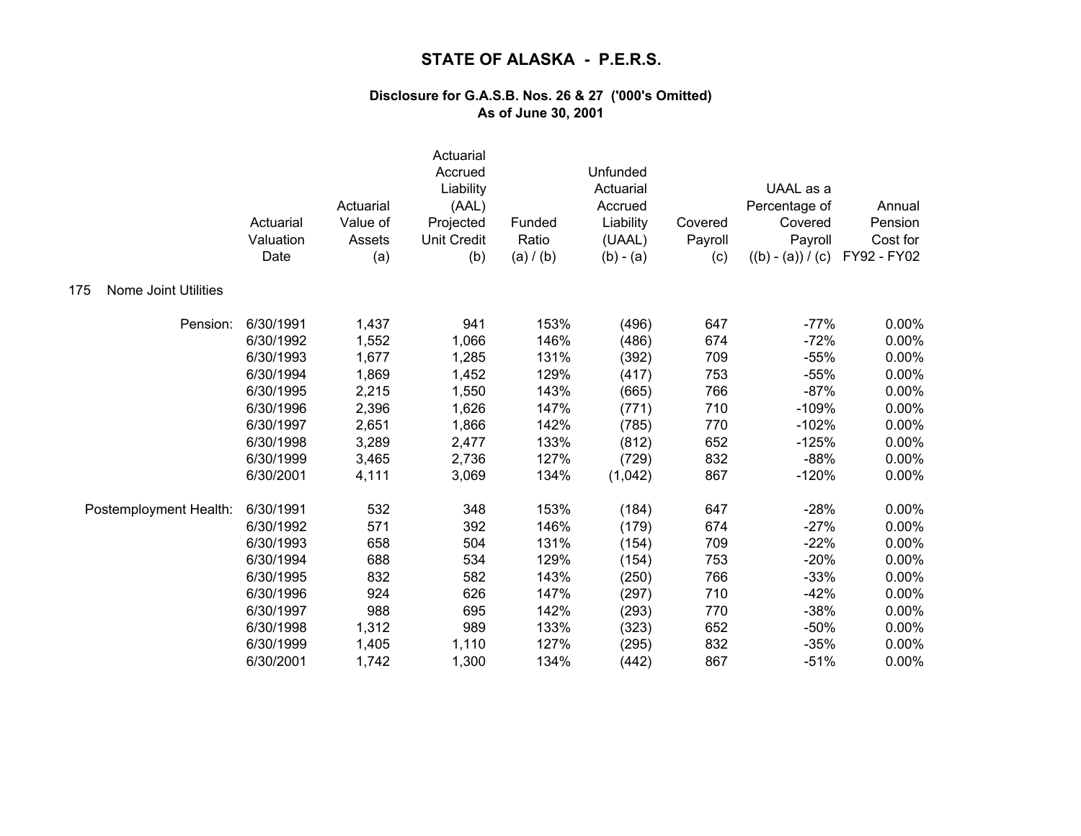|                                    | Actuarial<br>Valuation<br>Date | Actuarial<br>Value of<br>Assets<br>(a) | Actuarial<br>Accrued<br>Liability<br>(AAL)<br>Projected<br><b>Unit Credit</b><br>(b) | Funded<br>Ratio<br>(a) / (b) | Unfunded<br>Actuarial<br>Accrued<br>Liability<br>(UAAL)<br>$(b) - (a)$ | Covered<br>Payroll<br>(c) | UAAL as a<br>Percentage of<br>Covered<br>Payroll<br>$((b) - (a)) / (c)$ | Annual<br>Pension<br>Cost for<br>FY92 - FY02 |
|------------------------------------|--------------------------------|----------------------------------------|--------------------------------------------------------------------------------------|------------------------------|------------------------------------------------------------------------|---------------------------|-------------------------------------------------------------------------|----------------------------------------------|
| <b>Nome Joint Utilities</b><br>175 |                                |                                        |                                                                                      |                              |                                                                        |                           |                                                                         |                                              |
| Pension:                           | 6/30/1991                      | 1,437                                  | 941                                                                                  | 153%                         | (496)                                                                  | 647                       | $-77%$                                                                  | 0.00%                                        |
|                                    | 6/30/1992                      | 1,552                                  | 1,066                                                                                | 146%                         | (486)                                                                  | 674                       | $-72%$                                                                  | 0.00%                                        |
|                                    | 6/30/1993                      | 1,677                                  | 1,285                                                                                | 131%                         | (392)                                                                  | 709                       | $-55%$                                                                  | 0.00%                                        |
|                                    | 6/30/1994                      | 1,869                                  | 1,452                                                                                | 129%                         | (417)                                                                  | 753                       | $-55%$                                                                  | 0.00%                                        |
|                                    | 6/30/1995                      | 2,215                                  | 1,550                                                                                | 143%                         | (665)                                                                  | 766                       | $-87%$                                                                  | 0.00%                                        |
|                                    | 6/30/1996                      | 2,396                                  | 1,626                                                                                | 147%                         | (771)                                                                  | 710                       | $-109%$                                                                 | 0.00%                                        |
|                                    | 6/30/1997                      | 2,651                                  | 1,866                                                                                | 142%                         | (785)                                                                  | 770                       | $-102%$                                                                 | 0.00%                                        |
|                                    | 6/30/1998                      | 3,289                                  | 2,477                                                                                | 133%                         | (812)                                                                  | 652                       | $-125%$                                                                 | 0.00%                                        |
|                                    | 6/30/1999                      | 3,465                                  | 2,736                                                                                | 127%                         | (729)                                                                  | 832                       | $-88%$                                                                  | 0.00%                                        |
|                                    | 6/30/2001                      | 4,111                                  | 3,069                                                                                | 134%                         | (1,042)                                                                | 867                       | $-120%$                                                                 | 0.00%                                        |
| Postemployment Health:             | 6/30/1991                      | 532                                    | 348                                                                                  | 153%                         | (184)                                                                  | 647                       | $-28%$                                                                  | 0.00%                                        |
|                                    | 6/30/1992                      | 571                                    | 392                                                                                  | 146%                         | (179)                                                                  | 674                       | $-27%$                                                                  | 0.00%                                        |
|                                    | 6/30/1993                      | 658                                    | 504                                                                                  | 131%                         | (154)                                                                  | 709                       | $-22%$                                                                  | 0.00%                                        |
|                                    | 6/30/1994                      | 688                                    | 534                                                                                  | 129%                         | (154)                                                                  | 753                       | $-20%$                                                                  | 0.00%                                        |
|                                    | 6/30/1995                      | 832                                    | 582                                                                                  | 143%                         | (250)                                                                  | 766                       | $-33%$                                                                  | 0.00%                                        |
|                                    | 6/30/1996                      | 924                                    | 626                                                                                  | 147%                         | (297)                                                                  | 710                       | $-42%$                                                                  | 0.00%                                        |
|                                    | 6/30/1997                      | 988                                    | 695                                                                                  | 142%                         | (293)                                                                  | 770                       | $-38%$                                                                  | 0.00%                                        |
|                                    | 6/30/1998                      | 1,312                                  | 989                                                                                  | 133%                         | (323)                                                                  | 652                       | $-50%$                                                                  | 0.00%                                        |
|                                    | 6/30/1999                      | 1,405                                  | 1,110                                                                                | 127%                         | (295)                                                                  | 832                       | $-35%$                                                                  | 0.00%                                        |
|                                    | 6/30/2001                      | 1,742                                  | 1,300                                                                                | 134%                         | (442)                                                                  | 867                       | $-51%$                                                                  | 0.00%                                        |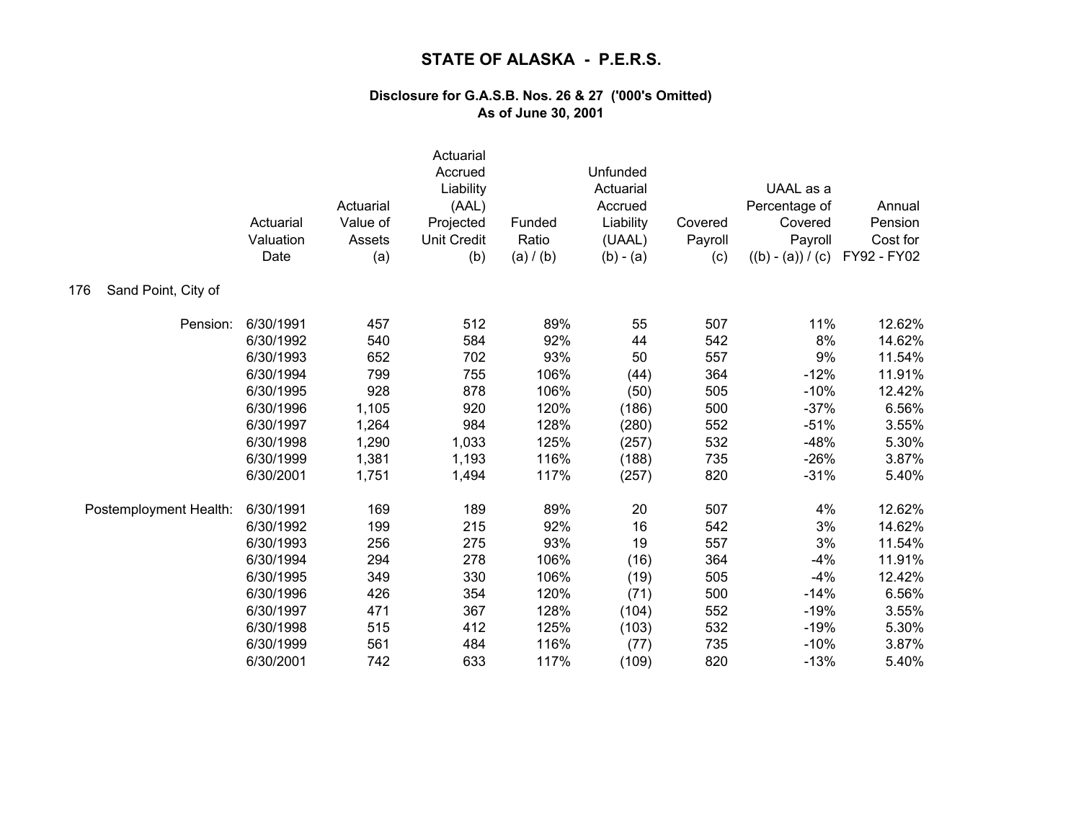|                            | Actuarial<br>Valuation<br>Date | Actuarial<br>Value of<br>Assets<br>(a) | Actuarial<br>Accrued<br>Liability<br>(AAL)<br>Projected<br><b>Unit Credit</b><br>(b) | Funded<br>Ratio<br>(a) / (b) | Unfunded<br>Actuarial<br>Accrued<br>Liability<br>(UAAL)<br>$(b) - (a)$ | Covered<br>Payroll<br>(c) | UAAL as a<br>Percentage of<br>Covered<br>Payroll<br>$((b) - (a)) / (c)$ | Annual<br>Pension<br>Cost for<br>FY92 - FY02 |
|----------------------------|--------------------------------|----------------------------------------|--------------------------------------------------------------------------------------|------------------------------|------------------------------------------------------------------------|---------------------------|-------------------------------------------------------------------------|----------------------------------------------|
| Sand Point, City of<br>176 |                                |                                        |                                                                                      |                              |                                                                        |                           |                                                                         |                                              |
| Pension:                   | 6/30/1991                      | 457                                    | 512                                                                                  | 89%                          | 55                                                                     | 507                       | 11%                                                                     | 12.62%                                       |
|                            | 6/30/1992                      | 540                                    | 584                                                                                  | 92%                          | 44                                                                     | 542                       | 8%                                                                      | 14.62%                                       |
|                            | 6/30/1993                      | 652                                    | 702                                                                                  | 93%                          | 50                                                                     | 557                       | 9%                                                                      | 11.54%                                       |
|                            | 6/30/1994                      | 799                                    | 755                                                                                  | 106%                         | (44)                                                                   | 364                       | $-12%$                                                                  | 11.91%                                       |
|                            | 6/30/1995                      | 928                                    | 878                                                                                  | 106%                         | (50)                                                                   | 505                       | $-10%$                                                                  | 12.42%                                       |
|                            | 6/30/1996                      | 1,105                                  | 920                                                                                  | 120%                         | (186)                                                                  | 500                       | $-37%$                                                                  | 6.56%                                        |
|                            | 6/30/1997                      | 1,264                                  | 984                                                                                  | 128%                         | (280)                                                                  | 552                       | $-51%$                                                                  | 3.55%                                        |
|                            | 6/30/1998                      | 1,290                                  | 1,033                                                                                | 125%                         | (257)                                                                  | 532                       | $-48%$                                                                  | 5.30%                                        |
|                            | 6/30/1999                      | 1,381                                  | 1,193                                                                                | 116%                         | (188)                                                                  | 735                       | $-26%$                                                                  | 3.87%                                        |
|                            | 6/30/2001                      | 1,751                                  | 1,494                                                                                | 117%                         | (257)                                                                  | 820                       | $-31%$                                                                  | 5.40%                                        |
| Postemployment Health:     | 6/30/1991                      | 169                                    | 189                                                                                  | 89%                          | 20                                                                     | 507                       | 4%                                                                      | 12.62%                                       |
|                            | 6/30/1992                      | 199                                    | 215                                                                                  | 92%                          | 16                                                                     | 542                       | 3%                                                                      | 14.62%                                       |
|                            | 6/30/1993                      | 256                                    | 275                                                                                  | 93%                          | 19                                                                     | 557                       | 3%                                                                      | 11.54%                                       |
|                            | 6/30/1994                      | 294                                    | 278                                                                                  | 106%                         | (16)                                                                   | 364                       | $-4%$                                                                   | 11.91%                                       |
|                            | 6/30/1995                      | 349                                    | 330                                                                                  | 106%                         | (19)                                                                   | 505                       | $-4%$                                                                   | 12.42%                                       |
|                            | 6/30/1996                      | 426                                    | 354                                                                                  | 120%                         | (71)                                                                   | 500                       | $-14%$                                                                  | 6.56%                                        |
|                            | 6/30/1997                      | 471                                    | 367                                                                                  | 128%                         | (104)                                                                  | 552                       | $-19%$                                                                  | 3.55%                                        |
|                            | 6/30/1998                      | 515                                    | 412                                                                                  | 125%                         | (103)                                                                  | 532                       | $-19%$                                                                  | 5.30%                                        |
|                            | 6/30/1999                      | 561                                    | 484                                                                                  | 116%                         | (77)                                                                   | 735                       | $-10%$                                                                  | 3.87%                                        |
|                            | 6/30/2001                      | 742                                    | 633                                                                                  | 117%                         | (109)                                                                  | 820                       | $-13%$                                                                  | 5.40%                                        |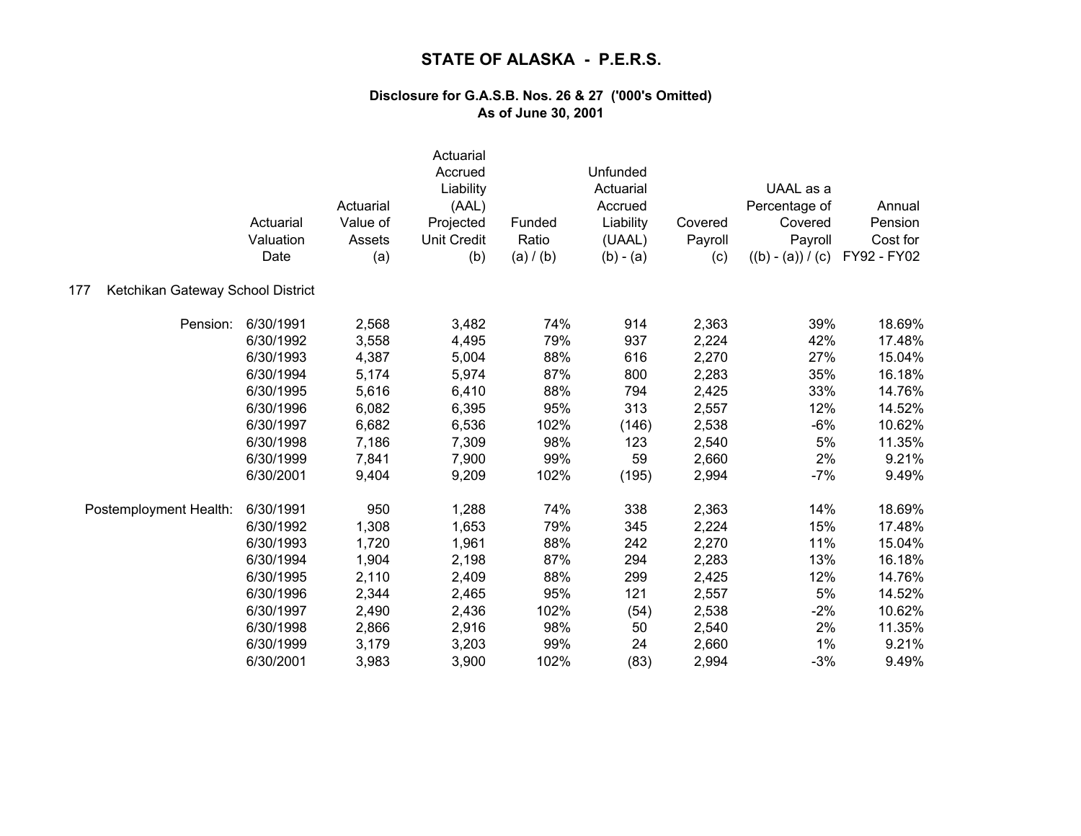|                                          | Actuarial<br>Valuation<br>Date | Actuarial<br>Value of<br>Assets<br>(a) | Actuarial<br>Accrued<br>Liability<br>(AAL)<br>Projected<br><b>Unit Credit</b><br>(b) | Funded<br>Ratio<br>(a) / (b) | Unfunded<br>Actuarial<br>Accrued<br>Liability<br>(UAAL)<br>$(b) - (a)$ | Covered<br>Payroll<br>(c) | UAAL as a<br>Percentage of<br>Covered<br>Payroll<br>$((b) - (a)) / (c)$ | Annual<br>Pension<br>Cost for<br>FY92 - FY02 |
|------------------------------------------|--------------------------------|----------------------------------------|--------------------------------------------------------------------------------------|------------------------------|------------------------------------------------------------------------|---------------------------|-------------------------------------------------------------------------|----------------------------------------------|
| Ketchikan Gateway School District<br>177 |                                |                                        |                                                                                      |                              |                                                                        |                           |                                                                         |                                              |
| Pension:                                 | 6/30/1991                      | 2,568                                  | 3,482                                                                                | 74%                          | 914                                                                    | 2,363                     | 39%                                                                     | 18.69%                                       |
|                                          | 6/30/1992                      | 3,558                                  | 4,495                                                                                | 79%                          | 937                                                                    | 2,224                     | 42%                                                                     | 17.48%                                       |
|                                          | 6/30/1993                      | 4,387                                  | 5,004                                                                                | 88%                          | 616                                                                    | 2,270                     | 27%                                                                     | 15.04%                                       |
|                                          | 6/30/1994                      | 5,174                                  | 5,974                                                                                | 87%                          | 800                                                                    | 2,283                     | 35%                                                                     | 16.18%                                       |
|                                          | 6/30/1995                      | 5,616                                  | 6,410                                                                                | 88%                          | 794                                                                    | 2,425                     | 33%                                                                     | 14.76%                                       |
|                                          | 6/30/1996                      | 6,082                                  | 6,395                                                                                | 95%                          | 313                                                                    | 2,557                     | 12%                                                                     | 14.52%                                       |
|                                          | 6/30/1997                      | 6,682                                  | 6,536                                                                                | 102%                         | (146)                                                                  | 2,538                     | $-6%$                                                                   | 10.62%                                       |
|                                          | 6/30/1998                      | 7,186                                  | 7,309                                                                                | 98%                          | 123                                                                    | 2,540                     | 5%                                                                      | 11.35%                                       |
|                                          | 6/30/1999                      | 7,841                                  | 7,900                                                                                | 99%                          | 59                                                                     | 2,660                     | 2%                                                                      | 9.21%                                        |
|                                          | 6/30/2001                      | 9,404                                  | 9,209                                                                                | 102%                         | (195)                                                                  | 2,994                     | $-7%$                                                                   | 9.49%                                        |
| Postemployment Health:                   | 6/30/1991                      | 950                                    | 1,288                                                                                | 74%                          | 338                                                                    | 2,363                     | 14%                                                                     | 18.69%                                       |
|                                          | 6/30/1992                      | 1,308                                  | 1,653                                                                                | 79%                          | 345                                                                    | 2,224                     | 15%                                                                     | 17.48%                                       |
|                                          | 6/30/1993                      | 1,720                                  | 1,961                                                                                | 88%                          | 242                                                                    | 2,270                     | 11%                                                                     | 15.04%                                       |
|                                          | 6/30/1994                      | 1,904                                  | 2,198                                                                                | 87%                          | 294                                                                    | 2,283                     | 13%                                                                     | 16.18%                                       |
|                                          | 6/30/1995                      | 2,110                                  | 2,409                                                                                | 88%                          | 299                                                                    | 2,425                     | 12%                                                                     | 14.76%                                       |
|                                          | 6/30/1996                      | 2,344                                  | 2,465                                                                                | 95%                          | 121                                                                    | 2,557                     | 5%                                                                      | 14.52%                                       |
|                                          | 6/30/1997                      | 2,490                                  | 2,436                                                                                | 102%                         | (54)                                                                   | 2,538                     | $-2%$                                                                   | 10.62%                                       |
|                                          | 6/30/1998                      | 2,866                                  | 2,916                                                                                | 98%                          | 50                                                                     | 2,540                     | 2%                                                                      | 11.35%                                       |
|                                          | 6/30/1999                      | 3,179                                  | 3,203                                                                                | 99%                          | 24                                                                     | 2,660                     | 1%                                                                      | 9.21%                                        |
|                                          | 6/30/2001                      | 3,983                                  | 3,900                                                                                | 102%                         | (83)                                                                   | 2,994                     | $-3%$                                                                   | 9.49%                                        |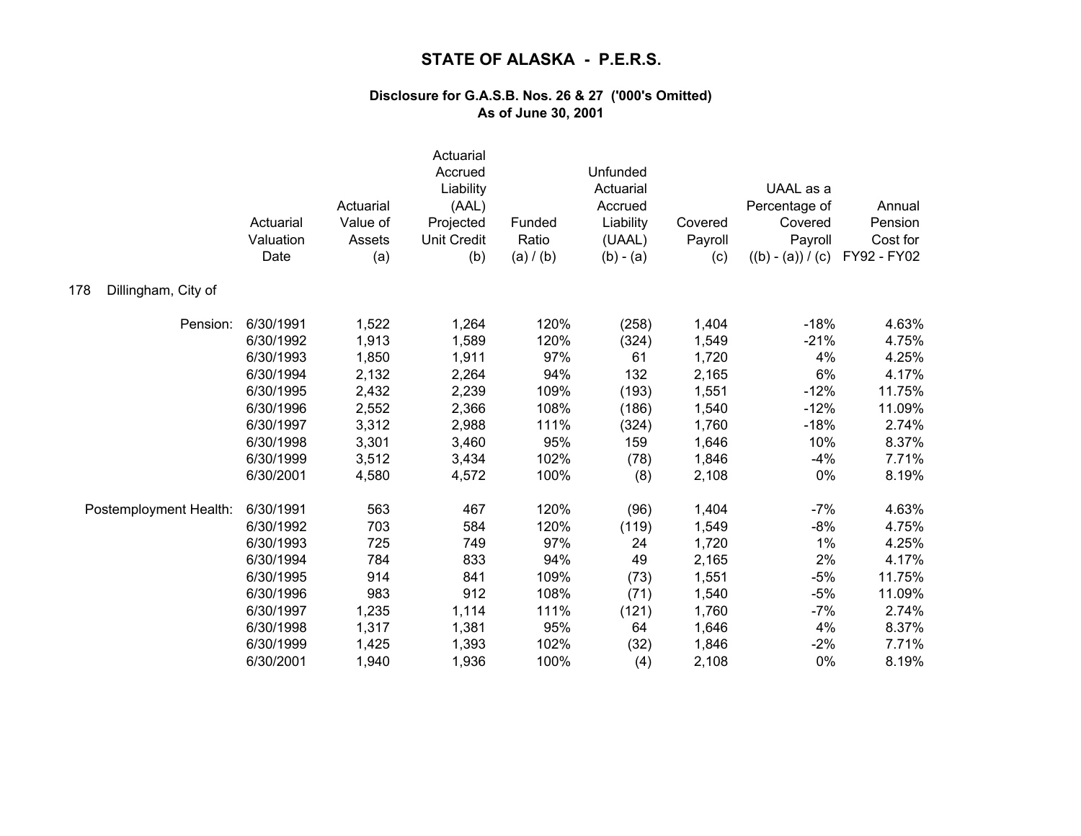|                            | Actuarial<br>Valuation<br>Date | Actuarial<br>Value of<br>Assets<br>(a) | Actuarial<br>Accrued<br>Liability<br>(AAL)<br>Projected<br><b>Unit Credit</b><br>(b) | Funded<br>Ratio<br>(a) / (b) | Unfunded<br>Actuarial<br>Accrued<br>Liability<br>(UAAL)<br>$(b) - (a)$ | Covered<br>Payroll<br>(c) | UAAL as a<br>Percentage of<br>Covered<br>Payroll<br>$((b) - (a)) / (c)$ | Annual<br>Pension<br>Cost for<br>FY92 - FY02 |
|----------------------------|--------------------------------|----------------------------------------|--------------------------------------------------------------------------------------|------------------------------|------------------------------------------------------------------------|---------------------------|-------------------------------------------------------------------------|----------------------------------------------|
| 178<br>Dillingham, City of |                                |                                        |                                                                                      |                              |                                                                        |                           |                                                                         |                                              |
| Pension:                   | 6/30/1991                      | 1,522                                  | 1,264                                                                                | 120%                         | (258)                                                                  | 1,404                     | $-18%$                                                                  | 4.63%                                        |
|                            | 6/30/1992                      | 1,913                                  | 1,589                                                                                | 120%                         | (324)                                                                  | 1,549                     | $-21%$                                                                  | 4.75%                                        |
|                            | 6/30/1993                      | 1,850                                  | 1,911                                                                                | 97%                          | 61                                                                     | 1,720                     | 4%                                                                      | 4.25%                                        |
|                            | 6/30/1994                      | 2,132                                  | 2,264                                                                                | 94%                          | 132                                                                    | 2,165                     | 6%                                                                      | 4.17%                                        |
|                            | 6/30/1995                      | 2,432                                  | 2,239                                                                                | 109%                         | (193)                                                                  | 1,551                     | $-12%$                                                                  | 11.75%                                       |
|                            | 6/30/1996                      | 2,552                                  | 2,366                                                                                | 108%                         | (186)                                                                  | 1,540                     | $-12%$                                                                  | 11.09%                                       |
|                            | 6/30/1997                      | 3,312                                  | 2,988                                                                                | 111%                         | (324)                                                                  | 1,760                     | $-18%$                                                                  | 2.74%                                        |
|                            | 6/30/1998                      | 3,301                                  | 3,460                                                                                | 95%                          | 159                                                                    | 1,646                     | 10%                                                                     | 8.37%                                        |
|                            | 6/30/1999                      | 3,512                                  | 3,434                                                                                | 102%                         | (78)                                                                   | 1,846                     | $-4%$                                                                   | 7.71%                                        |
|                            | 6/30/2001                      | 4,580                                  | 4,572                                                                                | 100%                         | (8)                                                                    | 2,108                     | 0%                                                                      | 8.19%                                        |
| Postemployment Health:     | 6/30/1991                      | 563                                    | 467                                                                                  | 120%                         | (96)                                                                   | 1,404                     | $-7%$                                                                   | 4.63%                                        |
|                            | 6/30/1992                      | 703                                    | 584                                                                                  | 120%                         | (119)                                                                  | 1,549                     | $-8%$                                                                   | 4.75%                                        |
|                            | 6/30/1993                      | 725                                    | 749                                                                                  | 97%                          | 24                                                                     | 1,720                     | 1%                                                                      | 4.25%                                        |
|                            | 6/30/1994                      | 784                                    | 833                                                                                  | 94%                          | 49                                                                     | 2,165                     | 2%                                                                      | 4.17%                                        |
|                            | 6/30/1995                      | 914                                    | 841                                                                                  | 109%                         | (73)                                                                   | 1,551                     | $-5%$                                                                   | 11.75%                                       |
|                            | 6/30/1996                      | 983                                    | 912                                                                                  | 108%                         | (71)                                                                   | 1,540                     | $-5%$                                                                   | 11.09%                                       |
|                            | 6/30/1997                      | 1,235                                  | 1,114                                                                                | 111%                         | (121)                                                                  | 1,760                     | $-7%$                                                                   | 2.74%                                        |
|                            | 6/30/1998                      | 1,317                                  | 1,381                                                                                | 95%                          | 64                                                                     | 1,646                     | 4%                                                                      | 8.37%                                        |
|                            | 6/30/1999                      | 1,425                                  | 1,393                                                                                | 102%                         | (32)                                                                   | 1,846                     | $-2%$                                                                   | 7.71%                                        |
|                            | 6/30/2001                      | 1,940                                  | 1,936                                                                                | 100%                         | (4)                                                                    | 2,108                     | 0%                                                                      | 8.19%                                        |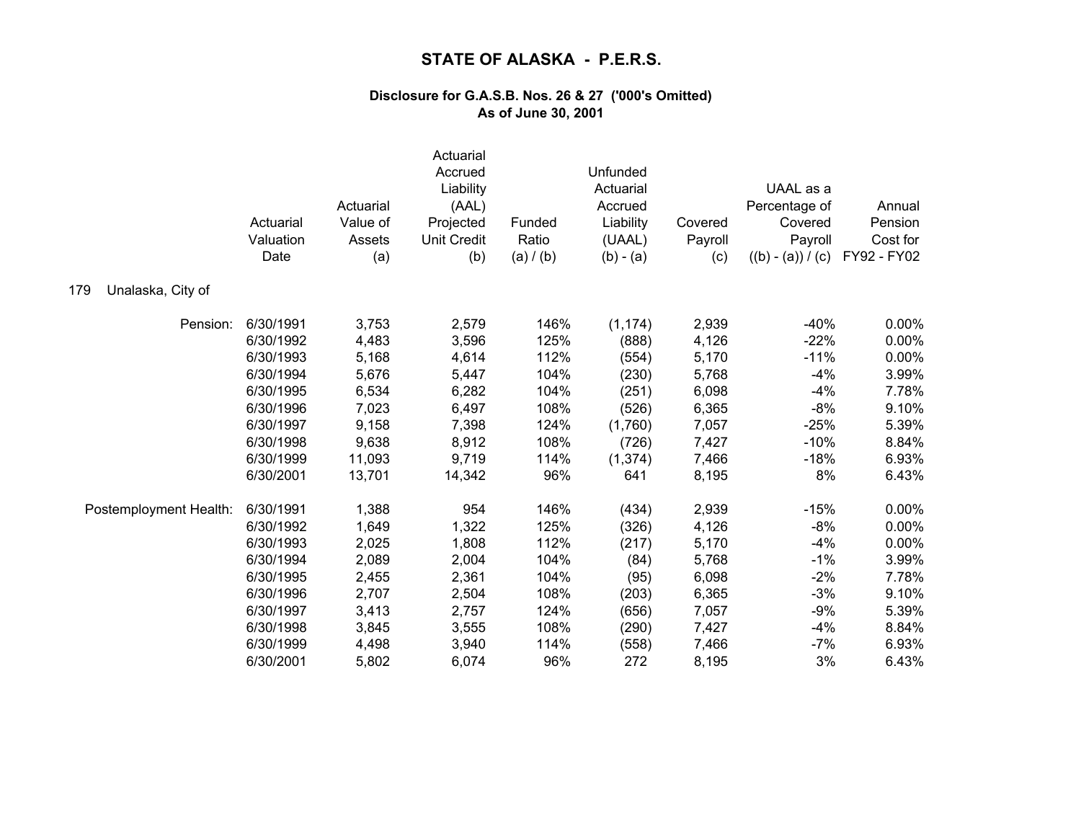|                          | Actuarial<br>Valuation<br>Date | Actuarial<br>Value of<br>Assets<br>(a) | Actuarial<br>Accrued<br>Liability<br>(AAL)<br>Projected<br><b>Unit Credit</b><br>(b) | Funded<br>Ratio<br>(a) / (b) | Unfunded<br>Actuarial<br>Accrued<br>Liability<br>(UAAL)<br>$(b) - (a)$ | Covered<br>Payroll<br>(c) | UAAL as a<br>Percentage of<br>Covered<br>Payroll<br>$((b) - (a)) / (c)$ | Annual<br>Pension<br>Cost for<br>FY92 - FY02 |
|--------------------------|--------------------------------|----------------------------------------|--------------------------------------------------------------------------------------|------------------------------|------------------------------------------------------------------------|---------------------------|-------------------------------------------------------------------------|----------------------------------------------|
| Unalaska, City of<br>179 |                                |                                        |                                                                                      |                              |                                                                        |                           |                                                                         |                                              |
| Pension:                 | 6/30/1991                      | 3,753                                  | 2,579                                                                                | 146%                         | (1, 174)                                                               | 2,939                     | $-40%$                                                                  | 0.00%                                        |
|                          | 6/30/1992                      | 4,483                                  | 3,596                                                                                | 125%                         | (888)                                                                  | 4,126                     | $-22%$                                                                  | 0.00%                                        |
|                          | 6/30/1993                      | 5,168                                  | 4,614                                                                                | 112%                         | (554)                                                                  | 5,170                     | $-11%$                                                                  | 0.00%                                        |
|                          | 6/30/1994                      | 5,676                                  | 5,447                                                                                | 104%                         | (230)                                                                  | 5,768                     | $-4%$                                                                   | 3.99%                                        |
|                          | 6/30/1995                      | 6,534                                  | 6,282                                                                                | 104%                         | (251)                                                                  | 6,098                     | $-4%$                                                                   | 7.78%                                        |
|                          | 6/30/1996                      | 7,023                                  | 6,497                                                                                | 108%                         | (526)                                                                  | 6,365                     | $-8%$                                                                   | 9.10%                                        |
|                          | 6/30/1997                      | 9,158                                  | 7,398                                                                                | 124%                         | (1,760)                                                                | 7,057                     | $-25%$                                                                  | 5.39%                                        |
|                          | 6/30/1998                      | 9,638                                  | 8,912                                                                                | 108%                         | (726)                                                                  | 7,427                     | $-10%$                                                                  | 8.84%                                        |
|                          | 6/30/1999                      | 11,093                                 | 9,719                                                                                | 114%                         | (1, 374)                                                               | 7,466                     | $-18%$                                                                  | 6.93%                                        |
|                          | 6/30/2001                      | 13,701                                 | 14,342                                                                               | 96%                          | 641                                                                    | 8,195                     | 8%                                                                      | 6.43%                                        |
| Postemployment Health:   | 6/30/1991                      | 1,388                                  | 954                                                                                  | 146%                         | (434)                                                                  | 2,939                     | $-15%$                                                                  | 0.00%                                        |
|                          | 6/30/1992                      | 1,649                                  | 1,322                                                                                | 125%                         | (326)                                                                  | 4,126                     | $-8%$                                                                   | 0.00%                                        |
|                          | 6/30/1993                      | 2,025                                  | 1,808                                                                                | 112%                         | (217)                                                                  | 5,170                     | $-4%$                                                                   | 0.00%                                        |
|                          | 6/30/1994                      | 2,089                                  | 2,004                                                                                | 104%                         | (84)                                                                   | 5,768                     | $-1%$                                                                   | 3.99%                                        |
|                          | 6/30/1995                      | 2,455                                  | 2,361                                                                                | 104%                         | (95)                                                                   | 6,098                     | $-2%$                                                                   | 7.78%                                        |
|                          | 6/30/1996                      | 2,707                                  | 2,504                                                                                | 108%                         | (203)                                                                  | 6,365                     | $-3%$                                                                   | 9.10%                                        |
|                          | 6/30/1997                      | 3,413                                  | 2,757                                                                                | 124%                         | (656)                                                                  | 7,057                     | $-9%$                                                                   | 5.39%                                        |
|                          | 6/30/1998                      | 3,845                                  | 3,555                                                                                | 108%                         | (290)                                                                  | 7,427                     | $-4%$                                                                   | 8.84%                                        |
|                          | 6/30/1999                      | 4,498                                  | 3,940                                                                                | 114%                         | (558)                                                                  | 7,466                     | $-7%$                                                                   | 6.93%                                        |
|                          | 6/30/2001                      | 5,802                                  | 6,074                                                                                | 96%                          | 272                                                                    | 8,195                     | 3%                                                                      | 6.43%                                        |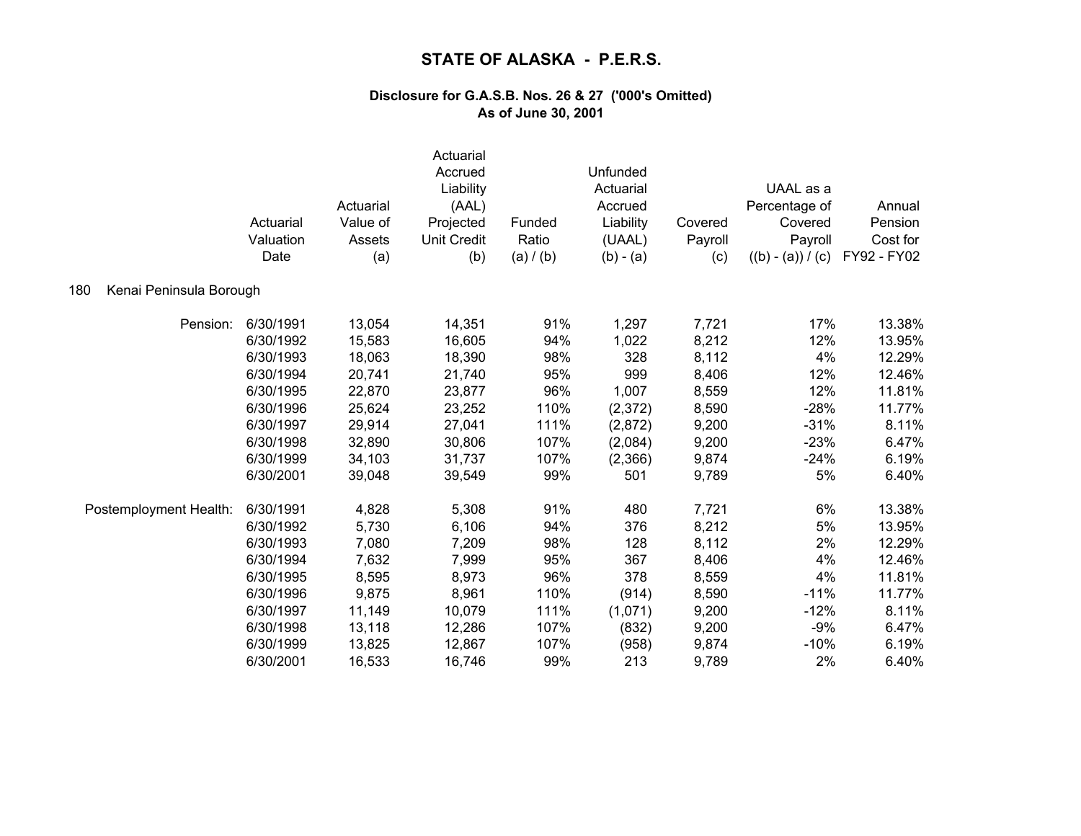|                                | Actuarial<br>Valuation<br>Date | Actuarial<br>Value of<br>Assets<br>(a) | Actuarial<br>Accrued<br>Liability<br>(AAL)<br>Projected<br><b>Unit Credit</b><br>(b) | Funded<br>Ratio<br>(a) / (b) | Unfunded<br>Actuarial<br>Accrued<br>Liability<br>(UAAL)<br>$(b) - (a)$ | Covered<br>Payroll<br>(c) | UAAL as a<br>Percentage of<br>Covered<br>Payroll<br>$((b) - (a)) / (c)$ | Annual<br>Pension<br>Cost for<br>FY92 - FY02 |
|--------------------------------|--------------------------------|----------------------------------------|--------------------------------------------------------------------------------------|------------------------------|------------------------------------------------------------------------|---------------------------|-------------------------------------------------------------------------|----------------------------------------------|
| 180<br>Kenai Peninsula Borough |                                |                                        |                                                                                      |                              |                                                                        |                           |                                                                         |                                              |
| Pension:                       | 6/30/1991                      | 13,054                                 | 14,351                                                                               | 91%                          | 1,297                                                                  | 7,721                     | 17%                                                                     | 13.38%                                       |
|                                | 6/30/1992                      | 15,583                                 | 16,605                                                                               | 94%                          | 1,022                                                                  | 8,212                     | 12%                                                                     | 13.95%                                       |
|                                | 6/30/1993                      | 18,063                                 | 18,390                                                                               | 98%                          | 328                                                                    | 8,112                     | 4%                                                                      | 12.29%                                       |
|                                | 6/30/1994                      | 20,741                                 | 21,740                                                                               | 95%                          | 999                                                                    | 8,406                     | 12%                                                                     | 12.46%                                       |
|                                | 6/30/1995                      | 22,870                                 | 23,877                                                                               | 96%                          | 1,007                                                                  | 8,559                     | 12%                                                                     | 11.81%                                       |
|                                | 6/30/1996                      | 25,624                                 | 23,252                                                                               | 110%                         | (2,372)                                                                | 8,590                     | $-28%$                                                                  | 11.77%                                       |
|                                | 6/30/1997                      | 29,914                                 | 27,041                                                                               | 111%                         | (2,872)                                                                | 9,200                     | $-31%$                                                                  | 8.11%                                        |
|                                | 6/30/1998                      | 32,890                                 | 30,806                                                                               | 107%                         | (2,084)                                                                | 9,200                     | $-23%$                                                                  | 6.47%                                        |
|                                | 6/30/1999                      | 34,103                                 | 31,737                                                                               | 107%                         | (2,366)                                                                | 9,874                     | $-24%$                                                                  | 6.19%                                        |
|                                | 6/30/2001                      | 39,048                                 | 39,549                                                                               | 99%                          | 501                                                                    | 9,789                     | 5%                                                                      | 6.40%                                        |
| Postemployment Health:         | 6/30/1991                      | 4,828                                  | 5,308                                                                                | 91%                          | 480                                                                    | 7,721                     | 6%                                                                      | 13.38%                                       |
|                                | 6/30/1992                      | 5,730                                  | 6,106                                                                                | 94%                          | 376                                                                    | 8,212                     | 5%                                                                      | 13.95%                                       |
|                                | 6/30/1993                      | 7,080                                  | 7,209                                                                                | 98%                          | 128                                                                    | 8,112                     | 2%                                                                      | 12.29%                                       |
|                                | 6/30/1994                      | 7,632                                  | 7,999                                                                                | 95%                          | 367                                                                    | 8,406                     | 4%                                                                      | 12.46%                                       |
|                                | 6/30/1995                      | 8,595                                  | 8,973                                                                                | 96%                          | 378                                                                    | 8,559                     | 4%                                                                      | 11.81%                                       |
|                                | 6/30/1996                      | 9,875                                  | 8,961                                                                                | 110%                         | (914)                                                                  | 8,590                     | $-11%$                                                                  | 11.77%                                       |
|                                | 6/30/1997                      | 11,149                                 | 10,079                                                                               | 111%                         | (1,071)                                                                | 9,200                     | $-12%$                                                                  | 8.11%                                        |
|                                | 6/30/1998                      | 13,118                                 | 12,286                                                                               | 107%                         | (832)                                                                  | 9,200                     | $-9%$                                                                   | 6.47%                                        |
|                                | 6/30/1999                      | 13,825                                 | 12,867                                                                               | 107%                         | (958)                                                                  | 9,874                     | $-10%$                                                                  | 6.19%                                        |
|                                | 6/30/2001                      | 16,533                                 | 16,746                                                                               | 99%                          | 213                                                                    | 9,789                     | 2%                                                                      | 6.40%                                        |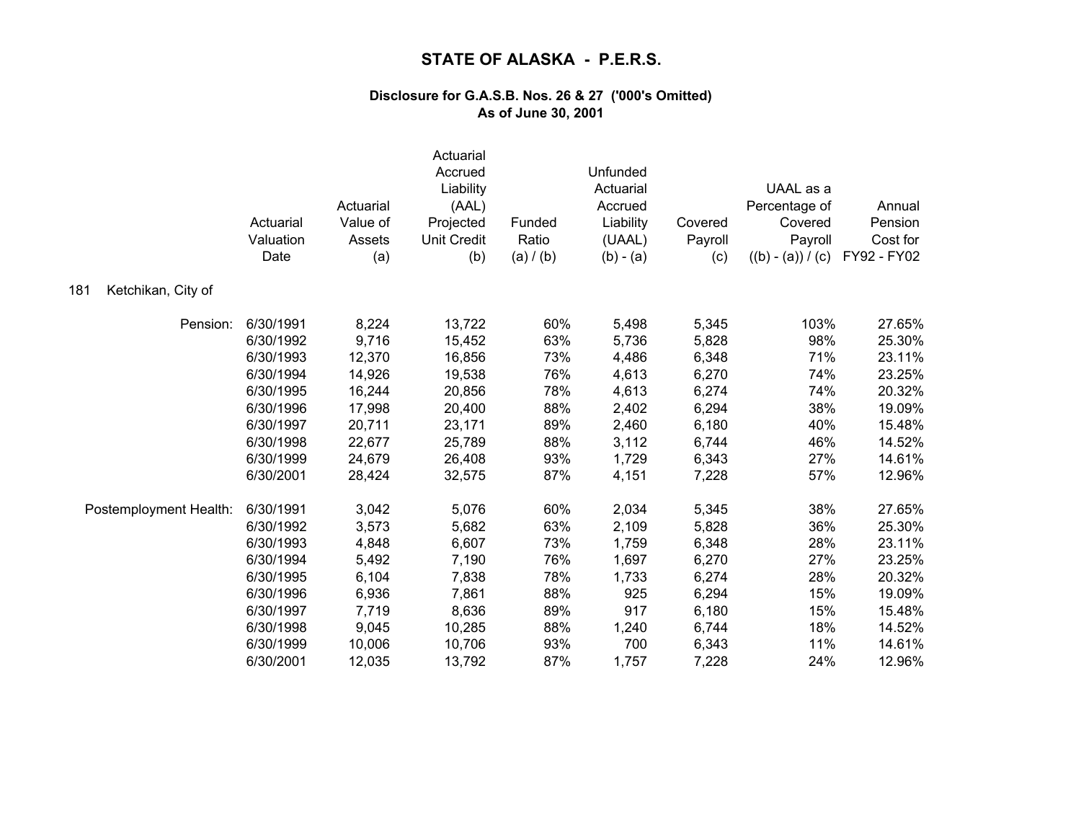|                           | Actuarial<br>Valuation<br>Date | Actuarial<br>Value of<br>Assets<br>(a) | Actuarial<br>Accrued<br>Liability<br>(AAL)<br>Projected<br><b>Unit Credit</b><br>(b) | Funded<br>Ratio<br>(a) / (b) | Unfunded<br>Actuarial<br>Accrued<br>Liability<br>(UAAL)<br>$(b) - (a)$ | Covered<br>Payroll<br>(c) | UAAL as a<br>Percentage of<br>Covered<br>Payroll<br>$((b) - (a)) / (c)$ | Annual<br>Pension<br>Cost for<br>FY92 - FY02 |
|---------------------------|--------------------------------|----------------------------------------|--------------------------------------------------------------------------------------|------------------------------|------------------------------------------------------------------------|---------------------------|-------------------------------------------------------------------------|----------------------------------------------|
| 181<br>Ketchikan, City of |                                |                                        |                                                                                      |                              |                                                                        |                           |                                                                         |                                              |
| Pension:                  | 6/30/1991                      | 8,224                                  | 13,722                                                                               | 60%                          | 5,498                                                                  | 5,345                     | 103%                                                                    | 27.65%                                       |
|                           | 6/30/1992                      | 9,716                                  | 15,452                                                                               | 63%                          | 5,736                                                                  | 5,828                     | 98%                                                                     | 25.30%                                       |
|                           | 6/30/1993                      | 12,370                                 | 16,856                                                                               | 73%                          | 4,486                                                                  | 6,348                     | 71%                                                                     | 23.11%                                       |
|                           | 6/30/1994                      | 14,926                                 | 19,538                                                                               | 76%                          | 4,613                                                                  | 6,270                     | 74%                                                                     | 23.25%                                       |
|                           | 6/30/1995                      | 16,244                                 | 20,856                                                                               | 78%                          | 4,613                                                                  | 6,274                     | 74%                                                                     | 20.32%                                       |
|                           | 6/30/1996                      | 17,998                                 | 20,400                                                                               | 88%                          | 2,402                                                                  | 6,294                     | 38%                                                                     | 19.09%                                       |
|                           | 6/30/1997                      | 20,711                                 | 23,171                                                                               | 89%                          | 2,460                                                                  | 6,180                     | 40%                                                                     | 15.48%                                       |
|                           | 6/30/1998                      | 22,677                                 | 25,789                                                                               | 88%                          | 3,112                                                                  | 6,744                     | 46%                                                                     | 14.52%                                       |
|                           | 6/30/1999                      | 24,679                                 | 26,408                                                                               | 93%                          | 1,729                                                                  | 6,343                     | 27%                                                                     | 14.61%                                       |
|                           | 6/30/2001                      | 28,424                                 | 32,575                                                                               | 87%                          | 4,151                                                                  | 7,228                     | 57%                                                                     | 12.96%                                       |
| Postemployment Health:    | 6/30/1991                      | 3,042                                  | 5,076                                                                                | 60%                          | 2,034                                                                  | 5,345                     | 38%                                                                     | 27.65%                                       |
|                           | 6/30/1992                      | 3,573                                  | 5,682                                                                                | 63%                          | 2,109                                                                  | 5,828                     | 36%                                                                     | 25.30%                                       |
|                           | 6/30/1993                      | 4,848                                  | 6,607                                                                                | 73%                          | 1,759                                                                  | 6,348                     | 28%                                                                     | 23.11%                                       |
|                           | 6/30/1994                      | 5,492                                  | 7,190                                                                                | 76%                          | 1,697                                                                  | 6,270                     | 27%                                                                     | 23.25%                                       |
|                           | 6/30/1995                      | 6,104                                  | 7,838                                                                                | 78%                          | 1,733                                                                  | 6,274                     | 28%                                                                     | 20.32%                                       |
|                           | 6/30/1996                      | 6,936                                  | 7,861                                                                                | 88%                          | 925                                                                    | 6,294                     | 15%                                                                     | 19.09%                                       |
|                           | 6/30/1997                      | 7,719                                  | 8,636                                                                                | 89%                          | 917                                                                    | 6,180                     | 15%                                                                     | 15.48%                                       |
|                           | 6/30/1998                      | 9,045                                  | 10,285                                                                               | 88%                          | 1,240                                                                  | 6,744                     | 18%                                                                     | 14.52%                                       |
|                           | 6/30/1999                      | 10,006                                 | 10,706                                                                               | 93%                          | 700                                                                    | 6,343                     | 11%                                                                     | 14.61%                                       |
|                           | 6/30/2001                      | 12,035                                 | 13,792                                                                               | 87%                          | 1,757                                                                  | 7,228                     | 24%                                                                     | 12.96%                                       |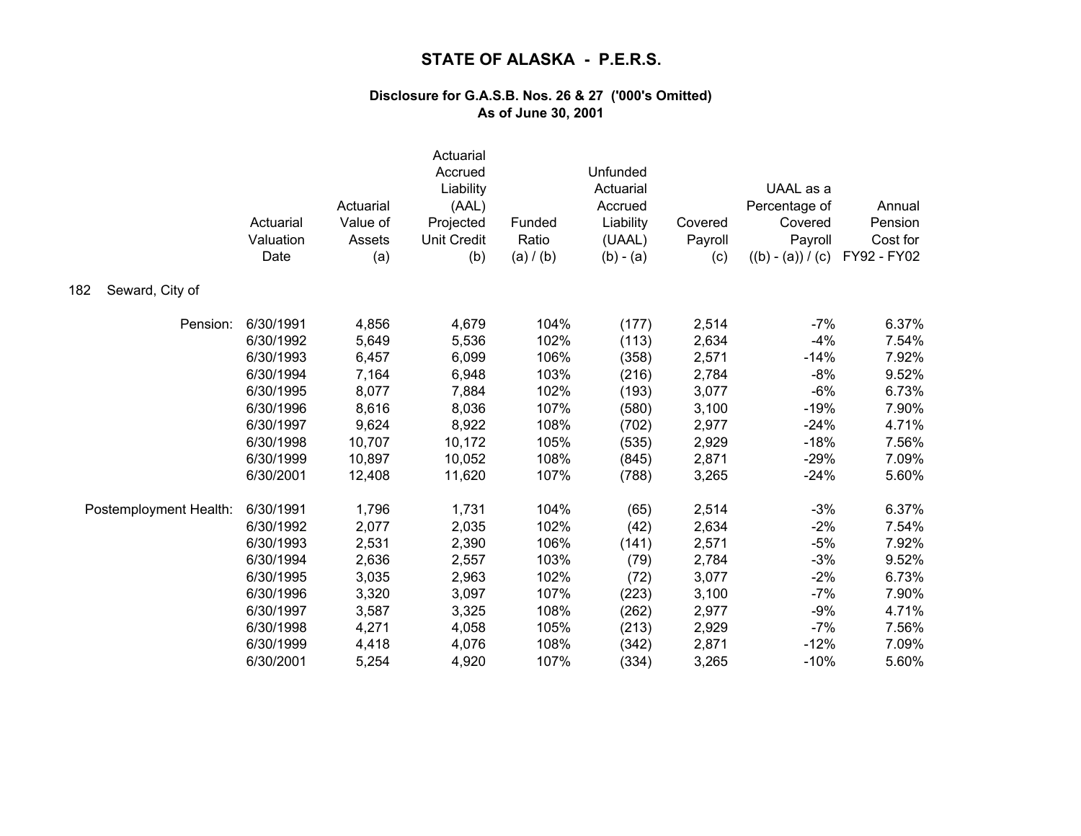|                        | Actuarial<br>Valuation<br>Date | Actuarial<br>Value of<br>Assets<br>(a) | Actuarial<br>Accrued<br>Liability<br>(AAL)<br>Projected<br><b>Unit Credit</b><br>(b) | Funded<br>Ratio<br>(a) / (b) | Unfunded<br>Actuarial<br>Accrued<br>Liability<br>(UAAL)<br>$(b) - (a)$ | Covered<br>Payroll<br>(c) | UAAL as a<br>Percentage of<br>Covered<br>Payroll<br>$((b) - (a)) / (c)$ | Annual<br>Pension<br>Cost for<br>FY92 - FY02 |
|------------------------|--------------------------------|----------------------------------------|--------------------------------------------------------------------------------------|------------------------------|------------------------------------------------------------------------|---------------------------|-------------------------------------------------------------------------|----------------------------------------------|
| Seward, City of<br>182 |                                |                                        |                                                                                      |                              |                                                                        |                           |                                                                         |                                              |
| Pension:               | 6/30/1991                      | 4,856                                  | 4,679                                                                                | 104%                         | (177)                                                                  | 2,514                     | $-7%$                                                                   | 6.37%                                        |
|                        | 6/30/1992                      | 5,649                                  | 5,536                                                                                | 102%                         | (113)                                                                  | 2,634                     | $-4%$                                                                   | 7.54%                                        |
|                        | 6/30/1993                      | 6,457                                  | 6,099                                                                                | 106%                         | (358)                                                                  | 2,571                     | $-14%$                                                                  | 7.92%                                        |
|                        | 6/30/1994                      | 7,164                                  | 6,948                                                                                | 103%                         | (216)                                                                  | 2,784                     | -8%                                                                     | 9.52%                                        |
|                        | 6/30/1995                      | 8,077                                  | 7,884                                                                                | 102%                         | (193)                                                                  | 3,077                     | $-6%$                                                                   | 6.73%                                        |
|                        | 6/30/1996                      | 8,616                                  | 8,036                                                                                | 107%                         | (580)                                                                  | 3,100                     | $-19%$                                                                  | 7.90%                                        |
|                        | 6/30/1997                      | 9,624                                  | 8,922                                                                                | 108%                         | (702)                                                                  | 2,977                     | $-24%$                                                                  | 4.71%                                        |
|                        | 6/30/1998                      | 10,707                                 | 10,172                                                                               | 105%                         | (535)                                                                  | 2,929                     | $-18%$                                                                  | 7.56%                                        |
|                        | 6/30/1999                      | 10,897                                 | 10,052                                                                               | 108%                         | (845)                                                                  | 2,871                     | $-29%$                                                                  | 7.09%                                        |
|                        | 6/30/2001                      | 12,408                                 | 11,620                                                                               | 107%                         | (788)                                                                  | 3,265                     | $-24%$                                                                  | 5.60%                                        |
| Postemployment Health: | 6/30/1991                      | 1,796                                  | 1,731                                                                                | 104%                         | (65)                                                                   | 2,514                     | $-3%$                                                                   | 6.37%                                        |
|                        | 6/30/1992                      | 2,077                                  | 2,035                                                                                | 102%                         | (42)                                                                   | 2,634                     | $-2%$                                                                   | 7.54%                                        |
|                        | 6/30/1993                      | 2,531                                  | 2,390                                                                                | 106%                         | (141)                                                                  | 2,571                     | $-5%$                                                                   | 7.92%                                        |
|                        | 6/30/1994                      | 2,636                                  | 2,557                                                                                | 103%                         | (79)                                                                   | 2,784                     | $-3%$                                                                   | 9.52%                                        |
|                        | 6/30/1995                      | 3,035                                  | 2,963                                                                                | 102%                         | (72)                                                                   | 3,077                     | $-2%$                                                                   | 6.73%                                        |
|                        | 6/30/1996                      | 3,320                                  | 3,097                                                                                | 107%                         | (223)                                                                  | 3,100                     | $-7%$                                                                   | 7.90%                                        |
|                        | 6/30/1997                      | 3,587                                  | 3,325                                                                                | 108%                         | (262)                                                                  | 2,977                     | $-9%$                                                                   | 4.71%                                        |
|                        | 6/30/1998                      | 4,271                                  | 4,058                                                                                | 105%                         | (213)                                                                  | 2,929                     | $-7%$                                                                   | 7.56%                                        |
|                        | 6/30/1999                      | 4,418                                  | 4,076                                                                                | 108%                         | (342)                                                                  | 2,871                     | $-12%$                                                                  | 7.09%                                        |
|                        | 6/30/2001                      | 5,254                                  | 4,920                                                                                | 107%                         | (334)                                                                  | 3,265                     | $-10%$                                                                  | 5.60%                                        |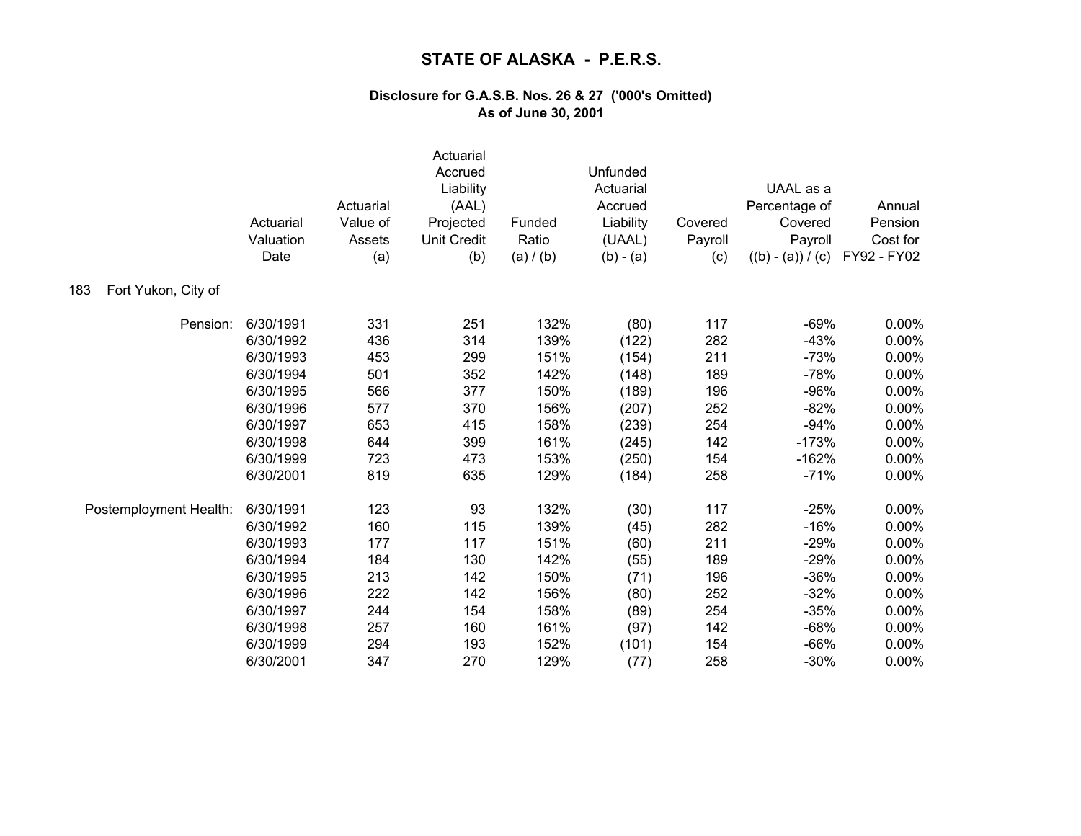|                            | Actuarial<br>Valuation<br>Date | Actuarial<br>Value of<br>Assets<br>(a) | Actuarial<br>Accrued<br>Liability<br>(AAL)<br>Projected<br><b>Unit Credit</b><br>(b) | Funded<br>Ratio<br>(a) / (b) | Unfunded<br>Actuarial<br>Accrued<br>Liability<br>(UAAL)<br>$(b) - (a)$ | Covered<br>Payroll<br>(c) | UAAL as a<br>Percentage of<br>Covered<br>Payroll<br>$((b) - (a)) / (c)$ | Annual<br>Pension<br>Cost for<br>FY92 - FY02 |
|----------------------------|--------------------------------|----------------------------------------|--------------------------------------------------------------------------------------|------------------------------|------------------------------------------------------------------------|---------------------------|-------------------------------------------------------------------------|----------------------------------------------|
| Fort Yukon, City of<br>183 |                                |                                        |                                                                                      |                              |                                                                        |                           |                                                                         |                                              |
| Pension:                   | 6/30/1991                      | 331                                    | 251                                                                                  | 132%                         | (80)                                                                   | 117                       | $-69%$                                                                  | 0.00%                                        |
|                            | 6/30/1992                      | 436                                    | 314                                                                                  | 139%                         | (122)                                                                  | 282                       | $-43%$                                                                  | 0.00%                                        |
|                            | 6/30/1993                      | 453                                    | 299                                                                                  | 151%                         | (154)                                                                  | 211                       | $-73%$                                                                  | 0.00%                                        |
|                            | 6/30/1994                      | 501                                    | 352                                                                                  | 142%                         | (148)                                                                  | 189                       | $-78%$                                                                  | 0.00%                                        |
|                            | 6/30/1995                      | 566                                    | 377                                                                                  | 150%                         | (189)                                                                  | 196                       | $-96%$                                                                  | 0.00%                                        |
|                            | 6/30/1996                      | 577                                    | 370                                                                                  | 156%                         | (207)                                                                  | 252                       | $-82%$                                                                  | 0.00%                                        |
|                            | 6/30/1997                      | 653                                    | 415                                                                                  | 158%                         | (239)                                                                  | 254                       | $-94%$                                                                  | 0.00%                                        |
|                            | 6/30/1998                      | 644                                    | 399                                                                                  | 161%                         | (245)                                                                  | 142                       | $-173%$                                                                 | 0.00%                                        |
|                            | 6/30/1999                      | 723                                    | 473                                                                                  | 153%                         | (250)                                                                  | 154                       | $-162%$                                                                 | 0.00%                                        |
|                            | 6/30/2001                      | 819                                    | 635                                                                                  | 129%                         | (184)                                                                  | 258                       | $-71%$                                                                  | 0.00%                                        |
| Postemployment Health:     | 6/30/1991                      | 123                                    | 93                                                                                   | 132%                         | (30)                                                                   | 117                       | $-25%$                                                                  | 0.00%                                        |
|                            | 6/30/1992                      | 160                                    | 115                                                                                  | 139%                         | (45)                                                                   | 282                       | $-16%$                                                                  | 0.00%                                        |
|                            | 6/30/1993                      | 177                                    | 117                                                                                  | 151%                         | (60)                                                                   | 211                       | $-29%$                                                                  | 0.00%                                        |
|                            | 6/30/1994                      | 184                                    | 130                                                                                  | 142%                         | (55)                                                                   | 189                       | $-29%$                                                                  | 0.00%                                        |
|                            | 6/30/1995                      | 213                                    | 142                                                                                  | 150%                         | (71)                                                                   | 196                       | $-36%$                                                                  | 0.00%                                        |
|                            | 6/30/1996                      | 222                                    | 142                                                                                  | 156%                         | (80)                                                                   | 252                       | $-32%$                                                                  | 0.00%                                        |
|                            | 6/30/1997                      | 244                                    | 154                                                                                  | 158%                         | (89)                                                                   | 254                       | $-35%$                                                                  | 0.00%                                        |
|                            | 6/30/1998                      | 257                                    | 160                                                                                  | 161%                         | (97)                                                                   | 142                       | $-68%$                                                                  | 0.00%                                        |
|                            | 6/30/1999                      | 294                                    | 193                                                                                  | 152%                         | (101)                                                                  | 154                       | $-66%$                                                                  | 0.00%                                        |
|                            | 6/30/2001                      | 347                                    | 270                                                                                  | 129%                         | (77)                                                                   | 258                       | $-30%$                                                                  | 0.00%                                        |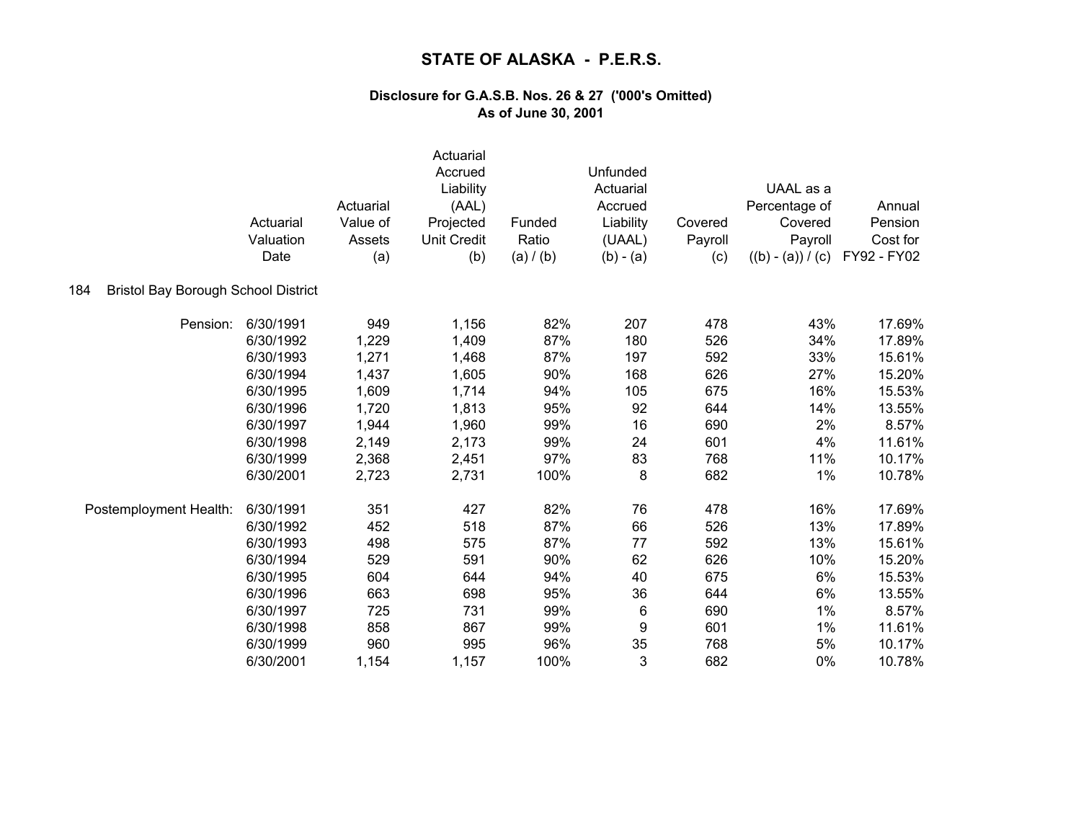|                                                   | Actuarial<br>Valuation<br>Date | Actuarial<br>Value of<br>Assets<br>(a) | Actuarial<br>Accrued<br>Liability<br>(AAL)<br>Projected<br><b>Unit Credit</b><br>(b) | Funded<br>Ratio<br>(a) / (b) | Unfunded<br>Actuarial<br>Accrued<br>Liability<br>(UAAL)<br>$(b) - (a)$ | Covered<br>Payroll<br>(c) | UAAL as a<br>Percentage of<br>Covered<br>Payroll<br>$((b) - (a)) / (c)$ | Annual<br>Pension<br>Cost for<br>FY92 - FY02 |
|---------------------------------------------------|--------------------------------|----------------------------------------|--------------------------------------------------------------------------------------|------------------------------|------------------------------------------------------------------------|---------------------------|-------------------------------------------------------------------------|----------------------------------------------|
| 184<br><b>Bristol Bay Borough School District</b> |                                |                                        |                                                                                      |                              |                                                                        |                           |                                                                         |                                              |
| Pension:                                          | 6/30/1991                      | 949                                    | 1,156                                                                                | 82%                          | 207                                                                    | 478                       | 43%                                                                     | 17.69%                                       |
|                                                   | 6/30/1992                      | 1,229                                  | 1,409                                                                                | 87%                          | 180                                                                    | 526                       | 34%                                                                     | 17.89%                                       |
|                                                   | 6/30/1993                      | 1,271                                  | 1,468                                                                                | 87%                          | 197                                                                    | 592                       | 33%                                                                     | 15.61%                                       |
|                                                   | 6/30/1994                      | 1,437                                  | 1,605                                                                                | 90%                          | 168                                                                    | 626                       | 27%                                                                     | 15.20%                                       |
|                                                   | 6/30/1995                      | 1,609                                  | 1,714                                                                                | 94%                          | 105                                                                    | 675                       | 16%                                                                     | 15.53%                                       |
|                                                   | 6/30/1996                      | 1,720                                  | 1,813                                                                                | 95%                          | 92                                                                     | 644                       | 14%                                                                     | 13.55%                                       |
|                                                   | 6/30/1997                      | 1,944                                  | 1,960                                                                                | 99%                          | 16                                                                     | 690                       | 2%                                                                      | 8.57%                                        |
|                                                   | 6/30/1998                      | 2,149                                  | 2,173                                                                                | 99%                          | 24                                                                     | 601                       | 4%                                                                      | 11.61%                                       |
|                                                   | 6/30/1999                      | 2,368                                  | 2,451                                                                                | 97%                          | 83                                                                     | 768                       | 11%                                                                     | 10.17%                                       |
|                                                   | 6/30/2001                      | 2,723                                  | 2,731                                                                                | 100%                         | 8                                                                      | 682                       | 1%                                                                      | 10.78%                                       |
| Postemployment Health:                            | 6/30/1991                      | 351                                    | 427                                                                                  | 82%                          | 76                                                                     | 478                       | 16%                                                                     | 17.69%                                       |
|                                                   | 6/30/1992                      | 452                                    | 518                                                                                  | 87%                          | 66                                                                     | 526                       | 13%                                                                     | 17.89%                                       |
|                                                   | 6/30/1993                      | 498                                    | 575                                                                                  | 87%                          | 77                                                                     | 592                       | 13%                                                                     | 15.61%                                       |
|                                                   | 6/30/1994                      | 529                                    | 591                                                                                  | 90%                          | 62                                                                     | 626                       | 10%                                                                     | 15.20%                                       |
|                                                   | 6/30/1995                      | 604                                    | 644                                                                                  | 94%                          | 40                                                                     | 675                       | 6%                                                                      | 15.53%                                       |
|                                                   | 6/30/1996                      | 663                                    | 698                                                                                  | 95%                          | 36                                                                     | 644                       | 6%                                                                      | 13.55%                                       |
|                                                   | 6/30/1997                      | 725                                    | 731                                                                                  | 99%                          | 6                                                                      | 690                       | 1%                                                                      | 8.57%                                        |
|                                                   | 6/30/1998                      | 858                                    | 867                                                                                  | 99%                          | 9                                                                      | 601                       | 1%                                                                      | 11.61%                                       |
|                                                   | 6/30/1999                      | 960                                    | 995                                                                                  | 96%                          | 35                                                                     | 768                       | 5%                                                                      | 10.17%                                       |
|                                                   | 6/30/2001                      | 1,154                                  | 1,157                                                                                | 100%                         | 3                                                                      | 682                       | 0%                                                                      | 10.78%                                       |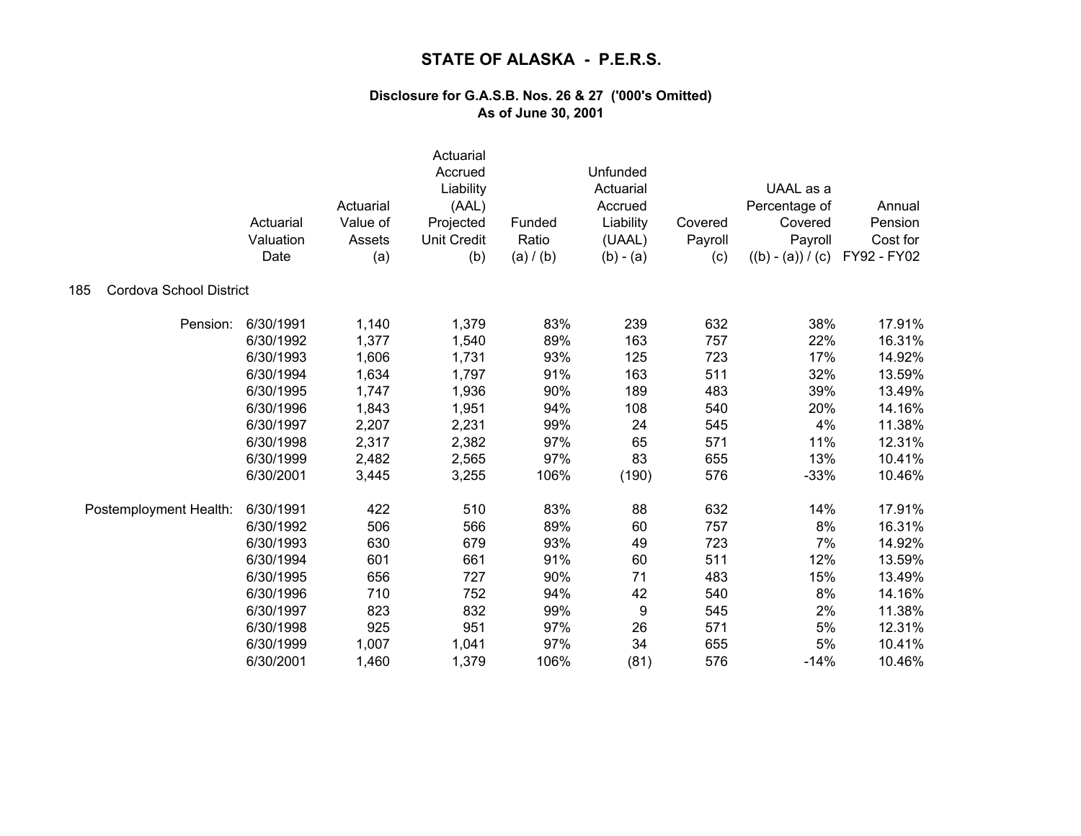|                                | Actuarial<br>Valuation<br>Date | Actuarial<br>Value of<br>Assets<br>(a) | Actuarial<br>Accrued<br>Liability<br>(AAL)<br>Projected<br><b>Unit Credit</b><br>(b) | Funded<br>Ratio<br>(a) / (b) | Unfunded<br>Actuarial<br>Accrued<br>Liability<br>(UAAL)<br>$(b) - (a)$ | Covered<br>Payroll<br>(c) | UAAL as a<br>Percentage of<br>Covered<br>Payroll<br>$((b) - (a)) / (c)$ | Annual<br>Pension<br>Cost for<br>FY92 - FY02 |
|--------------------------------|--------------------------------|----------------------------------------|--------------------------------------------------------------------------------------|------------------------------|------------------------------------------------------------------------|---------------------------|-------------------------------------------------------------------------|----------------------------------------------|
| Cordova School District<br>185 |                                |                                        |                                                                                      |                              |                                                                        |                           |                                                                         |                                              |
| Pension:                       | 6/30/1991                      | 1,140                                  | 1,379                                                                                | 83%                          | 239                                                                    | 632                       | 38%                                                                     | 17.91%                                       |
|                                | 6/30/1992                      | 1,377                                  | 1,540                                                                                | 89%                          | 163                                                                    | 757                       | 22%                                                                     | 16.31%                                       |
|                                | 6/30/1993                      | 1,606                                  | 1,731                                                                                | 93%                          | 125                                                                    | 723                       | 17%                                                                     | 14.92%                                       |
|                                | 6/30/1994                      | 1,634                                  | 1,797                                                                                | 91%                          | 163                                                                    | 511                       | 32%                                                                     | 13.59%                                       |
|                                | 6/30/1995                      | 1,747                                  | 1,936                                                                                | 90%                          | 189                                                                    | 483                       | 39%                                                                     | 13.49%                                       |
|                                | 6/30/1996                      | 1,843                                  | 1,951                                                                                | 94%                          | 108                                                                    | 540                       | 20%                                                                     | 14.16%                                       |
|                                | 6/30/1997                      | 2,207                                  | 2,231                                                                                | 99%                          | 24                                                                     | 545                       | 4%                                                                      | 11.38%                                       |
|                                | 6/30/1998                      | 2,317                                  | 2,382                                                                                | 97%                          | 65                                                                     | 571                       | 11%                                                                     | 12.31%                                       |
|                                | 6/30/1999                      | 2,482                                  | 2,565                                                                                | 97%                          | 83                                                                     | 655                       | 13%                                                                     | 10.41%                                       |
|                                | 6/30/2001                      | 3,445                                  | 3,255                                                                                | 106%                         | (190)                                                                  | 576                       | $-33%$                                                                  | 10.46%                                       |
| Postemployment Health:         | 6/30/1991                      | 422                                    | 510                                                                                  | 83%                          | 88                                                                     | 632                       | 14%                                                                     | 17.91%                                       |
|                                | 6/30/1992                      | 506                                    | 566                                                                                  | 89%                          | 60                                                                     | 757                       | 8%                                                                      | 16.31%                                       |
|                                | 6/30/1993                      | 630                                    | 679                                                                                  | 93%                          | 49                                                                     | 723                       | 7%                                                                      | 14.92%                                       |
|                                | 6/30/1994                      | 601                                    | 661                                                                                  | 91%                          | 60                                                                     | 511                       | 12%                                                                     | 13.59%                                       |
|                                | 6/30/1995                      | 656                                    | 727                                                                                  | 90%                          | 71                                                                     | 483                       | 15%                                                                     | 13.49%                                       |
|                                | 6/30/1996                      | 710                                    | 752                                                                                  | 94%                          | 42                                                                     | 540                       | 8%                                                                      | 14.16%                                       |
|                                | 6/30/1997                      | 823                                    | 832                                                                                  | 99%                          | 9                                                                      | 545                       | 2%                                                                      | 11.38%                                       |
|                                | 6/30/1998                      | 925                                    | 951                                                                                  | 97%                          | 26                                                                     | 571                       | 5%                                                                      | 12.31%                                       |
|                                | 6/30/1999                      | 1,007                                  | 1,041                                                                                | 97%                          | 34                                                                     | 655                       | 5%                                                                      | 10.41%                                       |
|                                | 6/30/2001                      | 1,460                                  | 1,379                                                                                | 106%                         | (81)                                                                   | 576                       | $-14%$                                                                  | 10.46%                                       |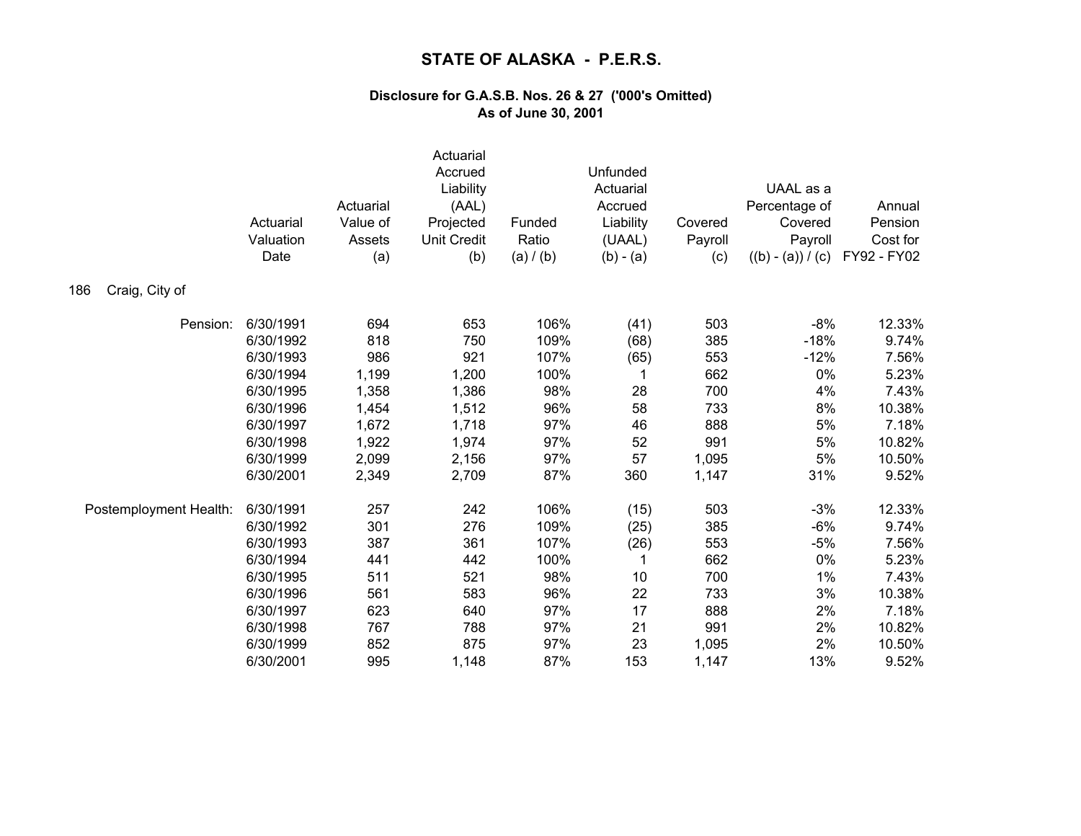|                        | Actuarial<br>Valuation<br>Date | Actuarial<br>Value of<br>Assets<br>(a) | Actuarial<br>Accrued<br>Liability<br>(AAL)<br>Projected<br><b>Unit Credit</b><br>(b) | Funded<br>Ratio<br>(a) / (b) | Unfunded<br>Actuarial<br>Accrued<br>Liability<br>(UAAL)<br>$(b) - (a)$ | Covered<br>Payroll<br>(c) | UAAL as a<br>Percentage of<br>Covered<br>Payroll<br>$((b) - (a)) / (c)$ | Annual<br>Pension<br>Cost for<br>FY92 - FY02 |
|------------------------|--------------------------------|----------------------------------------|--------------------------------------------------------------------------------------|------------------------------|------------------------------------------------------------------------|---------------------------|-------------------------------------------------------------------------|----------------------------------------------|
| Craig, City of<br>186  |                                |                                        |                                                                                      |                              |                                                                        |                           |                                                                         |                                              |
| Pension:               | 6/30/1991                      | 694                                    | 653                                                                                  | 106%                         | (41)                                                                   | 503                       | $-8%$                                                                   | 12.33%                                       |
|                        | 6/30/1992                      | 818                                    | 750                                                                                  | 109%                         | (68)                                                                   | 385                       | $-18%$                                                                  | 9.74%                                        |
|                        | 6/30/1993                      | 986                                    | 921                                                                                  | 107%                         | (65)                                                                   | 553                       | $-12%$                                                                  | 7.56%                                        |
|                        | 6/30/1994                      | 1,199                                  | 1,200                                                                                | 100%                         | 1                                                                      | 662                       | 0%                                                                      | 5.23%                                        |
|                        | 6/30/1995                      | 1,358                                  | 1,386                                                                                | 98%                          | 28                                                                     | 700                       | 4%                                                                      | 7.43%                                        |
|                        | 6/30/1996                      | 1,454                                  | 1,512                                                                                | 96%                          | 58                                                                     | 733                       | 8%                                                                      | 10.38%                                       |
|                        | 6/30/1997                      | 1,672                                  | 1,718                                                                                | 97%                          | 46                                                                     | 888                       | $5\%$                                                                   | 7.18%                                        |
|                        | 6/30/1998                      | 1,922                                  | 1,974                                                                                | 97%                          | 52                                                                     | 991                       | 5%                                                                      | 10.82%                                       |
|                        | 6/30/1999                      | 2,099                                  | 2,156                                                                                | 97%                          | 57                                                                     | 1,095                     | 5%                                                                      | 10.50%                                       |
|                        | 6/30/2001                      | 2,349                                  | 2,709                                                                                | 87%                          | 360                                                                    | 1,147                     | 31%                                                                     | 9.52%                                        |
| Postemployment Health: | 6/30/1991                      | 257                                    | 242                                                                                  | 106%                         | (15)                                                                   | 503                       | $-3%$                                                                   | 12.33%                                       |
|                        | 6/30/1992                      | 301                                    | 276                                                                                  | 109%                         | (25)                                                                   | 385                       | $-6%$                                                                   | 9.74%                                        |
|                        | 6/30/1993                      | 387                                    | 361                                                                                  | 107%                         | (26)                                                                   | 553                       | $-5%$                                                                   | 7.56%                                        |
|                        | 6/30/1994                      | 441                                    | 442                                                                                  | 100%                         | 1                                                                      | 662                       | 0%                                                                      | 5.23%                                        |
|                        | 6/30/1995                      | 511                                    | 521                                                                                  | 98%                          | 10                                                                     | 700                       | 1%                                                                      | 7.43%                                        |
|                        | 6/30/1996                      | 561                                    | 583                                                                                  | 96%                          | 22                                                                     | 733                       | 3%                                                                      | 10.38%                                       |
|                        | 6/30/1997                      | 623                                    | 640                                                                                  | 97%                          | 17                                                                     | 888                       | 2%                                                                      | 7.18%                                        |
|                        | 6/30/1998                      | 767                                    | 788                                                                                  | 97%                          | 21                                                                     | 991                       | 2%                                                                      | 10.82%                                       |
|                        | 6/30/1999                      | 852                                    | 875                                                                                  | 97%                          | 23                                                                     | 1,095                     | 2%                                                                      | 10.50%                                       |
|                        | 6/30/2001                      | 995                                    | 1,148                                                                                | 87%                          | 153                                                                    | 1,147                     | 13%                                                                     | 9.52%                                        |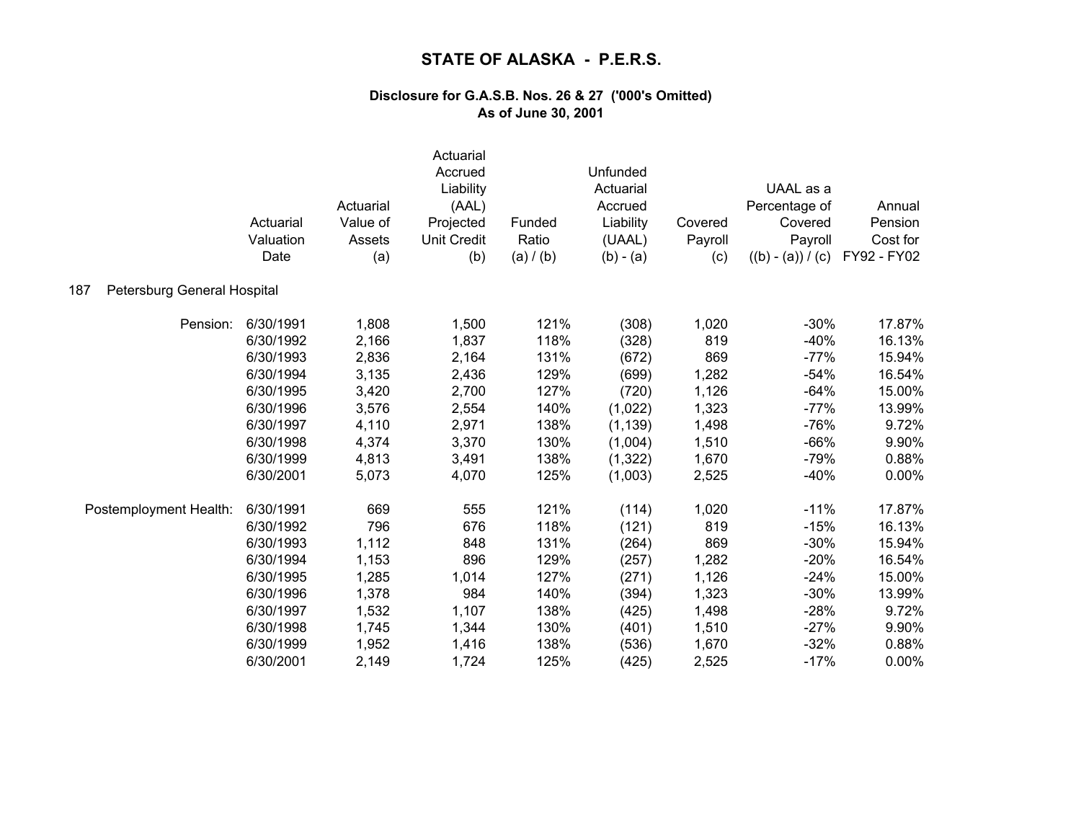|                                    | Actuarial<br>Valuation<br>Date | Actuarial<br>Value of<br>Assets<br>(a) | Actuarial<br>Accrued<br>Liability<br>(AAL)<br>Projected<br><b>Unit Credit</b><br>(b) | Funded<br>Ratio<br>(a) / (b) | Unfunded<br>Actuarial<br>Accrued<br>Liability<br>(UAAL)<br>$(b) - (a)$ | Covered<br>Payroll<br>(c) | UAAL as a<br>Percentage of<br>Covered<br>Payroll<br>$((b) - (a)) / (c)$ | Annual<br>Pension<br>Cost for<br>FY92 - FY02 |
|------------------------------------|--------------------------------|----------------------------------------|--------------------------------------------------------------------------------------|------------------------------|------------------------------------------------------------------------|---------------------------|-------------------------------------------------------------------------|----------------------------------------------|
| Petersburg General Hospital<br>187 |                                |                                        |                                                                                      |                              |                                                                        |                           |                                                                         |                                              |
| Pension:                           | 6/30/1991                      | 1,808                                  | 1,500                                                                                | 121%                         | (308)                                                                  | 1,020                     | $-30%$                                                                  | 17.87%                                       |
|                                    | 6/30/1992                      | 2,166                                  | 1,837                                                                                | 118%                         | (328)                                                                  | 819                       | $-40%$                                                                  | 16.13%                                       |
|                                    | 6/30/1993                      | 2,836                                  | 2,164                                                                                | 131%                         | (672)                                                                  | 869                       | $-77%$                                                                  | 15.94%                                       |
|                                    | 6/30/1994                      | 3,135                                  | 2,436                                                                                | 129%                         | (699)                                                                  | 1,282                     | $-54%$                                                                  | 16.54%                                       |
|                                    | 6/30/1995                      | 3,420                                  | 2,700                                                                                | 127%                         | (720)                                                                  | 1,126                     | $-64%$                                                                  | 15.00%                                       |
|                                    | 6/30/1996                      | 3,576                                  | 2,554                                                                                | 140%                         | (1,022)                                                                | 1,323                     | $-77%$                                                                  | 13.99%                                       |
|                                    | 6/30/1997                      | 4,110                                  | 2,971                                                                                | 138%                         | (1, 139)                                                               | 1,498                     | $-76%$                                                                  | 9.72%                                        |
|                                    | 6/30/1998                      | 4,374                                  | 3,370                                                                                | 130%                         | (1,004)                                                                | 1,510                     | $-66%$                                                                  | 9.90%                                        |
|                                    | 6/30/1999                      | 4,813                                  | 3,491                                                                                | 138%                         | (1, 322)                                                               | 1,670                     | $-79%$                                                                  | 0.88%                                        |
|                                    | 6/30/2001                      | 5,073                                  | 4,070                                                                                | 125%                         | (1,003)                                                                | 2,525                     | $-40%$                                                                  | 0.00%                                        |
| Postemployment Health:             | 6/30/1991                      | 669                                    | 555                                                                                  | 121%                         | (114)                                                                  | 1,020                     | $-11%$                                                                  | 17.87%                                       |
|                                    | 6/30/1992                      | 796                                    | 676                                                                                  | 118%                         | (121)                                                                  | 819                       | $-15%$                                                                  | 16.13%                                       |
|                                    | 6/30/1993                      | 1,112                                  | 848                                                                                  | 131%                         | (264)                                                                  | 869                       | $-30%$                                                                  | 15.94%                                       |
|                                    | 6/30/1994                      | 1,153                                  | 896                                                                                  | 129%                         | (257)                                                                  | 1,282                     | $-20%$                                                                  | 16.54%                                       |
|                                    | 6/30/1995                      | 1,285                                  | 1,014                                                                                | 127%                         | (271)                                                                  | 1,126                     | $-24%$                                                                  | 15.00%                                       |
|                                    | 6/30/1996                      | 1,378                                  | 984                                                                                  | 140%                         | (394)                                                                  | 1,323                     | $-30%$                                                                  | 13.99%                                       |
|                                    | 6/30/1997                      | 1,532                                  | 1,107                                                                                | 138%                         | (425)                                                                  | 1,498                     | $-28%$                                                                  | 9.72%                                        |
|                                    | 6/30/1998                      | 1,745                                  | 1,344                                                                                | 130%                         | (401)                                                                  | 1,510                     | $-27%$                                                                  | 9.90%                                        |
|                                    | 6/30/1999                      | 1,952                                  | 1,416                                                                                | 138%                         | (536)                                                                  | 1,670                     | $-32%$                                                                  | 0.88%                                        |
|                                    | 6/30/2001                      | 2,149                                  | 1,724                                                                                | 125%                         | (425)                                                                  | 2,525                     | $-17%$                                                                  | 0.00%                                        |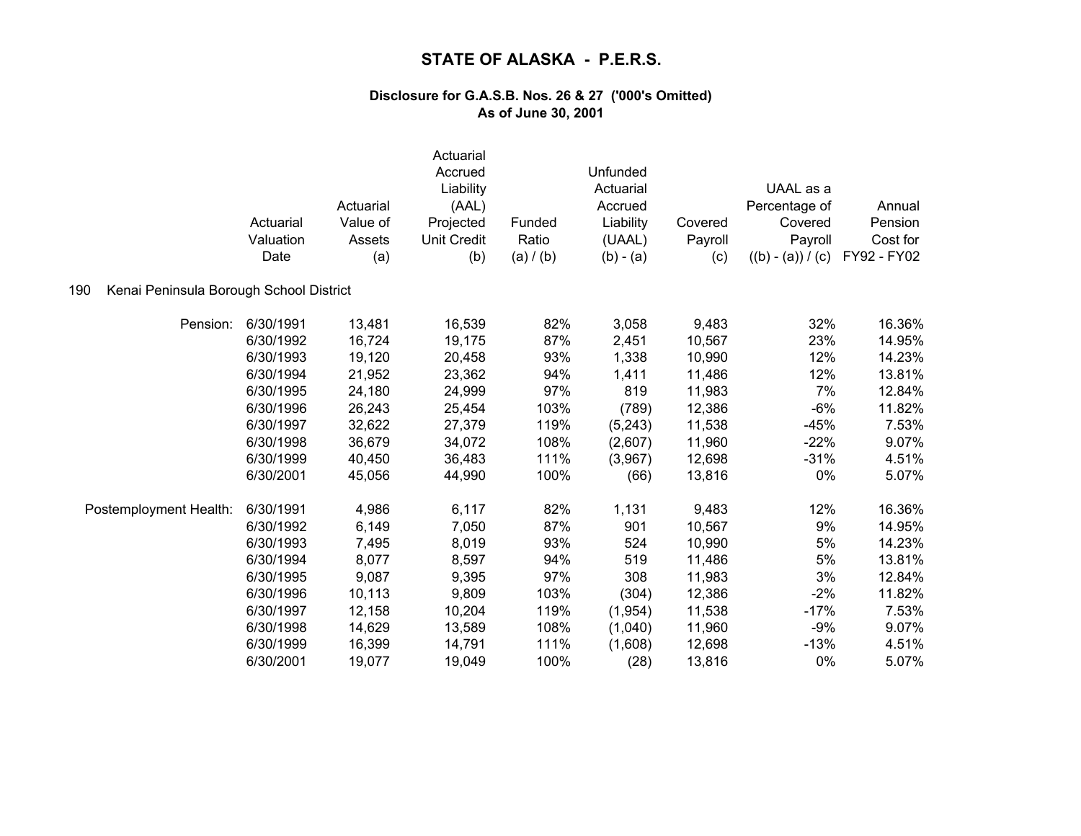|                                                | Actuarial<br>Valuation<br>Date | Actuarial<br>Value of<br>Assets<br>(a) | Actuarial<br>Accrued<br>Liability<br>(AAL)<br>Projected<br><b>Unit Credit</b><br>(b) | Funded<br>Ratio<br>(a) / (b) | Unfunded<br>Actuarial<br>Accrued<br>Liability<br>(UAAL)<br>$(b) - (a)$ | Covered<br>Payroll<br>(c) | UAAL as a<br>Percentage of<br>Covered<br>Payroll<br>$((b) - (a)) / (c)$ | Annual<br>Pension<br>Cost for<br>FY92 - FY02 |
|------------------------------------------------|--------------------------------|----------------------------------------|--------------------------------------------------------------------------------------|------------------------------|------------------------------------------------------------------------|---------------------------|-------------------------------------------------------------------------|----------------------------------------------|
| Kenai Peninsula Borough School District<br>190 |                                |                                        |                                                                                      |                              |                                                                        |                           |                                                                         |                                              |
| Pension:                                       | 6/30/1991                      | 13,481                                 | 16,539                                                                               | 82%                          | 3,058                                                                  | 9,483                     | 32%                                                                     | 16.36%                                       |
|                                                | 6/30/1992                      | 16,724                                 | 19,175                                                                               | 87%                          | 2,451                                                                  | 10,567                    | 23%                                                                     | 14.95%                                       |
|                                                | 6/30/1993                      | 19,120                                 | 20,458                                                                               | 93%                          | 1,338                                                                  | 10,990                    | 12%                                                                     | 14.23%                                       |
|                                                | 6/30/1994                      | 21,952                                 | 23,362                                                                               | 94%                          | 1,411                                                                  | 11,486                    | 12%                                                                     | 13.81%                                       |
|                                                | 6/30/1995                      | 24,180                                 | 24,999                                                                               | 97%                          | 819                                                                    | 11,983                    | 7%                                                                      | 12.84%                                       |
|                                                | 6/30/1996                      | 26,243                                 | 25,454                                                                               | 103%                         | (789)                                                                  | 12,386                    | $-6%$                                                                   | 11.82%                                       |
|                                                | 6/30/1997                      | 32,622                                 | 27,379                                                                               | 119%                         | (5,243)                                                                | 11,538                    | $-45%$                                                                  | 7.53%                                        |
|                                                | 6/30/1998                      | 36,679                                 | 34,072                                                                               | 108%                         | (2,607)                                                                | 11,960                    | $-22%$                                                                  | 9.07%                                        |
|                                                | 6/30/1999                      | 40,450                                 | 36,483                                                                               | 111%                         | (3,967)                                                                | 12,698                    | $-31%$                                                                  | 4.51%                                        |
|                                                | 6/30/2001                      | 45,056                                 | 44,990                                                                               | 100%                         | (66)                                                                   | 13,816                    | 0%                                                                      | 5.07%                                        |
| Postemployment Health:                         | 6/30/1991                      | 4,986                                  | 6,117                                                                                | 82%                          | 1,131                                                                  | 9,483                     | 12%                                                                     | 16.36%                                       |
|                                                | 6/30/1992                      | 6,149                                  | 7,050                                                                                | 87%                          | 901                                                                    | 10,567                    | 9%                                                                      | 14.95%                                       |
|                                                | 6/30/1993                      | 7,495                                  | 8,019                                                                                | 93%                          | 524                                                                    | 10,990                    | 5%                                                                      | 14.23%                                       |
|                                                | 6/30/1994                      | 8,077                                  | 8,597                                                                                | 94%                          | 519                                                                    | 11,486                    | 5%                                                                      | 13.81%                                       |
|                                                | 6/30/1995                      | 9,087                                  | 9,395                                                                                | 97%                          | 308                                                                    | 11,983                    | 3%                                                                      | 12.84%                                       |
|                                                | 6/30/1996                      | 10,113                                 | 9,809                                                                                | 103%                         | (304)                                                                  | 12,386                    | $-2%$                                                                   | 11.82%                                       |
|                                                | 6/30/1997                      | 12,158                                 | 10,204                                                                               | 119%                         | (1,954)                                                                | 11,538                    | $-17%$                                                                  | 7.53%                                        |
|                                                | 6/30/1998                      | 14,629                                 | 13,589                                                                               | 108%                         | (1,040)                                                                | 11,960                    | $-9%$                                                                   | 9.07%                                        |
|                                                | 6/30/1999                      | 16,399                                 | 14,791                                                                               | 111%                         | (1,608)                                                                | 12,698                    | $-13%$                                                                  | 4.51%                                        |
|                                                | 6/30/2001                      | 19,077                                 | 19,049                                                                               | 100%                         | (28)                                                                   | 13,816                    | 0%                                                                      | 5.07%                                        |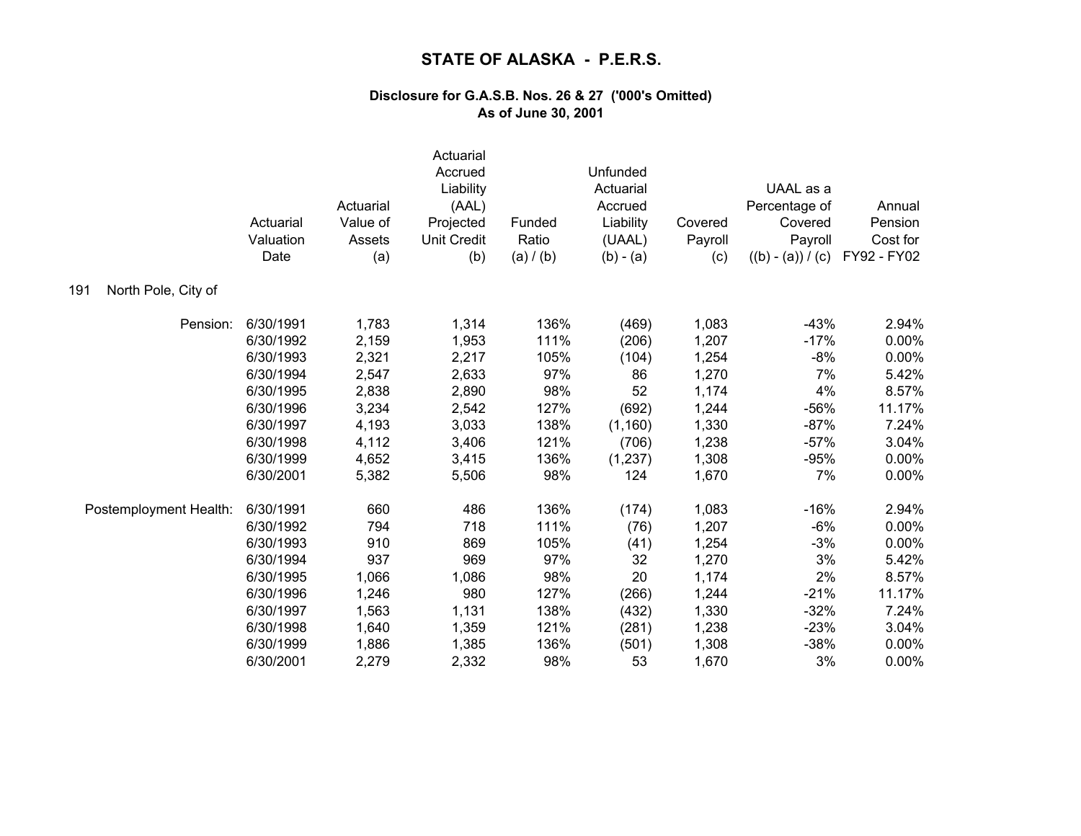|                            | Actuarial<br>Valuation<br>Date | Actuarial<br>Value of<br>Assets<br>(a) | Actuarial<br>Accrued<br>Liability<br>(AAL)<br>Projected<br><b>Unit Credit</b><br>(b) | Funded<br>Ratio<br>(a) / (b) | Unfunded<br>Actuarial<br>Accrued<br>Liability<br>(UAAL)<br>$(b) - (a)$ | Covered<br>Payroll<br>(c) | UAAL as a<br>Percentage of<br>Covered<br>Payroll<br>$((b) - (a)) / (c)$ | Annual<br>Pension<br>Cost for<br>FY92 - FY02 |
|----------------------------|--------------------------------|----------------------------------------|--------------------------------------------------------------------------------------|------------------------------|------------------------------------------------------------------------|---------------------------|-------------------------------------------------------------------------|----------------------------------------------|
| North Pole, City of<br>191 |                                |                                        |                                                                                      |                              |                                                                        |                           |                                                                         |                                              |
| Pension:                   | 6/30/1991                      | 1,783                                  | 1,314                                                                                | 136%                         | (469)                                                                  | 1,083                     | $-43%$                                                                  | 2.94%                                        |
|                            | 6/30/1992                      | 2,159                                  | 1,953                                                                                | 111%                         | (206)                                                                  | 1,207                     | $-17%$                                                                  | 0.00%                                        |
|                            | 6/30/1993                      | 2,321                                  | 2,217                                                                                | 105%                         | (104)                                                                  | 1,254                     | -8%                                                                     | 0.00%                                        |
|                            | 6/30/1994                      | 2,547                                  | 2,633                                                                                | 97%                          | 86                                                                     | 1,270                     | 7%                                                                      | 5.42%                                        |
|                            | 6/30/1995                      | 2,838                                  | 2,890                                                                                | 98%                          | 52                                                                     | 1,174                     | 4%                                                                      | 8.57%                                        |
|                            | 6/30/1996                      | 3,234                                  | 2,542                                                                                | 127%                         | (692)                                                                  | 1,244                     | $-56%$                                                                  | 11.17%                                       |
|                            | 6/30/1997                      | 4,193                                  | 3,033                                                                                | 138%                         | (1, 160)                                                               | 1,330                     | $-87%$                                                                  | 7.24%                                        |
|                            | 6/30/1998                      | 4,112                                  | 3,406                                                                                | 121%                         | (706)                                                                  | 1,238                     | $-57%$                                                                  | 3.04%                                        |
|                            | 6/30/1999                      | 4,652                                  | 3,415                                                                                | 136%                         | (1,237)                                                                | 1,308                     | $-95%$                                                                  | 0.00%                                        |
|                            | 6/30/2001                      | 5,382                                  | 5,506                                                                                | 98%                          | 124                                                                    | 1,670                     | 7%                                                                      | 0.00%                                        |
| Postemployment Health:     | 6/30/1991                      | 660                                    | 486                                                                                  | 136%                         | (174)                                                                  | 1,083                     | $-16%$                                                                  | 2.94%                                        |
|                            | 6/30/1992                      | 794                                    | 718                                                                                  | 111%                         | (76)                                                                   | 1,207                     | $-6%$                                                                   | 0.00%                                        |
|                            | 6/30/1993                      | 910                                    | 869                                                                                  | 105%                         | (41)                                                                   | 1,254                     | $-3%$                                                                   | 0.00%                                        |
|                            | 6/30/1994                      | 937                                    | 969                                                                                  | 97%                          | 32                                                                     | 1,270                     | 3%                                                                      | 5.42%                                        |
|                            | 6/30/1995                      | 1,066                                  | 1,086                                                                                | 98%                          | 20                                                                     | 1,174                     | 2%                                                                      | 8.57%                                        |
|                            | 6/30/1996                      | 1,246                                  | 980                                                                                  | 127%                         | (266)                                                                  | 1,244                     | $-21%$                                                                  | 11.17%                                       |
|                            | 6/30/1997                      | 1,563                                  | 1,131                                                                                | 138%                         | (432)                                                                  | 1,330                     | $-32%$                                                                  | 7.24%                                        |
|                            | 6/30/1998                      | 1,640                                  | 1,359                                                                                | 121%                         | (281)                                                                  | 1,238                     | $-23%$                                                                  | 3.04%                                        |
|                            | 6/30/1999                      | 1,886                                  | 1,385                                                                                | 136%                         | (501)                                                                  | 1,308                     | $-38%$                                                                  | 0.00%                                        |
|                            | 6/30/2001                      | 2,279                                  | 2,332                                                                                | 98%                          | 53                                                                     | 1,670                     | 3%                                                                      | 0.00%                                        |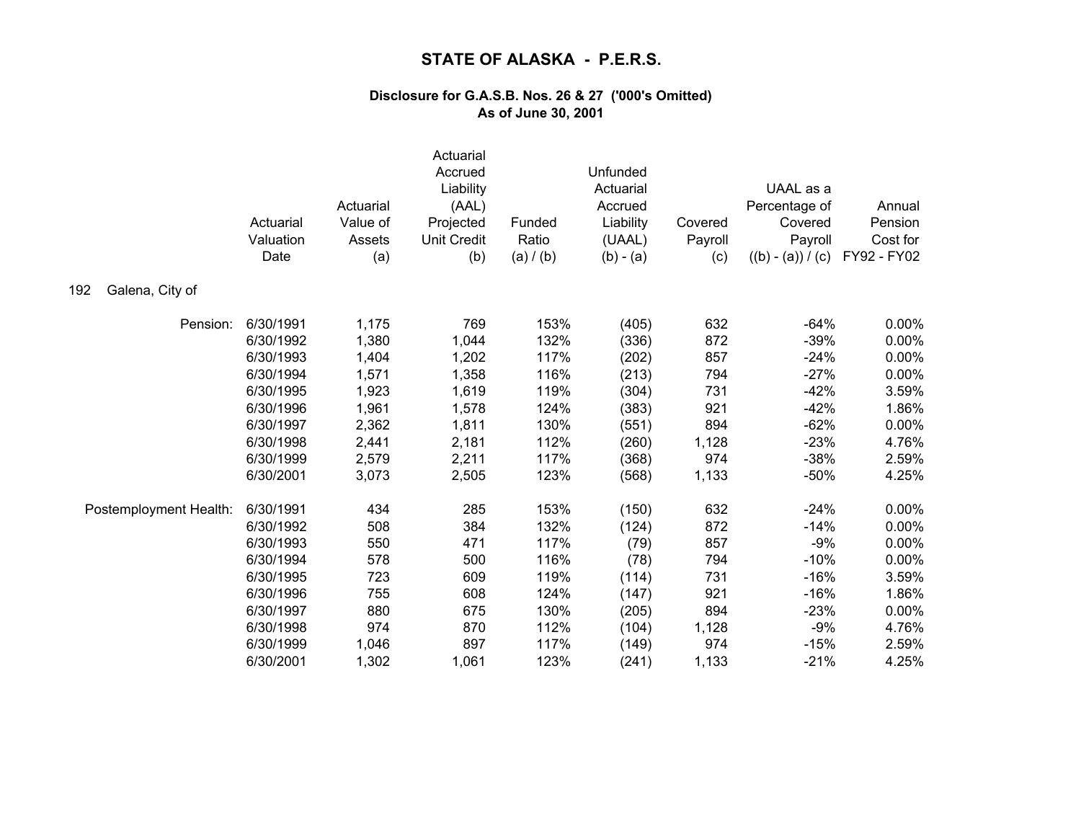|                        | Actuarial<br>Valuation<br>Date | Actuarial<br>Value of<br>Assets<br>(a) | Actuarial<br>Accrued<br>Liability<br>(AAL)<br>Projected<br><b>Unit Credit</b><br>(b) | Funded<br>Ratio<br>(a) / (b) | Unfunded<br>Actuarial<br>Accrued<br>Liability<br>(UAAL)<br>$(b) - (a)$ | Covered<br>Payroll<br>(c) | UAAL as a<br>Percentage of<br>Covered<br>Payroll<br>$((b) - (a)) / (c)$ | Annual<br>Pension<br>Cost for<br>FY92 - FY02 |
|------------------------|--------------------------------|----------------------------------------|--------------------------------------------------------------------------------------|------------------------------|------------------------------------------------------------------------|---------------------------|-------------------------------------------------------------------------|----------------------------------------------|
| Galena, City of<br>192 |                                |                                        |                                                                                      |                              |                                                                        |                           |                                                                         |                                              |
| Pension:               | 6/30/1991                      | 1,175                                  | 769                                                                                  | 153%                         | (405)                                                                  | 632                       | $-64%$                                                                  | 0.00%                                        |
|                        | 6/30/1992                      | 1,380                                  | 1,044                                                                                | 132%                         | (336)                                                                  | 872                       | $-39%$                                                                  | $0.00\%$                                     |
|                        | 6/30/1993                      | 1,404                                  | 1,202                                                                                | 117%                         | (202)                                                                  | 857                       | $-24%$                                                                  | 0.00%                                        |
|                        | 6/30/1994                      | 1,571                                  | 1,358                                                                                | 116%                         | (213)                                                                  | 794                       | $-27%$                                                                  | 0.00%                                        |
|                        | 6/30/1995                      | 1,923                                  | 1,619                                                                                | 119%                         | (304)                                                                  | 731                       | $-42%$                                                                  | 3.59%                                        |
|                        | 6/30/1996                      | 1,961                                  | 1,578                                                                                | 124%                         | (383)                                                                  | 921                       | $-42%$                                                                  | 1.86%                                        |
|                        | 6/30/1997                      | 2,362                                  | 1,811                                                                                | 130%                         | (551)                                                                  | 894                       | $-62%$                                                                  | 0.00%                                        |
|                        | 6/30/1998                      | 2,441                                  | 2,181                                                                                | 112%                         | (260)                                                                  | 1,128                     | $-23%$                                                                  | 4.76%                                        |
|                        | 6/30/1999                      | 2,579                                  | 2,211                                                                                | 117%                         | (368)                                                                  | 974                       | $-38%$                                                                  | 2.59%                                        |
|                        | 6/30/2001                      | 3,073                                  | 2,505                                                                                | 123%                         | (568)                                                                  | 1,133                     | $-50%$                                                                  | 4.25%                                        |
| Postemployment Health: | 6/30/1991                      | 434                                    | 285                                                                                  | 153%                         | (150)                                                                  | 632                       | $-24%$                                                                  | 0.00%                                        |
|                        | 6/30/1992                      | 508                                    | 384                                                                                  | 132%                         | (124)                                                                  | 872                       | $-14%$                                                                  | 0.00%                                        |
|                        | 6/30/1993                      | 550                                    | 471                                                                                  | 117%                         | (79)                                                                   | 857                       | $-9%$                                                                   | 0.00%                                        |
|                        | 6/30/1994                      | 578                                    | 500                                                                                  | 116%                         | (78)                                                                   | 794                       | $-10%$                                                                  | 0.00%                                        |
|                        | 6/30/1995                      | 723                                    | 609                                                                                  | 119%                         | (114)                                                                  | 731                       | $-16%$                                                                  | 3.59%                                        |
|                        | 6/30/1996                      | 755                                    | 608                                                                                  | 124%                         | (147)                                                                  | 921                       | $-16%$                                                                  | 1.86%                                        |
|                        | 6/30/1997                      | 880                                    | 675                                                                                  | 130%                         | (205)                                                                  | 894                       | $-23%$                                                                  | 0.00%                                        |
|                        | 6/30/1998                      | 974                                    | 870                                                                                  | 112%                         | (104)                                                                  | 1,128                     | $-9%$                                                                   | 4.76%                                        |
|                        | 6/30/1999                      | 1,046                                  | 897                                                                                  | 117%                         | (149)                                                                  | 974                       | $-15%$                                                                  | 2.59%                                        |
|                        | 6/30/2001                      | 1,302                                  | 1,061                                                                                | 123%                         | (241)                                                                  | 1,133                     | $-21%$                                                                  | 4.25%                                        |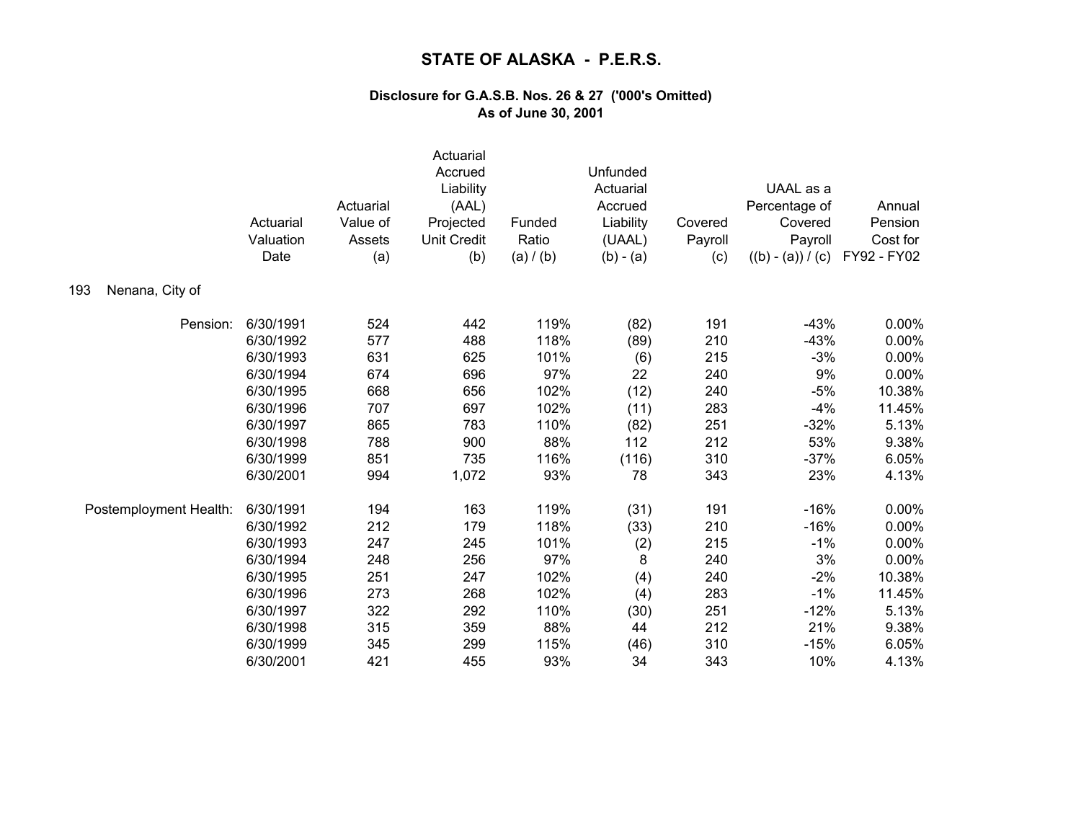|                        | Actuarial<br>Valuation<br>Date | Actuarial<br>Value of<br>Assets<br>(a) | Actuarial<br>Accrued<br>Liability<br>(AAL)<br>Projected<br><b>Unit Credit</b><br>(b) | Funded<br>Ratio<br>(a) / (b) | Unfunded<br>Actuarial<br>Accrued<br>Liability<br>(UAAL)<br>$(b) - (a)$ | Covered<br>Payroll<br>(c) | UAAL as a<br>Percentage of<br>Covered<br>Payroll<br>$((b) - (a)) / (c)$ | Annual<br>Pension<br>Cost for<br>FY92 - FY02 |
|------------------------|--------------------------------|----------------------------------------|--------------------------------------------------------------------------------------|------------------------------|------------------------------------------------------------------------|---------------------------|-------------------------------------------------------------------------|----------------------------------------------|
| Nenana, City of<br>193 |                                |                                        |                                                                                      |                              |                                                                        |                           |                                                                         |                                              |
| Pension:               | 6/30/1991                      | 524                                    | 442                                                                                  | 119%                         | (82)                                                                   | 191                       | $-43%$                                                                  | 0.00%                                        |
|                        | 6/30/1992                      | 577                                    | 488                                                                                  | 118%                         | (89)                                                                   | 210                       | $-43%$                                                                  | 0.00%                                        |
|                        | 6/30/1993                      | 631                                    | 625                                                                                  | 101%                         | (6)                                                                    | 215                       | $-3%$                                                                   | 0.00%                                        |
|                        | 6/30/1994                      | 674                                    | 696                                                                                  | 97%                          | 22                                                                     | 240                       | 9%                                                                      | 0.00%                                        |
|                        | 6/30/1995                      | 668                                    | 656                                                                                  | 102%                         | (12)                                                                   | 240                       | $-5%$                                                                   | 10.38%                                       |
|                        | 6/30/1996                      | 707                                    | 697                                                                                  | 102%                         | (11)                                                                   | 283                       | $-4%$                                                                   | 11.45%                                       |
|                        | 6/30/1997                      | 865                                    | 783                                                                                  | 110%                         | (82)                                                                   | 251                       | $-32%$                                                                  | 5.13%                                        |
|                        | 6/30/1998                      | 788                                    | 900                                                                                  | 88%                          | 112                                                                    | 212                       | 53%                                                                     | 9.38%                                        |
|                        | 6/30/1999                      | 851                                    | 735                                                                                  | 116%                         | (116)                                                                  | 310                       | $-37%$                                                                  | 6.05%                                        |
|                        | 6/30/2001                      | 994                                    | 1,072                                                                                | 93%                          | 78                                                                     | 343                       | 23%                                                                     | 4.13%                                        |
| Postemployment Health: | 6/30/1991                      | 194                                    | 163                                                                                  | 119%                         | (31)                                                                   | 191                       | $-16%$                                                                  | 0.00%                                        |
|                        | 6/30/1992                      | 212                                    | 179                                                                                  | 118%                         | (33)                                                                   | 210                       | $-16%$                                                                  | 0.00%                                        |
|                        | 6/30/1993                      | 247                                    | 245                                                                                  | 101%                         | (2)                                                                    | 215                       | $-1%$                                                                   | 0.00%                                        |
|                        | 6/30/1994                      | 248                                    | 256                                                                                  | 97%                          | 8                                                                      | 240                       | 3%                                                                      | 0.00%                                        |
|                        | 6/30/1995                      | 251                                    | 247                                                                                  | 102%                         | (4)                                                                    | 240                       | $-2%$                                                                   | 10.38%                                       |
|                        | 6/30/1996                      | 273                                    | 268                                                                                  | 102%                         | (4)                                                                    | 283                       | $-1%$                                                                   | 11.45%                                       |
|                        | 6/30/1997                      | 322                                    | 292                                                                                  | 110%                         | (30)                                                                   | 251                       | $-12%$                                                                  | 5.13%                                        |
|                        | 6/30/1998                      | 315                                    | 359                                                                                  | 88%                          | 44                                                                     | 212                       | 21%                                                                     | 9.38%                                        |
|                        | 6/30/1999                      | 345                                    | 299                                                                                  | 115%                         | (46)                                                                   | 310                       | $-15%$                                                                  | 6.05%                                        |
|                        | 6/30/2001                      | 421                                    | 455                                                                                  | 93%                          | 34                                                                     | 343                       | 10%                                                                     | 4.13%                                        |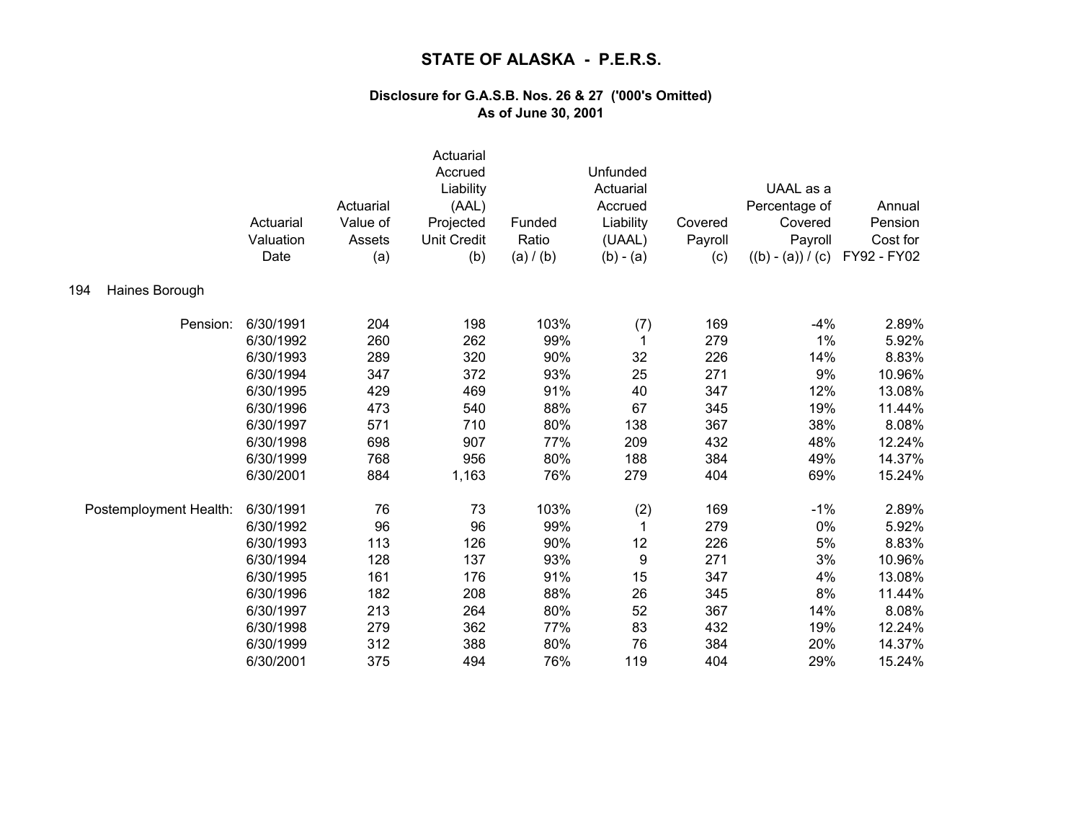|                        | Actuarial<br>Valuation<br>Date | Actuarial<br>Value of<br>Assets<br>(a) | Actuarial<br>Accrued<br>Liability<br>(AAL)<br>Projected<br><b>Unit Credit</b><br>(b) | Funded<br>Ratio<br>(a) / (b) | Unfunded<br>Actuarial<br>Accrued<br>Liability<br>(UAAL)<br>$(b) - (a)$ | Covered<br>Payroll<br>(c) | UAAL as a<br>Percentage of<br>Covered<br>Payroll<br>$((b) - (a)) / (c)$ | Annual<br>Pension<br>Cost for<br>FY92 - FY02 |
|------------------------|--------------------------------|----------------------------------------|--------------------------------------------------------------------------------------|------------------------------|------------------------------------------------------------------------|---------------------------|-------------------------------------------------------------------------|----------------------------------------------|
| 194<br>Haines Borough  |                                |                                        |                                                                                      |                              |                                                                        |                           |                                                                         |                                              |
| Pension:               | 6/30/1991                      | 204                                    | 198                                                                                  | 103%                         | (7)                                                                    | 169                       | $-4%$                                                                   | 2.89%                                        |
|                        | 6/30/1992                      | 260                                    | 262                                                                                  | 99%                          | 1                                                                      | 279                       | 1%                                                                      | 5.92%                                        |
|                        | 6/30/1993                      | 289                                    | 320                                                                                  | 90%                          | 32                                                                     | 226                       | 14%                                                                     | 8.83%                                        |
|                        | 6/30/1994                      | 347                                    | 372                                                                                  | 93%                          | 25                                                                     | 271                       | 9%                                                                      | 10.96%                                       |
|                        | 6/30/1995                      | 429                                    | 469                                                                                  | 91%                          | 40                                                                     | 347                       | 12%                                                                     | 13.08%                                       |
|                        | 6/30/1996                      | 473                                    | 540                                                                                  | 88%                          | 67                                                                     | 345                       | 19%                                                                     | 11.44%                                       |
|                        | 6/30/1997                      | 571                                    | 710                                                                                  | 80%                          | 138                                                                    | 367                       | 38%                                                                     | 8.08%                                        |
|                        | 6/30/1998                      | 698                                    | 907                                                                                  | 77%                          | 209                                                                    | 432                       | 48%                                                                     | 12.24%                                       |
|                        | 6/30/1999                      | 768                                    | 956                                                                                  | 80%                          | 188                                                                    | 384                       | 49%                                                                     | 14.37%                                       |
|                        | 6/30/2001                      | 884                                    | 1,163                                                                                | 76%                          | 279                                                                    | 404                       | 69%                                                                     | 15.24%                                       |
| Postemployment Health: | 6/30/1991                      | 76                                     | 73                                                                                   | 103%                         | (2)                                                                    | 169                       | $-1%$                                                                   | 2.89%                                        |
|                        | 6/30/1992                      | 96                                     | 96                                                                                   | 99%                          | 1                                                                      | 279                       | 0%                                                                      | 5.92%                                        |
|                        | 6/30/1993                      | 113                                    | 126                                                                                  | 90%                          | 12                                                                     | 226                       | 5%                                                                      | 8.83%                                        |
|                        | 6/30/1994                      | 128                                    | 137                                                                                  | 93%                          | 9                                                                      | 271                       | 3%                                                                      | 10.96%                                       |
|                        | 6/30/1995                      | 161                                    | 176                                                                                  | 91%                          | 15                                                                     | 347                       | 4%                                                                      | 13.08%                                       |
|                        | 6/30/1996                      | 182                                    | 208                                                                                  | 88%                          | 26                                                                     | 345                       | 8%                                                                      | 11.44%                                       |
|                        | 6/30/1997                      | 213                                    | 264                                                                                  | 80%                          | 52                                                                     | 367                       | 14%                                                                     | 8.08%                                        |
|                        | 6/30/1998                      | 279                                    | 362                                                                                  | 77%                          | 83                                                                     | 432                       | 19%                                                                     | 12.24%                                       |
|                        | 6/30/1999                      | 312                                    | 388                                                                                  | 80%                          | 76                                                                     | 384                       | 20%                                                                     | 14.37%                                       |
|                        | 6/30/2001                      | 375                                    | 494                                                                                  | 76%                          | 119                                                                    | 404                       | 29%                                                                     | 15.24%                                       |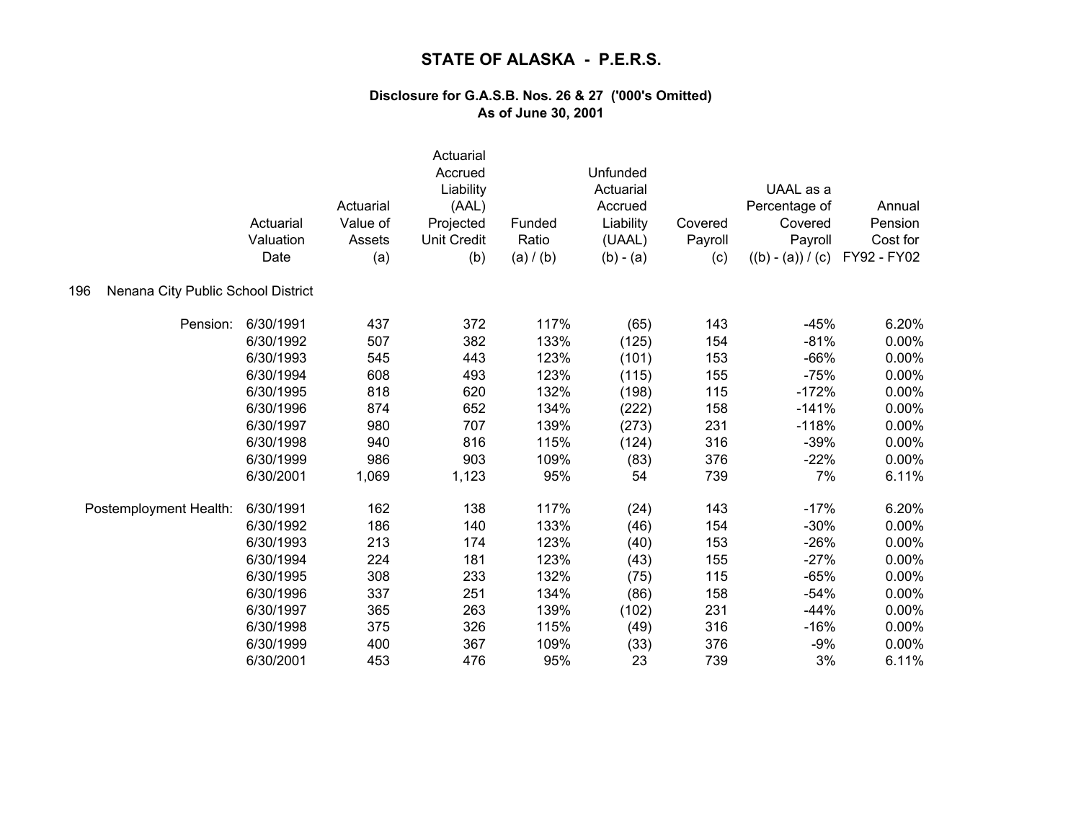|                                           | Actuarial<br>Valuation<br>Date | Actuarial<br>Value of<br>Assets<br>(a) | Actuarial<br>Accrued<br>Liability<br>(AAL)<br>Projected<br><b>Unit Credit</b><br>(b) | Funded<br>Ratio<br>(a) / (b) | Unfunded<br>Actuarial<br>Accrued<br>Liability<br>(UAAL)<br>$(b) - (a)$ | Covered<br>Payroll<br>(c) | UAAL as a<br>Percentage of<br>Covered<br>Payroll<br>$((b) - (a)) / (c)$ | Annual<br>Pension<br>Cost for<br>FY92 - FY02 |
|-------------------------------------------|--------------------------------|----------------------------------------|--------------------------------------------------------------------------------------|------------------------------|------------------------------------------------------------------------|---------------------------|-------------------------------------------------------------------------|----------------------------------------------|
| Nenana City Public School District<br>196 |                                |                                        |                                                                                      |                              |                                                                        |                           |                                                                         |                                              |
| Pension:                                  | 6/30/1991                      | 437                                    | 372                                                                                  | 117%                         | (65)                                                                   | 143                       | $-45%$                                                                  | 6.20%                                        |
|                                           | 6/30/1992                      | 507                                    | 382                                                                                  | 133%                         | (125)                                                                  | 154                       | $-81%$                                                                  | 0.00%                                        |
|                                           | 6/30/1993                      | 545                                    | 443                                                                                  | 123%                         | (101)                                                                  | 153                       | $-66%$                                                                  | 0.00%                                        |
|                                           | 6/30/1994                      | 608                                    | 493                                                                                  | 123%                         | (115)                                                                  | 155                       | $-75%$                                                                  | 0.00%                                        |
|                                           | 6/30/1995                      | 818                                    | 620                                                                                  | 132%                         | (198)                                                                  | 115                       | $-172%$                                                                 | 0.00%                                        |
|                                           | 6/30/1996                      | 874                                    | 652                                                                                  | 134%                         | (222)                                                                  | 158                       | $-141%$                                                                 | 0.00%                                        |
|                                           | 6/30/1997                      | 980                                    | 707                                                                                  | 139%                         | (273)                                                                  | 231                       | $-118%$                                                                 | 0.00%                                        |
|                                           | 6/30/1998                      | 940                                    | 816                                                                                  | 115%                         | (124)                                                                  | 316                       | $-39%$                                                                  | 0.00%                                        |
|                                           | 6/30/1999                      | 986                                    | 903                                                                                  | 109%                         | (83)                                                                   | 376                       | $-22%$                                                                  | 0.00%                                        |
|                                           | 6/30/2001                      | 1,069                                  | 1,123                                                                                | 95%                          | 54                                                                     | 739                       | 7%                                                                      | 6.11%                                        |
| Postemployment Health:                    | 6/30/1991                      | 162                                    | 138                                                                                  | 117%                         | (24)                                                                   | 143                       | $-17%$                                                                  | 6.20%                                        |
|                                           | 6/30/1992                      | 186                                    | 140                                                                                  | 133%                         | (46)                                                                   | 154                       | $-30%$                                                                  | $0.00\%$                                     |
|                                           | 6/30/1993                      | 213                                    | 174                                                                                  | 123%                         | (40)                                                                   | 153                       | $-26%$                                                                  | 0.00%                                        |
|                                           | 6/30/1994                      | 224                                    | 181                                                                                  | 123%                         | (43)                                                                   | 155                       | $-27%$                                                                  | 0.00%                                        |
|                                           | 6/30/1995                      | 308                                    | 233                                                                                  | 132%                         | (75)                                                                   | 115                       | $-65%$                                                                  | 0.00%                                        |
|                                           | 6/30/1996                      | 337                                    | 251                                                                                  | 134%                         | (86)                                                                   | 158                       | $-54%$                                                                  | 0.00%                                        |
|                                           | 6/30/1997                      | 365                                    | 263                                                                                  | 139%                         | (102)                                                                  | 231                       | $-44%$                                                                  | 0.00%                                        |
|                                           | 6/30/1998                      | 375                                    | 326                                                                                  | 115%                         | (49)                                                                   | 316                       | $-16%$                                                                  | 0.00%                                        |
|                                           | 6/30/1999                      | 400                                    | 367                                                                                  | 109%                         | (33)                                                                   | 376                       | $-9%$                                                                   | 0.00%                                        |
|                                           | 6/30/2001                      | 453                                    | 476                                                                                  | 95%                          | 23                                                                     | 739                       | 3%                                                                      | 6.11%                                        |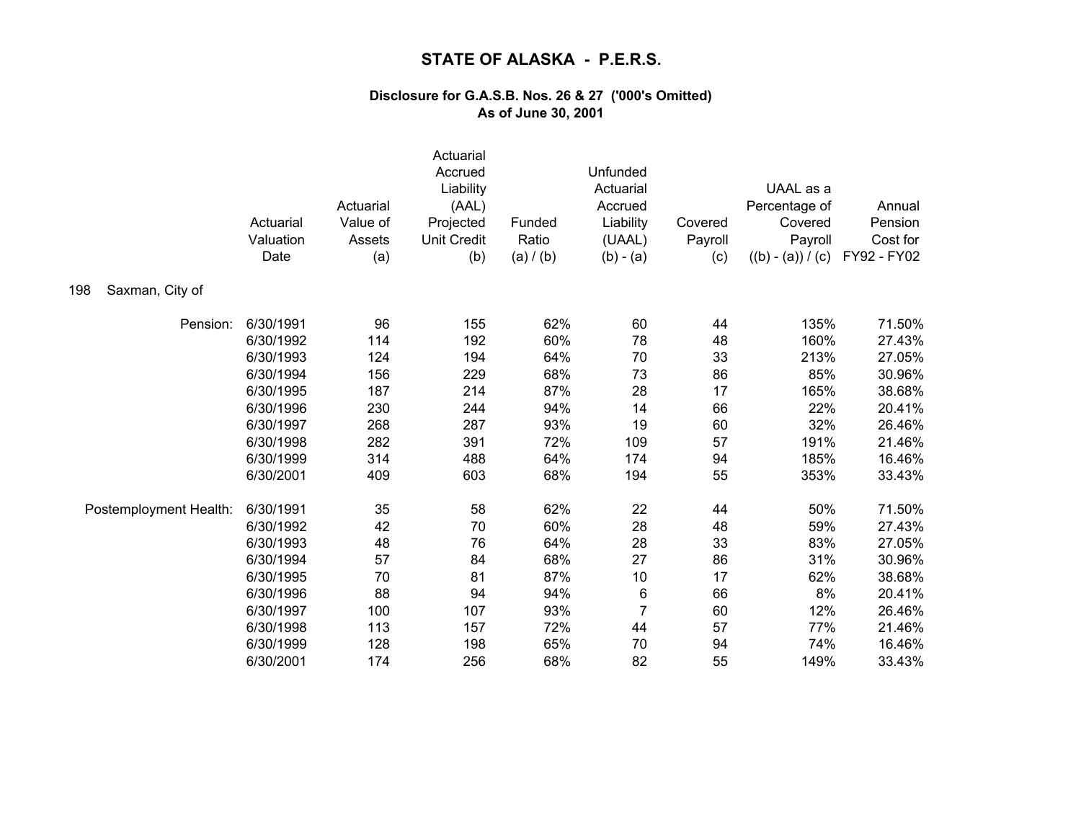|                        | Actuarial<br>Valuation<br>Date | Actuarial<br>Value of<br>Assets<br>(a) | Actuarial<br>Accrued<br>Liability<br>(AAL)<br>Projected<br><b>Unit Credit</b><br>(b) | Funded<br>Ratio<br>(a) / (b) | Unfunded<br>Actuarial<br>Accrued<br>Liability<br>(UAAL)<br>$(b) - (a)$ | Covered<br>Payroll<br>(c) | UAAL as a<br>Percentage of<br>Covered<br>Payroll<br>$((b) - (a)) / (c)$ | Annual<br>Pension<br>Cost for<br>FY92 - FY02 |
|------------------------|--------------------------------|----------------------------------------|--------------------------------------------------------------------------------------|------------------------------|------------------------------------------------------------------------|---------------------------|-------------------------------------------------------------------------|----------------------------------------------|
| Saxman, City of<br>198 |                                |                                        |                                                                                      |                              |                                                                        |                           |                                                                         |                                              |
| Pension:               | 6/30/1991                      | 96                                     | 155                                                                                  | 62%                          | 60                                                                     | 44                        | 135%                                                                    | 71.50%                                       |
|                        | 6/30/1992                      | 114                                    | 192                                                                                  | 60%                          | 78                                                                     | 48                        | 160%                                                                    | 27.43%                                       |
|                        | 6/30/1993                      | 124                                    | 194                                                                                  | 64%                          | 70                                                                     | 33                        | 213%                                                                    | 27.05%                                       |
|                        | 6/30/1994                      | 156                                    | 229                                                                                  | 68%                          | 73                                                                     | 86                        | 85%                                                                     | 30.96%                                       |
|                        | 6/30/1995                      | 187                                    | 214                                                                                  | 87%                          | 28                                                                     | 17                        | 165%                                                                    | 38.68%                                       |
|                        | 6/30/1996                      | 230                                    | 244                                                                                  | 94%                          | 14                                                                     | 66                        | 22%                                                                     | 20.41%                                       |
|                        | 6/30/1997                      | 268                                    | 287                                                                                  | 93%                          | 19                                                                     | 60                        | 32%                                                                     | 26.46%                                       |
|                        | 6/30/1998                      | 282                                    | 391                                                                                  | 72%                          | 109                                                                    | 57                        | 191%                                                                    | 21.46%                                       |
|                        | 6/30/1999                      | 314                                    | 488                                                                                  | 64%                          | 174                                                                    | 94                        | 185%                                                                    | 16.46%                                       |
|                        | 6/30/2001                      | 409                                    | 603                                                                                  | 68%                          | 194                                                                    | 55                        | 353%                                                                    | 33.43%                                       |
| Postemployment Health: | 6/30/1991                      | 35                                     | 58                                                                                   | 62%                          | 22                                                                     | 44                        | 50%                                                                     | 71.50%                                       |
|                        | 6/30/1992                      | 42                                     | 70                                                                                   | 60%                          | 28                                                                     | 48                        | 59%                                                                     | 27.43%                                       |
|                        | 6/30/1993                      | 48                                     | 76                                                                                   | 64%                          | 28                                                                     | 33                        | 83%                                                                     | 27.05%                                       |
|                        | 6/30/1994                      | 57                                     | 84                                                                                   | 68%                          | 27                                                                     | 86                        | 31%                                                                     | 30.96%                                       |
|                        | 6/30/1995                      | 70                                     | 81                                                                                   | 87%                          | 10                                                                     | 17                        | 62%                                                                     | 38.68%                                       |
|                        | 6/30/1996                      | 88                                     | 94                                                                                   | 94%                          | $\,6$                                                                  | 66                        | 8%                                                                      | 20.41%                                       |
|                        | 6/30/1997                      | 100                                    | 107                                                                                  | 93%                          | $\overline{7}$                                                         | 60                        | 12%                                                                     | 26.46%                                       |
|                        | 6/30/1998                      | 113                                    | 157                                                                                  | 72%                          | 44                                                                     | 57                        | 77%                                                                     | 21.46%                                       |
|                        | 6/30/1999                      | 128                                    | 198                                                                                  | 65%                          | 70                                                                     | 94                        | 74%                                                                     | 16.46%                                       |
|                        | 6/30/2001                      | 174                                    | 256                                                                                  | 68%                          | 82                                                                     | 55                        | 149%                                                                    | 33.43%                                       |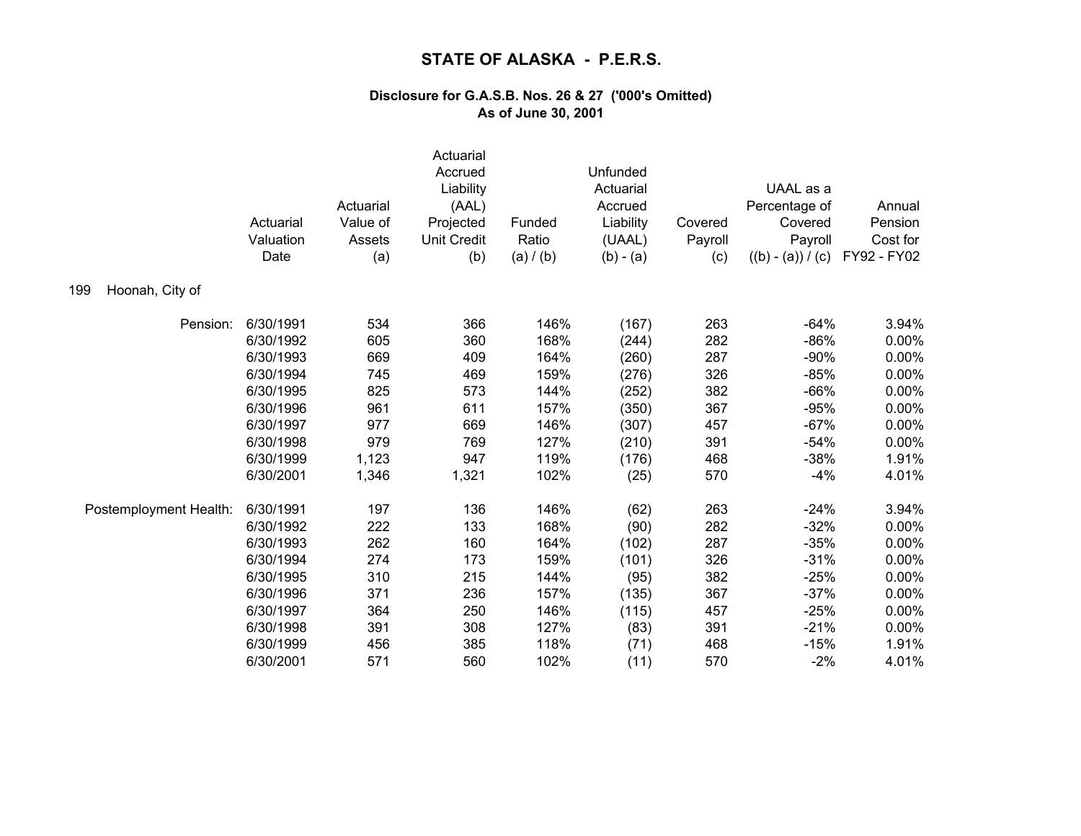|                        | Actuarial<br>Valuation<br>Date | Actuarial<br>Value of<br>Assets<br>(a) | Actuarial<br>Accrued<br>Liability<br>(AAL)<br>Projected<br><b>Unit Credit</b><br>(b) | Funded<br>Ratio<br>(a) / (b) | Unfunded<br>Actuarial<br>Accrued<br>Liability<br>(UAAL)<br>$(b) - (a)$ | Covered<br>Payroll<br>(c) | UAAL as a<br>Percentage of<br>Covered<br>Payroll<br>$((b) - (a)) / (c)$ | Annual<br>Pension<br>Cost for<br>FY92 - FY02 |
|------------------------|--------------------------------|----------------------------------------|--------------------------------------------------------------------------------------|------------------------------|------------------------------------------------------------------------|---------------------------|-------------------------------------------------------------------------|----------------------------------------------|
| Hoonah, City of<br>199 |                                |                                        |                                                                                      |                              |                                                                        |                           |                                                                         |                                              |
| Pension:               | 6/30/1991                      | 534                                    | 366                                                                                  | 146%                         | (167)                                                                  | 263                       | $-64%$                                                                  | 3.94%                                        |
|                        | 6/30/1992                      | 605                                    | 360                                                                                  | 168%                         | (244)                                                                  | 282                       | $-86%$                                                                  | 0.00%                                        |
|                        | 6/30/1993                      | 669                                    | 409                                                                                  | 164%                         | (260)                                                                  | 287                       | $-90%$                                                                  | 0.00%                                        |
|                        | 6/30/1994                      | 745                                    | 469                                                                                  | 159%                         | (276)                                                                  | 326                       | $-85%$                                                                  | 0.00%                                        |
|                        | 6/30/1995                      | 825                                    | 573                                                                                  | 144%                         | (252)                                                                  | 382                       | $-66%$                                                                  | 0.00%                                        |
|                        | 6/30/1996                      | 961                                    | 611                                                                                  | 157%                         | (350)                                                                  | 367                       | $-95%$                                                                  | 0.00%                                        |
|                        | 6/30/1997                      | 977                                    | 669                                                                                  | 146%                         | (307)                                                                  | 457                       | $-67%$                                                                  | 0.00%                                        |
|                        | 6/30/1998                      | 979                                    | 769                                                                                  | 127%                         | (210)                                                                  | 391                       | $-54%$                                                                  | 0.00%                                        |
|                        | 6/30/1999                      | 1,123                                  | 947                                                                                  | 119%                         | (176)                                                                  | 468                       | $-38%$                                                                  | 1.91%                                        |
|                        | 6/30/2001                      | 1,346                                  | 1,321                                                                                | 102%                         | (25)                                                                   | 570                       | $-4%$                                                                   | 4.01%                                        |
| Postemployment Health: | 6/30/1991                      | 197                                    | 136                                                                                  | 146%                         | (62)                                                                   | 263                       | $-24%$                                                                  | 3.94%                                        |
|                        | 6/30/1992                      | 222                                    | 133                                                                                  | 168%                         | (90)                                                                   | 282                       | $-32%$                                                                  | 0.00%                                        |
|                        | 6/30/1993                      | 262                                    | 160                                                                                  | 164%                         | (102)                                                                  | 287                       | $-35%$                                                                  | 0.00%                                        |
|                        | 6/30/1994                      | 274                                    | 173                                                                                  | 159%                         | (101)                                                                  | 326                       | $-31%$                                                                  | 0.00%                                        |
|                        | 6/30/1995                      | 310                                    | 215                                                                                  | 144%                         | (95)                                                                   | 382                       | $-25%$                                                                  | 0.00%                                        |
|                        | 6/30/1996                      | 371                                    | 236                                                                                  | 157%                         | (135)                                                                  | 367                       | $-37%$                                                                  | 0.00%                                        |
|                        | 6/30/1997                      | 364                                    | 250                                                                                  | 146%                         | (115)                                                                  | 457                       | $-25%$                                                                  | 0.00%                                        |
|                        | 6/30/1998                      | 391                                    | 308                                                                                  | 127%                         | (83)                                                                   | 391                       | $-21%$                                                                  | 0.00%                                        |
|                        | 6/30/1999                      | 456                                    | 385                                                                                  | 118%                         | (71)                                                                   | 468                       | $-15%$                                                                  | 1.91%                                        |
|                        | 6/30/2001                      | 571                                    | 560                                                                                  | 102%                         | (11)                                                                   | 570                       | $-2%$                                                                   | 4.01%                                        |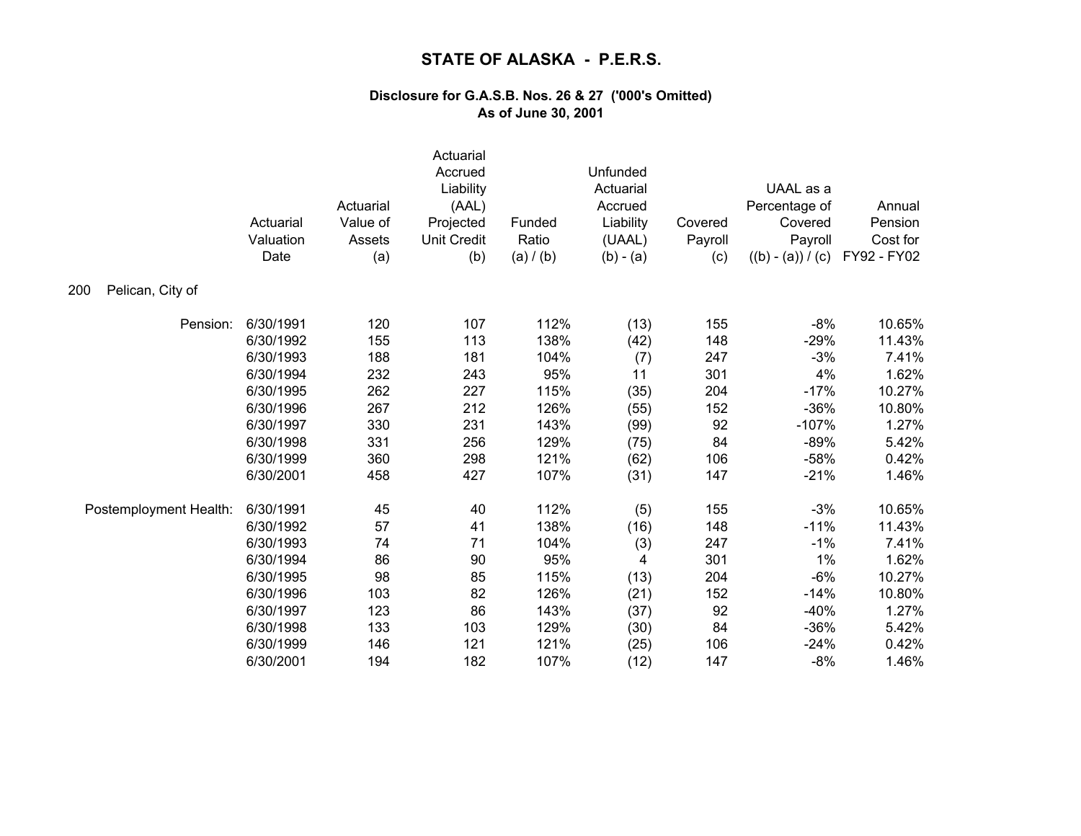|                         | Actuarial<br>Valuation<br>Date | Actuarial<br>Value of<br>Assets<br>(a) | Actuarial<br>Accrued<br>Liability<br>(AAL)<br>Projected<br><b>Unit Credit</b><br>(b) | Funded<br>Ratio<br>(a) / (b) | Unfunded<br>Actuarial<br>Accrued<br>Liability<br>(UAAL)<br>$(b) - (a)$ | Covered<br>Payroll<br>(c) | UAAL as a<br>Percentage of<br>Covered<br>Payroll<br>$((b) - (a)) / (c)$ | Annual<br>Pension<br>Cost for<br>FY92 - FY02 |
|-------------------------|--------------------------------|----------------------------------------|--------------------------------------------------------------------------------------|------------------------------|------------------------------------------------------------------------|---------------------------|-------------------------------------------------------------------------|----------------------------------------------|
| Pelican, City of<br>200 |                                |                                        |                                                                                      |                              |                                                                        |                           |                                                                         |                                              |
| Pension:                | 6/30/1991                      | 120                                    | 107                                                                                  | 112%                         | (13)                                                                   | 155                       | $-8%$                                                                   | 10.65%                                       |
|                         | 6/30/1992                      | 155                                    | 113                                                                                  | 138%                         | (42)                                                                   | 148                       | $-29%$                                                                  | 11.43%                                       |
|                         | 6/30/1993                      | 188                                    | 181                                                                                  | 104%                         | (7)                                                                    | 247                       | $-3%$                                                                   | 7.41%                                        |
|                         | 6/30/1994                      | 232                                    | 243                                                                                  | 95%                          | 11                                                                     | 301                       | 4%                                                                      | 1.62%                                        |
|                         | 6/30/1995                      | 262                                    | 227                                                                                  | 115%                         | (35)                                                                   | 204                       | $-17%$                                                                  | 10.27%                                       |
|                         | 6/30/1996                      | 267                                    | 212                                                                                  | 126%                         | (55)                                                                   | 152                       | $-36%$                                                                  | 10.80%                                       |
|                         | 6/30/1997                      | 330                                    | 231                                                                                  | 143%                         | (99)                                                                   | 92                        | $-107%$                                                                 | 1.27%                                        |
|                         | 6/30/1998                      | 331                                    | 256                                                                                  | 129%                         | (75)                                                                   | 84                        | $-89%$                                                                  | 5.42%                                        |
|                         | 6/30/1999                      | 360                                    | 298                                                                                  | 121%                         | (62)                                                                   | 106                       | $-58%$                                                                  | 0.42%                                        |
|                         | 6/30/2001                      | 458                                    | 427                                                                                  | 107%                         | (31)                                                                   | 147                       | $-21%$                                                                  | 1.46%                                        |
| Postemployment Health:  | 6/30/1991                      | 45                                     | 40                                                                                   | 112%                         | (5)                                                                    | 155                       | $-3%$                                                                   | 10.65%                                       |
|                         | 6/30/1992                      | 57                                     | 41                                                                                   | 138%                         | (16)                                                                   | 148                       | $-11%$                                                                  | 11.43%                                       |
|                         | 6/30/1993                      | 74                                     | 71                                                                                   | 104%                         | (3)                                                                    | 247                       | $-1%$                                                                   | 7.41%                                        |
|                         | 6/30/1994                      | 86                                     | 90                                                                                   | 95%                          | 4                                                                      | 301                       | 1%                                                                      | 1.62%                                        |
|                         | 6/30/1995                      | 98                                     | 85                                                                                   | 115%                         | (13)                                                                   | 204                       | $-6%$                                                                   | 10.27%                                       |
|                         | 6/30/1996                      | 103                                    | 82                                                                                   | 126%                         | (21)                                                                   | 152                       | $-14%$                                                                  | 10.80%                                       |
|                         | 6/30/1997                      | 123                                    | 86                                                                                   | 143%                         | (37)                                                                   | 92                        | $-40%$                                                                  | 1.27%                                        |
|                         | 6/30/1998                      | 133                                    | 103                                                                                  | 129%                         | (30)                                                                   | 84                        | $-36%$                                                                  | 5.42%                                        |
|                         | 6/30/1999                      | 146                                    | 121                                                                                  | 121%                         | (25)                                                                   | 106                       | $-24%$                                                                  | 0.42%                                        |
|                         | 6/30/2001                      | 194                                    | 182                                                                                  | 107%                         | (12)                                                                   | 147                       | $-8%$                                                                   | 1.46%                                        |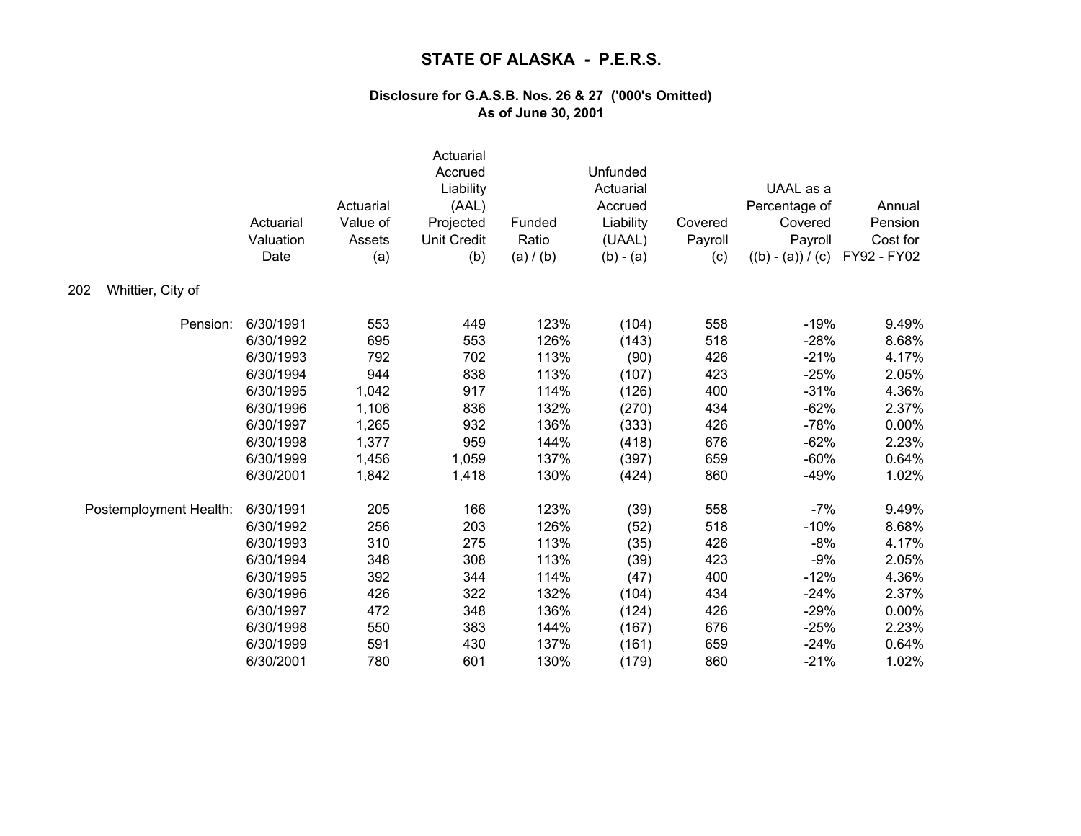| Whittier, City of<br>202 | Actuarial<br>Valuation<br>Date | Actuarial<br>Value of<br>Assets<br>(a) | Actuarial<br>Accrued<br>Liability<br>(AAL)<br>Projected<br><b>Unit Credit</b><br>(b) | Funded<br>Ratio<br>(a) / (b) | Unfunded<br>Actuarial<br>Accrued<br>Liability<br>(UAAL)<br>$(b) - (a)$ | Covered<br>Payroll<br>(c) | UAAL as a<br>Percentage of<br>Covered<br>Payroll<br>$((b) - (a)) / (c)$ | Annual<br>Pension<br>Cost for<br>FY92 - FY02 |
|--------------------------|--------------------------------|----------------------------------------|--------------------------------------------------------------------------------------|------------------------------|------------------------------------------------------------------------|---------------------------|-------------------------------------------------------------------------|----------------------------------------------|
|                          |                                |                                        |                                                                                      |                              |                                                                        |                           |                                                                         |                                              |
| Pension:                 | 6/30/1991                      | 553                                    | 449                                                                                  | 123%                         | (104)                                                                  | 558                       | $-19%$                                                                  | 9.49%                                        |
|                          | 6/30/1992                      | 695                                    | 553                                                                                  | 126%                         | (143)                                                                  | 518                       | $-28%$                                                                  | 8.68%                                        |
|                          | 6/30/1993                      | 792                                    | 702                                                                                  | 113%                         | (90)                                                                   | 426                       | $-21%$                                                                  | 4.17%                                        |
|                          | 6/30/1994                      | 944                                    | 838                                                                                  | 113%                         | (107)                                                                  | 423                       | $-25%$                                                                  | 2.05%                                        |
|                          | 6/30/1995                      | 1,042                                  | 917                                                                                  | 114%                         | (126)                                                                  | 400                       | $-31%$                                                                  | 4.36%                                        |
|                          | 6/30/1996                      | 1,106                                  | 836                                                                                  | 132%                         | (270)                                                                  | 434                       | $-62%$                                                                  | 2.37%                                        |
|                          | 6/30/1997                      | 1,265                                  | 932                                                                                  | 136%                         | (333)                                                                  | 426                       | $-78%$                                                                  | 0.00%                                        |
|                          | 6/30/1998                      | 1,377                                  | 959                                                                                  | 144%                         | (418)                                                                  | 676                       | $-62%$                                                                  | 2.23%                                        |
|                          | 6/30/1999                      | 1,456                                  | 1,059                                                                                | 137%                         | (397)                                                                  | 659                       | $-60%$                                                                  | 0.64%                                        |
|                          | 6/30/2001                      | 1,842                                  | 1,418                                                                                | 130%                         | (424)                                                                  | 860                       | $-49%$                                                                  | 1.02%                                        |
| Postemployment Health:   | 6/30/1991                      | 205                                    | 166                                                                                  | 123%                         | (39)                                                                   | 558                       | $-7%$                                                                   | 9.49%                                        |
|                          | 6/30/1992                      | 256                                    | 203                                                                                  | 126%                         | (52)                                                                   | 518                       | $-10%$                                                                  | 8.68%                                        |
|                          | 6/30/1993                      | 310                                    | 275                                                                                  | 113%                         | (35)                                                                   | 426                       | $-8%$                                                                   | 4.17%                                        |
|                          | 6/30/1994                      | 348                                    | 308                                                                                  | 113%                         | (39)                                                                   | 423                       | $-9%$                                                                   | 2.05%                                        |
|                          | 6/30/1995                      | 392                                    | 344                                                                                  | 114%                         | (47)                                                                   | 400                       | $-12%$                                                                  | 4.36%                                        |
|                          | 6/30/1996                      | 426                                    | 322                                                                                  | 132%                         | (104)                                                                  | 434                       | $-24%$                                                                  | 2.37%                                        |
|                          | 6/30/1997                      | 472                                    | 348                                                                                  | 136%                         | (124)                                                                  | 426                       | $-29%$                                                                  | 0.00%                                        |
|                          | 6/30/1998                      | 550                                    | 383                                                                                  | 144%                         | (167)                                                                  | 676                       | $-25%$                                                                  | 2.23%                                        |
|                          | 6/30/1999                      | 591                                    | 430                                                                                  | 137%                         | (161)                                                                  | 659                       | $-24%$                                                                  | 0.64%                                        |
|                          | 6/30/2001                      | 780                                    | 601                                                                                  | 130%                         | (179)                                                                  | 860                       | $-21%$                                                                  | 1.02%                                        |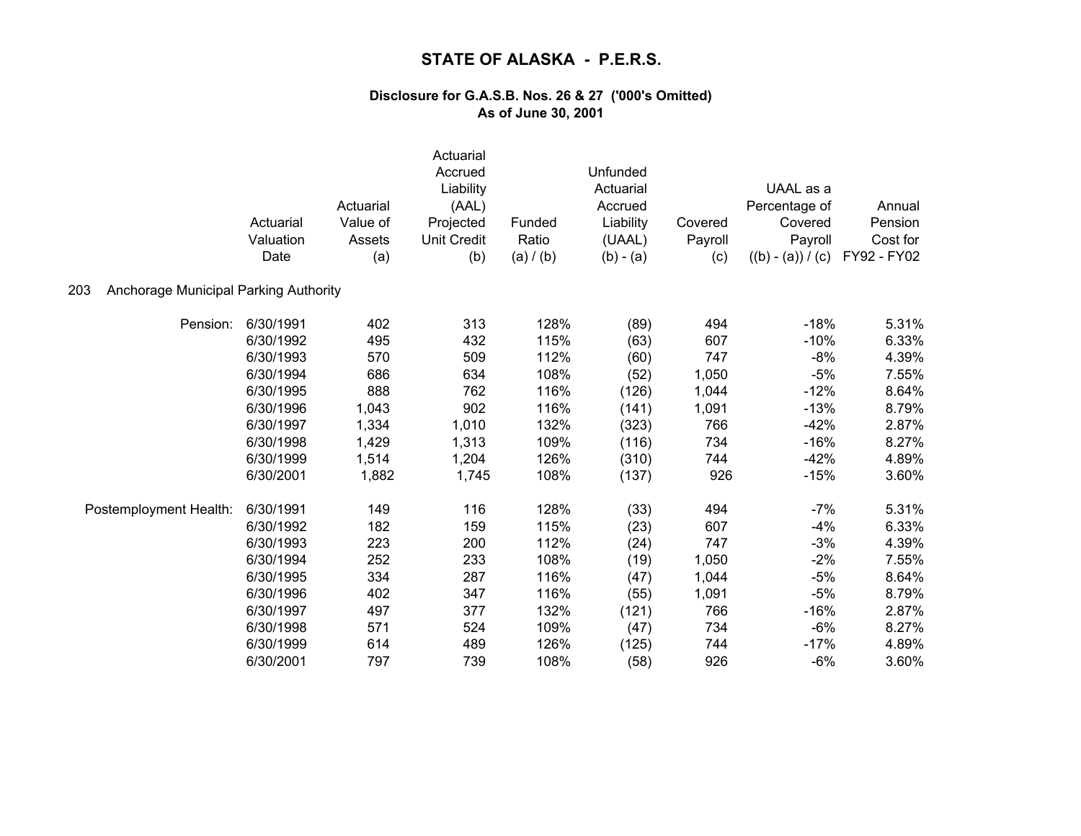|                                              | Actuarial<br>Valuation<br>Date | Actuarial<br>Value of<br>Assets<br>(a) | Actuarial<br>Accrued<br>Liability<br>(AAL)<br>Projected<br><b>Unit Credit</b><br>(b) | Funded<br>Ratio<br>(a) / (b) | Unfunded<br>Actuarial<br>Accrued<br>Liability<br>(UAAL)<br>$(b) - (a)$ | Covered<br>Payroll<br>(c) | UAAL as a<br>Percentage of<br>Covered<br>Payroll<br>$((b) - (a)) / (c)$ | Annual<br>Pension<br>Cost for<br>FY92 - FY02 |
|----------------------------------------------|--------------------------------|----------------------------------------|--------------------------------------------------------------------------------------|------------------------------|------------------------------------------------------------------------|---------------------------|-------------------------------------------------------------------------|----------------------------------------------|
| Anchorage Municipal Parking Authority<br>203 |                                |                                        |                                                                                      |                              |                                                                        |                           |                                                                         |                                              |
| Pension:                                     | 6/30/1991                      | 402                                    | 313                                                                                  | 128%                         | (89)                                                                   | 494                       | $-18%$                                                                  | 5.31%                                        |
|                                              | 6/30/1992                      | 495                                    | 432                                                                                  | 115%                         | (63)                                                                   | 607                       | $-10%$                                                                  | 6.33%                                        |
|                                              | 6/30/1993                      | 570                                    | 509                                                                                  | 112%                         | (60)                                                                   | 747                       | $-8%$                                                                   | 4.39%                                        |
|                                              | 6/30/1994                      | 686                                    | 634                                                                                  | 108%                         | (52)                                                                   | 1,050                     | $-5%$                                                                   | 7.55%                                        |
|                                              | 6/30/1995                      | 888                                    | 762                                                                                  | 116%                         | (126)                                                                  | 1,044                     | $-12%$                                                                  | 8.64%                                        |
|                                              | 6/30/1996                      | 1,043                                  | 902                                                                                  | 116%                         | (141)                                                                  | 1,091                     | $-13%$                                                                  | 8.79%                                        |
|                                              | 6/30/1997                      | 1,334                                  | 1,010                                                                                | 132%                         | (323)                                                                  | 766                       | $-42%$                                                                  | 2.87%                                        |
|                                              | 6/30/1998                      | 1,429                                  | 1,313                                                                                | 109%                         | (116)                                                                  | 734                       | $-16%$                                                                  | 8.27%                                        |
|                                              | 6/30/1999                      | 1,514                                  | 1,204                                                                                | 126%                         | (310)                                                                  | 744                       | $-42%$                                                                  | 4.89%                                        |
|                                              | 6/30/2001                      | 1,882                                  | 1,745                                                                                | 108%                         | (137)                                                                  | 926                       | $-15%$                                                                  | 3.60%                                        |
| Postemployment Health:                       | 6/30/1991                      | 149                                    | 116                                                                                  | 128%                         | (33)                                                                   | 494                       | $-7%$                                                                   | 5.31%                                        |
|                                              | 6/30/1992                      | 182                                    | 159                                                                                  | 115%                         | (23)                                                                   | 607                       | $-4%$                                                                   | 6.33%                                        |
|                                              | 6/30/1993                      | 223                                    | 200                                                                                  | 112%                         | (24)                                                                   | 747                       | $-3%$                                                                   | 4.39%                                        |
|                                              | 6/30/1994                      | 252                                    | 233                                                                                  | 108%                         | (19)                                                                   | 1,050                     | $-2%$                                                                   | 7.55%                                        |
|                                              | 6/30/1995                      | 334                                    | 287                                                                                  | 116%                         | (47)                                                                   | 1,044                     | $-5%$                                                                   | 8.64%                                        |
|                                              | 6/30/1996                      | 402                                    | 347                                                                                  | 116%                         | (55)                                                                   | 1,091                     | $-5%$                                                                   | 8.79%                                        |
|                                              | 6/30/1997                      | 497                                    | 377                                                                                  | 132%                         | (121)                                                                  | 766                       | $-16%$                                                                  | 2.87%                                        |
|                                              | 6/30/1998                      | 571                                    | 524                                                                                  | 109%                         | (47)                                                                   | 734                       | $-6%$                                                                   | 8.27%                                        |
|                                              | 6/30/1999                      | 614                                    | 489                                                                                  | 126%                         | (125)                                                                  | 744                       | $-17%$                                                                  | 4.89%                                        |
|                                              | 6/30/2001                      | 797                                    | 739                                                                                  | 108%                         | (58)                                                                   | 926                       | $-6%$                                                                   | 3.60%                                        |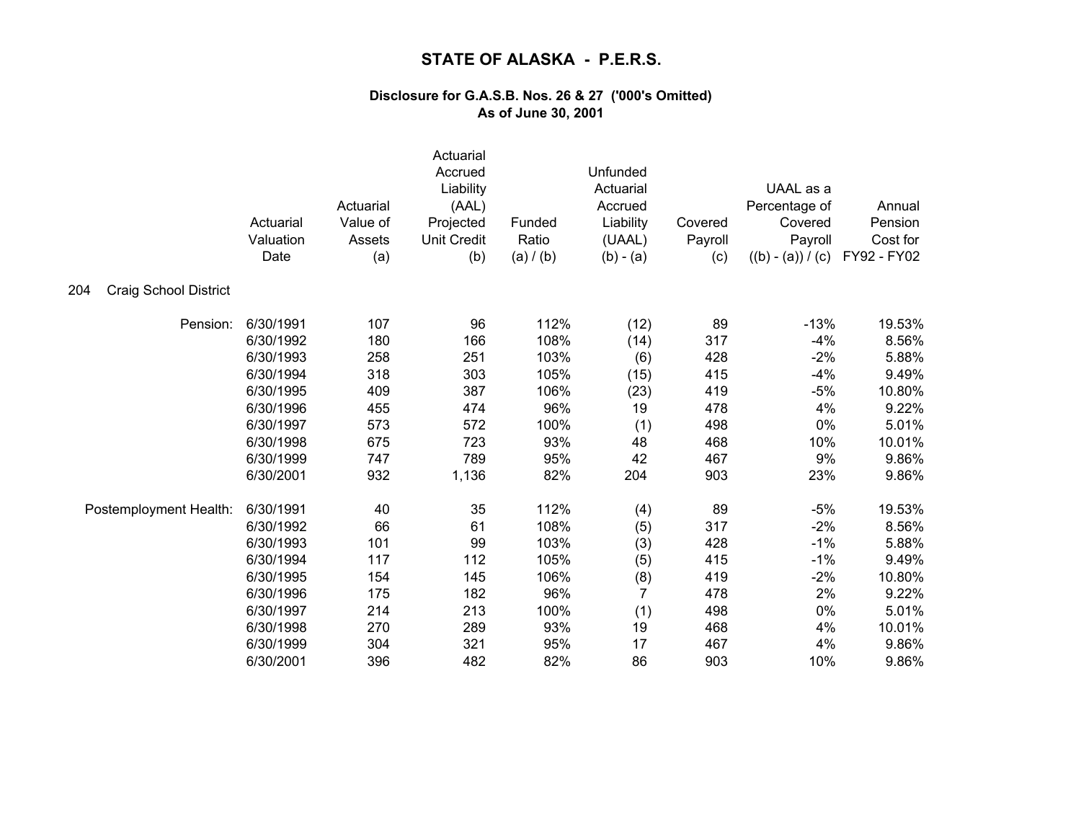|                              | Actuarial<br>Valuation<br>Date | Actuarial<br>Value of<br>Assets<br>(a) | Actuarial<br>Accrued<br>Liability<br>(AAL)<br>Projected<br><b>Unit Credit</b><br>(b) | Funded<br>Ratio<br>(a) / (b) | Unfunded<br>Actuarial<br>Accrued<br>Liability<br>(UAAL)<br>$(b) - (a)$ | Covered<br>Payroll<br>(c) | UAAL as a<br>Percentage of<br>Covered<br>Payroll<br>$((b) - (a)) / (c)$ | Annual<br>Pension<br>Cost for<br>FY92 - FY02 |
|------------------------------|--------------------------------|----------------------------------------|--------------------------------------------------------------------------------------|------------------------------|------------------------------------------------------------------------|---------------------------|-------------------------------------------------------------------------|----------------------------------------------|
| Craig School District<br>204 |                                |                                        |                                                                                      |                              |                                                                        |                           |                                                                         |                                              |
| Pension:                     | 6/30/1991                      | 107                                    | 96                                                                                   | 112%                         | (12)                                                                   | 89                        | $-13%$                                                                  | 19.53%                                       |
|                              | 6/30/1992                      | 180                                    | 166                                                                                  | 108%                         | (14)                                                                   | 317                       | $-4%$                                                                   | 8.56%                                        |
|                              | 6/30/1993                      | 258                                    | 251                                                                                  | 103%                         | (6)                                                                    | 428                       | $-2%$                                                                   | 5.88%                                        |
|                              | 6/30/1994                      | 318                                    | 303                                                                                  | 105%                         | (15)                                                                   | 415                       | $-4%$                                                                   | 9.49%                                        |
|                              | 6/30/1995                      | 409                                    | 387                                                                                  | 106%                         | (23)                                                                   | 419                       | $-5%$                                                                   | 10.80%                                       |
|                              | 6/30/1996                      | 455                                    | 474                                                                                  | 96%                          | 19                                                                     | 478                       | 4%                                                                      | 9.22%                                        |
|                              | 6/30/1997                      | 573                                    | 572                                                                                  | 100%                         | (1)                                                                    | 498                       | 0%                                                                      | 5.01%                                        |
|                              | 6/30/1998                      | 675                                    | 723                                                                                  | 93%                          | 48                                                                     | 468                       | 10%                                                                     | 10.01%                                       |
|                              | 6/30/1999                      | 747                                    | 789                                                                                  | 95%                          | 42                                                                     | 467                       | 9%                                                                      | 9.86%                                        |
|                              | 6/30/2001                      | 932                                    | 1,136                                                                                | 82%                          | 204                                                                    | 903                       | 23%                                                                     | 9.86%                                        |
| Postemployment Health:       | 6/30/1991                      | 40                                     | 35                                                                                   | 112%                         | (4)                                                                    | 89                        | $-5%$                                                                   | 19.53%                                       |
|                              | 6/30/1992                      | 66                                     | 61                                                                                   | 108%                         | (5)                                                                    | 317                       | $-2%$                                                                   | 8.56%                                        |
|                              | 6/30/1993                      | 101                                    | 99                                                                                   | 103%                         | (3)                                                                    | 428                       | $-1%$                                                                   | 5.88%                                        |
|                              | 6/30/1994                      | 117                                    | 112                                                                                  | 105%                         | (5)                                                                    | 415                       | $-1%$                                                                   | 9.49%                                        |
|                              | 6/30/1995                      | 154                                    | 145                                                                                  | 106%                         | (8)                                                                    | 419                       | $-2%$                                                                   | 10.80%                                       |
|                              | 6/30/1996                      | 175                                    | 182                                                                                  | 96%                          | $\overline{7}$                                                         | 478                       | 2%                                                                      | 9.22%                                        |
|                              | 6/30/1997                      | 214                                    | 213                                                                                  | 100%                         | (1)                                                                    | 498                       | 0%                                                                      | 5.01%                                        |
|                              | 6/30/1998                      | 270                                    | 289                                                                                  | 93%                          | 19                                                                     | 468                       | 4%                                                                      | 10.01%                                       |
|                              | 6/30/1999                      | 304                                    | 321                                                                                  | 95%                          | 17                                                                     | 467                       | 4%                                                                      | 9.86%                                        |
|                              | 6/30/2001                      | 396                                    | 482                                                                                  | 82%                          | 86                                                                     | 903                       | 10%                                                                     | 9.86%                                        |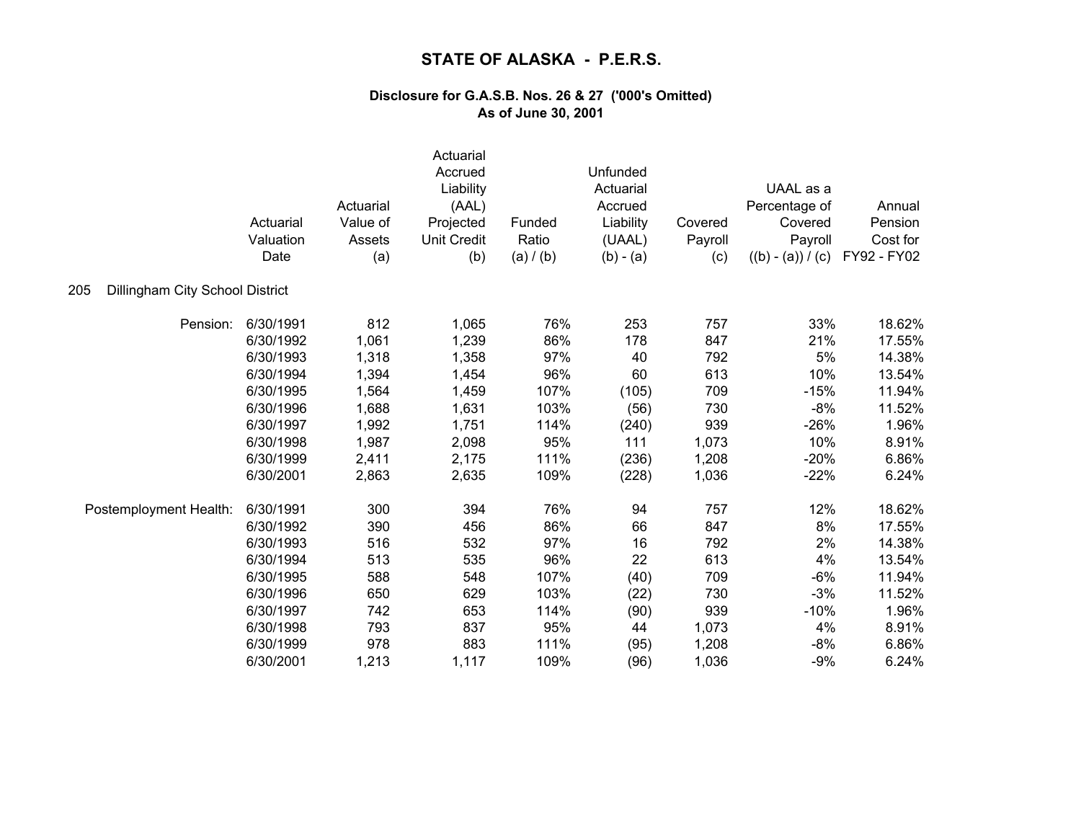|                                        | Actuarial<br>Valuation<br>Date | Actuarial<br>Value of<br>Assets<br>(a) | Actuarial<br>Accrued<br>Liability<br>(AAL)<br>Projected<br><b>Unit Credit</b><br>(b) | Funded<br>Ratio<br>(a) / (b) | Unfunded<br>Actuarial<br>Accrued<br>Liability<br>(UAAL)<br>$(b) - (a)$ | Covered<br>Payroll<br>(c) | UAAL as a<br>Percentage of<br>Covered<br>Payroll<br>$((b) - (a)) / (c)$ | Annual<br>Pension<br>Cost for<br>FY92 - FY02 |
|----------------------------------------|--------------------------------|----------------------------------------|--------------------------------------------------------------------------------------|------------------------------|------------------------------------------------------------------------|---------------------------|-------------------------------------------------------------------------|----------------------------------------------|
| Dillingham City School District<br>205 |                                |                                        |                                                                                      |                              |                                                                        |                           |                                                                         |                                              |
| Pension:                               | 6/30/1991                      | 812                                    | 1,065                                                                                | 76%                          | 253                                                                    | 757                       | 33%                                                                     | 18.62%                                       |
|                                        | 6/30/1992                      | 1,061                                  | 1,239                                                                                | 86%                          | 178                                                                    | 847                       | 21%                                                                     | 17.55%                                       |
|                                        | 6/30/1993                      | 1,318                                  | 1,358                                                                                | 97%                          | 40                                                                     | 792                       | 5%                                                                      | 14.38%                                       |
|                                        | 6/30/1994                      | 1,394                                  | 1,454                                                                                | 96%                          | 60                                                                     | 613                       | 10%                                                                     | 13.54%                                       |
|                                        | 6/30/1995                      | 1,564                                  | 1,459                                                                                | 107%                         | (105)                                                                  | 709                       | $-15%$                                                                  | 11.94%                                       |
|                                        | 6/30/1996                      | 1,688                                  | 1,631                                                                                | 103%                         | (56)                                                                   | 730                       | $-8%$                                                                   | 11.52%                                       |
|                                        | 6/30/1997                      | 1,992                                  | 1,751                                                                                | 114%                         | (240)                                                                  | 939                       | $-26%$                                                                  | 1.96%                                        |
|                                        | 6/30/1998                      | 1,987                                  | 2,098                                                                                | 95%                          | 111                                                                    | 1,073                     | 10%                                                                     | 8.91%                                        |
|                                        | 6/30/1999                      | 2,411                                  | 2,175                                                                                | 111%                         | (236)                                                                  | 1,208                     | $-20%$                                                                  | 6.86%                                        |
|                                        | 6/30/2001                      | 2,863                                  | 2,635                                                                                | 109%                         | (228)                                                                  | 1,036                     | $-22%$                                                                  | 6.24%                                        |
| Postemployment Health:                 | 6/30/1991                      | 300                                    | 394                                                                                  | 76%                          | 94                                                                     | 757                       | 12%                                                                     | 18.62%                                       |
|                                        | 6/30/1992                      | 390                                    | 456                                                                                  | 86%                          | 66                                                                     | 847                       | 8%                                                                      | 17.55%                                       |
|                                        | 6/30/1993                      | 516                                    | 532                                                                                  | 97%                          | 16                                                                     | 792                       | 2%                                                                      | 14.38%                                       |
|                                        | 6/30/1994                      | 513                                    | 535                                                                                  | 96%                          | 22                                                                     | 613                       | 4%                                                                      | 13.54%                                       |
|                                        | 6/30/1995                      | 588                                    | 548                                                                                  | 107%                         | (40)                                                                   | 709                       | $-6%$                                                                   | 11.94%                                       |
|                                        | 6/30/1996                      | 650                                    | 629                                                                                  | 103%                         | (22)                                                                   | 730                       | $-3%$                                                                   | 11.52%                                       |
|                                        | 6/30/1997                      | 742                                    | 653                                                                                  | 114%                         | (90)                                                                   | 939                       | $-10%$                                                                  | 1.96%                                        |
|                                        | 6/30/1998                      | 793                                    | 837                                                                                  | 95%                          | 44                                                                     | 1,073                     | 4%                                                                      | 8.91%                                        |
|                                        | 6/30/1999                      | 978                                    | 883                                                                                  | 111%                         | (95)                                                                   | 1,208                     | $-8%$                                                                   | 6.86%                                        |
|                                        | 6/30/2001                      | 1,213                                  | 1,117                                                                                | 109%                         | (96)                                                                   | 1,036                     | $-9%$                                                                   | 6.24%                                        |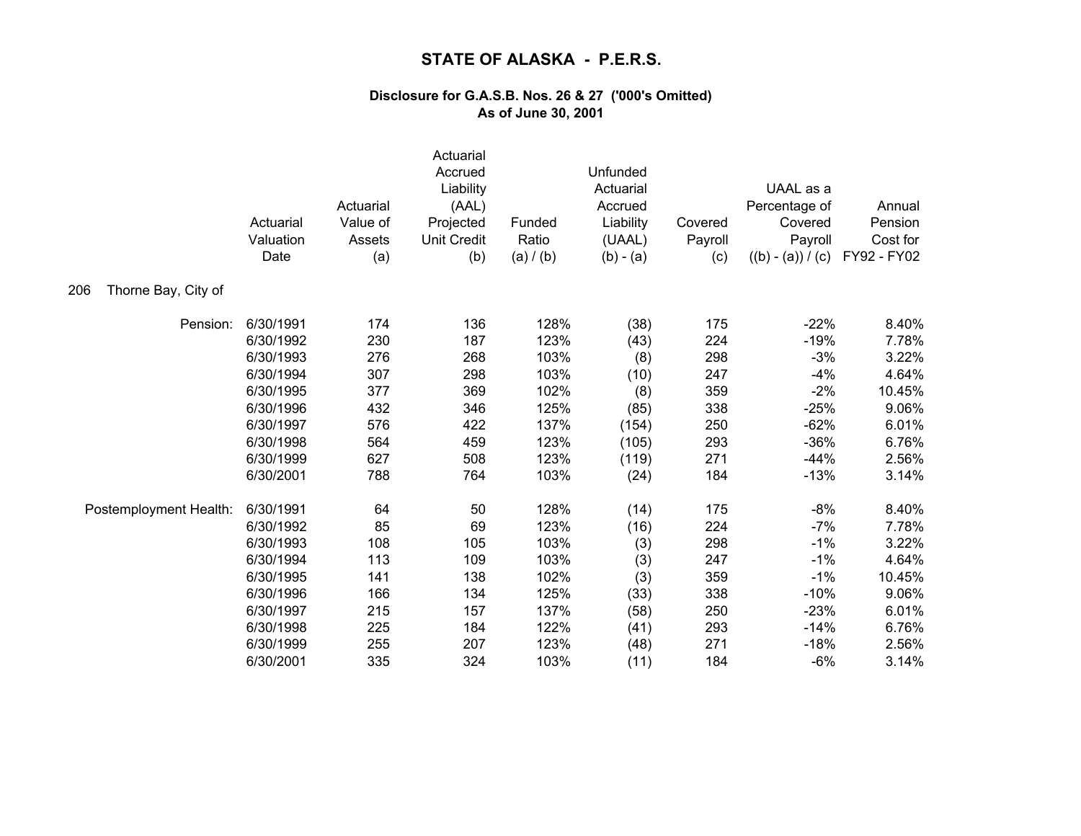|                            | Actuarial<br>Valuation<br>Date | Actuarial<br>Value of<br>Assets<br>(a) | Actuarial<br>Accrued<br>Liability<br>(AAL)<br>Projected<br><b>Unit Credit</b><br>(b) | Funded<br>Ratio<br>(a) / (b) | Unfunded<br>Actuarial<br>Accrued<br>Liability<br>(UAAL)<br>$(b) - (a)$ | Covered<br>Payroll<br>(c) | UAAL as a<br>Percentage of<br>Covered<br>Payroll<br>$((b) - (a)) / (c)$ | Annual<br>Pension<br>Cost for<br>FY92 - FY02 |
|----------------------------|--------------------------------|----------------------------------------|--------------------------------------------------------------------------------------|------------------------------|------------------------------------------------------------------------|---------------------------|-------------------------------------------------------------------------|----------------------------------------------|
| Thorne Bay, City of<br>206 |                                |                                        |                                                                                      |                              |                                                                        |                           |                                                                         |                                              |
| Pension:                   | 6/30/1991                      | 174                                    | 136                                                                                  | 128%                         | (38)                                                                   | 175                       | $-22%$                                                                  | 8.40%                                        |
|                            | 6/30/1992                      | 230                                    | 187                                                                                  | 123%                         | (43)                                                                   | 224                       | $-19%$                                                                  | 7.78%                                        |
|                            | 6/30/1993                      | 276                                    | 268                                                                                  | 103%                         | (8)                                                                    | 298                       | $-3%$                                                                   | 3.22%                                        |
|                            | 6/30/1994                      | 307                                    | 298                                                                                  | 103%                         | (10)                                                                   | 247                       | $-4%$                                                                   | 4.64%                                        |
|                            | 6/30/1995                      | 377                                    | 369                                                                                  | 102%                         | (8)                                                                    | 359                       | $-2%$                                                                   | 10.45%                                       |
|                            | 6/30/1996                      | 432                                    | 346                                                                                  | 125%                         | (85)                                                                   | 338                       | $-25%$                                                                  | 9.06%                                        |
|                            | 6/30/1997                      | 576                                    | 422                                                                                  | 137%                         | (154)                                                                  | 250                       | $-62%$                                                                  | 6.01%                                        |
|                            | 6/30/1998                      | 564                                    | 459                                                                                  | 123%                         | (105)                                                                  | 293                       | $-36%$                                                                  | 6.76%                                        |
|                            | 6/30/1999                      | 627                                    | 508                                                                                  | 123%                         | (119)                                                                  | 271                       | $-44%$                                                                  | 2.56%                                        |
|                            | 6/30/2001                      | 788                                    | 764                                                                                  | 103%                         | (24)                                                                   | 184                       | $-13%$                                                                  | 3.14%                                        |
| Postemployment Health:     | 6/30/1991                      | 64                                     | 50                                                                                   | 128%                         | (14)                                                                   | 175                       | $-8%$                                                                   | 8.40%                                        |
|                            | 6/30/1992                      | 85                                     | 69                                                                                   | 123%                         | (16)                                                                   | 224                       | $-7%$                                                                   | 7.78%                                        |
|                            | 6/30/1993                      | 108                                    | 105                                                                                  | 103%                         | (3)                                                                    | 298                       | $-1%$                                                                   | 3.22%                                        |
|                            | 6/30/1994                      | 113                                    | 109                                                                                  | 103%                         | (3)                                                                    | 247                       | $-1%$                                                                   | 4.64%                                        |
|                            | 6/30/1995                      | 141                                    | 138                                                                                  | 102%                         | (3)                                                                    | 359                       | $-1%$                                                                   | 10.45%                                       |
|                            | 6/30/1996                      | 166                                    | 134                                                                                  | 125%                         | (33)                                                                   | 338                       | $-10%$                                                                  | 9.06%                                        |
|                            | 6/30/1997                      | 215                                    | 157                                                                                  | 137%                         | (58)                                                                   | 250                       | $-23%$                                                                  | 6.01%                                        |
|                            | 6/30/1998                      | 225                                    | 184                                                                                  | 122%                         | (41)                                                                   | 293                       | $-14%$                                                                  | 6.76%                                        |
|                            | 6/30/1999                      | 255                                    | 207                                                                                  | 123%                         | (48)                                                                   | 271                       | $-18%$                                                                  | 2.56%                                        |
|                            | 6/30/2001                      | 335                                    | 324                                                                                  | 103%                         | (11)                                                                   | 184                       | $-6%$                                                                   | 3.14%                                        |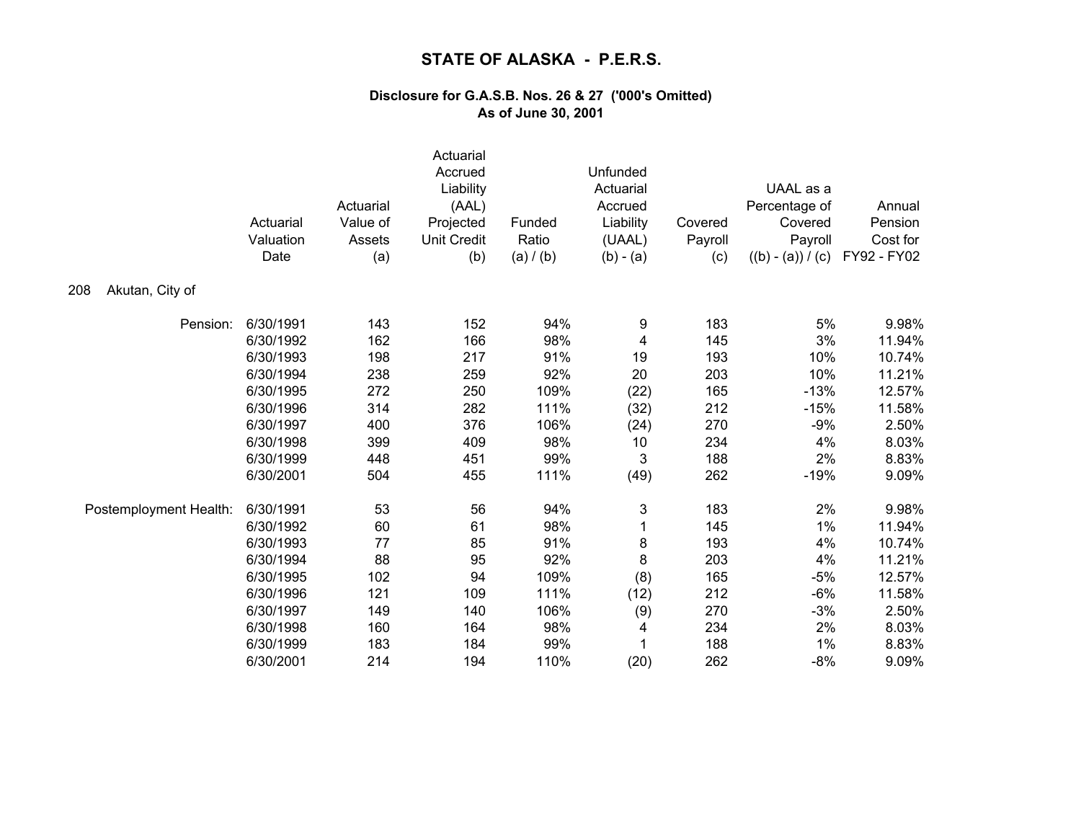|                        | Actuarial<br>Valuation<br>Date | Actuarial<br>Value of<br>Assets<br>(a) | Actuarial<br>Accrued<br>Liability<br>(AAL)<br>Projected<br><b>Unit Credit</b><br>(b) | Funded<br>Ratio<br>(a) / (b) | Unfunded<br>Actuarial<br>Accrued<br>Liability<br>(UAAL)<br>$(b) - (a)$ | Covered<br>Payroll<br>(c) | UAAL as a<br>Percentage of<br>Covered<br>Payroll<br>$((b) - (a)) / (c)$ | Annual<br>Pension<br>Cost for<br>FY92 - FY02 |
|------------------------|--------------------------------|----------------------------------------|--------------------------------------------------------------------------------------|------------------------------|------------------------------------------------------------------------|---------------------------|-------------------------------------------------------------------------|----------------------------------------------|
| Akutan, City of<br>208 |                                |                                        |                                                                                      |                              |                                                                        |                           |                                                                         |                                              |
| Pension:               | 6/30/1991                      | 143                                    | 152                                                                                  | 94%                          | 9                                                                      | 183                       | 5%                                                                      | 9.98%                                        |
|                        | 6/30/1992                      | 162                                    | 166                                                                                  | 98%                          | 4                                                                      | 145                       | 3%                                                                      | 11.94%                                       |
|                        | 6/30/1993                      | 198                                    | 217                                                                                  | 91%                          | 19                                                                     | 193                       | 10%                                                                     | 10.74%                                       |
|                        | 6/30/1994                      | 238                                    | 259                                                                                  | 92%                          | 20                                                                     | 203                       | 10%                                                                     | 11.21%                                       |
|                        | 6/30/1995                      | 272                                    | 250                                                                                  | 109%                         | (22)                                                                   | 165                       | $-13%$                                                                  | 12.57%                                       |
|                        | 6/30/1996                      | 314                                    | 282                                                                                  | 111%                         | (32)                                                                   | 212                       | $-15%$                                                                  | 11.58%                                       |
|                        | 6/30/1997                      | 400                                    | 376                                                                                  | 106%                         | (24)                                                                   | 270                       | $-9%$                                                                   | 2.50%                                        |
|                        | 6/30/1998                      | 399                                    | 409                                                                                  | 98%                          | 10                                                                     | 234                       | 4%                                                                      | 8.03%                                        |
|                        | 6/30/1999                      | 448                                    | 451                                                                                  | 99%                          | 3                                                                      | 188                       | 2%                                                                      | 8.83%                                        |
|                        | 6/30/2001                      | 504                                    | 455                                                                                  | 111%                         | (49)                                                                   | 262                       | $-19%$                                                                  | 9.09%                                        |
| Postemployment Health: | 6/30/1991                      | 53                                     | 56                                                                                   | 94%                          | 3                                                                      | 183                       | 2%                                                                      | 9.98%                                        |
|                        | 6/30/1992                      | 60                                     | 61                                                                                   | 98%                          | 1                                                                      | 145                       | 1%                                                                      | 11.94%                                       |
|                        | 6/30/1993                      | 77                                     | 85                                                                                   | 91%                          | 8                                                                      | 193                       | 4%                                                                      | 10.74%                                       |
|                        | 6/30/1994                      | 88                                     | 95                                                                                   | 92%                          | 8                                                                      | 203                       | 4%                                                                      | 11.21%                                       |
|                        | 6/30/1995                      | 102                                    | 94                                                                                   | 109%                         | (8)                                                                    | 165                       | $-5%$                                                                   | 12.57%                                       |
|                        | 6/30/1996                      | 121                                    | 109                                                                                  | 111%                         | (12)                                                                   | 212                       | $-6%$                                                                   | 11.58%                                       |
|                        | 6/30/1997                      | 149                                    | 140                                                                                  | 106%                         | (9)                                                                    | 270                       | $-3%$                                                                   | 2.50%                                        |
|                        | 6/30/1998                      | 160                                    | 164                                                                                  | 98%                          | 4                                                                      | 234                       | 2%                                                                      | 8.03%                                        |
|                        | 6/30/1999                      | 183                                    | 184                                                                                  | 99%                          |                                                                        | 188                       | 1%                                                                      | 8.83%                                        |
|                        | 6/30/2001                      | 214                                    | 194                                                                                  | 110%                         | (20)                                                                   | 262                       | $-8%$                                                                   | 9.09%                                        |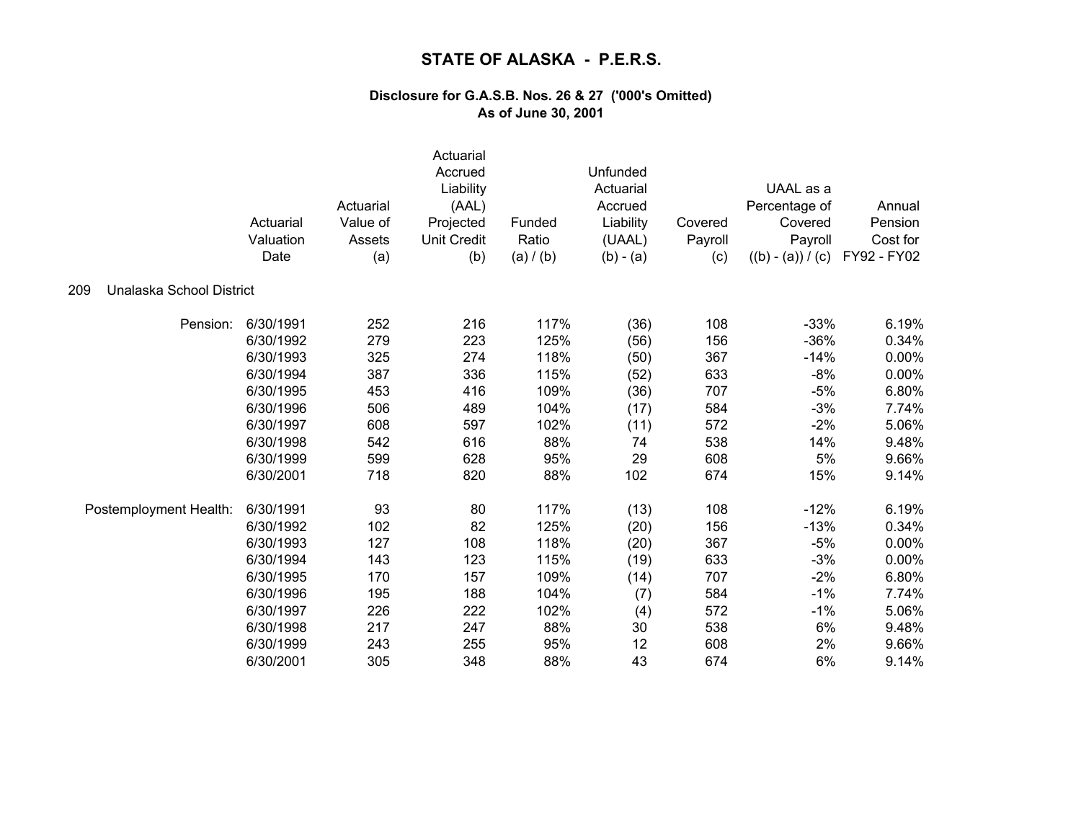|                                 | Actuarial<br>Valuation<br>Date | Actuarial<br>Value of<br>Assets<br>(a) | Actuarial<br>Accrued<br>Liability<br>(AAL)<br>Projected<br><b>Unit Credit</b><br>(b) | Funded<br>Ratio<br>(a) / (b) | Unfunded<br>Actuarial<br>Accrued<br>Liability<br>(UAAL)<br>$(b) - (a)$ | Covered<br>Payroll<br>(c) | UAAL as a<br>Percentage of<br>Covered<br>Payroll<br>$((b) - (a)) / (c)$ | Annual<br>Pension<br>Cost for<br>FY92 - FY02 |
|---------------------------------|--------------------------------|----------------------------------------|--------------------------------------------------------------------------------------|------------------------------|------------------------------------------------------------------------|---------------------------|-------------------------------------------------------------------------|----------------------------------------------|
| Unalaska School District<br>209 |                                |                                        |                                                                                      |                              |                                                                        |                           |                                                                         |                                              |
| Pension:                        | 6/30/1991                      | 252                                    | 216                                                                                  | 117%                         | (36)                                                                   | 108                       | $-33%$                                                                  | 6.19%                                        |
|                                 | 6/30/1992                      | 279                                    | 223                                                                                  | 125%                         | (56)                                                                   | 156                       | $-36%$                                                                  | 0.34%                                        |
|                                 | 6/30/1993                      | 325                                    | 274                                                                                  | 118%                         | (50)                                                                   | 367                       | $-14%$                                                                  | 0.00%                                        |
|                                 | 6/30/1994                      | 387                                    | 336                                                                                  | 115%                         | (52)                                                                   | 633                       | $-8%$                                                                   | 0.00%                                        |
|                                 | 6/30/1995                      | 453                                    | 416                                                                                  | 109%                         | (36)                                                                   | 707                       | $-5%$                                                                   | 6.80%                                        |
|                                 | 6/30/1996                      | 506                                    | 489                                                                                  | 104%                         | (17)                                                                   | 584                       | $-3%$                                                                   | 7.74%                                        |
|                                 | 6/30/1997                      | 608                                    | 597                                                                                  | 102%                         | (11)                                                                   | 572                       | $-2%$                                                                   | 5.06%                                        |
|                                 | 6/30/1998                      | 542                                    | 616                                                                                  | 88%                          | 74                                                                     | 538                       | 14%                                                                     | 9.48%                                        |
|                                 | 6/30/1999                      | 599                                    | 628                                                                                  | 95%                          | 29                                                                     | 608                       | 5%                                                                      | 9.66%                                        |
|                                 | 6/30/2001                      | 718                                    | 820                                                                                  | 88%                          | 102                                                                    | 674                       | 15%                                                                     | 9.14%                                        |
| Postemployment Health:          | 6/30/1991                      | 93                                     | 80                                                                                   | 117%                         | (13)                                                                   | 108                       | $-12%$                                                                  | 6.19%                                        |
|                                 | 6/30/1992                      | 102                                    | 82                                                                                   | 125%                         | (20)                                                                   | 156                       | $-13%$                                                                  | 0.34%                                        |
|                                 | 6/30/1993                      | 127                                    | 108                                                                                  | 118%                         | (20)                                                                   | 367                       | $-5%$                                                                   | 0.00%                                        |
|                                 | 6/30/1994                      | 143                                    | 123                                                                                  | 115%                         | (19)                                                                   | 633                       | $-3%$                                                                   | 0.00%                                        |
|                                 | 6/30/1995                      | 170                                    | 157                                                                                  | 109%                         | (14)                                                                   | 707                       | $-2%$                                                                   | 6.80%                                        |
|                                 | 6/30/1996                      | 195                                    | 188                                                                                  | 104%                         | (7)                                                                    | 584                       | $-1%$                                                                   | 7.74%                                        |
|                                 | 6/30/1997                      | 226                                    | 222                                                                                  | 102%                         | (4)                                                                    | 572                       | $-1%$                                                                   | 5.06%                                        |
|                                 | 6/30/1998                      | 217                                    | 247                                                                                  | 88%                          | 30                                                                     | 538                       | 6%                                                                      | 9.48%                                        |
|                                 | 6/30/1999                      | 243                                    | 255                                                                                  | 95%                          | 12                                                                     | 608                       | 2%                                                                      | 9.66%                                        |
|                                 | 6/30/2001                      | 305                                    | 348                                                                                  | 88%                          | 43                                                                     | 674                       | 6%                                                                      | 9.14%                                        |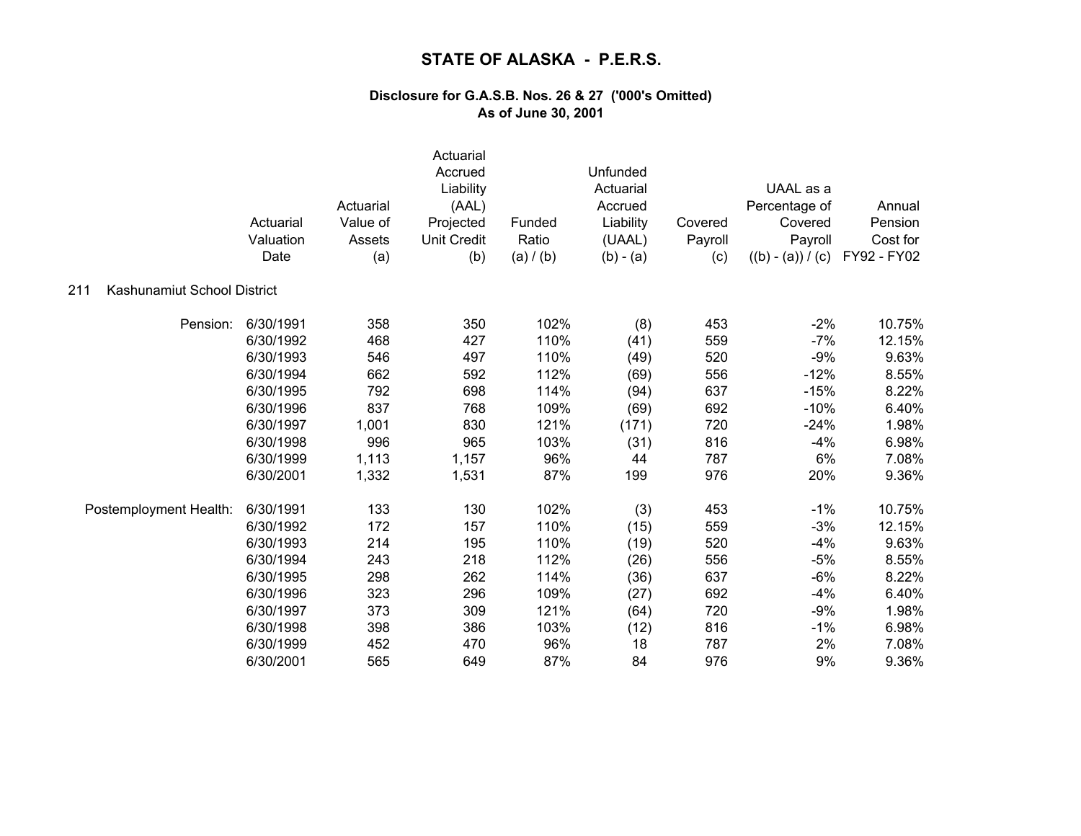|                                    | Actuarial<br>Valuation<br>Date | Actuarial<br>Value of<br>Assets<br>(a) | Actuarial<br>Accrued<br>Liability<br>(AAL)<br>Projected<br><b>Unit Credit</b><br>(b) | Funded<br>Ratio<br>(a) / (b) | Unfunded<br>Actuarial<br>Accrued<br>Liability<br>(UAAL)<br>$(b) - (a)$ | Covered<br>Payroll<br>(c) | UAAL as a<br>Percentage of<br>Covered<br>Payroll<br>$((b) - (a)) / (c)$ | Annual<br>Pension<br>Cost for<br>FY92 - FY02 |
|------------------------------------|--------------------------------|----------------------------------------|--------------------------------------------------------------------------------------|------------------------------|------------------------------------------------------------------------|---------------------------|-------------------------------------------------------------------------|----------------------------------------------|
| Kashunamiut School District<br>211 |                                |                                        |                                                                                      |                              |                                                                        |                           |                                                                         |                                              |
| Pension:                           | 6/30/1991                      | 358                                    | 350                                                                                  | 102%                         | (8)                                                                    | 453                       | $-2%$                                                                   | 10.75%                                       |
|                                    | 6/30/1992                      | 468                                    | 427                                                                                  | 110%                         | (41)                                                                   | 559                       | $-7%$                                                                   | 12.15%                                       |
|                                    | 6/30/1993                      | 546                                    | 497                                                                                  | 110%                         | (49)                                                                   | 520                       | $-9%$                                                                   | 9.63%                                        |
|                                    | 6/30/1994                      | 662                                    | 592                                                                                  | 112%                         | (69)                                                                   | 556                       | $-12%$                                                                  | 8.55%                                        |
|                                    | 6/30/1995                      | 792                                    | 698                                                                                  | 114%                         | (94)                                                                   | 637                       | $-15%$                                                                  | 8.22%                                        |
|                                    | 6/30/1996                      | 837                                    | 768                                                                                  | 109%                         | (69)                                                                   | 692                       | $-10%$                                                                  | 6.40%                                        |
|                                    | 6/30/1997                      | 1,001                                  | 830                                                                                  | 121%                         | (171)                                                                  | 720                       | $-24%$                                                                  | 1.98%                                        |
|                                    | 6/30/1998                      | 996                                    | 965                                                                                  | 103%                         | (31)                                                                   | 816                       | $-4%$                                                                   | 6.98%                                        |
|                                    | 6/30/1999                      | 1,113                                  | 1,157                                                                                | 96%                          | 44                                                                     | 787                       | 6%                                                                      | 7.08%                                        |
|                                    | 6/30/2001                      | 1,332                                  | 1,531                                                                                | 87%                          | 199                                                                    | 976                       | 20%                                                                     | 9.36%                                        |
| Postemployment Health:             | 6/30/1991                      | 133                                    | 130                                                                                  | 102%                         | (3)                                                                    | 453                       | $-1%$                                                                   | 10.75%                                       |
|                                    | 6/30/1992                      | 172                                    | 157                                                                                  | 110%                         | (15)                                                                   | 559                       | $-3%$                                                                   | 12.15%                                       |
|                                    | 6/30/1993                      | 214                                    | 195                                                                                  | 110%                         | (19)                                                                   | 520                       | $-4%$                                                                   | 9.63%                                        |
|                                    | 6/30/1994                      | 243                                    | 218                                                                                  | 112%                         | (26)                                                                   | 556                       | $-5%$                                                                   | 8.55%                                        |
|                                    | 6/30/1995                      | 298                                    | 262                                                                                  | 114%                         | (36)                                                                   | 637                       | $-6%$                                                                   | 8.22%                                        |
|                                    | 6/30/1996                      | 323                                    | 296                                                                                  | 109%                         | (27)                                                                   | 692                       | $-4%$                                                                   | 6.40%                                        |
|                                    | 6/30/1997                      | 373                                    | 309                                                                                  | 121%                         | (64)                                                                   | 720                       | $-9%$                                                                   | 1.98%                                        |
|                                    | 6/30/1998                      | 398                                    | 386                                                                                  | 103%                         | (12)                                                                   | 816                       | $-1%$                                                                   | 6.98%                                        |
|                                    | 6/30/1999                      | 452                                    | 470                                                                                  | 96%                          | 18                                                                     | 787                       | 2%                                                                      | 7.08%                                        |
|                                    | 6/30/2001                      | 565                                    | 649                                                                                  | 87%                          | 84                                                                     | 976                       | 9%                                                                      | 9.36%                                        |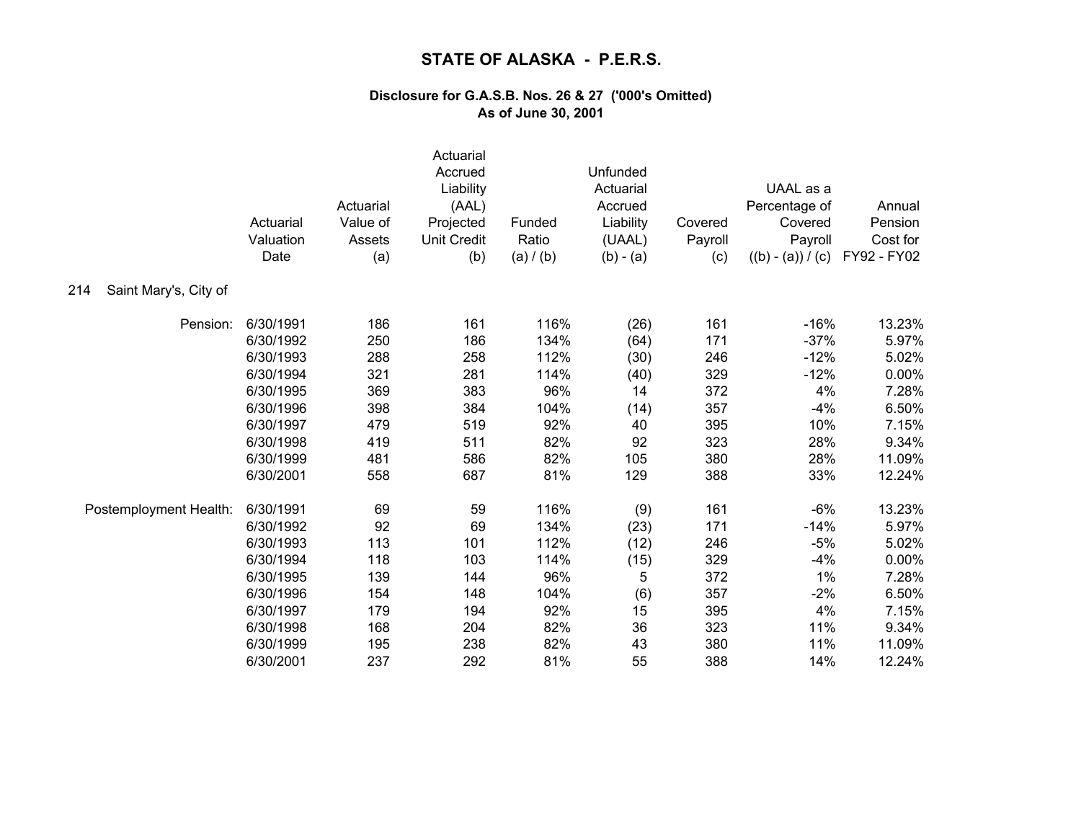|                              | Actuarial<br>Valuation<br>Date | Actuarial<br>Value of<br>Assets<br>(a) | Actuarial<br>Accrued<br>Liability<br>(AAL)<br>Projected<br><b>Unit Credit</b><br>(b) | Funded<br>Ratio<br>(a) / (b) | Unfunded<br>Actuarial<br>Accrued<br>Liability<br>(UAAL)<br>$(b) - (a)$ | Covered<br>Payroll<br>(c) | UAAL as a<br>Percentage of<br>Covered<br>Payroll<br>$((b) - (a)) / (c)$ | Annual<br>Pension<br>Cost for<br>FY92 - FY02 |
|------------------------------|--------------------------------|----------------------------------------|--------------------------------------------------------------------------------------|------------------------------|------------------------------------------------------------------------|---------------------------|-------------------------------------------------------------------------|----------------------------------------------|
| Saint Mary's, City of<br>214 |                                |                                        |                                                                                      |                              |                                                                        |                           |                                                                         |                                              |
| Pension:                     | 6/30/1991                      | 186                                    | 161                                                                                  | 116%                         | (26)                                                                   | 161                       | $-16%$                                                                  | 13.23%                                       |
|                              | 6/30/1992                      | 250                                    | 186                                                                                  | 134%                         | (64)                                                                   | 171                       | $-37%$                                                                  | 5.97%                                        |
|                              | 6/30/1993                      | 288                                    | 258                                                                                  | 112%                         | (30)                                                                   | 246                       | $-12%$                                                                  | 5.02%                                        |
|                              | 6/30/1994                      | 321                                    | 281                                                                                  | 114%                         | (40)                                                                   | 329                       | $-12%$                                                                  | 0.00%                                        |
|                              | 6/30/1995                      | 369                                    | 383                                                                                  | 96%                          | 14                                                                     | 372                       | 4%                                                                      | 7.28%                                        |
|                              | 6/30/1996                      | 398                                    | 384                                                                                  | 104%                         | (14)                                                                   | 357                       | $-4%$                                                                   | 6.50%                                        |
|                              | 6/30/1997                      | 479                                    | 519                                                                                  | 92%                          | 40                                                                     | 395                       | 10%                                                                     | 7.15%                                        |
|                              | 6/30/1998                      | 419                                    | 511                                                                                  | 82%                          | 92                                                                     | 323                       | 28%                                                                     | 9.34%                                        |
|                              | 6/30/1999                      | 481                                    | 586                                                                                  | 82%                          | 105                                                                    | 380                       | 28%                                                                     | 11.09%                                       |
|                              | 6/30/2001                      | 558                                    | 687                                                                                  | 81%                          | 129                                                                    | 388                       | 33%                                                                     | 12.24%                                       |
| Postemployment Health:       | 6/30/1991                      | 69                                     | 59                                                                                   | 116%                         | (9)                                                                    | 161                       | $-6%$                                                                   | 13.23%                                       |
|                              | 6/30/1992                      | 92                                     | 69                                                                                   | 134%                         | (23)                                                                   | 171                       | $-14%$                                                                  | 5.97%                                        |
|                              | 6/30/1993                      | 113                                    | 101                                                                                  | 112%                         | (12)                                                                   | 246                       | $-5%$                                                                   | 5.02%                                        |
|                              | 6/30/1994                      | 118                                    | 103                                                                                  | 114%                         | (15)                                                                   | 329                       | $-4%$                                                                   | 0.00%                                        |
|                              | 6/30/1995                      | 139                                    | 144                                                                                  | 96%                          | 5                                                                      | 372                       | 1%                                                                      | 7.28%                                        |
|                              | 6/30/1996                      | 154                                    | 148                                                                                  | 104%                         | (6)                                                                    | 357                       | $-2%$                                                                   | 6.50%                                        |
|                              | 6/30/1997                      | 179                                    | 194                                                                                  | 92%                          | 15                                                                     | 395                       | 4%                                                                      | 7.15%                                        |
|                              | 6/30/1998                      | 168                                    | 204                                                                                  | 82%                          | 36                                                                     | 323                       | 11%                                                                     | 9.34%                                        |
|                              | 6/30/1999                      | 195                                    | 238                                                                                  | 82%                          | 43                                                                     | 380                       | 11%                                                                     | 11.09%                                       |
|                              | 6/30/2001                      | 237                                    | 292                                                                                  | 81%                          | 55                                                                     | 388                       | 14%                                                                     | 12.24%                                       |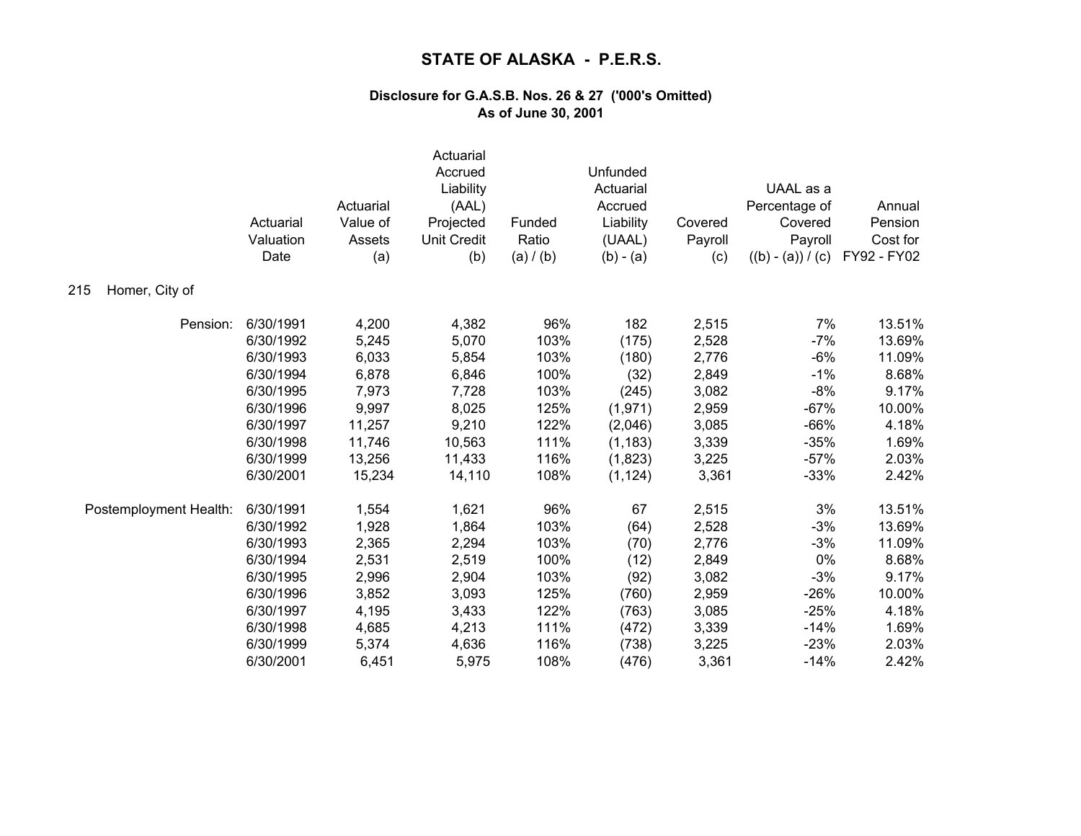|                        | Actuarial<br>Valuation<br>Date | Actuarial<br>Value of<br>Assets<br>(a) | Actuarial<br>Accrued<br>Liability<br>(AAL)<br>Projected<br><b>Unit Credit</b><br>(b) | Funded<br>Ratio<br>(a) / (b) | Unfunded<br>Actuarial<br>Accrued<br>Liability<br>(UAAL)<br>$(b) - (a)$ | Covered<br>Payroll<br>(c) | UAAL as a<br>Percentage of<br>Covered<br>Payroll<br>$((b) - (a)) / (c)$ | Annual<br>Pension<br>Cost for<br>FY92 - FY02 |
|------------------------|--------------------------------|----------------------------------------|--------------------------------------------------------------------------------------|------------------------------|------------------------------------------------------------------------|---------------------------|-------------------------------------------------------------------------|----------------------------------------------|
| Homer, City of<br>215  |                                |                                        |                                                                                      |                              |                                                                        |                           |                                                                         |                                              |
| Pension:               | 6/30/1991                      | 4,200                                  | 4,382                                                                                | 96%                          | 182                                                                    | 2,515                     | 7%                                                                      | 13.51%                                       |
|                        | 6/30/1992                      | 5,245                                  | 5,070                                                                                | 103%                         | (175)                                                                  | 2,528                     | $-7%$                                                                   | 13.69%                                       |
|                        | 6/30/1993                      | 6,033                                  | 5,854                                                                                | 103%                         | (180)                                                                  | 2,776                     | $-6%$                                                                   | 11.09%                                       |
|                        | 6/30/1994                      | 6,878                                  | 6,846                                                                                | 100%                         | (32)                                                                   | 2,849                     | $-1%$                                                                   | 8.68%                                        |
|                        | 6/30/1995                      | 7,973                                  | 7,728                                                                                | 103%                         | (245)                                                                  | 3,082                     | $-8%$                                                                   | 9.17%                                        |
|                        | 6/30/1996                      | 9,997                                  | 8,025                                                                                | 125%                         | (1,971)                                                                | 2,959                     | $-67%$                                                                  | 10.00%                                       |
|                        | 6/30/1997                      | 11,257                                 | 9,210                                                                                | 122%                         | (2,046)                                                                | 3,085                     | $-66%$                                                                  | 4.18%                                        |
|                        | 6/30/1998                      | 11,746                                 | 10,563                                                                               | 111%                         | (1, 183)                                                               | 3,339                     | $-35%$                                                                  | 1.69%                                        |
|                        | 6/30/1999                      | 13,256                                 | 11,433                                                                               | 116%                         | (1,823)                                                                | 3,225                     | $-57%$                                                                  | 2.03%                                        |
|                        | 6/30/2001                      | 15,234                                 | 14,110                                                                               | 108%                         | (1, 124)                                                               | 3,361                     | $-33%$                                                                  | 2.42%                                        |
| Postemployment Health: | 6/30/1991                      | 1,554                                  | 1,621                                                                                | 96%                          | 67                                                                     | 2,515                     | 3%                                                                      | 13.51%                                       |
|                        | 6/30/1992                      | 1,928                                  | 1,864                                                                                | 103%                         | (64)                                                                   | 2,528                     | $-3%$                                                                   | 13.69%                                       |
|                        | 6/30/1993                      | 2,365                                  | 2,294                                                                                | 103%                         | (70)                                                                   | 2,776                     | $-3%$                                                                   | 11.09%                                       |
|                        | 6/30/1994                      | 2,531                                  | 2,519                                                                                | 100%                         | (12)                                                                   | 2,849                     | 0%                                                                      | 8.68%                                        |
|                        | 6/30/1995                      | 2,996                                  | 2,904                                                                                | 103%                         | (92)                                                                   | 3,082                     | $-3%$                                                                   | 9.17%                                        |
|                        | 6/30/1996                      | 3,852                                  | 3,093                                                                                | 125%                         | (760)                                                                  | 2,959                     | $-26%$                                                                  | 10.00%                                       |
|                        | 6/30/1997                      | 4,195                                  | 3,433                                                                                | 122%                         | (763)                                                                  | 3,085                     | $-25%$                                                                  | 4.18%                                        |
|                        | 6/30/1998                      | 4,685                                  | 4,213                                                                                | 111%                         | (472)                                                                  | 3,339                     | $-14%$                                                                  | 1.69%                                        |
|                        | 6/30/1999                      | 5,374                                  | 4,636                                                                                | 116%                         | (738)                                                                  | 3,225                     | $-23%$                                                                  | 2.03%                                        |
|                        | 6/30/2001                      | 6,451                                  | 5,975                                                                                | 108%                         | (476)                                                                  | 3,361                     | $-14%$                                                                  | 2.42%                                        |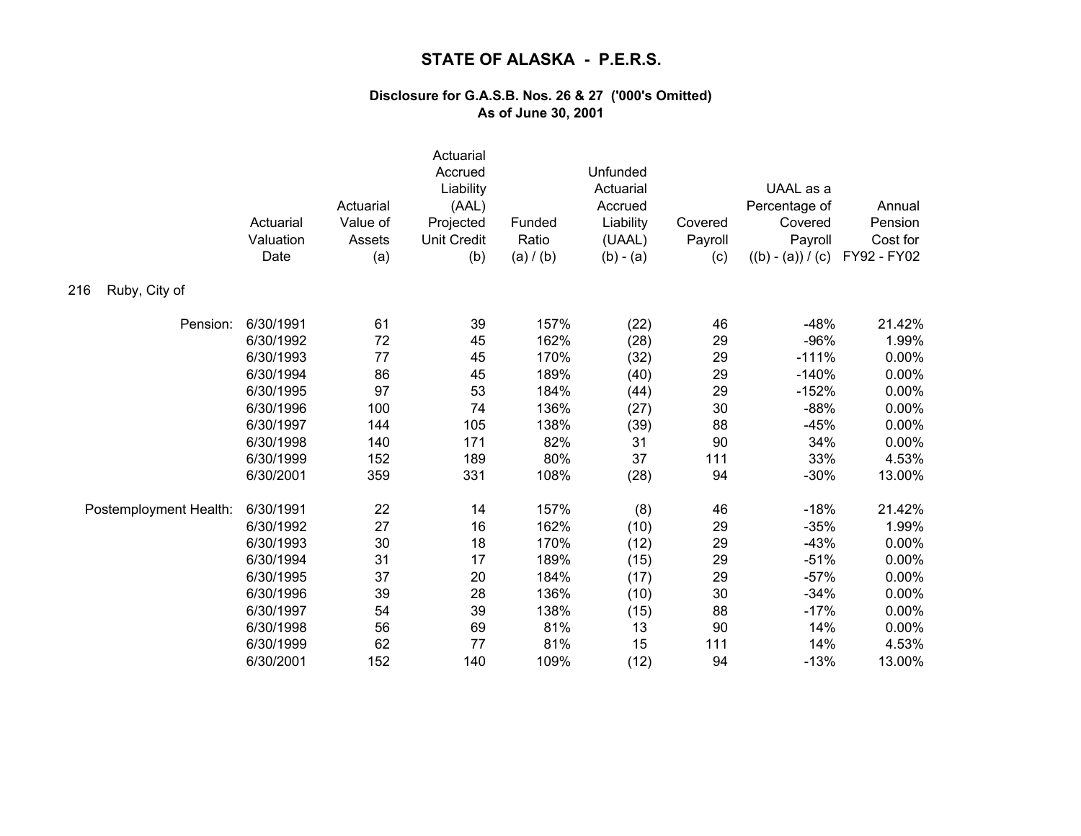| Ruby, City of<br>216   | Actuarial<br>Valuation<br>Date | Actuarial<br>Value of<br>Assets<br>(a) | Actuarial<br>Accrued<br>Liability<br>(AAL)<br>Projected<br><b>Unit Credit</b><br>(b) | Funded<br>Ratio<br>(a) / (b) | Unfunded<br>Actuarial<br>Accrued<br>Liability<br>(UAAL)<br>$(b) - (a)$ | Covered<br>Payroll<br>(c) | UAAL as a<br>Percentage of<br>Covered<br>Payroll<br>$((b) - (a)) / (c)$ | Annual<br>Pension<br>Cost for<br>FY92 - FY02 |
|------------------------|--------------------------------|----------------------------------------|--------------------------------------------------------------------------------------|------------------------------|------------------------------------------------------------------------|---------------------------|-------------------------------------------------------------------------|----------------------------------------------|
|                        |                                |                                        |                                                                                      |                              |                                                                        |                           |                                                                         |                                              |
| Pension:               | 6/30/1991                      | 61                                     | 39                                                                                   | 157%                         | (22)                                                                   | 46                        | $-48%$                                                                  | 21.42%                                       |
|                        | 6/30/1992                      | 72                                     | 45                                                                                   | 162%                         | (28)                                                                   | 29                        | $-96%$                                                                  | 1.99%                                        |
|                        | 6/30/1993                      | 77                                     | 45                                                                                   | 170%                         | (32)                                                                   | 29                        | $-111%$                                                                 | 0.00%                                        |
|                        | 6/30/1994                      | 86                                     | 45                                                                                   | 189%                         | (40)                                                                   | 29                        | $-140%$                                                                 | 0.00%                                        |
|                        | 6/30/1995                      | 97                                     | 53                                                                                   | 184%                         | (44)                                                                   | 29                        | $-152%$                                                                 | 0.00%                                        |
|                        | 6/30/1996                      | 100                                    | 74                                                                                   | 136%                         | (27)                                                                   | 30                        | $-88%$                                                                  | 0.00%                                        |
|                        | 6/30/1997                      | 144                                    | 105                                                                                  | 138%                         | (39)                                                                   | 88                        | $-45%$                                                                  | 0.00%                                        |
|                        | 6/30/1998                      | 140                                    | 171                                                                                  | 82%                          | 31                                                                     | 90                        | 34%                                                                     | 0.00%                                        |
|                        | 6/30/1999                      | 152                                    | 189                                                                                  | 80%                          | 37                                                                     | 111                       | 33%                                                                     | 4.53%                                        |
|                        | 6/30/2001                      | 359                                    | 331                                                                                  | 108%                         | (28)                                                                   | 94                        | $-30%$                                                                  | 13.00%                                       |
| Postemployment Health: | 6/30/1991                      | 22                                     | 14                                                                                   | 157%                         | (8)                                                                    | 46                        | $-18%$                                                                  | 21.42%                                       |
|                        | 6/30/1992                      | 27                                     | 16                                                                                   | 162%                         | (10)                                                                   | 29                        | $-35%$                                                                  | 1.99%                                        |
|                        | 6/30/1993                      | 30                                     | 18                                                                                   | 170%                         | (12)                                                                   | 29                        | $-43%$                                                                  | 0.00%                                        |
|                        | 6/30/1994                      | 31                                     | 17                                                                                   | 189%                         | (15)                                                                   | 29                        | $-51%$                                                                  | 0.00%                                        |
|                        | 6/30/1995                      | 37                                     | 20                                                                                   | 184%                         | (17)                                                                   | 29                        | $-57%$                                                                  | 0.00%                                        |
|                        | 6/30/1996                      | 39                                     | 28                                                                                   | 136%                         | (10)                                                                   | 30                        | $-34%$                                                                  | 0.00%                                        |
|                        | 6/30/1997                      | 54                                     | 39                                                                                   | 138%                         | (15)                                                                   | 88                        | $-17%$                                                                  | 0.00%                                        |
|                        | 6/30/1998                      | 56                                     | 69                                                                                   | 81%                          | 13                                                                     | 90                        | 14%                                                                     | 0.00%                                        |
|                        | 6/30/1999                      | 62                                     | 77                                                                                   | 81%                          | 15                                                                     | 111                       | 14%                                                                     | 4.53%                                        |
|                        | 6/30/2001                      | 152                                    | 140                                                                                  | 109%                         | (12)                                                                   | 94                        | $-13%$                                                                  | 13.00%                                       |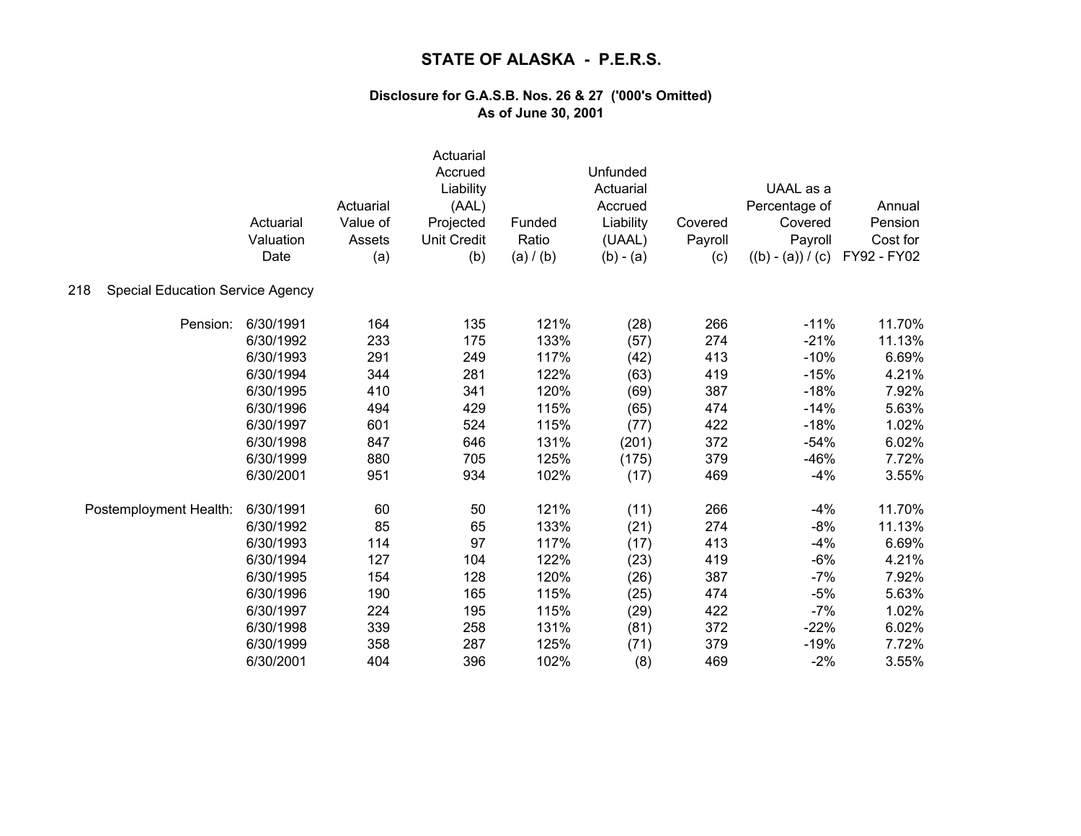|                                                | Actuarial<br>Valuation<br>Date | Actuarial<br>Value of<br>Assets<br>(a) | Actuarial<br>Accrued<br>Liability<br>(AAL)<br>Projected<br><b>Unit Credit</b><br>(b) | Funded<br>Ratio<br>(a) / (b) | Unfunded<br>Actuarial<br>Accrued<br>Liability<br>(UAAL)<br>$(b) - (a)$ | Covered<br>Payroll<br>(c) | UAAL as a<br>Percentage of<br>Covered<br>Payroll<br>$((b) - (a)) / (c)$ | Annual<br>Pension<br>Cost for<br>FY92 - FY02 |
|------------------------------------------------|--------------------------------|----------------------------------------|--------------------------------------------------------------------------------------|------------------------------|------------------------------------------------------------------------|---------------------------|-------------------------------------------------------------------------|----------------------------------------------|
| <b>Special Education Service Agency</b><br>218 |                                |                                        |                                                                                      |                              |                                                                        |                           |                                                                         |                                              |
| Pension:                                       | 6/30/1991                      | 164                                    | 135                                                                                  | 121%                         | (28)                                                                   | 266                       | $-11%$                                                                  | 11.70%                                       |
|                                                | 6/30/1992                      | 233                                    | 175                                                                                  | 133%                         | (57)                                                                   | 274                       | $-21%$                                                                  | 11.13%                                       |
|                                                | 6/30/1993                      | 291                                    | 249                                                                                  | 117%                         | (42)                                                                   | 413                       | $-10%$                                                                  | 6.69%                                        |
|                                                | 6/30/1994                      | 344                                    | 281                                                                                  | 122%                         | (63)                                                                   | 419                       | $-15%$                                                                  | 4.21%                                        |
|                                                | 6/30/1995                      | 410                                    | 341                                                                                  | 120%                         | (69)                                                                   | 387                       | $-18%$                                                                  | 7.92%                                        |
|                                                | 6/30/1996                      | 494                                    | 429                                                                                  | 115%                         | (65)                                                                   | 474                       | $-14%$                                                                  | 5.63%                                        |
|                                                | 6/30/1997                      | 601                                    | 524                                                                                  | 115%                         | (77)                                                                   | 422                       | $-18%$                                                                  | 1.02%                                        |
|                                                | 6/30/1998                      | 847                                    | 646                                                                                  | 131%                         | (201)                                                                  | 372                       | $-54%$                                                                  | 6.02%                                        |
|                                                | 6/30/1999                      | 880                                    | 705                                                                                  | 125%                         | (175)                                                                  | 379                       | $-46%$                                                                  | 7.72%                                        |
|                                                | 6/30/2001                      | 951                                    | 934                                                                                  | 102%                         | (17)                                                                   | 469                       | $-4%$                                                                   | 3.55%                                        |
| Postemployment Health:                         | 6/30/1991                      | 60                                     | 50                                                                                   | 121%                         | (11)                                                                   | 266                       | $-4%$                                                                   | 11.70%                                       |
|                                                | 6/30/1992                      | 85                                     | 65                                                                                   | 133%                         | (21)                                                                   | 274                       | $-8%$                                                                   | 11.13%                                       |
|                                                | 6/30/1993                      | 114                                    | 97                                                                                   | 117%                         | (17)                                                                   | 413                       | $-4%$                                                                   | 6.69%                                        |
|                                                | 6/30/1994                      | 127                                    | 104                                                                                  | 122%                         | (23)                                                                   | 419                       | $-6%$                                                                   | 4.21%                                        |
|                                                | 6/30/1995                      | 154                                    | 128                                                                                  | 120%                         | (26)                                                                   | 387                       | $-7%$                                                                   | 7.92%                                        |
|                                                | 6/30/1996                      | 190                                    | 165                                                                                  | 115%                         | (25)                                                                   | 474                       | $-5%$                                                                   | 5.63%                                        |
|                                                | 6/30/1997                      | 224                                    | 195                                                                                  | 115%                         | (29)                                                                   | 422                       | $-7%$                                                                   | 1.02%                                        |
|                                                | 6/30/1998                      | 339                                    | 258                                                                                  | 131%                         | (81)                                                                   | 372                       | $-22%$                                                                  | 6.02%                                        |
|                                                | 6/30/1999                      | 358                                    | 287                                                                                  | 125%                         | (71)                                                                   | 379                       | $-19%$                                                                  | 7.72%                                        |
|                                                | 6/30/2001                      | 404                                    | 396                                                                                  | 102%                         | (8)                                                                    | 469                       | $-2%$                                                                   | 3.55%                                        |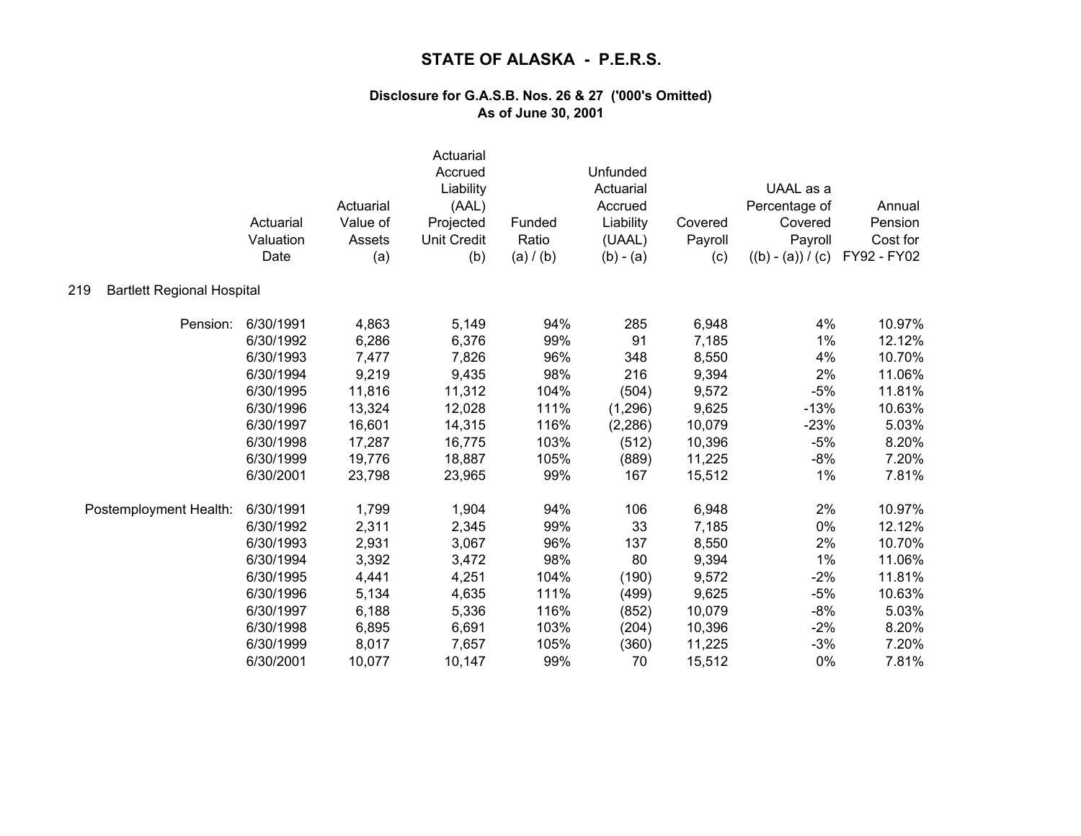|                                          | Actuarial<br>Valuation<br>Date | Actuarial<br>Value of<br>Assets<br>(a) | Actuarial<br>Accrued<br>Liability<br>(AAL)<br>Projected<br><b>Unit Credit</b><br>(b) | Funded<br>Ratio<br>(a) / (b) | Unfunded<br>Actuarial<br>Accrued<br>Liability<br>(UAAL)<br>$(b) - (a)$ | Covered<br>Payroll<br>(c) | UAAL as a<br>Percentage of<br>Covered<br>Payroll<br>$((b) - (a)) / (c)$ | Annual<br>Pension<br>Cost for<br>FY92 - FY02 |
|------------------------------------------|--------------------------------|----------------------------------------|--------------------------------------------------------------------------------------|------------------------------|------------------------------------------------------------------------|---------------------------|-------------------------------------------------------------------------|----------------------------------------------|
| <b>Bartlett Regional Hospital</b><br>219 |                                |                                        |                                                                                      |                              |                                                                        |                           |                                                                         |                                              |
| Pension:                                 | 6/30/1991                      | 4,863                                  | 5,149                                                                                | 94%                          | 285                                                                    | 6,948                     | 4%                                                                      | 10.97%                                       |
|                                          | 6/30/1992                      | 6,286                                  | 6,376                                                                                | 99%                          | 91                                                                     | 7,185                     | 1%                                                                      | 12.12%                                       |
|                                          | 6/30/1993                      | 7,477                                  | 7,826                                                                                | 96%                          | 348                                                                    | 8,550                     | 4%                                                                      | 10.70%                                       |
|                                          | 6/30/1994                      | 9,219                                  | 9,435                                                                                | 98%                          | 216                                                                    | 9,394                     | 2%                                                                      | 11.06%                                       |
|                                          | 6/30/1995                      | 11,816                                 | 11,312                                                                               | 104%                         | (504)                                                                  | 9,572                     | $-5%$                                                                   | 11.81%                                       |
|                                          | 6/30/1996                      | 13,324                                 | 12,028                                                                               | 111%                         | (1, 296)                                                               | 9,625                     | $-13%$                                                                  | 10.63%                                       |
|                                          | 6/30/1997                      | 16,601                                 | 14,315                                                                               | 116%                         | (2, 286)                                                               | 10,079                    | $-23%$                                                                  | 5.03%                                        |
|                                          | 6/30/1998                      | 17,287                                 | 16,775                                                                               | 103%                         | (512)                                                                  | 10,396                    | $-5%$                                                                   | 8.20%                                        |
|                                          | 6/30/1999                      | 19,776                                 | 18,887                                                                               | 105%                         | (889)                                                                  | 11,225                    | $-8%$                                                                   | 7.20%                                        |
|                                          | 6/30/2001                      | 23,798                                 | 23,965                                                                               | 99%                          | 167                                                                    | 15,512                    | 1%                                                                      | 7.81%                                        |
| Postemployment Health:                   | 6/30/1991                      | 1,799                                  | 1,904                                                                                | 94%                          | 106                                                                    | 6,948                     | 2%                                                                      | 10.97%                                       |
|                                          | 6/30/1992                      | 2,311                                  | 2,345                                                                                | 99%                          | 33                                                                     | 7,185                     | 0%                                                                      | 12.12%                                       |
|                                          | 6/30/1993                      | 2,931                                  | 3,067                                                                                | 96%                          | 137                                                                    | 8,550                     | 2%                                                                      | 10.70%                                       |
|                                          | 6/30/1994                      | 3,392                                  | 3,472                                                                                | 98%                          | 80                                                                     | 9,394                     | 1%                                                                      | 11.06%                                       |
|                                          | 6/30/1995                      | 4,441                                  | 4,251                                                                                | 104%                         | (190)                                                                  | 9,572                     | $-2%$                                                                   | 11.81%                                       |
|                                          | 6/30/1996                      | 5,134                                  | 4,635                                                                                | 111%                         | (499)                                                                  | 9,625                     | $-5%$                                                                   | 10.63%                                       |
|                                          | 6/30/1997                      | 6,188                                  | 5,336                                                                                | 116%                         | (852)                                                                  | 10,079                    | $-8%$                                                                   | 5.03%                                        |
|                                          | 6/30/1998                      | 6,895                                  | 6,691                                                                                | 103%                         | (204)                                                                  | 10,396                    | $-2%$                                                                   | 8.20%                                        |
|                                          | 6/30/1999                      | 8,017                                  | 7,657                                                                                | 105%                         | (360)                                                                  | 11,225                    | $-3%$                                                                   | 7.20%                                        |
|                                          | 6/30/2001                      | 10,077                                 | 10,147                                                                               | 99%                          | 70                                                                     | 15,512                    | 0%                                                                      | 7.81%                                        |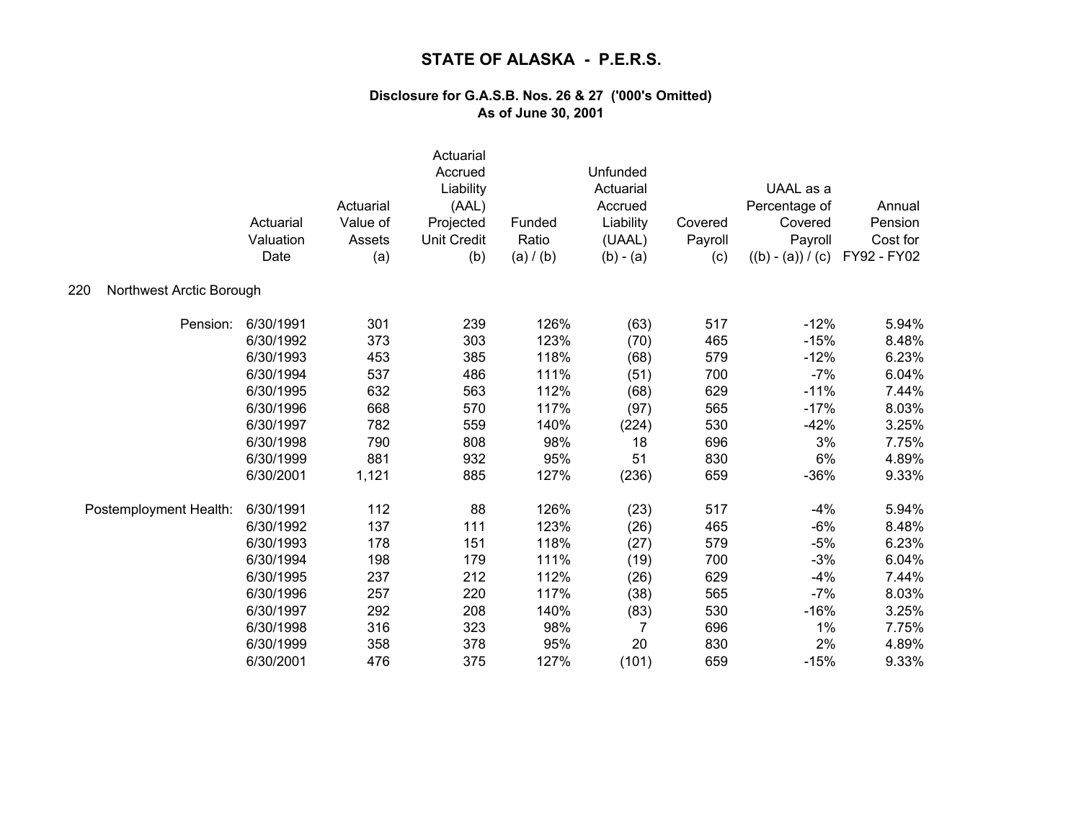|                                 | Actuarial<br>Valuation<br>Date | Actuarial<br>Value of<br>Assets<br>(a) | Actuarial<br>Accrued<br>Liability<br>(AAL)<br>Projected<br><b>Unit Credit</b><br>(b) | Funded<br>Ratio<br>(a) / (b) | Unfunded<br>Actuarial<br>Accrued<br>Liability<br>(UAAL)<br>$(b) - (a)$ | Covered<br>Payroll<br>(c) | UAAL as a<br>Percentage of<br>Covered<br>Payroll<br>$((b) - (a)) / (c)$ | Annual<br>Pension<br>Cost for<br>FY92 - FY02 |
|---------------------------------|--------------------------------|----------------------------------------|--------------------------------------------------------------------------------------|------------------------------|------------------------------------------------------------------------|---------------------------|-------------------------------------------------------------------------|----------------------------------------------|
| 220<br>Northwest Arctic Borough |                                |                                        |                                                                                      |                              |                                                                        |                           |                                                                         |                                              |
| Pension:                        | 6/30/1991                      | 301                                    | 239                                                                                  | 126%                         | (63)                                                                   | 517                       | $-12%$                                                                  | 5.94%                                        |
|                                 | 6/30/1992                      | 373                                    | 303                                                                                  | 123%                         | (70)                                                                   | 465                       | $-15%$                                                                  | 8.48%                                        |
|                                 | 6/30/1993                      | 453                                    | 385                                                                                  | 118%                         | (68)                                                                   | 579                       | $-12%$                                                                  | 6.23%                                        |
|                                 | 6/30/1994                      | 537                                    | 486                                                                                  | 111%                         | (51)                                                                   | 700                       | $-7%$                                                                   | 6.04%                                        |
|                                 | 6/30/1995                      | 632                                    | 563                                                                                  | 112%                         | (68)                                                                   | 629                       | $-11%$                                                                  | 7.44%                                        |
|                                 | 6/30/1996                      | 668                                    | 570                                                                                  | 117%                         | (97)                                                                   | 565                       | $-17%$                                                                  | 8.03%                                        |
|                                 | 6/30/1997                      | 782                                    | 559                                                                                  | 140%                         | (224)                                                                  | 530                       | $-42%$                                                                  | 3.25%                                        |
|                                 | 6/30/1998                      | 790                                    | 808                                                                                  | 98%                          | 18                                                                     | 696                       | 3%                                                                      | 7.75%                                        |
|                                 | 6/30/1999                      | 881                                    | 932                                                                                  | 95%                          | 51                                                                     | 830                       | 6%                                                                      | 4.89%                                        |
|                                 | 6/30/2001                      | 1,121                                  | 885                                                                                  | 127%                         | (236)                                                                  | 659                       | $-36%$                                                                  | 9.33%                                        |
| Postemployment Health:          | 6/30/1991                      | 112                                    | 88                                                                                   | 126%                         | (23)                                                                   | 517                       | $-4%$                                                                   | 5.94%                                        |
|                                 | 6/30/1992                      | 137                                    | 111                                                                                  | 123%                         | (26)                                                                   | 465                       | $-6%$                                                                   | 8.48%                                        |
|                                 | 6/30/1993                      | 178                                    | 151                                                                                  | 118%                         | (27)                                                                   | 579                       | $-5%$                                                                   | 6.23%                                        |
|                                 | 6/30/1994                      | 198                                    | 179                                                                                  | 111%                         | (19)                                                                   | 700                       | $-3%$                                                                   | 6.04%                                        |
|                                 | 6/30/1995                      | 237                                    | 212                                                                                  | 112%                         | (26)                                                                   | 629                       | $-4%$                                                                   | 7.44%                                        |
|                                 | 6/30/1996                      | 257                                    | 220                                                                                  | 117%                         | (38)                                                                   | 565                       | $-7%$                                                                   | 8.03%                                        |
|                                 | 6/30/1997                      | 292                                    | 208                                                                                  | 140%                         | (83)                                                                   | 530                       | $-16%$                                                                  | 3.25%                                        |
|                                 | 6/30/1998                      | 316                                    | 323                                                                                  | 98%                          | $\overline{7}$                                                         | 696                       | 1%                                                                      | 7.75%                                        |
|                                 | 6/30/1999                      | 358                                    | 378                                                                                  | 95%                          | 20                                                                     | 830                       | 2%                                                                      | 4.89%                                        |
|                                 | 6/30/2001                      | 476                                    | 375                                                                                  | 127%                         | (101)                                                                  | 659                       | $-15%$                                                                  | 9.33%                                        |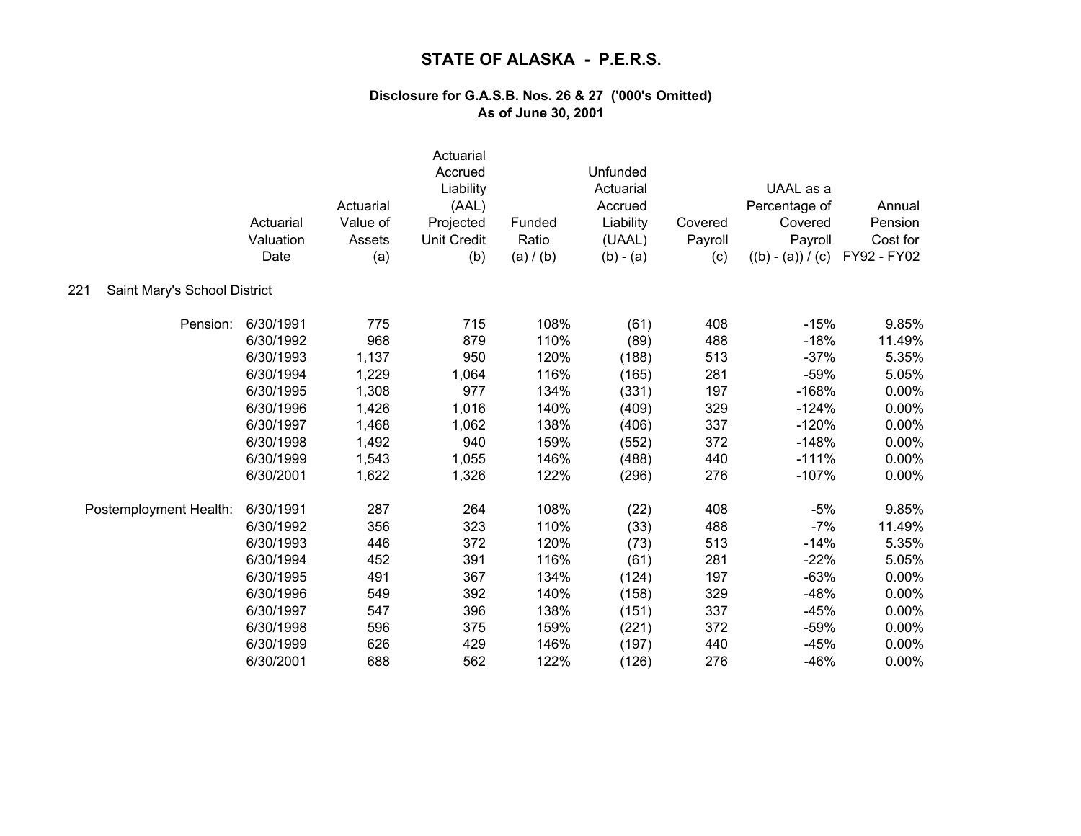|                                     | Actuarial<br>Valuation<br>Date | Actuarial<br>Value of<br>Assets<br>(a) | Actuarial<br>Accrued<br>Liability<br>(AAL)<br>Projected<br><b>Unit Credit</b><br>(b) | Funded<br>Ratio<br>(a) / (b) | Unfunded<br>Actuarial<br>Accrued<br>Liability<br>(UAAL)<br>$(b) - (a)$ | Covered<br>Payroll<br>(c) | UAAL as a<br>Percentage of<br>Covered<br>Payroll<br>$((b) - (a)) / (c)$ | Annual<br>Pension<br>Cost for<br>FY92 - FY02 |
|-------------------------------------|--------------------------------|----------------------------------------|--------------------------------------------------------------------------------------|------------------------------|------------------------------------------------------------------------|---------------------------|-------------------------------------------------------------------------|----------------------------------------------|
| Saint Mary's School District<br>221 |                                |                                        |                                                                                      |                              |                                                                        |                           |                                                                         |                                              |
| Pension:                            | 6/30/1991                      | 775                                    | 715                                                                                  | 108%                         | (61)                                                                   | 408                       | $-15%$                                                                  | 9.85%                                        |
|                                     | 6/30/1992                      | 968                                    | 879                                                                                  | 110%                         | (89)                                                                   | 488                       | $-18%$                                                                  | 11.49%                                       |
|                                     | 6/30/1993                      | 1,137                                  | 950                                                                                  | 120%                         | (188)                                                                  | 513                       | $-37%$                                                                  | 5.35%                                        |
|                                     | 6/30/1994                      | 1,229                                  | 1,064                                                                                | 116%                         | (165)                                                                  | 281                       | $-59%$                                                                  | 5.05%                                        |
|                                     | 6/30/1995                      | 1,308                                  | 977                                                                                  | 134%                         | (331)                                                                  | 197                       | $-168%$                                                                 | 0.00%                                        |
|                                     | 6/30/1996                      | 1,426                                  | 1,016                                                                                | 140%                         | (409)                                                                  | 329                       | $-124%$                                                                 | 0.00%                                        |
|                                     | 6/30/1997                      | 1,468                                  | 1,062                                                                                | 138%                         | (406)                                                                  | 337                       | $-120%$                                                                 | 0.00%                                        |
|                                     | 6/30/1998                      | 1,492                                  | 940                                                                                  | 159%                         | (552)                                                                  | 372                       | $-148%$                                                                 | 0.00%                                        |
|                                     | 6/30/1999                      | 1,543                                  | 1,055                                                                                | 146%                         | (488)                                                                  | 440                       | $-111%$                                                                 | 0.00%                                        |
|                                     | 6/30/2001                      | 1,622                                  | 1,326                                                                                | 122%                         | (296)                                                                  | 276                       | $-107%$                                                                 | 0.00%                                        |
| Postemployment Health:              | 6/30/1991                      | 287                                    | 264                                                                                  | 108%                         | (22)                                                                   | 408                       | $-5%$                                                                   | 9.85%                                        |
|                                     | 6/30/1992                      | 356                                    | 323                                                                                  | 110%                         | (33)                                                                   | 488                       | $-7%$                                                                   | 11.49%                                       |
|                                     | 6/30/1993                      | 446                                    | 372                                                                                  | 120%                         | (73)                                                                   | 513                       | $-14%$                                                                  | 5.35%                                        |
|                                     | 6/30/1994                      | 452                                    | 391                                                                                  | 116%                         | (61)                                                                   | 281                       | $-22%$                                                                  | 5.05%                                        |
|                                     | 6/30/1995                      | 491                                    | 367                                                                                  | 134%                         | (124)                                                                  | 197                       | $-63%$                                                                  | 0.00%                                        |
|                                     | 6/30/1996                      | 549                                    | 392                                                                                  | 140%                         | (158)                                                                  | 329                       | $-48%$                                                                  | 0.00%                                        |
|                                     | 6/30/1997                      | 547                                    | 396                                                                                  | 138%                         | (151)                                                                  | 337                       | $-45%$                                                                  | 0.00%                                        |
|                                     | 6/30/1998                      | 596                                    | 375                                                                                  | 159%                         | (221)                                                                  | 372                       | $-59%$                                                                  | 0.00%                                        |
|                                     | 6/30/1999                      | 626                                    | 429                                                                                  | 146%                         | (197)                                                                  | 440                       | $-45%$                                                                  | 0.00%                                        |
|                                     | 6/30/2001                      | 688                                    | 562                                                                                  | 122%                         | (126)                                                                  | 276                       | $-46%$                                                                  | 0.00%                                        |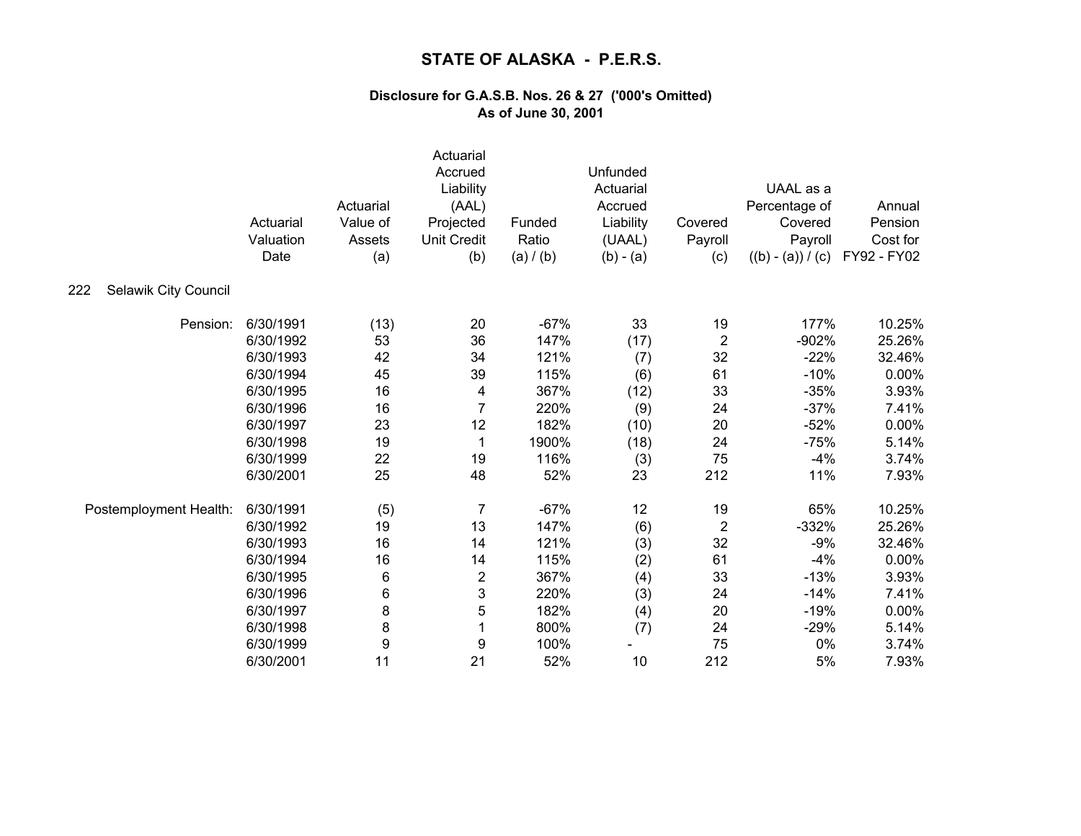|                             | Actuarial<br>Valuation<br>Date | Actuarial<br>Value of<br>Assets<br>(a) | Actuarial<br>Accrued<br>Liability<br>(AAL)<br>Projected<br><b>Unit Credit</b><br>(b) | Funded<br>Ratio<br>(a) / (b) | Unfunded<br>Actuarial<br>Accrued<br>Liability<br>(UAAL)<br>$(b) - (a)$ | Covered<br>Payroll<br>(c) | UAAL as a<br>Percentage of<br>Covered<br>Payroll<br>$((b) - (a)) / (c)$ | Annual<br>Pension<br>Cost for<br>FY92 - FY02 |
|-----------------------------|--------------------------------|----------------------------------------|--------------------------------------------------------------------------------------|------------------------------|------------------------------------------------------------------------|---------------------------|-------------------------------------------------------------------------|----------------------------------------------|
| Selawik City Council<br>222 |                                |                                        |                                                                                      |                              |                                                                        |                           |                                                                         |                                              |
| Pension:                    | 6/30/1991                      | (13)                                   | 20                                                                                   | $-67%$                       | 33                                                                     | 19                        | 177%                                                                    | 10.25%                                       |
|                             | 6/30/1992                      | 53                                     | 36                                                                                   | 147%                         | (17)                                                                   | $\mathbf 2$               | $-902%$                                                                 | 25.26%                                       |
|                             | 6/30/1993                      | 42                                     | 34                                                                                   | 121%                         | (7)                                                                    | 32                        | $-22%$                                                                  | 32.46%                                       |
|                             | 6/30/1994                      | 45                                     | 39                                                                                   | 115%                         | (6)                                                                    | 61                        | $-10%$                                                                  | 0.00%                                        |
|                             | 6/30/1995                      | 16                                     | 4                                                                                    | 367%                         | (12)                                                                   | 33                        | $-35%$                                                                  | 3.93%                                        |
|                             | 6/30/1996                      | 16                                     | 7                                                                                    | 220%                         | (9)                                                                    | 24                        | $-37%$                                                                  | 7.41%                                        |
|                             | 6/30/1997                      | 23                                     | 12                                                                                   | 182%                         | (10)                                                                   | 20                        | $-52%$                                                                  | 0.00%                                        |
|                             | 6/30/1998                      | 19                                     | 1                                                                                    | 1900%                        | (18)                                                                   | 24                        | $-75%$                                                                  | 5.14%                                        |
|                             | 6/30/1999                      | 22                                     | 19                                                                                   | 116%                         | (3)                                                                    | 75                        | $-4%$                                                                   | 3.74%                                        |
|                             | 6/30/2001                      | 25                                     | 48                                                                                   | 52%                          | 23                                                                     | 212                       | 11%                                                                     | 7.93%                                        |
| Postemployment Health:      | 6/30/1991                      | (5)                                    | $\overline{7}$                                                                       | $-67%$                       | 12                                                                     | 19                        | 65%                                                                     | 10.25%                                       |
|                             | 6/30/1992                      | 19                                     | 13                                                                                   | 147%                         | (6)                                                                    | $\overline{2}$            | $-332%$                                                                 | 25.26%                                       |
|                             | 6/30/1993                      | 16                                     | 14                                                                                   | 121%                         | (3)                                                                    | 32                        | $-9%$                                                                   | 32.46%                                       |
|                             | 6/30/1994                      | 16                                     | 14                                                                                   | 115%                         | (2)                                                                    | 61                        | $-4%$                                                                   | 0.00%                                        |
|                             | 6/30/1995                      | 6                                      | $\overline{\mathbf{c}}$                                                              | 367%                         | (4)                                                                    | 33                        | $-13%$                                                                  | 3.93%                                        |
|                             | 6/30/1996                      | 6                                      | 3                                                                                    | 220%                         | (3)                                                                    | 24                        | $-14%$                                                                  | 7.41%                                        |
|                             | 6/30/1997                      | 8                                      | 5                                                                                    | 182%                         | (4)                                                                    | 20                        | $-19%$                                                                  | 0.00%                                        |
|                             | 6/30/1998                      | 8                                      |                                                                                      | 800%                         | (7)                                                                    | 24                        | $-29%$                                                                  | 5.14%                                        |
|                             | 6/30/1999                      | 9                                      | 9                                                                                    | 100%                         |                                                                        | 75                        | 0%                                                                      | 3.74%                                        |
|                             | 6/30/2001                      | 11                                     | 21                                                                                   | 52%                          | 10                                                                     | 212                       | 5%                                                                      | 7.93%                                        |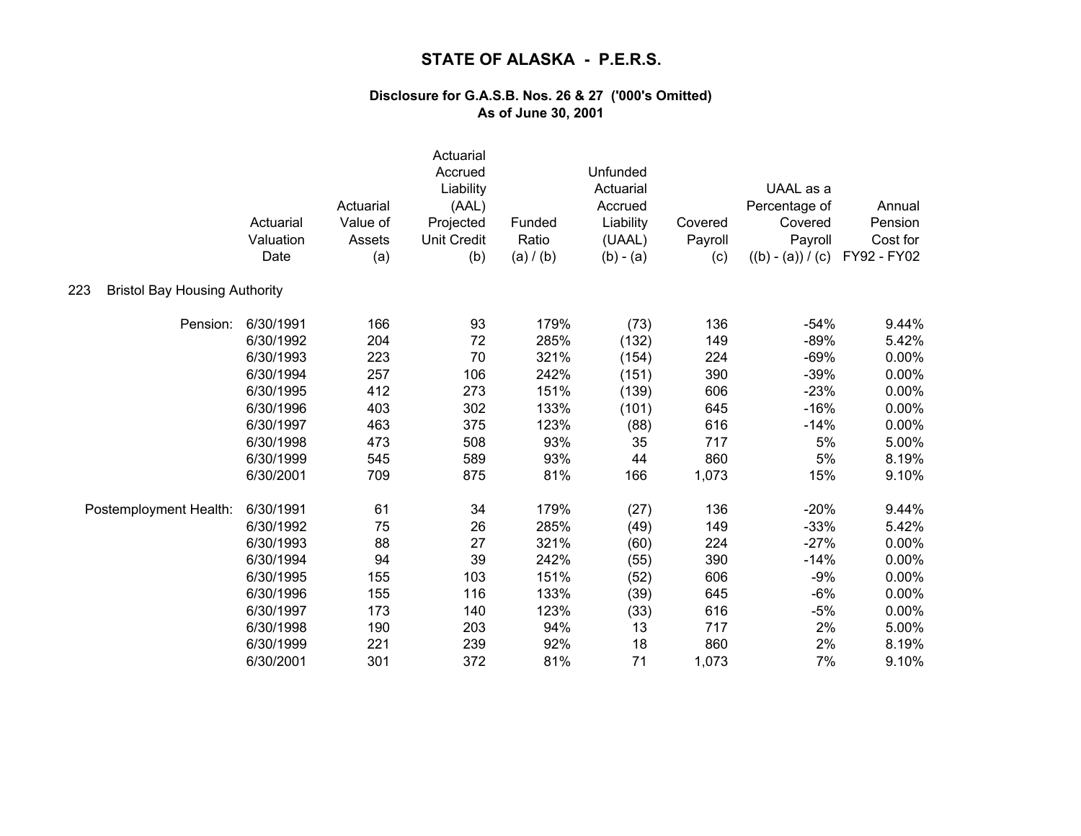|                                             | Actuarial<br>Valuation<br>Date | Actuarial<br>Value of<br>Assets<br>(a) | Actuarial<br>Accrued<br>Liability<br>(AAL)<br>Projected<br><b>Unit Credit</b><br>(b) | Funded<br>Ratio<br>(a) / (b) | Unfunded<br>Actuarial<br>Accrued<br>Liability<br>(UAAL)<br>$(b) - (a)$ | Covered<br>Payroll<br>(c) | UAAL as a<br>Percentage of<br>Covered<br>Payroll<br>$((b) - (a)) / (c)$ | Annual<br>Pension<br>Cost for<br>FY92 - FY02 |
|---------------------------------------------|--------------------------------|----------------------------------------|--------------------------------------------------------------------------------------|------------------------------|------------------------------------------------------------------------|---------------------------|-------------------------------------------------------------------------|----------------------------------------------|
| 223<br><b>Bristol Bay Housing Authority</b> |                                |                                        |                                                                                      |                              |                                                                        |                           |                                                                         |                                              |
| Pension:                                    | 6/30/1991                      | 166                                    | 93                                                                                   | 179%                         | (73)                                                                   | 136                       | $-54%$                                                                  | 9.44%                                        |
|                                             | 6/30/1992                      | 204                                    | 72                                                                                   | 285%                         | (132)                                                                  | 149                       | $-89%$                                                                  | 5.42%                                        |
|                                             | 6/30/1993                      | 223                                    | 70                                                                                   | 321%                         | (154)                                                                  | 224                       | $-69%$                                                                  | 0.00%                                        |
|                                             | 6/30/1994                      | 257                                    | 106                                                                                  | 242%                         | (151)                                                                  | 390                       | $-39%$                                                                  | 0.00%                                        |
|                                             | 6/30/1995                      | 412                                    | 273                                                                                  | 151%                         | (139)                                                                  | 606                       | $-23%$                                                                  | 0.00%                                        |
|                                             | 6/30/1996                      | 403                                    | 302                                                                                  | 133%                         | (101)                                                                  | 645                       | $-16%$                                                                  | 0.00%                                        |
|                                             | 6/30/1997                      | 463                                    | 375                                                                                  | 123%                         | (88)                                                                   | 616                       | $-14%$                                                                  | 0.00%                                        |
|                                             | 6/30/1998                      | 473                                    | 508                                                                                  | 93%                          | 35                                                                     | 717                       | 5%                                                                      | 5.00%                                        |
|                                             | 6/30/1999                      | 545                                    | 589                                                                                  | 93%                          | 44                                                                     | 860                       | 5%                                                                      | 8.19%                                        |
|                                             | 6/30/2001                      | 709                                    | 875                                                                                  | 81%                          | 166                                                                    | 1,073                     | 15%                                                                     | 9.10%                                        |
| Postemployment Health:                      | 6/30/1991                      | 61                                     | 34                                                                                   | 179%                         | (27)                                                                   | 136                       | $-20%$                                                                  | 9.44%                                        |
|                                             | 6/30/1992                      | 75                                     | 26                                                                                   | 285%                         | (49)                                                                   | 149                       | $-33%$                                                                  | 5.42%                                        |
|                                             | 6/30/1993                      | 88                                     | 27                                                                                   | 321%                         | (60)                                                                   | 224                       | $-27%$                                                                  | 0.00%                                        |
|                                             | 6/30/1994                      | 94                                     | 39                                                                                   | 242%                         | (55)                                                                   | 390                       | $-14%$                                                                  | 0.00%                                        |
|                                             | 6/30/1995                      | 155                                    | 103                                                                                  | 151%                         | (52)                                                                   | 606                       | $-9%$                                                                   | 0.00%                                        |
|                                             | 6/30/1996                      | 155                                    | 116                                                                                  | 133%                         | (39)                                                                   | 645                       | $-6%$                                                                   | 0.00%                                        |
|                                             | 6/30/1997                      | 173                                    | 140                                                                                  | 123%                         | (33)                                                                   | 616                       | $-5%$                                                                   | 0.00%                                        |
|                                             | 6/30/1998                      | 190                                    | 203                                                                                  | 94%                          | 13                                                                     | 717                       | 2%                                                                      | 5.00%                                        |
|                                             | 6/30/1999                      | 221                                    | 239                                                                                  | 92%                          | 18                                                                     | 860                       | 2%                                                                      | 8.19%                                        |
|                                             | 6/30/2001                      | 301                                    | 372                                                                                  | 81%                          | 71                                                                     | 1,073                     | 7%                                                                      | 9.10%                                        |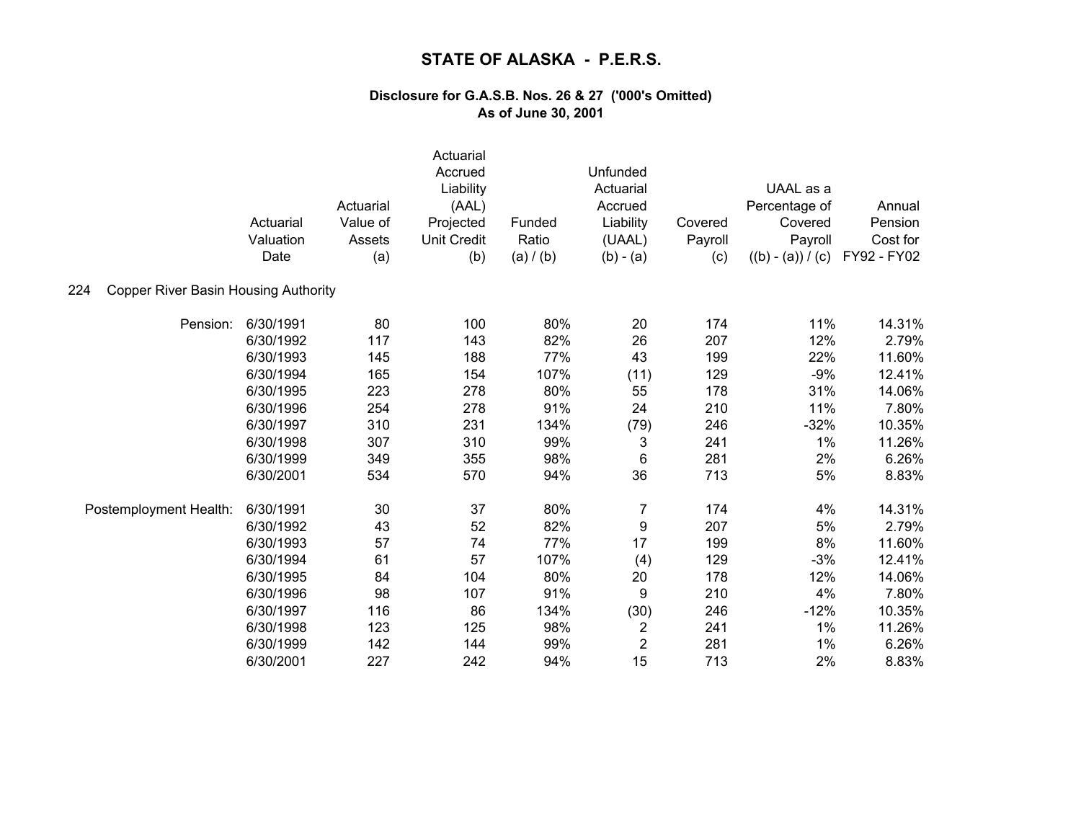| 224                                  | Actuarial<br>Valuation<br>Date | Actuarial<br>Value of<br>Assets<br>(a) | Actuarial<br>Accrued<br>Liability<br>(AAL)<br>Projected<br><b>Unit Credit</b><br>(b) | Funded<br>Ratio<br>(a) / (b) | Unfunded<br>Actuarial<br>Accrued<br>Liability<br>(UAAL)<br>$(b) - (a)$ | Covered<br>Payroll<br>(c) | UAAL as a<br>Percentage of<br>Covered<br>Payroll<br>$((b) - (a)) / (c)$ | Annual<br>Pension<br>Cost for<br>FY92 - FY02 |
|--------------------------------------|--------------------------------|----------------------------------------|--------------------------------------------------------------------------------------|------------------------------|------------------------------------------------------------------------|---------------------------|-------------------------------------------------------------------------|----------------------------------------------|
| Copper River Basin Housing Authority |                                |                                        |                                                                                      |                              |                                                                        |                           |                                                                         |                                              |
| Pension:                             | 6/30/1991                      | 80                                     | 100                                                                                  | 80%                          | 20                                                                     | 174                       | 11%                                                                     | 14.31%                                       |
|                                      | 6/30/1992                      | 117                                    | 143                                                                                  | 82%                          | 26                                                                     | 207                       | 12%                                                                     | 2.79%                                        |
|                                      | 6/30/1993                      | 145                                    | 188                                                                                  | 77%                          | 43                                                                     | 199                       | 22%                                                                     | 11.60%                                       |
|                                      | 6/30/1994                      | 165                                    | 154                                                                                  | 107%                         | (11)                                                                   | 129                       | $-9%$                                                                   | 12.41%                                       |
|                                      | 6/30/1995                      | 223                                    | 278                                                                                  | 80%                          | 55                                                                     | 178                       | 31%                                                                     | 14.06%                                       |
|                                      | 6/30/1996                      | 254                                    | 278                                                                                  | 91%                          | 24                                                                     | 210                       | 11%                                                                     | 7.80%                                        |
|                                      | 6/30/1997                      | 310                                    | 231                                                                                  | 134%                         | (79)                                                                   | 246                       | $-32%$                                                                  | 10.35%                                       |
|                                      | 6/30/1998                      | 307                                    | 310                                                                                  | 99%                          | 3                                                                      | 241                       | 1%                                                                      | 11.26%                                       |
|                                      | 6/30/1999                      | 349                                    | 355                                                                                  | 98%                          | 6                                                                      | 281                       | 2%                                                                      | 6.26%                                        |
|                                      | 6/30/2001                      | 534                                    | 570                                                                                  | 94%                          | 36                                                                     | 713                       | 5%                                                                      | 8.83%                                        |
| Postemployment Health:               | 6/30/1991                      | 30                                     | 37                                                                                   | 80%                          | $\overline{7}$                                                         | 174                       | 4%                                                                      | 14.31%                                       |
|                                      | 6/30/1992                      | 43                                     | 52                                                                                   | 82%                          | 9                                                                      | 207                       | 5%                                                                      | 2.79%                                        |
|                                      | 6/30/1993                      | 57                                     | 74                                                                                   | 77%                          | 17                                                                     | 199                       | 8%                                                                      | 11.60%                                       |
|                                      | 6/30/1994                      | 61                                     | 57                                                                                   | 107%                         | (4)                                                                    | 129                       | $-3%$                                                                   | 12.41%                                       |
|                                      | 6/30/1995                      | 84                                     | 104                                                                                  | 80%                          | 20                                                                     | 178                       | 12%                                                                     | 14.06%                                       |
|                                      | 6/30/1996                      | 98                                     | 107                                                                                  | 91%                          | 9                                                                      | 210                       | 4%                                                                      | 7.80%                                        |
|                                      | 6/30/1997                      | 116                                    | 86                                                                                   | 134%                         | (30)                                                                   | 246                       | $-12%$                                                                  | 10.35%                                       |
|                                      | 6/30/1998                      | 123                                    | 125                                                                                  | 98%                          | $\overline{\mathbf{c}}$                                                | 241                       | 1%                                                                      | 11.26%                                       |
|                                      | 6/30/1999                      | 142                                    | 144                                                                                  | 99%                          | $\overline{2}$                                                         | 281                       | 1%                                                                      | 6.26%                                        |
|                                      | 6/30/2001                      | 227                                    | 242                                                                                  | 94%                          | 15                                                                     | 713                       | 2%                                                                      | 8.83%                                        |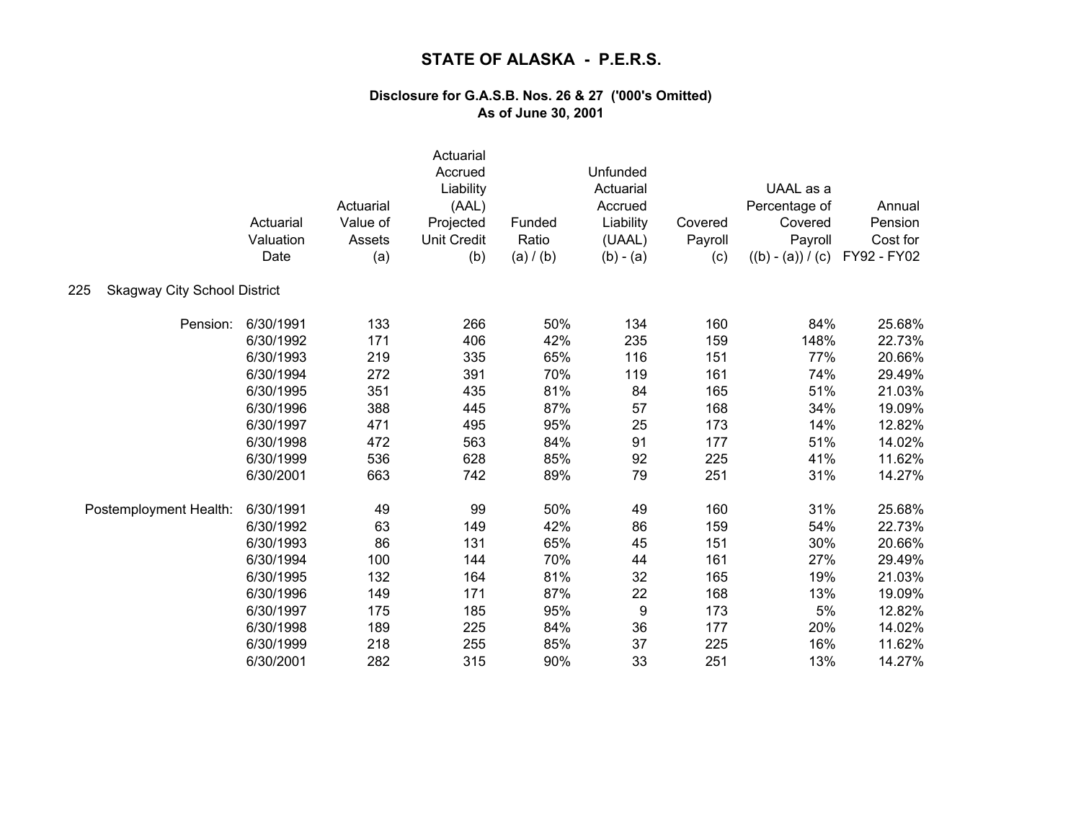|                                            | Actuarial<br>Valuation<br>Date | Actuarial<br>Value of<br>Assets<br>(a) | Actuarial<br>Accrued<br>Liability<br>(AAL)<br>Projected<br><b>Unit Credit</b><br>(b) | Funded<br>Ratio<br>(a) / (b) | Unfunded<br>Actuarial<br>Accrued<br>Liability<br>(UAAL)<br>$(b) - (a)$ | Covered<br>Payroll<br>(c) | UAAL as a<br>Percentage of<br>Covered<br>Payroll<br>$((b) - (a)) / (c)$ | Annual<br>Pension<br>Cost for<br>FY92 - FY02 |
|--------------------------------------------|--------------------------------|----------------------------------------|--------------------------------------------------------------------------------------|------------------------------|------------------------------------------------------------------------|---------------------------|-------------------------------------------------------------------------|----------------------------------------------|
| <b>Skagway City School District</b><br>225 |                                |                                        |                                                                                      |                              |                                                                        |                           |                                                                         |                                              |
| Pension:                                   | 6/30/1991                      | 133                                    | 266                                                                                  | 50%                          | 134                                                                    | 160                       | 84%                                                                     | 25.68%                                       |
|                                            | 6/30/1992                      | 171                                    | 406                                                                                  | 42%                          | 235                                                                    | 159                       | 148%                                                                    | 22.73%                                       |
|                                            | 6/30/1993                      | 219                                    | 335                                                                                  | 65%                          | 116                                                                    | 151                       | 77%                                                                     | 20.66%                                       |
|                                            | 6/30/1994                      | 272                                    | 391                                                                                  | 70%                          | 119                                                                    | 161                       | 74%                                                                     | 29.49%                                       |
|                                            | 6/30/1995                      | 351                                    | 435                                                                                  | 81%                          | 84                                                                     | 165                       | 51%                                                                     | 21.03%                                       |
|                                            | 6/30/1996                      | 388                                    | 445                                                                                  | 87%                          | 57                                                                     | 168                       | 34%                                                                     | 19.09%                                       |
|                                            | 6/30/1997                      | 471                                    | 495                                                                                  | 95%                          | 25                                                                     | 173                       | 14%                                                                     | 12.82%                                       |
|                                            | 6/30/1998                      | 472                                    | 563                                                                                  | 84%                          | 91                                                                     | 177                       | 51%                                                                     | 14.02%                                       |
|                                            | 6/30/1999                      | 536                                    | 628                                                                                  | 85%                          | 92                                                                     | 225                       | 41%                                                                     | 11.62%                                       |
|                                            | 6/30/2001                      | 663                                    | 742                                                                                  | 89%                          | 79                                                                     | 251                       | 31%                                                                     | 14.27%                                       |
| Postemployment Health:                     | 6/30/1991                      | 49                                     | 99                                                                                   | 50%                          | 49                                                                     | 160                       | 31%                                                                     | 25.68%                                       |
|                                            | 6/30/1992                      | 63                                     | 149                                                                                  | 42%                          | 86                                                                     | 159                       | 54%                                                                     | 22.73%                                       |
|                                            | 6/30/1993                      | 86                                     | 131                                                                                  | 65%                          | 45                                                                     | 151                       | 30%                                                                     | 20.66%                                       |
|                                            | 6/30/1994                      | 100                                    | 144                                                                                  | 70%                          | 44                                                                     | 161                       | 27%                                                                     | 29.49%                                       |
|                                            | 6/30/1995                      | 132                                    | 164                                                                                  | 81%                          | 32                                                                     | 165                       | 19%                                                                     | 21.03%                                       |
|                                            | 6/30/1996                      | 149                                    | 171                                                                                  | 87%                          | 22                                                                     | 168                       | 13%                                                                     | 19.09%                                       |
|                                            | 6/30/1997                      | 175                                    | 185                                                                                  | 95%                          | 9                                                                      | 173                       | 5%                                                                      | 12.82%                                       |
|                                            | 6/30/1998                      | 189                                    | 225                                                                                  | 84%                          | 36                                                                     | 177                       | 20%                                                                     | 14.02%                                       |
|                                            | 6/30/1999                      | 218                                    | 255                                                                                  | 85%                          | 37                                                                     | 225                       | 16%                                                                     | 11.62%                                       |
|                                            | 6/30/2001                      | 282                                    | 315                                                                                  | 90%                          | 33                                                                     | 251                       | 13%                                                                     | 14.27%                                       |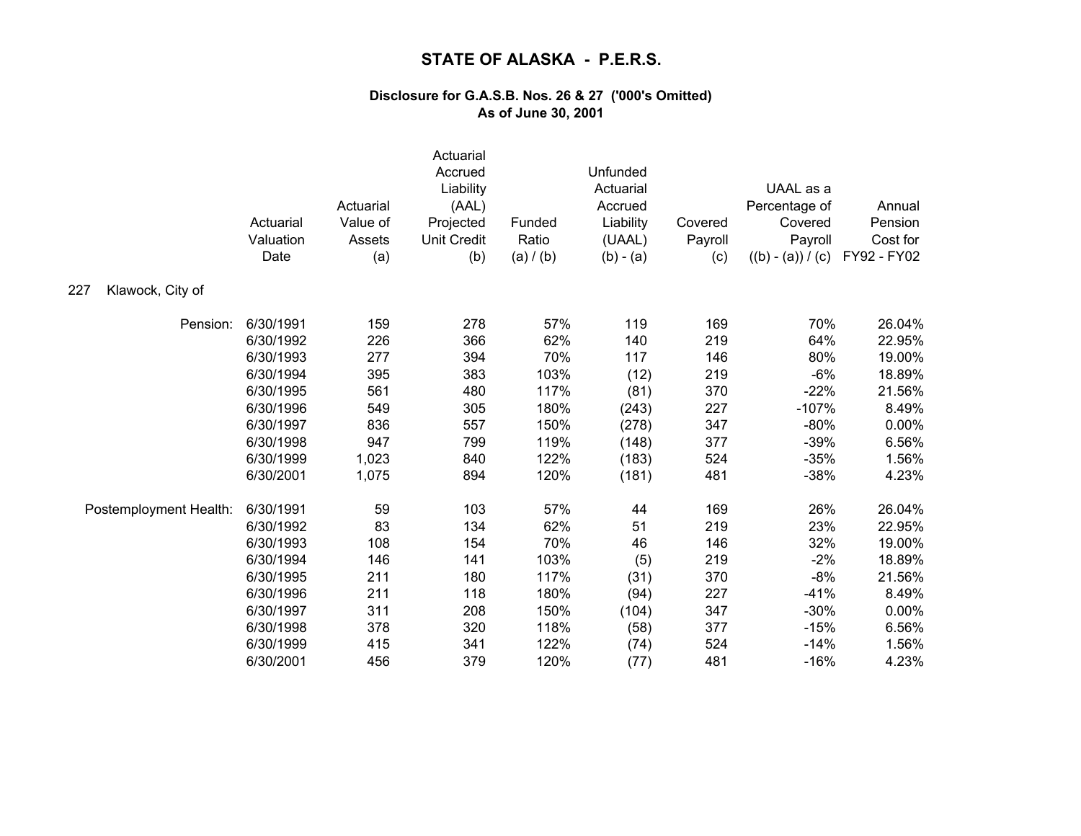|                         | Actuarial<br>Valuation<br>Date | Actuarial<br>Value of<br>Assets<br>(a) | Actuarial<br>Accrued<br>Liability<br>(AAL)<br>Projected<br><b>Unit Credit</b><br>(b) | Funded<br>Ratio<br>(a) / (b) | Unfunded<br>Actuarial<br>Accrued<br>Liability<br>(UAAL)<br>$(b) - (a)$ | Covered<br>Payroll<br>(c) | UAAL as a<br>Percentage of<br>Covered<br>Payroll<br>$((b) - (a)) / (c)$ | Annual<br>Pension<br>Cost for<br>FY92 - FY02 |
|-------------------------|--------------------------------|----------------------------------------|--------------------------------------------------------------------------------------|------------------------------|------------------------------------------------------------------------|---------------------------|-------------------------------------------------------------------------|----------------------------------------------|
| Klawock, City of<br>227 |                                |                                        |                                                                                      |                              |                                                                        |                           |                                                                         |                                              |
| Pension:                | 6/30/1991                      | 159                                    | 278                                                                                  | 57%                          | 119                                                                    | 169                       | 70%                                                                     | 26.04%                                       |
|                         | 6/30/1992                      | 226                                    | 366                                                                                  | 62%                          | 140                                                                    | 219                       | 64%                                                                     | 22.95%                                       |
|                         | 6/30/1993                      | 277                                    | 394                                                                                  | 70%                          | 117                                                                    | 146                       | 80%                                                                     | 19.00%                                       |
|                         | 6/30/1994                      | 395                                    | 383                                                                                  | 103%                         | (12)                                                                   | 219                       | $-6%$                                                                   | 18.89%                                       |
|                         | 6/30/1995                      | 561                                    | 480                                                                                  | 117%                         | (81)                                                                   | 370                       | $-22%$                                                                  | 21.56%                                       |
|                         | 6/30/1996                      | 549                                    | 305                                                                                  | 180%                         | (243)                                                                  | 227                       | $-107%$                                                                 | 8.49%                                        |
|                         | 6/30/1997                      | 836                                    | 557                                                                                  | 150%                         | (278)                                                                  | 347                       | $-80%$                                                                  | 0.00%                                        |
|                         | 6/30/1998                      | 947                                    | 799                                                                                  | 119%                         | (148)                                                                  | 377                       | $-39%$                                                                  | 6.56%                                        |
|                         | 6/30/1999                      | 1,023                                  | 840                                                                                  | 122%                         | (183)                                                                  | 524                       | $-35%$                                                                  | 1.56%                                        |
|                         | 6/30/2001                      | 1,075                                  | 894                                                                                  | 120%                         | (181)                                                                  | 481                       | $-38%$                                                                  | 4.23%                                        |
| Postemployment Health:  | 6/30/1991                      | 59                                     | 103                                                                                  | 57%                          | 44                                                                     | 169                       | 26%                                                                     | 26.04%                                       |
|                         | 6/30/1992                      | 83                                     | 134                                                                                  | 62%                          | 51                                                                     | 219                       | 23%                                                                     | 22.95%                                       |
|                         | 6/30/1993                      | 108                                    | 154                                                                                  | 70%                          | 46                                                                     | 146                       | 32%                                                                     | 19.00%                                       |
|                         | 6/30/1994                      | 146                                    | 141                                                                                  | 103%                         | (5)                                                                    | 219                       | $-2%$                                                                   | 18.89%                                       |
|                         | 6/30/1995                      | 211                                    | 180                                                                                  | 117%                         | (31)                                                                   | 370                       | $-8%$                                                                   | 21.56%                                       |
|                         | 6/30/1996                      | 211                                    | 118                                                                                  | 180%                         | (94)                                                                   | 227                       | $-41%$                                                                  | 8.49%                                        |
|                         | 6/30/1997                      | 311                                    | 208                                                                                  | 150%                         | (104)                                                                  | 347                       | $-30%$                                                                  | 0.00%                                        |
|                         | 6/30/1998                      | 378                                    | 320                                                                                  | 118%                         | (58)                                                                   | 377                       | $-15%$                                                                  | 6.56%                                        |
|                         | 6/30/1999                      | 415                                    | 341                                                                                  | 122%                         | (74)                                                                   | 524                       | $-14%$                                                                  | 1.56%                                        |
|                         | 6/30/2001                      | 456                                    | 379                                                                                  | 120%                         | (77)                                                                   | 481                       | $-16%$                                                                  | 4.23%                                        |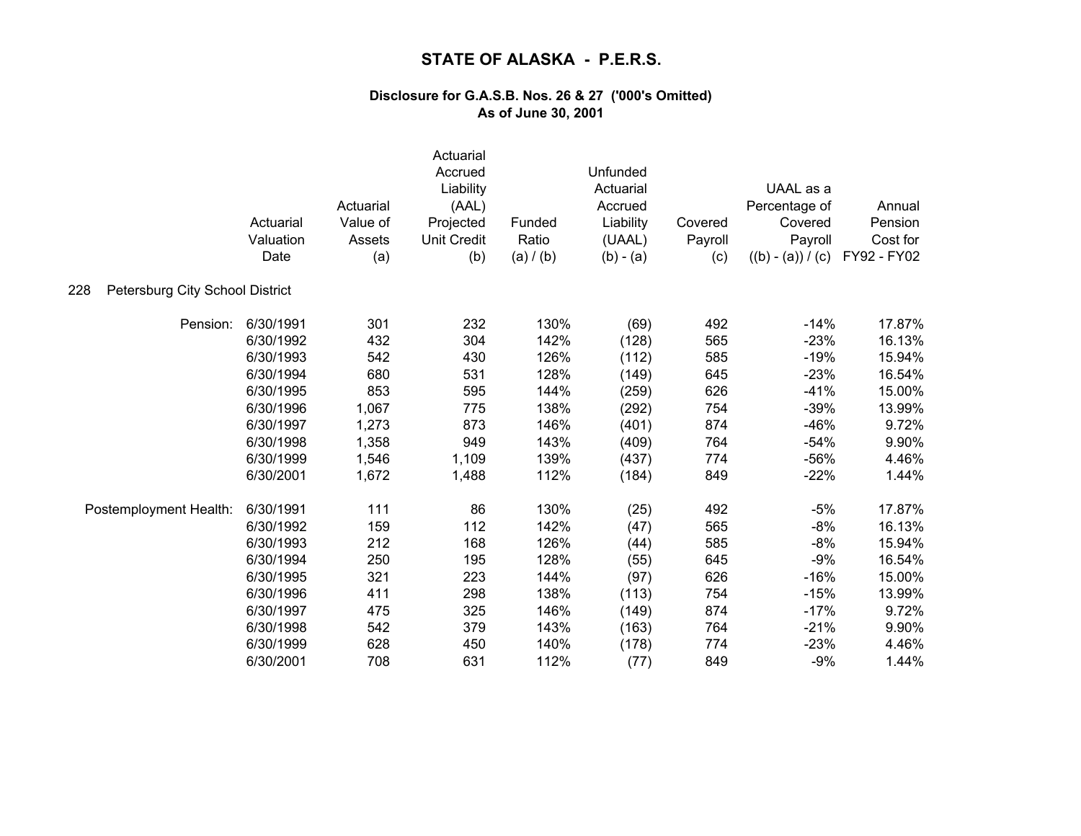|                                        | Actuarial<br>Valuation<br>Date | Actuarial<br>Value of<br>Assets<br>(a) | Actuarial<br>Accrued<br>Liability<br>(AAL)<br>Projected<br><b>Unit Credit</b><br>(b) | Funded<br>Ratio<br>(a) / (b) | Unfunded<br>Actuarial<br>Accrued<br>Liability<br>(UAAL)<br>$(b) - (a)$ | Covered<br>Payroll<br>(c) | UAAL as a<br>Percentage of<br>Covered<br>Payroll<br>$((b) - (a)) / (c)$ | Annual<br>Pension<br>Cost for<br>FY92 - FY02 |
|----------------------------------------|--------------------------------|----------------------------------------|--------------------------------------------------------------------------------------|------------------------------|------------------------------------------------------------------------|---------------------------|-------------------------------------------------------------------------|----------------------------------------------|
| Petersburg City School District<br>228 |                                |                                        |                                                                                      |                              |                                                                        |                           |                                                                         |                                              |
| Pension:                               | 6/30/1991                      | 301                                    | 232                                                                                  | 130%                         | (69)                                                                   | 492                       | $-14%$                                                                  | 17.87%                                       |
|                                        | 6/30/1992                      | 432                                    | 304                                                                                  | 142%                         | (128)                                                                  | 565                       | $-23%$                                                                  | 16.13%                                       |
|                                        | 6/30/1993                      | 542                                    | 430                                                                                  | 126%                         | (112)                                                                  | 585                       | $-19%$                                                                  | 15.94%                                       |
|                                        | 6/30/1994                      | 680                                    | 531                                                                                  | 128%                         | (149)                                                                  | 645                       | $-23%$                                                                  | 16.54%                                       |
|                                        | 6/30/1995                      | 853                                    | 595                                                                                  | 144%                         | (259)                                                                  | 626                       | $-41%$                                                                  | 15.00%                                       |
|                                        | 6/30/1996                      | 1,067                                  | 775                                                                                  | 138%                         | (292)                                                                  | 754                       | $-39%$                                                                  | 13.99%                                       |
|                                        | 6/30/1997                      | 1,273                                  | 873                                                                                  | 146%                         | (401)                                                                  | 874                       | $-46%$                                                                  | 9.72%                                        |
|                                        | 6/30/1998                      | 1,358                                  | 949                                                                                  | 143%                         | (409)                                                                  | 764                       | $-54%$                                                                  | 9.90%                                        |
|                                        | 6/30/1999                      | 1,546                                  | 1,109                                                                                | 139%                         | (437)                                                                  | 774                       | $-56%$                                                                  | 4.46%                                        |
|                                        | 6/30/2001                      | 1,672                                  | 1,488                                                                                | 112%                         | (184)                                                                  | 849                       | $-22%$                                                                  | 1.44%                                        |
| Postemployment Health:                 | 6/30/1991                      | 111                                    | 86                                                                                   | 130%                         | (25)                                                                   | 492                       | $-5%$                                                                   | 17.87%                                       |
|                                        | 6/30/1992                      | 159                                    | 112                                                                                  | 142%                         | (47)                                                                   | 565                       | $-8%$                                                                   | 16.13%                                       |
|                                        | 6/30/1993                      | 212                                    | 168                                                                                  | 126%                         | (44)                                                                   | 585                       | $-8%$                                                                   | 15.94%                                       |
|                                        | 6/30/1994                      | 250                                    | 195                                                                                  | 128%                         | (55)                                                                   | 645                       | $-9%$                                                                   | 16.54%                                       |
|                                        | 6/30/1995                      | 321                                    | 223                                                                                  | 144%                         | (97)                                                                   | 626                       | $-16%$                                                                  | 15.00%                                       |
|                                        | 6/30/1996                      | 411                                    | 298                                                                                  | 138%                         | (113)                                                                  | 754                       | $-15%$                                                                  | 13.99%                                       |
|                                        | 6/30/1997                      | 475                                    | 325                                                                                  | 146%                         | (149)                                                                  | 874                       | $-17%$                                                                  | 9.72%                                        |
|                                        | 6/30/1998                      | 542                                    | 379                                                                                  | 143%                         | (163)                                                                  | 764                       | $-21%$                                                                  | 9.90%                                        |
|                                        | 6/30/1999                      | 628                                    | 450                                                                                  | 140%                         | (178)                                                                  | 774                       | $-23%$                                                                  | 4.46%                                        |
|                                        | 6/30/2001                      | 708                                    | 631                                                                                  | 112%                         | (77)                                                                   | 849                       | $-9%$                                                                   | 1.44%                                        |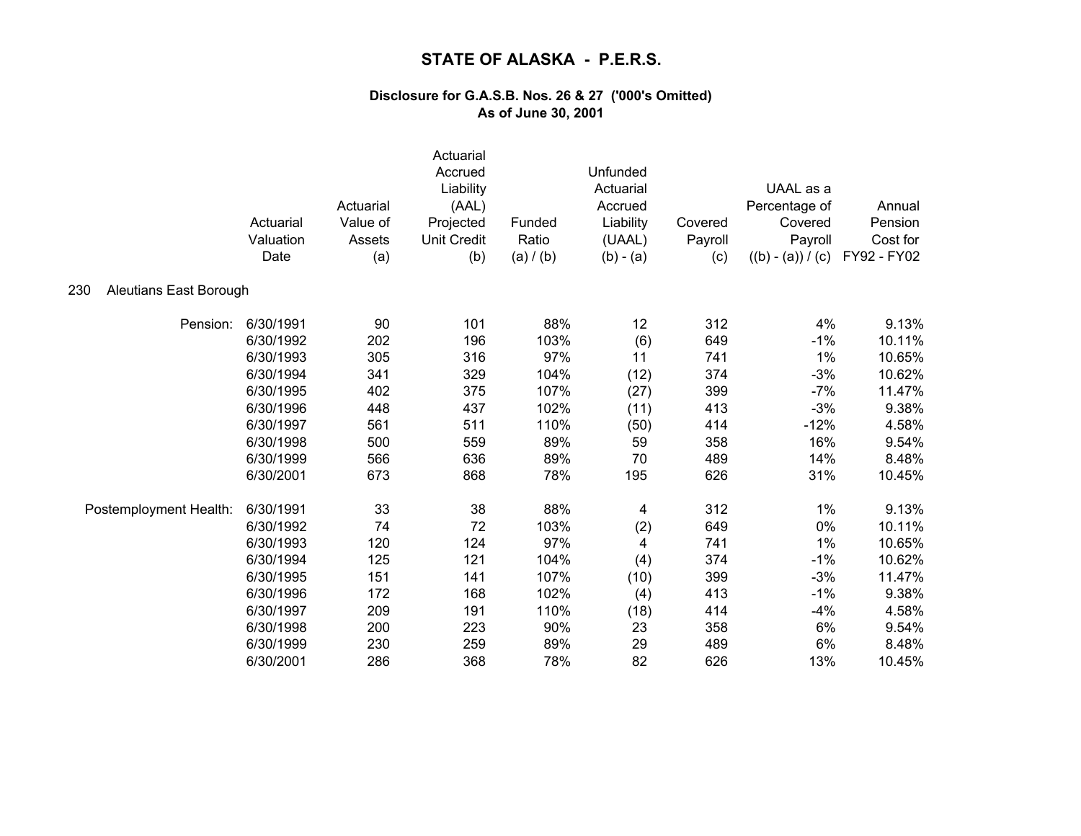|                               | Actuarial<br>Valuation<br>Date | Actuarial<br>Value of<br>Assets<br>(a) | Actuarial<br>Accrued<br>Liability<br>(AAL)<br>Projected<br><b>Unit Credit</b><br>(b) | Funded<br>Ratio<br>(a) / (b) | Unfunded<br>Actuarial<br>Accrued<br>Liability<br>(UAAL)<br>$(b) - (a)$ | Covered<br>Payroll<br>(c) | UAAL as a<br>Percentage of<br>Covered<br>Payroll<br>$((b) - (a)) / (c)$ | Annual<br>Pension<br>Cost for<br>FY92 - FY02 |
|-------------------------------|--------------------------------|----------------------------------------|--------------------------------------------------------------------------------------|------------------------------|------------------------------------------------------------------------|---------------------------|-------------------------------------------------------------------------|----------------------------------------------|
| 230<br>Aleutians East Borough |                                |                                        |                                                                                      |                              |                                                                        |                           |                                                                         |                                              |
| Pension:                      | 6/30/1991                      | 90                                     | 101                                                                                  | 88%                          | 12                                                                     | 312                       | 4%                                                                      | 9.13%                                        |
|                               | 6/30/1992                      | 202                                    | 196                                                                                  | 103%                         | (6)                                                                    | 649                       | $-1%$                                                                   | 10.11%                                       |
|                               | 6/30/1993                      | 305                                    | 316                                                                                  | 97%                          | 11                                                                     | 741                       | 1%                                                                      | 10.65%                                       |
|                               | 6/30/1994                      | 341                                    | 329                                                                                  | 104%                         | (12)                                                                   | 374                       | $-3%$                                                                   | 10.62%                                       |
|                               | 6/30/1995                      | 402                                    | 375                                                                                  | 107%                         | (27)                                                                   | 399                       | $-7%$                                                                   | 11.47%                                       |
|                               | 6/30/1996                      | 448                                    | 437                                                                                  | 102%                         | (11)                                                                   | 413                       | $-3%$                                                                   | 9.38%                                        |
|                               | 6/30/1997                      | 561                                    | 511                                                                                  | 110%                         | (50)                                                                   | 414                       | $-12%$                                                                  | 4.58%                                        |
|                               | 6/30/1998                      | 500                                    | 559                                                                                  | 89%                          | 59                                                                     | 358                       | 16%                                                                     | 9.54%                                        |
|                               | 6/30/1999                      | 566                                    | 636                                                                                  | 89%                          | 70                                                                     | 489                       | 14%                                                                     | 8.48%                                        |
|                               | 6/30/2001                      | 673                                    | 868                                                                                  | 78%                          | 195                                                                    | 626                       | 31%                                                                     | 10.45%                                       |
| Postemployment Health:        | 6/30/1991                      | 33                                     | 38                                                                                   | 88%                          | 4                                                                      | 312                       | 1%                                                                      | 9.13%                                        |
|                               | 6/30/1992                      | 74                                     | 72                                                                                   | 103%                         | (2)                                                                    | 649                       | 0%                                                                      | 10.11%                                       |
|                               | 6/30/1993                      | 120                                    | 124                                                                                  | 97%                          | 4                                                                      | 741                       | 1%                                                                      | 10.65%                                       |
|                               | 6/30/1994                      | 125                                    | 121                                                                                  | 104%                         | (4)                                                                    | 374                       | $-1%$                                                                   | 10.62%                                       |
|                               | 6/30/1995                      | 151                                    | 141                                                                                  | 107%                         | (10)                                                                   | 399                       | $-3%$                                                                   | 11.47%                                       |
|                               | 6/30/1996                      | 172                                    | 168                                                                                  | 102%                         | (4)                                                                    | 413                       | $-1%$                                                                   | 9.38%                                        |
|                               | 6/30/1997                      | 209                                    | 191                                                                                  | 110%                         | (18)                                                                   | 414                       | $-4%$                                                                   | 4.58%                                        |
|                               | 6/30/1998                      | 200                                    | 223                                                                                  | 90%                          | 23                                                                     | 358                       | 6%                                                                      | 9.54%                                        |
|                               | 6/30/1999                      | 230                                    | 259                                                                                  | 89%                          | 29                                                                     | 489                       | 6%                                                                      | 8.48%                                        |
|                               | 6/30/2001                      | 286                                    | 368                                                                                  | 78%                          | 82                                                                     | 626                       | 13%                                                                     | 10.45%                                       |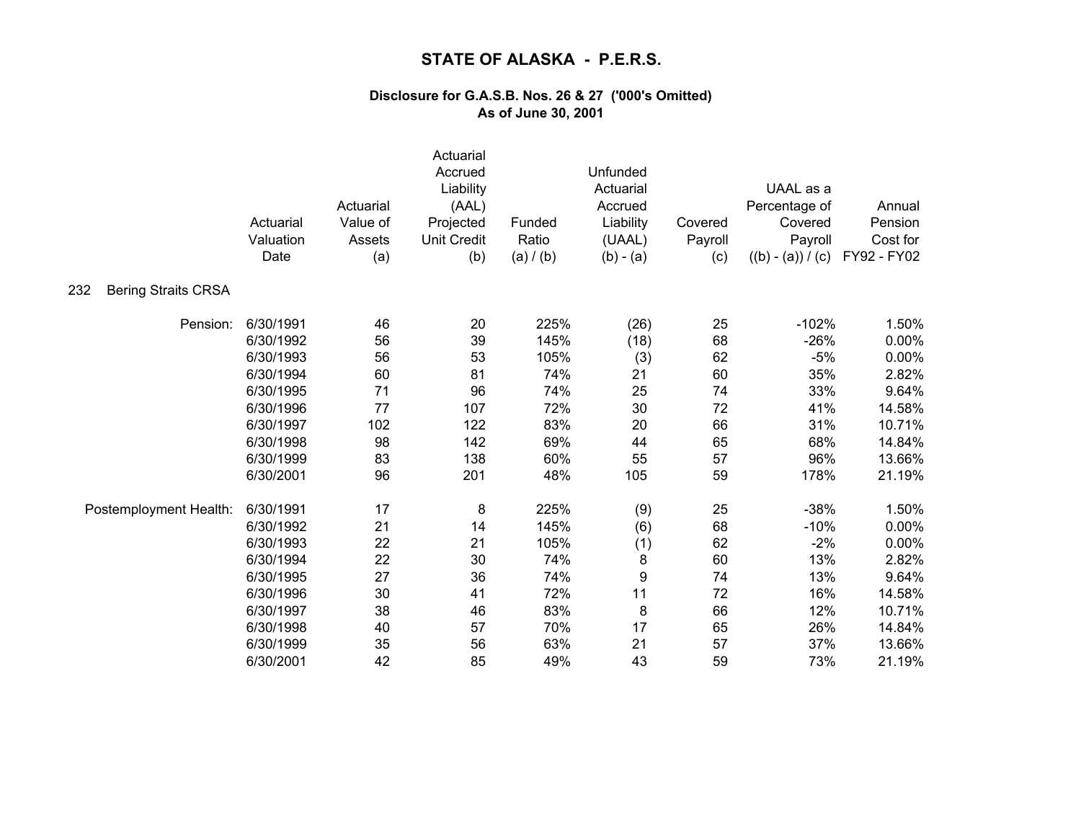|                                   | Actuarial<br>Valuation<br>Date | Actuarial<br>Value of<br>Assets<br>(a) | Actuarial<br>Accrued<br>Liability<br>(AAL)<br>Projected<br><b>Unit Credit</b><br>(b) | Funded<br>Ratio<br>(a) / (b) | Unfunded<br>Actuarial<br>Accrued<br>Liability<br>(UAAL)<br>$(b) - (a)$ | Covered<br>Payroll<br>(c) | UAAL as a<br>Percentage of<br>Covered<br>Payroll<br>$((b) - (a)) / (c)$ | Annual<br>Pension<br>Cost for<br>FY92 - FY02 |
|-----------------------------------|--------------------------------|----------------------------------------|--------------------------------------------------------------------------------------|------------------------------|------------------------------------------------------------------------|---------------------------|-------------------------------------------------------------------------|----------------------------------------------|
| <b>Bering Straits CRSA</b><br>232 |                                |                                        |                                                                                      |                              |                                                                        |                           |                                                                         |                                              |
| Pension:                          | 6/30/1991                      | 46                                     | 20                                                                                   | 225%                         | (26)                                                                   | 25                        | $-102%$                                                                 | 1.50%                                        |
|                                   | 6/30/1992                      | 56                                     | 39                                                                                   | 145%                         | (18)                                                                   | 68                        | $-26%$                                                                  | 0.00%                                        |
|                                   | 6/30/1993                      | 56                                     | 53                                                                                   | 105%                         | (3)                                                                    | 62                        | $-5%$                                                                   | 0.00%                                        |
|                                   | 6/30/1994                      | 60                                     | 81                                                                                   | 74%                          | 21                                                                     | 60                        | 35%                                                                     | 2.82%                                        |
|                                   | 6/30/1995                      | 71                                     | 96                                                                                   | 74%                          | 25                                                                     | 74                        | 33%                                                                     | 9.64%                                        |
|                                   | 6/30/1996                      | 77                                     | 107                                                                                  | 72%                          | 30                                                                     | 72                        | 41%                                                                     | 14.58%                                       |
|                                   | 6/30/1997                      | 102                                    | 122                                                                                  | 83%                          | 20                                                                     | 66                        | 31%                                                                     | 10.71%                                       |
|                                   | 6/30/1998                      | 98                                     | 142                                                                                  | 69%                          | 44                                                                     | 65                        | 68%                                                                     | 14.84%                                       |
|                                   | 6/30/1999                      | 83                                     | 138                                                                                  | 60%                          | 55                                                                     | 57                        | 96%                                                                     | 13.66%                                       |
|                                   | 6/30/2001                      | 96                                     | 201                                                                                  | 48%                          | 105                                                                    | 59                        | 178%                                                                    | 21.19%                                       |
| Postemployment Health:            | 6/30/1991                      | 17                                     | 8                                                                                    | 225%                         | (9)                                                                    | 25                        | $-38%$                                                                  | 1.50%                                        |
|                                   | 6/30/1992                      | 21                                     | 14                                                                                   | 145%                         | (6)                                                                    | 68                        | $-10%$                                                                  | 0.00%                                        |
|                                   | 6/30/1993                      | 22                                     | 21                                                                                   | 105%                         | (1)                                                                    | 62                        | $-2%$                                                                   | 0.00%                                        |
|                                   | 6/30/1994                      | 22                                     | 30                                                                                   | 74%                          | 8                                                                      | 60                        | 13%                                                                     | 2.82%                                        |
|                                   | 6/30/1995                      | 27                                     | 36                                                                                   | 74%                          | 9                                                                      | 74                        | 13%                                                                     | 9.64%                                        |
|                                   | 6/30/1996                      | 30                                     | 41                                                                                   | 72%                          | 11                                                                     | 72                        | 16%                                                                     | 14.58%                                       |
|                                   | 6/30/1997                      | 38                                     | 46                                                                                   | 83%                          | 8                                                                      | 66                        | 12%                                                                     | 10.71%                                       |
|                                   | 6/30/1998                      | 40                                     | 57                                                                                   | 70%                          | 17                                                                     | 65                        | 26%                                                                     | 14.84%                                       |
|                                   | 6/30/1999                      | 35                                     | 56                                                                                   | 63%                          | 21                                                                     | 57                        | 37%                                                                     | 13.66%                                       |
|                                   | 6/30/2001                      | 42                                     | 85                                                                                   | 49%                          | 43                                                                     | 59                        | 73%                                                                     | 21.19%                                       |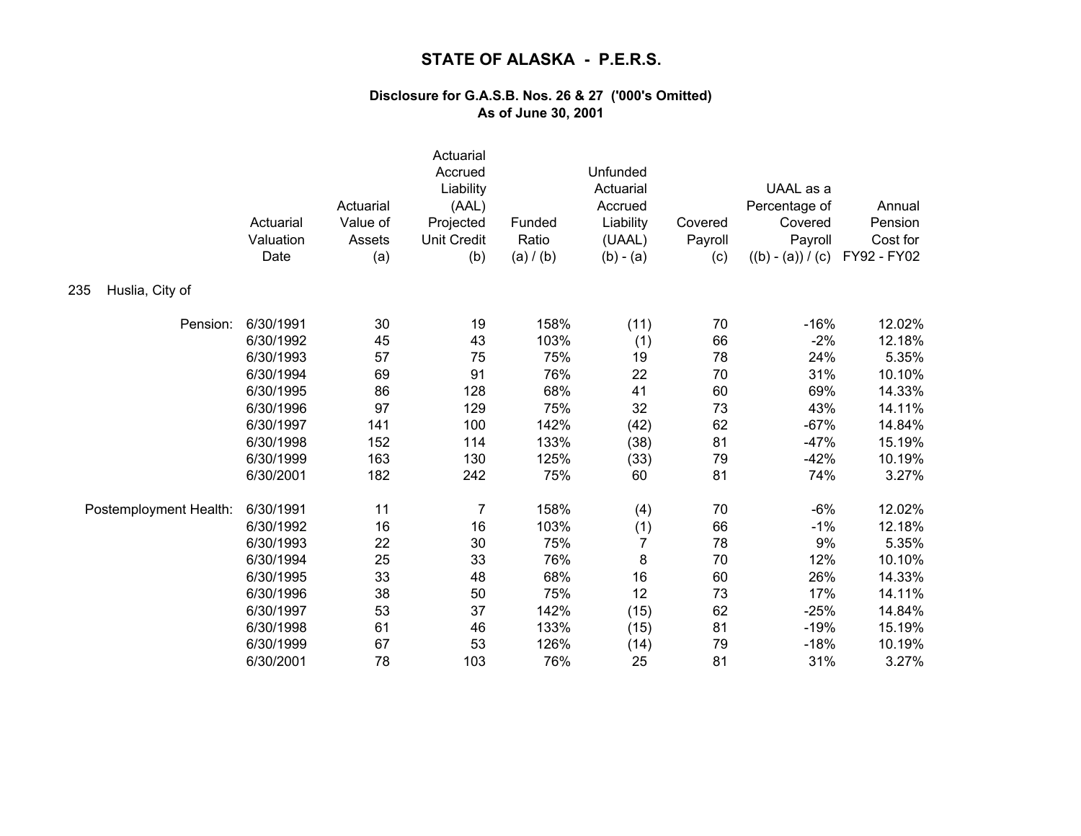|                        | Actuarial<br>Valuation<br>Date | Actuarial<br>Value of<br>Assets<br>(a) | Actuarial<br>Accrued<br>Liability<br>(AAL)<br>Projected<br><b>Unit Credit</b><br>(b) | Funded<br>Ratio<br>(a) / (b) | Unfunded<br>Actuarial<br>Accrued<br>Liability<br>(UAAL)<br>$(b) - (a)$ | Covered<br>Payroll<br>(c) | UAAL as a<br>Percentage of<br>Covered<br>Payroll<br>$((b) - (a)) / (c)$ | Annual<br>Pension<br>Cost for<br>FY92 - FY02 |
|------------------------|--------------------------------|----------------------------------------|--------------------------------------------------------------------------------------|------------------------------|------------------------------------------------------------------------|---------------------------|-------------------------------------------------------------------------|----------------------------------------------|
| Huslia, City of<br>235 |                                |                                        |                                                                                      |                              |                                                                        |                           |                                                                         |                                              |
| Pension:               | 6/30/1991                      | 30                                     | 19                                                                                   | 158%                         | (11)                                                                   | 70                        | $-16%$                                                                  | 12.02%                                       |
|                        | 6/30/1992                      | 45                                     | 43                                                                                   | 103%                         | (1)                                                                    | 66                        | $-2%$                                                                   | 12.18%                                       |
|                        | 6/30/1993                      | 57                                     | 75                                                                                   | 75%                          | 19                                                                     | 78                        | 24%                                                                     | 5.35%                                        |
|                        | 6/30/1994                      | 69                                     | 91                                                                                   | 76%                          | 22                                                                     | 70                        | 31%                                                                     | 10.10%                                       |
|                        | 6/30/1995                      | 86                                     | 128                                                                                  | 68%                          | 41                                                                     | 60                        | 69%                                                                     | 14.33%                                       |
|                        | 6/30/1996                      | 97                                     | 129                                                                                  | 75%                          | 32                                                                     | 73                        | 43%                                                                     | 14.11%                                       |
|                        | 6/30/1997                      | 141                                    | 100                                                                                  | 142%                         | (42)                                                                   | 62                        | $-67%$                                                                  | 14.84%                                       |
|                        | 6/30/1998                      | 152                                    | 114                                                                                  | 133%                         | (38)                                                                   | 81                        | $-47%$                                                                  | 15.19%                                       |
|                        | 6/30/1999                      | 163                                    | 130                                                                                  | 125%                         | (33)                                                                   | 79                        | $-42%$                                                                  | 10.19%                                       |
|                        | 6/30/2001                      | 182                                    | 242                                                                                  | 75%                          | 60                                                                     | 81                        | 74%                                                                     | 3.27%                                        |
| Postemployment Health: | 6/30/1991                      | 11                                     | $\overline{7}$                                                                       | 158%                         | (4)                                                                    | 70                        | $-6%$                                                                   | 12.02%                                       |
|                        | 6/30/1992                      | 16                                     | 16                                                                                   | 103%                         | (1)                                                                    | 66                        | $-1%$                                                                   | 12.18%                                       |
|                        | 6/30/1993                      | 22                                     | 30                                                                                   | 75%                          | $\overline{7}$                                                         | 78                        | 9%                                                                      | 5.35%                                        |
|                        | 6/30/1994                      | 25                                     | 33                                                                                   | 76%                          | 8                                                                      | 70                        | 12%                                                                     | 10.10%                                       |
|                        | 6/30/1995                      | 33                                     | 48                                                                                   | 68%                          | 16                                                                     | 60                        | 26%                                                                     | 14.33%                                       |
|                        | 6/30/1996                      | 38                                     | 50                                                                                   | 75%                          | 12                                                                     | 73                        | 17%                                                                     | 14.11%                                       |
|                        | 6/30/1997                      | 53                                     | 37                                                                                   | 142%                         | (15)                                                                   | 62                        | $-25%$                                                                  | 14.84%                                       |
|                        | 6/30/1998                      | 61                                     | 46                                                                                   | 133%                         | (15)                                                                   | 81                        | $-19%$                                                                  | 15.19%                                       |
|                        | 6/30/1999                      | 67                                     | 53                                                                                   | 126%                         | (14)                                                                   | 79                        | $-18%$                                                                  | 10.19%                                       |
|                        | 6/30/2001                      | 78                                     | 103                                                                                  | 76%                          | 25                                                                     | 81                        | 31%                                                                     | 3.27%                                        |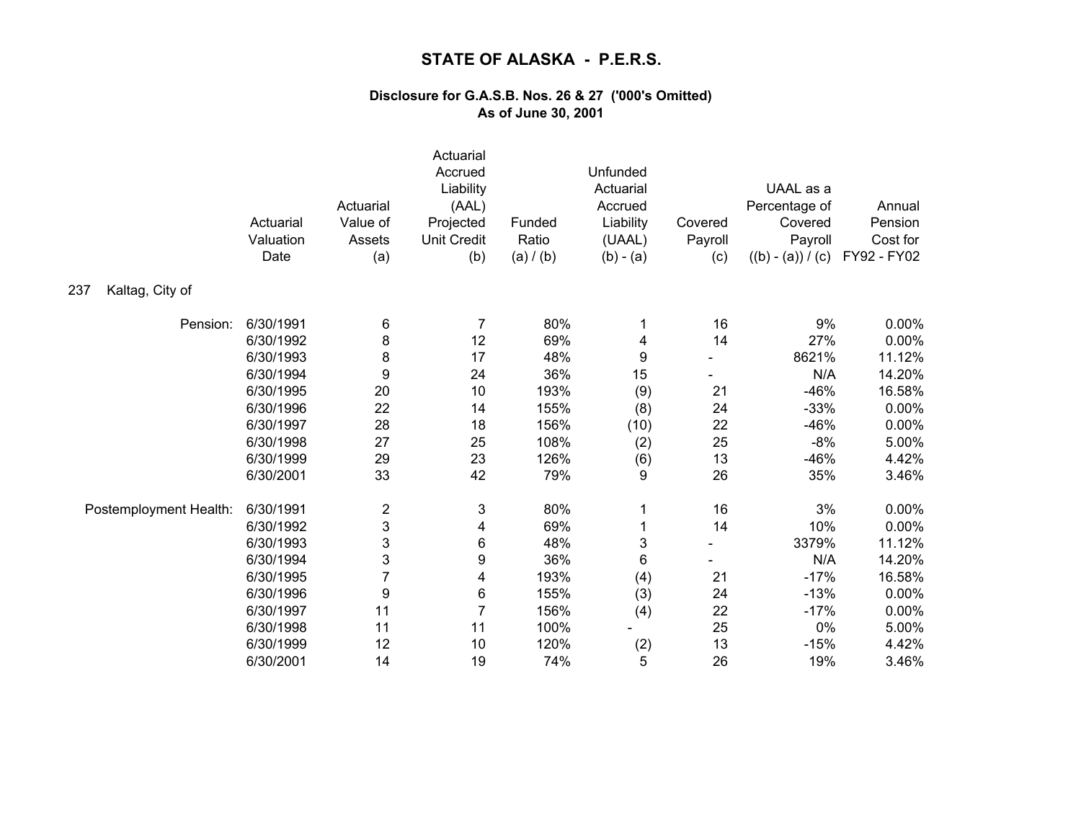|                        | Actuarial<br>Valuation<br>Date | Actuarial<br>Value of<br>Assets<br>(a) | Actuarial<br>Accrued<br>Liability<br>(AAL)<br>Projected<br><b>Unit Credit</b><br>(b) | Funded<br>Ratio<br>(a) / (b) | Unfunded<br>Actuarial<br>Accrued<br>Liability<br>(UAAL)<br>$(b) - (a)$ | Covered<br>Payroll<br>(c) | UAAL as a<br>Percentage of<br>Covered<br>Payroll<br>$((b) - (a)) / (c)$ | Annual<br>Pension<br>Cost for<br>FY92 - FY02 |
|------------------------|--------------------------------|----------------------------------------|--------------------------------------------------------------------------------------|------------------------------|------------------------------------------------------------------------|---------------------------|-------------------------------------------------------------------------|----------------------------------------------|
| Kaltag, City of<br>237 |                                |                                        |                                                                                      |                              |                                                                        |                           |                                                                         |                                              |
| Pension:               | 6/30/1991                      | 6                                      | $\overline{7}$                                                                       | 80%                          | 1                                                                      | 16                        | 9%                                                                      | 0.00%                                        |
|                        | 6/30/1992                      | 8                                      | 12                                                                                   | 69%                          | 4                                                                      | 14                        | 27%                                                                     | 0.00%                                        |
|                        | 6/30/1993                      | 8                                      | 17                                                                                   | 48%                          | 9                                                                      |                           | 8621%                                                                   | 11.12%                                       |
|                        | 6/30/1994                      | 9                                      | 24                                                                                   | 36%                          | 15                                                                     |                           | N/A                                                                     | 14.20%                                       |
|                        | 6/30/1995                      | 20                                     | 10                                                                                   | 193%                         | (9)                                                                    | 21                        | $-46%$                                                                  | 16.58%                                       |
|                        | 6/30/1996                      | 22                                     | 14                                                                                   | 155%                         | (8)                                                                    | 24                        | $-33%$                                                                  | 0.00%                                        |
|                        | 6/30/1997                      | 28                                     | 18                                                                                   | 156%                         | (10)                                                                   | 22                        | $-46%$                                                                  | 0.00%                                        |
|                        | 6/30/1998                      | 27                                     | 25                                                                                   | 108%                         | (2)                                                                    | 25                        | $-8%$                                                                   | 5.00%                                        |
|                        | 6/30/1999                      | 29                                     | 23                                                                                   | 126%                         | (6)                                                                    | 13                        | $-46%$                                                                  | 4.42%                                        |
|                        | 6/30/2001                      | 33                                     | 42                                                                                   | 79%                          | 9                                                                      | 26                        | 35%                                                                     | 3.46%                                        |
| Postemployment Health: | 6/30/1991                      | $\overline{\mathbf{c}}$                | 3                                                                                    | 80%                          | 1                                                                      | 16                        | 3%                                                                      | 0.00%                                        |
|                        | 6/30/1992                      | 3                                      | 4                                                                                    | 69%                          | 1                                                                      | 14                        | 10%                                                                     | 0.00%                                        |
|                        | 6/30/1993                      | 3                                      | 6                                                                                    | 48%                          | 3                                                                      |                           | 3379%                                                                   | 11.12%                                       |
|                        | 6/30/1994                      | 3                                      | 9                                                                                    | 36%                          | 6                                                                      |                           | N/A                                                                     | 14.20%                                       |
|                        | 6/30/1995                      | 7                                      | 4                                                                                    | 193%                         | (4)                                                                    | 21                        | $-17%$                                                                  | 16.58%                                       |
|                        | 6/30/1996                      | 9                                      | 6                                                                                    | 155%                         | (3)                                                                    | 24                        | $-13%$                                                                  | 0.00%                                        |
|                        | 6/30/1997                      | 11                                     | $\overline{7}$                                                                       | 156%                         | (4)                                                                    | 22                        | $-17%$                                                                  | 0.00%                                        |
|                        | 6/30/1998                      | 11                                     | 11                                                                                   | 100%                         |                                                                        | 25                        | 0%                                                                      | 5.00%                                        |
|                        | 6/30/1999                      | 12                                     | 10                                                                                   | 120%                         | (2)                                                                    | 13                        | $-15%$                                                                  | 4.42%                                        |
|                        | 6/30/2001                      | 14                                     | 19                                                                                   | 74%                          | 5                                                                      | 26                        | 19%                                                                     | 3.46%                                        |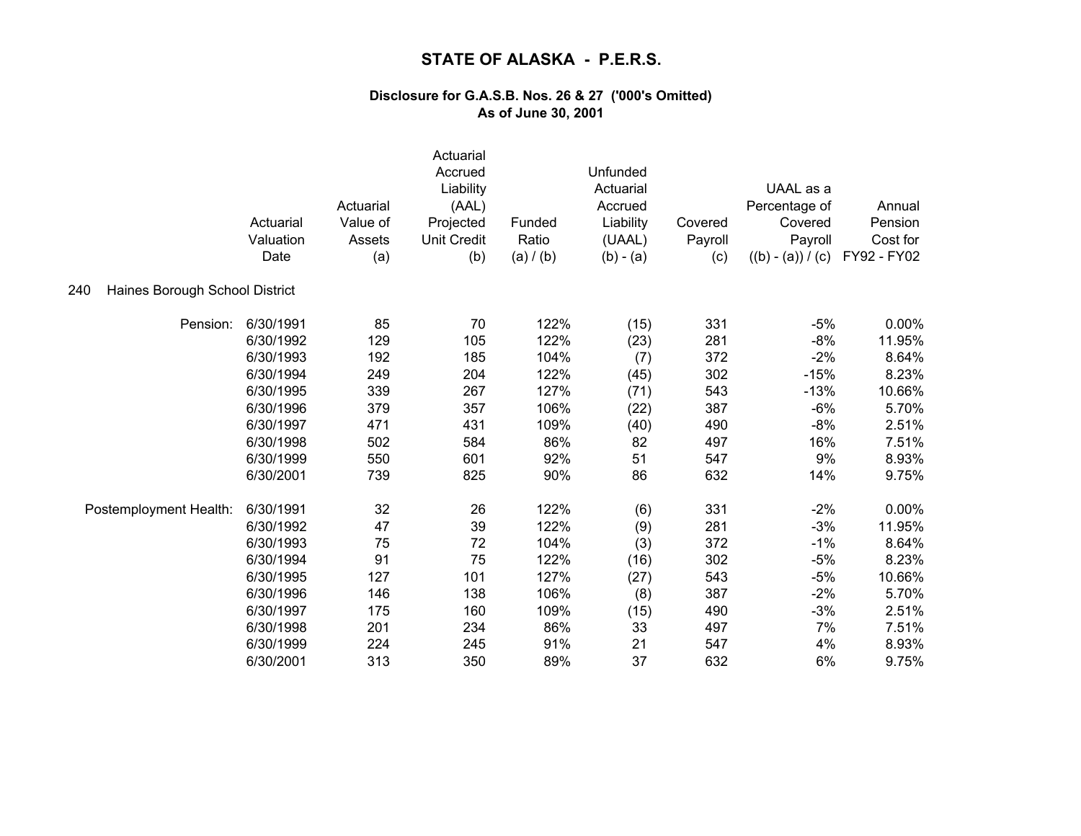|                                       | Actuarial<br>Valuation<br>Date | Actuarial<br>Value of<br>Assets<br>(a) | Actuarial<br>Accrued<br>Liability<br>(AAL)<br>Projected<br><b>Unit Credit</b><br>(b) | Funded<br>Ratio<br>(a) / (b) | Unfunded<br>Actuarial<br>Accrued<br>Liability<br>(UAAL)<br>$(b) - (a)$ | Covered<br>Payroll<br>(c) | UAAL as a<br>Percentage of<br>Covered<br>Payroll<br>$((b) - (a)) / (c)$ | Annual<br>Pension<br>Cost for<br>FY92 - FY02 |
|---------------------------------------|--------------------------------|----------------------------------------|--------------------------------------------------------------------------------------|------------------------------|------------------------------------------------------------------------|---------------------------|-------------------------------------------------------------------------|----------------------------------------------|
| Haines Borough School District<br>240 |                                |                                        |                                                                                      |                              |                                                                        |                           |                                                                         |                                              |
| Pension:                              | 6/30/1991                      | 85                                     | 70                                                                                   | 122%                         | (15)                                                                   | 331                       | $-5%$                                                                   | 0.00%                                        |
|                                       | 6/30/1992                      | 129                                    | 105                                                                                  | 122%                         | (23)                                                                   | 281                       | $-8%$                                                                   | 11.95%                                       |
|                                       | 6/30/1993                      | 192                                    | 185                                                                                  | 104%                         | (7)                                                                    | 372                       | $-2%$                                                                   | 8.64%                                        |
|                                       | 6/30/1994                      | 249                                    | 204                                                                                  | 122%                         | (45)                                                                   | 302                       | $-15%$                                                                  | 8.23%                                        |
|                                       | 6/30/1995                      | 339                                    | 267                                                                                  | 127%                         | (71)                                                                   | 543                       | $-13%$                                                                  | 10.66%                                       |
|                                       | 6/30/1996                      | 379                                    | 357                                                                                  | 106%                         | (22)                                                                   | 387                       | $-6%$                                                                   | 5.70%                                        |
|                                       | 6/30/1997                      | 471                                    | 431                                                                                  | 109%                         | (40)                                                                   | 490                       | $-8%$                                                                   | 2.51%                                        |
|                                       | 6/30/1998                      | 502                                    | 584                                                                                  | 86%                          | 82                                                                     | 497                       | 16%                                                                     | 7.51%                                        |
|                                       | 6/30/1999                      | 550                                    | 601                                                                                  | 92%                          | 51                                                                     | 547                       | 9%                                                                      | 8.93%                                        |
|                                       | 6/30/2001                      | 739                                    | 825                                                                                  | 90%                          | 86                                                                     | 632                       | 14%                                                                     | 9.75%                                        |
| Postemployment Health:                | 6/30/1991                      | 32                                     | 26                                                                                   | 122%                         | (6)                                                                    | 331                       | $-2%$                                                                   | 0.00%                                        |
|                                       | 6/30/1992                      | 47                                     | 39                                                                                   | 122%                         | (9)                                                                    | 281                       | $-3%$                                                                   | 11.95%                                       |
|                                       | 6/30/1993                      | 75                                     | 72                                                                                   | 104%                         | (3)                                                                    | 372                       | $-1%$                                                                   | 8.64%                                        |
|                                       | 6/30/1994                      | 91                                     | 75                                                                                   | 122%                         | (16)                                                                   | 302                       | $-5%$                                                                   | 8.23%                                        |
|                                       | 6/30/1995                      | 127                                    | 101                                                                                  | 127%                         | (27)                                                                   | 543                       | $-5%$                                                                   | 10.66%                                       |
|                                       | 6/30/1996                      | 146                                    | 138                                                                                  | 106%                         | (8)                                                                    | 387                       | $-2%$                                                                   | 5.70%                                        |
|                                       | 6/30/1997                      | 175                                    | 160                                                                                  | 109%                         | (15)                                                                   | 490                       | $-3%$                                                                   | 2.51%                                        |
|                                       | 6/30/1998                      | 201                                    | 234                                                                                  | 86%                          | 33                                                                     | 497                       | 7%                                                                      | 7.51%                                        |
|                                       | 6/30/1999                      | 224                                    | 245                                                                                  | 91%                          | 21                                                                     | 547                       | 4%                                                                      | 8.93%                                        |
|                                       | 6/30/2001                      | 313                                    | 350                                                                                  | 89%                          | 37                                                                     | 632                       | 6%                                                                      | 9.75%                                        |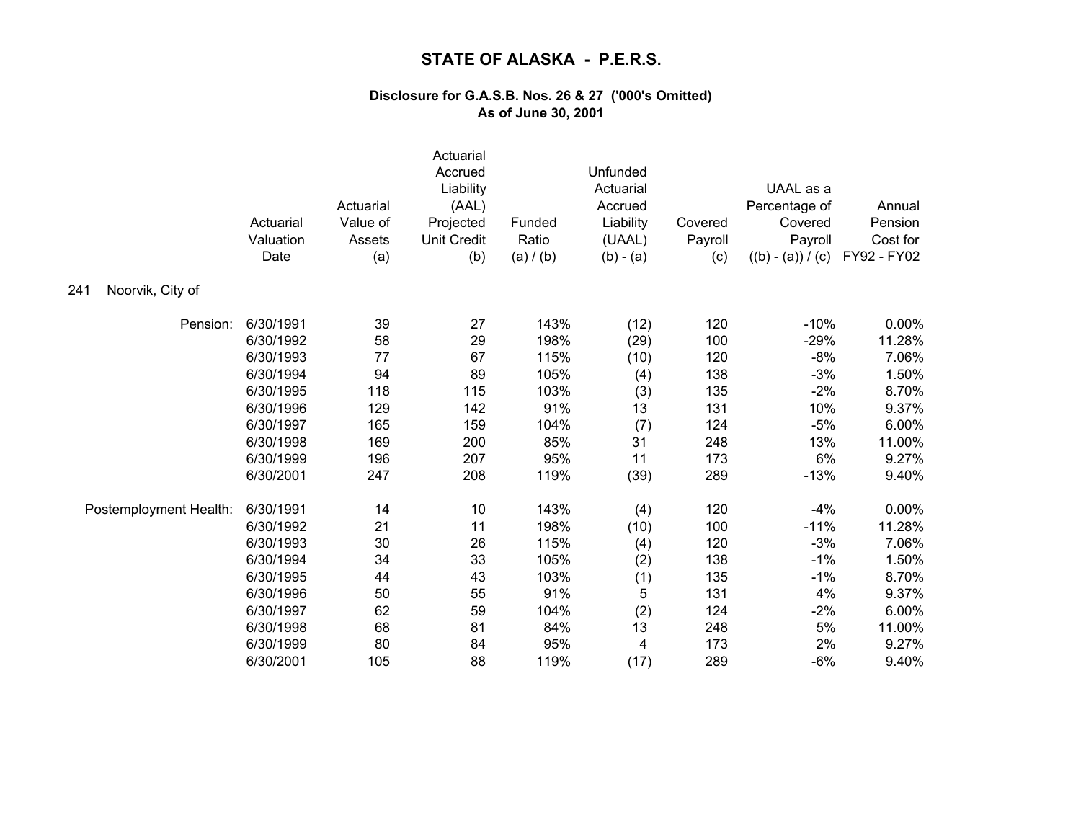|                         | Actuarial<br>Valuation<br>Date | Actuarial<br>Value of<br>Assets<br>(a) | Actuarial<br>Accrued<br>Liability<br>(AAL)<br>Projected<br><b>Unit Credit</b><br>(b) | Funded<br>Ratio<br>(a) / (b) | Unfunded<br>Actuarial<br>Accrued<br>Liability<br>(UAAL)<br>$(b) - (a)$ | Covered<br>Payroll<br>(c) | UAAL as a<br>Percentage of<br>Covered<br>Payroll<br>$((b) - (a)) / (c)$ | Annual<br>Pension<br>Cost for<br>FY92 - FY02 |
|-------------------------|--------------------------------|----------------------------------------|--------------------------------------------------------------------------------------|------------------------------|------------------------------------------------------------------------|---------------------------|-------------------------------------------------------------------------|----------------------------------------------|
| Noorvik, City of<br>241 |                                |                                        |                                                                                      |                              |                                                                        |                           |                                                                         |                                              |
| Pension:                | 6/30/1991                      | 39                                     | 27                                                                                   | 143%                         | (12)                                                                   | 120                       | $-10%$                                                                  | 0.00%                                        |
|                         | 6/30/1992                      | 58                                     | 29                                                                                   | 198%                         | (29)                                                                   | 100                       | $-29%$                                                                  | 11.28%                                       |
|                         | 6/30/1993                      | 77                                     | 67                                                                                   | 115%                         | (10)                                                                   | 120                       | $-8%$                                                                   | 7.06%                                        |
|                         | 6/30/1994                      | 94                                     | 89                                                                                   | 105%                         | (4)                                                                    | 138                       | $-3%$                                                                   | 1.50%                                        |
|                         | 6/30/1995                      | 118                                    | 115                                                                                  | 103%                         | (3)                                                                    | 135                       | $-2%$                                                                   | 8.70%                                        |
|                         | 6/30/1996                      | 129                                    | 142                                                                                  | 91%                          | 13                                                                     | 131                       | 10%                                                                     | 9.37%                                        |
|                         | 6/30/1997                      | 165                                    | 159                                                                                  | 104%                         | (7)                                                                    | 124                       | $-5%$                                                                   | 6.00%                                        |
|                         | 6/30/1998                      | 169                                    | 200                                                                                  | 85%                          | 31                                                                     | 248                       | 13%                                                                     | 11.00%                                       |
|                         | 6/30/1999                      | 196                                    | 207                                                                                  | 95%                          | 11                                                                     | 173                       | 6%                                                                      | 9.27%                                        |
|                         | 6/30/2001                      | 247                                    | 208                                                                                  | 119%                         | (39)                                                                   | 289                       | $-13%$                                                                  | 9.40%                                        |
| Postemployment Health:  | 6/30/1991                      | 14                                     | 10                                                                                   | 143%                         | (4)                                                                    | 120                       | $-4%$                                                                   | 0.00%                                        |
|                         | 6/30/1992                      | 21                                     | 11                                                                                   | 198%                         | (10)                                                                   | 100                       | $-11%$                                                                  | 11.28%                                       |
|                         | 6/30/1993                      | 30                                     | 26                                                                                   | 115%                         | (4)                                                                    | 120                       | $-3%$                                                                   | 7.06%                                        |
|                         | 6/30/1994                      | 34                                     | 33                                                                                   | 105%                         | (2)                                                                    | 138                       | $-1%$                                                                   | 1.50%                                        |
|                         | 6/30/1995                      | 44                                     | 43                                                                                   | 103%                         | (1)                                                                    | 135                       | $-1%$                                                                   | 8.70%                                        |
|                         | 6/30/1996                      | 50                                     | 55                                                                                   | 91%                          | 5                                                                      | 131                       | 4%                                                                      | 9.37%                                        |
|                         | 6/30/1997                      | 62                                     | 59                                                                                   | 104%                         | (2)                                                                    | 124                       | $-2%$                                                                   | 6.00%                                        |
|                         | 6/30/1998                      | 68                                     | 81                                                                                   | 84%                          | 13                                                                     | 248                       | $5\%$                                                                   | 11.00%                                       |
|                         | 6/30/1999                      | 80                                     | 84                                                                                   | 95%                          | 4                                                                      | 173                       | 2%                                                                      | 9.27%                                        |
|                         | 6/30/2001                      | 105                                    | 88                                                                                   | 119%                         | (17)                                                                   | 289                       | $-6%$                                                                   | 9.40%                                        |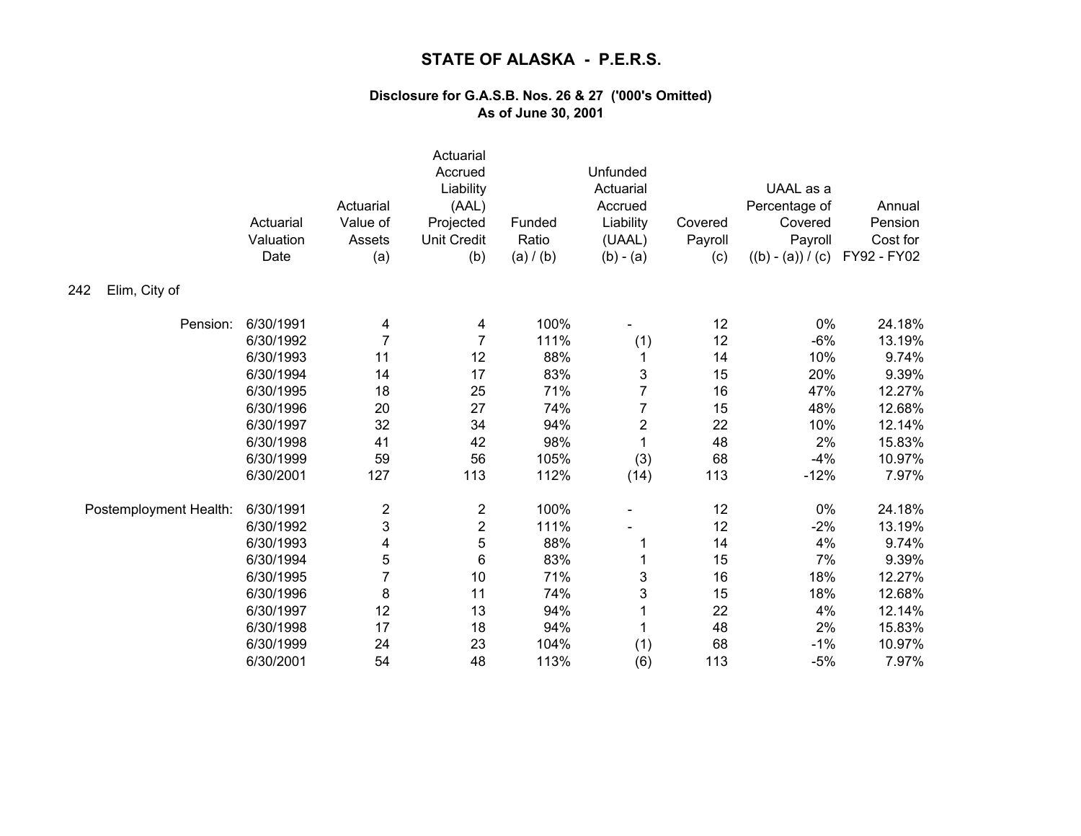|                        | Actuarial<br>Valuation<br>Date | Actuarial<br>Value of<br>Assets<br>(a) | Actuarial<br>Accrued<br>Liability<br>(AAL)<br>Projected<br><b>Unit Credit</b><br>(b) | Funded<br>Ratio<br>(a) / (b) | Unfunded<br>Actuarial<br>Accrued<br>Liability<br>(UAAL)<br>$(b) - (a)$ | Covered<br>Payroll<br>(c) | UAAL as a<br>Percentage of<br>Covered<br>Payroll<br>$((b) - (a)) / (c)$ | Annual<br>Pension<br>Cost for<br>FY92 - FY02 |
|------------------------|--------------------------------|----------------------------------------|--------------------------------------------------------------------------------------|------------------------------|------------------------------------------------------------------------|---------------------------|-------------------------------------------------------------------------|----------------------------------------------|
| Elim, City of<br>242   |                                |                                        |                                                                                      |                              |                                                                        |                           |                                                                         |                                              |
| Pension:               | 6/30/1991                      | 4                                      | 4                                                                                    | 100%                         |                                                                        | 12                        | 0%                                                                      | 24.18%                                       |
|                        | 6/30/1992                      | 7                                      | $\overline{7}$                                                                       | 111%                         | (1)                                                                    | 12                        | $-6%$                                                                   | 13.19%                                       |
|                        | 6/30/1993                      | 11                                     | 12                                                                                   | 88%                          | 1                                                                      | 14                        | 10%                                                                     | 9.74%                                        |
|                        | 6/30/1994                      | 14                                     | 17                                                                                   | 83%                          | 3                                                                      | 15                        | 20%                                                                     | 9.39%                                        |
|                        | 6/30/1995                      | 18                                     | 25                                                                                   | 71%                          | 7                                                                      | 16                        | 47%                                                                     | 12.27%                                       |
|                        | 6/30/1996                      | 20                                     | 27                                                                                   | 74%                          | 7                                                                      | 15                        | 48%                                                                     | 12.68%                                       |
|                        | 6/30/1997                      | 32                                     | 34                                                                                   | 94%                          | $\overline{c}$                                                         | 22                        | 10%                                                                     | 12.14%                                       |
|                        | 6/30/1998                      | 41                                     | 42                                                                                   | 98%                          | $\mathbf 1$                                                            | 48                        | 2%                                                                      | 15.83%                                       |
|                        | 6/30/1999                      | 59                                     | 56                                                                                   | 105%                         | (3)                                                                    | 68                        | $-4%$                                                                   | 10.97%                                       |
|                        | 6/30/2001                      | 127                                    | 113                                                                                  | 112%                         | (14)                                                                   | 113                       | $-12%$                                                                  | 7.97%                                        |
| Postemployment Health: | 6/30/1991                      | $\overline{\mathbf{c}}$                | $\boldsymbol{2}$                                                                     | 100%                         |                                                                        | 12                        | 0%                                                                      | 24.18%                                       |
|                        | 6/30/1992                      | 3                                      | $\overline{\mathbf{c}}$                                                              | 111%                         |                                                                        | 12                        | $-2%$                                                                   | 13.19%                                       |
|                        | 6/30/1993                      | 4                                      | 5                                                                                    | 88%                          | 1                                                                      | 14                        | 4%                                                                      | 9.74%                                        |
|                        | 6/30/1994                      | 5                                      | 6                                                                                    | 83%                          |                                                                        | 15                        | 7%                                                                      | 9.39%                                        |
|                        | 6/30/1995                      | 7                                      | 10                                                                                   | 71%                          | 3                                                                      | 16                        | 18%                                                                     | 12.27%                                       |
|                        | 6/30/1996                      | 8                                      | 11                                                                                   | 74%                          | 3                                                                      | 15                        | 18%                                                                     | 12.68%                                       |
|                        | 6/30/1997                      | 12                                     | 13                                                                                   | 94%                          |                                                                        | 22                        | 4%                                                                      | 12.14%                                       |
|                        | 6/30/1998                      | 17                                     | 18                                                                                   | 94%                          |                                                                        | 48                        | 2%                                                                      | 15.83%                                       |
|                        | 6/30/1999                      | 24                                     | 23                                                                                   | 104%                         | (1)                                                                    | 68                        | $-1%$                                                                   | 10.97%                                       |
|                        | 6/30/2001                      | 54                                     | 48                                                                                   | 113%                         | (6)                                                                    | 113                       | $-5%$                                                                   | 7.97%                                        |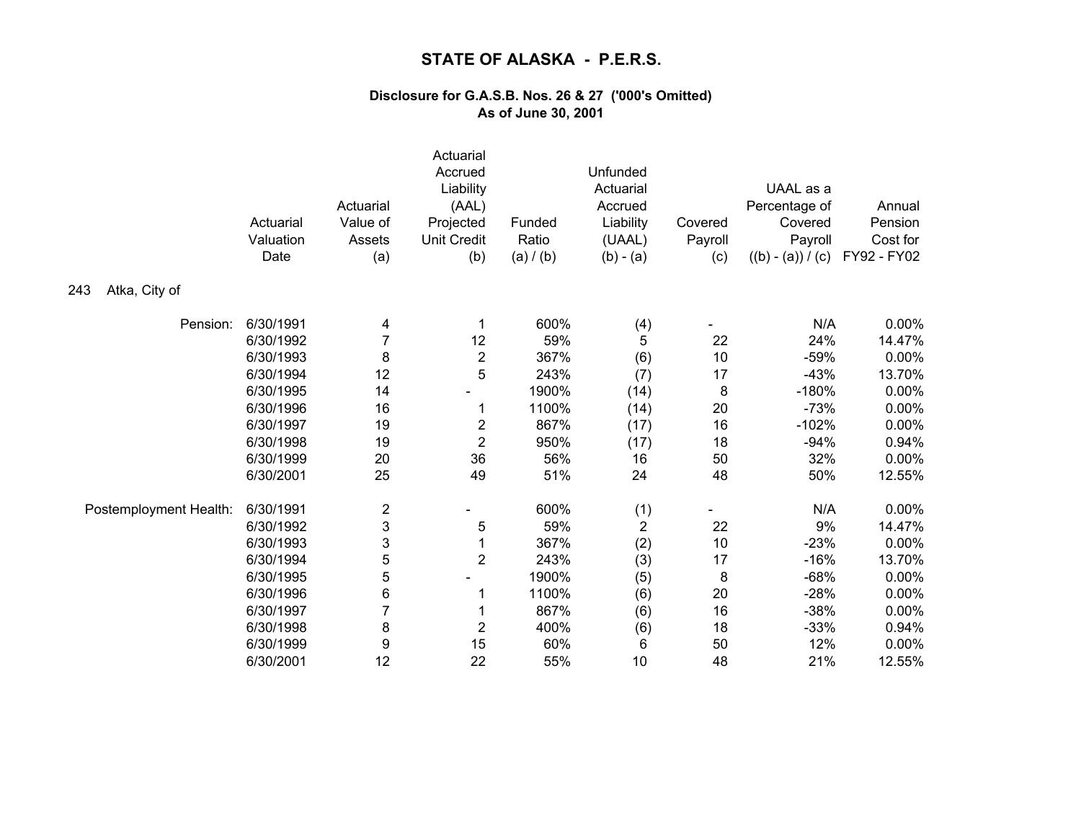|                        | Actuarial<br>Valuation<br>Date | Actuarial<br>Value of<br>Assets<br>(a) | Actuarial<br>Accrued<br>Liability<br>(AAL)<br>Projected<br><b>Unit Credit</b><br>(b) | Funded<br>Ratio<br>(a) / (b) | Unfunded<br>Actuarial<br>Accrued<br>Liability<br>(UAAL)<br>$(b) - (a)$ | Covered<br>Payroll<br>(c) | UAAL as a<br>Percentage of<br>Covered<br>Payroll<br>$((b) - (a)) / (c)$ | Annual<br>Pension<br>Cost for<br>FY92 - FY02 |
|------------------------|--------------------------------|----------------------------------------|--------------------------------------------------------------------------------------|------------------------------|------------------------------------------------------------------------|---------------------------|-------------------------------------------------------------------------|----------------------------------------------|
| Atka, City of<br>243   |                                |                                        |                                                                                      |                              |                                                                        |                           |                                                                         |                                              |
| Pension:               | 6/30/1991                      | 4                                      |                                                                                      | 600%                         | (4)                                                                    |                           | N/A                                                                     | 0.00%                                        |
|                        | 6/30/1992                      | 7                                      | 12                                                                                   | 59%                          | 5                                                                      | 22                        | 24%                                                                     | 14.47%                                       |
|                        | 6/30/1993                      | 8                                      | $\boldsymbol{2}$                                                                     | 367%                         | (6)                                                                    | 10                        | $-59%$                                                                  | 0.00%                                        |
|                        | 6/30/1994                      | 12                                     | 5                                                                                    | 243%                         | (7)                                                                    | 17                        | $-43%$                                                                  | 13.70%                                       |
|                        | 6/30/1995                      | 14                                     |                                                                                      | 1900%                        | (14)                                                                   | 8                         | $-180%$                                                                 | 0.00%                                        |
|                        | 6/30/1996                      | 16                                     | 1                                                                                    | 1100%                        | (14)                                                                   | 20                        | $-73%$                                                                  | 0.00%                                        |
|                        | 6/30/1997                      | 19                                     | $\overline{\mathbf{c}}$                                                              | 867%                         | (17)                                                                   | 16                        | $-102%$                                                                 | 0.00%                                        |
|                        | 6/30/1998                      | 19                                     | $\overline{2}$                                                                       | 950%                         | (17)                                                                   | 18                        | $-94%$                                                                  | 0.94%                                        |
|                        | 6/30/1999                      | 20                                     | 36                                                                                   | 56%                          | 16                                                                     | 50                        | 32%                                                                     | 0.00%                                        |
|                        | 6/30/2001                      | 25                                     | 49                                                                                   | 51%                          | 24                                                                     | 48                        | 50%                                                                     | 12.55%                                       |
| Postemployment Health: | 6/30/1991                      | $\overline{\mathbf{c}}$                |                                                                                      | 600%                         | (1)                                                                    |                           | N/A                                                                     | 0.00%                                        |
|                        | 6/30/1992                      | 3                                      | 5                                                                                    | 59%                          | $\sqrt{2}$                                                             | 22                        | 9%                                                                      | 14.47%                                       |
|                        | 6/30/1993                      | 3                                      | 1                                                                                    | 367%                         | (2)                                                                    | 10                        | $-23%$                                                                  | 0.00%                                        |
|                        | 6/30/1994                      | 5                                      | $\overline{2}$                                                                       | 243%                         | (3)                                                                    | 17                        | $-16%$                                                                  | 13.70%                                       |
|                        | 6/30/1995                      | 5                                      |                                                                                      | 1900%                        | (5)                                                                    | 8                         | $-68%$                                                                  | 0.00%                                        |
|                        | 6/30/1996                      | 6                                      |                                                                                      | 1100%                        | (6)                                                                    | 20                        | $-28%$                                                                  | 0.00%                                        |
|                        | 6/30/1997                      | $\overline{7}$                         |                                                                                      | 867%                         | (6)                                                                    | 16                        | $-38%$                                                                  | 0.00%                                        |
|                        | 6/30/1998                      | 8                                      | $\overline{2}$                                                                       | 400%                         | (6)                                                                    | 18                        | $-33%$                                                                  | 0.94%                                        |
|                        | 6/30/1999                      | 9                                      | 15                                                                                   | 60%                          | 6                                                                      | 50                        | 12%                                                                     | 0.00%                                        |
|                        | 6/30/2001                      | 12                                     | 22                                                                                   | 55%                          | 10                                                                     | 48                        | 21%                                                                     | 12.55%                                       |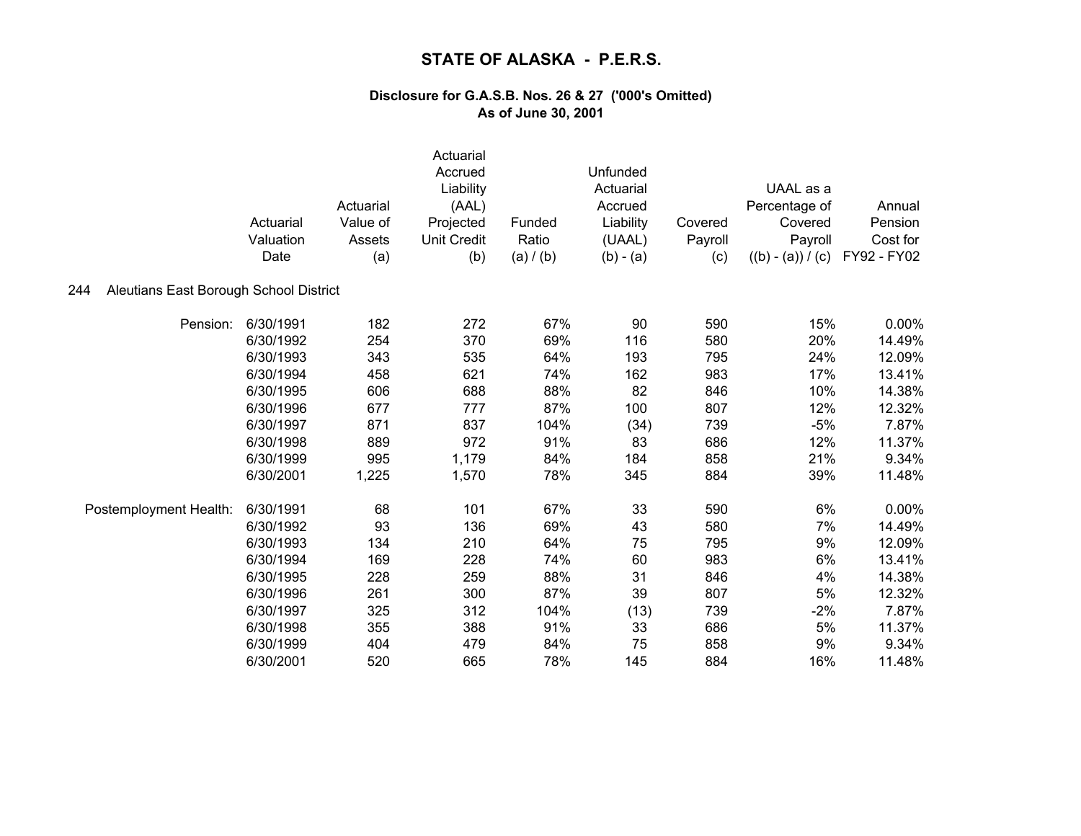|                                               | Actuarial<br>Valuation<br>Date | Actuarial<br>Value of<br>Assets<br>(a) | Actuarial<br>Accrued<br>Liability<br>(AAL)<br>Projected<br><b>Unit Credit</b><br>(b) | Funded<br>Ratio<br>(a) / (b) | Unfunded<br>Actuarial<br>Accrued<br>Liability<br>(UAAL)<br>$(b) - (a)$ | Covered<br>Payroll<br>(c) | UAAL as a<br>Percentage of<br>Covered<br>Payroll<br>$((b) - (a)) / (c)$ | Annual<br>Pension<br>Cost for<br>FY92 - FY02 |
|-----------------------------------------------|--------------------------------|----------------------------------------|--------------------------------------------------------------------------------------|------------------------------|------------------------------------------------------------------------|---------------------------|-------------------------------------------------------------------------|----------------------------------------------|
| Aleutians East Borough School District<br>244 |                                |                                        |                                                                                      |                              |                                                                        |                           |                                                                         |                                              |
| Pension:                                      | 6/30/1991                      | 182                                    | 272                                                                                  | 67%                          | 90                                                                     | 590                       | 15%                                                                     | 0.00%                                        |
|                                               | 6/30/1992                      | 254                                    | 370                                                                                  | 69%                          | 116                                                                    | 580                       | 20%                                                                     | 14.49%                                       |
|                                               | 6/30/1993                      | 343                                    | 535                                                                                  | 64%                          | 193                                                                    | 795                       | 24%                                                                     | 12.09%                                       |
|                                               | 6/30/1994                      | 458                                    | 621                                                                                  | 74%                          | 162                                                                    | 983                       | 17%                                                                     | 13.41%                                       |
|                                               | 6/30/1995                      | 606                                    | 688                                                                                  | 88%                          | 82                                                                     | 846                       | 10%                                                                     | 14.38%                                       |
|                                               | 6/30/1996                      | 677                                    | 777                                                                                  | 87%                          | 100                                                                    | 807                       | 12%                                                                     | 12.32%                                       |
|                                               | 6/30/1997                      | 871                                    | 837                                                                                  | 104%                         | (34)                                                                   | 739                       | $-5%$                                                                   | 7.87%                                        |
|                                               | 6/30/1998                      | 889                                    | 972                                                                                  | 91%                          | 83                                                                     | 686                       | 12%                                                                     | 11.37%                                       |
|                                               | 6/30/1999                      | 995                                    | 1,179                                                                                | 84%                          | 184                                                                    | 858                       | 21%                                                                     | 9.34%                                        |
|                                               | 6/30/2001                      | 1,225                                  | 1,570                                                                                | 78%                          | 345                                                                    | 884                       | 39%                                                                     | 11.48%                                       |
| Postemployment Health:                        | 6/30/1991                      | 68                                     | 101                                                                                  | 67%                          | 33                                                                     | 590                       | 6%                                                                      | $0.00\%$                                     |
|                                               | 6/30/1992                      | 93                                     | 136                                                                                  | 69%                          | 43                                                                     | 580                       | 7%                                                                      | 14.49%                                       |
|                                               | 6/30/1993                      | 134                                    | 210                                                                                  | 64%                          | 75                                                                     | 795                       | 9%                                                                      | 12.09%                                       |
|                                               | 6/30/1994                      | 169                                    | 228                                                                                  | 74%                          | 60                                                                     | 983                       | 6%                                                                      | 13.41%                                       |
|                                               | 6/30/1995                      | 228                                    | 259                                                                                  | 88%                          | 31                                                                     | 846                       | 4%                                                                      | 14.38%                                       |
|                                               | 6/30/1996                      | 261                                    | 300                                                                                  | 87%                          | 39                                                                     | 807                       | 5%                                                                      | 12.32%                                       |
|                                               | 6/30/1997                      | 325                                    | 312                                                                                  | 104%                         | (13)                                                                   | 739                       | $-2%$                                                                   | 7.87%                                        |
|                                               | 6/30/1998                      | 355                                    | 388                                                                                  | 91%                          | 33                                                                     | 686                       | $5\%$                                                                   | 11.37%                                       |
|                                               | 6/30/1999                      | 404                                    | 479                                                                                  | 84%                          | 75                                                                     | 858                       | 9%                                                                      | 9.34%                                        |
|                                               | 6/30/2001                      | 520                                    | 665                                                                                  | 78%                          | 145                                                                    | 884                       | 16%                                                                     | 11.48%                                       |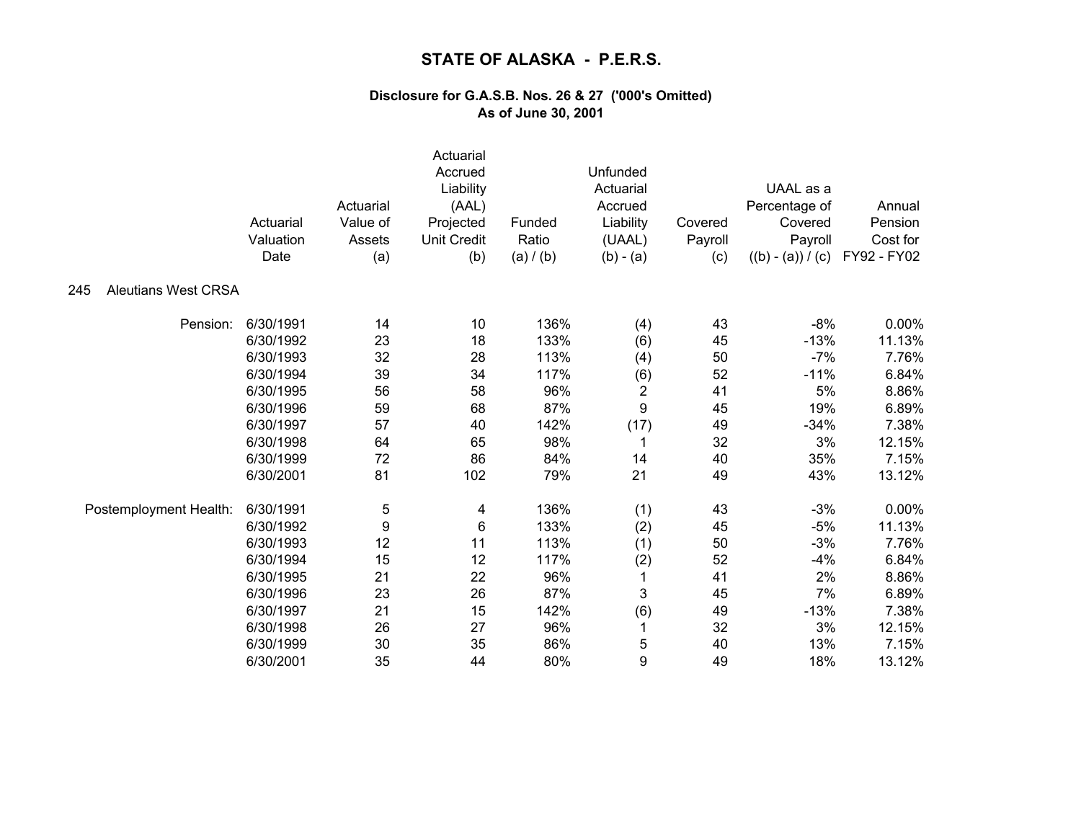|                                   | Actuarial<br>Valuation<br>Date | Actuarial<br>Value of<br>Assets<br>(a) | Actuarial<br>Accrued<br>Liability<br>(AAL)<br>Projected<br><b>Unit Credit</b><br>(b) | Funded<br>Ratio<br>(a) / (b) | Unfunded<br>Actuarial<br>Accrued<br>Liability<br>(UAAL)<br>$(b) - (a)$ | Covered<br>Payroll<br>(c) | UAAL as a<br>Percentage of<br>Covered<br>Payroll<br>$((b) - (a)) / (c)$ | Annual<br>Pension<br>Cost for<br>FY92 - FY02 |
|-----------------------------------|--------------------------------|----------------------------------------|--------------------------------------------------------------------------------------|------------------------------|------------------------------------------------------------------------|---------------------------|-------------------------------------------------------------------------|----------------------------------------------|
| <b>Aleutians West CRSA</b><br>245 |                                |                                        |                                                                                      |                              |                                                                        |                           |                                                                         |                                              |
| Pension:                          | 6/30/1991                      | 14                                     | 10                                                                                   | 136%                         | (4)                                                                    | 43                        | $-8%$                                                                   | 0.00%                                        |
|                                   | 6/30/1992                      | 23                                     | 18                                                                                   | 133%                         | (6)                                                                    | 45                        | $-13%$                                                                  | 11.13%                                       |
|                                   | 6/30/1993                      | 32                                     | 28                                                                                   | 113%                         | (4)                                                                    | 50                        | $-7%$                                                                   | 7.76%                                        |
|                                   | 6/30/1994                      | 39                                     | 34                                                                                   | 117%                         | (6)                                                                    | 52                        | $-11%$                                                                  | 6.84%                                        |
|                                   | 6/30/1995                      | 56                                     | 58                                                                                   | 96%                          | 2                                                                      | 41                        | 5%                                                                      | 8.86%                                        |
|                                   | 6/30/1996                      | 59                                     | 68                                                                                   | 87%                          | 9                                                                      | 45                        | 19%                                                                     | 6.89%                                        |
|                                   | 6/30/1997                      | 57                                     | 40                                                                                   | 142%                         | (17)                                                                   | 49                        | $-34%$                                                                  | 7.38%                                        |
|                                   | 6/30/1998                      | 64                                     | 65                                                                                   | 98%                          | 1                                                                      | 32                        | 3%                                                                      | 12.15%                                       |
|                                   | 6/30/1999                      | 72                                     | 86                                                                                   | 84%                          | 14                                                                     | 40                        | 35%                                                                     | 7.15%                                        |
|                                   | 6/30/2001                      | 81                                     | 102                                                                                  | 79%                          | 21                                                                     | 49                        | 43%                                                                     | 13.12%                                       |
| Postemployment Health:            | 6/30/1991                      | 5                                      | 4                                                                                    | 136%                         | (1)                                                                    | 43                        | $-3%$                                                                   | $0.00\%$                                     |
|                                   | 6/30/1992                      | 9                                      | 6                                                                                    | 133%                         | (2)                                                                    | 45                        | $-5%$                                                                   | 11.13%                                       |
|                                   | 6/30/1993                      | 12                                     | 11                                                                                   | 113%                         | (1)                                                                    | 50                        | $-3%$                                                                   | 7.76%                                        |
|                                   | 6/30/1994                      | 15                                     | 12                                                                                   | 117%                         | (2)                                                                    | 52                        | $-4%$                                                                   | 6.84%                                        |
|                                   | 6/30/1995                      | 21                                     | 22                                                                                   | 96%                          | 1                                                                      | 41                        | 2%                                                                      | 8.86%                                        |
|                                   | 6/30/1996                      | 23                                     | 26                                                                                   | 87%                          | 3                                                                      | 45                        | 7%                                                                      | 6.89%                                        |
|                                   | 6/30/1997                      | 21                                     | 15                                                                                   | 142%                         | (6)                                                                    | 49                        | $-13%$                                                                  | 7.38%                                        |
|                                   | 6/30/1998                      | 26                                     | 27                                                                                   | 96%                          | 1                                                                      | 32                        | 3%                                                                      | 12.15%                                       |
|                                   | 6/30/1999                      | 30                                     | 35                                                                                   | 86%                          | 5                                                                      | 40                        | 13%                                                                     | 7.15%                                        |
|                                   | 6/30/2001                      | 35                                     | 44                                                                                   | 80%                          | 9                                                                      | 49                        | 18%                                                                     | 13.12%                                       |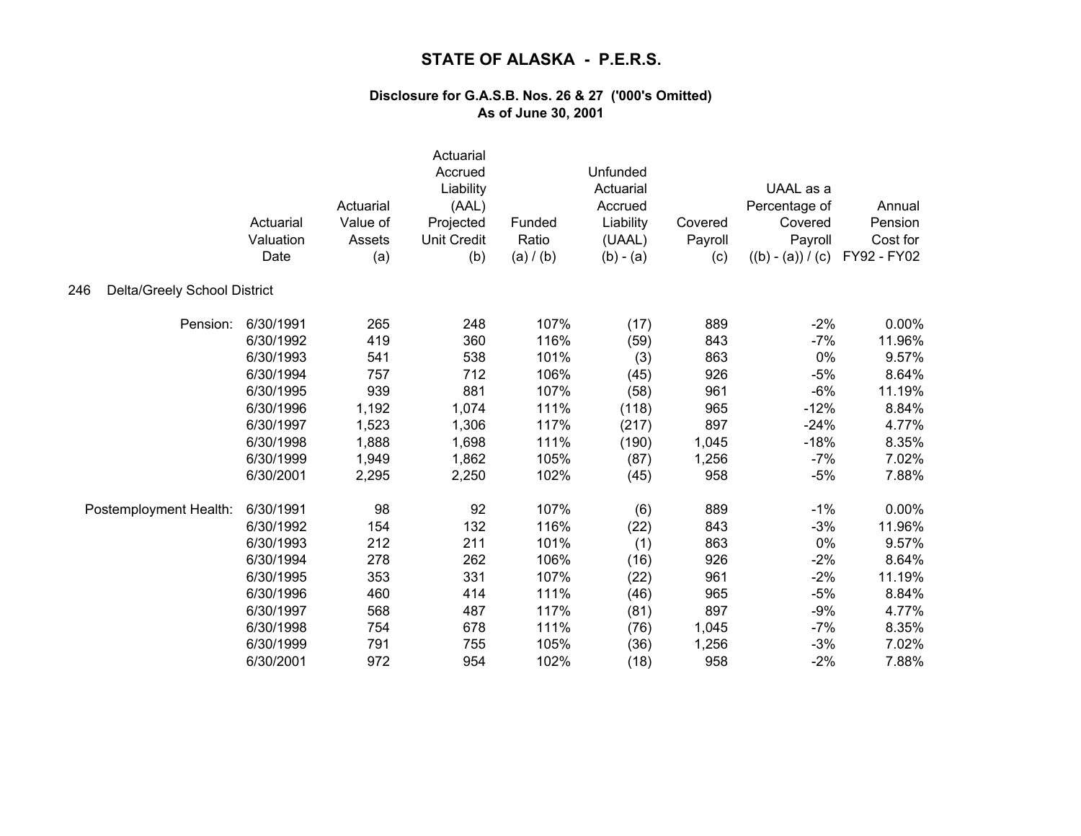|                                     | Actuarial<br>Valuation<br>Date | Actuarial<br>Value of<br>Assets<br>(a) | Actuarial<br>Accrued<br>Liability<br>(AAL)<br>Projected<br><b>Unit Credit</b><br>(b) | Funded<br>Ratio<br>(a) / (b) | Unfunded<br>Actuarial<br>Accrued<br>Liability<br>(UAAL)<br>$(b) - (a)$ | Covered<br>Payroll<br>(c) | UAAL as a<br>Percentage of<br>Covered<br>Payroll<br>$((b) - (a)) / (c)$ | Annual<br>Pension<br>Cost for<br>FY92 - FY02 |
|-------------------------------------|--------------------------------|----------------------------------------|--------------------------------------------------------------------------------------|------------------------------|------------------------------------------------------------------------|---------------------------|-------------------------------------------------------------------------|----------------------------------------------|
| Delta/Greely School District<br>246 |                                |                                        |                                                                                      |                              |                                                                        |                           |                                                                         |                                              |
| Pension:                            | 6/30/1991                      | 265                                    | 248                                                                                  | 107%                         | (17)                                                                   | 889                       | $-2%$                                                                   | 0.00%                                        |
|                                     | 6/30/1992                      | 419                                    | 360                                                                                  | 116%                         | (59)                                                                   | 843                       | $-7%$                                                                   | 11.96%                                       |
|                                     | 6/30/1993                      | 541                                    | 538                                                                                  | 101%                         | (3)                                                                    | 863                       | 0%                                                                      | 9.57%                                        |
|                                     | 6/30/1994                      | 757                                    | 712                                                                                  | 106%                         | (45)                                                                   | 926                       | $-5%$                                                                   | 8.64%                                        |
|                                     | 6/30/1995                      | 939                                    | 881                                                                                  | 107%                         | (58)                                                                   | 961                       | $-6%$                                                                   | 11.19%                                       |
|                                     | 6/30/1996                      | 1,192                                  | 1,074                                                                                | 111%                         | (118)                                                                  | 965                       | $-12%$                                                                  | 8.84%                                        |
|                                     | 6/30/1997                      | 1,523                                  | 1,306                                                                                | 117%                         | (217)                                                                  | 897                       | $-24%$                                                                  | 4.77%                                        |
|                                     | 6/30/1998                      | 1,888                                  | 1,698                                                                                | 111%                         | (190)                                                                  | 1,045                     | $-18%$                                                                  | 8.35%                                        |
|                                     | 6/30/1999                      | 1,949                                  | 1,862                                                                                | 105%                         | (87)                                                                   | 1,256                     | $-7%$                                                                   | 7.02%                                        |
|                                     | 6/30/2001                      | 2,295                                  | 2,250                                                                                | 102%                         | (45)                                                                   | 958                       | $-5%$                                                                   | 7.88%                                        |
| Postemployment Health:              | 6/30/1991                      | 98                                     | 92                                                                                   | 107%                         | (6)                                                                    | 889                       | $-1%$                                                                   | 0.00%                                        |
|                                     | 6/30/1992                      | 154                                    | 132                                                                                  | 116%                         | (22)                                                                   | 843                       | $-3%$                                                                   | 11.96%                                       |
|                                     | 6/30/1993                      | 212                                    | 211                                                                                  | 101%                         | (1)                                                                    | 863                       | 0%                                                                      | 9.57%                                        |
|                                     | 6/30/1994                      | 278                                    | 262                                                                                  | 106%                         | (16)                                                                   | 926                       | $-2%$                                                                   | 8.64%                                        |
|                                     | 6/30/1995                      | 353                                    | 331                                                                                  | 107%                         | (22)                                                                   | 961                       | $-2%$                                                                   | 11.19%                                       |
|                                     | 6/30/1996                      | 460                                    | 414                                                                                  | 111%                         | (46)                                                                   | 965                       | $-5%$                                                                   | 8.84%                                        |
|                                     | 6/30/1997                      | 568                                    | 487                                                                                  | 117%                         | (81)                                                                   | 897                       | $-9%$                                                                   | 4.77%                                        |
|                                     | 6/30/1998                      | 754                                    | 678                                                                                  | 111%                         | (76)                                                                   | 1,045                     | $-7%$                                                                   | 8.35%                                        |
|                                     | 6/30/1999                      | 791                                    | 755                                                                                  | 105%                         | (36)                                                                   | 1,256                     | $-3%$                                                                   | 7.02%                                        |
|                                     | 6/30/2001                      | 972                                    | 954                                                                                  | 102%                         | (18)                                                                   | 958                       | $-2%$                                                                   | 7.88%                                        |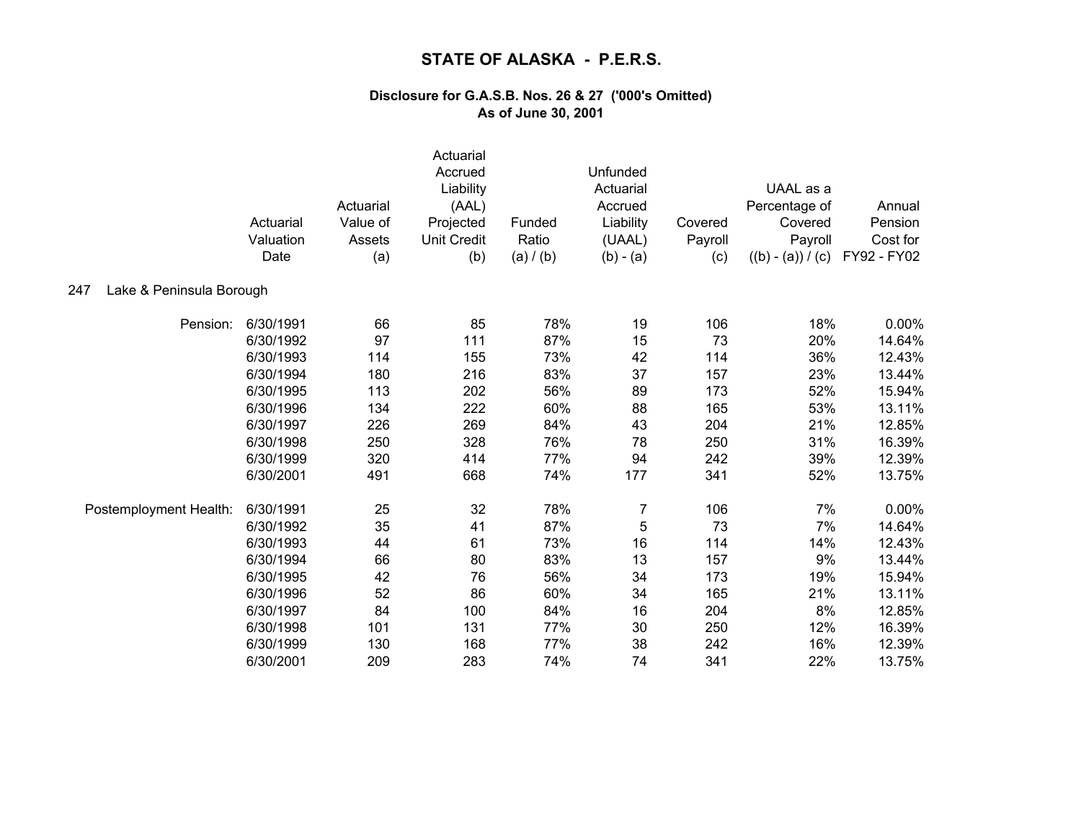| Lake & Peninsula Borough<br>247 | Actuarial<br>Valuation<br>Date | Actuarial<br>Value of<br>Assets<br>(a) | Actuarial<br>Accrued<br>Liability<br>(AAL)<br>Projected<br><b>Unit Credit</b><br>(b) | Funded<br>Ratio<br>(a) / (b) | Unfunded<br>Actuarial<br>Accrued<br>Liability<br>(UAAL)<br>$(b) - (a)$ | Covered<br>Payroll<br>(c) | UAAL as a<br>Percentage of<br>Covered<br>Payroll<br>$((b) - (a)) / (c)$ | Annual<br>Pension<br>Cost for<br>FY92 - FY02 |
|---------------------------------|--------------------------------|----------------------------------------|--------------------------------------------------------------------------------------|------------------------------|------------------------------------------------------------------------|---------------------------|-------------------------------------------------------------------------|----------------------------------------------|
|                                 |                                |                                        |                                                                                      |                              |                                                                        |                           |                                                                         |                                              |
| Pension:                        | 6/30/1991                      | 66                                     | 85                                                                                   | 78%                          | 19                                                                     | 106                       | 18%                                                                     | 0.00%                                        |
|                                 | 6/30/1992                      | 97                                     | 111                                                                                  | 87%                          | 15                                                                     | 73                        | 20%                                                                     | 14.64%                                       |
|                                 | 6/30/1993                      | 114                                    | 155                                                                                  | 73%                          | 42                                                                     | 114                       | 36%                                                                     | 12.43%                                       |
|                                 | 6/30/1994                      | 180                                    | 216                                                                                  | 83%                          | 37                                                                     | 157                       | 23%                                                                     | 13.44%                                       |
|                                 | 6/30/1995                      | 113                                    | 202                                                                                  | 56%                          | 89                                                                     | 173                       | 52%                                                                     | 15.94%                                       |
|                                 | 6/30/1996                      | 134                                    | 222                                                                                  | 60%                          | 88                                                                     | 165                       | 53%                                                                     | 13.11%                                       |
|                                 | 6/30/1997                      | 226                                    | 269                                                                                  | 84%                          | 43                                                                     | 204                       | 21%                                                                     | 12.85%                                       |
|                                 | 6/30/1998                      | 250                                    | 328                                                                                  | 76%                          | 78                                                                     | 250                       | 31%                                                                     | 16.39%                                       |
|                                 | 6/30/1999                      | 320                                    | 414                                                                                  | 77%                          | 94                                                                     | 242                       | 39%                                                                     | 12.39%                                       |
|                                 | 6/30/2001                      | 491                                    | 668                                                                                  | 74%                          | 177                                                                    | 341                       | 52%                                                                     | 13.75%                                       |
| Postemployment Health:          | 6/30/1991                      | 25                                     | 32                                                                                   | 78%                          | $\overline{7}$                                                         | 106                       | 7%                                                                      | 0.00%                                        |
|                                 | 6/30/1992                      | 35                                     | 41                                                                                   | 87%                          | 5                                                                      | 73                        | 7%                                                                      | 14.64%                                       |
|                                 | 6/30/1993                      | 44                                     | 61                                                                                   | 73%                          | 16                                                                     | 114                       | 14%                                                                     | 12.43%                                       |
|                                 | 6/30/1994                      | 66                                     | 80                                                                                   | 83%                          | 13                                                                     | 157                       | 9%                                                                      | 13.44%                                       |
|                                 | 6/30/1995                      | 42                                     | 76                                                                                   | 56%                          | 34                                                                     | 173                       | 19%                                                                     | 15.94%                                       |
|                                 | 6/30/1996                      | 52                                     | 86                                                                                   | 60%                          | 34                                                                     | 165                       | 21%                                                                     | 13.11%                                       |
|                                 | 6/30/1997                      | 84                                     | 100                                                                                  | 84%                          | 16                                                                     | 204                       | 8%                                                                      | 12.85%                                       |
|                                 | 6/30/1998                      | 101                                    | 131                                                                                  | 77%                          | 30                                                                     | 250                       | 12%                                                                     | 16.39%                                       |
|                                 | 6/30/1999                      | 130                                    | 168                                                                                  | 77%                          | 38                                                                     | 242                       | 16%                                                                     | 12.39%                                       |
|                                 | 6/30/2001                      | 209                                    | 283                                                                                  | 74%                          | 74                                                                     | 341                       | 22%                                                                     | 13.75%                                       |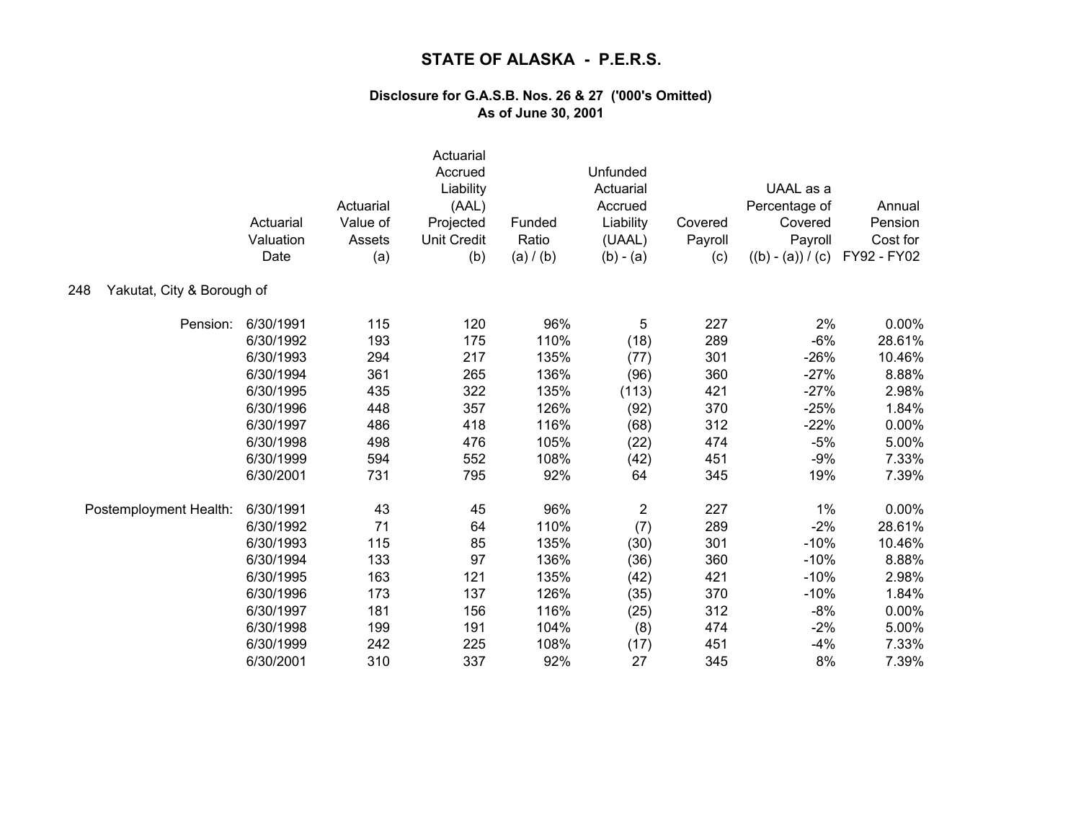|                                   | Actuarial<br>Valuation<br>Date | Actuarial<br>Value of<br>Assets<br>(a) | Actuarial<br>Accrued<br>Liability<br>(AAL)<br>Projected<br><b>Unit Credit</b><br>(b) | Funded<br>Ratio<br>(a) / (b) | Unfunded<br>Actuarial<br>Accrued<br>Liability<br>(UAAL)<br>$(b) - (a)$ | Covered<br>Payroll<br>(c) | UAAL as a<br>Percentage of<br>Covered<br>Payroll<br>$((b) - (a)) / (c)$ | Annual<br>Pension<br>Cost for<br>FY92 - FY02 |
|-----------------------------------|--------------------------------|----------------------------------------|--------------------------------------------------------------------------------------|------------------------------|------------------------------------------------------------------------|---------------------------|-------------------------------------------------------------------------|----------------------------------------------|
| Yakutat, City & Borough of<br>248 |                                |                                        |                                                                                      |                              |                                                                        |                           |                                                                         |                                              |
| Pension:                          | 6/30/1991                      | 115                                    | 120                                                                                  | 96%                          | 5                                                                      | 227                       | 2%                                                                      | 0.00%                                        |
|                                   | 6/30/1992                      | 193                                    | 175                                                                                  | 110%                         | (18)                                                                   | 289                       | $-6%$                                                                   | 28.61%                                       |
|                                   | 6/30/1993                      | 294                                    | 217                                                                                  | 135%                         | (77)                                                                   | 301                       | $-26%$                                                                  | 10.46%                                       |
|                                   | 6/30/1994                      | 361                                    | 265                                                                                  | 136%                         | (96)                                                                   | 360                       | $-27%$                                                                  | 8.88%                                        |
|                                   | 6/30/1995                      | 435                                    | 322                                                                                  | 135%                         | (113)                                                                  | 421                       | $-27%$                                                                  | 2.98%                                        |
|                                   | 6/30/1996                      | 448                                    | 357                                                                                  | 126%                         | (92)                                                                   | 370                       | $-25%$                                                                  | 1.84%                                        |
|                                   | 6/30/1997                      | 486                                    | 418                                                                                  | 116%                         | (68)                                                                   | 312                       | $-22%$                                                                  | 0.00%                                        |
|                                   | 6/30/1998                      | 498                                    | 476                                                                                  | 105%                         | (22)                                                                   | 474                       | $-5%$                                                                   | 5.00%                                        |
|                                   | 6/30/1999                      | 594                                    | 552                                                                                  | 108%                         | (42)                                                                   | 451                       | $-9%$                                                                   | 7.33%                                        |
|                                   | 6/30/2001                      | 731                                    | 795                                                                                  | 92%                          | 64                                                                     | 345                       | 19%                                                                     | 7.39%                                        |
| Postemployment Health:            | 6/30/1991                      | 43                                     | 45                                                                                   | 96%                          | 2                                                                      | 227                       | $1\%$                                                                   | 0.00%                                        |
|                                   | 6/30/1992                      | 71                                     | 64                                                                                   | 110%                         | (7)                                                                    | 289                       | $-2%$                                                                   | 28.61%                                       |
|                                   | 6/30/1993                      | 115                                    | 85                                                                                   | 135%                         | (30)                                                                   | 301                       | $-10%$                                                                  | 10.46%                                       |
|                                   | 6/30/1994                      | 133                                    | 97                                                                                   | 136%                         | (36)                                                                   | 360                       | $-10%$                                                                  | 8.88%                                        |
|                                   | 6/30/1995                      | 163                                    | 121                                                                                  | 135%                         | (42)                                                                   | 421                       | $-10%$                                                                  | 2.98%                                        |
|                                   | 6/30/1996                      | 173                                    | 137                                                                                  | 126%                         | (35)                                                                   | 370                       | $-10%$                                                                  | 1.84%                                        |
|                                   | 6/30/1997                      | 181                                    | 156                                                                                  | 116%                         | (25)                                                                   | 312                       | $-8%$                                                                   | 0.00%                                        |
|                                   | 6/30/1998                      | 199                                    | 191                                                                                  | 104%                         | (8)                                                                    | 474                       | $-2%$                                                                   | 5.00%                                        |
|                                   | 6/30/1999                      | 242                                    | 225                                                                                  | 108%                         | (17)                                                                   | 451                       | $-4%$                                                                   | 7.33%                                        |
|                                   | 6/30/2001                      | 310                                    | 337                                                                                  | 92%                          | 27                                                                     | 345                       | 8%                                                                      | 7.39%                                        |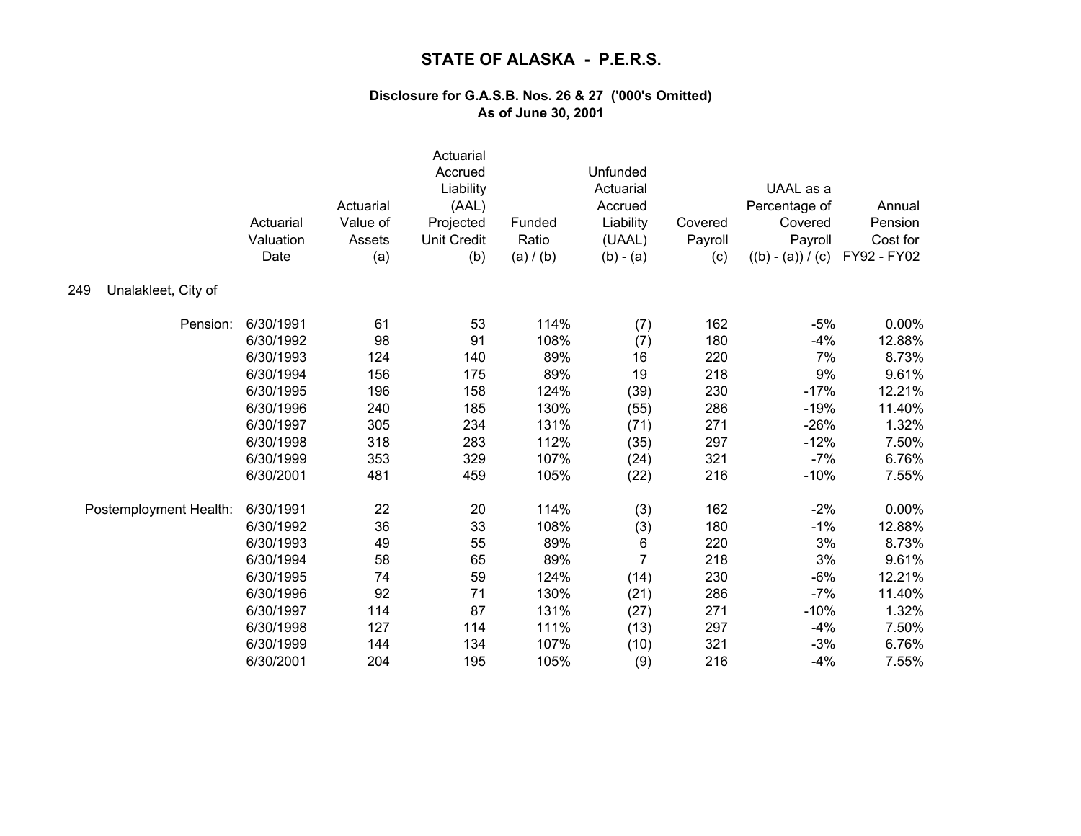|                            | Actuarial<br>Valuation<br>Date | Actuarial<br>Value of<br>Assets<br>(a) | Actuarial<br>Accrued<br>Liability<br>(AAL)<br>Projected<br><b>Unit Credit</b><br>(b) | Funded<br>Ratio<br>(a) / (b) | Unfunded<br>Actuarial<br>Accrued<br>Liability<br>(UAAL)<br>$(b) - (a)$ | Covered<br>Payroll<br>(c) | UAAL as a<br>Percentage of<br>Covered<br>Payroll<br>$((b) - (a)) / (c)$ | Annual<br>Pension<br>Cost for<br>FY92 - FY02 |
|----------------------------|--------------------------------|----------------------------------------|--------------------------------------------------------------------------------------|------------------------------|------------------------------------------------------------------------|---------------------------|-------------------------------------------------------------------------|----------------------------------------------|
| Unalakleet, City of<br>249 |                                |                                        |                                                                                      |                              |                                                                        |                           |                                                                         |                                              |
| Pension:                   | 6/30/1991                      | 61                                     | 53                                                                                   | 114%                         | (7)                                                                    | 162                       | $-5%$                                                                   | $0.00\%$                                     |
|                            | 6/30/1992                      | 98                                     | 91                                                                                   | 108%                         | (7)                                                                    | 180                       | $-4%$                                                                   | 12.88%                                       |
|                            | 6/30/1993                      | 124                                    | 140                                                                                  | 89%                          | 16                                                                     | 220                       | 7%                                                                      | 8.73%                                        |
|                            | 6/30/1994                      | 156                                    | 175                                                                                  | 89%                          | 19                                                                     | 218                       | 9%                                                                      | 9.61%                                        |
|                            | 6/30/1995                      | 196                                    | 158                                                                                  | 124%                         | (39)                                                                   | 230                       | $-17%$                                                                  | 12.21%                                       |
|                            | 6/30/1996                      | 240                                    | 185                                                                                  | 130%                         | (55)                                                                   | 286                       | $-19%$                                                                  | 11.40%                                       |
|                            | 6/30/1997                      | 305                                    | 234                                                                                  | 131%                         | (71)                                                                   | 271                       | $-26%$                                                                  | 1.32%                                        |
|                            | 6/30/1998                      | 318                                    | 283                                                                                  | 112%                         | (35)                                                                   | 297                       | $-12%$                                                                  | 7.50%                                        |
|                            | 6/30/1999                      | 353                                    | 329                                                                                  | 107%                         | (24)                                                                   | 321                       | $-7%$                                                                   | 6.76%                                        |
|                            | 6/30/2001                      | 481                                    | 459                                                                                  | 105%                         | (22)                                                                   | 216                       | $-10%$                                                                  | 7.55%                                        |
| Postemployment Health:     | 6/30/1991                      | 22                                     | 20                                                                                   | 114%                         | (3)                                                                    | 162                       | $-2%$                                                                   | $0.00\%$                                     |
|                            | 6/30/1992                      | 36                                     | 33                                                                                   | 108%                         | (3)                                                                    | 180                       | $-1%$                                                                   | 12.88%                                       |
|                            | 6/30/1993                      | 49                                     | 55                                                                                   | 89%                          | 6                                                                      | 220                       | 3%                                                                      | 8.73%                                        |
|                            | 6/30/1994                      | 58                                     | 65                                                                                   | 89%                          | $\overline{7}$                                                         | 218                       | 3%                                                                      | 9.61%                                        |
|                            | 6/30/1995                      | 74                                     | 59                                                                                   | 124%                         | (14)                                                                   | 230                       | $-6%$                                                                   | 12.21%                                       |
|                            | 6/30/1996                      | 92                                     | 71                                                                                   | 130%                         | (21)                                                                   | 286                       | $-7%$                                                                   | 11.40%                                       |
|                            | 6/30/1997                      | 114                                    | 87                                                                                   | 131%                         | (27)                                                                   | 271                       | $-10%$                                                                  | 1.32%                                        |
|                            | 6/30/1998                      | 127                                    | 114                                                                                  | 111%                         | (13)                                                                   | 297                       | $-4%$                                                                   | 7.50%                                        |
|                            | 6/30/1999                      | 144                                    | 134                                                                                  | 107%                         | (10)                                                                   | 321                       | $-3%$                                                                   | 6.76%                                        |
|                            | 6/30/2001                      | 204                                    | 195                                                                                  | 105%                         | (9)                                                                    | 216                       | $-4%$                                                                   | 7.55%                                        |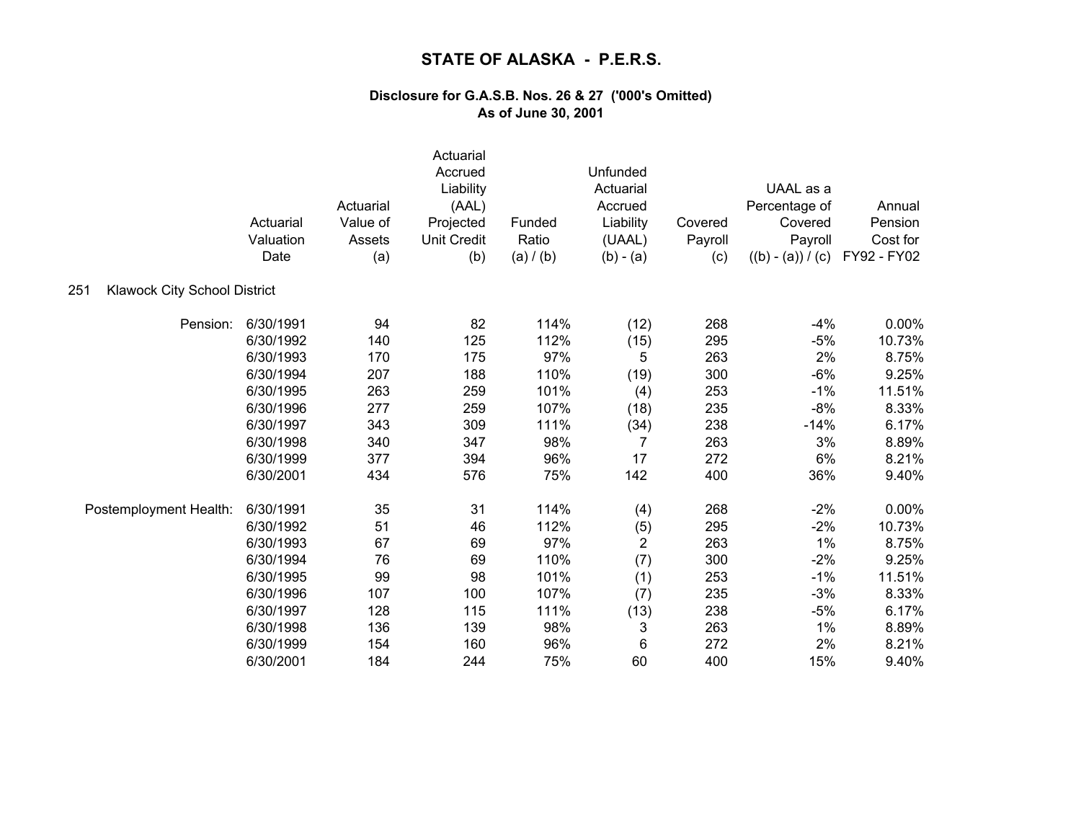|                                     | Actuarial<br>Valuation<br>Date | Actuarial<br>Value of<br>Assets<br>(a) | Actuarial<br>Accrued<br>Liability<br>(AAL)<br>Projected<br><b>Unit Credit</b><br>(b) | Funded<br>Ratio<br>(a) / (b) | Unfunded<br>Actuarial<br>Accrued<br>Liability<br>(UAAL)<br>$(b) - (a)$ | Covered<br>Payroll<br>(c) | UAAL as a<br>Percentage of<br>Covered<br>Payroll<br>$((b) - (a)) / (c)$ | Annual<br>Pension<br>Cost for<br>FY92 - FY02 |
|-------------------------------------|--------------------------------|----------------------------------------|--------------------------------------------------------------------------------------|------------------------------|------------------------------------------------------------------------|---------------------------|-------------------------------------------------------------------------|----------------------------------------------|
| Klawock City School District<br>251 |                                |                                        |                                                                                      |                              |                                                                        |                           |                                                                         |                                              |
| Pension:                            | 6/30/1991                      | 94                                     | 82                                                                                   | 114%                         | (12)                                                                   | 268                       | $-4%$                                                                   | 0.00%                                        |
|                                     | 6/30/1992                      | 140                                    | 125                                                                                  | 112%                         | (15)                                                                   | 295                       | $-5%$                                                                   | 10.73%                                       |
|                                     | 6/30/1993                      | 170                                    | 175                                                                                  | 97%                          | 5                                                                      | 263                       | 2%                                                                      | 8.75%                                        |
|                                     | 6/30/1994                      | 207                                    | 188                                                                                  | 110%                         | (19)                                                                   | 300                       | $-6%$                                                                   | 9.25%                                        |
|                                     | 6/30/1995                      | 263                                    | 259                                                                                  | 101%                         | (4)                                                                    | 253                       | $-1%$                                                                   | 11.51%                                       |
|                                     | 6/30/1996                      | 277                                    | 259                                                                                  | 107%                         | (18)                                                                   | 235                       | $-8%$                                                                   | 8.33%                                        |
|                                     | 6/30/1997                      | 343                                    | 309                                                                                  | 111%                         | (34)                                                                   | 238                       | $-14%$                                                                  | 6.17%                                        |
|                                     | 6/30/1998                      | 340                                    | 347                                                                                  | 98%                          | $\overline{7}$                                                         | 263                       | 3%                                                                      | 8.89%                                        |
|                                     | 6/30/1999                      | 377                                    | 394                                                                                  | 96%                          | 17                                                                     | 272                       | 6%                                                                      | 8.21%                                        |
|                                     | 6/30/2001                      | 434                                    | 576                                                                                  | 75%                          | 142                                                                    | 400                       | 36%                                                                     | 9.40%                                        |
| Postemployment Health:              | 6/30/1991                      | 35                                     | 31                                                                                   | 114%                         | (4)                                                                    | 268                       | $-2%$                                                                   | 0.00%                                        |
|                                     | 6/30/1992                      | 51                                     | 46                                                                                   | 112%                         | (5)                                                                    | 295                       | $-2%$                                                                   | 10.73%                                       |
|                                     | 6/30/1993                      | 67                                     | 69                                                                                   | 97%                          | $\overline{2}$                                                         | 263                       | 1%                                                                      | 8.75%                                        |
|                                     | 6/30/1994                      | 76                                     | 69                                                                                   | 110%                         | (7)                                                                    | 300                       | $-2%$                                                                   | 9.25%                                        |
|                                     | 6/30/1995                      | 99                                     | 98                                                                                   | 101%                         | (1)                                                                    | 253                       | $-1%$                                                                   | 11.51%                                       |
|                                     | 6/30/1996                      | 107                                    | 100                                                                                  | 107%                         | (7)                                                                    | 235                       | $-3%$                                                                   | 8.33%                                        |
|                                     | 6/30/1997                      | 128                                    | 115                                                                                  | 111%                         | (13)                                                                   | 238                       | $-5%$                                                                   | 6.17%                                        |
|                                     | 6/30/1998                      | 136                                    | 139                                                                                  | 98%                          | 3                                                                      | 263                       | $1\%$                                                                   | 8.89%                                        |
|                                     | 6/30/1999                      | 154                                    | 160                                                                                  | 96%                          | 6                                                                      | 272                       | 2%                                                                      | 8.21%                                        |
|                                     | 6/30/2001                      | 184                                    | 244                                                                                  | 75%                          | 60                                                                     | 400                       | 15%                                                                     | 9.40%                                        |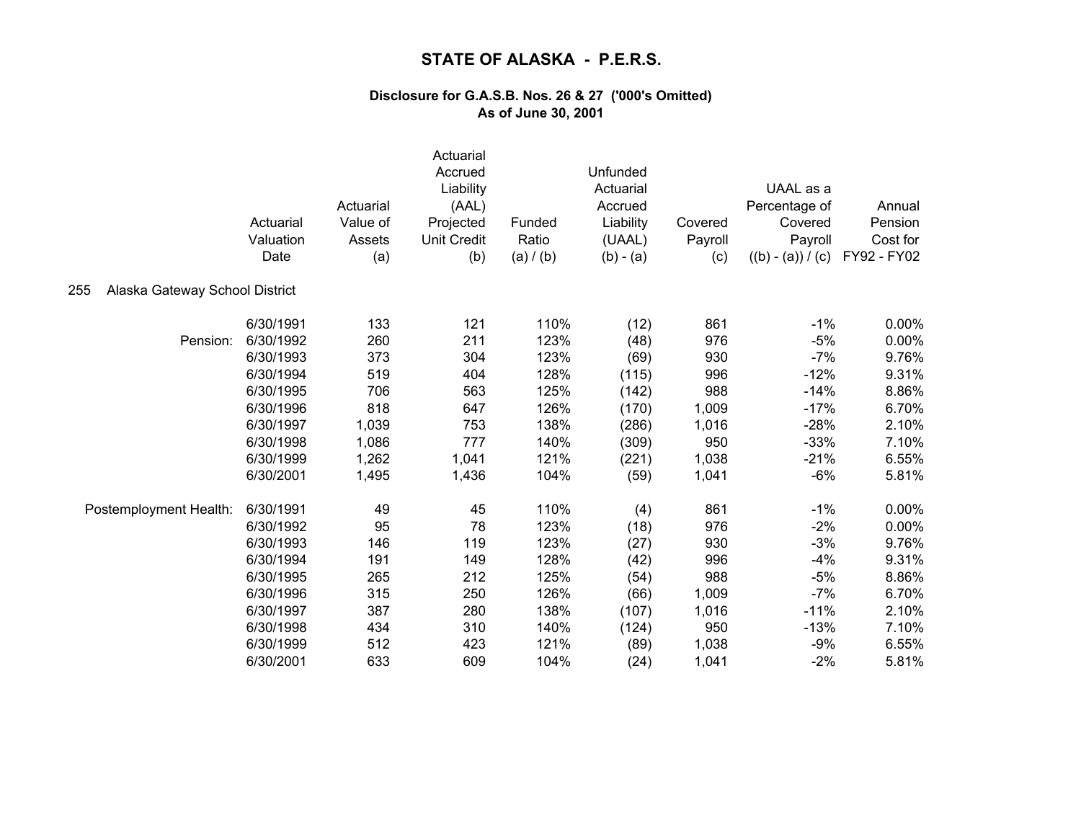|                                       | Actuarial<br>Valuation<br>Date | Actuarial<br>Value of<br>Assets<br>(a) | Actuarial<br>Accrued<br>Liability<br>(AAL)<br>Projected<br><b>Unit Credit</b><br>(b) | Funded<br>Ratio<br>(a) / (b) | Unfunded<br>Actuarial<br>Accrued<br>Liability<br>(UAAL)<br>$(b) - (a)$ | Covered<br>Payroll<br>(c) | UAAL as a<br>Percentage of<br>Covered<br>Payroll<br>$((b) - (a)) / (c)$ | Annual<br>Pension<br>Cost for<br>FY92 - FY02 |
|---------------------------------------|--------------------------------|----------------------------------------|--------------------------------------------------------------------------------------|------------------------------|------------------------------------------------------------------------|---------------------------|-------------------------------------------------------------------------|----------------------------------------------|
| 255<br>Alaska Gateway School District |                                |                                        |                                                                                      |                              |                                                                        |                           |                                                                         |                                              |
|                                       | 6/30/1991                      | 133                                    | 121                                                                                  | 110%                         | (12)                                                                   | 861                       | $-1%$                                                                   | 0.00%                                        |
| Pension:                              | 6/30/1992                      | 260                                    | 211                                                                                  | 123%                         | (48)                                                                   | 976                       | $-5%$                                                                   | 0.00%                                        |
|                                       | 6/30/1993                      | 373                                    | 304                                                                                  | 123%                         | (69)                                                                   | 930                       | $-7%$                                                                   | 9.76%                                        |
|                                       | 6/30/1994                      | 519                                    | 404                                                                                  | 128%                         | (115)                                                                  | 996                       | $-12%$                                                                  | 9.31%                                        |
|                                       | 6/30/1995                      | 706                                    | 563                                                                                  | 125%                         | (142)                                                                  | 988                       | $-14%$                                                                  | 8.86%                                        |
|                                       | 6/30/1996                      | 818                                    | 647                                                                                  | 126%                         | (170)                                                                  | 1,009                     | $-17%$                                                                  | 6.70%                                        |
|                                       | 6/30/1997                      | 1,039                                  | 753                                                                                  | 138%                         | (286)                                                                  | 1,016                     | $-28%$                                                                  | 2.10%                                        |
|                                       | 6/30/1998                      | 1,086                                  | 777                                                                                  | 140%                         | (309)                                                                  | 950                       | $-33%$                                                                  | 7.10%                                        |
|                                       | 6/30/1999                      | 1,262                                  | 1,041                                                                                | 121%                         | (221)                                                                  | 1,038                     | $-21%$                                                                  | 6.55%                                        |
|                                       | 6/30/2001                      | 1,495                                  | 1,436                                                                                | 104%                         | (59)                                                                   | 1,041                     | $-6%$                                                                   | 5.81%                                        |
| Postemployment Health:                | 6/30/1991                      | 49                                     | 45                                                                                   | 110%                         | (4)                                                                    | 861                       | $-1%$                                                                   | 0.00%                                        |
|                                       | 6/30/1992                      | 95                                     | 78                                                                                   | 123%                         | (18)                                                                   | 976                       | $-2%$                                                                   | 0.00%                                        |
|                                       | 6/30/1993                      | 146                                    | 119                                                                                  | 123%                         | (27)                                                                   | 930                       | $-3%$                                                                   | 9.76%                                        |
|                                       | 6/30/1994                      | 191                                    | 149                                                                                  | 128%                         | (42)                                                                   | 996                       | $-4%$                                                                   | 9.31%                                        |
|                                       | 6/30/1995                      | 265                                    | 212                                                                                  | 125%                         | (54)                                                                   | 988                       | $-5%$                                                                   | 8.86%                                        |
|                                       | 6/30/1996                      | 315                                    | 250                                                                                  | 126%                         | (66)                                                                   | 1,009                     | $-7%$                                                                   | 6.70%                                        |
|                                       | 6/30/1997                      | 387                                    | 280                                                                                  | 138%                         | (107)                                                                  | 1,016                     | $-11%$                                                                  | 2.10%                                        |
|                                       | 6/30/1998                      | 434                                    | 310                                                                                  | 140%                         | (124)                                                                  | 950                       | $-13%$                                                                  | 7.10%                                        |
|                                       | 6/30/1999                      | 512                                    | 423                                                                                  | 121%                         | (89)                                                                   | 1,038                     | $-9%$                                                                   | 6.55%                                        |
|                                       | 6/30/2001                      | 633                                    | 609                                                                                  | 104%                         | (24)                                                                   | 1,041                     | $-2%$                                                                   | 5.81%                                        |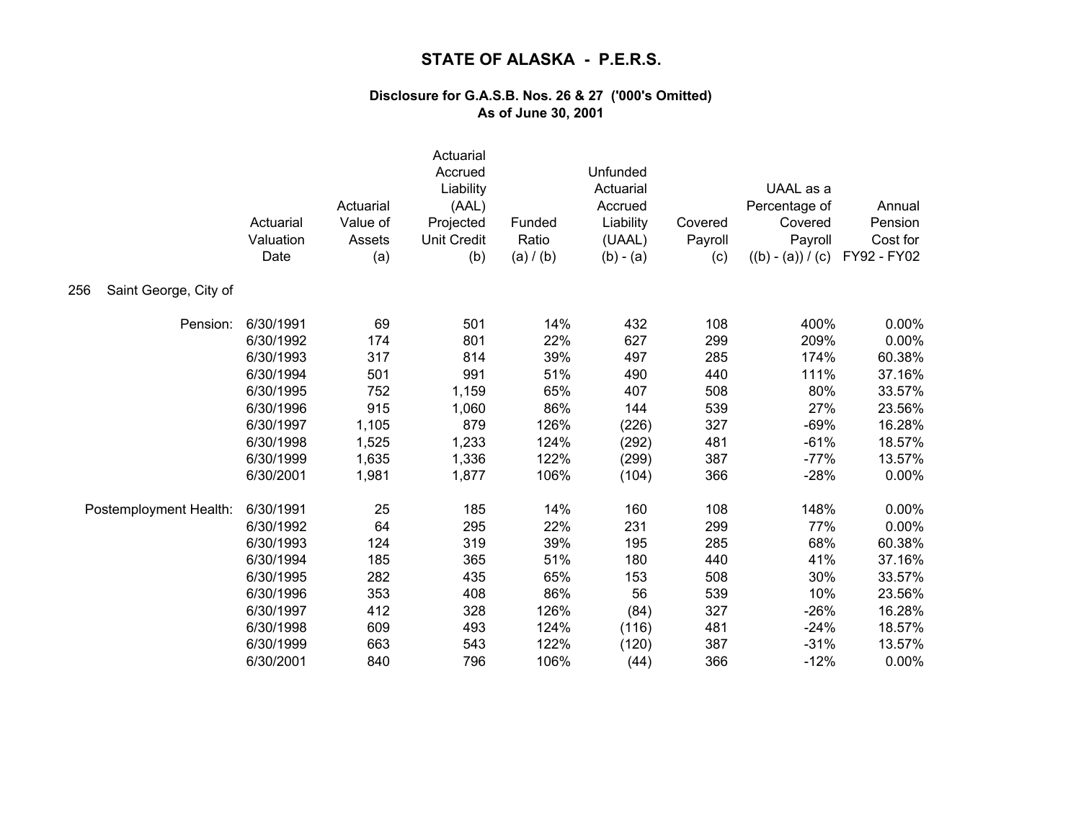|                              | Actuarial<br>Valuation<br>Date | Actuarial<br>Value of<br>Assets<br>(a) | Actuarial<br>Accrued<br>Liability<br>(AAL)<br>Projected<br><b>Unit Credit</b><br>(b) | Funded<br>Ratio<br>(a) / (b) | Unfunded<br>Actuarial<br>Accrued<br>Liability<br>(UAAL)<br>$(b) - (a)$ | Covered<br>Payroll<br>(c) | UAAL as a<br>Percentage of<br>Covered<br>Payroll<br>$((b) - (a)) / (c)$ | Annual<br>Pension<br>Cost for<br>FY92 - FY02 |
|------------------------------|--------------------------------|----------------------------------------|--------------------------------------------------------------------------------------|------------------------------|------------------------------------------------------------------------|---------------------------|-------------------------------------------------------------------------|----------------------------------------------|
| Saint George, City of<br>256 |                                |                                        |                                                                                      |                              |                                                                        |                           |                                                                         |                                              |
| Pension:                     | 6/30/1991                      | 69                                     | 501                                                                                  | 14%                          | 432                                                                    | 108                       | 400%                                                                    | 0.00%                                        |
|                              | 6/30/1992                      | 174                                    | 801                                                                                  | 22%                          | 627                                                                    | 299                       | 209%                                                                    | 0.00%                                        |
|                              | 6/30/1993                      | 317                                    | 814                                                                                  | 39%                          | 497                                                                    | 285                       | 174%                                                                    | 60.38%                                       |
|                              | 6/30/1994                      | 501                                    | 991                                                                                  | 51%                          | 490                                                                    | 440                       | 111%                                                                    | 37.16%                                       |
|                              | 6/30/1995                      | 752                                    | 1,159                                                                                | 65%                          | 407                                                                    | 508                       | 80%                                                                     | 33.57%                                       |
|                              | 6/30/1996                      | 915                                    | 1,060                                                                                | 86%                          | 144                                                                    | 539                       | 27%                                                                     | 23.56%                                       |
|                              | 6/30/1997                      | 1,105                                  | 879                                                                                  | 126%                         | (226)                                                                  | 327                       | $-69%$                                                                  | 16.28%                                       |
|                              | 6/30/1998                      | 1,525                                  | 1,233                                                                                | 124%                         | (292)                                                                  | 481                       | $-61%$                                                                  | 18.57%                                       |
|                              | 6/30/1999                      | 1,635                                  | 1,336                                                                                | 122%                         | (299)                                                                  | 387                       | $-77%$                                                                  | 13.57%                                       |
|                              | 6/30/2001                      | 1,981                                  | 1,877                                                                                | 106%                         | (104)                                                                  | 366                       | $-28%$                                                                  | 0.00%                                        |
| Postemployment Health:       | 6/30/1991                      | 25                                     | 185                                                                                  | 14%                          | 160                                                                    | 108                       | 148%                                                                    | 0.00%                                        |
|                              | 6/30/1992                      | 64                                     | 295                                                                                  | 22%                          | 231                                                                    | 299                       | 77%                                                                     | 0.00%                                        |
|                              | 6/30/1993                      | 124                                    | 319                                                                                  | 39%                          | 195                                                                    | 285                       | 68%                                                                     | 60.38%                                       |
|                              | 6/30/1994                      | 185                                    | 365                                                                                  | 51%                          | 180                                                                    | 440                       | 41%                                                                     | 37.16%                                       |
|                              | 6/30/1995                      | 282                                    | 435                                                                                  | 65%                          | 153                                                                    | 508                       | 30%                                                                     | 33.57%                                       |
|                              | 6/30/1996                      | 353                                    | 408                                                                                  | 86%                          | 56                                                                     | 539                       | 10%                                                                     | 23.56%                                       |
|                              | 6/30/1997                      | 412                                    | 328                                                                                  | 126%                         | (84)                                                                   | 327                       | $-26%$                                                                  | 16.28%                                       |
|                              | 6/30/1998                      | 609                                    | 493                                                                                  | 124%                         | (116)                                                                  | 481                       | $-24%$                                                                  | 18.57%                                       |
|                              | 6/30/1999                      | 663                                    | 543                                                                                  | 122%                         | (120)                                                                  | 387                       | $-31%$                                                                  | 13.57%                                       |
|                              | 6/30/2001                      | 840                                    | 796                                                                                  | 106%                         | (44)                                                                   | 366                       | $-12%$                                                                  | 0.00%                                        |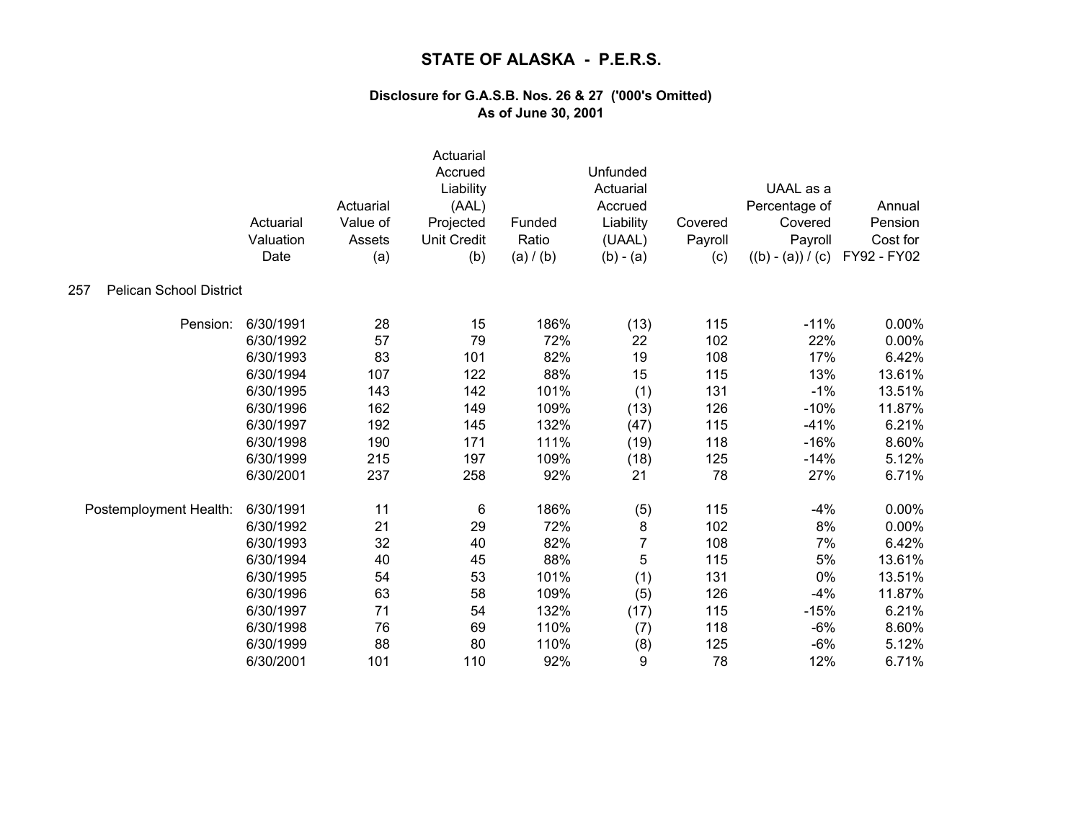| <b>Pelican School District</b><br>257 | Actuarial<br>Valuation<br>Date | Actuarial<br>Value of<br>Assets<br>(a) | Actuarial<br>Accrued<br>Liability<br>(AAL)<br>Projected<br><b>Unit Credit</b><br>(b) | Funded<br>Ratio<br>(a) / (b) | Unfunded<br>Actuarial<br>Accrued<br>Liability<br>(UAAL)<br>$(b) - (a)$ | Covered<br>Payroll<br>(c) | UAAL as a<br>Percentage of<br>Covered<br>Payroll<br>$((b) - (a)) / (c)$ | Annual<br>Pension<br>Cost for<br>FY92 - FY02 |
|---------------------------------------|--------------------------------|----------------------------------------|--------------------------------------------------------------------------------------|------------------------------|------------------------------------------------------------------------|---------------------------|-------------------------------------------------------------------------|----------------------------------------------|
|                                       |                                |                                        |                                                                                      |                              |                                                                        |                           |                                                                         |                                              |
| Pension:                              | 6/30/1991                      | 28                                     | 15                                                                                   | 186%                         | (13)                                                                   | 115                       | $-11%$                                                                  | 0.00%                                        |
|                                       | 6/30/1992                      | 57                                     | 79                                                                                   | 72%                          | 22                                                                     | 102                       | 22%                                                                     | 0.00%                                        |
|                                       | 6/30/1993                      | 83                                     | 101                                                                                  | 82%                          | 19                                                                     | 108                       | 17%                                                                     | 6.42%                                        |
|                                       | 6/30/1994                      | 107                                    | 122                                                                                  | 88%                          | 15                                                                     | 115                       | 13%                                                                     | 13.61%                                       |
|                                       | 6/30/1995                      | 143                                    | 142                                                                                  | 101%                         | (1)                                                                    | 131                       | $-1%$                                                                   | 13.51%                                       |
|                                       | 6/30/1996                      | 162                                    | 149                                                                                  | 109%                         | (13)                                                                   | 126                       | $-10%$                                                                  | 11.87%                                       |
|                                       | 6/30/1997                      | 192                                    | 145                                                                                  | 132%                         | (47)                                                                   | 115                       | $-41%$                                                                  | 6.21%                                        |
|                                       | 6/30/1998                      | 190                                    | 171                                                                                  | 111%                         | (19)                                                                   | 118                       | $-16%$                                                                  | 8.60%                                        |
|                                       | 6/30/1999                      | 215                                    | 197                                                                                  | 109%                         | (18)                                                                   | 125                       | $-14%$                                                                  | 5.12%                                        |
|                                       | 6/30/2001                      | 237                                    | 258                                                                                  | 92%                          | 21                                                                     | 78                        | 27%                                                                     | 6.71%                                        |
| Postemployment Health:                | 6/30/1991                      | 11                                     | 6                                                                                    | 186%                         | (5)                                                                    | 115                       | $-4%$                                                                   | 0.00%                                        |
|                                       | 6/30/1992                      | 21                                     | 29                                                                                   | 72%                          | 8                                                                      | 102                       | 8%                                                                      | 0.00%                                        |
|                                       | 6/30/1993                      | 32                                     | 40                                                                                   | 82%                          | 7                                                                      | 108                       | 7%                                                                      | 6.42%                                        |
|                                       | 6/30/1994                      | 40                                     | 45                                                                                   | 88%                          | 5                                                                      | 115                       | 5%                                                                      | 13.61%                                       |
|                                       | 6/30/1995                      | 54                                     | 53                                                                                   | 101%                         | (1)                                                                    | 131                       | 0%                                                                      | 13.51%                                       |
|                                       | 6/30/1996                      | 63                                     | 58                                                                                   | 109%                         | (5)                                                                    | 126                       | $-4%$                                                                   | 11.87%                                       |
|                                       | 6/30/1997                      | 71                                     | 54                                                                                   | 132%                         | (17)                                                                   | 115                       | $-15%$                                                                  | 6.21%                                        |
|                                       | 6/30/1998                      | 76                                     | 69                                                                                   | 110%                         | (7)                                                                    | 118                       | $-6%$                                                                   | 8.60%                                        |
|                                       | 6/30/1999                      | 88                                     | 80                                                                                   | 110%                         | (8)                                                                    | 125                       | $-6%$                                                                   | 5.12%                                        |
|                                       | 6/30/2001                      | 101                                    | 110                                                                                  | 92%                          | 9                                                                      | 78                        | 12%                                                                     | 6.71%                                        |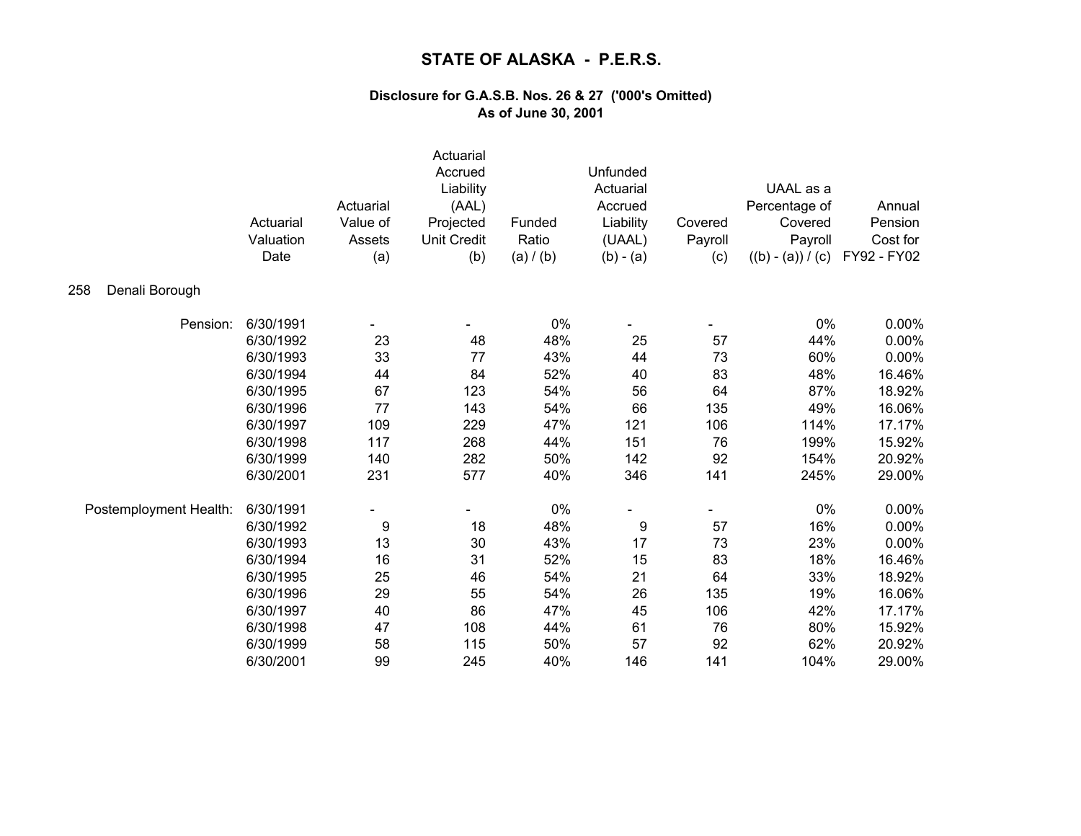|                        | Actuarial<br>Valuation<br>Date | Actuarial<br>Value of<br>Assets<br>(a) | Actuarial<br>Accrued<br>Liability<br>(AAL)<br>Projected<br><b>Unit Credit</b><br>(b) | Funded<br>Ratio<br>(a) / (b) | Unfunded<br>Actuarial<br>Accrued<br>Liability<br>(UAAL)<br>$(b) - (a)$ | Covered<br>Payroll<br>(c) | UAAL as a<br>Percentage of<br>Covered<br>Payroll<br>$((b) - (a)) / (c)$ | Annual<br>Pension<br>Cost for<br>FY92 - FY02 |
|------------------------|--------------------------------|----------------------------------------|--------------------------------------------------------------------------------------|------------------------------|------------------------------------------------------------------------|---------------------------|-------------------------------------------------------------------------|----------------------------------------------|
| Denali Borough<br>258  |                                |                                        |                                                                                      |                              |                                                                        |                           |                                                                         |                                              |
| Pension:               | 6/30/1991                      |                                        |                                                                                      | 0%                           |                                                                        |                           | 0%                                                                      | $0.00\%$                                     |
|                        | 6/30/1992                      | 23                                     | 48                                                                                   | 48%                          | 25                                                                     | 57                        | 44%                                                                     | 0.00%                                        |
|                        | 6/30/1993                      | 33                                     | 77                                                                                   | 43%                          | 44                                                                     | 73                        | 60%                                                                     | 0.00%                                        |
|                        | 6/30/1994                      | 44                                     | 84                                                                                   | 52%                          | 40                                                                     | 83                        | 48%                                                                     | 16.46%                                       |
|                        | 6/30/1995                      | 67                                     | 123                                                                                  | 54%                          | 56                                                                     | 64                        | 87%                                                                     | 18.92%                                       |
|                        | 6/30/1996                      | 77                                     | 143                                                                                  | 54%                          | 66                                                                     | 135                       | 49%                                                                     | 16.06%                                       |
|                        | 6/30/1997                      | 109                                    | 229                                                                                  | 47%                          | 121                                                                    | 106                       | 114%                                                                    | 17.17%                                       |
|                        | 6/30/1998                      | 117                                    | 268                                                                                  | 44%                          | 151                                                                    | 76                        | 199%                                                                    | 15.92%                                       |
|                        | 6/30/1999                      | 140                                    | 282                                                                                  | 50%                          | 142                                                                    | 92                        | 154%                                                                    | 20.92%                                       |
|                        | 6/30/2001                      | 231                                    | 577                                                                                  | 40%                          | 346                                                                    | 141                       | 245%                                                                    | 29.00%                                       |
| Postemployment Health: | 6/30/1991                      |                                        |                                                                                      | $0\%$                        |                                                                        |                           | 0%                                                                      | 0.00%                                        |
|                        | 6/30/1992                      | 9                                      | 18                                                                                   | 48%                          | 9                                                                      | 57                        | 16%                                                                     | 0.00%                                        |
|                        | 6/30/1993                      | 13                                     | 30                                                                                   | 43%                          | 17                                                                     | 73                        | 23%                                                                     | 0.00%                                        |
|                        | 6/30/1994                      | 16                                     | 31                                                                                   | 52%                          | 15                                                                     | 83                        | 18%                                                                     | 16.46%                                       |
|                        | 6/30/1995                      | 25                                     | 46                                                                                   | 54%                          | 21                                                                     | 64                        | 33%                                                                     | 18.92%                                       |
|                        | 6/30/1996                      | 29                                     | 55                                                                                   | 54%                          | 26                                                                     | 135                       | 19%                                                                     | 16.06%                                       |
|                        | 6/30/1997                      | 40                                     | 86                                                                                   | 47%                          | 45                                                                     | 106                       | 42%                                                                     | 17.17%                                       |
|                        | 6/30/1998                      | 47                                     | 108                                                                                  | 44%                          | 61                                                                     | 76                        | 80%                                                                     | 15.92%                                       |
|                        | 6/30/1999                      | 58                                     | 115                                                                                  | 50%                          | 57                                                                     | 92                        | 62%                                                                     | 20.92%                                       |
|                        | 6/30/2001                      | 99                                     | 245                                                                                  | 40%                          | 146                                                                    | 141                       | 104%                                                                    | 29.00%                                       |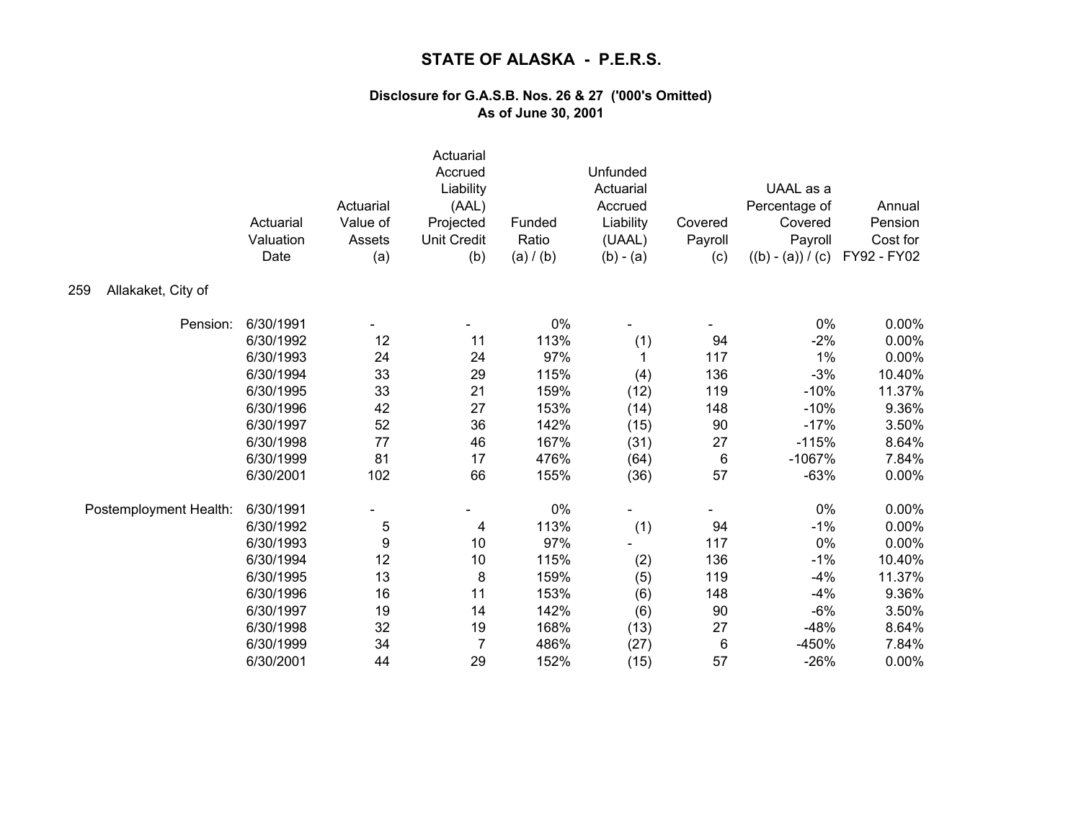|                           | Actuarial<br>Valuation<br>Date | Actuarial<br>Value of<br>Assets<br>(a) | Actuarial<br>Accrued<br>Liability<br>(AAL)<br>Projected<br><b>Unit Credit</b><br>(b) | Funded<br>Ratio<br>(a) / (b) | Unfunded<br>Actuarial<br>Accrued<br>Liability<br>(UAAL)<br>$(b) - (a)$ | Covered<br>Payroll<br>(c) | UAAL as a<br>Percentage of<br>Covered<br>Payroll<br>$((b) - (a)) / (c)$ | Annual<br>Pension<br>Cost for<br>FY92 - FY02 |
|---------------------------|--------------------------------|----------------------------------------|--------------------------------------------------------------------------------------|------------------------------|------------------------------------------------------------------------|---------------------------|-------------------------------------------------------------------------|----------------------------------------------|
| Allakaket, City of<br>259 |                                |                                        |                                                                                      |                              |                                                                        |                           |                                                                         |                                              |
| Pension:                  | 6/30/1991                      |                                        |                                                                                      | 0%                           |                                                                        |                           | 0%                                                                      | 0.00%                                        |
|                           | 6/30/1992                      | 12                                     | 11                                                                                   | 113%                         | (1)                                                                    | 94                        | $-2%$                                                                   | 0.00%                                        |
|                           | 6/30/1993                      | 24                                     | 24                                                                                   | 97%                          | 1                                                                      | 117                       | 1%                                                                      | 0.00%                                        |
|                           | 6/30/1994                      | 33                                     | 29                                                                                   | 115%                         | (4)                                                                    | 136                       | $-3%$                                                                   | 10.40%                                       |
|                           | 6/30/1995                      | 33                                     | 21                                                                                   | 159%                         | (12)                                                                   | 119                       | $-10%$                                                                  | 11.37%                                       |
|                           | 6/30/1996                      | 42                                     | 27                                                                                   | 153%                         | (14)                                                                   | 148                       | $-10%$                                                                  | 9.36%                                        |
|                           | 6/30/1997                      | 52                                     | 36                                                                                   | 142%                         | (15)                                                                   | 90                        | $-17%$                                                                  | 3.50%                                        |
|                           | 6/30/1998                      | 77                                     | 46                                                                                   | 167%                         | (31)                                                                   | 27                        | $-115%$                                                                 | 8.64%                                        |
|                           | 6/30/1999                      | 81                                     | 17                                                                                   | 476%                         | (64)                                                                   | 6                         | $-1067%$                                                                | 7.84%                                        |
|                           | 6/30/2001                      | 102                                    | 66                                                                                   | 155%                         | (36)                                                                   | 57                        | $-63%$                                                                  | 0.00%                                        |
| Postemployment Health:    | 6/30/1991                      |                                        |                                                                                      | 0%                           |                                                                        |                           | 0%                                                                      | 0.00%                                        |
|                           | 6/30/1992                      | 5                                      | 4                                                                                    | 113%                         | (1)                                                                    | 94                        | $-1%$                                                                   | 0.00%                                        |
|                           | 6/30/1993                      | 9                                      | 10                                                                                   | 97%                          |                                                                        | 117                       | 0%                                                                      | 0.00%                                        |
|                           | 6/30/1994                      | 12                                     | 10                                                                                   | 115%                         | (2)                                                                    | 136                       | $-1%$                                                                   | 10.40%                                       |
|                           | 6/30/1995                      | 13                                     | $\, 8$                                                                               | 159%                         | (5)                                                                    | 119                       | $-4%$                                                                   | 11.37%                                       |
|                           | 6/30/1996                      | 16                                     | 11                                                                                   | 153%                         | (6)                                                                    | 148                       | $-4%$                                                                   | 9.36%                                        |
|                           | 6/30/1997                      | 19                                     | 14                                                                                   | 142%                         | (6)                                                                    | 90                        | $-6%$                                                                   | 3.50%                                        |
|                           | 6/30/1998                      | 32                                     | 19                                                                                   | 168%                         | (13)                                                                   | 27                        | $-48%$                                                                  | 8.64%                                        |
|                           | 6/30/1999                      | 34                                     | $\overline{7}$                                                                       | 486%                         | (27)                                                                   | 6                         | $-450%$                                                                 | 7.84%                                        |
|                           | 6/30/2001                      | 44                                     | 29                                                                                   | 152%                         | (15)                                                                   | 57                        | $-26%$                                                                  | 0.00%                                        |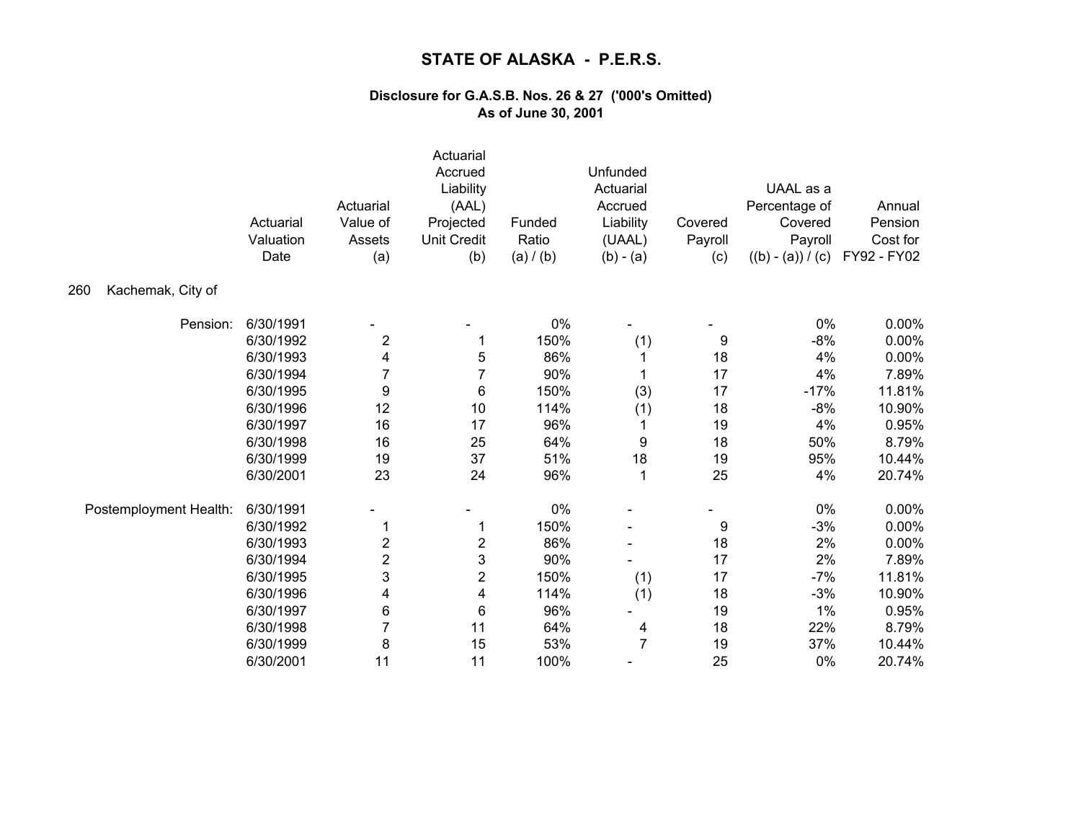|                          | Actuarial<br>Valuation<br>Date | Actuarial<br>Value of<br>Assets<br>(a) | Actuarial<br>Accrued<br>Liability<br>(AAL)<br>Projected<br><b>Unit Credit</b><br>(b) | Funded<br>Ratio<br>(a) / (b) | Unfunded<br>Actuarial<br>Accrued<br>Liability<br>(UAAL)<br>$(b) - (a)$ | Covered<br>Payroll<br>(c) | UAAL as a<br>Percentage of<br>Covered<br>Payroll<br>$((b) - (a)) / (c)$ | Annual<br>Pension<br>Cost for<br>FY92 - FY02 |
|--------------------------|--------------------------------|----------------------------------------|--------------------------------------------------------------------------------------|------------------------------|------------------------------------------------------------------------|---------------------------|-------------------------------------------------------------------------|----------------------------------------------|
| Kachemak, City of<br>260 |                                |                                        |                                                                                      |                              |                                                                        |                           |                                                                         |                                              |
| Pension:                 | 6/30/1991                      |                                        |                                                                                      | 0%                           |                                                                        |                           | 0%                                                                      | 0.00%                                        |
|                          | 6/30/1992                      | $\overline{c}$                         |                                                                                      | 150%                         | (1)                                                                    | 9                         | $-8%$                                                                   | 0.00%                                        |
|                          | 6/30/1993                      | 4                                      | 5                                                                                    | 86%                          | 1                                                                      | 18                        | 4%                                                                      | 0.00%                                        |
|                          | 6/30/1994                      | 7                                      | 7                                                                                    | 90%                          | 1                                                                      | 17                        | 4%                                                                      | 7.89%                                        |
|                          | 6/30/1995                      | 9                                      | 6                                                                                    | 150%                         | (3)                                                                    | 17                        | $-17%$                                                                  | 11.81%                                       |
|                          | 6/30/1996                      | 12                                     | 10                                                                                   | 114%                         | (1)                                                                    | 18                        | $-8%$                                                                   | 10.90%                                       |
|                          | 6/30/1997                      | 16                                     | 17                                                                                   | 96%                          | 1                                                                      | 19                        | 4%                                                                      | 0.95%                                        |
|                          | 6/30/1998                      | 16                                     | 25                                                                                   | 64%                          | 9                                                                      | 18                        | 50%                                                                     | 8.79%                                        |
|                          | 6/30/1999                      | 19                                     | 37                                                                                   | 51%                          | 18                                                                     | 19                        | 95%                                                                     | 10.44%                                       |
|                          | 6/30/2001                      | 23                                     | 24                                                                                   | 96%                          | 1                                                                      | 25                        | 4%                                                                      | 20.74%                                       |
| Postemployment Health:   | 6/30/1991                      |                                        |                                                                                      | 0%                           |                                                                        |                           | 0%                                                                      | 0.00%                                        |
|                          | 6/30/1992                      |                                        |                                                                                      | 150%                         |                                                                        | 9                         | $-3%$                                                                   | 0.00%                                        |
|                          | 6/30/1993                      | 2                                      | $\overline{\mathbf{c}}$                                                              | 86%                          |                                                                        | 18                        | 2%                                                                      | 0.00%                                        |
|                          | 6/30/1994                      | 2                                      | 3                                                                                    | 90%                          |                                                                        | 17                        | 2%                                                                      | 7.89%                                        |
|                          | 6/30/1995                      | 3                                      | $\overline{\mathbf{c}}$                                                              | 150%                         | (1)                                                                    | 17                        | $-7%$                                                                   | 11.81%                                       |
|                          | 6/30/1996                      | 4                                      | 4                                                                                    | 114%                         | (1)                                                                    | 18                        | $-3%$                                                                   | 10.90%                                       |
|                          | 6/30/1997                      | 6                                      | 6                                                                                    | 96%                          |                                                                        | 19                        | 1%                                                                      | 0.95%                                        |
|                          | 6/30/1998                      | 7                                      | 11                                                                                   | 64%                          | 4                                                                      | 18                        | 22%                                                                     | 8.79%                                        |
|                          | 6/30/1999                      | 8                                      | 15                                                                                   | 53%                          | $\overline{7}$                                                         | 19                        | 37%                                                                     | 10.44%                                       |
|                          | 6/30/2001                      | 11                                     | 11                                                                                   | 100%                         |                                                                        | 25                        | 0%                                                                      | 20.74%                                       |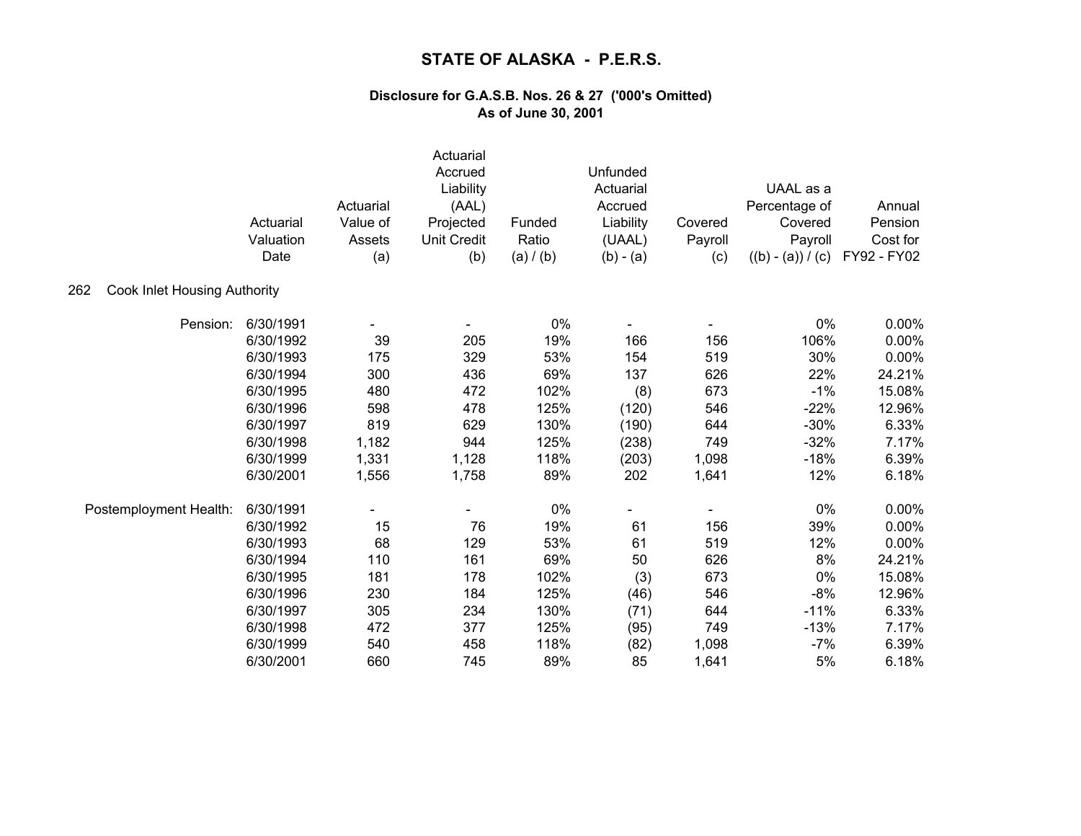|                                            | Actuarial<br>Valuation<br>Date | Actuarial<br>Value of<br>Assets<br>(a) | Actuarial<br>Accrued<br>Liability<br>(AAL)<br>Projected<br><b>Unit Credit</b><br>(b) | Funded<br>Ratio<br>(a) / (b) | Unfunded<br>Actuarial<br>Accrued<br>Liability<br>(UAAL)<br>$(b) - (a)$ | Covered<br>Payroll<br>(c) | UAAL as a<br>Percentage of<br>Covered<br>Payroll<br>$((b) - (a)) / (c)$ | Annual<br>Pension<br>Cost for<br>FY92 - FY02 |
|--------------------------------------------|--------------------------------|----------------------------------------|--------------------------------------------------------------------------------------|------------------------------|------------------------------------------------------------------------|---------------------------|-------------------------------------------------------------------------|----------------------------------------------|
| <b>Cook Inlet Housing Authority</b><br>262 |                                |                                        |                                                                                      |                              |                                                                        |                           |                                                                         |                                              |
| Pension:                                   | 6/30/1991                      |                                        |                                                                                      | 0%                           |                                                                        |                           | 0%                                                                      | $0.00\%$                                     |
|                                            | 6/30/1992                      | 39                                     | 205                                                                                  | 19%                          | 166                                                                    | 156                       | 106%                                                                    | 0.00%                                        |
|                                            | 6/30/1993                      | 175                                    | 329                                                                                  | 53%                          | 154                                                                    | 519                       | 30%                                                                     | 0.00%                                        |
|                                            | 6/30/1994                      | 300                                    | 436                                                                                  | 69%                          | 137                                                                    | 626                       | 22%                                                                     | 24.21%                                       |
|                                            | 6/30/1995                      | 480                                    | 472                                                                                  | 102%                         | (8)                                                                    | 673                       | $-1%$                                                                   | 15.08%                                       |
|                                            | 6/30/1996                      | 598                                    | 478                                                                                  | 125%                         | (120)                                                                  | 546                       | $-22%$                                                                  | 12.96%                                       |
|                                            | 6/30/1997                      | 819                                    | 629                                                                                  | 130%                         | (190)                                                                  | 644                       | $-30%$                                                                  | 6.33%                                        |
|                                            | 6/30/1998                      | 1,182                                  | 944                                                                                  | 125%                         | (238)                                                                  | 749                       | $-32%$                                                                  | 7.17%                                        |
|                                            | 6/30/1999                      | 1,331                                  | 1,128                                                                                | 118%                         | (203)                                                                  | 1,098                     | $-18%$                                                                  | 6.39%                                        |
|                                            | 6/30/2001                      | 1,556                                  | 1,758                                                                                | 89%                          | 202                                                                    | 1,641                     | 12%                                                                     | 6.18%                                        |
| Postemployment Health:                     | 6/30/1991                      |                                        |                                                                                      | $0\%$                        |                                                                        |                           | 0%                                                                      | 0.00%                                        |
|                                            | 6/30/1992                      | 15                                     | 76                                                                                   | 19%                          | 61                                                                     | 156                       | 39%                                                                     | 0.00%                                        |
|                                            | 6/30/1993                      | 68                                     | 129                                                                                  | 53%                          | 61                                                                     | 519                       | 12%                                                                     | 0.00%                                        |
|                                            | 6/30/1994                      | 110                                    | 161                                                                                  | 69%                          | 50                                                                     | 626                       | 8%                                                                      | 24.21%                                       |
|                                            | 6/30/1995                      | 181                                    | 178                                                                                  | 102%                         | (3)                                                                    | 673                       | 0%                                                                      | 15.08%                                       |
|                                            | 6/30/1996                      | 230                                    | 184                                                                                  | 125%                         | (46)                                                                   | 546                       | $-8%$                                                                   | 12.96%                                       |
|                                            | 6/30/1997                      | 305                                    | 234                                                                                  | 130%                         | (71)                                                                   | 644                       | $-11%$                                                                  | 6.33%                                        |
|                                            | 6/30/1998                      | 472                                    | 377                                                                                  | 125%                         | (95)                                                                   | 749                       | $-13%$                                                                  | 7.17%                                        |
|                                            | 6/30/1999                      | 540                                    | 458                                                                                  | 118%                         | (82)                                                                   | 1,098                     | $-7%$                                                                   | 6.39%                                        |
|                                            | 6/30/2001                      | 660                                    | 745                                                                                  | 89%                          | 85                                                                     | 1,641                     | 5%                                                                      | 6.18%                                        |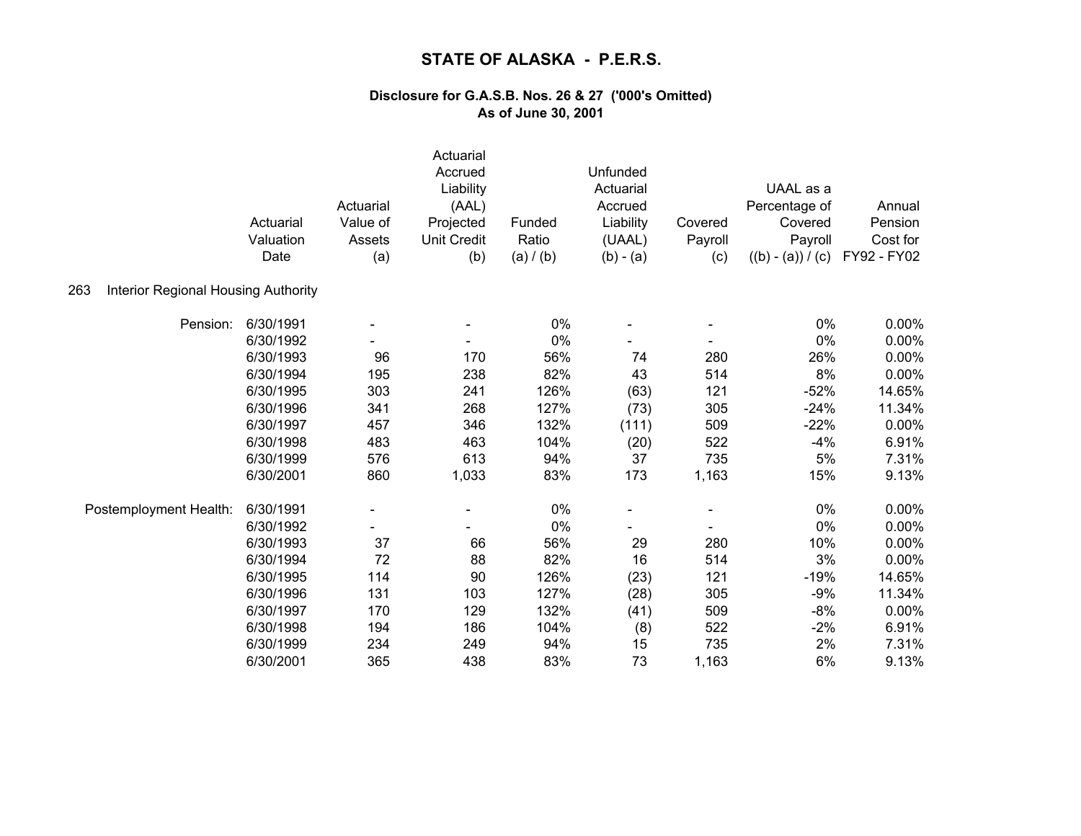|                                                   | Actuarial<br>Valuation<br>Date | Actuarial<br>Value of<br>Assets<br>(a) | Actuarial<br>Accrued<br>Liability<br>(AAL)<br>Projected<br><b>Unit Credit</b><br>(b) | Funded<br>Ratio<br>(a) / (b) | Unfunded<br>Actuarial<br>Accrued<br>Liability<br>(UAAL)<br>$(b) - (a)$ | Covered<br>Payroll<br>(c) | UAAL as a<br>Percentage of<br>Covered<br>Payroll<br>$((b) - (a)) / (c)$ | Annual<br>Pension<br>Cost for<br>FY92 - FY02 |
|---------------------------------------------------|--------------------------------|----------------------------------------|--------------------------------------------------------------------------------------|------------------------------|------------------------------------------------------------------------|---------------------------|-------------------------------------------------------------------------|----------------------------------------------|
| <b>Interior Regional Housing Authority</b><br>263 |                                |                                        |                                                                                      |                              |                                                                        |                           |                                                                         |                                              |
| Pension:                                          | 6/30/1991                      |                                        |                                                                                      | 0%                           |                                                                        |                           | 0%                                                                      | 0.00%                                        |
|                                                   | 6/30/1992                      |                                        |                                                                                      | 0%                           |                                                                        |                           | 0%                                                                      | 0.00%                                        |
|                                                   | 6/30/1993                      | 96                                     | 170                                                                                  | 56%                          | 74                                                                     | 280                       | 26%                                                                     | 0.00%                                        |
|                                                   | 6/30/1994                      | 195                                    | 238                                                                                  | 82%                          | 43                                                                     | 514                       | 8%                                                                      | 0.00%                                        |
|                                                   | 6/30/1995                      | 303                                    | 241                                                                                  | 126%                         | (63)                                                                   | 121                       | $-52%$                                                                  | 14.65%                                       |
|                                                   | 6/30/1996                      | 341                                    | 268                                                                                  | 127%                         | (73)                                                                   | 305                       | $-24%$                                                                  | 11.34%                                       |
|                                                   | 6/30/1997                      | 457                                    | 346                                                                                  | 132%                         | (111)                                                                  | 509                       | $-22%$                                                                  | 0.00%                                        |
|                                                   | 6/30/1998                      | 483                                    | 463                                                                                  | 104%                         | (20)                                                                   | 522                       | $-4%$                                                                   | 6.91%                                        |
|                                                   | 6/30/1999                      | 576                                    | 613                                                                                  | 94%                          | 37                                                                     | 735                       | 5%                                                                      | 7.31%                                        |
|                                                   | 6/30/2001                      | 860                                    | 1,033                                                                                | 83%                          | 173                                                                    | 1,163                     | 15%                                                                     | 9.13%                                        |
| Postemployment Health:                            | 6/30/1991                      |                                        |                                                                                      | 0%                           |                                                                        |                           | 0%                                                                      | 0.00%                                        |
|                                                   | 6/30/1992                      |                                        |                                                                                      | 0%                           |                                                                        |                           | 0%                                                                      | 0.00%                                        |
|                                                   | 6/30/1993                      | 37                                     | 66                                                                                   | 56%                          | 29                                                                     | 280                       | 10%                                                                     | 0.00%                                        |
|                                                   | 6/30/1994                      | 72                                     | 88                                                                                   | 82%                          | 16                                                                     | 514                       | 3%                                                                      | 0.00%                                        |
|                                                   | 6/30/1995                      | 114                                    | 90                                                                                   | 126%                         | (23)                                                                   | 121                       | $-19%$                                                                  | 14.65%                                       |
|                                                   | 6/30/1996                      | 131                                    | 103                                                                                  | 127%                         | (28)                                                                   | 305                       | $-9%$                                                                   | 11.34%                                       |
|                                                   | 6/30/1997                      | 170                                    | 129                                                                                  | 132%                         | (41)                                                                   | 509                       | $-8%$                                                                   | 0.00%                                        |
|                                                   | 6/30/1998                      | 194                                    | 186                                                                                  | 104%                         | (8)                                                                    | 522                       | $-2%$                                                                   | 6.91%                                        |
|                                                   | 6/30/1999                      | 234                                    | 249                                                                                  | 94%                          | 15                                                                     | 735                       | 2%                                                                      | 7.31%                                        |
|                                                   | 6/30/2001                      | 365                                    | 438                                                                                  | 83%                          | 73                                                                     | 1,163                     | 6%                                                                      | 9.13%                                        |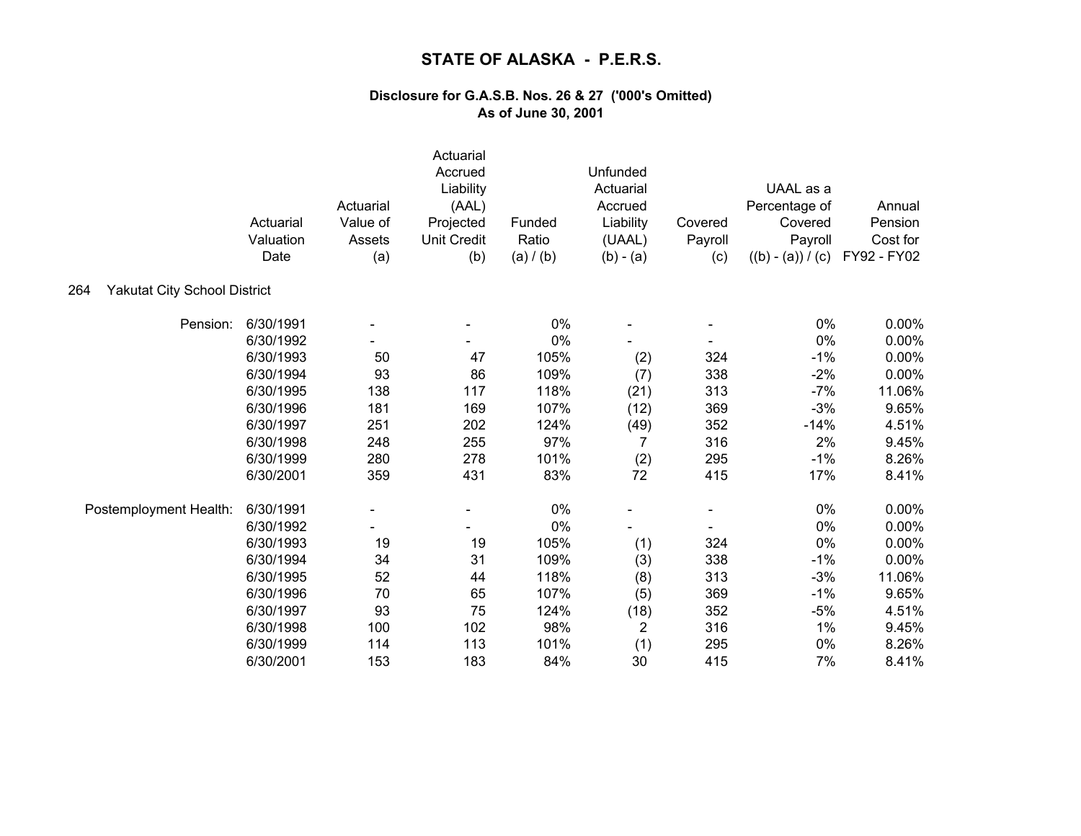|                                            | Actuarial<br>Valuation<br>Date | Actuarial<br>Value of<br>Assets<br>(a) | Actuarial<br>Accrued<br>Liability<br>(AAL)<br>Projected<br><b>Unit Credit</b><br>(b) | Funded<br>Ratio<br>(a) / (b) | Unfunded<br>Actuarial<br>Accrued<br>Liability<br>(UAAL)<br>$(b) - (a)$ | Covered<br>Payroll<br>(c) | UAAL as a<br>Percentage of<br>Covered<br>Payroll<br>$((b) - (a)) / (c)$ | Annual<br>Pension<br>Cost for<br>FY92 - FY02 |
|--------------------------------------------|--------------------------------|----------------------------------------|--------------------------------------------------------------------------------------|------------------------------|------------------------------------------------------------------------|---------------------------|-------------------------------------------------------------------------|----------------------------------------------|
| <b>Yakutat City School District</b><br>264 |                                |                                        |                                                                                      |                              |                                                                        |                           |                                                                         |                                              |
| Pension:                                   | 6/30/1991                      |                                        |                                                                                      | 0%                           |                                                                        |                           | 0%                                                                      | 0.00%                                        |
|                                            | 6/30/1992                      |                                        |                                                                                      | 0%                           |                                                                        |                           | 0%                                                                      | $0.00\%$                                     |
|                                            | 6/30/1993                      | 50                                     | 47                                                                                   | 105%                         | (2)                                                                    | 324                       | $-1%$                                                                   | 0.00%                                        |
|                                            | 6/30/1994                      | 93                                     | 86                                                                                   | 109%                         | (7)                                                                    | 338                       | $-2%$                                                                   | 0.00%                                        |
|                                            | 6/30/1995                      | 138                                    | 117                                                                                  | 118%                         | (21)                                                                   | 313                       | $-7%$                                                                   | 11.06%                                       |
|                                            | 6/30/1996                      | 181                                    | 169                                                                                  | 107%                         | (12)                                                                   | 369                       | $-3%$                                                                   | 9.65%                                        |
|                                            | 6/30/1997                      | 251                                    | 202                                                                                  | 124%                         | (49)                                                                   | 352                       | $-14%$                                                                  | 4.51%                                        |
|                                            | 6/30/1998                      | 248                                    | 255                                                                                  | 97%                          | 7                                                                      | 316                       | 2%                                                                      | 9.45%                                        |
|                                            | 6/30/1999                      | 280                                    | 278                                                                                  | 101%                         | (2)                                                                    | 295                       | $-1%$                                                                   | 8.26%                                        |
|                                            | 6/30/2001                      | 359                                    | 431                                                                                  | 83%                          | 72                                                                     | 415                       | 17%                                                                     | 8.41%                                        |
| Postemployment Health:                     | 6/30/1991                      | $\blacksquare$                         |                                                                                      | 0%                           |                                                                        |                           | $0\%$                                                                   | 0.00%                                        |
|                                            | 6/30/1992                      |                                        |                                                                                      | 0%                           |                                                                        |                           | 0%                                                                      | 0.00%                                        |
|                                            | 6/30/1993                      | 19                                     | 19                                                                                   | 105%                         | (1)                                                                    | 324                       | 0%                                                                      | 0.00%                                        |
|                                            | 6/30/1994                      | 34                                     | 31                                                                                   | 109%                         | (3)                                                                    | 338                       | $-1%$                                                                   | 0.00%                                        |
|                                            | 6/30/1995                      | 52                                     | 44                                                                                   | 118%                         | (8)                                                                    | 313                       | $-3%$                                                                   | 11.06%                                       |
|                                            | 6/30/1996                      | 70                                     | 65                                                                                   | 107%                         | (5)                                                                    | 369                       | $-1%$                                                                   | 9.65%                                        |
|                                            | 6/30/1997                      | 93                                     | 75                                                                                   | 124%                         | (18)                                                                   | 352                       | $-5%$                                                                   | 4.51%                                        |
|                                            | 6/30/1998                      | 100                                    | 102                                                                                  | 98%                          | $\overline{2}$                                                         | 316                       | $1\%$                                                                   | 9.45%                                        |
|                                            | 6/30/1999                      | 114                                    | 113                                                                                  | 101%                         | (1)                                                                    | 295                       | 0%                                                                      | 8.26%                                        |
|                                            | 6/30/2001                      | 153                                    | 183                                                                                  | 84%                          | 30                                                                     | 415                       | 7%                                                                      | 8.41%                                        |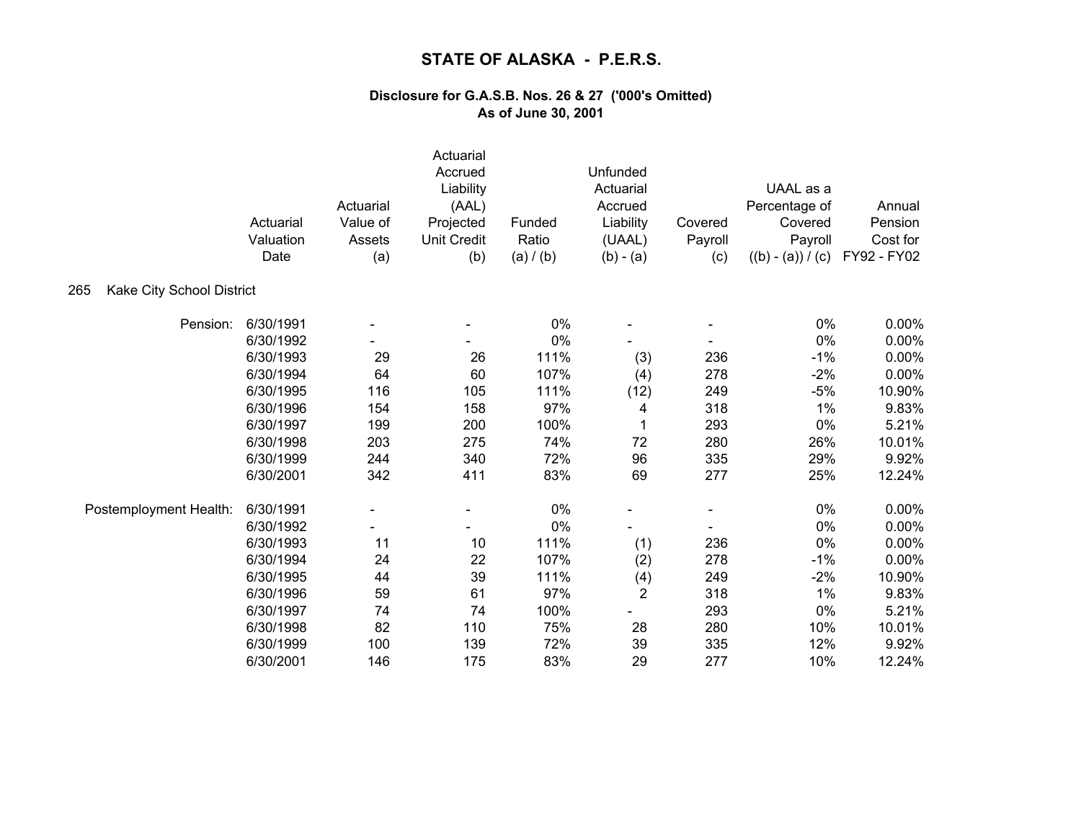|                                  | Actuarial<br>Valuation<br>Date | Actuarial<br>Value of<br>Assets<br>(a) | Actuarial<br>Accrued<br>Liability<br>(AAL)<br>Projected<br><b>Unit Credit</b><br>(b) | Funded<br>Ratio<br>(a) / (b) | Unfunded<br>Actuarial<br>Accrued<br>Liability<br>(UAAL)<br>$(b) - (a)$ | Covered<br>Payroll<br>(c) | UAAL as a<br>Percentage of<br>Covered<br>Payroll<br>$((b) - (a)) / (c)$ | Annual<br>Pension<br>Cost for<br>FY92 - FY02 |
|----------------------------------|--------------------------------|----------------------------------------|--------------------------------------------------------------------------------------|------------------------------|------------------------------------------------------------------------|---------------------------|-------------------------------------------------------------------------|----------------------------------------------|
| Kake City School District<br>265 |                                |                                        |                                                                                      |                              |                                                                        |                           |                                                                         |                                              |
| Pension:                         | 6/30/1991                      |                                        |                                                                                      | 0%                           |                                                                        |                           | 0%                                                                      | 0.00%                                        |
|                                  | 6/30/1992                      |                                        |                                                                                      | 0%                           |                                                                        |                           | 0%                                                                      | 0.00%                                        |
|                                  | 6/30/1993                      | 29                                     | 26                                                                                   | 111%                         | (3)                                                                    | 236                       | $-1%$                                                                   | 0.00%                                        |
|                                  | 6/30/1994                      | 64                                     | 60                                                                                   | 107%                         | (4)                                                                    | 278                       | $-2%$                                                                   | 0.00%                                        |
|                                  | 6/30/1995                      | 116                                    | 105                                                                                  | 111%                         | (12)                                                                   | 249                       | $-5%$                                                                   | 10.90%                                       |
|                                  | 6/30/1996                      | 154                                    | 158                                                                                  | 97%                          | 4                                                                      | 318                       | 1%                                                                      | 9.83%                                        |
|                                  | 6/30/1997                      | 199                                    | 200                                                                                  | 100%                         | 1                                                                      | 293                       | $0\%$                                                                   | 5.21%                                        |
|                                  | 6/30/1998                      | 203                                    | 275                                                                                  | 74%                          | 72                                                                     | 280                       | 26%                                                                     | 10.01%                                       |
|                                  | 6/30/1999                      | 244                                    | 340                                                                                  | 72%                          | 96                                                                     | 335                       | 29%                                                                     | 9.92%                                        |
|                                  | 6/30/2001                      | 342                                    | 411                                                                                  | 83%                          | 69                                                                     | 277                       | 25%                                                                     | 12.24%                                       |
| Postemployment Health:           | 6/30/1991                      |                                        |                                                                                      | $0\%$                        |                                                                        |                           | 0%                                                                      | 0.00%                                        |
|                                  | 6/30/1992                      |                                        |                                                                                      | 0%                           |                                                                        |                           | 0%                                                                      | 0.00%                                        |
|                                  | 6/30/1993                      | 11                                     | 10                                                                                   | 111%                         | (1)                                                                    | 236                       | 0%                                                                      | 0.00%                                        |
|                                  | 6/30/1994                      | 24                                     | 22                                                                                   | 107%                         | (2)                                                                    | 278                       | $-1%$                                                                   | 0.00%                                        |
|                                  | 6/30/1995                      | 44                                     | 39                                                                                   | 111%                         | (4)                                                                    | 249                       | $-2%$                                                                   | 10.90%                                       |
|                                  | 6/30/1996                      | 59                                     | 61                                                                                   | 97%                          | $\overline{2}$                                                         | 318                       | 1%                                                                      | 9.83%                                        |
|                                  | 6/30/1997                      | 74                                     | 74                                                                                   | 100%                         |                                                                        | 293                       | 0%                                                                      | 5.21%                                        |
|                                  | 6/30/1998                      | 82                                     | 110                                                                                  | 75%                          | 28                                                                     | 280                       | 10%                                                                     | 10.01%                                       |
|                                  | 6/30/1999                      | 100                                    | 139                                                                                  | 72%                          | 39                                                                     | 335                       | 12%                                                                     | 9.92%                                        |
|                                  | 6/30/2001                      | 146                                    | 175                                                                                  | 83%                          | 29                                                                     | 277                       | 10%                                                                     | 12.24%                                       |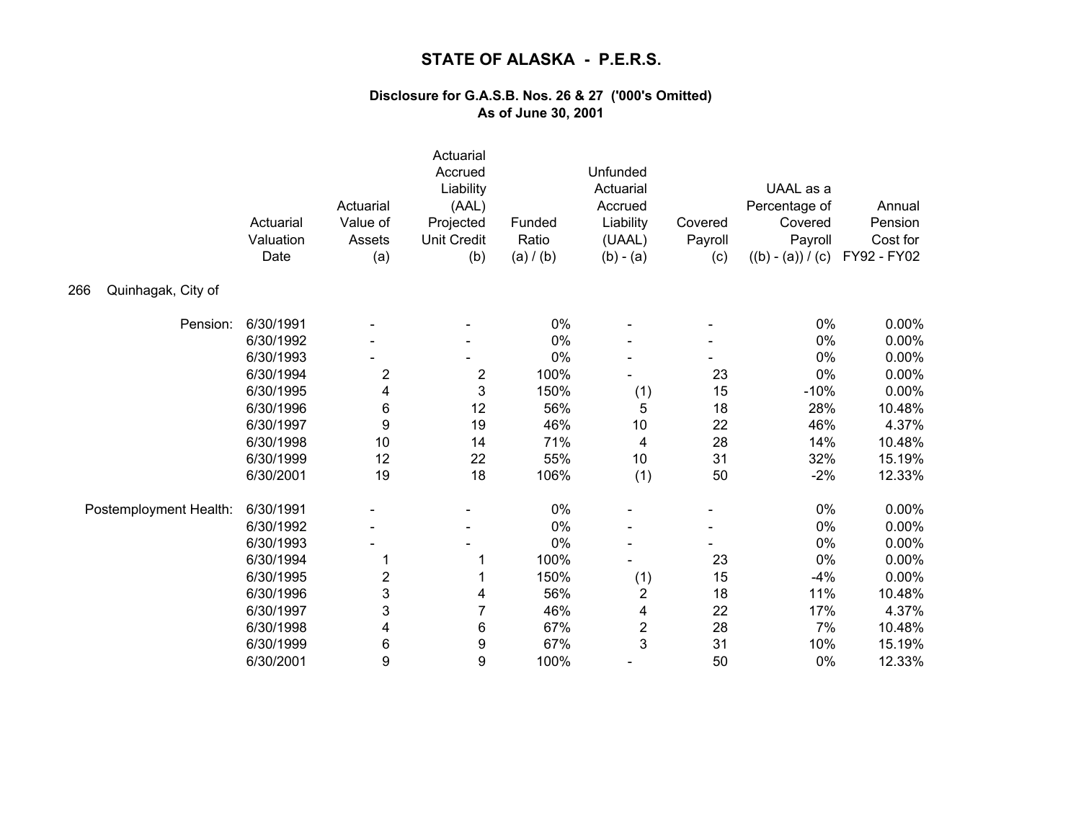|                           | Actuarial<br>Valuation<br>Date | Actuarial<br>Value of<br>Assets<br>(a) | Actuarial<br>Accrued<br>Liability<br>(AAL)<br>Projected<br><b>Unit Credit</b><br>(b) | Funded<br>Ratio<br>(a) / (b) | Unfunded<br>Actuarial<br>Accrued<br>Liability<br>(UAAL)<br>$(b) - (a)$ | Covered<br>Payroll<br>(c) | UAAL as a<br>Percentage of<br>Covered<br>Payroll<br>$((b) - (a)) / (c)$ | Annual<br>Pension<br>Cost for<br>FY92 - FY02 |
|---------------------------|--------------------------------|----------------------------------------|--------------------------------------------------------------------------------------|------------------------------|------------------------------------------------------------------------|---------------------------|-------------------------------------------------------------------------|----------------------------------------------|
| Quinhagak, City of<br>266 |                                |                                        |                                                                                      |                              |                                                                        |                           |                                                                         |                                              |
| Pension:                  | 6/30/1991                      |                                        |                                                                                      | 0%                           |                                                                        |                           | 0%                                                                      | $0.00\%$                                     |
|                           | 6/30/1992                      |                                        |                                                                                      | 0%                           |                                                                        |                           | 0%                                                                      | 0.00%                                        |
|                           | 6/30/1993                      |                                        |                                                                                      | 0%                           |                                                                        |                           | 0%                                                                      | 0.00%                                        |
|                           | 6/30/1994                      | $\overline{c}$                         | 2                                                                                    | 100%                         |                                                                        | 23                        | 0%                                                                      | 0.00%                                        |
|                           | 6/30/1995                      | 4                                      | 3                                                                                    | 150%                         | (1)                                                                    | 15                        | $-10%$                                                                  | 0.00%                                        |
|                           | 6/30/1996                      | 6                                      | 12                                                                                   | 56%                          | 5                                                                      | 18                        | 28%                                                                     | 10.48%                                       |
|                           | 6/30/1997                      | 9                                      | 19                                                                                   | 46%                          | $10$                                                                   | 22                        | 46%                                                                     | 4.37%                                        |
|                           | 6/30/1998                      | 10                                     | 14                                                                                   | 71%                          | 4                                                                      | 28                        | 14%                                                                     | 10.48%                                       |
|                           | 6/30/1999                      | 12                                     | 22                                                                                   | 55%                          | 10                                                                     | 31                        | 32%                                                                     | 15.19%                                       |
|                           | 6/30/2001                      | 19                                     | 18                                                                                   | 106%                         | (1)                                                                    | 50                        | $-2%$                                                                   | 12.33%                                       |
| Postemployment Health:    | 6/30/1991                      |                                        |                                                                                      | 0%                           |                                                                        |                           | $0\%$                                                                   | 0.00%                                        |
|                           | 6/30/1992                      |                                        | $\qquad \qquad \blacksquare$                                                         | 0%                           |                                                                        |                           | 0%                                                                      | 0.00%                                        |
|                           | 6/30/1993                      |                                        |                                                                                      | 0%                           |                                                                        |                           | 0%                                                                      | 0.00%                                        |
|                           | 6/30/1994                      |                                        |                                                                                      | 100%                         |                                                                        | 23                        | 0%                                                                      | 0.00%                                        |
|                           | 6/30/1995                      | $\overline{\mathbf{c}}$                |                                                                                      | 150%                         | (1)                                                                    | 15                        | $-4%$                                                                   | 0.00%                                        |
|                           | 6/30/1996                      | 3                                      | 4                                                                                    | 56%                          | $\overline{\mathbf{c}}$                                                | 18                        | 11%                                                                     | 10.48%                                       |
|                           | 6/30/1997                      | 3                                      | 7                                                                                    | 46%                          | 4                                                                      | 22                        | 17%                                                                     | 4.37%                                        |
|                           | 6/30/1998                      | 4                                      | 6                                                                                    | 67%                          | $\boldsymbol{2}$                                                       | 28                        | 7%                                                                      | 10.48%                                       |
|                           | 6/30/1999                      | 6                                      | 9                                                                                    | 67%                          | 3                                                                      | 31                        | 10%                                                                     | 15.19%                                       |
|                           | 6/30/2001                      | 9                                      | 9                                                                                    | 100%                         |                                                                        | 50                        | 0%                                                                      | 12.33%                                       |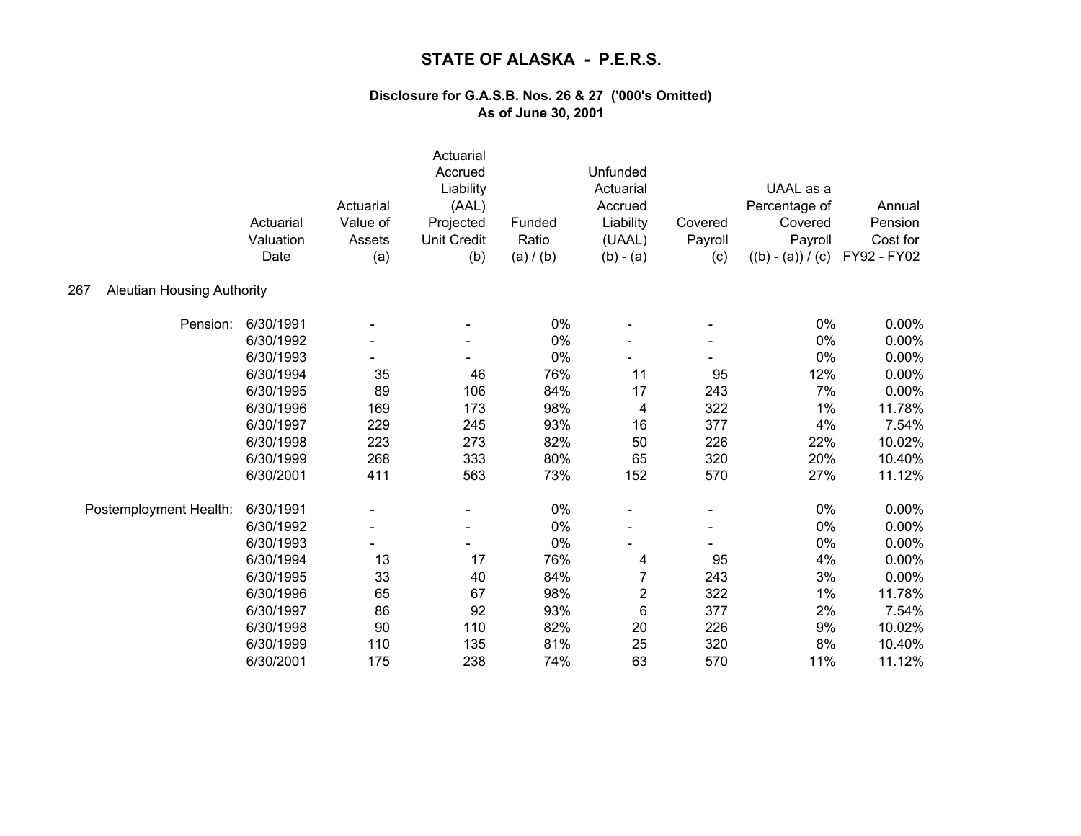|                                          | Actuarial<br>Valuation<br>Date | Actuarial<br>Value of<br>Assets<br>(a) | Actuarial<br>Accrued<br>Liability<br>(AAL)<br>Projected<br><b>Unit Credit</b><br>(b) | Funded<br>Ratio<br>(a) / (b) | Unfunded<br>Actuarial<br>Accrued<br>Liability<br>(UAAL)<br>$(b) - (a)$ | Covered<br>Payroll<br>(c) | UAAL as a<br>Percentage of<br>Covered<br>Payroll<br>$((b) - (a)) / (c)$ | Annual<br>Pension<br>Cost for<br>FY92 - FY02 |
|------------------------------------------|--------------------------------|----------------------------------------|--------------------------------------------------------------------------------------|------------------------------|------------------------------------------------------------------------|---------------------------|-------------------------------------------------------------------------|----------------------------------------------|
| <b>Aleutian Housing Authority</b><br>267 |                                |                                        |                                                                                      |                              |                                                                        |                           |                                                                         |                                              |
| Pension:                                 | 6/30/1991                      |                                        |                                                                                      | 0%                           |                                                                        |                           | 0%                                                                      | 0.00%                                        |
|                                          | 6/30/1992                      |                                        |                                                                                      | 0%                           |                                                                        |                           | 0%                                                                      | 0.00%                                        |
|                                          | 6/30/1993                      |                                        |                                                                                      | 0%                           |                                                                        |                           | 0%                                                                      | 0.00%                                        |
|                                          | 6/30/1994                      | 35                                     | 46                                                                                   | 76%                          | 11                                                                     | 95                        | 12%                                                                     | 0.00%                                        |
|                                          | 6/30/1995                      | 89                                     | 106                                                                                  | 84%                          | 17                                                                     | 243                       | 7%                                                                      | 0.00%                                        |
|                                          | 6/30/1996                      | 169                                    | 173                                                                                  | 98%                          | 4                                                                      | 322                       | 1%                                                                      | 11.78%                                       |
|                                          | 6/30/1997                      | 229                                    | 245                                                                                  | 93%                          | 16                                                                     | 377                       | 4%                                                                      | 7.54%                                        |
|                                          | 6/30/1998                      | 223                                    | 273                                                                                  | 82%                          | 50                                                                     | 226                       | 22%                                                                     | 10.02%                                       |
|                                          | 6/30/1999                      | 268                                    | 333                                                                                  | 80%                          | 65                                                                     | 320                       | 20%                                                                     | 10.40%                                       |
|                                          | 6/30/2001                      | 411                                    | 563                                                                                  | 73%                          | 152                                                                    | 570                       | 27%                                                                     | 11.12%                                       |
| Postemployment Health:                   | 6/30/1991                      |                                        |                                                                                      | $0\%$                        |                                                                        |                           | 0%                                                                      | $0.00\%$                                     |
|                                          | 6/30/1992                      | $\overline{\phantom{a}}$               | $\overline{\phantom{a}}$                                                             | 0%                           |                                                                        |                           | 0%                                                                      | 0.00%                                        |
|                                          | 6/30/1993                      |                                        |                                                                                      | 0%                           |                                                                        |                           | 0%                                                                      | 0.00%                                        |
|                                          | 6/30/1994                      | 13                                     | 17                                                                                   | 76%                          | 4                                                                      | 95                        | 4%                                                                      | 0.00%                                        |
|                                          | 6/30/1995                      | 33                                     | 40                                                                                   | 84%                          | 7                                                                      | 243                       | 3%                                                                      | 0.00%                                        |
|                                          | 6/30/1996                      | 65                                     | 67                                                                                   | 98%                          | $\boldsymbol{2}$                                                       | 322                       | 1%                                                                      | 11.78%                                       |
|                                          | 6/30/1997                      | 86                                     | 92                                                                                   | 93%                          | 6                                                                      | 377                       | 2%                                                                      | 7.54%                                        |
|                                          | 6/30/1998                      | 90                                     | 110                                                                                  | 82%                          | 20                                                                     | 226                       | 9%                                                                      | 10.02%                                       |
|                                          | 6/30/1999                      | 110                                    | 135                                                                                  | 81%                          | 25                                                                     | 320                       | 8%                                                                      | 10.40%                                       |
|                                          | 6/30/2001                      | 175                                    | 238                                                                                  | 74%                          | 63                                                                     | 570                       | 11%                                                                     | 11.12%                                       |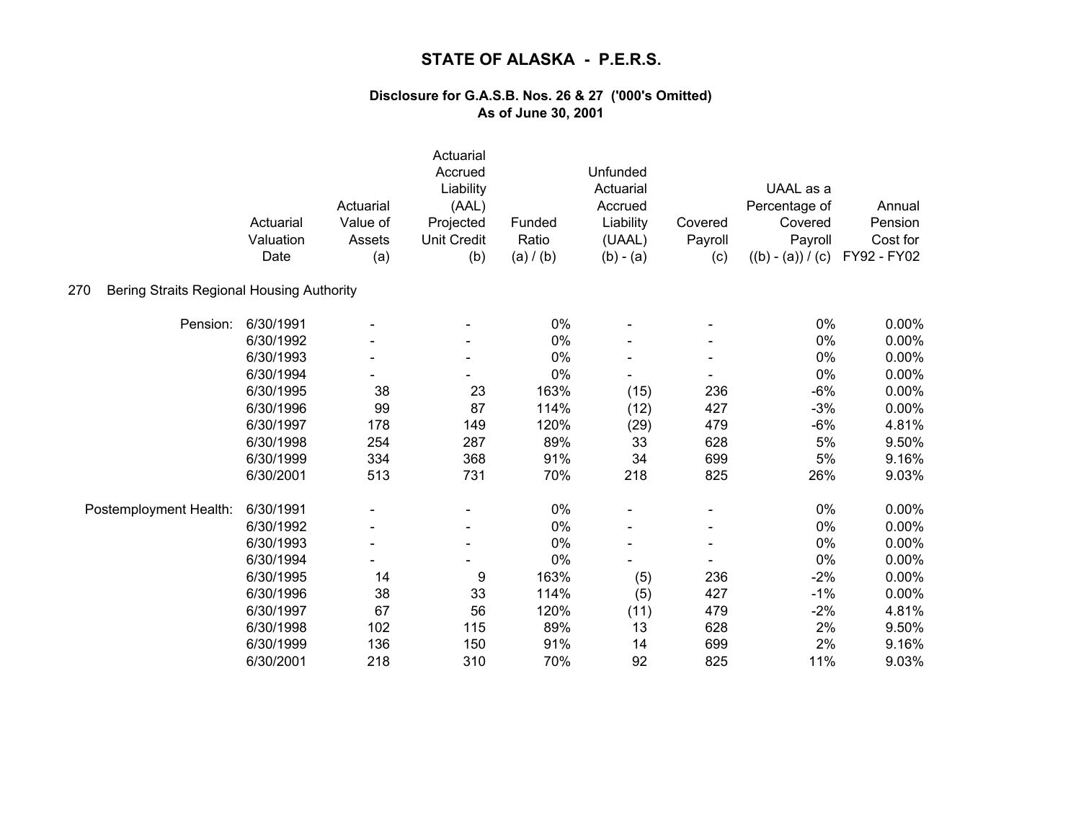| 270<br>Bering Straits Regional Housing Authority | Actuarial<br>Valuation<br>Date | Actuarial<br>Value of<br>Assets<br>(a) | Actuarial<br>Accrued<br>Liability<br>(AAL)<br>Projected<br><b>Unit Credit</b><br>(b) | Funded<br>Ratio<br>(a) / (b) | Unfunded<br>Actuarial<br>Accrued<br>Liability<br>(UAAL)<br>$(b) - (a)$ | Covered<br>Payroll<br>(c) | UAAL as a<br>Percentage of<br>Covered<br>Payroll<br>$((b) - (a)) / (c)$ | Annual<br>Pension<br>Cost for<br>FY92 - FY02 |
|--------------------------------------------------|--------------------------------|----------------------------------------|--------------------------------------------------------------------------------------|------------------------------|------------------------------------------------------------------------|---------------------------|-------------------------------------------------------------------------|----------------------------------------------|
|                                                  |                                |                                        |                                                                                      |                              |                                                                        |                           |                                                                         |                                              |
| Pension:                                         | 6/30/1991                      |                                        |                                                                                      | 0%                           |                                                                        |                           | 0%                                                                      | 0.00%                                        |
|                                                  | 6/30/1992                      |                                        |                                                                                      | 0%                           |                                                                        |                           | 0%                                                                      | $0.00\%$                                     |
|                                                  | 6/30/1993                      |                                        |                                                                                      | 0%                           |                                                                        |                           | 0%                                                                      | 0.00%                                        |
|                                                  | 6/30/1994                      |                                        |                                                                                      | 0%                           |                                                                        |                           | 0%                                                                      | 0.00%                                        |
|                                                  | 6/30/1995                      | 38                                     | 23                                                                                   | 163%                         | (15)                                                                   | 236                       | $-6%$                                                                   | 0.00%                                        |
|                                                  | 6/30/1996                      | 99                                     | 87                                                                                   | 114%                         | (12)                                                                   | 427                       | $-3%$                                                                   | 0.00%                                        |
|                                                  | 6/30/1997                      | 178                                    | 149                                                                                  | 120%                         | (29)                                                                   | 479                       | $-6%$                                                                   | 4.81%                                        |
|                                                  | 6/30/1998                      | 254                                    | 287                                                                                  | 89%                          | 33                                                                     | 628                       | 5%                                                                      | 9.50%                                        |
|                                                  | 6/30/1999                      | 334                                    | 368                                                                                  | 91%                          | 34                                                                     | 699                       | 5%                                                                      | 9.16%                                        |
|                                                  | 6/30/2001                      | 513                                    | 731                                                                                  | 70%                          | 218                                                                    | 825                       | 26%                                                                     | 9.03%                                        |
| Postemployment Health:                           | 6/30/1991                      |                                        |                                                                                      | 0%                           |                                                                        |                           | 0%                                                                      | 0.00%                                        |
|                                                  | 6/30/1992                      | $\overline{\phantom{a}}$               | $\qquad \qquad \blacksquare$                                                         | 0%                           |                                                                        |                           | 0%                                                                      | 0.00%                                        |
|                                                  | 6/30/1993                      |                                        |                                                                                      | 0%                           |                                                                        |                           | 0%                                                                      | 0.00%                                        |
|                                                  | 6/30/1994                      |                                        |                                                                                      | 0%                           |                                                                        |                           | 0%                                                                      | 0.00%                                        |
|                                                  | 6/30/1995                      | 14                                     | 9                                                                                    | 163%                         | (5)                                                                    | 236                       | $-2%$                                                                   | 0.00%                                        |
|                                                  | 6/30/1996                      | 38                                     | 33                                                                                   | 114%                         | (5)                                                                    | 427                       | $-1%$                                                                   | 0.00%                                        |
|                                                  | 6/30/1997                      | 67                                     | 56                                                                                   | 120%                         | (11)                                                                   | 479                       | $-2%$                                                                   | 4.81%                                        |
|                                                  | 6/30/1998                      | 102                                    | 115                                                                                  | 89%                          | 13                                                                     | 628                       | 2%                                                                      | 9.50%                                        |
|                                                  | 6/30/1999                      | 136                                    | 150                                                                                  | 91%                          | 14                                                                     | 699                       | 2%                                                                      | 9.16%                                        |
|                                                  | 6/30/2001                      | 218                                    | 310                                                                                  | 70%                          | 92                                                                     | 825                       | 11%                                                                     | 9.03%                                        |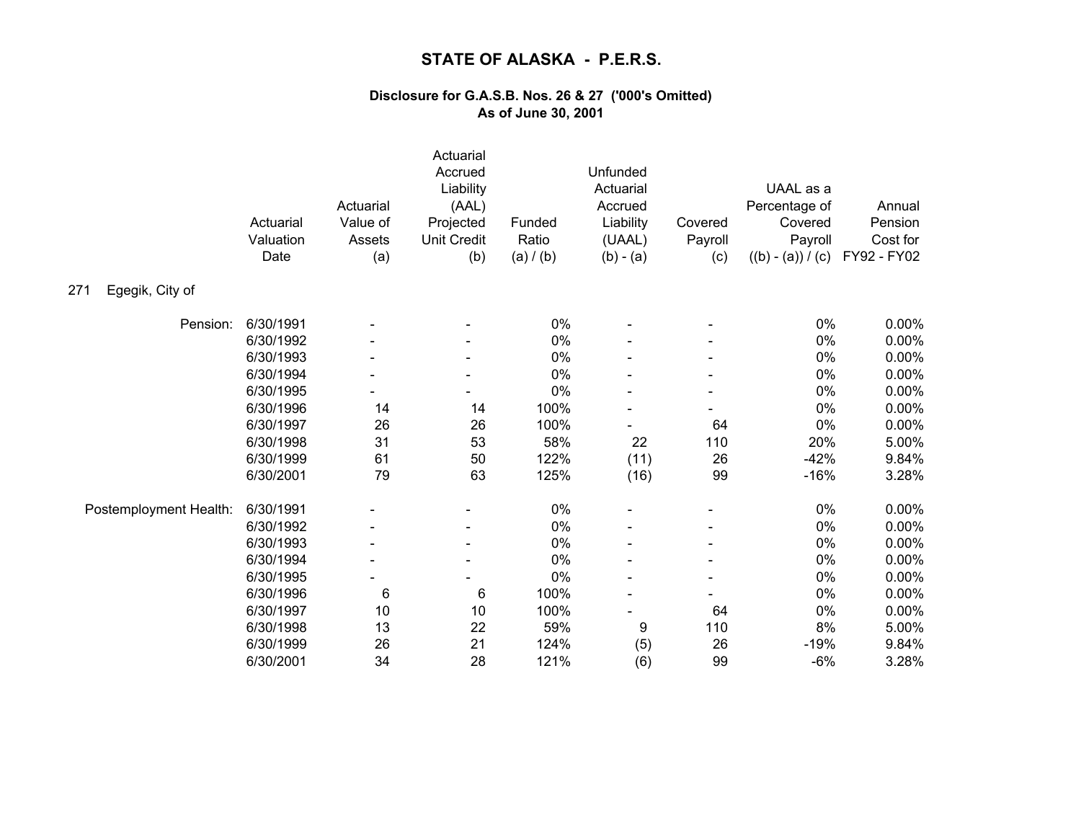|                        | Actuarial<br>Valuation<br>Date | Actuarial<br>Value of<br>Assets<br>(a) | Actuarial<br>Accrued<br>Liability<br>(AAL)<br>Projected<br><b>Unit Credit</b><br>(b) | Funded<br>Ratio<br>(a) / (b) | Unfunded<br>Actuarial<br>Accrued<br>Liability<br>(UAAL)<br>$(b) - (a)$ | Covered<br>Payroll<br>(c) | UAAL as a<br>Percentage of<br>Covered<br>Payroll<br>$((b) - (a)) / (c)$ | Annual<br>Pension<br>Cost for<br>FY92 - FY02 |
|------------------------|--------------------------------|----------------------------------------|--------------------------------------------------------------------------------------|------------------------------|------------------------------------------------------------------------|---------------------------|-------------------------------------------------------------------------|----------------------------------------------|
| Egegik, City of<br>271 |                                |                                        |                                                                                      |                              |                                                                        |                           |                                                                         |                                              |
| Pension:               | 6/30/1991                      |                                        |                                                                                      | 0%                           |                                                                        |                           | 0%                                                                      | 0.00%                                        |
|                        | 6/30/1992                      |                                        |                                                                                      | 0%                           |                                                                        |                           | 0%                                                                      | 0.00%                                        |
|                        | 6/30/1993                      |                                        |                                                                                      | 0%                           |                                                                        |                           | 0%                                                                      | 0.00%                                        |
|                        | 6/30/1994                      |                                        |                                                                                      | 0%                           |                                                                        |                           | 0%                                                                      | 0.00%                                        |
|                        | 6/30/1995                      |                                        |                                                                                      | 0%                           |                                                                        |                           | $0\%$                                                                   | 0.00%                                        |
|                        | 6/30/1996                      | 14                                     | 14                                                                                   | 100%                         |                                                                        |                           | 0%                                                                      | 0.00%                                        |
|                        | 6/30/1997                      | 26                                     | 26                                                                                   | 100%                         |                                                                        | 64                        | $0\%$                                                                   | 0.00%                                        |
|                        | 6/30/1998                      | 31                                     | 53                                                                                   | 58%                          | 22                                                                     | 110                       | 20%                                                                     | 5.00%                                        |
|                        | 6/30/1999                      | 61                                     | 50                                                                                   | 122%                         | (11)                                                                   | 26                        | $-42%$                                                                  | 9.84%                                        |
|                        | 6/30/2001                      | 79                                     | 63                                                                                   | 125%                         | (16)                                                                   | 99                        | $-16%$                                                                  | 3.28%                                        |
| Postemployment Health: | 6/30/1991                      |                                        | -                                                                                    | 0%                           |                                                                        |                           | 0%                                                                      | 0.00%                                        |
|                        | 6/30/1992                      |                                        | $\blacksquare$                                                                       | 0%                           |                                                                        |                           | 0%                                                                      | 0.00%                                        |
|                        | 6/30/1993                      |                                        |                                                                                      | 0%                           |                                                                        |                           | 0%                                                                      | 0.00%                                        |
|                        | 6/30/1994                      |                                        |                                                                                      | 0%                           |                                                                        |                           | 0%                                                                      | 0.00%                                        |
|                        | 6/30/1995                      |                                        |                                                                                      | 0%                           |                                                                        |                           | 0%                                                                      | 0.00%                                        |
|                        | 6/30/1996                      | 6                                      | $\,6$                                                                                | 100%                         |                                                                        |                           | 0%                                                                      | 0.00%                                        |
|                        | 6/30/1997                      | 10                                     | 10                                                                                   | 100%                         |                                                                        | 64                        | $0\%$                                                                   | 0.00%                                        |
|                        | 6/30/1998                      | 13                                     | 22                                                                                   | 59%                          | 9                                                                      | 110                       | 8%                                                                      | 5.00%                                        |
|                        | 6/30/1999                      | 26                                     | 21                                                                                   | 124%                         | (5)                                                                    | 26                        | $-19%$                                                                  | 9.84%                                        |
|                        | 6/30/2001                      | 34                                     | 28                                                                                   | 121%                         | (6)                                                                    | 99                        | $-6%$                                                                   | 3.28%                                        |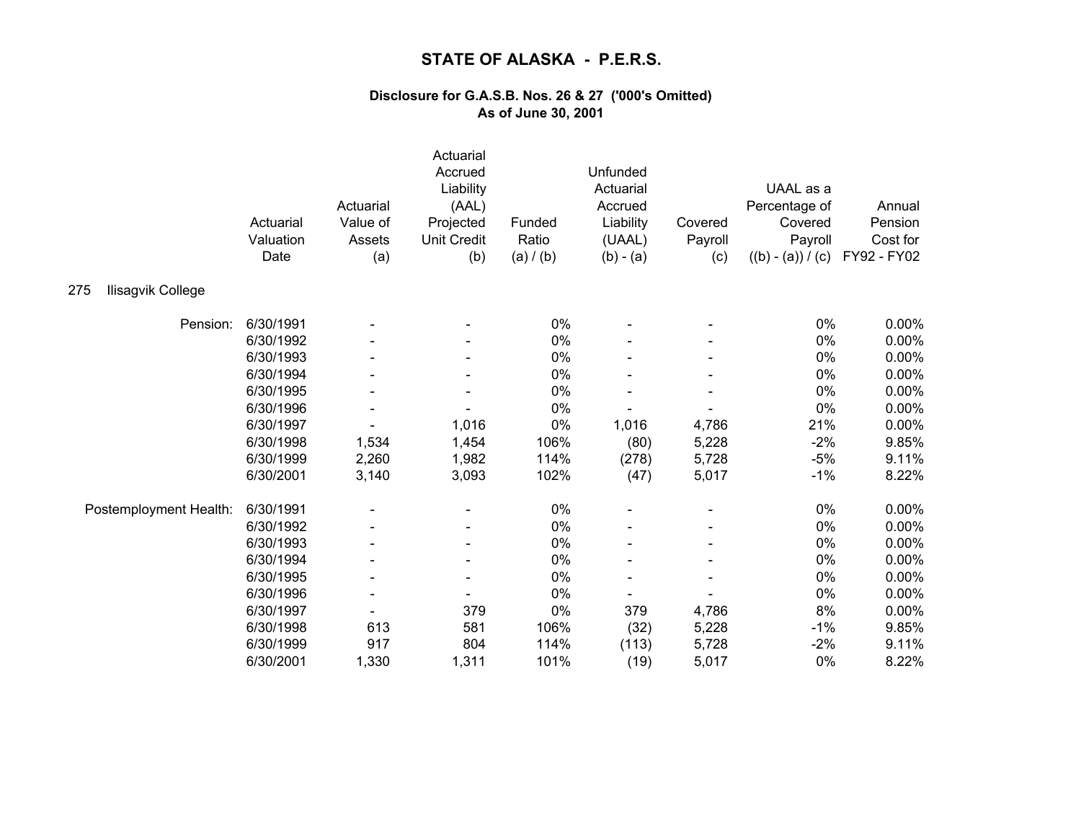|                          | Actuarial<br>Valuation<br>Date | Actuarial<br>Value of<br>Assets<br>(a) | Actuarial<br>Accrued<br>Liability<br>(AAL)<br>Projected<br><b>Unit Credit</b><br>(b) | Funded<br>Ratio<br>(a) / (b) | Unfunded<br>Actuarial<br>Accrued<br>Liability<br>(UAAL)<br>$(b) - (a)$ | Covered<br>Payroll<br>(c) | UAAL as a<br>Percentage of<br>Covered<br>Payroll<br>$((b) - (a)) / (c)$ | Annual<br>Pension<br>Cost for<br>FY92 - FY02 |
|--------------------------|--------------------------------|----------------------------------------|--------------------------------------------------------------------------------------|------------------------------|------------------------------------------------------------------------|---------------------------|-------------------------------------------------------------------------|----------------------------------------------|
| Ilisagvik College<br>275 |                                |                                        |                                                                                      |                              |                                                                        |                           |                                                                         |                                              |
| Pension:                 | 6/30/1991                      |                                        |                                                                                      | 0%                           |                                                                        |                           | 0%                                                                      | 0.00%                                        |
|                          | 6/30/1992                      |                                        |                                                                                      | 0%                           |                                                                        |                           | 0%                                                                      | 0.00%                                        |
|                          | 6/30/1993                      |                                        |                                                                                      | 0%                           |                                                                        |                           | 0%                                                                      | 0.00%                                        |
|                          | 6/30/1994                      |                                        |                                                                                      | 0%                           |                                                                        |                           | 0%                                                                      | 0.00%                                        |
|                          | 6/30/1995                      |                                        |                                                                                      | 0%                           |                                                                        |                           | 0%                                                                      | 0.00%                                        |
|                          | 6/30/1996                      |                                        |                                                                                      | 0%                           |                                                                        |                           | 0%                                                                      | 0.00%                                        |
|                          | 6/30/1997                      |                                        | 1,016                                                                                | 0%                           | 1,016                                                                  | 4,786                     | 21%                                                                     | 0.00%                                        |
|                          | 6/30/1998                      | 1,534                                  | 1,454                                                                                | 106%                         | (80)                                                                   | 5,228                     | $-2%$                                                                   | 9.85%                                        |
|                          | 6/30/1999                      | 2,260                                  | 1,982                                                                                | 114%                         | (278)                                                                  | 5,728                     | $-5%$                                                                   | 9.11%                                        |
|                          | 6/30/2001                      | 3,140                                  | 3,093                                                                                | 102%                         | (47)                                                                   | 5,017                     | $-1%$                                                                   | 8.22%                                        |
| Postemployment Health:   | 6/30/1991                      |                                        |                                                                                      | 0%                           |                                                                        |                           | 0%                                                                      | 0.00%                                        |
|                          | 6/30/1992                      |                                        |                                                                                      | 0%                           |                                                                        |                           | 0%                                                                      | 0.00%                                        |
|                          | 6/30/1993                      |                                        |                                                                                      | 0%                           |                                                                        |                           | 0%                                                                      | 0.00%                                        |
|                          | 6/30/1994                      |                                        |                                                                                      | 0%                           |                                                                        |                           | 0%                                                                      | 0.00%                                        |
|                          | 6/30/1995                      |                                        |                                                                                      | 0%                           |                                                                        |                           | $0\%$                                                                   | 0.00%                                        |
|                          | 6/30/1996                      |                                        |                                                                                      | 0%                           |                                                                        |                           | 0%                                                                      | 0.00%                                        |
|                          | 6/30/1997                      |                                        | 379                                                                                  | 0%                           | 379                                                                    | 4,786                     | 8%                                                                      | 0.00%                                        |
|                          | 6/30/1998                      | 613                                    | 581                                                                                  | 106%                         | (32)                                                                   | 5,228                     | $-1%$                                                                   | 9.85%                                        |
|                          | 6/30/1999                      | 917                                    | 804                                                                                  | 114%                         | (113)                                                                  | 5,728                     | $-2%$                                                                   | 9.11%                                        |
|                          | 6/30/2001                      | 1,330                                  | 1,311                                                                                | 101%                         | (19)                                                                   | 5,017                     | 0%                                                                      | 8.22%                                        |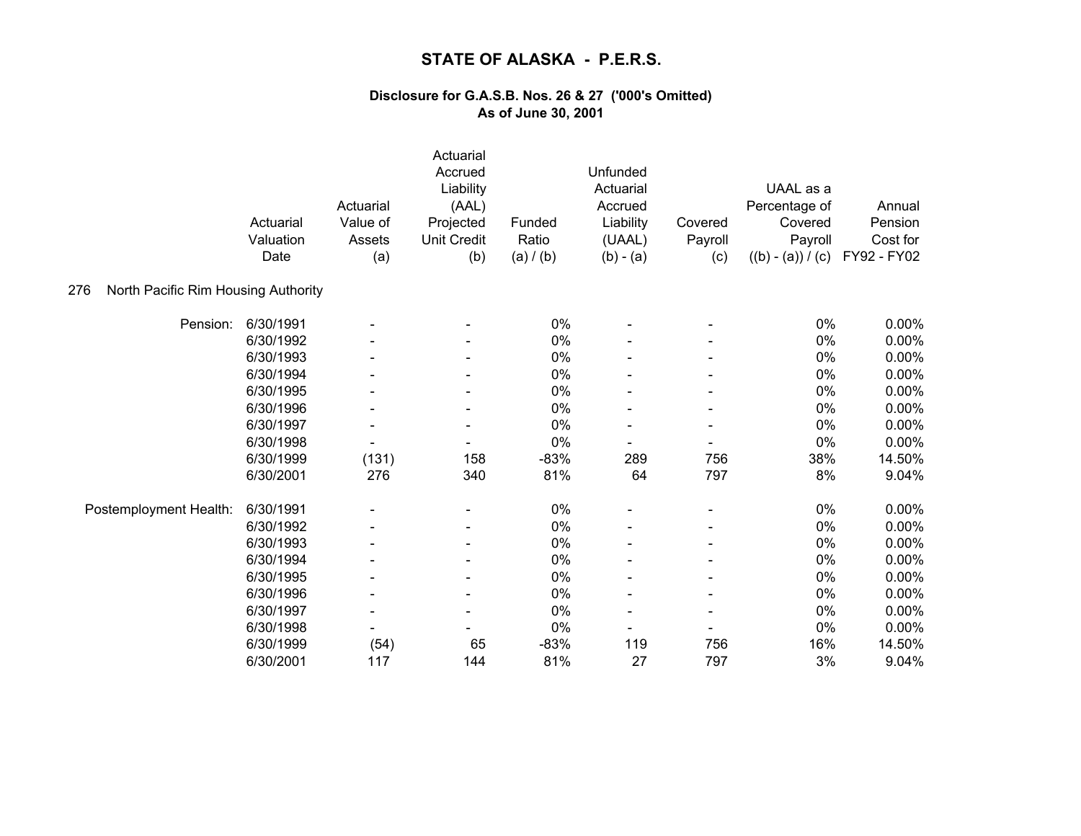|                                            | Actuarial<br>Valuation<br>Date | Actuarial<br>Value of<br>Assets<br>(a) | Actuarial<br>Accrued<br>Liability<br>(AAL)<br>Projected<br><b>Unit Credit</b><br>(b) | Funded<br>Ratio<br>(a) / (b) | Unfunded<br>Actuarial<br>Accrued<br>Liability<br>(UAAL)<br>$(b) - (a)$ | Covered<br>Payroll<br>(c) | UAAL as a<br>Percentage of<br>Covered<br>Payroll<br>$((b) - (a)) / (c)$ | Annual<br>Pension<br>Cost for<br>FY92 - FY02 |
|--------------------------------------------|--------------------------------|----------------------------------------|--------------------------------------------------------------------------------------|------------------------------|------------------------------------------------------------------------|---------------------------|-------------------------------------------------------------------------|----------------------------------------------|
| North Pacific Rim Housing Authority<br>276 |                                |                                        |                                                                                      |                              |                                                                        |                           |                                                                         |                                              |
| Pension:                                   | 6/30/1991                      |                                        |                                                                                      | 0%                           |                                                                        |                           | 0%                                                                      | $0.00\%$                                     |
|                                            | 6/30/1992                      |                                        |                                                                                      | 0%                           |                                                                        |                           | 0%                                                                      | 0.00%                                        |
|                                            | 6/30/1993                      |                                        |                                                                                      | 0%                           |                                                                        |                           | 0%                                                                      | 0.00%                                        |
|                                            | 6/30/1994                      |                                        |                                                                                      | 0%                           |                                                                        |                           | 0%                                                                      | 0.00%                                        |
|                                            | 6/30/1995                      |                                        |                                                                                      | 0%                           |                                                                        |                           | $0\%$                                                                   | 0.00%                                        |
|                                            | 6/30/1996                      |                                        | $\qquad \qquad \blacksquare$                                                         | 0%                           |                                                                        |                           | 0%                                                                      | 0.00%                                        |
|                                            | 6/30/1997                      |                                        |                                                                                      | 0%                           |                                                                        |                           | 0%                                                                      | 0.00%                                        |
|                                            | 6/30/1998                      | $\overline{\phantom{a}}$               | $\overline{\phantom{a}}$                                                             | 0%                           | $\overline{\phantom{a}}$                                               |                           | 0%                                                                      | 0.00%                                        |
|                                            | 6/30/1999                      | (131)                                  | 158                                                                                  | $-83%$                       | 289                                                                    | 756                       | 38%                                                                     | 14.50%                                       |
|                                            | 6/30/2001                      | 276                                    | 340                                                                                  | 81%                          | 64                                                                     | 797                       | 8%                                                                      | 9.04%                                        |
| Postemployment Health:                     | 6/30/1991                      |                                        |                                                                                      | $0\%$                        |                                                                        |                           | $0\%$                                                                   | $0.00\%$                                     |
|                                            | 6/30/1992                      |                                        | $\overline{\phantom{a}}$                                                             | 0%                           |                                                                        |                           | 0%                                                                      | 0.00%                                        |
|                                            | 6/30/1993                      |                                        |                                                                                      | 0%                           |                                                                        |                           | 0%                                                                      | 0.00%                                        |
|                                            | 6/30/1994                      |                                        |                                                                                      | 0%                           |                                                                        |                           | 0%                                                                      | 0.00%                                        |
|                                            | 6/30/1995                      |                                        |                                                                                      | 0%                           |                                                                        |                           | 0%                                                                      | 0.00%                                        |
|                                            | 6/30/1996                      |                                        | $\overline{\phantom{a}}$                                                             | 0%                           |                                                                        |                           | 0%                                                                      | 0.00%                                        |
|                                            | 6/30/1997                      | $\overline{\phantom{a}}$               | $\qquad \qquad \blacksquare$                                                         | 0%                           |                                                                        |                           | 0%                                                                      | 0.00%                                        |
|                                            | 6/30/1998                      |                                        |                                                                                      | 0%                           |                                                                        |                           | 0%                                                                      | 0.00%                                        |
|                                            | 6/30/1999                      | (54)                                   | 65                                                                                   | $-83%$                       | 119                                                                    | 756                       | 16%                                                                     | 14.50%                                       |
|                                            | 6/30/2001                      | 117                                    | 144                                                                                  | 81%                          | 27                                                                     | 797                       | 3%                                                                      | 9.04%                                        |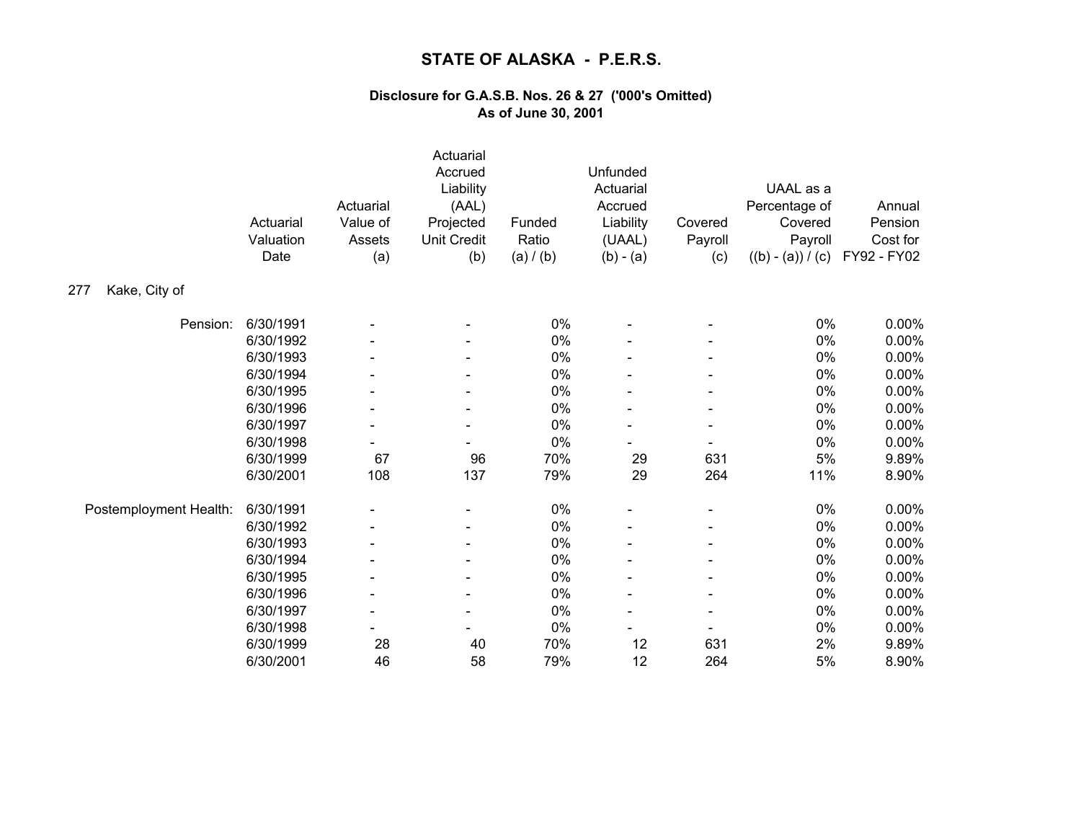|                        | Actuarial<br>Valuation<br>Date | Actuarial<br>Value of<br>Assets<br>(a) | Actuarial<br>Accrued<br>Liability<br>(AAL)<br>Projected<br><b>Unit Credit</b><br>(b) | Funded<br>Ratio<br>(a) / (b) | Unfunded<br>Actuarial<br>Accrued<br>Liability<br>(UAAL)<br>$(b) - (a)$ | Covered<br>Payroll<br>(c) | UAAL as a<br>Percentage of<br>Covered<br>Payroll<br>$((b) - (a)) / (c)$ | Annual<br>Pension<br>Cost for<br>FY92 - FY02 |
|------------------------|--------------------------------|----------------------------------------|--------------------------------------------------------------------------------------|------------------------------|------------------------------------------------------------------------|---------------------------|-------------------------------------------------------------------------|----------------------------------------------|
| Kake, City of<br>277   |                                |                                        |                                                                                      |                              |                                                                        |                           |                                                                         |                                              |
| Pension:               | 6/30/1991                      |                                        |                                                                                      | 0%                           |                                                                        |                           | 0%                                                                      | 0.00%                                        |
|                        | 6/30/1992                      |                                        |                                                                                      | 0%                           |                                                                        |                           | 0%                                                                      | 0.00%                                        |
|                        | 6/30/1993                      |                                        |                                                                                      | 0%                           |                                                                        |                           | 0%                                                                      | 0.00%                                        |
|                        | 6/30/1994                      |                                        |                                                                                      | 0%                           |                                                                        |                           | 0%                                                                      | 0.00%                                        |
|                        | 6/30/1995                      |                                        |                                                                                      | 0%                           |                                                                        |                           | $0\%$                                                                   | 0.00%                                        |
|                        | 6/30/1996                      | $\overline{\phantom{a}}$               | $\overline{\phantom{a}}$                                                             | 0%                           |                                                                        |                           | 0%                                                                      | 0.00%                                        |
|                        | 6/30/1997                      | $\blacksquare$                         |                                                                                      | 0%                           |                                                                        |                           | 0%                                                                      | 0.00%                                        |
|                        | 6/30/1998                      | -                                      |                                                                                      | 0%                           |                                                                        |                           | 0%                                                                      | 0.00%                                        |
|                        | 6/30/1999                      | 67                                     | 96                                                                                   | 70%                          | 29                                                                     | 631                       | 5%                                                                      | 9.89%                                        |
|                        | 6/30/2001                      | 108                                    | 137                                                                                  | 79%                          | 29                                                                     | 264                       | 11%                                                                     | 8.90%                                        |
| Postemployment Health: | 6/30/1991                      |                                        | $\qquad \qquad \blacksquare$                                                         | $0\%$                        |                                                                        |                           | $0\%$                                                                   | 0.00%                                        |
|                        | 6/30/1992                      |                                        | $\blacksquare$                                                                       | 0%                           |                                                                        |                           | 0%                                                                      | 0.00%                                        |
|                        | 6/30/1993                      |                                        |                                                                                      | 0%                           |                                                                        |                           | 0%                                                                      | 0.00%                                        |
|                        | 6/30/1994                      |                                        |                                                                                      | 0%                           |                                                                        |                           | 0%                                                                      | 0.00%                                        |
|                        | 6/30/1995                      |                                        |                                                                                      | 0%                           |                                                                        |                           | 0%                                                                      | 0.00%                                        |
|                        | 6/30/1996                      |                                        | $\overline{\phantom{a}}$                                                             | 0%                           |                                                                        |                           | $0\%$                                                                   | 0.00%                                        |
|                        | 6/30/1997                      | $\overline{\phantom{a}}$               | $\overline{\phantom{a}}$                                                             | 0%                           | $\blacksquare$                                                         |                           | 0%                                                                      | $0.00\%$                                     |
|                        | 6/30/1998                      |                                        |                                                                                      | 0%                           |                                                                        |                           | $0\%$                                                                   | 0.00%                                        |
|                        | 6/30/1999                      | 28                                     | 40                                                                                   | 70%                          | 12                                                                     | 631                       | 2%                                                                      | 9.89%                                        |
|                        | 6/30/2001                      | 46                                     | 58                                                                                   | 79%                          | 12                                                                     | 264                       | 5%                                                                      | 8.90%                                        |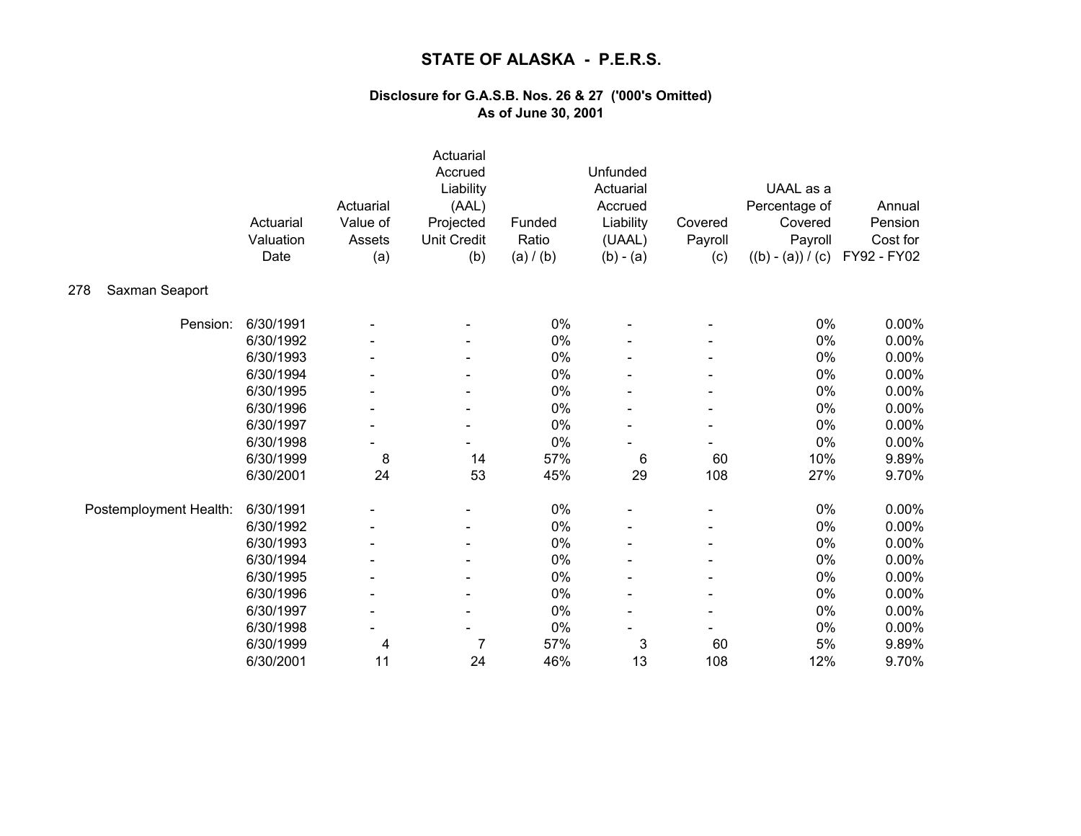|                        | Actuarial<br>Valuation<br>Date | Actuarial<br>Value of<br>Assets<br>(a) | Actuarial<br>Accrued<br>Liability<br>(AAL)<br>Projected<br><b>Unit Credit</b><br>(b) | Funded<br>Ratio<br>(a) / (b) | Unfunded<br>Actuarial<br>Accrued<br>Liability<br>(UAAL)<br>$(b) - (a)$ | Covered<br>Payroll<br>(c) | UAAL as a<br>Percentage of<br>Covered<br>Payroll<br>$((b) - (a)) / (c)$ | Annual<br>Pension<br>Cost for<br>FY92 - FY02 |
|------------------------|--------------------------------|----------------------------------------|--------------------------------------------------------------------------------------|------------------------------|------------------------------------------------------------------------|---------------------------|-------------------------------------------------------------------------|----------------------------------------------|
| Saxman Seaport<br>278  |                                |                                        |                                                                                      |                              |                                                                        |                           |                                                                         |                                              |
| Pension:               | 6/30/1991                      |                                        |                                                                                      | 0%                           |                                                                        |                           | 0%                                                                      | 0.00%                                        |
|                        | 6/30/1992                      |                                        |                                                                                      | 0%                           |                                                                        |                           | 0%                                                                      | 0.00%                                        |
|                        | 6/30/1993                      |                                        |                                                                                      | 0%                           |                                                                        |                           | 0%                                                                      | 0.00%                                        |
|                        | 6/30/1994                      |                                        |                                                                                      | 0%                           |                                                                        |                           | 0%                                                                      | 0.00%                                        |
|                        | 6/30/1995                      |                                        |                                                                                      | 0%                           |                                                                        |                           | $0\%$                                                                   | 0.00%                                        |
|                        | 6/30/1996                      |                                        | $\qquad \qquad \blacksquare$                                                         | 0%                           |                                                                        |                           | $0\%$                                                                   | 0.00%                                        |
|                        | 6/30/1997                      | $\blacksquare$                         |                                                                                      | 0%                           |                                                                        |                           | $0\%$                                                                   | 0.00%                                        |
|                        | 6/30/1998                      |                                        | $\qquad \qquad \blacksquare$                                                         | 0%                           |                                                                        |                           | 0%                                                                      | 0.00%                                        |
|                        | 6/30/1999                      | 8                                      | 14                                                                                   | 57%                          | 6                                                                      | 60                        | 10%                                                                     | 9.89%                                        |
|                        | 6/30/2001                      | 24                                     | 53                                                                                   | 45%                          | 29                                                                     | 108                       | 27%                                                                     | 9.70%                                        |
| Postemployment Health: | 6/30/1991                      |                                        |                                                                                      | $0\%$                        |                                                                        |                           | $0\%$                                                                   | $0.00\%$                                     |
|                        | 6/30/1992                      |                                        | $\qquad \qquad \blacksquare$                                                         | 0%                           |                                                                        |                           | 0%                                                                      | 0.00%                                        |
|                        | 6/30/1993                      |                                        |                                                                                      | 0%                           |                                                                        |                           | $0\%$                                                                   | 0.00%                                        |
|                        | 6/30/1994                      |                                        |                                                                                      | 0%                           |                                                                        |                           | 0%                                                                      | 0.00%                                        |
|                        | 6/30/1995                      |                                        |                                                                                      | 0%                           |                                                                        |                           | $0\%$                                                                   | 0.00%                                        |
|                        | 6/30/1996                      |                                        | $\overline{\phantom{a}}$                                                             | 0%                           |                                                                        |                           | $0\%$                                                                   | 0.00%                                        |
|                        | 6/30/1997                      | $\overline{\phantom{a}}$               | $\overline{\phantom{a}}$                                                             | 0%                           |                                                                        |                           | 0%                                                                      | 0.00%                                        |
|                        | 6/30/1998                      |                                        |                                                                                      | 0%                           |                                                                        |                           | $0\%$                                                                   | $0.00\%$                                     |
|                        | 6/30/1999                      | 4                                      | 7                                                                                    | 57%                          | 3                                                                      | 60                        | 5%                                                                      | 9.89%                                        |
|                        | 6/30/2001                      | 11                                     | 24                                                                                   | 46%                          | 13                                                                     | 108                       | 12%                                                                     | 9.70%                                        |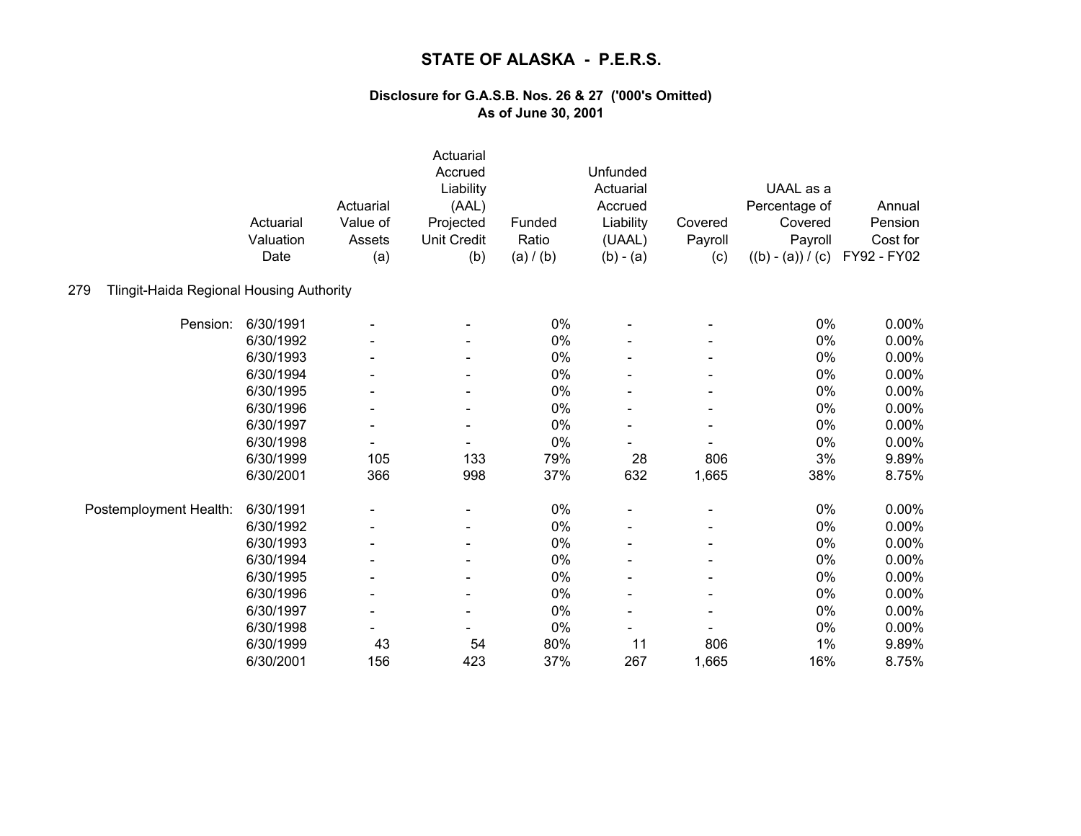| Tlingit-Haida Regional Housing Authority<br>279 | Actuarial<br>Valuation<br>Date | Actuarial<br>Value of<br>Assets<br>(a) | Actuarial<br>Accrued<br>Liability<br>(AAL)<br>Projected<br><b>Unit Credit</b><br>(b) | Funded<br>Ratio<br>(a) / (b) | Unfunded<br>Actuarial<br>Accrued<br>Liability<br>(UAAL)<br>$(b) - (a)$ | Covered<br>Payroll<br>(c) | UAAL as a<br>Percentage of<br>Covered<br>Payroll<br>$((b) - (a)) / (c)$ | Annual<br>Pension<br>Cost for<br>FY92 - FY02 |
|-------------------------------------------------|--------------------------------|----------------------------------------|--------------------------------------------------------------------------------------|------------------------------|------------------------------------------------------------------------|---------------------------|-------------------------------------------------------------------------|----------------------------------------------|
|                                                 |                                |                                        |                                                                                      |                              |                                                                        |                           |                                                                         |                                              |
| Pension:                                        | 6/30/1991                      |                                        |                                                                                      | 0%                           |                                                                        |                           | 0%                                                                      | 0.00%                                        |
|                                                 | 6/30/1992                      |                                        |                                                                                      | 0%                           |                                                                        |                           | 0%                                                                      | 0.00%                                        |
|                                                 | 6/30/1993                      |                                        |                                                                                      | 0%                           |                                                                        |                           | 0%                                                                      | $0.00\%$                                     |
|                                                 | 6/30/1994                      |                                        | $\overline{\phantom{a}}$                                                             | 0%                           |                                                                        |                           | 0%                                                                      | 0.00%                                        |
|                                                 | 6/30/1995                      |                                        |                                                                                      | $0\%$                        |                                                                        |                           | $0\%$                                                                   | 0.00%                                        |
|                                                 | 6/30/1996                      |                                        | $\overline{\phantom{a}}$                                                             | 0%                           |                                                                        |                           | 0%                                                                      | 0.00%                                        |
|                                                 | 6/30/1997                      | $\overline{\phantom{a}}$               |                                                                                      | 0%                           |                                                                        |                           | 0%                                                                      | 0.00%                                        |
|                                                 | 6/30/1998                      | $\blacksquare$                         | $\qquad \qquad \blacksquare$                                                         | 0%                           |                                                                        |                           | 0%                                                                      | 0.00%                                        |
|                                                 | 6/30/1999                      | 105                                    | 133                                                                                  | 79%                          | 28                                                                     | 806                       | 3%                                                                      | 9.89%                                        |
|                                                 | 6/30/2001                      | 366                                    | 998                                                                                  | 37%                          | 632                                                                    | 1,665                     | 38%                                                                     | 8.75%                                        |
| Postemployment Health:                          | 6/30/1991                      |                                        | $\overline{\phantom{a}}$                                                             | $0\%$                        |                                                                        |                           | $0\%$                                                                   | 0.00%                                        |
|                                                 | 6/30/1992                      |                                        | $\overline{\phantom{a}}$                                                             | 0%                           |                                                                        |                           | 0%                                                                      | $0.00\%$                                     |
|                                                 | 6/30/1993                      |                                        |                                                                                      | 0%                           |                                                                        |                           | 0%                                                                      | 0.00%                                        |
|                                                 | 6/30/1994                      |                                        |                                                                                      | 0%                           |                                                                        |                           | 0%                                                                      | 0.00%                                        |
|                                                 | 6/30/1995                      |                                        |                                                                                      | 0%                           |                                                                        |                           | 0%                                                                      | 0.00%                                        |
|                                                 | 6/30/1996                      |                                        | $\overline{\phantom{a}}$                                                             | 0%                           |                                                                        |                           | 0%                                                                      | 0.00%                                        |
|                                                 | 6/30/1997                      | $\overline{\phantom{a}}$               | $\overline{\phantom{a}}$                                                             | 0%                           |                                                                        |                           | 0%                                                                      | 0.00%                                        |
|                                                 | 6/30/1998                      |                                        |                                                                                      | $0\%$                        |                                                                        |                           | $0\%$                                                                   | 0.00%                                        |
|                                                 | 6/30/1999                      | 43                                     | 54                                                                                   | 80%                          | 11                                                                     | 806                       | 1%                                                                      | 9.89%                                        |
|                                                 | 6/30/2001                      | 156                                    | 423                                                                                  | 37%                          | 267                                                                    | 1,665                     | 16%                                                                     | 8.75%                                        |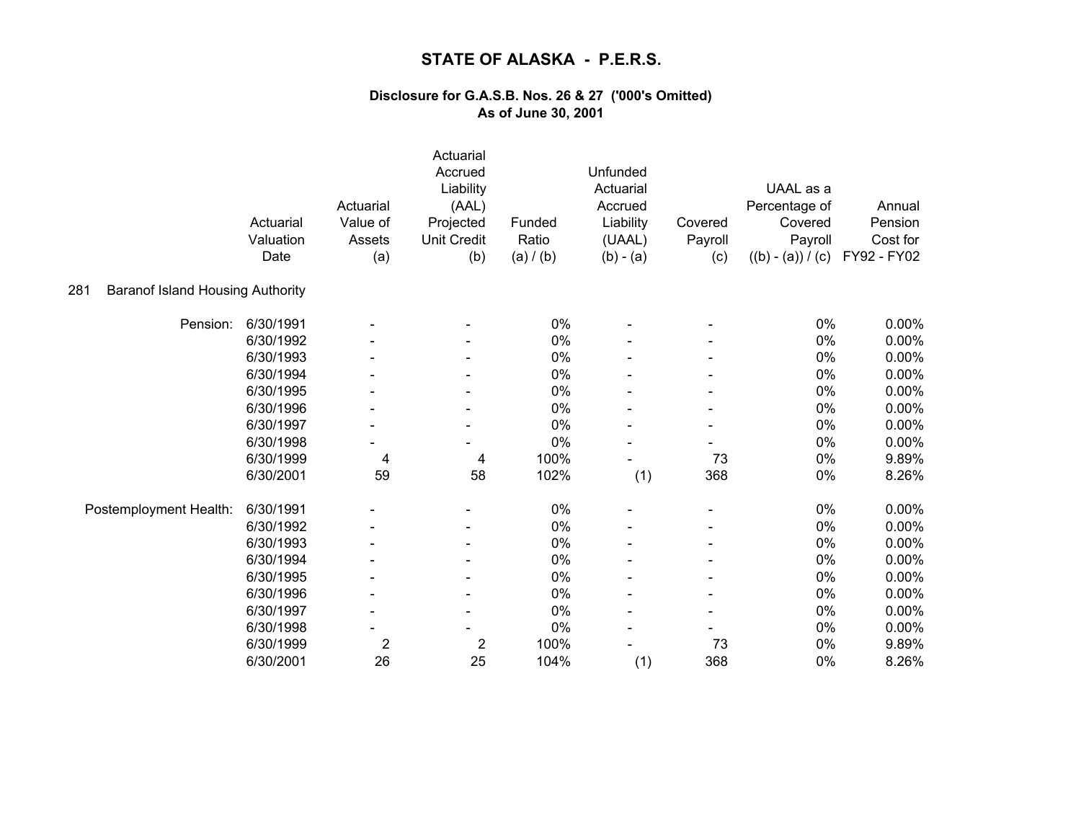|                                                | Actuarial<br>Valuation<br>Date | Actuarial<br>Value of<br>Assets<br>(a) | Actuarial<br>Accrued<br>Liability<br>(AAL)<br>Projected<br><b>Unit Credit</b><br>(b) | Funded<br>Ratio<br>(a) / (b) | Unfunded<br>Actuarial<br>Accrued<br>Liability<br>(UAAL)<br>$(b) - (a)$ | Covered<br>Payroll<br>(c) | UAAL as a<br>Percentage of<br>Covered<br>Payroll<br>$((b) - (a)) / (c)$ | Annual<br>Pension<br>Cost for<br>FY92 - FY02 |
|------------------------------------------------|--------------------------------|----------------------------------------|--------------------------------------------------------------------------------------|------------------------------|------------------------------------------------------------------------|---------------------------|-------------------------------------------------------------------------|----------------------------------------------|
| <b>Baranof Island Housing Authority</b><br>281 |                                |                                        |                                                                                      |                              |                                                                        |                           |                                                                         |                                              |
| Pension:                                       | 6/30/1991                      |                                        |                                                                                      | 0%                           |                                                                        |                           | 0%                                                                      | 0.00%                                        |
|                                                | 6/30/1992                      |                                        |                                                                                      | 0%                           |                                                                        |                           | 0%                                                                      | 0.00%                                        |
|                                                | 6/30/1993                      |                                        |                                                                                      | 0%                           |                                                                        |                           | 0%                                                                      | 0.00%                                        |
|                                                | 6/30/1994                      |                                        |                                                                                      | 0%                           |                                                                        |                           | 0%                                                                      | 0.00%                                        |
|                                                | 6/30/1995                      |                                        |                                                                                      | 0%                           |                                                                        |                           | 0%                                                                      | 0.00%                                        |
|                                                | 6/30/1996                      | $\overline{\phantom{a}}$               |                                                                                      | 0%                           |                                                                        |                           | $0\%$                                                                   | 0.00%                                        |
|                                                | 6/30/1997                      |                                        | $\qquad \qquad \blacksquare$                                                         | $0\%$                        |                                                                        |                           | $0\%$                                                                   | 0.00%                                        |
|                                                | 6/30/1998                      | $\blacksquare$                         | $\qquad \qquad \blacksquare$                                                         | 0%                           |                                                                        |                           | 0%                                                                      | 0.00%                                        |
|                                                | 6/30/1999                      | 4                                      | 4                                                                                    | 100%                         |                                                                        | 73                        | 0%                                                                      | 9.89%                                        |
|                                                | 6/30/2001                      | 59                                     | 58                                                                                   | 102%                         | (1)                                                                    | 368                       | 0%                                                                      | 8.26%                                        |
| Postemployment Health:                         | 6/30/1991                      |                                        |                                                                                      | 0%                           |                                                                        |                           | 0%                                                                      | $0.00\%$                                     |
|                                                | 6/30/1992                      |                                        |                                                                                      | 0%                           |                                                                        |                           | 0%                                                                      | 0.00%                                        |
|                                                | 6/30/1993                      |                                        |                                                                                      | 0%                           |                                                                        |                           | 0%                                                                      | 0.00%                                        |
|                                                | 6/30/1994                      |                                        |                                                                                      | 0%                           |                                                                        |                           | 0%                                                                      | 0.00%                                        |
|                                                | 6/30/1995                      |                                        |                                                                                      | 0%                           |                                                                        |                           | $0\%$                                                                   | 0.00%                                        |
|                                                | 6/30/1996                      |                                        | $\blacksquare$                                                                       | 0%                           |                                                                        |                           | 0%                                                                      | 0.00%                                        |
|                                                | 6/30/1997                      | $\overline{\phantom{a}}$               |                                                                                      | 0%                           |                                                                        |                           | 0%                                                                      | 0.00%                                        |
|                                                | 6/30/1998                      |                                        |                                                                                      | 0%                           |                                                                        |                           | $0\%$                                                                   | 0.00%                                        |
|                                                | 6/30/1999                      | $\overline{2}$                         | $\overline{c}$                                                                       | 100%                         |                                                                        | 73                        | 0%                                                                      | 9.89%                                        |
|                                                | 6/30/2001                      | 26                                     | 25                                                                                   | 104%                         | (1)                                                                    | 368                       | 0%                                                                      | 8.26%                                        |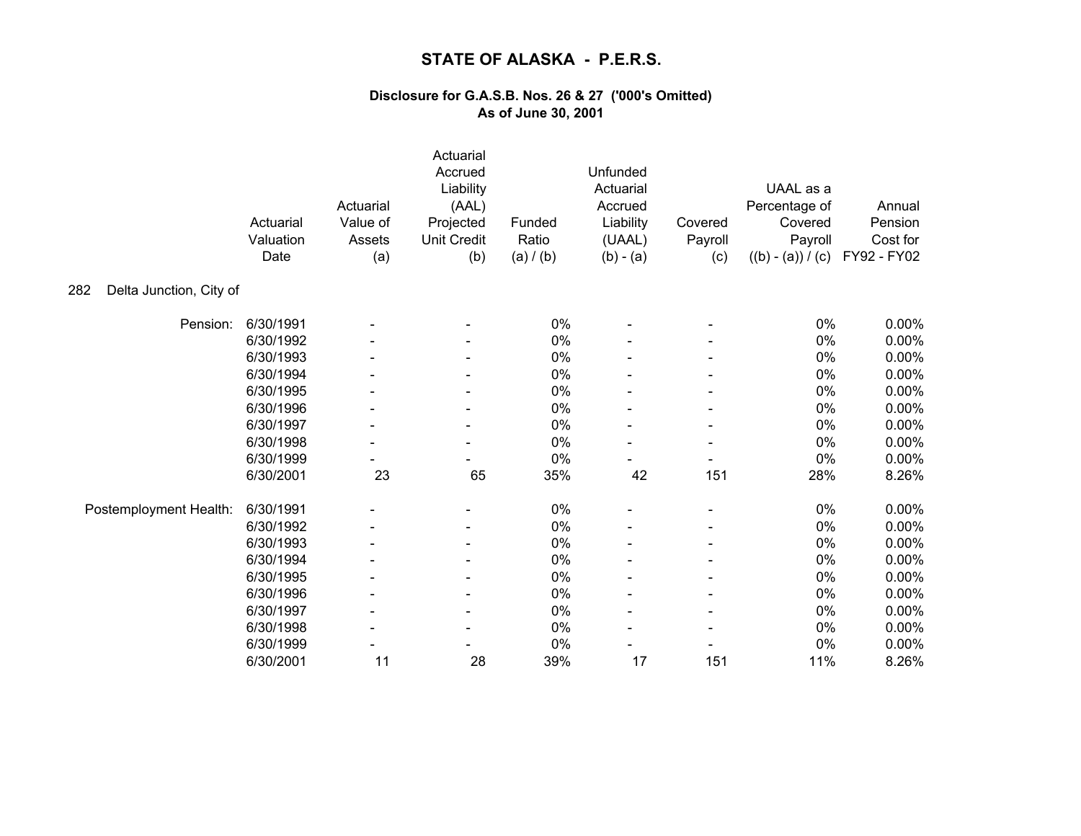|                                | Actuarial<br>Valuation<br>Date | Actuarial<br>Value of<br>Assets<br>(a) | Actuarial<br>Accrued<br>Liability<br>(AAL)<br>Projected<br><b>Unit Credit</b><br>(b) | Funded<br>Ratio<br>(a) / (b) | Unfunded<br>Actuarial<br>Accrued<br>Liability<br>(UAAL)<br>$(b) - (a)$ | Covered<br>Payroll<br>(c) | UAAL as a<br>Percentage of<br>Covered<br>Payroll<br>$((b) - (a)) / (c)$ | Annual<br>Pension<br>Cost for<br>FY92 - FY02 |
|--------------------------------|--------------------------------|----------------------------------------|--------------------------------------------------------------------------------------|------------------------------|------------------------------------------------------------------------|---------------------------|-------------------------------------------------------------------------|----------------------------------------------|
| Delta Junction, City of<br>282 |                                |                                        |                                                                                      |                              |                                                                        |                           |                                                                         |                                              |
| Pension:                       | 6/30/1991                      |                                        |                                                                                      | 0%                           |                                                                        |                           | 0%                                                                      | 0.00%                                        |
|                                | 6/30/1992                      |                                        |                                                                                      | 0%                           |                                                                        |                           | 0%                                                                      | 0.00%                                        |
|                                | 6/30/1993                      |                                        |                                                                                      | 0%                           |                                                                        |                           | 0%                                                                      | 0.00%                                        |
|                                | 6/30/1994                      |                                        |                                                                                      | 0%                           |                                                                        |                           | 0%                                                                      | 0.00%                                        |
|                                | 6/30/1995                      |                                        |                                                                                      | 0%                           |                                                                        |                           | 0%                                                                      | 0.00%                                        |
|                                | 6/30/1996                      |                                        |                                                                                      | 0%                           |                                                                        |                           | $0\%$                                                                   | 0.00%                                        |
|                                | 6/30/1997                      |                                        | $\qquad \qquad \blacksquare$                                                         | $0\%$                        |                                                                        |                           | $0\%$                                                                   | 0.00%                                        |
|                                | 6/30/1998                      | $\overline{\phantom{a}}$               | $\overline{\phantom{a}}$                                                             | 0%                           |                                                                        |                           | 0%                                                                      | 0.00%                                        |
|                                | 6/30/1999                      |                                        |                                                                                      | 0%                           |                                                                        |                           | 0%                                                                      | 0.00%                                        |
|                                | 6/30/2001                      | 23                                     | 65                                                                                   | 35%                          | 42                                                                     | 151                       | 28%                                                                     | 8.26%                                        |
| Postemployment Health:         | 6/30/1991                      |                                        |                                                                                      | 0%                           |                                                                        |                           | $0\%$                                                                   | $0.00\%$                                     |
|                                | 6/30/1992                      |                                        |                                                                                      | 0%                           |                                                                        |                           | 0%                                                                      | 0.00%                                        |
|                                | 6/30/1993                      |                                        |                                                                                      | $0\%$                        |                                                                        |                           | $0\%$                                                                   | 0.00%                                        |
|                                | 6/30/1994                      |                                        |                                                                                      | 0%                           |                                                                        |                           | 0%                                                                      | 0.00%                                        |
|                                | 6/30/1995                      |                                        |                                                                                      | 0%                           |                                                                        |                           | $0\%$                                                                   | 0.00%                                        |
|                                | 6/30/1996                      |                                        | $\blacksquare$                                                                       | 0%                           |                                                                        |                           | 0%                                                                      | 0.00%                                        |
|                                | 6/30/1997                      |                                        |                                                                                      | 0%                           |                                                                        |                           | 0%                                                                      | 0.00%                                        |
|                                | 6/30/1998                      |                                        |                                                                                      | 0%                           |                                                                        |                           | $0\%$                                                                   | 0.00%                                        |
|                                | 6/30/1999                      |                                        |                                                                                      | 0%                           |                                                                        |                           | 0%                                                                      | 0.00%                                        |
|                                | 6/30/2001                      | 11                                     | 28                                                                                   | 39%                          | 17                                                                     | 151                       | 11%                                                                     | 8.26%                                        |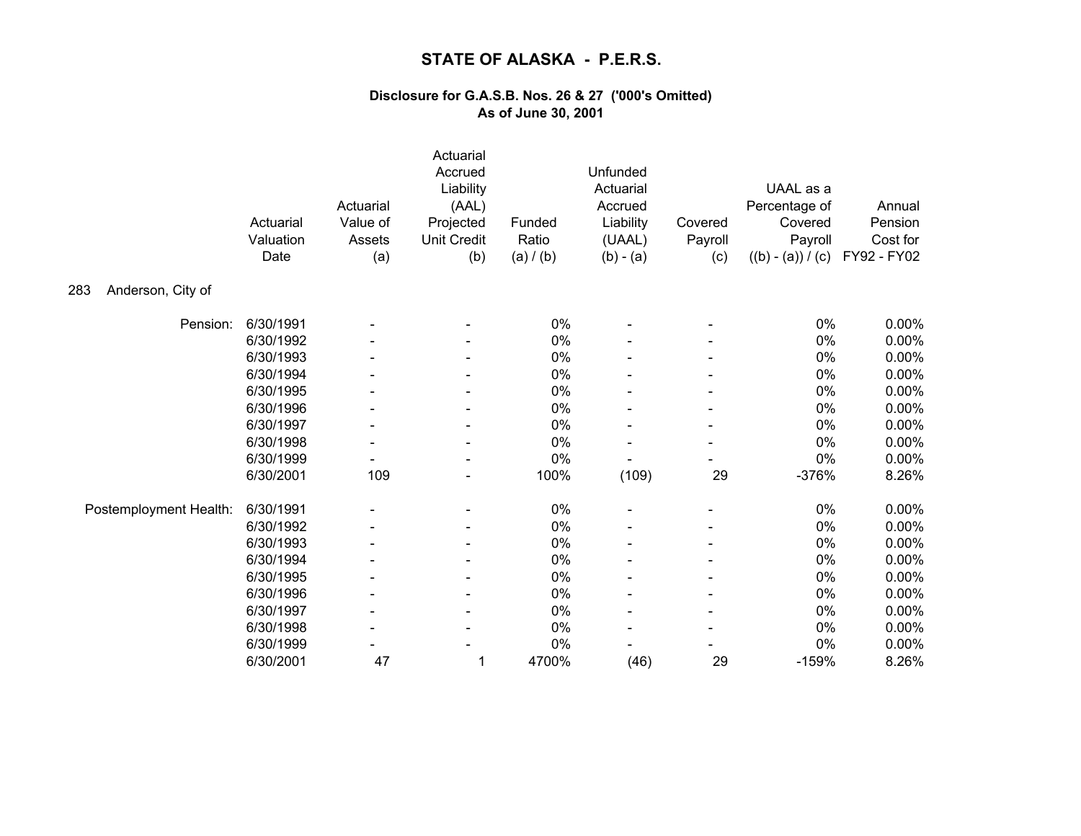|                          | Actuarial<br>Valuation<br>Date | Actuarial<br>Value of<br>Assets<br>(a) | Actuarial<br>Accrued<br>Liability<br>(AAL)<br>Projected<br><b>Unit Credit</b><br>(b) | Funded<br>Ratio<br>(a) / (b) | Unfunded<br>Actuarial<br>Accrued<br>Liability<br>(UAAL)<br>$(b) - (a)$ | Covered<br>Payroll<br>(c) | UAAL as a<br>Percentage of<br>Covered<br>Payroll<br>$((b) - (a)) / (c)$ | Annual<br>Pension<br>Cost for<br>FY92 - FY02 |
|--------------------------|--------------------------------|----------------------------------------|--------------------------------------------------------------------------------------|------------------------------|------------------------------------------------------------------------|---------------------------|-------------------------------------------------------------------------|----------------------------------------------|
| Anderson, City of<br>283 |                                |                                        |                                                                                      |                              |                                                                        |                           |                                                                         |                                              |
| Pension:                 | 6/30/1991                      |                                        |                                                                                      | 0%                           |                                                                        |                           | 0%                                                                      | 0.00%                                        |
|                          | 6/30/1992                      |                                        |                                                                                      | 0%                           |                                                                        |                           | 0%                                                                      | 0.00%                                        |
|                          | 6/30/1993                      |                                        |                                                                                      | 0%                           |                                                                        |                           | 0%                                                                      | 0.00%                                        |
|                          | 6/30/1994                      |                                        |                                                                                      | 0%                           |                                                                        |                           | 0%                                                                      | 0.00%                                        |
|                          | 6/30/1995                      |                                        |                                                                                      | 0%                           |                                                                        |                           | $0\%$                                                                   | 0.00%                                        |
|                          | 6/30/1996                      |                                        |                                                                                      | 0%                           |                                                                        |                           | $0\%$                                                                   | 0.00%                                        |
|                          | 6/30/1997                      | $\blacksquare$                         |                                                                                      | 0%                           |                                                                        |                           | $0\%$                                                                   | 0.00%                                        |
|                          | 6/30/1998                      | $\overline{\phantom{a}}$               | $\qquad \qquad \blacksquare$                                                         | 0%                           |                                                                        |                           | 0%                                                                      | 0.00%                                        |
|                          | 6/30/1999                      |                                        |                                                                                      | 0%                           |                                                                        |                           | 0%                                                                      | 0.00%                                        |
|                          | 6/30/2001                      | 109                                    |                                                                                      | 100%                         | (109)                                                                  | 29                        | $-376%$                                                                 | 8.26%                                        |
| Postemployment Health:   | 6/30/1991                      |                                        |                                                                                      | $0\%$                        |                                                                        |                           | $0\%$                                                                   | $0.00\%$                                     |
|                          | 6/30/1992                      |                                        | $\qquad \qquad \blacksquare$                                                         | 0%                           |                                                                        |                           | 0%                                                                      | 0.00%                                        |
|                          | 6/30/1993                      |                                        |                                                                                      | 0%                           |                                                                        |                           | $0\%$                                                                   | 0.00%                                        |
|                          | 6/30/1994                      |                                        |                                                                                      | 0%                           |                                                                        |                           | 0%                                                                      | 0.00%                                        |
|                          | 6/30/1995                      |                                        |                                                                                      | 0%                           |                                                                        |                           | 0%                                                                      | 0.00%                                        |
|                          | 6/30/1996                      |                                        | $\blacksquare$                                                                       | 0%                           |                                                                        |                           | $0\%$                                                                   | 0.00%                                        |
|                          | 6/30/1997                      | $\overline{\phantom{a}}$               |                                                                                      | 0%                           |                                                                        |                           | 0%                                                                      | $0.00\%$                                     |
|                          | 6/30/1998                      |                                        |                                                                                      | 0%                           |                                                                        |                           | $0\%$                                                                   | 0.00%                                        |
|                          | 6/30/1999                      |                                        |                                                                                      | 0%                           |                                                                        |                           | 0%                                                                      | 0.00%                                        |
|                          | 6/30/2001                      | 47                                     | 1                                                                                    | 4700%                        | (46)                                                                   | 29                        | $-159%$                                                                 | 8.26%                                        |